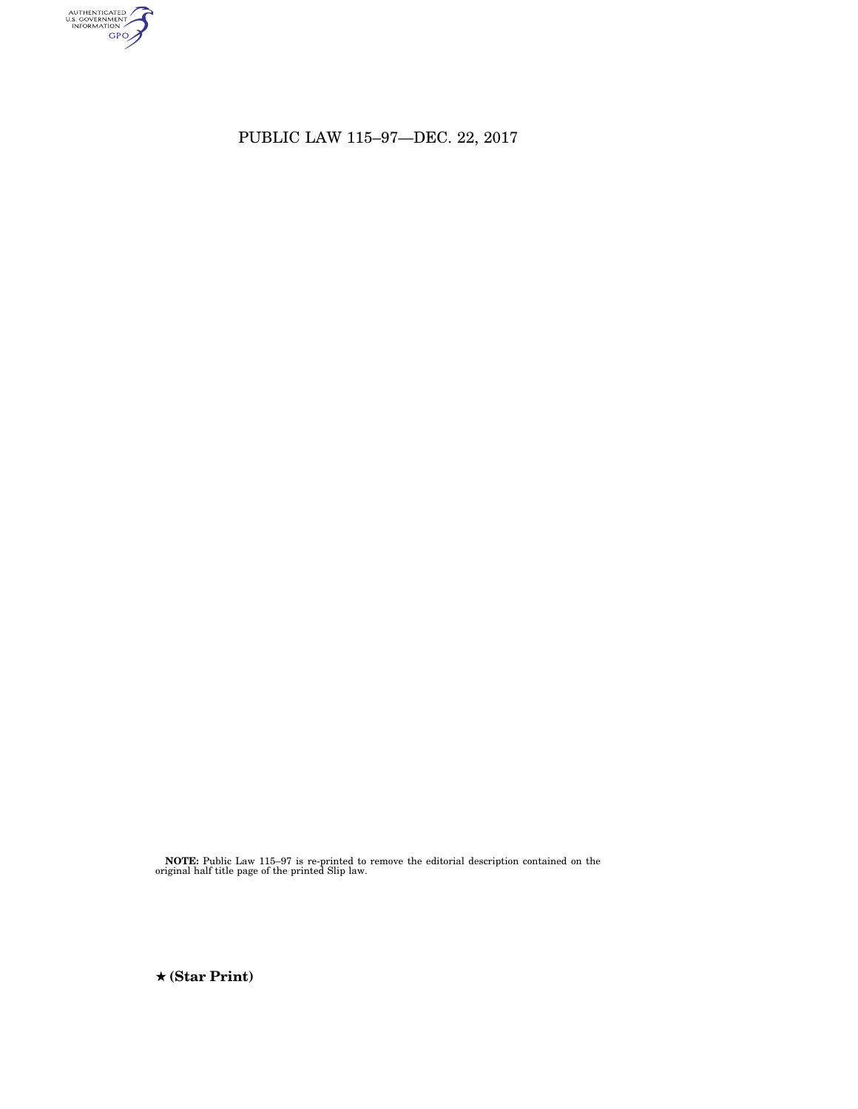

PUBLIC LAW 115–97—DEC. 22, 2017

**NOTE:** Public Law 115–97 is re-printed to remove the editorial description contained on the original half title page of the printed Slip law.

★ **(Star Print)**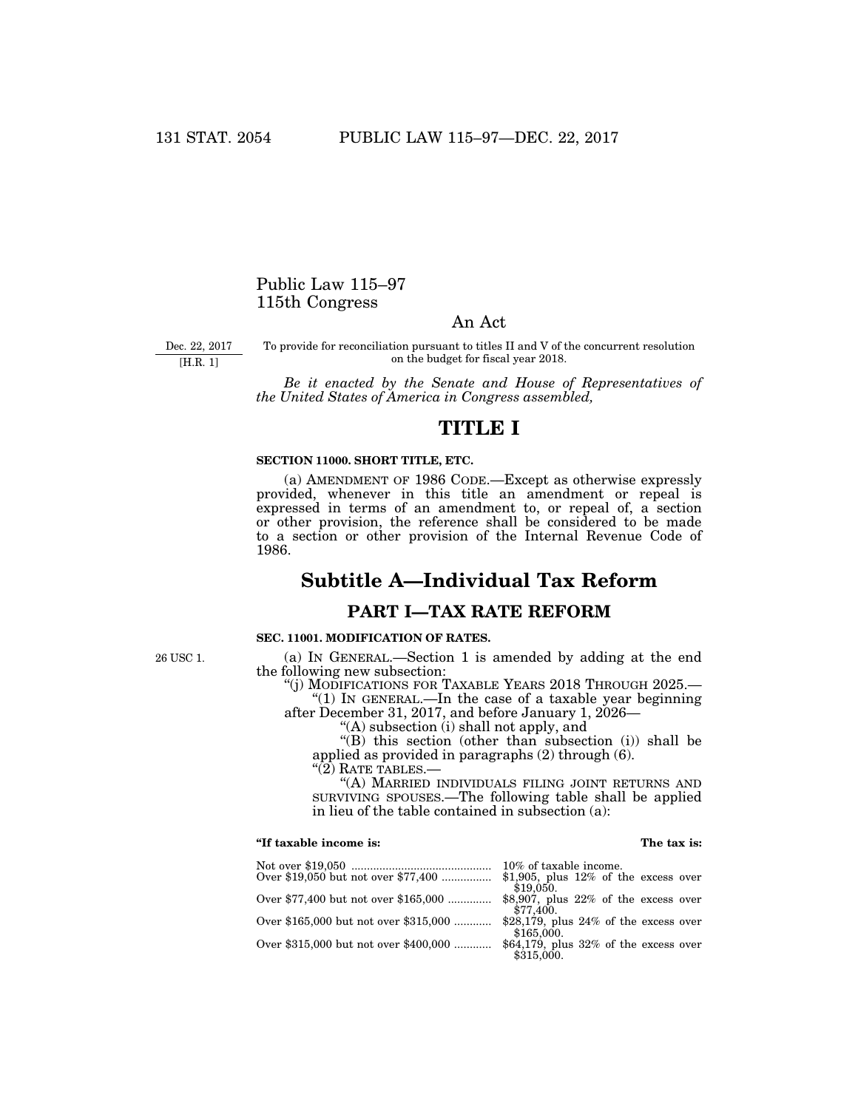## Public Law 115–97 115th Congress

## An Act

Dec. 22, 2017 [H.R. 1]

To provide for reconciliation pursuant to titles II and V of the concurrent resolution on the budget for fiscal year 2018.

*Be it enacted by the Senate and House of Representatives of the United States of America in Congress assembled,* 

# **TITLE I**

## **SECTION 11000. SHORT TITLE, ETC.**

(a) AMENDMENT OF 1986 CODE.—Except as otherwise expressly provided, whenever in this title an amendment or repeal is expressed in terms of an amendment to, or repeal of, a section or other provision, the reference shall be considered to be made to a section or other provision of the Internal Revenue Code of 1986.

# **Subtitle A—Individual Tax Reform**

# **PART I—TAX RATE REFORM**

## **SEC. 11001. MODIFICATION OF RATES.**

(a) IN GENERAL.—Section 1 is amended by adding at the end the following new subsection:

''(j) MODIFICATIONS FOR TAXABLE YEARS 2018 THROUGH 2025.—

" $(1)$  In GENERAL.—In the case of a taxable year beginning after December 31, 2017, and before January 1, 2026—

''(A) subsection (i) shall not apply, and

''(B) this section (other than subsection (i)) shall be applied as provided in paragraphs (2) through (6).

 $\cdot\cdot\cdot(2)$  Rate tables.—

''(A) MARRIED INDIVIDUALS FILING JOINT RETURNS AND SURVIVING SPOUSES.—The following table shall be applied in lieu of the table contained in subsection (a):

## **''If taxable income is: The tax is:**

| 10% of taxable income.                   |
|------------------------------------------|
| \$1,905, plus $12\%$ of the excess over  |
| \$19,050.                                |
| \$8,907, plus $22\%$ of the excess over  |
| \$77,400.                                |
| \$28,179, plus $24\%$ of the excess over |
| \$165,000.                               |
| \$64,179, plus $32\%$ of the excess over |
| \$315,000.                               |
|                                          |

26 USC 1.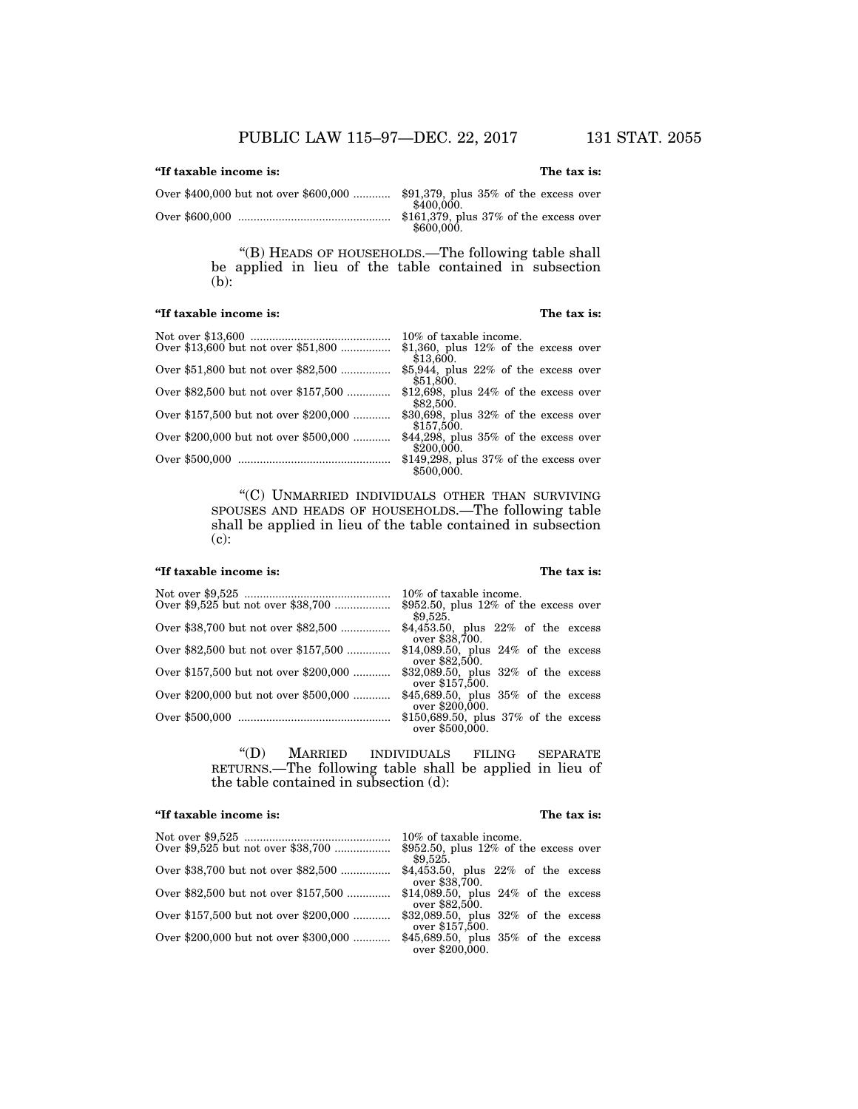## **''If taxable income is: The tax is:**

Over \$400,000 but not over \$600,000 ............ \$91,379, plus 35% of the excess over  $$400,000.$ Over \$600,000 ................................................. \$161,379, plus 37% of the excess over \$600,000.

> "(B) HEADS OF HOUSEHOLDS.—The following table shall be applied in lieu of the table contained in subsection (b):

### **''If taxable income is: The tax is:**

|                                       | 10% of taxable income.                                  |
|---------------------------------------|---------------------------------------------------------|
| Over \$13,600 but not over \$51,800   | \$1,360, plus $12\%$ of the excess over                 |
|                                       | \$13,600.                                               |
| Over \$51,800 but not over \$82,500   | \$5,944, plus $22\%$ of the excess over<br>\$51,800.    |
| Over \$82,500 but not over \$157,500  | \$12,698, plus $24\%$ of the excess over<br>\$82,500.   |
| Over \$157,500 but not over \$200,000 | \$30,698, plus $32\%$ of the excess over<br>\$157,500.  |
| Over \$200,000 but not over \$500,000 | \$44,298, plus $35\%$ of the excess over<br>\$200,000.  |
|                                       | \$149,298, plus $37\%$ of the excess over<br>\$500,000. |

''(C) UNMARRIED INDIVIDUALS OTHER THAN SURVIVING SPOUSES AND HEADS OF HOUSEHOLDS.—The following table shall be applied in lieu of the table contained in subsection (c):

## **''If taxable income is: The tax is:**

|                                       | 10% of taxable income.                                      |
|---------------------------------------|-------------------------------------------------------------|
| Over \$9,525 but not over \$38,700    | $$952.50$ , plus 12% of the excess over<br>\$9.525.         |
| Over \$38,700 but not over \$82,500   | $$4,453.50$ , plus $22\%$ of the excess<br>over \$38,700.   |
| Over \$82,500 but not over \$157,500  | \$14,089.50, plus $24\%$ of the excess<br>over \$82,500.    |
| Over \$157,500 but not over \$200,000 | $$32,089.50$ , plus $32\%$ of the excess<br>over \$157,500. |
| Over \$200,000 but not over \$500,000 | \$45,689.50, plus $35\%$ of the excess<br>over \$200,000.   |
|                                       | \$150,689.50, plus $37\%$ of the excess<br>over \$500,000.  |

''(D) MARRIED INDIVIDUALS FILING SEPARATE RETURNS.—The following table shall be applied in lieu of the table contained in subsection (d):

## **''If taxable income is: The tax is:**

|                                       | 10% of taxable income.                                      |
|---------------------------------------|-------------------------------------------------------------|
| Over \$9,525 but not over \$38,700    | $$952.50$ , plus 12% of the excess over<br>\$9,525.         |
| Over \$38,700 but not over \$82,500   | \$4,453.50, plus $22\%$ of the excess<br>over \$38,700.     |
| Over \$82,500 but not over \$157,500  | \$14,089.50, plus $24\%$ of the excess<br>over \$82,500.    |
| Over \$157,500 but not over \$200,000 | $$32,089.50$ , plus $32\%$ of the excess<br>over \$157,500. |
| Over \$200,000 but not over \$300,000 | \$45,689.50, plus $35\%$ of the excess<br>over \$200,000.   |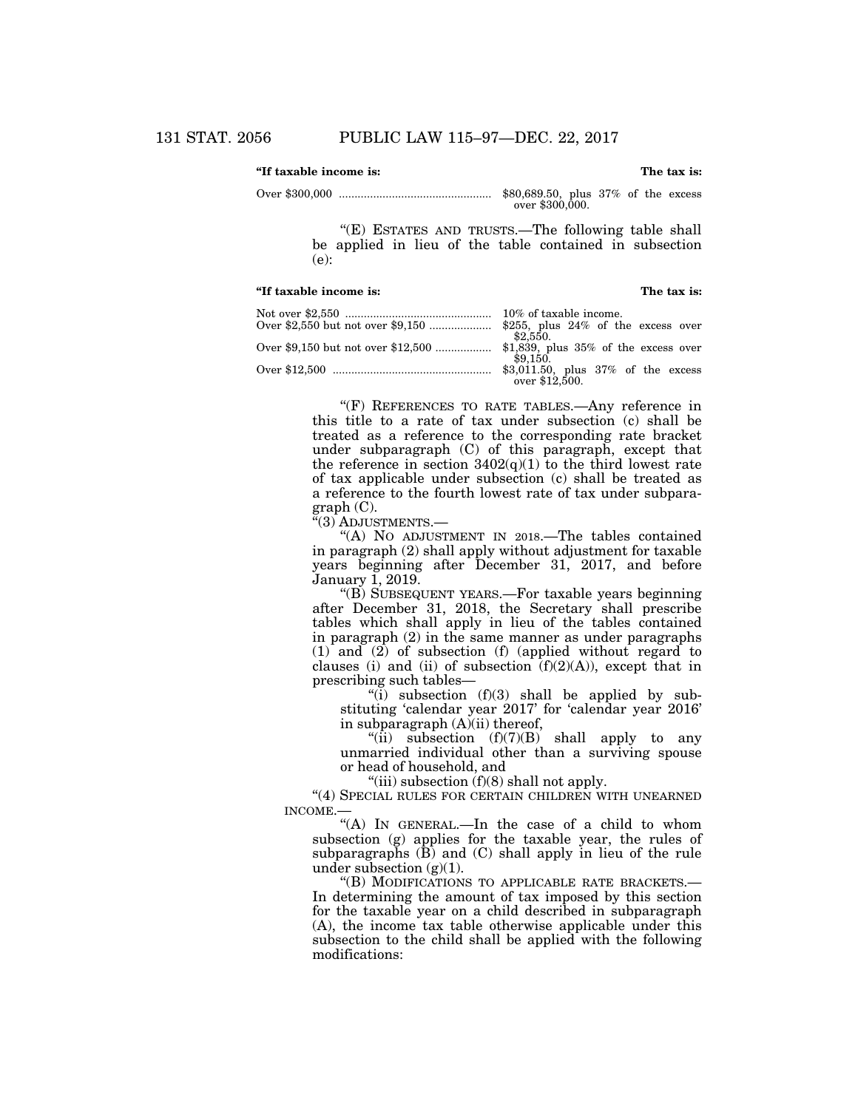### **''If taxable income is: The tax is:**

Over \$300,000 ................................................. \$80,689.50, plus 37% of the excess over \$300,000.

> "(E) ESTATES AND TRUSTS.—The following table shall be applied in lieu of the table contained in subsection (e):

#### **''If taxable income is: The tax is:**

| \$2.550.                           |
|------------------------------------|
|                                    |
| \$9.150.                           |
| \$3,011.50, plus 37% of the excess |
| over \$12.500.                     |

"(F) REFERENCES TO RATE TABLES.—Any reference in this title to a rate of tax under subsection (c) shall be treated as a reference to the corresponding rate bracket under subparagraph (C) of this paragraph, except that the reference in section  $3402(q)(1)$  to the third lowest rate of tax applicable under subsection (c) shall be treated as a reference to the fourth lowest rate of tax under subparagraph (C).

''(3) ADJUSTMENTS.—

''(A) NO ADJUSTMENT IN 2018.—The tables contained in paragraph (2) shall apply without adjustment for taxable years beginning after December 31, 2017, and before January 1, 2019.

''(B) SUBSEQUENT YEARS.—For taxable years beginning after December 31, 2018, the Secretary shall prescribe tables which shall apply in lieu of the tables contained in paragraph (2) in the same manner as under paragraphs (1) and (2) of subsection (f) (applied without regard to clauses (i) and (ii) of subsection  $(f)(2)(A)$ , except that in prescribing such tables—

"(i) subsection  $(f)(3)$  shall be applied by substituting 'calendar year 2017' for 'calendar year 2016' in subparagraph (A)(ii) thereof,

"(ii) subsection  $(f)(7)(B)$  shall apply to any unmarried individual other than a surviving spouse or head of household, and

"(iii) subsection  $(f)(8)$  shall not apply.

"(4) SPECIAL RULES FOR CERTAIN CHILDREN WITH UNEARNED INCOME.—

"(A) In GENERAL.—In the case of a child to whom subsection (g) applies for the taxable year, the rules of subparagraphs  $(\overline{B})$  and  $(C)$  shall apply in lieu of the rule under subsection  $(g)(1)$ .

''(B) MODIFICATIONS TO APPLICABLE RATE BRACKETS.— In determining the amount of tax imposed by this section for the taxable year on a child described in subparagraph (A), the income tax table otherwise applicable under this subsection to the child shall be applied with the following modifications: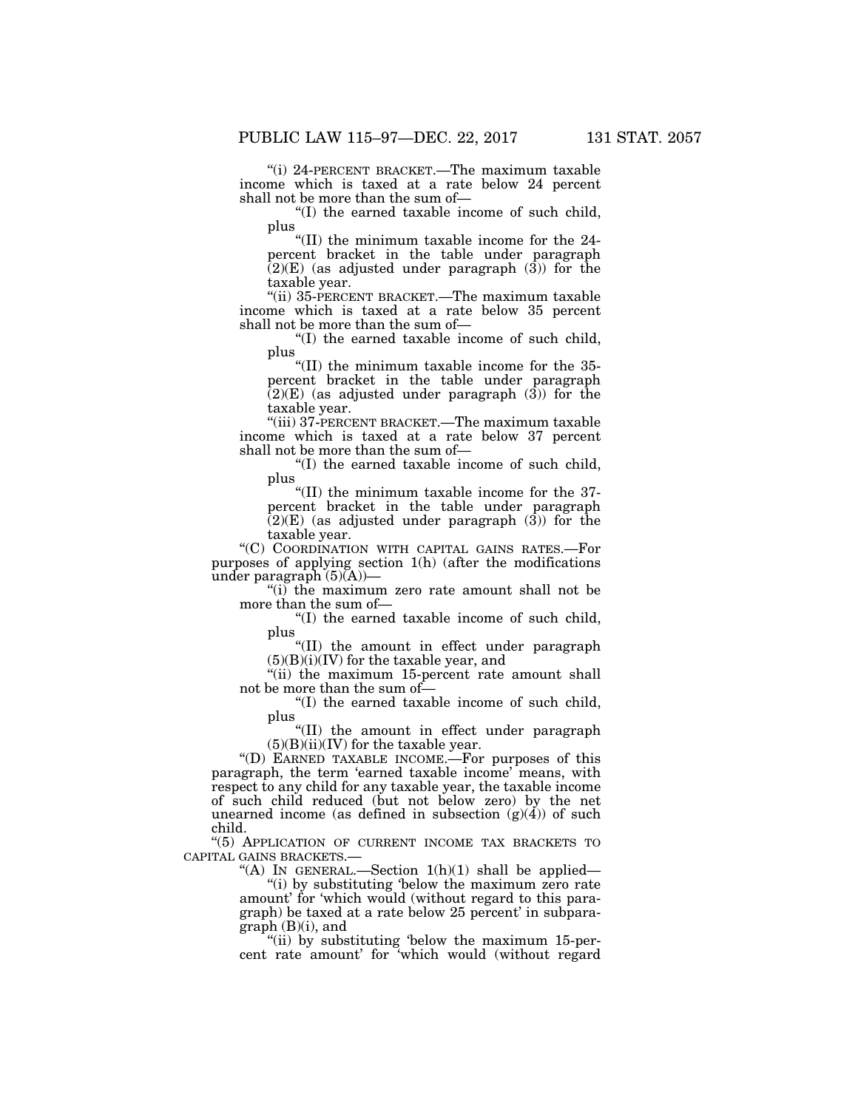''(i) 24-PERCENT BRACKET.—The maximum taxable income which is taxed at a rate below 24 percent shall not be more than the sum of—

''(I) the earned taxable income of such child, plus

''(II) the minimum taxable income for the 24 percent bracket in the table under paragraph  $(2)(E)$  (as adjusted under paragraph  $(3)$ ) for the taxable year.

''(ii) 35-PERCENT BRACKET.—The maximum taxable income which is taxed at a rate below 35 percent shall not be more than the sum of—

''(I) the earned taxable income of such child, plus

''(II) the minimum taxable income for the 35 percent bracket in the table under paragraph  $(2)(E)$  (as adjusted under paragraph  $(3)$ ) for the taxable year.

''(iii) 37-PERCENT BRACKET.—The maximum taxable income which is taxed at a rate below 37 percent shall not be more than the sum of—

''(I) the earned taxable income of such child, plus

''(II) the minimum taxable income for the 37 percent bracket in the table under paragraph  $(2)(E)$  (as adjusted under paragraph  $(3)$ ) for the taxable year.

''(C) COORDINATION WITH CAPITAL GAINS RATES.—For purposes of applying section 1(h) (after the modifications under paragraph  $(5)(A)$ —

''(i) the maximum zero rate amount shall not be more than the sum of—

''(I) the earned taxable income of such child, plus

''(II) the amount in effect under paragraph  $(5)(B)(i)(IV)$  for the taxable year, and

"(ii) the maximum 15-percent rate amount shall not be more than the sum of—

''(I) the earned taxable income of such child, plus

''(II) the amount in effect under paragraph  $(5)(B)(ii)(IV)$  for the taxable year.

''(D) EARNED TAXABLE INCOME.—For purposes of this paragraph, the term 'earned taxable income' means, with respect to any child for any taxable year, the taxable income of such child reduced (but not below zero) by the net unearned income (as defined in subsection  $(g)(4)$ ) of such child.

''(5) APPLICATION OF CURRENT INCOME TAX BRACKETS TO CAPITAL GAINS BRACKETS.—

"(A) IN GENERAL.—Section  $1(h)(1)$  shall be applied—

"(i) by substituting 'below the maximum zero rate amount' for 'which would (without regard to this paragraph) be taxed at a rate below 25 percent' in subparagraph (B)(i), and

"(ii) by substituting 'below the maximum 15-percent rate amount' for 'which would (without regard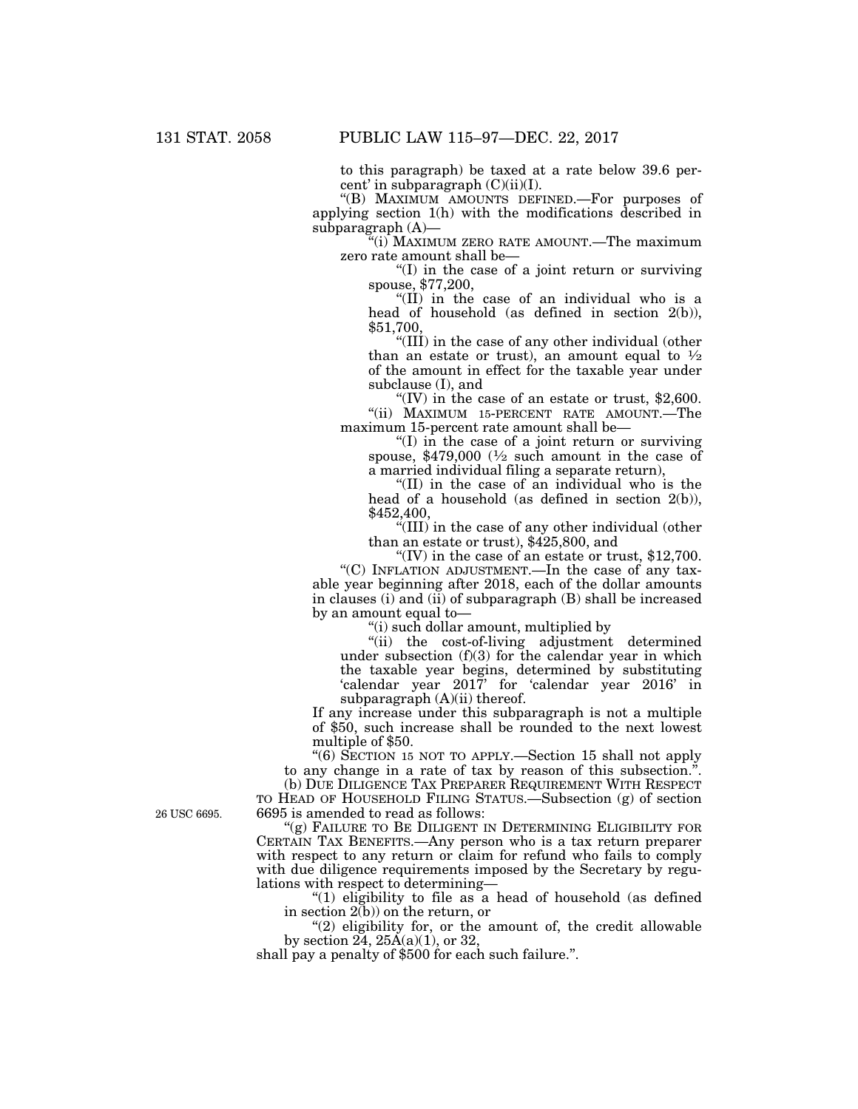to this paragraph) be taxed at a rate below 39.6 percent' in subparagraph  $(C)(ii)(I)$ .

''(B) MAXIMUM AMOUNTS DEFINED.—For purposes of applying section 1(h) with the modifications described in subparagraph (A)—

''(i) MAXIMUM ZERO RATE AMOUNT.—The maximum zero rate amount shall be—

''(I) in the case of a joint return or surviving spouse, \$77,200,

''(II) in the case of an individual who is a head of household (as defined in section 2(b)), \$51,700,

''(III) in the case of any other individual (other than an estate or trust), an amount equal to  $\frac{1}{2}$ of the amount in effect for the taxable year under subclause (I), and

"(IV) in the case of an estate or trust,  $$2,600$ . "(ii) MAXIMUM 15-PERCENT RATE AMOUNT.-The maximum 15-percent rate amount shall be—

''(I) in the case of a joint return or surviving spouse, \$479,000  $\frac{1}{2}$  such amount in the case of a married individual filing a separate return),

''(II) in the case of an individual who is the head of a household (as defined in section 2(b)), \$452,400,

''(III) in the case of any other individual (other than an estate or trust), \$425,800, and

"(IV) in the case of an estate or trust,  $$12,700$ .

"(C) INFLATION ADJUSTMENT.—In the case of any taxable year beginning after 2018, each of the dollar amounts in clauses (i) and (ii) of subparagraph (B) shall be increased by an amount equal to—

''(i) such dollar amount, multiplied by

''(ii) the cost-of-living adjustment determined under subsection (f)(3) for the calendar year in which the taxable year begins, determined by substituting 'calendar year 2017' for 'calendar year 2016' in subparagraph  $(A)(ii)$  thereof.

If any increase under this subparagraph is not a multiple of \$50, such increase shall be rounded to the next lowest multiple of \$50.

''(6) SECTION 15 NOT TO APPLY.—Section 15 shall not apply to any change in a rate of tax by reason of this subsection.''.

(b) DUE DILIGENCE TAX PREPARER REQUIREMENT WITH RESPECT TO HEAD OF HOUSEHOLD FILING STATUS.—Subsection (g) of section 6695 is amended to read as follows:

'(g) FAILURE TO BE DILIGENT IN DETERMINING ELIGIBILITY FOR CERTAIN TAX BENEFITS.—Any person who is a tax return preparer with respect to any return or claim for refund who fails to comply with due diligence requirements imposed by the Secretary by regulations with respect to determining—

" $(1)$  eligibility to file as a head of household (as defined in section  $2(b)$  on the return, or

 $''(2)$  eligibility for, or the amount of, the credit allowable by section  $24$ ,  $25\text{\AA}(a)(1)$ , or 32,

shall pay a penalty of \$500 for each such failure.''.

26 USC 6695.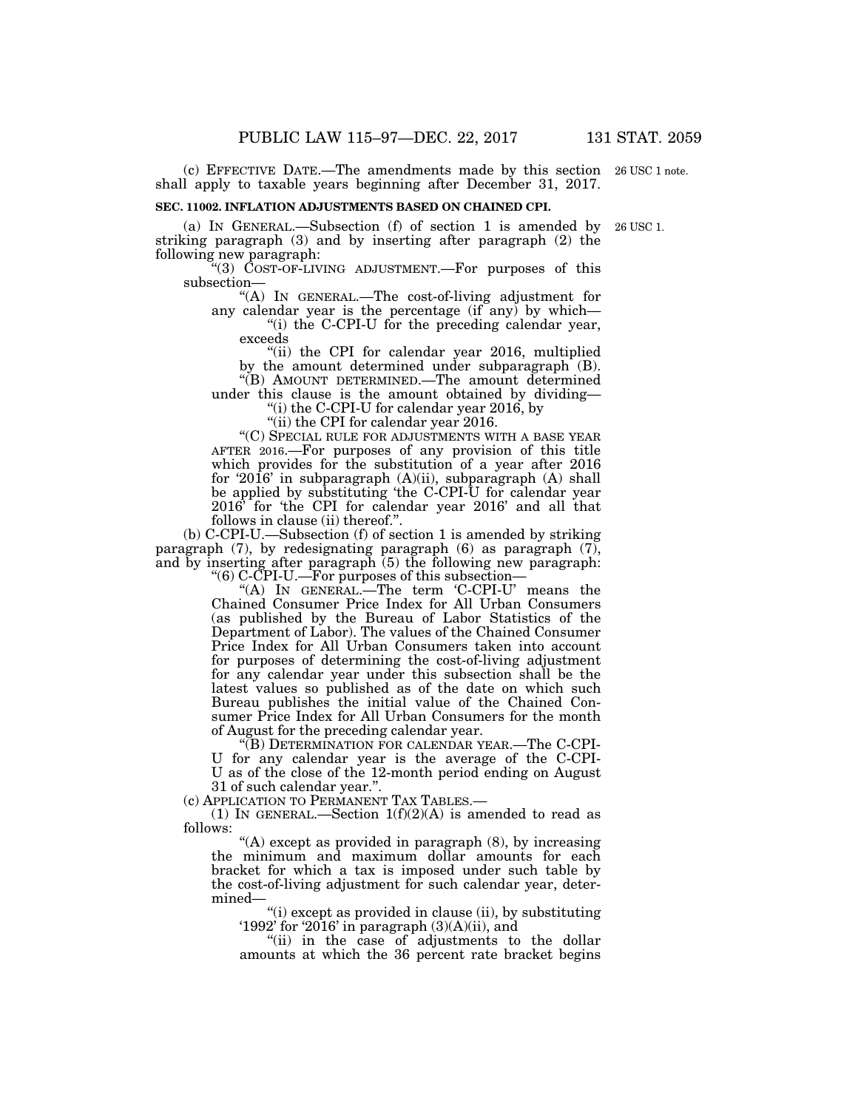(c) EFFECTIVE DATE.—The amendments made by this section 26 USC 1 note. shall apply to taxable years beginning after December 31, 2017.

### **SEC. 11002. INFLATION ADJUSTMENTS BASED ON CHAINED CPI.**

(a) IN GENERAL.—Subsection (f) of section 1 is amended by 26 USC 1. striking paragraph (3) and by inserting after paragraph (2) the following new paragraph:

''(3) COST-OF-LIVING ADJUSTMENT.—For purposes of this subsection—

''(A) IN GENERAL.—The cost-of-living adjustment for any calendar year is the percentage (if any) by which—

"(i) the C-CPI-U for the preceding calendar year, exceeds

"(ii) the CPI for calendar year 2016, multiplied by the amount determined under subparagraph (B). ''(B) AMOUNT DETERMINED.—The amount determined

under this clause is the amount obtained by dividing—

''(i) the C-CPI-U for calendar year 2016, by

"(ii) the CPI for calendar year 2016.

''(C) SPECIAL RULE FOR ADJUSTMENTS WITH A BASE YEAR AFTER 2016.—For purposes of any provision of this title which provides for the substitution of a year after 2016 for '2016' in subparagraph (A)(ii), subparagraph (A) shall be applied by substituting 'the C-CPI-U for calendar year 2016' for 'the CPI for calendar year 2016' and all that follows in clause (ii) thereof.''.

(b) C-CPI-U.—Subsection (f) of section 1 is amended by striking paragraph (7), by redesignating paragraph (6) as paragraph (7), and by inserting after paragraph (5) the following new paragraph:

''(6) C-CPI-U.—For purposes of this subsection—

"(A) In GENERAL.—The term 'C-CPI-U' means the Chained Consumer Price Index for All Urban Consumers (as published by the Bureau of Labor Statistics of the Department of Labor). The values of the Chained Consumer Price Index for All Urban Consumers taken into account for purposes of determining the cost-of-living adjustment for any calendar year under this subsection shall be the latest values so published as of the date on which such Bureau publishes the initial value of the Chained Consumer Price Index for All Urban Consumers for the month of August for the preceding calendar year.

''(B) DETERMINATION FOR CALENDAR YEAR.—The C-CPI-U for any calendar year is the average of the C-CPI-U as of the close of the 12-month period ending on August 31 of such calendar year.''.

(c) APPLICATION TO PERMANENT TAX TABLES.—

(1) IN GENERAL.—Section  $1(f)(2)(A)$  is amended to read as follows:

"(A) except as provided in paragraph (8), by increasing the minimum and maximum dollar amounts for each bracket for which a tax is imposed under such table by the cost-of-living adjustment for such calendar year, determined—

''(i) except as provided in clause (ii), by substituting '1992' for '2016' in paragraph (3)(A)(ii), and

"(ii) in the case of adjustments to the dollar amounts at which the 36 percent rate bracket begins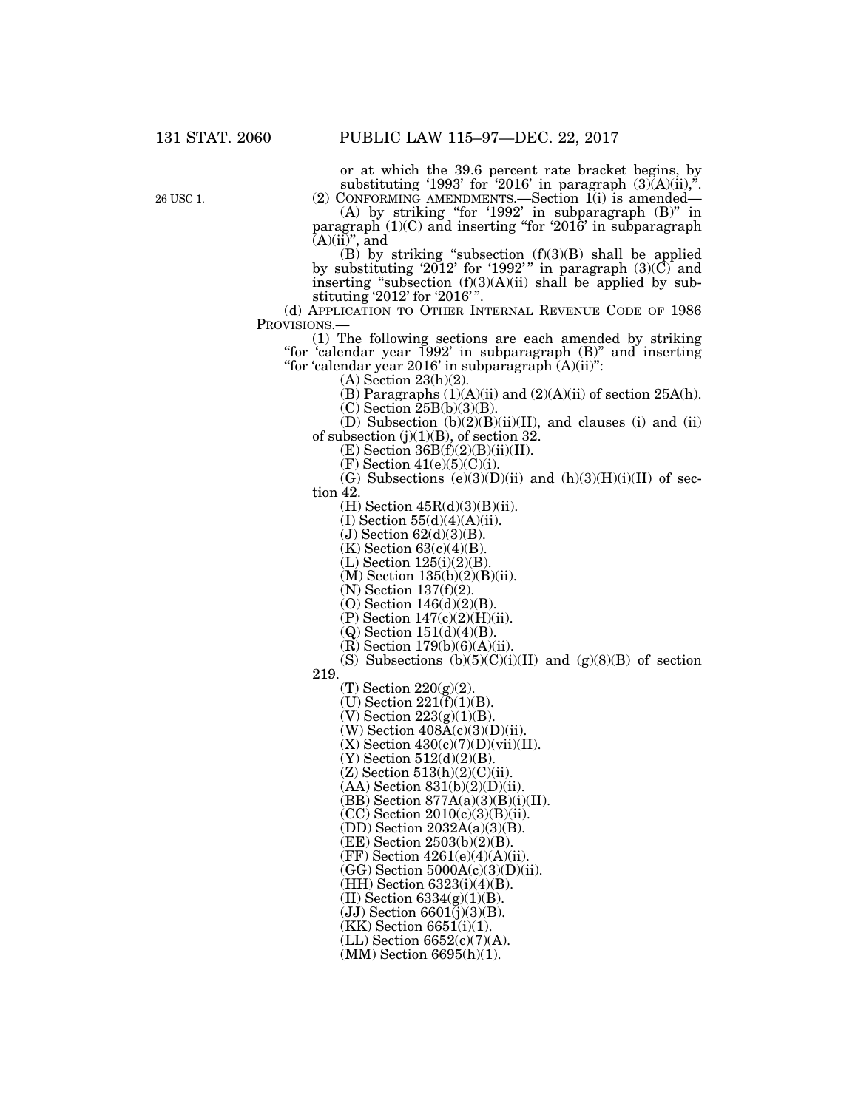26 USC 1.

or at which the 39.6 percent rate bracket begins, by substituting '1993' for '2016' in paragraph  $(3)(A)(ii)$ ,".

(2) CONFORMING AMENDMENTS.—Section 1(i) is amended— (A) by striking ''for '1992' in subparagraph (B)'' in paragraph (1)(C) and inserting ''for '2016' in subparagraph  $(A)(ii)$ ", and

(B) by striking "subsection  $(f)(3)(B)$  shall be applied by substituting '2012' for '1992'" in paragraph  $(3)(\vec{C})$  and inserting "subsection  $(f)(3)(A)(ii)$  shall be applied by substituting '2012' for '2016' ''.

(d) APPLICATION TO OTHER INTERNAL REVENUE CODE OF 1986 PROVISIONS.—

 $(1)$  The following sections are each amended by striking ''for 'calendar year 1992' in subparagraph (B)'' and inserting ''for 'calendar year 2016' in subparagraph (A)(ii)'':

(A) Section 23(h)(2).

(B) Paragraphs  $(1)(A)(ii)$  and  $(2)(A)(ii)$  of section 25A(h).

 $(C)$  Section  $25B(b)(3)(B)$ .

(D) Subsection (b)(2)(B)(ii)(II), and clauses (i) and (ii) of subsection (j)(1)(B), of section 32.

 $(E)$  Section 36B $(f)(2)(B)(ii)(II)$ .

 $(F)$  Section 41(e)(5)(C)(i).

(G) Subsections  $(e)(3)(D)(ii)$  and  $(h)(3)(H)(i)(II)$  of section 42.

 $(H)$  Section  $45R(d)(3)(B)(ii)$ .

 $(I)$  Section 55 $(d)(4)(A)(ii)$ .

 $(J)$  Section  $62(d)(3)(B)$ .

 $(K)$  Section 63(c)(4)(B).  $(L)$  Section 125 $(i)(2)(B)$ .

(M) Section 135(b)(2)(B)(ii).

(N) Section 137(f)(2).

(O) Section 146(d)(2)(B).

(P) Section 147(c)(2)(H)(ii).

 $(Q)$  Section 151 $(d)(4)(B)$ .

 $(R)$  Section 179 $(b)(6)(A)(ii)$ .

(S) Subsections  $(b)(5)(C)(i)(II)$  and  $(g)(8)(B)$  of section

219.

(T) Section 220(g)(2).

(U) Section  $221(\overline{f})(1)(B)$ .

 $(V)$  Section  $223(g)(1)(B)$ .

(W) Section  $408\text{\AA(c)}(3)(\text{D})(ii)$ .  $(X)$  Section  $430(c)(7)(D)(vi)(II)$ .

 $(Y)$  Section 512 $(d)(2)(B)$ .  $(Z)$  Section  $513(h)(2)(C)(ii)$ .

 $(AA)$  Section  $831(b)(2)(D)(ii)$ .

(BB) Section 877A(a)(3)(B)(i)(II).

 $(CC)$  Section  $2010(c)(3)(B)(ii)$ .

(DD) Section 2032A(a)(3)(B).

(EE) Section 2503(b)(2)(B).

 $(FF)$  Section 4261(e)(4)(A)(ii).

 $(GG)$  Section  $5000A(c)(3)(D)(ii)$ .

(HH) Section 6323(i)(4)(B).

(II) Section 6334(g)(1)(B).

 $(JJ)$  Section  $6601(i)(3)(B)$ .

 $(KK)$  Section 6651(i)(1).

(LL) Section 6652(c)(7)(A).

(MM) Section 6695(h)(1).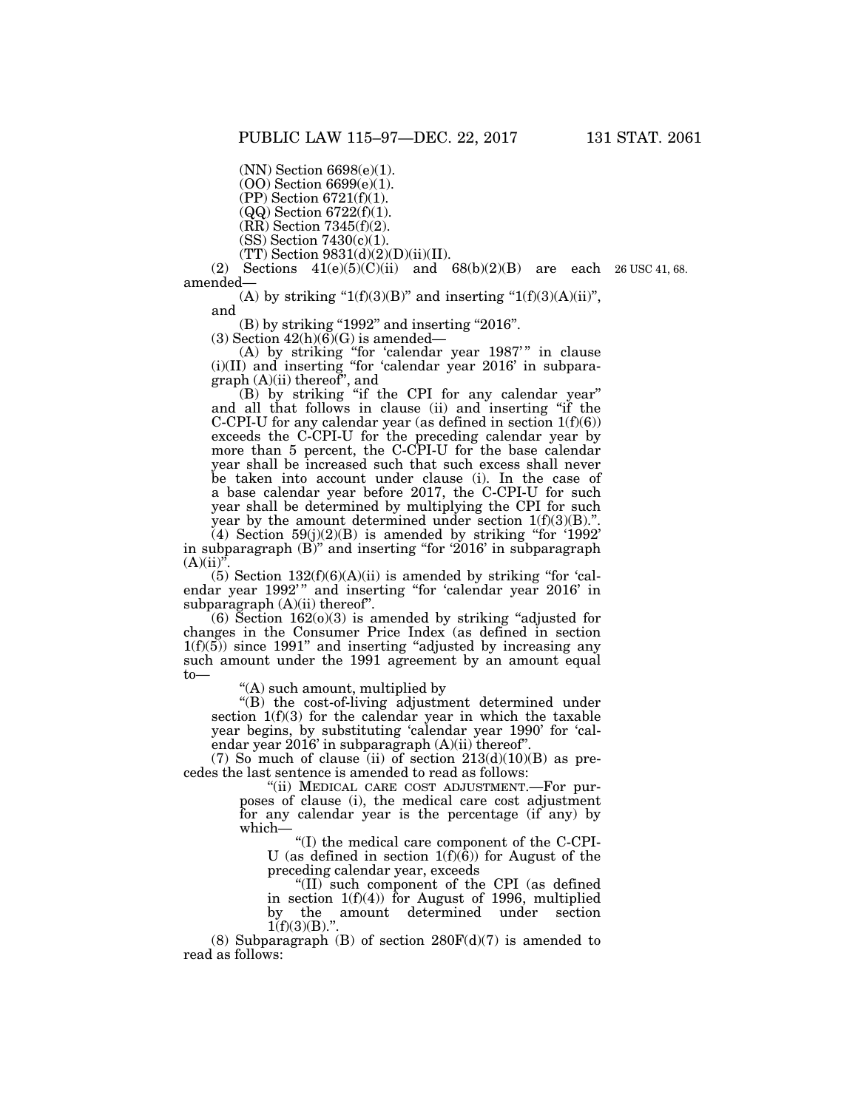(NN) Section 6698(e)(1).

(OO) Section 6699(e)(1).

(PP) Section 6721(f)(1).

 $(QQ)$  Section 6722(f)(1).

 $(RR)$  Section 7345 $(f)(2)$ . (SS) Section 7430(c)(1).

 $(TT)$  Section 9831(d)(2)(D)(ii)(II).

(2) Sections  $41(e)(5)(C)(ii)$  and  $68(b)(2)(B)$  are each  $26 \text{ USC } 41, 68$ . amended—

(A) by striking " $1(f)(3)(B)$ " and inserting " $1(f)(3)(A)(ii)$ ",

and

 $(B)$  by striking "1992" and inserting "2016".

(3) Section  $42(h)(6)(G)$  is amended—

(A) by striking ''for 'calendar year 1987' '' in clause (i)(II) and inserting ''for 'calendar year 2016' in subparagraph (A)(ii) thereof'', and

(B) by striking ''if the CPI for any calendar year'' and all that follows in clause (ii) and inserting ''if the C-CPI-U for any calendar year (as defined in section 1(f)(6)) exceeds the C-CPI-U for the preceding calendar year by more than 5 percent, the C-CPI-U for the base calendar year shall be increased such that such excess shall never be taken into account under clause (i). In the case of a base calendar year before 2017, the C-CPI-U for such year shall be determined by multiplying the CPI for such year by the amount determined under section  $1(f)(3)(B)$ ."

 $(4)$  Section 59(j)(2)(B) is amended by striking "for '1992' in subparagraph (B)'' and inserting ''for '2016' in subparagraph  $(A)(ii)$ ".

(5) Section  $132(f)(6)(A)(ii)$  is amended by striking "for 'calendar year 1992'" and inserting "for 'calendar year 2016' in subparagraph  $(A)(ii)$  thereof".

 $(6)$  Section 162 $(0)(3)$  is amended by striking "adjusted for changes in the Consumer Price Index (as defined in section  $1(f)(5)$  since 1991" and inserting "adjusted by increasing any such amount under the 1991 agreement by an amount equal to—

''(A) such amount, multiplied by

"(B) the cost-of-living adjustment determined under section 1(f)(3) for the calendar year in which the taxable year begins, by substituting 'calendar year 1990' for 'calendar year 2016' in subparagraph (A)(ii) thereof''.

(7) So much of clause (ii) of section  $213(d)(10)(B)$  as precedes the last sentence is amended to read as follows:

> ''(ii) MEDICAL CARE COST ADJUSTMENT.—For purposes of clause (i), the medical care cost adjustment for any calendar year is the percentage (if any) by which—

''(I) the medical care component of the C-CPI-U (as defined in section  $1(f)(\overline{6})$ ) for August of the preceding calendar year, exceeds

''(II) such component of the CPI (as defined in section  $1(f)(4)$  for August of 1996, multiplied by the amount determined under section  $1(f)(3)(B)$ ."

(8) Subparagraph (B) of section  $280F(d)(7)$  is amended to read as follows: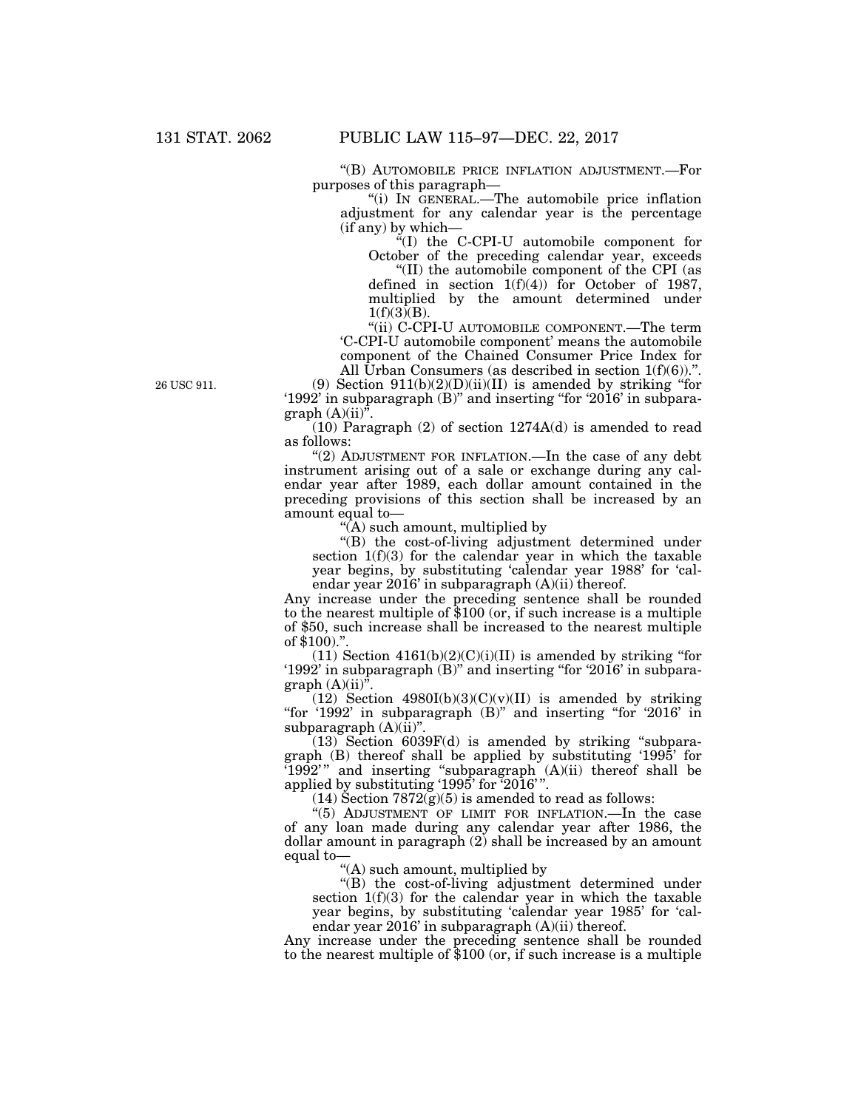''(B) AUTOMOBILE PRICE INFLATION ADJUSTMENT.—For purposes of this paragraph—

''(i) IN GENERAL.—The automobile price inflation adjustment for any calendar year is the percentage (if any) by which—

 $\mathrm{H}(I)$  the C-CPI-U automobile component for October of the preceding calendar year, exceeds ''(II) the automobile component of the CPI (as defined in section  $1(f)(4)$  for October of 1987, multiplied by the amount determined under  $1(f)(3)(B)$ .

''(ii) C-CPI-U AUTOMOBILE COMPONENT.—The term 'C-CPI-U automobile component' means the automobile component of the Chained Consumer Price Index for All Urban Consumers (as described in section  $1(f)(6)$ ).".

(9) Section  $911(b)(2)(D)(ii)(II)$  is amended by striking "for '1992' in subparagraph  $(B)$ " and inserting "for '2016' in subparagraph  $(A)(ii)^{\bar{v}}$ .

(10) Paragraph (2) of section 1274A(d) is amended to read as follows:

"(2) ADJUSTMENT FOR INFLATION.—In the case of any debt instrument arising out of a sale or exchange during any calendar year after 1989, each dollar amount contained in the preceding provisions of this section shall be increased by an amount equal to—

''(A) such amount, multiplied by

''(B) the cost-of-living adjustment determined under section  $1(f)(3)$  for the calendar year in which the taxable year begins, by substituting 'calendar year 1988' for 'calendar year 2016' in subparagraph (A)(ii) thereof.

Any increase under the preceding sentence shall be rounded to the nearest multiple of \$100 (or, if such increase is a multiple of \$50, such increase shall be increased to the nearest multiple of \$100)."

 $(11)$  Section  $4161(b)(2)(C)(i)(II)$  is amended by striking "for '1992' in subparagraph (B)'' and inserting ''for '2016' in subparagraph  $(A)(ii)^{\overline{v}}$ .

(12) Section  $4980I(b)(3)(C)(v)(II)$  is amended by striking "for '1992' in subparagraph (B)" and inserting "for '2016' in subparagraph  $(A)(ii)$ ".

(13) Section 6039F(d) is amended by striking ''subparagraph (B) thereof shall be applied by substituting '1995' for '1992' '' and inserting ''subparagraph (A)(ii) thereof shall be applied by substituting '1995' for '2016' ''.

 $(14)$  Section  $7872(g)(5)$  is amended to read as follows:

"(5) ADJUSTMENT OF LIMIT FOR INFLATION.—In the case of any loan made during any calendar year after 1986, the dollar amount in paragraph (2) shall be increased by an amount equal to—

''(A) such amount, multiplied by

''(B) the cost-of-living adjustment determined under section  $1(f)(3)$  for the calendar year in which the taxable year begins, by substituting 'calendar year 1985' for 'calendar year  $2016'$  in subparagraph  $(A)(ii)$  thereof.

Any increase under the preceding sentence shall be rounded to the nearest multiple of \$100 (or, if such increase is a multiple

26 USC 911.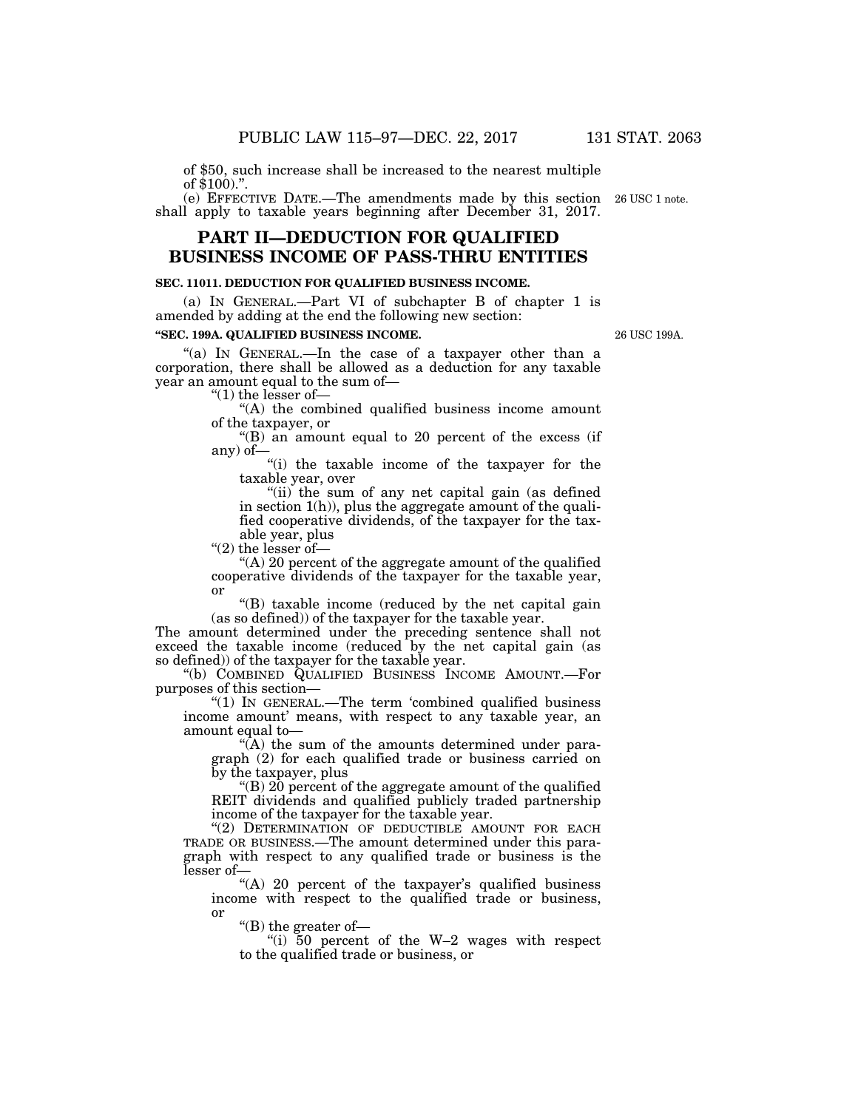of \$50, such increase shall be increased to the nearest multiple of \$100).''.

(e) EFFECTIVE DATE.—The amendments made by this section 26 USC 1 note. shall apply to taxable years beginning after December 31, 2017.

# **PART II—DEDUCTION FOR QUALIFIED BUSINESS INCOME OF PASS-THRU ENTITIES**

#### **SEC. 11011. DEDUCTION FOR QUALIFIED BUSINESS INCOME.**

(a) IN GENERAL.—Part VI of subchapter B of chapter 1 is amended by adding at the end the following new section:

#### **''SEC. 199A. QUALIFIED BUSINESS INCOME.**

"(a) IN GENERAL.—In the case of a taxpayer other than a corporation, there shall be allowed as a deduction for any taxable year an amount equal to the sum of—

''(1) the lesser of—

''(A) the combined qualified business income amount of the taxpayer, or

 $\mathrm{H}(B)$  an amount equal to 20 percent of the excess (if any) of—

''(i) the taxable income of the taxpayer for the taxable year, over

"(ii) the sum of any net capital gain (as defined in section 1(h)), plus the aggregate amount of the qualified cooperative dividends, of the taxpayer for the taxable year, plus

"(2) the lesser of-

 $(A)$  20 percent of the aggregate amount of the qualified cooperative dividends of the taxpayer for the taxable year, or

 $'(B)$  taxable income (reduced by the net capital gain (as so defined)) of the taxpayer for the taxable year.

The amount determined under the preceding sentence shall not exceed the taxable income (reduced by the net capital gain (as so defined)) of the taxpayer for the taxable year.

''(b) COMBINED QUALIFIED BUSINESS INCOME AMOUNT.—For purposes of this section—

''(1) IN GENERAL.—The term 'combined qualified business income amount' means, with respect to any taxable year, an amount equal to—

" $(A)$  the sum of the amounts determined under paragraph (2) for each qualified trade or business carried on by the taxpayer, plus

"(B)  $20$  percent of the aggregate amount of the qualified REIT dividends and qualified publicly traded partnership income of the taxpayer for the taxable year.

"(2) DETERMINATION OF DEDUCTIBLE AMOUNT FOR EACH TRADE OR BUSINESS.—The amount determined under this paragraph with respect to any qualified trade or business is the lesser of—

"(A) 20 percent of the taxpayer's qualified business income with respect to the qualified trade or business, or

''(B) the greater of—

''(i) 50 percent of the W–2 wages with respect to the qualified trade or business, or

26 USC 199A.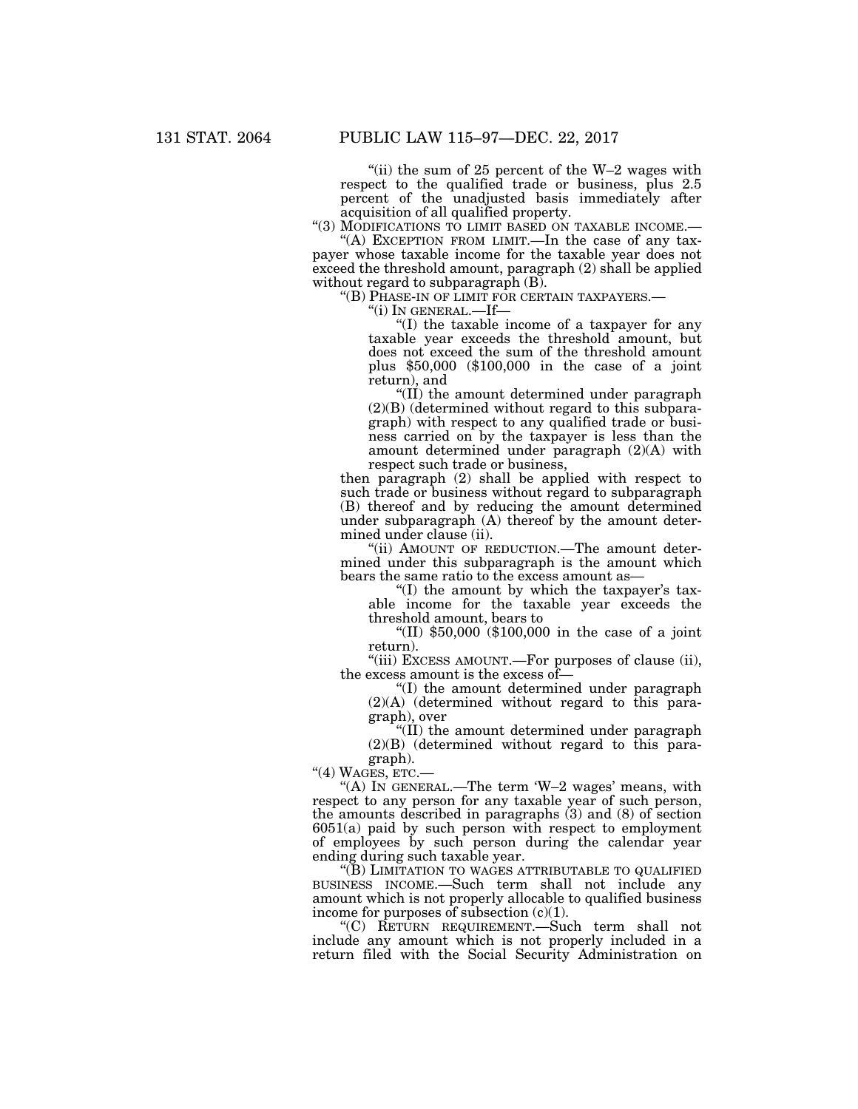"(ii) the sum of 25 percent of the  $W-2$  wages with respect to the qualified trade or business, plus 2.5 percent of the unadjusted basis immediately after acquisition of all qualified property.

''(3) MODIFICATIONS TO LIMIT BASED ON TAXABLE INCOME.— ''(A) EXCEPTION FROM LIMIT.—In the case of any tax-

payer whose taxable income for the taxable year does not exceed the threshold amount, paragraph (2) shall be applied without regard to subparagraph (B).

''(B) PHASE-IN OF LIMIT FOR CERTAIN TAXPAYERS.— ''(i) IN GENERAL.—If—

''(I) the taxable income of a taxpayer for any taxable year exceeds the threshold amount, but does not exceed the sum of the threshold amount plus \$50,000 (\$100,000 in the case of a joint return), and

''(II) the amount determined under paragraph (2)(B) (determined without regard to this subparagraph) with respect to any qualified trade or business carried on by the taxpayer is less than the amount determined under paragraph (2)(A) with respect such trade or business,

then paragraph (2) shall be applied with respect to such trade or business without regard to subparagraph (B) thereof and by reducing the amount determined under subparagraph (A) thereof by the amount determined under clause (ii).

''(ii) AMOUNT OF REDUCTION.—The amount determined under this subparagraph is the amount which bears the same ratio to the excess amount as—

''(I) the amount by which the taxpayer's taxable income for the taxable year exceeds the threshold amount, bears to

''(II) \$50,000 (\$100,000 in the case of a joint return).

"(iii) EXCESS AMOUNT.—For purposes of clause (ii), the excess amount is the excess of—

''(I) the amount determined under paragraph  $(2)(A)$  (determined without regard to this paragraph), over

''(II) the amount determined under paragraph  $(2)(B)$  (determined without regard to this paragraph).

"(4) WAGES,  $ETC$ .

"(A) IN GENERAL.—The term  $W-2$  wages' means, with respect to any person for any taxable year of such person, the amounts described in paragraphs (3) and (8) of section 6051(a) paid by such person with respect to employment of employees by such person during the calendar year ending during such taxable year.

''(B) LIMITATION TO WAGES ATTRIBUTABLE TO QUALIFIED BUSINESS INCOME.—Such term shall not include any amount which is not properly allocable to qualified business income for purposes of subsection  $(c)(1)$ .

''(C) RETURN REQUIREMENT.—Such term shall not include any amount which is not properly included in a return filed with the Social Security Administration on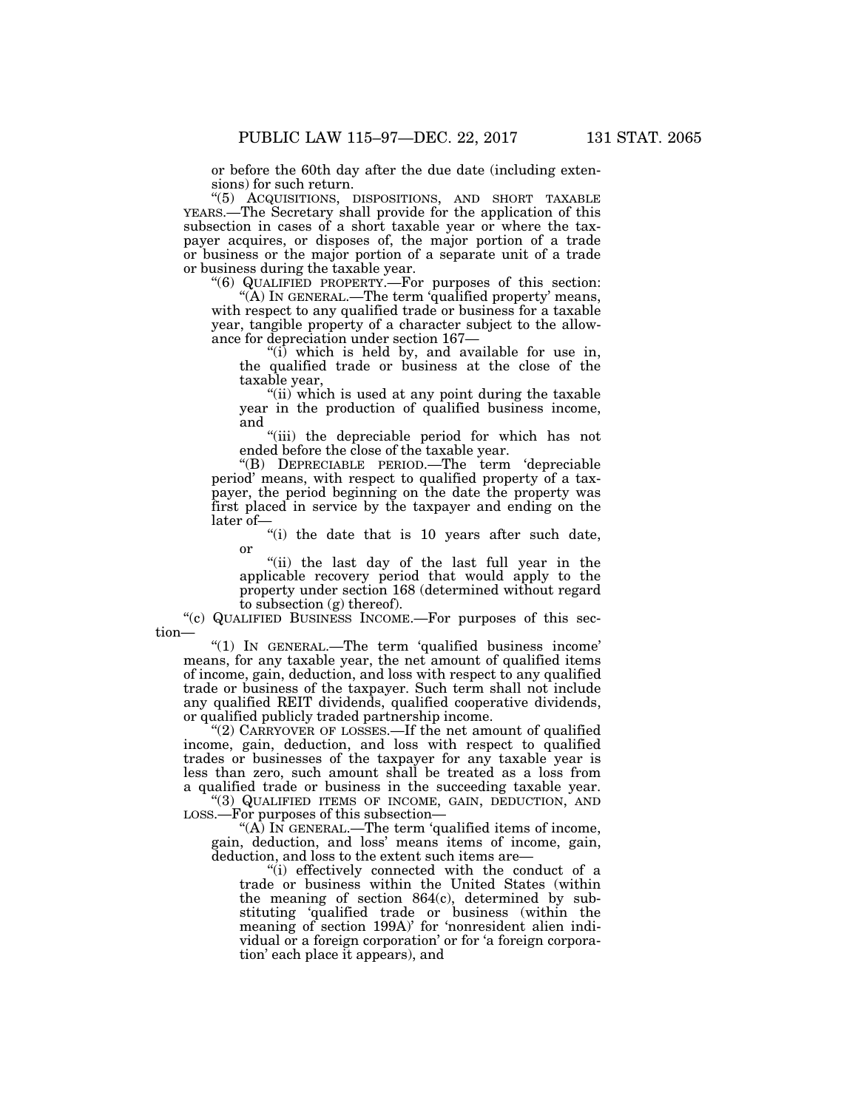or before the 60th day after the due date (including extensions) for such return.

''(5) ACQUISITIONS, DISPOSITIONS, AND SHORT TAXABLE YEARS.—The Secretary shall provide for the application of this subsection in cases of a short taxable year or where the taxpayer acquires, or disposes of, the major portion of a trade or business or the major portion of a separate unit of a trade or business during the taxable year.

''(6) QUALIFIED PROPERTY.—For purposes of this section: "(A) In GENERAL.—The term 'qualified property' means, with respect to any qualified trade or business for a taxable year, tangible property of a character subject to the allowance for depreciation under section 167—

" $(i)$  which is held by, and available for use in, the qualified trade or business at the close of the taxable year,

"(ii) which is used at any point during the taxable year in the production of qualified business income, and

"(iii) the depreciable period for which has not ended before the close of the taxable year.

''(B) DEPRECIABLE PERIOD.—The term 'depreciable period' means, with respect to qualified property of a taxpayer, the period beginning on the date the property was first placed in service by the taxpayer and ending on the later of—

"(i) the date that is 10 years after such date, or

"(ii) the last day of the last full year in the applicable recovery period that would apply to the property under section 168 (determined without regard to subsection (g) thereof).

''(c) QUALIFIED BUSINESS INCOME.—For purposes of this section—

''(1) IN GENERAL.—The term 'qualified business income' means, for any taxable year, the net amount of qualified items of income, gain, deduction, and loss with respect to any qualified trade or business of the taxpayer. Such term shall not include any qualified REIT dividends, qualified cooperative dividends, or qualified publicly traded partnership income.

"(2) CARRYOVER OF LOSSES.—If the net amount of qualified income, gain, deduction, and loss with respect to qualified trades or businesses of the taxpayer for any taxable year is less than zero, such amount shall be treated as a loss from a qualified trade or business in the succeeding taxable year.

''(3) QUALIFIED ITEMS OF INCOME, GAIN, DEDUCTION, AND LOSS.—For purposes of this subsection—

"(A) IN GENERAL.—The term 'qualified items of income, gain, deduction, and loss' means items of income, gain, deduction, and loss to the extent such items are—

''(i) effectively connected with the conduct of a trade or business within the United States (within the meaning of section 864(c), determined by substituting 'qualified trade or business (within the meaning of section 199A)' for 'nonresident alien individual or a foreign corporation' or for 'a foreign corporation' each place it appears), and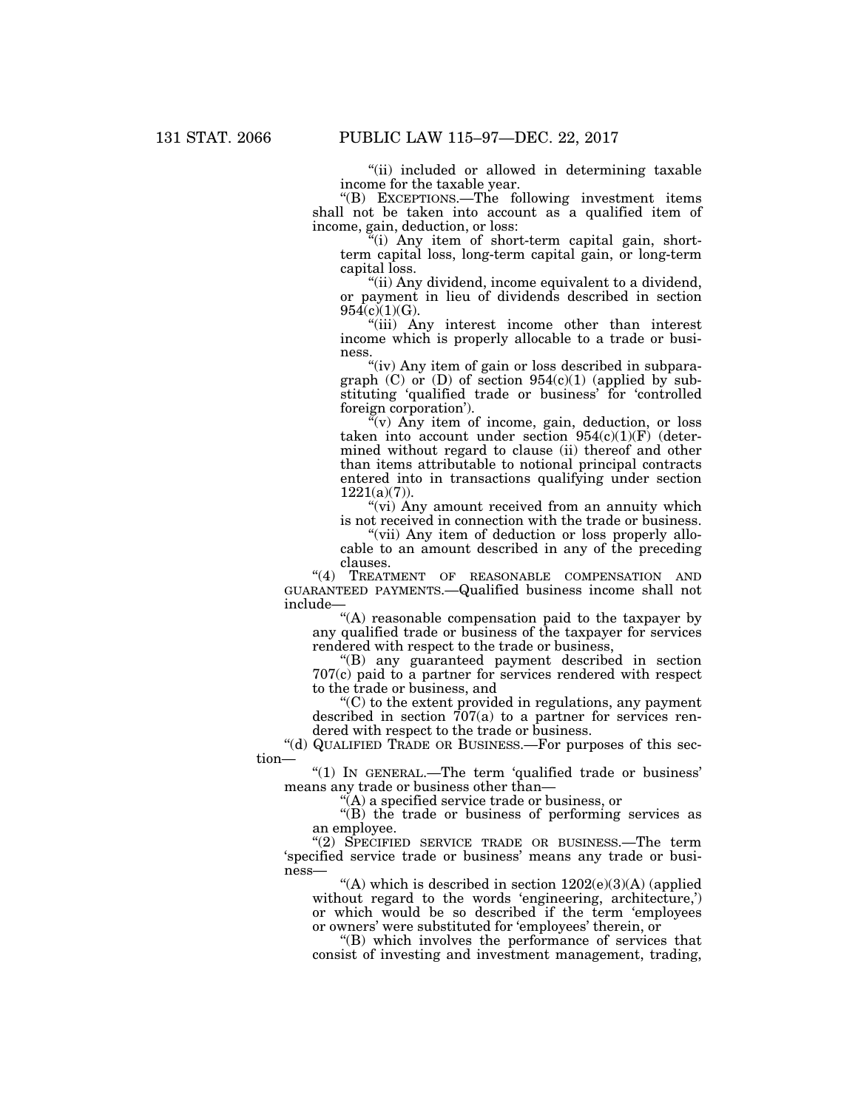"(ii) included or allowed in determining taxable income for the taxable year.

''(B) EXCEPTIONS.—The following investment items shall not be taken into account as a qualified item of income, gain, deduction, or loss:

 $\mathcal{H}$ <sup>"(i)</sup> Any item of short-term capital gain, shortterm capital loss, long-term capital gain, or long-term capital loss.

"(ii) Any dividend, income equivalent to a dividend, or payment in lieu of dividends described in section  $954(c)(1)(G)$ .

''(iii) Any interest income other than interest income which is properly allocable to a trade or business.

"(iv) Any item of gain or loss described in subparagraph  $(C)$  or  $(D)$  of section 954 $(c)(1)$  (applied by substituting 'qualified trade or business' for 'controlled foreign corporation').

 $(v)$  Any item of income, gain, deduction, or loss taken into account under section  $954(c)(1)(F)$  (determined without regard to clause (ii) thereof and other than items attributable to notional principal contracts entered into in transactions qualifying under section 1221(a)(7)).

"(vi) Any amount received from an annuity which is not received in connection with the trade or business.

"(vii) Any item of deduction or loss properly allocable to an amount described in any of the preceding clauses.

"(4) TREATMENT OF REASONABLE COMPENSATION AND GUARANTEED PAYMENTS.—Qualified business income shall not include—

''(A) reasonable compensation paid to the taxpayer by any qualified trade or business of the taxpayer for services rendered with respect to the trade or business,

''(B) any guaranteed payment described in section 707(c) paid to a partner for services rendered with respect to the trade or business, and

 $C$ ) to the extent provided in regulations, any payment described in section 707(a) to a partner for services rendered with respect to the trade or business.

''(d) QUALIFIED TRADE OR BUSINESS.—For purposes of this section—

''(1) IN GENERAL.—The term 'qualified trade or business' means any trade or business other than—

''(A) a specified service trade or business, or

''(B) the trade or business of performing services as an employee.

''(2) SPECIFIED SERVICE TRADE OR BUSINESS.—The term 'specified service trade or business' means any trade or business—

"(A) which is described in section  $1202(e)(3)(A)$  (applied without regard to the words 'engineering, architecture,') or which would be so described if the term 'employees or owners' were substituted for 'employees' therein, or

''(B) which involves the performance of services that consist of investing and investment management, trading,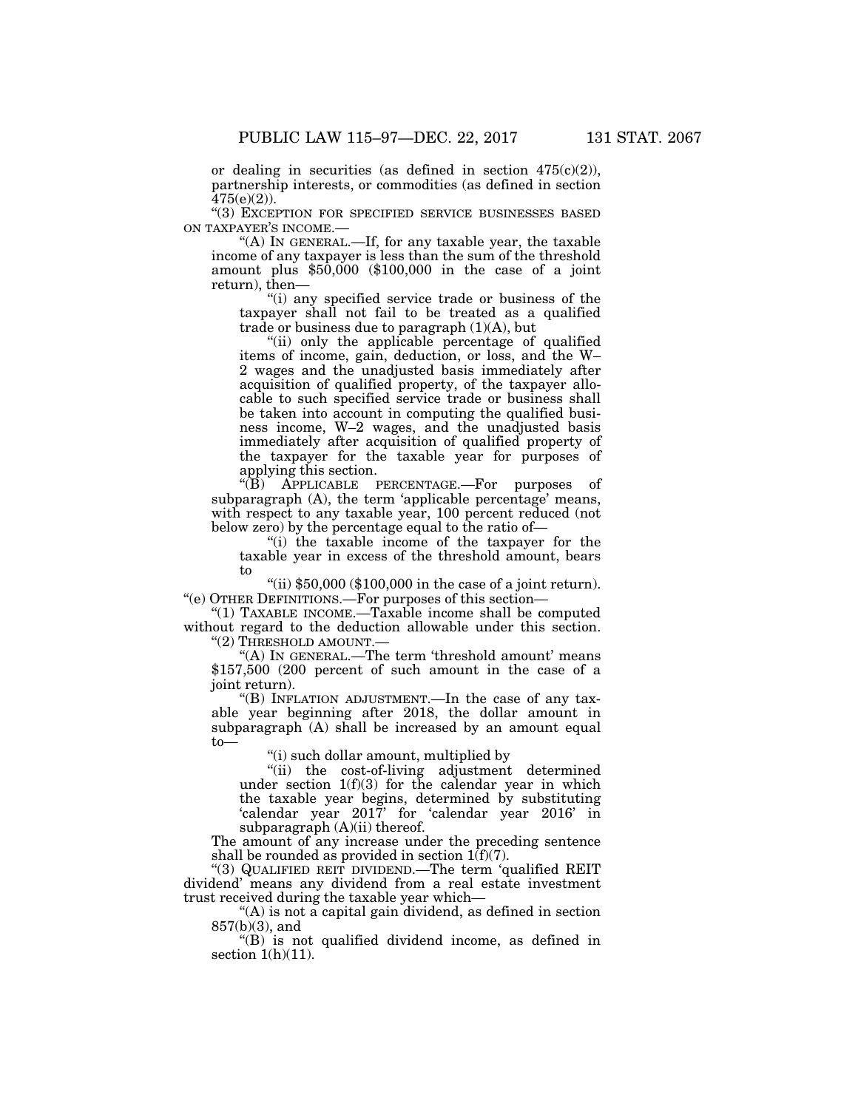or dealing in securities (as defined in section  $475(c)(2)$ ), partnership interests, or commodities (as defined in section  $475(e)(2)$ ).

''(3) EXCEPTION FOR SPECIFIED SERVICE BUSINESSES BASED ON TAXPAYER'S INCOME.—

''(A) IN GENERAL.—If, for any taxable year, the taxable income of any taxpayer is less than the sum of the threshold amount plus \$50,000 (\$100,000 in the case of a joint return), then—

''(i) any specified service trade or business of the taxpayer shall not fail to be treated as a qualified trade or business due to paragraph  $(1)(A)$ , but

"(ii) only the applicable percentage of qualified items of income, gain, deduction, or loss, and the W– 2 wages and the unadjusted basis immediately after acquisition of qualified property, of the taxpayer allocable to such specified service trade or business shall be taken into account in computing the qualified business income, W–2 wages, and the unadjusted basis immediately after acquisition of qualified property of the taxpayer for the taxable year for purposes of applying this section.<br>"(B) APPLICABLE I

PERCENTAGE.—For purposes of subparagraph (A), the term 'applicable percentage' means, with respect to any taxable year, 100 percent reduced (not below zero) by the percentage equal to the ratio of—

''(i) the taxable income of the taxpayer for the taxable year in excess of the threshold amount, bears to

"(ii)  $$50,000$   $$100,000$  in the case of a joint return). ''(e) OTHER DEFINITIONS.—For purposes of this section—

''(1) TAXABLE INCOME.—Taxable income shall be computed without regard to the deduction allowable under this section. ''(2) THRESHOLD AMOUNT.—

"(A) IN GENERAL.—The term 'threshold amount' means \$157,500 (200 percent of such amount in the case of a joint return).

''(B) INFLATION ADJUSTMENT.—In the case of any taxable year beginning after 2018, the dollar amount in subparagraph (A) shall be increased by an amount equal to—

''(i) such dollar amount, multiplied by

''(ii) the cost-of-living adjustment determined under section 1(f)(3) for the calendar year in which the taxable year begins, determined by substituting 'calendar year 2017' for 'calendar year 2016' in subparagraph (A)(ii) thereof.

The amount of any increase under the preceding sentence shall be rounded as provided in section  $1(f)(7)$ .

''(3) QUALIFIED REIT DIVIDEND.—The term 'qualified REIT dividend' means any dividend from a real estate investment trust received during the taxable year which—

''(A) is not a capital gain dividend, as defined in section 857(b)(3), and

''(B) is not qualified dividend income, as defined in section  $1(h)(11)$ .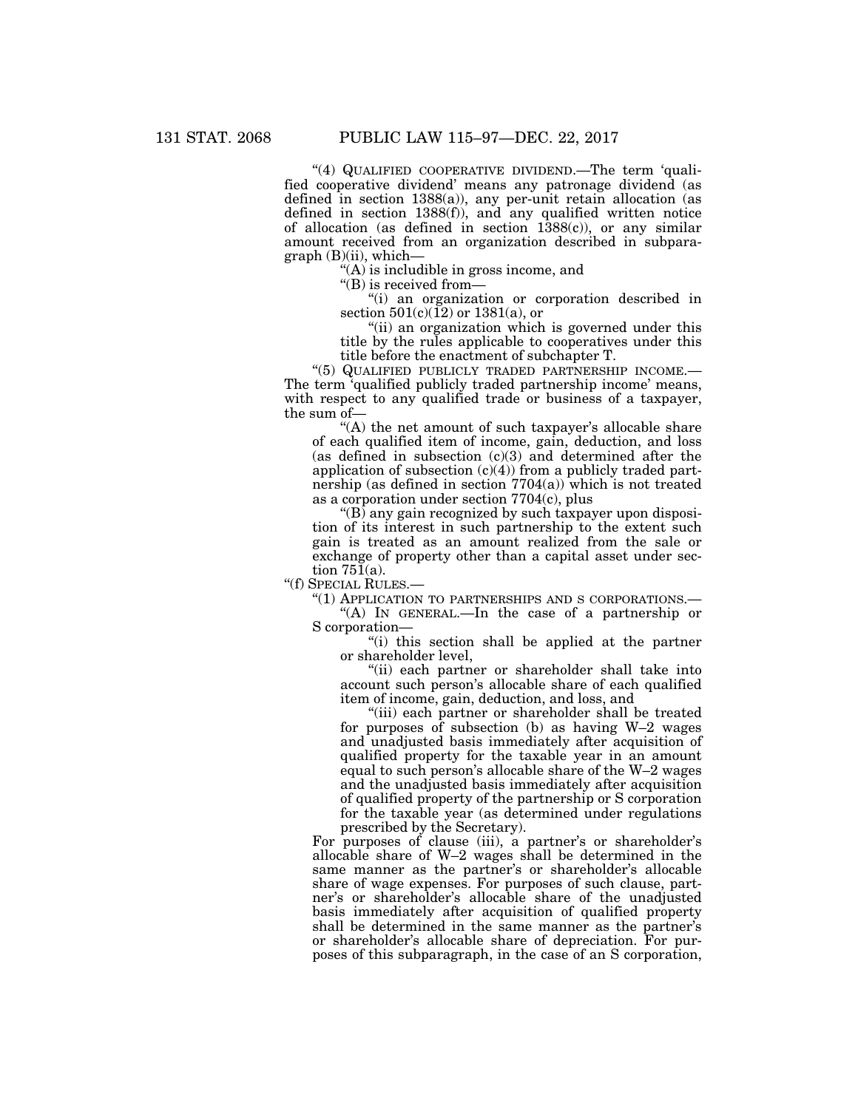''(4) QUALIFIED COOPERATIVE DIVIDEND.—The term 'qualified cooperative dividend' means any patronage dividend (as defined in section 1388(a)), any per-unit retain allocation (as defined in section 1388(f)), and any qualified written notice of allocation (as defined in section 1388(c)), or any similar amount received from an organization described in subpara $graph (B)(ii)$ , which-

''(A) is includible in gross income, and

 $\mathbf{``(B)}$  is received from-

''(i) an organization or corporation described in section  $501(c)(12)$  or  $1381(a)$ , or

"(ii) an organization which is governed under this title by the rules applicable to cooperatives under this title before the enactment of subchapter T.

"(5) QUALIFIED PUBLICLY TRADED PARTNERSHIP INCOME.-The term 'qualified publicly traded partnership income' means, with respect to any qualified trade or business of a taxpayer, the sum of—

"(A) the net amount of such taxpayer's allocable share of each qualified item of income, gain, deduction, and loss (as defined in subsection  $(c)(3)$  and determined after the application of subsection (c)(4)) from a publicly traded partnership (as defined in section  $7704(a)$ ) which is not treated as a corporation under section 7704(c), plus

''(B) any gain recognized by such taxpayer upon disposition of its interest in such partnership to the extent such gain is treated as an amount realized from the sale or exchange of property other than a capital asset under section  $75\overline{1}(a)$ .

''(f) SPECIAL RULES.—

''(1) APPLICATION TO PARTNERSHIPS AND S CORPORATIONS.—

 $(A)$  In GENERAL.—In the case of a partnership or S corporation—

"(i) this section shall be applied at the partner or shareholder level,

"(ii) each partner or shareholder shall take into account such person's allocable share of each qualified item of income, gain, deduction, and loss, and

''(iii) each partner or shareholder shall be treated for purposes of subsection (b) as having W–2 wages and unadjusted basis immediately after acquisition of qualified property for the taxable year in an amount equal to such person's allocable share of the W–2 wages and the unadjusted basis immediately after acquisition of qualified property of the partnership or S corporation for the taxable year (as determined under regulations prescribed by the Secretary).

For purposes of clause (iii), a partner's or shareholder's allocable share of W–2 wages shall be determined in the same manner as the partner's or shareholder's allocable share of wage expenses. For purposes of such clause, partner's or shareholder's allocable share of the unadjusted basis immediately after acquisition of qualified property shall be determined in the same manner as the partner's or shareholder's allocable share of depreciation. For purposes of this subparagraph, in the case of an S corporation,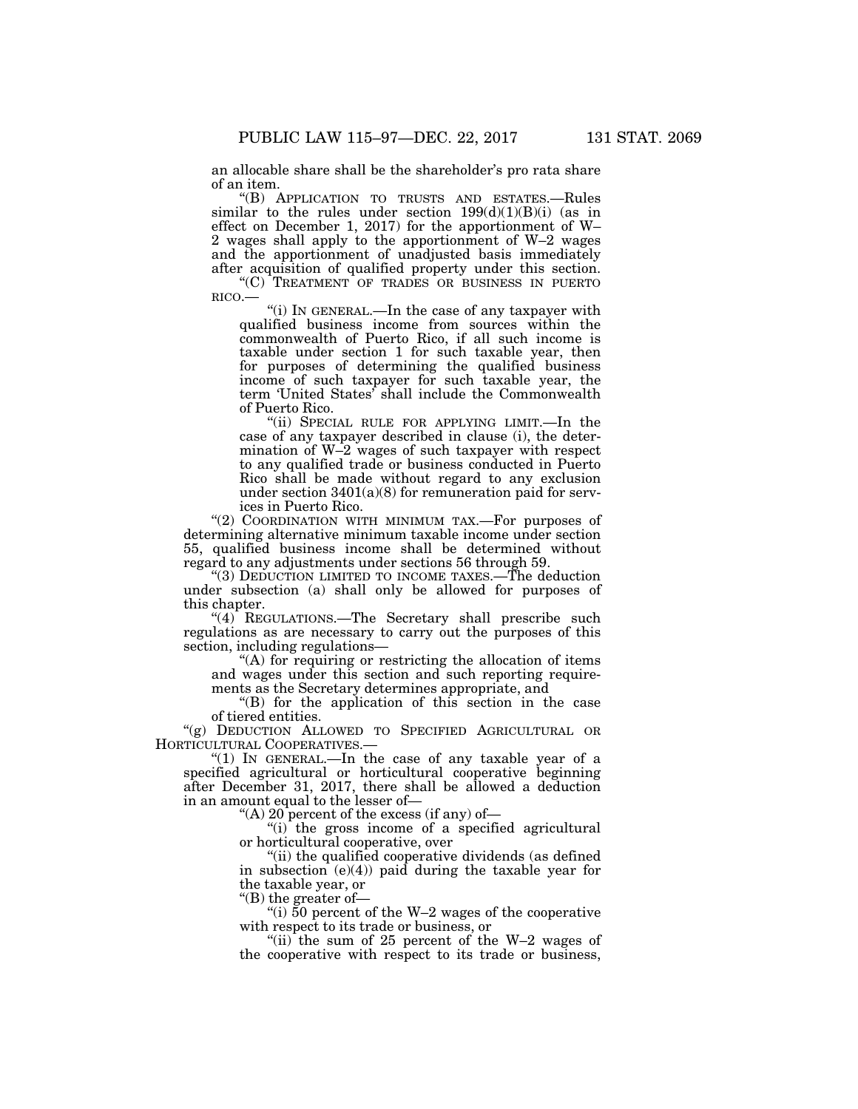an allocable share shall be the shareholder's pro rata share of an item.

''(B) APPLICATION TO TRUSTS AND ESTATES.—Rules similar to the rules under section  $199(d)(1)(B)(i)$  (as in effect on December 1, 2017) for the apportionment of W– 2 wages shall apply to the apportionment of W–2 wages and the apportionment of unadjusted basis immediately after acquisition of qualified property under this section.

" $(C)$ <sup>"</sup>TREATMENT OF TRADES OR BUSINESS IN PUERTO RICO.—

"(i) IN GENERAL.—In the case of any taxpayer with qualified business income from sources within the commonwealth of Puerto Rico, if all such income is taxable under section 1 for such taxable year, then for purposes of determining the qualified business income of such taxpayer for such taxable year, the term 'United States' shall include the Commonwealth of Puerto Rico.

"(ii) SPECIAL RULE FOR APPLYING LIMIT.—In the case of any taxpayer described in clause (i), the determination of W–2 wages of such taxpayer with respect to any qualified trade or business conducted in Puerto Rico shall be made without regard to any exclusion under section 3401(a)(8) for remuneration paid for services in Puerto Rico.

"(2) COORDINATION WITH MINIMUM TAX.-For purposes of determining alternative minimum taxable income under section 55, qualified business income shall be determined without regard to any adjustments under sections 56 through 59.

"(3) DEDUCTION LIMITED TO INCOME TAXES.—The deduction under subsection (a) shall only be allowed for purposes of this chapter.

" $(4)$  REGULATIONS.—The Secretary shall prescribe such regulations as are necessary to carry out the purposes of this section, including regulations-

''(A) for requiring or restricting the allocation of items and wages under this section and such reporting requirements as the Secretary determines appropriate, and

''(B) for the application of this section in the case of tiered entities.

''(g) DEDUCTION ALLOWED TO SPECIFIED AGRICULTURAL OR HORTICULTURAL COOPERATIVES.—

"(1) In GENERAL.—In the case of any taxable year of a specified agricultural or horticultural cooperative beginning after December 31, 2017, there shall be allowed a deduction in an amount equal to the lesser of—

''(A) 20 percent of the excess (if any) of—

 $(i)$  the gross income of a specified agricultural or horticultural cooperative, over

''(ii) the qualified cooperative dividends (as defined in subsection  $(e)(4)$  paid during the taxable year for the taxable year, or

''(B) the greater of—

"(i)  $50$  percent of the W–2 wages of the cooperative with respect to its trade or business, or

''(ii) the sum of 25 percent of the W–2 wages of the cooperative with respect to its trade or business,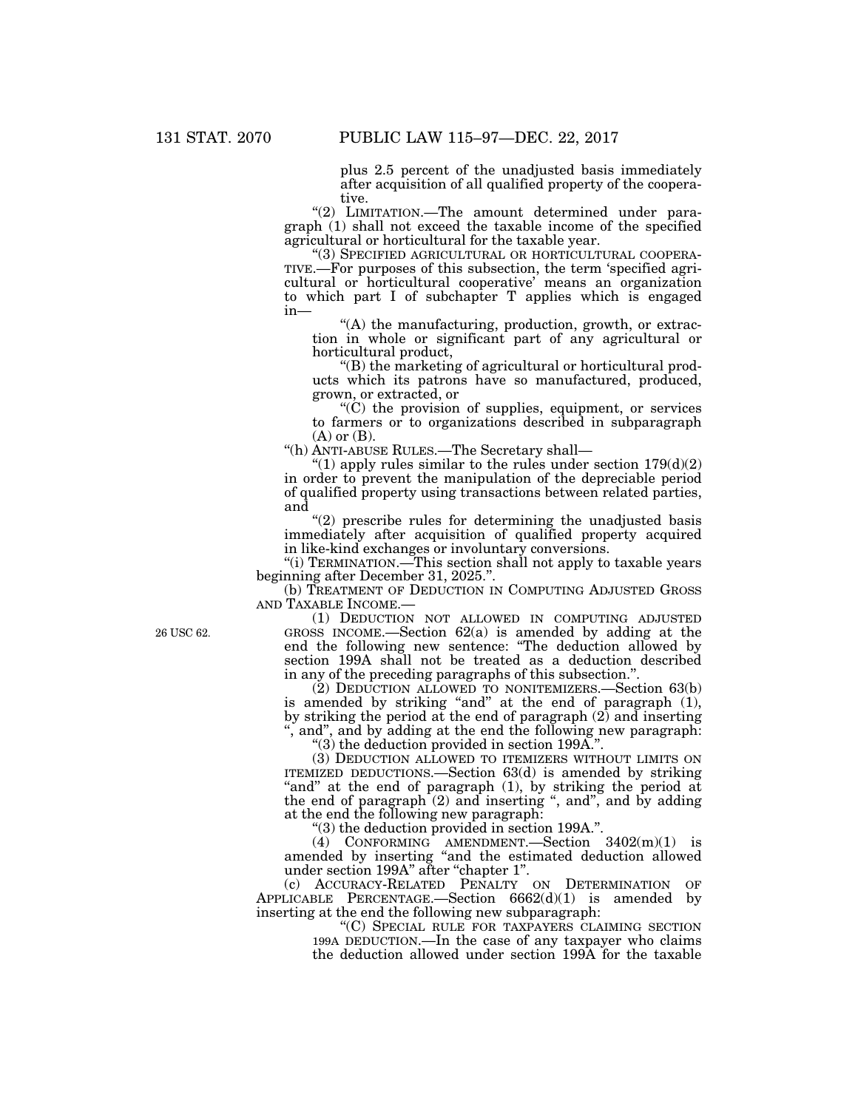plus 2.5 percent of the unadjusted basis immediately after acquisition of all qualified property of the cooperative.

"(2) LIMITATION.—The amount determined under paragraph (1) shall not exceed the taxable income of the specified agricultural or horticultural for the taxable year.

TIVE.—For purposes of this subsection, the term 'specified agricultural or horticultural cooperative' means an organization to which part I of subchapter T applies which is engaged in—

"(A) the manufacturing, production, growth, or extraction in whole or significant part of any agricultural or horticultural product,

''(B) the marketing of agricultural or horticultural products which its patrons have so manufactured, produced, grown, or extracted, or

 $(C)$  the provision of supplies, equipment, or services to farmers or to organizations described in subparagraph  $(A)$  or  $(B)$ .

''(h) ANTI-ABUSE RULES.—The Secretary shall—

"(1) apply rules similar to the rules under section  $179(d)(2)$ in order to prevent the manipulation of the depreciable period of qualified property using transactions between related parties, and

 $(2)$  prescribe rules for determining the unadjusted basis immediately after acquisition of qualified property acquired in like-kind exchanges or involuntary conversions.

''(i) TERMINATION.—This section shall not apply to taxable years beginning after December 31, 2025.''.

(b) TREATMENT OF DEDUCTION IN COMPUTING ADJUSTED GROSS AND TAXABLE INCOME.—

(1) DEDUCTION NOT ALLOWED IN COMPUTING ADJUSTED GROSS INCOME.—Section 62(a) is amended by adding at the end the following new sentence: ''The deduction allowed by section 199A shall not be treated as a deduction described in any of the preceding paragraphs of this subsection.''.

(2) DEDUCTION ALLOWED TO NONITEMIZERS.—Section 63(b) is amended by striking "and" at the end of paragraph (1), by striking the period at the end of paragraph (2) and inserting '', and'', and by adding at the end the following new paragraph:

''(3) the deduction provided in section 199A.''.

(3) DEDUCTION ALLOWED TO ITEMIZERS WITHOUT LIMITS ON ITEMIZED DEDUCTIONS.—Section 63(d) is amended by striking "and" at the end of paragraph  $(1)$ , by striking the period at the end of paragraph  $(2)$  and inserting ", and", and by adding at the end the following new paragraph:

''(3) the deduction provided in section 199A.''.

(4) CONFORMING AMENDMENT.—Section  $3402(m)(1)$  is amended by inserting ''and the estimated deduction allowed under section 199A'' after ''chapter 1''.

(c) ACCURACY-RELATED PENALTY ON DETERMINATION OF APPLICABLE PERCENTAGE.—Section 6662(d)(1) is amended by inserting at the end the following new subparagraph:

> ''(C) SPECIAL RULE FOR TAXPAYERS CLAIMING SECTION 199A DEDUCTION.—In the case of any taxpayer who claims the deduction allowed under section 199A for the taxable

26 USC 62.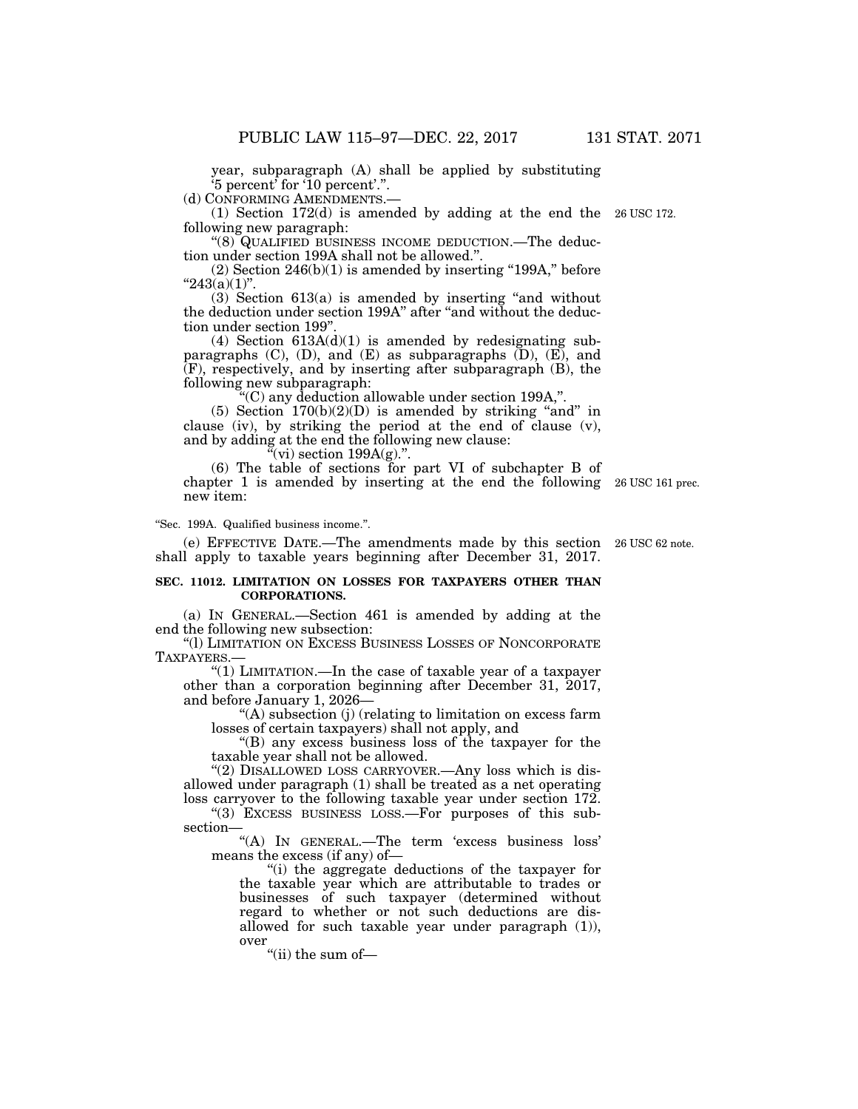year, subparagraph (A) shall be applied by substituting '5 percent' for '10 percent'.''.

(d) CONFORMING AMENDMENTS.—

(1) Section 172(d) is amended by adding at the end the 26 USC 172. following new paragraph:

''(8) QUALIFIED BUSINESS INCOME DEDUCTION.—The deduction under section 199A shall not be allowed.''.

 $(2)$  Section 246 $(b)(1)$  is amended by inserting "199A," before  $"243(a)(1)"$ .

 $(3)$  Section  $613(a)$  is amended by inserting "and without the deduction under section 199A" after "and without the deduction under section 199''.

(4) Section  $613A(d)(1)$  is amended by redesignating subparagraphs  $(C)$ ,  $(D)$ , and  $(E)$  as subparagraphs  $(D)$ ,  $(E)$ , and (F), respectively, and by inserting after subparagraph (B), the following new subparagraph:

''(C) any deduction allowable under section 199A,''.

 $(5)$  Section  $170(b)(2)(D)$  is amended by striking "and" in clause (iv), by striking the period at the end of clause (v), and by adding at the end the following new clause:

"(vi) section  $199A(g)$ .".

(6) The table of sections for part VI of subchapter B of chapter 1 is amended by inserting at the end the following 26 USC 161 prec. new item:

''Sec. 199A. Qualified business income.''.

(e) EFFECTIVE DATE.—The amendments made by this section 26 USC 62 note. shall apply to taxable years beginning after December 31, 2017.

## **SEC. 11012. LIMITATION ON LOSSES FOR TAXPAYERS OTHER THAN CORPORATIONS.**

(a) IN GENERAL.—Section 461 is amended by adding at the end the following new subsection:

''(l) LIMITATION ON EXCESS BUSINESS LOSSES OF NONCORPORATE TAXPAYERS.—

''(1) LIMITATION.—In the case of taxable year of a taxpayer other than a corporation beginning after December 31, 2017, and before January 1, 2026—

''(A) subsection (j) (relating to limitation on excess farm losses of certain taxpayers) shall not apply, and

''(B) any excess business loss of the taxpayer for the taxable year shall not be allowed.

"(2) DISALLOWED LOSS CARRYOVER.—Any loss which is disallowed under paragraph (1) shall be treated as a net operating loss carryover to the following taxable year under section 172.

''(3) EXCESS BUSINESS LOSS.—For purposes of this subsection—

''(A) IN GENERAL.—The term 'excess business loss' means the excess (if any) of—

''(i) the aggregate deductions of the taxpayer for the taxable year which are attributable to trades or businesses of such taxpayer (determined without regard to whether or not such deductions are disallowed for such taxable year under paragraph (1)), over

"(ii) the sum of-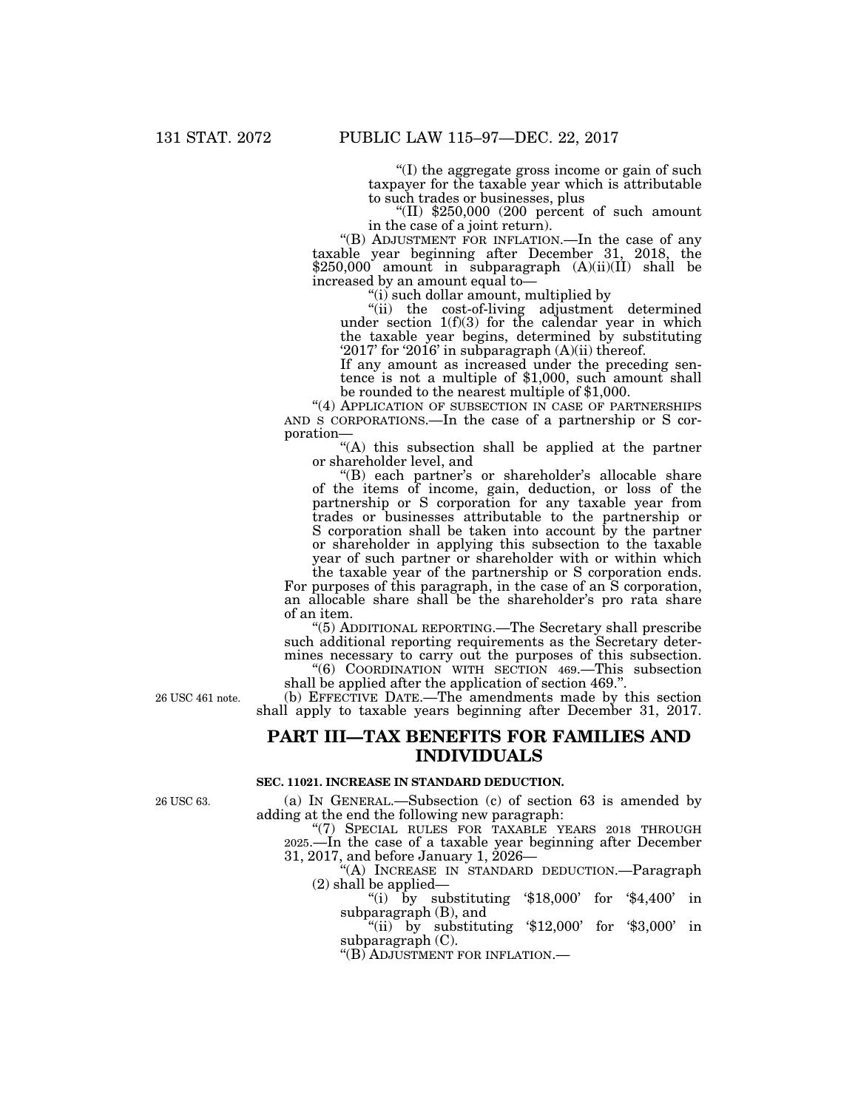''(I) the aggregate gross income or gain of such taxpayer for the taxable year which is attributable

"(II)  $$250,000$  (200 percent of such amount in the case of a joint return).

''(B) ADJUSTMENT FOR INFLATION.—In the case of any taxable year beginning after December 31, 2018, the \$250,000 amount in subparagraph (A)(ii)(II) shall be increased by an amount equal to—

''(i) such dollar amount, multiplied by

''(ii) the cost-of-living adjustment determined under section 1(f)(3) for the calendar year in which the taxable year begins, determined by substituting '2017' for '2016' in subparagraph (A)(ii) thereof.

If any amount as increased under the preceding sentence is not a multiple of \$1,000, such amount shall be rounded to the nearest multiple of \$1,000.

"(4) APPLICATION OF SUBSECTION IN CASE OF PARTNERSHIPS AND S CORPORATIONS.—In the case of a partnership or S corporation—

''(A) this subsection shall be applied at the partner or shareholder level, and

"(B) each partner's or shareholder's allocable share of the items of income, gain, deduction, or loss of the partnership or S corporation for any taxable year from trades or businesses attributable to the partnership or S corporation shall be taken into account by the partner or shareholder in applying this subsection to the taxable year of such partner or shareholder with or within which the taxable year of the partnership or S corporation ends.

For purposes of this paragraph, in the case of an S corporation, an allocable share shall be the shareholder's pro rata share of an item.

''(5) ADDITIONAL REPORTING.—The Secretary shall prescribe such additional reporting requirements as the Secretary determines necessary to carry out the purposes of this subsection.

''(6) COORDINATION WITH SECTION 469.—This subsection shall be applied after the application of section 469."

(b) EFFECTIVE DATE.—The amendments made by this section shall apply to taxable years beginning after December 31, 2017.

# **PART III—TAX BENEFITS FOR FAMILIES AND INDIVIDUALS**

### **SEC. 11021. INCREASE IN STANDARD DEDUCTION.**

26 USC 63.

26 USC 461 note.

(a) IN GENERAL.—Subsection (c) of section 63 is amended by adding at the end the following new paragraph:

"(7) SPECIAL RULES FOR TAXABLE YEARS 2018 THROUGH 2025.—In the case of a taxable year beginning after December 31, 2017, and before January 1, 2026—

''(A) INCREASE IN STANDARD DEDUCTION.—Paragraph (2) shall be applied—

"(i) by substituting  $$18,000$  for  $$4,400$  in subparagraph (B), and

"(ii) by substituting  $$12,000'$  for  $$3,000'$  in subparagraph (C).

''(B) ADJUSTMENT FOR INFLATION.—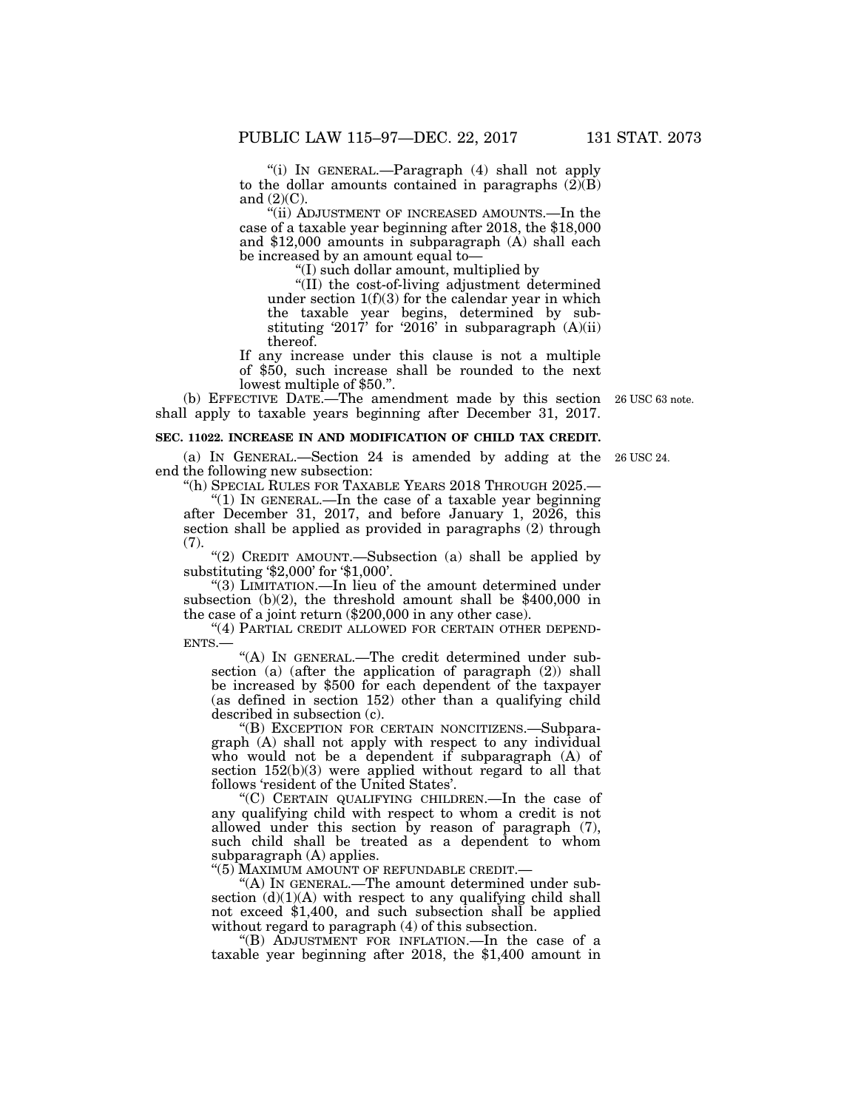''(i) IN GENERAL.—Paragraph (4) shall not apply to the dollar amounts contained in paragraphs  $(\overline{2})(\overline{B})$ and  $(2)(C)$ .

''(ii) ADJUSTMENT OF INCREASED AMOUNTS.—In the case of a taxable year beginning after 2018, the \$18,000 and \$12,000 amounts in subparagraph (A) shall each be increased by an amount equal to—

''(I) such dollar amount, multiplied by

''(II) the cost-of-living adjustment determined under section  $1(f)(3)$  for the calendar year in which the taxable year begins, determined by substituting '2017' for '2016' in subparagraph  $(A)(ii)$ thereof.

If any increase under this clause is not a multiple of \$50, such increase shall be rounded to the next lowest multiple of \$50.''.

(b) EFFECTIVE DATE.—The amendment made by this section shall apply to taxable years beginning after December 31, 2017.

## **SEC. 11022. INCREASE IN AND MODIFICATION OF CHILD TAX CREDIT.**

(a) IN GENERAL.—Section 24 is amended by adding at the 26 USC 24. end the following new subsection:

''(h) SPECIAL RULES FOR TAXABLE YEARS 2018 THROUGH 2025.—

" $(1)$  In GENERAL.—In the case of a taxable year beginning after December 31, 2017, and before January 1, 2026, this section shall be applied as provided in paragraphs (2) through (7).

''(2) CREDIT AMOUNT.—Subsection (a) shall be applied by substituting '\$2,000' for '\$1,000'.

''(3) LIMITATION.—In lieu of the amount determined under subsection (b)(2), the threshold amount shall be \$400,000 in the case of a joint return (\$200,000 in any other case).

"(4) PARTIAL CREDIT ALLOWED FOR CERTAIN OTHER DEPEND-ENTS.—

''(A) IN GENERAL.—The credit determined under subsection (a) (after the application of paragraph (2)) shall be increased by \$500 for each dependent of the taxpayer (as defined in section 152) other than a qualifying child described in subsection (c).

''(B) EXCEPTION FOR CERTAIN NONCITIZENS.—Subparagraph (A) shall not apply with respect to any individual who would not be a dependent if subparagraph (A) of section  $152(b)(3)$  were applied without regard to all that follows 'resident of the United States'.

''(C) CERTAIN QUALIFYING CHILDREN.—In the case of any qualifying child with respect to whom a credit is not allowed under this section by reason of paragraph (7), such child shall be treated as a dependent to whom subparagraph (A) applies.

''(5) MAXIMUM AMOUNT OF REFUNDABLE CREDIT.—

''(A) IN GENERAL.—The amount determined under subsection  $(d)(1)(A)$  with respect to any qualifying child shall not exceed \$1,400, and such subsection shall be applied without regard to paragraph (4) of this subsection.

''(B) ADJUSTMENT FOR INFLATION.—In the case of a taxable year beginning after 2018, the \$1,400 amount in

26 USC 63 note.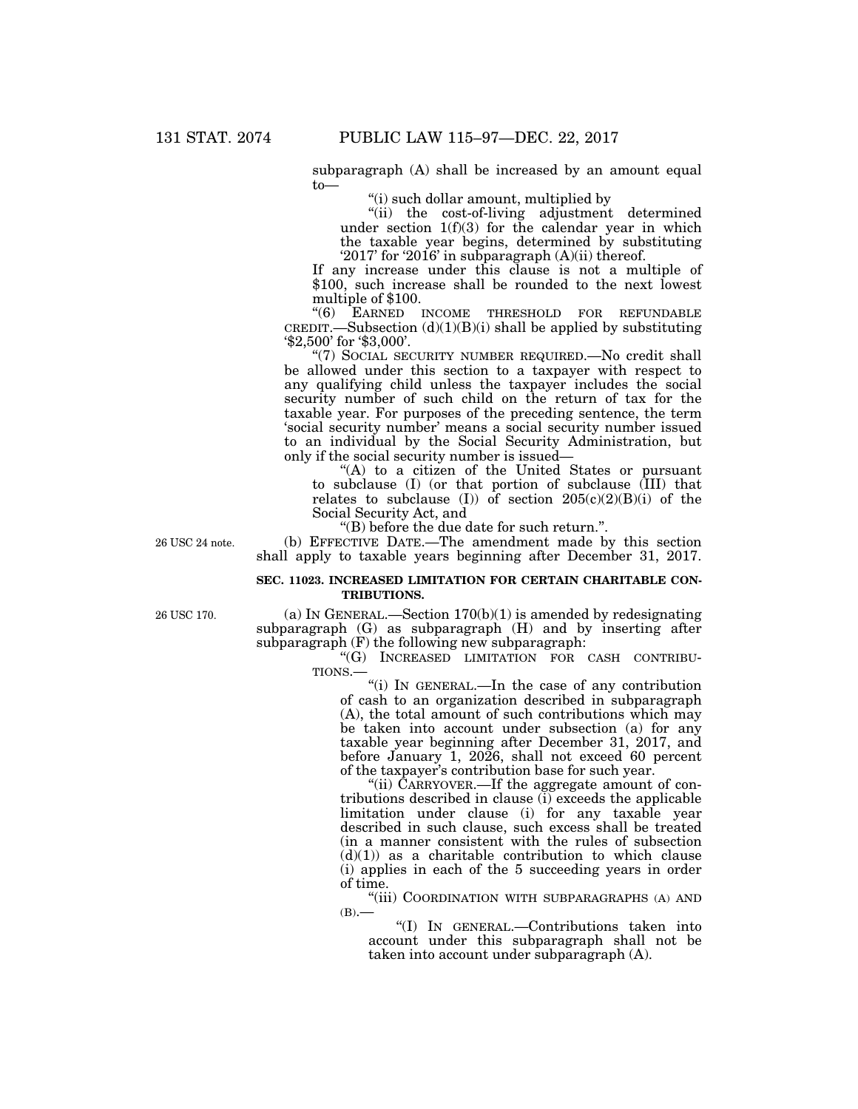subparagraph (A) shall be increased by an amount equal to—

''(i) such dollar amount, multiplied by

''(ii) the cost-of-living adjustment determined under section 1(f)(3) for the calendar year in which the taxable year begins, determined by substituting '2017' for '2016' in subparagraph (A)(ii) thereof.

If any increase under this clause is not a multiple of \$100, such increase shall be rounded to the next lowest multiple of \$100.

"(6) EARNED INCOME THRESHOLD FOR REFUNDABLE CREDIT.—Subsection  $(d)(1)(B)(i)$  shall be applied by substituting '\$2,500' for '\$3,000'.

"(7) SOCIAL SECURITY NUMBER REQUIRED.—No credit shall be allowed under this section to a taxpayer with respect to any qualifying child unless the taxpayer includes the social security number of such child on the return of tax for the taxable year. For purposes of the preceding sentence, the term 'social security number' means a social security number issued to an individual by the Social Security Administration, but only if the social security number is issued—

"(A) to a citizen of the United States or pursuant to subclause (I) (or that portion of subclause (III) that relates to subclause (I)) of section  $205(c)(2)(B)(i)$  of the Social Security Act, and

''(B) before the due date for such return.''.

(b) EFFECTIVE DATE.—The amendment made by this section shall apply to taxable years beginning after December 31, 2017.

## **SEC. 11023. INCREASED LIMITATION FOR CERTAIN CHARITABLE CON-TRIBUTIONS.**

26 USC 170.

26 USC 24 note.

(a) IN GENERAL.—Section  $170(b)(1)$  is amended by redesignating subparagraph (G) as subparagraph (H) and by inserting after subparagraph (F) the following new subparagraph:

"(G) INCREASED LIMITATION FOR CASH CONTRIBU-TIONS.—

''(i) IN GENERAL.—In the case of any contribution of cash to an organization described in subparagraph (A), the total amount of such contributions which may be taken into account under subsection (a) for any taxable year beginning after December 31, 2017, and before January 1, 2026, shall not exceed 60 percent of the taxpayer's contribution base for such year.

"(ii) CARRYOVER.—If the aggregate amount of contributions described in clause (i) exceeds the applicable limitation under clause (i) for any taxable year described in such clause, such excess shall be treated (in a manner consistent with the rules of subsection  $(d)(1)$  as a charitable contribution to which clause (i) applies in each of the 5 succeeding years in order of time.

''(iii) COORDINATION WITH SUBPARAGRAPHS (A) AND  $(B)$ .

''(I) IN GENERAL.—Contributions taken into account under this subparagraph shall not be taken into account under subparagraph (A).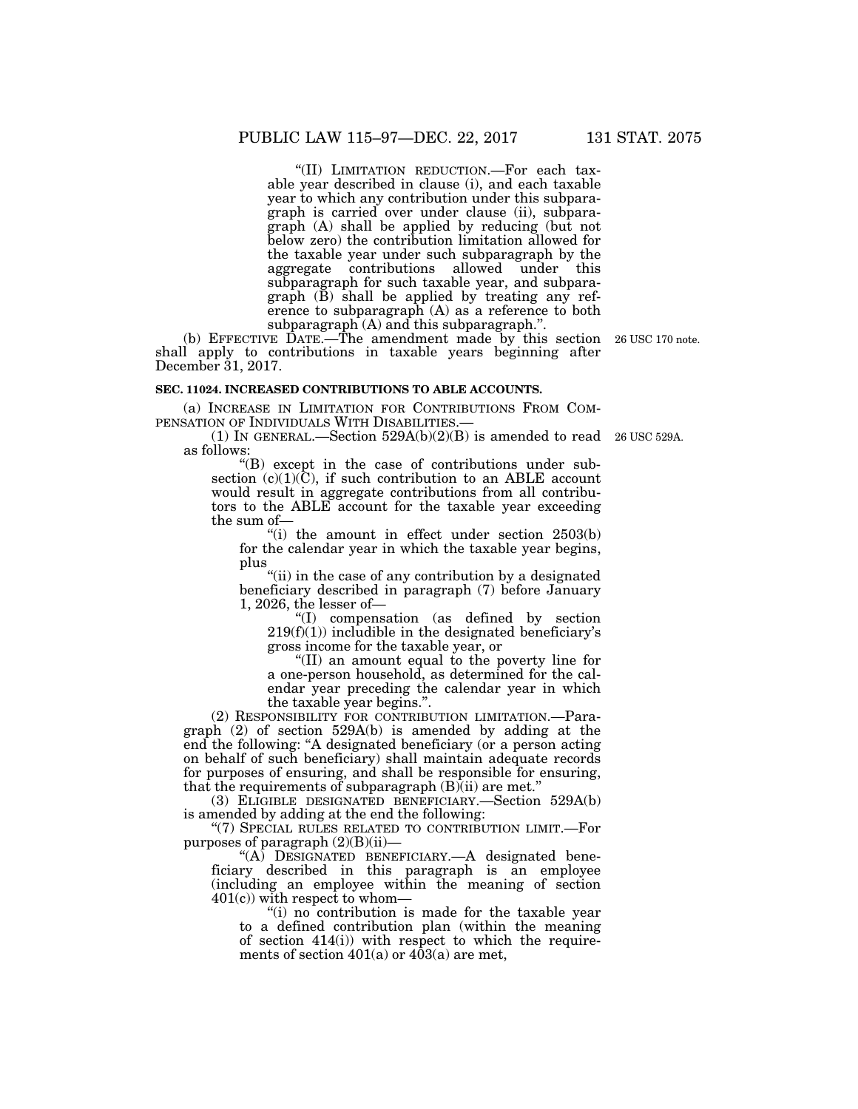''(II) LIMITATION REDUCTION.—For each taxable year described in clause (i), and each taxable year to which any contribution under this subparagraph is carried over under clause (ii), subparagraph (A) shall be applied by reducing (but not below zero) the contribution limitation allowed for the taxable year under such subparagraph by the aggregate contributions allowed under this subparagraph for such taxable year, and subparagraph (B) shall be applied by treating any reference to subparagraph (A) as a reference to both subparagraph (A) and this subparagraph.''.

(b) EFFECTIVE DATE.—The amendment made by this section shall apply to contributions in taxable years beginning after December 31, 2017.

## **SEC. 11024. INCREASED CONTRIBUTIONS TO ABLE ACCOUNTS.**

(a) INCREASE IN LIMITATION FOR CONTRIBUTIONS FROM COM-PENSATION OF INDIVIDUALS WITH DISABILITIES.—

(1) In GENERAL.—Section  $529A(b)(2)(B)$  is amended to read 26 USC 529A. as follows:

''(B) except in the case of contributions under subsection  $(c)(1)(\tilde{C})$ , if such contribution to an ABLE account would result in aggregate contributions from all contributors to the ABLE account for the taxable year exceeding the sum of—

"(i) the amount in effect under section  $2503(b)$ for the calendar year in which the taxable year begins, plus

"(ii) in the case of any contribution by a designated beneficiary described in paragraph (7) before January 1, 2026, the lesser of—

''(I) compensation (as defined by section  $219(f)(1)$ ) includible in the designated beneficiary's gross income for the taxable year, or

''(II) an amount equal to the poverty line for a one-person household, as determined for the calendar year preceding the calendar year in which the taxable year begins.''.

(2) RESPONSIBILITY FOR CONTRIBUTION LIMITATION.—Paragraph (2) of section 529A(b) is amended by adding at the end the following: ''A designated beneficiary (or a person acting on behalf of such beneficiary) shall maintain adequate records for purposes of ensuring, and shall be responsible for ensuring, that the requirements of subparagraph  $(B)(ii)$  are met."

(3) ELIGIBLE DESIGNATED BENEFICIARY.—Section 529A(b) is amended by adding at the end the following:

"(7) SPECIAL RULES RELATED TO CONTRIBUTION LIMIT.-For purposes of paragraph (2)(B)(ii)—

"(A) DESIGNATED BENEFICIARY.—A designated beneficiary described in this paragraph is an employee (including an employee within the meaning of section  $401(c)$ ) with respect to whom—

''(i) no contribution is made for the taxable year to a defined contribution plan (within the meaning of section 414(i)) with respect to which the requirements of section  $401(a)$  or  $403(a)$  are met,

26 USC 170 note.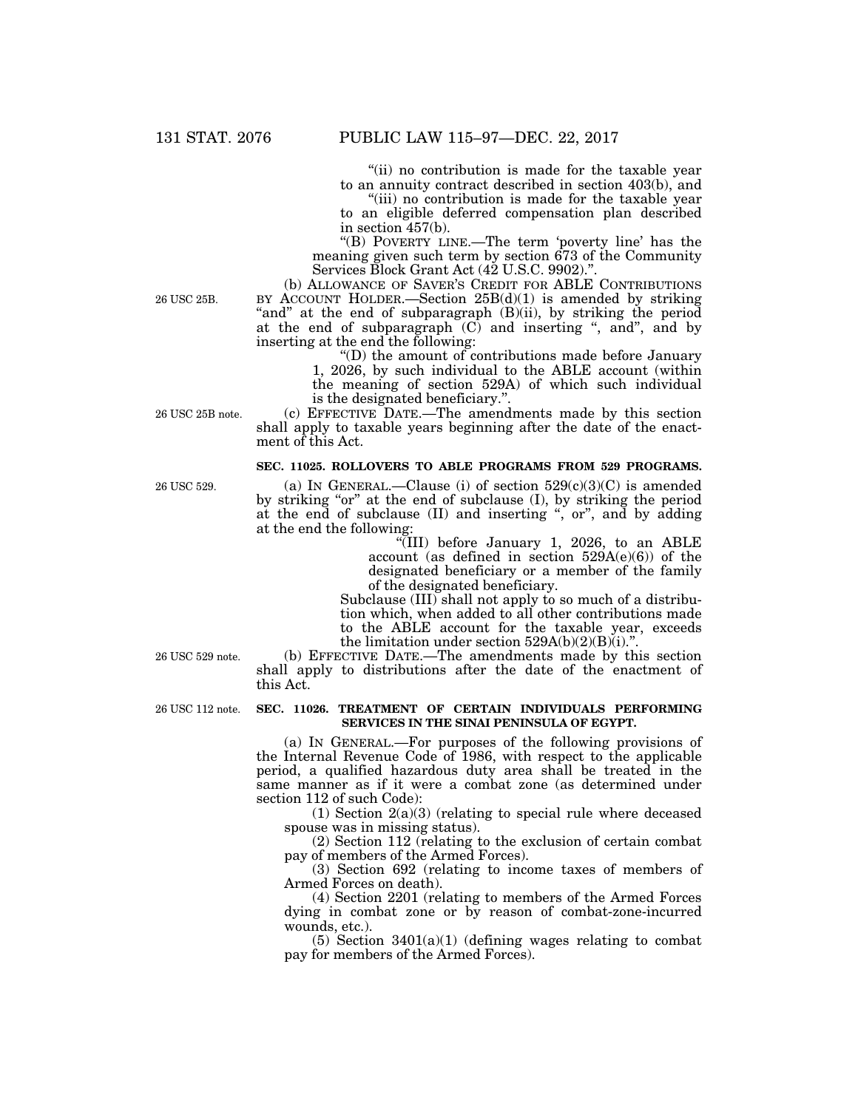''(ii) no contribution is made for the taxable year to an annuity contract described in section 403(b), and

"(iii) no contribution is made for the taxable year to an eligible deferred compensation plan described in section 457(b).

''(B) POVERTY LINE.—The term 'poverty line' has the meaning given such term by section 673 of the Community Services Block Grant Act (42 U.S.C. 9902)."

(b) ALLOWANCE OF SAVER'S CREDIT FOR ABLE CONTRIBUTIONS BY ACCOUNT HOLDER.—Section  $25B(d)(1)$  is amended by striking "and" at the end of subparagraph (B)(ii), by striking the period at the end of subparagraph  $(C)$  and inserting ", and", and by inserting at the end the following:

> ''(D) the amount of contributions made before January 1, 2026, by such individual to the ABLE account (within the meaning of section 529A) of which such individual is the designated beneficiary.''.

(c) EFFECTIVE DATE.—The amendments made by this section shall apply to taxable years beginning after the date of the enactment of this Act.

## **SEC. 11025. ROLLOVERS TO ABLE PROGRAMS FROM 529 PROGRAMS.**

(a) IN GENERAL.—Clause (i) of section  $529(c)(3)(C)$  is amended by striking "or" at the end of subclause (I), by striking the period at the end of subclause (II) and inserting '', or'', and by adding at the end the following:

''(III) before January 1, 2026, to an ABLE account (as defined in section  $529A(e)(6)$ ) of the designated beneficiary or a member of the family of the designated beneficiary.

Subclause (III) shall not apply to so much of a distribution which, when added to all other contributions made to the ABLE account for the taxable year, exceeds the limitation under section  $529A(b)(2)(B)(i)$ .

(b) EFFECTIVE DATE.—The amendments made by this section shall apply to distributions after the date of the enactment of this Act.

## **SEC. 11026. TREATMENT OF CERTAIN INDIVIDUALS PERFORMING SERVICES IN THE SINAI PENINSULA OF EGYPT.**

(a) IN GENERAL.—For purposes of the following provisions of the Internal Revenue Code of 1986, with respect to the applicable period, a qualified hazardous duty area shall be treated in the same manner as if it were a combat zone (as determined under section 112 of such Code):

(1) Section  $2(a)(3)$  (relating to special rule where deceased spouse was in missing status).

(2) Section 112 (relating to the exclusion of certain combat pay of members of the Armed Forces).

(3) Section 692 (relating to income taxes of members of Armed Forces on death).

(4) Section 2201 (relating to members of the Armed Forces dying in combat zone or by reason of combat-zone-incurred wounds, etc.).

 $(5)$  Section 3401 $(a)(1)$  (defining wages relating to combat pay for members of the Armed Forces).

26 USC 25B.

26 USC 25B note.

26 USC 529.

26 USC 529 note.

26 USC 112 note.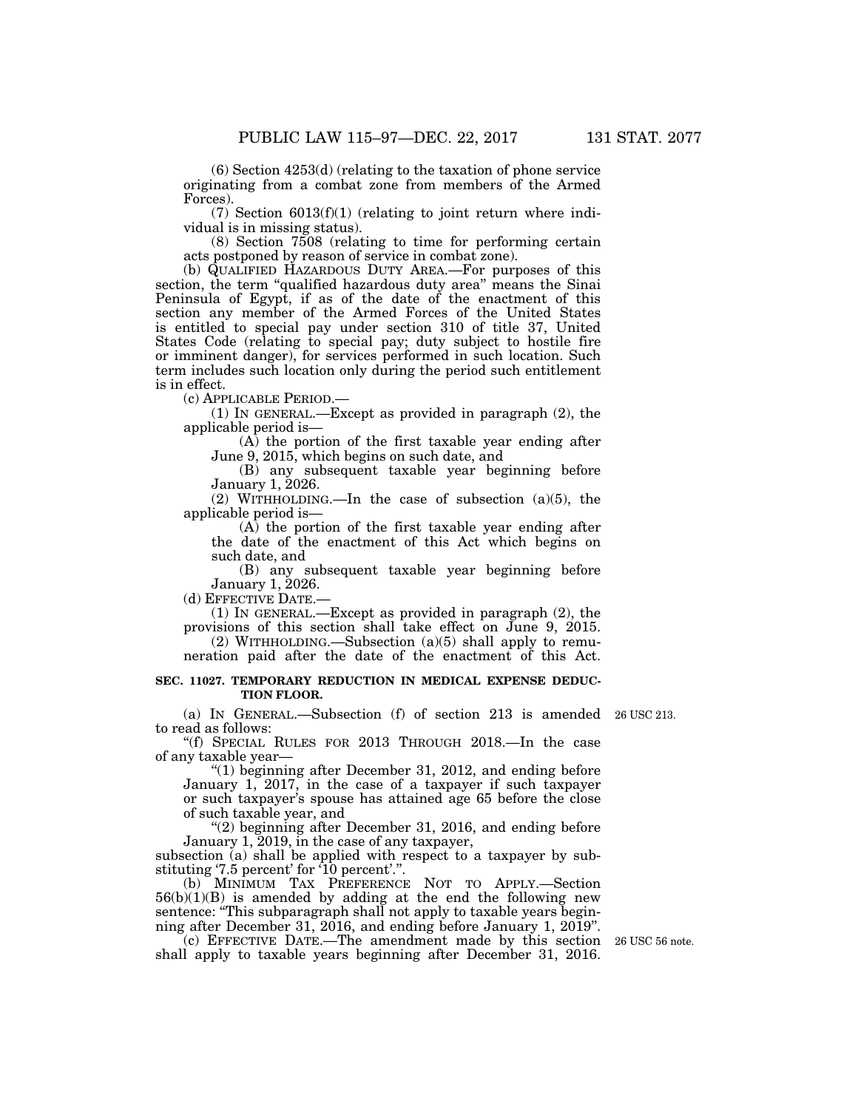(6) Section 4253(d) (relating to the taxation of phone service originating from a combat zone from members of the Armed Forces).

 $(7)$  Section  $6013(f)(1)$  (relating to joint return where individual is in missing status).

(8) Section 7508 (relating to time for performing certain acts postponed by reason of service in combat zone).

(b) QUALIFIED HAZARDOUS DUTY AREA.—For purposes of this section, the term "qualified hazardous duty area" means the Sinai Peninsula of Egypt, if as of the date of the enactment of this section any member of the Armed Forces of the United States is entitled to special pay under section 310 of title 37, United States Code (relating to special pay; duty subject to hostile fire or imminent danger), for services performed in such location. Such term includes such location only during the period such entitlement is in effect.

(c) APPLICABLE PERIOD.—

(1) IN GENERAL.—Except as provided in paragraph (2), the applicable period is—

(A) the portion of the first taxable year ending after June 9, 2015, which begins on such date, and

(B) any subsequent taxable year beginning before January 1, 2026.

applicable period is—

the date of the enactment of this Act which begins on such date, and

January 1, 2026.

(1) IN GENERAL.—Except as provided in paragraph (2), the

(2) WITHHOLDING.—Subsection  $(a)(5)$  shall apply to remu-

## **SEC. 11027. TEMPORARY REDUCTION IN MEDICAL EXPENSE DEDUC-TION FLOOR.**

(a) IN GENERAL.—Subsection (f) of section 213 is amended 26 USC 213. to read as follows:

''(f) SPECIAL RULES FOR 2013 THROUGH 2018.—In the case of any taxable year—

 $(1)$  beginning after December 31, 2012, and ending before January 1, 2017, in the case of a taxpayer if such taxpayer or such taxpayer's spouse has attained age 65 before the close of such taxable year, and

"(2) beginning after December 31, 2016, and ending before January 1, 2019, in the case of any taxpayer,

subsection  $(a)$  shall be applied with respect to a taxpayer by substituting '7.5 percent' for '10 percent'.''.

(b) MINIMUM TAX PREFERENCE NOT TO APPLY.—Section  $56(b)(1)(B)$  is amended by adding at the end the following new sentence: "This subparagraph shall not apply to taxable years beginning after December 31, 2016, and ending before January 1, 2019''.

(c) EFFECTIVE DATE.—The amendment made by this section 26 USC 56 note. shall apply to taxable years beginning after December 31, 2016.

(2) WITHHOLDING.—In the case of subsection  $(a)(5)$ , the

(A) the portion of the first taxable year ending after

(B) any subsequent taxable year beginning before

(d) EFFECTIVE DATE.—

provisions of this section shall take effect on June 9, 2015.

neration paid after the date of the enactment of this Act.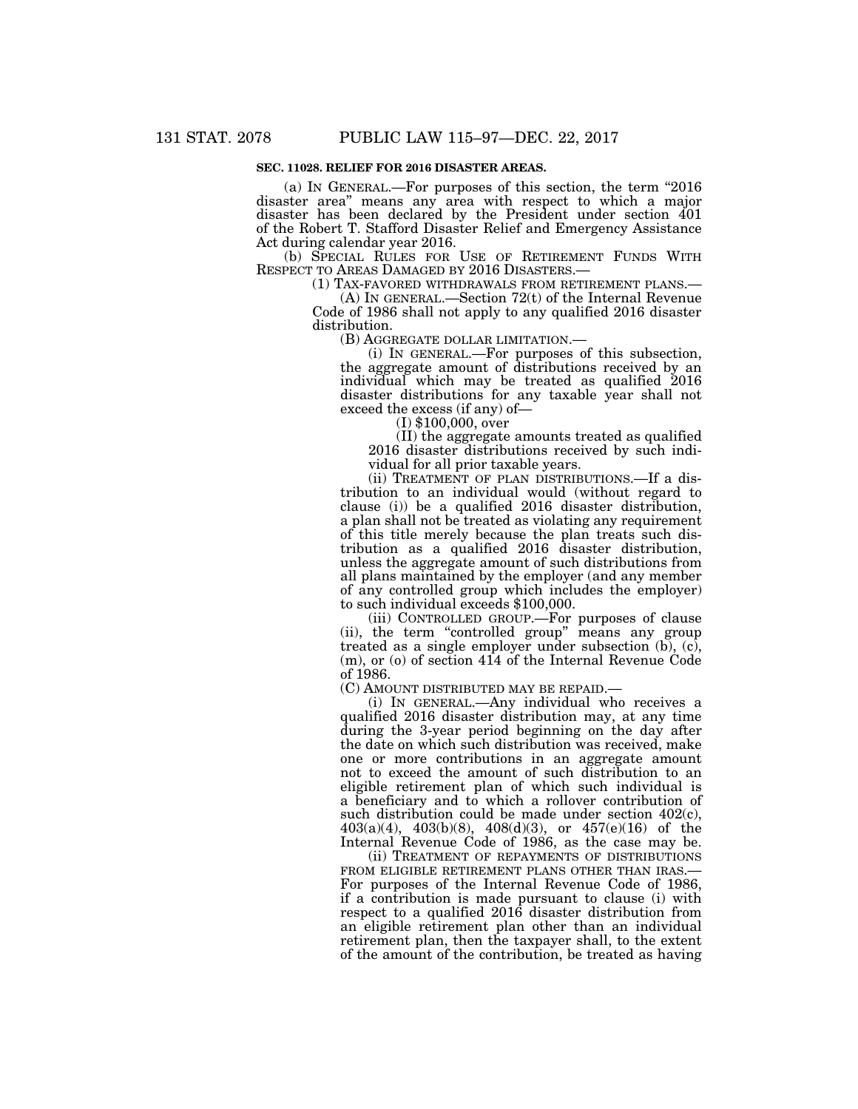## **SEC. 11028. RELIEF FOR 2016 DISASTER AREAS.**

(a) IN GENERAL.—For purposes of this section, the term ''2016 disaster area'' means any area with respect to which a major disaster has been declared by the President under section 401 of the Robert T. Stafford Disaster Relief and Emergency Assistance Act during calendar year 2016.

(b) SPECIAL RULES FOR USE OF RETIREMENT FUNDS WITH RESPECT TO AREAS DAMAGED BY 2016 DISASTERS.—

(1) TAX-FAVORED WITHDRAWALS FROM RETIREMENT PLANS.— (A) IN GENERAL.—Section 72(t) of the Internal Revenue

Code of 1986 shall not apply to any qualified 2016 disaster distribution.<br>(B) AGGREGATE DOLLAR LIMITATION.—

(B) AGGREGATE DOLLAR LIMITATION.— (i) IN GENERAL.—For purposes of this subsection, the aggregate amount of distributions received by an individual which may be treated as qualified 2016 disaster distributions for any taxable year shall not exceed the excess (if any) of— (I) \$100,000, over

(II) the aggregate amounts treated as qualified 2016 disaster distributions received by such individual for all prior taxable years.

(ii) TREATMENT OF PLAN DISTRIBUTIONS.—If a distribution to an individual would (without regard to clause (i)) be a qualified 2016 disaster distribution, a plan shall not be treated as violating any requirement of this title merely because the plan treats such distribution as a qualified 2016 disaster distribution, unless the aggregate amount of such distributions from all plans maintained by the employer (and any member of any controlled group which includes the employer) to such individual exceeds \$100,000.

(iii) CONTROLLED GROUP.—For purposes of clause (ii), the term "controlled group" means any group treated as a single employer under subsection  $(b)$ ,  $(c)$ , (m), or (o) of section 414 of the Internal Revenue Code of 1986.

(C) AMOUNT DISTRIBUTED MAY BE REPAID.—

(i) IN GENERAL.—Any individual who receives a qualified 2016 disaster distribution may, at any time during the 3-year period beginning on the day after the date on which such distribution was received, make one or more contributions in an aggregate amount not to exceed the amount of such distribution to an eligible retirement plan of which such individual is a beneficiary and to which a rollover contribution of such distribution could be made under section 402(c), 403(a)(4), 403(b)(8), 408(d)(3), or 457(e)(16) of the Internal Revenue Code of 1986, as the case may be.

(ii) TREATMENT OF REPAYMENTS OF DISTRIBUTIONS FROM ELIGIBLE RETIREMENT PLANS OTHER THAN IRAS. For purposes of the Internal Revenue Code of 1986, if a contribution is made pursuant to clause (i) with respect to a qualified 2016 disaster distribution from an eligible retirement plan other than an individual retirement plan, then the taxpayer shall, to the extent of the amount of the contribution, be treated as having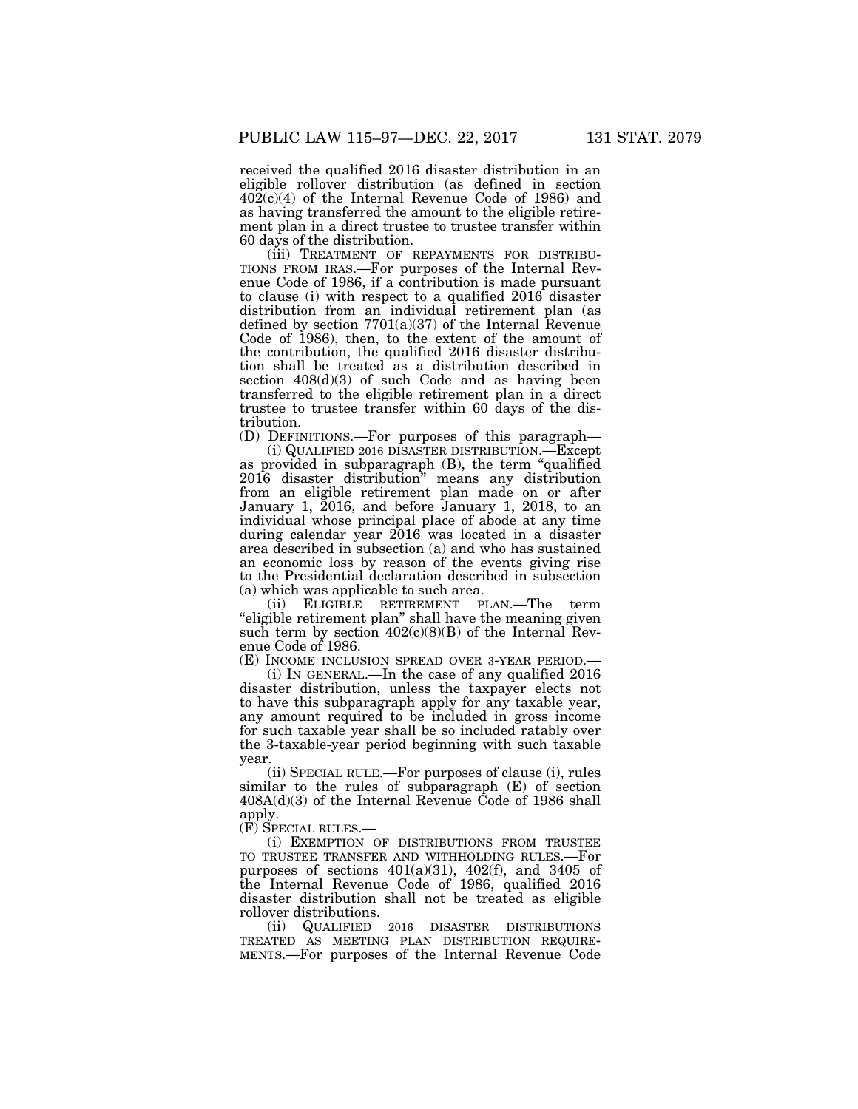received the qualified 2016 disaster distribution in an eligible rollover distribution (as defined in section  $402(c)(4)$  of the Internal Revenue Code of 1986) and as having transferred the amount to the eligible retirement plan in a direct trustee to trustee transfer within 60 days of the distribution.<br>(iii) TREATMENT OF REPAYMENTS FOR DISTRIBU-

TIONS FROM IRAS.—For purposes of the Internal Revenue Code of 1986, if a contribution is made pursuant to clause (i) with respect to a qualified 2016 disaster distribution from an individual retirement plan (as defined by section 7701(a)(37) of the Internal Revenue Code of 1986), then, to the extent of the amount of the contribution, the qualified 2016 disaster distribution shall be treated as a distribution described in section  $408(d)(3)$  of such Code and as having been transferred to the eligible retirement plan in a direct trustee to trustee transfer within 60 days of the distribution.

(D) DEFINITIONS.—For purposes of this paragraph—

(i) QUALIFIED 2016 DISASTER DISTRIBUTION.—Except as provided in subparagraph (B), the term ''qualified 2016 disaster distribution'' means any distribution from an eligible retirement plan made on or after January 1, 2016, and before January 1, 2018, to an individual whose principal place of abode at any time during calendar year 2016 was located in a disaster area described in subsection (a) and who has sustained an economic loss by reason of the events giving rise to the Presidential declaration described in subsection (a) which was applicable to such area.

(ii) ELIGIBLE RETIREMENT PLAN.—The term ''eligible retirement plan'' shall have the meaning given such term by section  $402(c)(8)(B)$  of the Internal Revenue Code of 1986.

(E) INCOME INCLUSION SPREAD OVER 3-YEAR PERIOD.—

(i) IN GENERAL.—In the case of any qualified 2016 disaster distribution, unless the taxpayer elects not to have this subparagraph apply for any taxable year, any amount required to be included in gross income for such taxable year shall be so included ratably over the 3-taxable-year period beginning with such taxable year.

(ii) SPECIAL RULE.—For purposes of clause (i), rules similar to the rules of subparagraph (E) of section 408A(d)(3) of the Internal Revenue Code of 1986 shall apply.

(F) SPECIAL RULES.—

(i) EXEMPTION OF DISTRIBUTIONS FROM TRUSTEE TO TRUSTEE TRANSFER AND WITHHOLDING RULES.—For purposes of sections 401(a)(31), 402(f), and 3405 of the Internal Revenue Code of 1986, qualified 2016 disaster distribution shall not be treated as eligible rollover distributions.

(ii) QUALIFIED 2016 DISASTER DISTRIBUTIONS TREATED AS MEETING PLAN DISTRIBUTION REQUIRE- MENTS.—For purposes of the Internal Revenue Code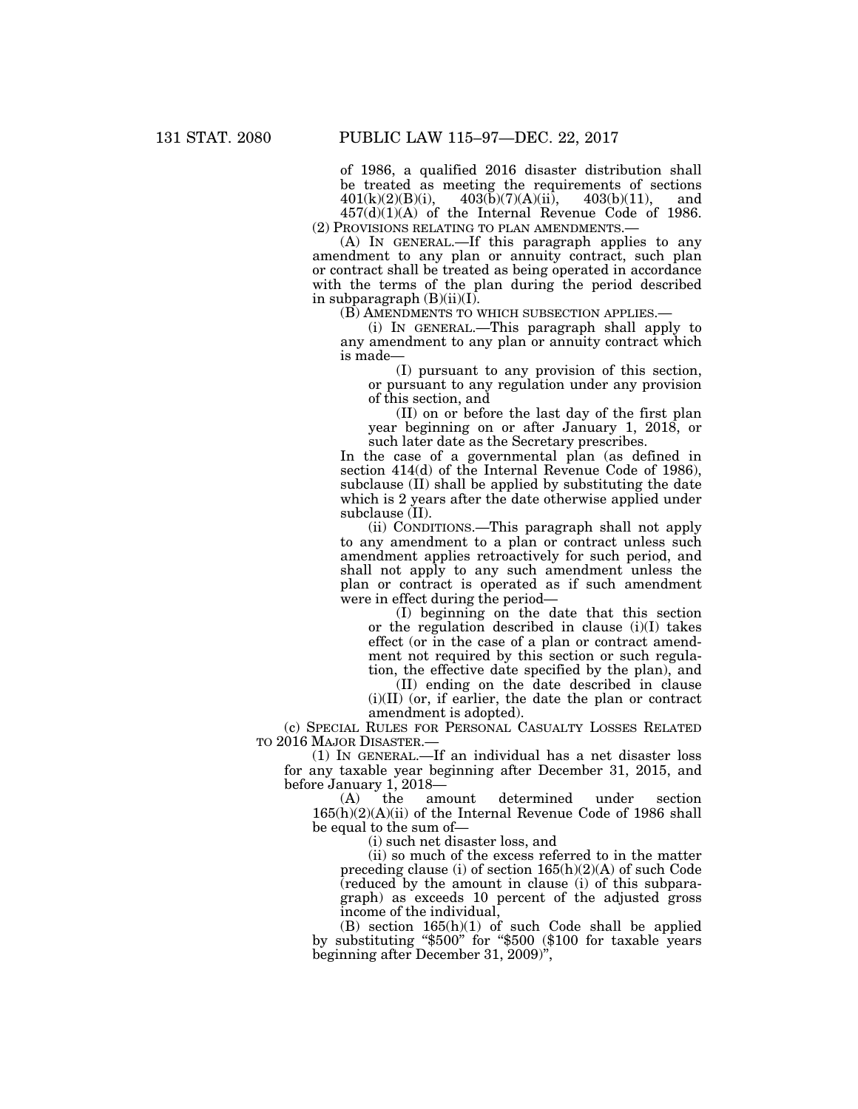of 1986, a qualified 2016 disaster distribution shall be treated as meeting the requirements of sections  $401(k)(2)(B)(i)$ ,  $403(b)(7)(A)(ii)$ ,  $403(b)(11)$ , and  $403(\bar{b})(7)(A)(ii)$ ,  $403(b)(11)$ , and  $457(d)(1)(A)$  of the Internal Revenue Code of 1986.

(2) PROVISIONS RELATING TO PLAN AMENDMENTS.—

(A) IN GENERAL.—If this paragraph applies to any amendment to any plan or annuity contract, such plan or contract shall be treated as being operated in accordance with the terms of the plan during the period described in subparagraph  $(B)(ii)(I)$ .

(B) AMENDMENTS TO WHICH SUBSECTION APPLIES.—

(i) IN GENERAL.—This paragraph shall apply to any amendment to any plan or annuity contract which is made—

(I) pursuant to any provision of this section, or pursuant to any regulation under any provision of this section, and

(II) on or before the last day of the first plan year beginning on or after January 1, 2018, or such later date as the Secretary prescribes.

In the case of a governmental plan (as defined in section 414(d) of the Internal Revenue Code of 1986), subclause (II) shall be applied by substituting the date which is 2 years after the date otherwise applied under subclause (II).

(ii) CONDITIONS.—This paragraph shall not apply to any amendment to a plan or contract unless such amendment applies retroactively for such period, and shall not apply to any such amendment unless the plan or contract is operated as if such amendment were in effect during the period—

(I) beginning on the date that this section or the regulation described in clause (i)(I) takes effect (or in the case of a plan or contract amendment not required by this section or such regulation, the effective date specified by the plan), and

(II) ending on the date described in clause (i)(II) (or, if earlier, the date the plan or contract amendment is adopted).

(c) SPECIAL RULES FOR PERSONAL CASUALTY LOSSES RELATED TO 2016 MAJOR DISASTER.—

(1) IN GENERAL.—If an individual has a net disaster loss for any taxable year beginning after December 31, 2015, and before January 1, 2018— $(A)$  the amount

determined under section 165(h)(2)(A)(ii) of the Internal Revenue Code of 1986 shall be equal to the sum of—

(i) such net disaster loss, and

(ii) so much of the excess referred to in the matter preceding clause (i) of section 165(h)(2)(A) of such Code (reduced by the amount in clause (i) of this subparagraph) as exceeds 10 percent of the adjusted gross income of the individual,

(B) section 165(h)(1) of such Code shall be applied by substituting ''\$500'' for ''\$500 (\$100 for taxable years beginning after December 31, 2009)'',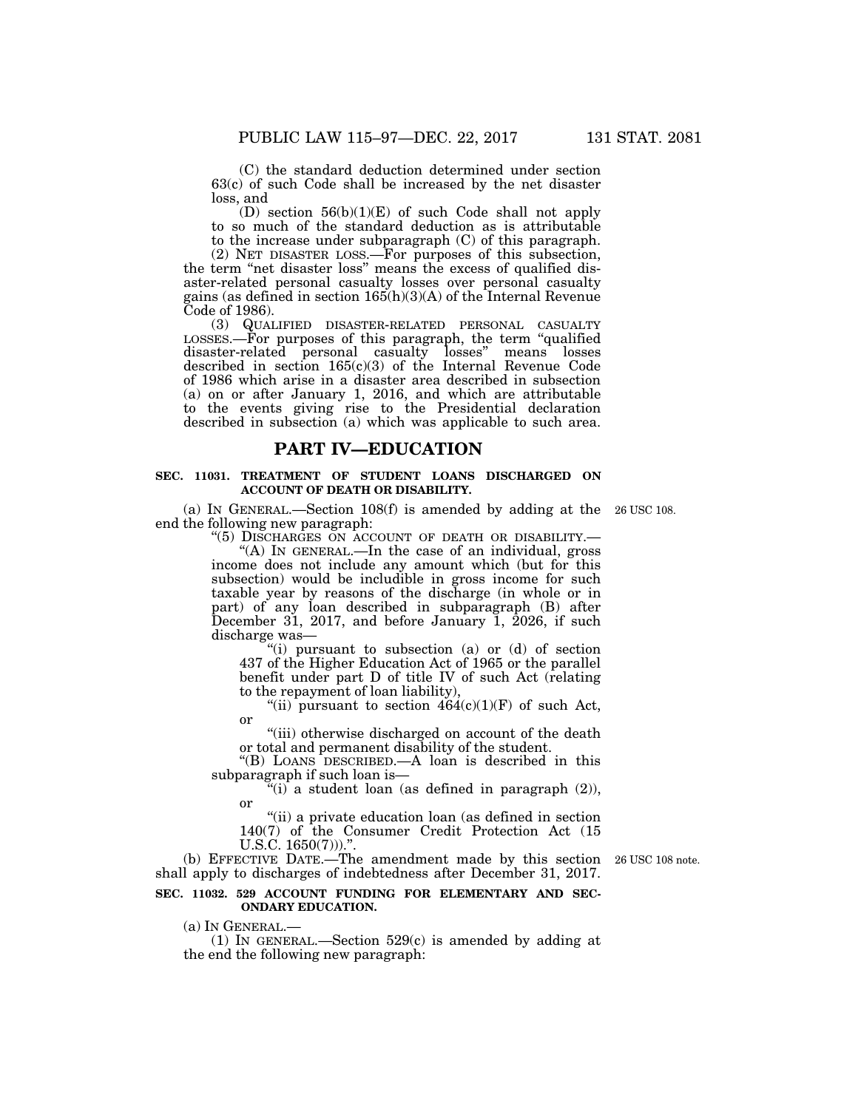(C) the standard deduction determined under section 63(c) of such Code shall be increased by the net disaster loss, and

(D) section  $56(b)(1)(E)$  of such Code shall not apply to so much of the standard deduction as is attributable to the increase under subparagraph (C) of this paragraph.

(2) NET DISASTER LOSS.—For purposes of this subsection, the term "net disaster loss" means the excess of qualified disaster-related personal casualty losses over personal casualty gains (as defined in section 165(h)(3)(A) of the Internal Revenue Code of 1986).

(3) QUALIFIED DISASTER-RELATED PERSONAL CASUALTY LOSSES.—For purposes of this paragraph, the term ''qualified disaster-related personal casualty losses'' means losses described in section  $165(c)(3)$  of the Internal Revenue Code of 1986 which arise in a disaster area described in subsection (a) on or after January 1, 2016, and which are attributable to the events giving rise to the Presidential declaration described in subsection (a) which was applicable to such area.

## **PART IV—EDUCATION**

## **SEC. 11031. TREATMENT OF STUDENT LOANS DISCHARGED ON ACCOUNT OF DEATH OR DISABILITY.**

(a) IN GENERAL.—Section 108(f) is amended by adding at the 26 USC 108. end the following new paragraph:

"(5) DISCHARGES ON ACCOUNT OF DEATH OR DISABILITY.-''(A) IN GENERAL.—In the case of an individual, gross income does not include any amount which (but for this subsection) would be includible in gross income for such taxable year by reasons of the discharge (in whole or in part) of any loan described in subparagraph (B) after December 31, 2017, and before January 1, 2026, if such discharge was—

''(i) pursuant to subsection (a) or (d) of section 437 of the Higher Education Act of 1965 or the parallel benefit under part D of title IV of such Act (relating to the repayment of loan liability),

"(ii) pursuant to section  $464(c)(1)(F)$  of such Act, or

"(iii) otherwise discharged on account of the death or total and permanent disability of the student.

''(B) LOANS DESCRIBED.—A loan is described in this subparagraph if such loan is—

"(i) a student loan (as defined in paragraph  $(2)$ ), or

"(ii) a private education loan (as defined in section 140(7) of the Consumer Credit Protection Act (15 U.S.C. 1650(7))).".

(b) EFFECTIVE DATE.—The amendment made by this section 26 USC 108 note. shall apply to discharges of indebtedness after December 31, 2017.

## **SEC. 11032. 529 ACCOUNT FUNDING FOR ELEMENTARY AND SEC-ONDARY EDUCATION.**

(a) IN GENERAL.—<br>(1) IN GENERAL.—Section 529(c) is amended by adding at the end the following new paragraph: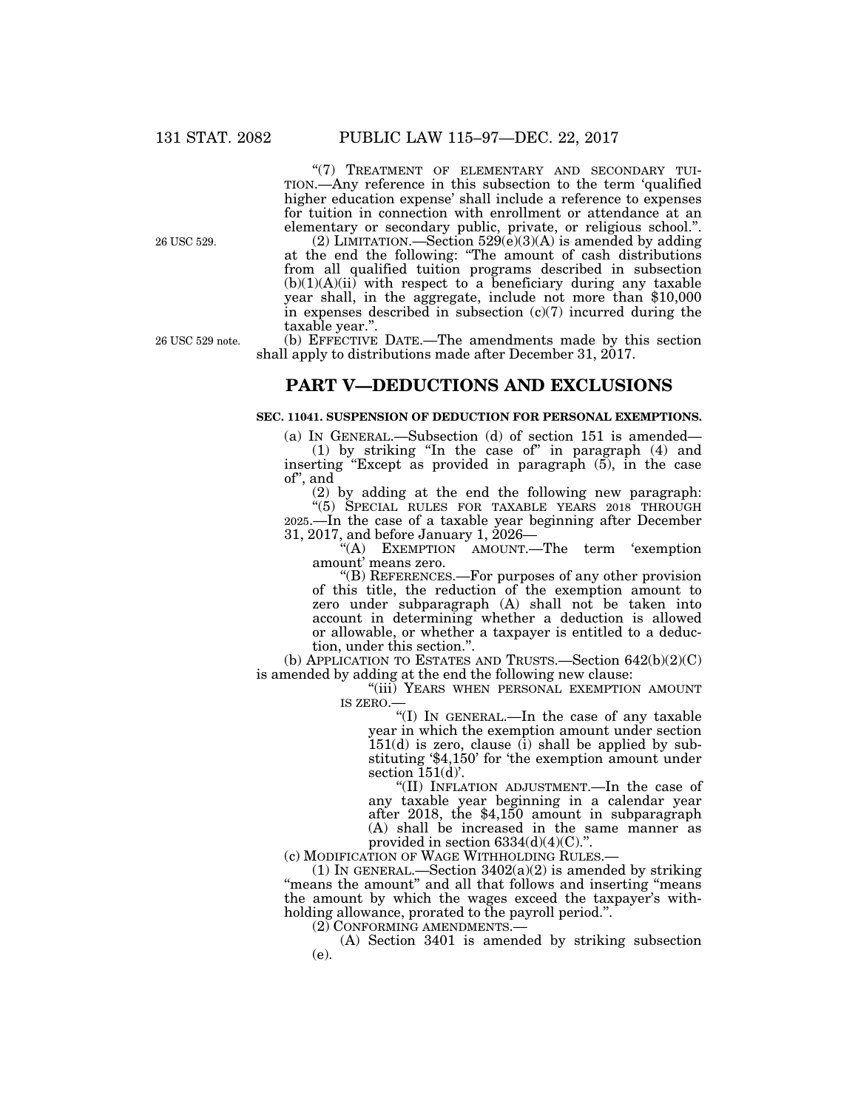"(7) TREATMENT OF ELEMENTARY AND SECONDARY TUI-TION.—Any reference in this subsection to the term 'qualified higher education expense' shall include a reference to expenses for tuition in connection with enrollment or attendance at an elementary or secondary public, private, or religious school.''.

(2) LIMITATION.—Section  $529(e)(3)(A)$  is amended by adding at the end the following: ''The amount of cash distributions from all qualified tuition programs described in subsection  $(b)(1)(A)(ii)$  with respect to a beneficiary during any taxable year shall, in the aggregate, include not more than \$10,000 in expenses described in subsection (c)(7) incurred during the taxable year.''.

26 USC 529 note.

26 USC 529.

(b) EFFECTIVE DATE.—The amendments made by this section shall apply to distributions made after December 31, 2017.

## **PART V—DEDUCTIONS AND EXCLUSIONS**

## **SEC. 11041. SUSPENSION OF DEDUCTION FOR PERSONAL EXEMPTIONS.**

(a) IN GENERAL.—Subsection (d) of section 151 is amended—

(1) by striking ''In the case of'' in paragraph (4) and inserting "Except as provided in paragraph  $(5)$ , in the case of'', and

(2) by adding at the end the following new paragraph:

''(5) SPECIAL RULES FOR TAXABLE YEARS 2018 THROUGH 2025.—In the case of a taxable year beginning after December 31, 2017, and before January 1, 2026—

''(A) EXEMPTION AMOUNT.—The term 'exemption amount' means zero.

''(B) REFERENCES.—For purposes of any other provision of this title, the reduction of the exemption amount to zero under subparagraph  $(A)$  shall not be taken into account in determining whether a deduction is allowed or allowable, or whether a taxpayer is entitled to a deduction, under this section.''.

(b) APPLICATION TO ESTATES AND TRUSTS.—Section 642(b)(2)(C) is amended by adding at the end the following new clause:

"(iii) YEARS WHEN PERSONAL EXEMPTION AMOUNT IS ZERO.

''(I) IN GENERAL.—In the case of any taxable year in which the exemption amount under section  $151(d)$  is zero, clause  $(i)$  shall be applied by substituting '\$4,150' for 'the exemption amount under section  $\tilde{1}51(\tilde{d})$ .

''(II) INFLATION ADJUSTMENT.—In the case of any taxable year beginning in a calendar year after 2018, the \$4,150 amount in subparagraph (A) shall be increased in the same manner as provided in section  $6334(d)(4)(C)$ .".

(c) MODIFICATION OF WAGE WITHHOLDING RULES.—

(1) IN GENERAL.—Section  $3402(a)(2)$  is amended by striking "means the amount" and all that follows and inserting "means the amount by which the wages exceed the taxpayer's withholding allowance, prorated to the payroll period.''.

(2) CONFORMING AMENDMENTS.—

(A) Section 3401 is amended by striking subsection (e).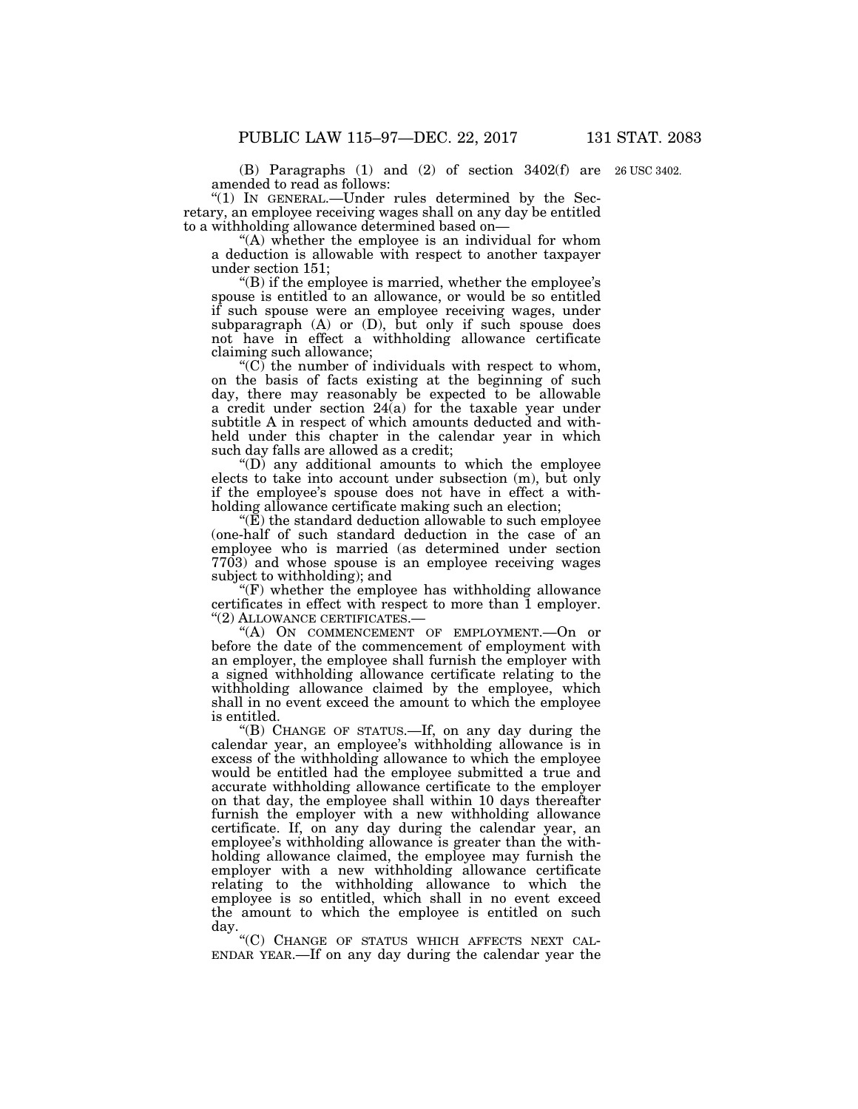(B) Paragraphs (1) and (2) of section 3402(f) are 26 USC 3402. amended to read as follows:

''(1) IN GENERAL.—Under rules determined by the Secretary, an employee receiving wages shall on any day be entitled to a withholding allowance determined based on—

"(A) whether the employee is an individual for whom a deduction is allowable with respect to another taxpayer under section 151;

''(B) if the employee is married, whether the employee's spouse is entitled to an allowance, or would be so entitled if such spouse were an employee receiving wages, under subparagraph (A) or (D), but only if such spouse does not have in effect a withholding allowance certificate claiming such allowance;

" $(C)$  the number of individuals with respect to whom, on the basis of facts existing at the beginning of such day, there may reasonably be expected to be allowable a credit under section 24(a) for the taxable year under subtitle A in respect of which amounts deducted and withheld under this chapter in the calendar year in which such day falls are allowed as a credit;

''(D) any additional amounts to which the employee elects to take into account under subsection (m), but only if the employee's spouse does not have in effect a withholding allowance certificate making such an election;

''(E) the standard deduction allowable to such employee (one-half of such standard deduction in the case of an employee who is married (as determined under section 7703) and whose spouse is an employee receiving wages subject to withholding); and

" $(F)$  whether the employee has withholding allowance certificates in effect with respect to more than 1 employer. ''(2) ALLOWANCE CERTIFICATES.—

''(A) ON COMMENCEMENT OF EMPLOYMENT.—On or before the date of the commencement of employment with an employer, the employee shall furnish the employer with a signed withholding allowance certificate relating to the withholding allowance claimed by the employee, which shall in no event exceed the amount to which the employee is entitled.

''(B) CHANGE OF STATUS.—If, on any day during the calendar year, an employee's withholding allowance is in excess of the withholding allowance to which the employee would be entitled had the employee submitted a true and accurate withholding allowance certificate to the employer on that day, the employee shall within 10 days thereafter furnish the employer with a new withholding allowance certificate. If, on any day during the calendar year, an employee's withholding allowance is greater than the withholding allowance claimed, the employee may furnish the employer with a new withholding allowance certificate relating to the withholding allowance to which the employee is so entitled, which shall in no event exceed the amount to which the employee is entitled on such

day.<br>"(C) CHANGE OF STATUS WHICH AFFECTS NEXT CAL-ENDAR YEAR.—If on any day during the calendar year the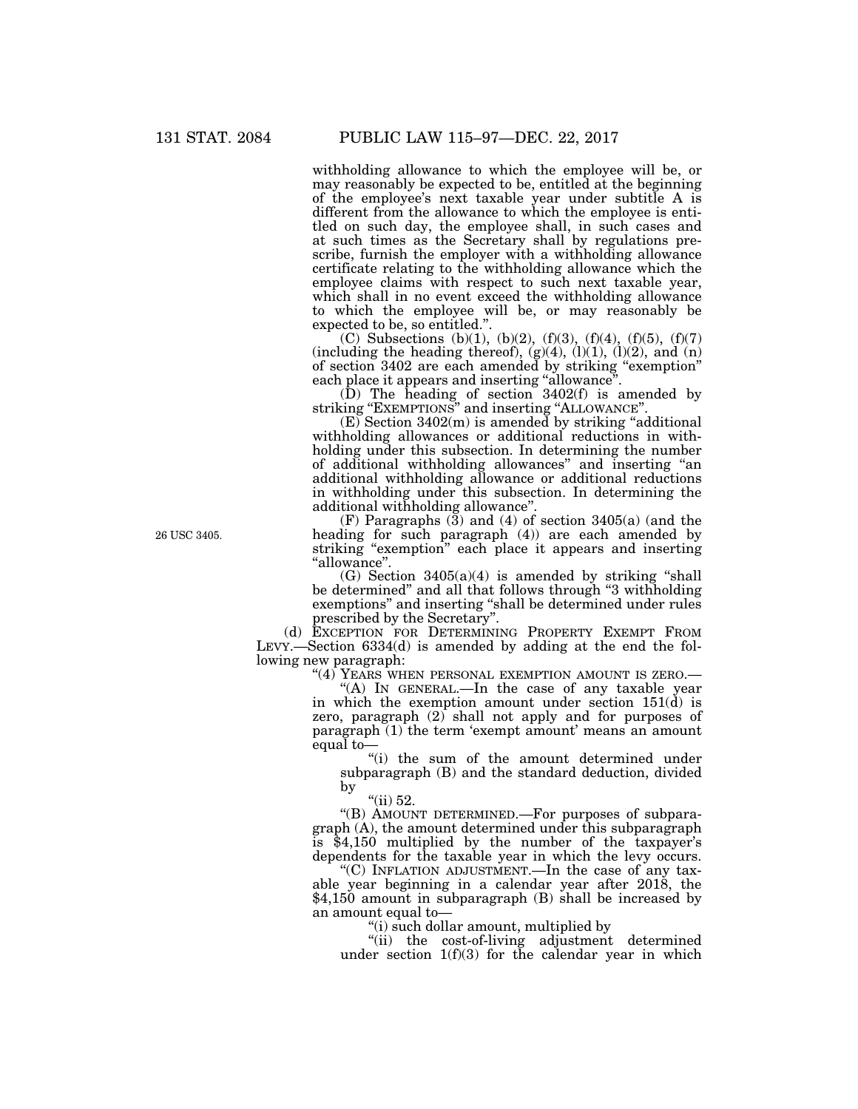withholding allowance to which the employee will be, or may reasonably be expected to be, entitled at the beginning of the employee's next taxable year under subtitle A is different from the allowance to which the employee is entitled on such day, the employee shall, in such cases and at such times as the Secretary shall by regulations prescribe, furnish the employer with a withholding allowance certificate relating to the withholding allowance which the employee claims with respect to such next taxable year, which shall in no event exceed the withholding allowance to which the employee will be, or may reasonably be expected to be, so entitled.''.

(C) Subsections (b)(1), (b)(2), (f)(3), (f)(4), (f)(5), (f)(7) (including the heading thereof),  $(g)(4)$ ,  $(l)(1)$ ,  $(l)(2)$ , and  $(n)$ of section 3402 are each amended by striking ''exemption'' each place it appears and inserting "allowance".

(D) The heading of section 3402(f) is amended by striking "EXEMPTIONS" and inserting "ALLOWANCE".

 $(E)$  Section 3402 $(m)$  is amended by striking "additional withholding allowances or additional reductions in withholding under this subsection. In determining the number of additional withholding allowances'' and inserting ''an additional withholding allowance or additional reductions in withholding under this subsection. In determining the additional withholding allowance''.

(F) Paragraphs  $(\overline{3})$  and  $(4)$  of section 3405(a) (and the heading for such paragraph (4)) are each amended by striking "exemption" each place it appears and inserting ''allowance''.

 $(G)$  Section 3405 $(a)(4)$  is amended by striking "shall be determined'' and all that follows through ''3 withholding exemptions'' and inserting ''shall be determined under rules prescribed by the Secretary''.

(d) EXCEPTION FOR DETERMINING PROPERTY EXEMPT FROM LEVY.—Section 6334(d) is amended by adding at the end the following new paragraph:

"(4) YEARS WHEN PERSONAL EXEMPTION AMOUNT IS ZERO.—

"(A) IN GENERAL.—In the case of any taxable year in which the exemption amount under section  $151(\dot{d})$  is zero, paragraph (2) shall not apply and for purposes of paragraph (1) the term 'exempt amount' means an amount equal to—

''(i) the sum of the amount determined under subparagraph (B) and the standard deduction, divided by

"(ii) 52.

''(B) AMOUNT DETERMINED.—For purposes of subparagraph (A), the amount determined under this subparagraph is \$4,150 multiplied by the number of the taxpayer's dependents for the taxable year in which the levy occurs.

''(C) INFLATION ADJUSTMENT.—In the case of any taxable year beginning in a calendar year after 2018, the \$4,150 amount in subparagraph (B) shall be increased by an amount equal to—

''(i) such dollar amount, multiplied by

''(ii) the cost-of-living adjustment determined under section  $1(f)(3)$  for the calendar year in which

26 USC 3405.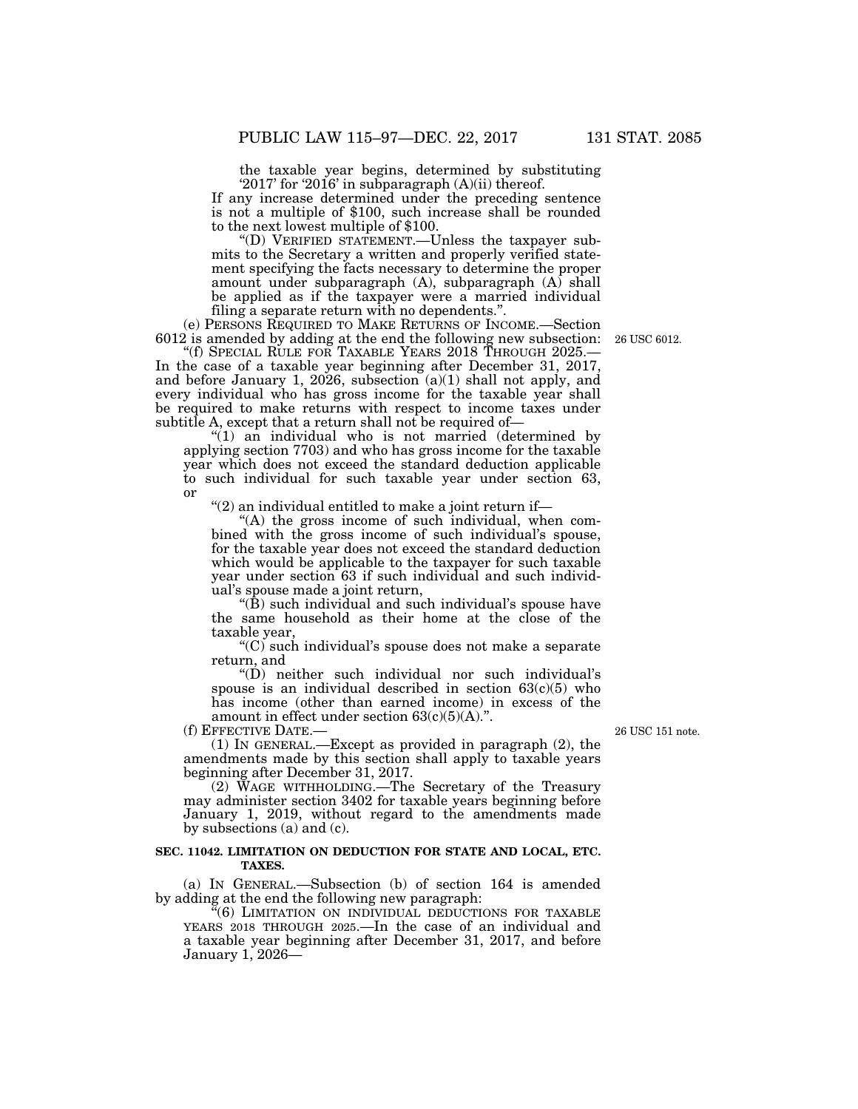the taxable year begins, determined by substituting '2017' for '2016' in subparagraph (A)(ii) thereof.

If any increase determined under the preceding sentence is not a multiple of \$100, such increase shall be rounded to the next lowest multiple of \$100.

''(D) VERIFIED STATEMENT.—Unless the taxpayer submits to the Secretary a written and properly verified statement specifying the facts necessary to determine the proper amount under subparagraph (A), subparagraph (A) shall be applied as if the taxpayer were a married individual filing a separate return with no dependents.''.

(e) PERSONS REQUIRED TO MAKE RETURNS OF INCOME.—Section 6012 is amended by adding at the end the following new subsection:

"(f) SPECIAL RULE FOR TAXABLE YEARS 2018 THROUGH 2025.-In the case of a taxable year beginning after December 31, 2017, and before January 1, 2026, subsection  $(a)(1)$  shall not apply, and every individual who has gross income for the taxable year shall be required to make returns with respect to income taxes under subtitle A, except that a return shall not be required of-

''(1) an individual who is not married (determined by applying section 7703) and who has gross income for the taxable year which does not exceed the standard deduction applicable to such individual for such taxable year under section 63, or

" $(2)$  an individual entitled to make a joint return if-

''(A) the gross income of such individual, when combined with the gross income of such individual's spouse, for the taxable year does not exceed the standard deduction which would be applicable to the taxpayer for such taxable year under section 63 if such individual and such individual's spouse made a joint return,

" $(\hat{B})$  such individual and such individual's spouse have the same household as their home at the close of the taxable year,

''(C) such individual's spouse does not make a separate return, and

''(D) neither such individual nor such individual's spouse is an individual described in section  $63(c)(5)$  who has income (other than earned income) in excess of the amount in effect under section  $63(c)(5)(A)$ .".

(f) EFFECTIVE DATE.—

(1) IN GENERAL.—Except as provided in paragraph (2), the amendments made by this section shall apply to taxable years beginning after December 31, 2017.

(2) WAGE WITHHOLDING.—The Secretary of the Treasury may administer section 3402 for taxable years beginning before January 1, 2019, without regard to the amendments made by subsections (a) and (c).

## **SEC. 11042. LIMITATION ON DEDUCTION FOR STATE AND LOCAL, ETC. TAXES.**

(a) IN GENERAL.—Subsection (b) of section 164 is amended by adding at the end the following new paragraph:

''(6) LIMITATION ON INDIVIDUAL DEDUCTIONS FOR TAXABLE YEARS 2018 THROUGH 2025.—In the case of an individual and a taxable year beginning after December 31, 2017, and before January 1, 2026—

26 USC 151 note.

26 USC 6012.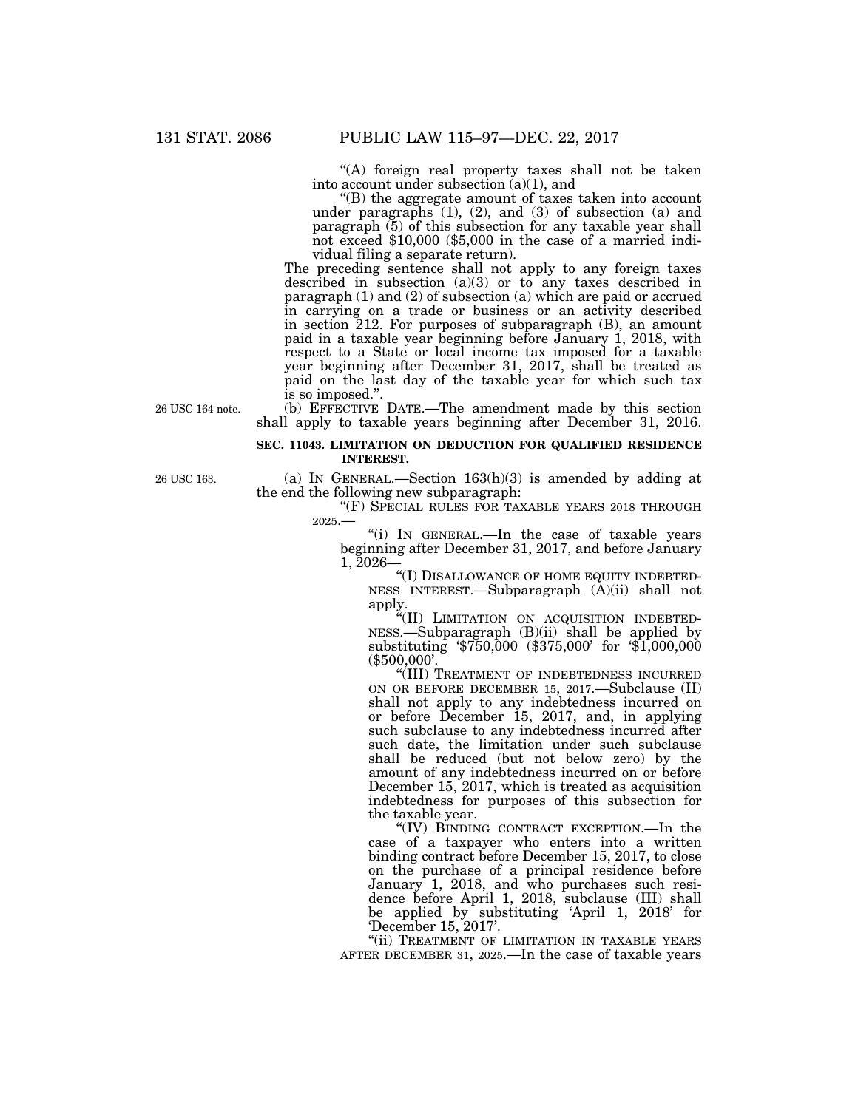''(A) foreign real property taxes shall not be taken into account under subsection  $(a)(1)$ , and

 $'(B)$  the aggregate amount of taxes taken into account under paragraphs (1), (2), and (3) of subsection (a) and paragraph (5) of this subsection for any taxable year shall not exceed \$10,000 (\$5,000 in the case of a married individual filing a separate return).

The preceding sentence shall not apply to any foreign taxes described in subsection (a)(3) or to any taxes described in paragraph (1) and (2) of subsection (a) which are paid or accrued in carrying on a trade or business or an activity described in section 212. For purposes of subparagraph (B), an amount paid in a taxable year beginning before January 1, 2018, with respect to a State or local income tax imposed for a taxable year beginning after December 31, 2017, shall be treated as paid on the last day of the taxable year for which such tax is so imposed.''.

26 USC 164 note.

(b) EFFECTIVE DATE.—The amendment made by this section shall apply to taxable years beginning after December 31, 2016.

## **SEC. 11043. LIMITATION ON DEDUCTION FOR QUALIFIED RESIDENCE INTEREST.**

(a) IN GENERAL.—Section  $163(h)(3)$  is amended by adding at the end the following new subparagraph:

"(F) SPECIAL RULES FOR TAXABLE YEARS 2018 THROUGH 2025.—

''(i) IN GENERAL.—In the case of taxable years beginning after December 31, 2017, and before January 1, 2026—

"(I) DISALLOWANCE OF HOME EQUITY INDEBTED-NESS INTEREST.—Subparagraph (A)(ii) shall not apply.

''(II) LIMITATION ON ACQUISITION INDEBTED-NESS.—Subparagraph (B)(ii) shall be applied by substituting '\$750,000 (\$375,000' for '\$1,000,000 (\$500,000'.

''(III) TREATMENT OF INDEBTEDNESS INCURRED ON OR BEFORE DECEMBER 15, 2017.—Subclause (II) shall not apply to any indebtedness incurred on or before December 15, 2017, and, in applying such subclause to any indebtedness incurred after such date, the limitation under such subclause shall be reduced (but not below zero) by the amount of any indebtedness incurred on or before December 15, 2017, which is treated as acquisition indebtedness for purposes of this subsection for the taxable year.

"(IV) BINDING CONTRACT EXCEPTION.—In the case of a taxpayer who enters into a written binding contract before December 15, 2017, to close on the purchase of a principal residence before January 1, 2018, and who purchases such residence before April 1, 2018, subclause (III) shall be applied by substituting 'April 1, 2018' for 'December 15, 2017'.

"(ii) TREATMENT OF LIMITATION IN TAXABLE YEARS AFTER DECEMBER 31, 2025.—In the case of taxable years

26 USC 163.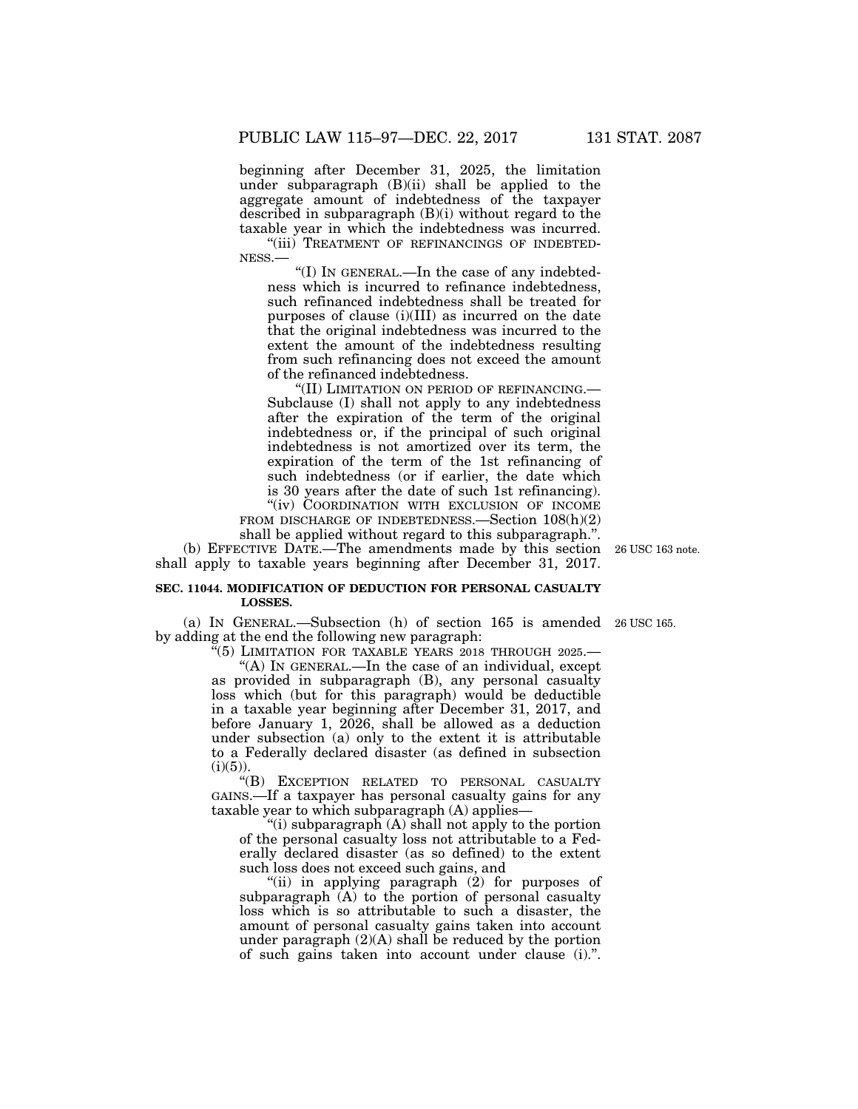beginning after December 31, 2025, the limitation under subparagraph (B)(ii) shall be applied to the aggregate amount of indebtedness of the taxpayer described in subparagraph (B)(i) without regard to the taxable year in which the indebtedness was incurred.

"(iii) TREATMENT OF REFINANCINGS OF INDEBTED-NESS.—

''(I) IN GENERAL.—In the case of any indebtedness which is incurred to refinance indebtedness, such refinanced indebtedness shall be treated for purposes of clause (i)(III) as incurred on the date that the original indebtedness was incurred to the extent the amount of the indebtedness resulting from such refinancing does not exceed the amount of the refinanced indebtedness.

''(II) LIMITATION ON PERIOD OF REFINANCING.— Subclause (I) shall not apply to any indebtedness after the expiration of the term of the original indebtedness or, if the principal of such original indebtedness is not amortized over its term, the expiration of the term of the 1st refinancing of such indebtedness (or if earlier, the date which is 30 years after the date of such 1st refinancing). "(iv) COORDINATION WITH EXCLUSION OF INCOME FROM DISCHARGE OF INDEBTEDNESS.—Section  $108(h)(2)$ shall be applied without regard to this subparagraph.''.

(b) EFFECTIVE DATE.—The amendments made by this section 26 USC 163 note. shall apply to taxable years beginning after December 31, 2017.

## **SEC. 11044. MODIFICATION OF DEDUCTION FOR PERSONAL CASUALTY LOSSES.**

(a) IN GENERAL.—Subsection (h) of section 165 is amended 26 USC 165. by adding at the end the following new paragraph:

''(5) LIMITATION FOR TAXABLE YEARS 2018 THROUGH 2025.—

''(A) IN GENERAL.—In the case of an individual, except as provided in subparagraph (B), any personal casualty loss which (but for this paragraph) would be deductible in a taxable year beginning after December 31, 2017, and before January 1, 2026, shall be allowed as a deduction under subsection (a) only to the extent it is attributable to a Federally declared disaster (as defined in subsection  $(i)(5)$ ).

''(B) EXCEPTION RELATED TO PERSONAL CASUALTY GAINS.—If a taxpayer has personal casualty gains for any taxable year to which subparagraph (A) applies—

''(i) subparagraph (A) shall not apply to the portion of the personal casualty loss not attributable to a Federally declared disaster (as so defined) to the extent such loss does not exceed such gains, and

''(ii) in applying paragraph (2) for purposes of subparagraph (A) to the portion of personal casualty loss which is so attributable to such a disaster, the amount of personal casualty gains taken into account under paragraph (2)(A) shall be reduced by the portion of such gains taken into account under clause (i).''.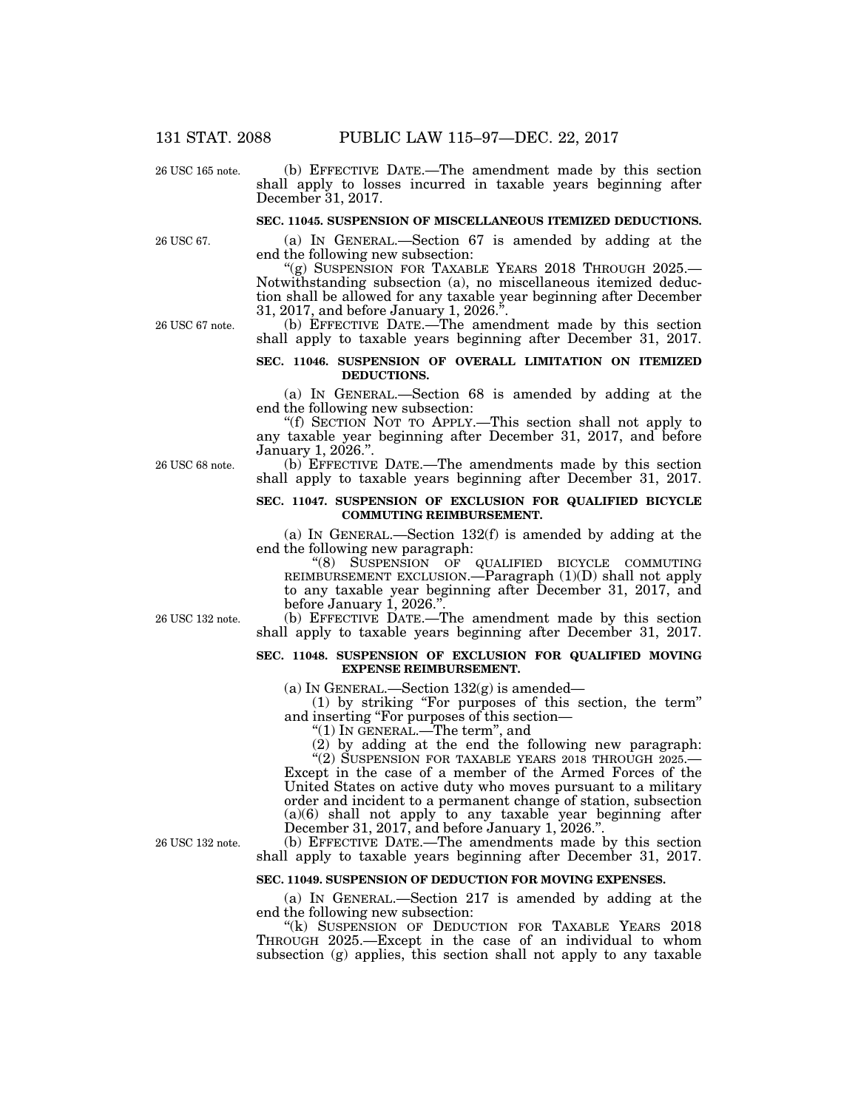26 USC 165 note.

## (b) EFFECTIVE DATE.—The amendment made by this section shall apply to losses incurred in taxable years beginning after December 31, 2017.

## **SEC. 11045. SUSPENSION OF MISCELLANEOUS ITEMIZED DEDUCTIONS.**

(a) IN GENERAL.—Section 67 is amended by adding at the end the following new subsection:

"(g) SUSPENSION FOR TAXABLE YEARS 2018 THROUGH 2025.-Notwithstanding subsection (a), no miscellaneous itemized deduction shall be allowed for any taxable year beginning after December 31, 2017, and before January 1, 2026.''.

(b) EFFECTIVE DATE.—The amendment made by this section shall apply to taxable years beginning after December 31, 2017.

## **SEC. 11046. SUSPENSION OF OVERALL LIMITATION ON ITEMIZED DEDUCTIONS.**

(a) IN GENERAL.—Section 68 is amended by adding at the end the following new subsection:

''(f) SECTION NOT TO APPLY.—This section shall not apply to any taxable year beginning after December 31, 2017, and before January 1, 2026.''.

(b) EFFECTIVE DATE.—The amendments made by this section shall apply to taxable years beginning after December 31, 2017.

## **SEC. 11047. SUSPENSION OF EXCLUSION FOR QUALIFIED BICYCLE COMMUTING REIMBURSEMENT.**

(a) IN GENERAL.—Section 132(f) is amended by adding at the end the following new paragraph:

''(8) SUSPENSION OF QUALIFIED BICYCLE COMMUTING REIMBURSEMENT EXCLUSION.—Paragraph (1)(D) shall not apply to any taxable year beginning after December 31, 2017, and before January 1, 2026.''.

(b) EFFECTIVE DATE.—The amendment made by this section shall apply to taxable years beginning after December 31, 2017.

## **SEC. 11048. SUSPENSION OF EXCLUSION FOR QUALIFIED MOVING EXPENSE REIMBURSEMENT.**

(a) IN GENERAL.—Section  $132(g)$  is amended—

(1) by striking ''For purposes of this section, the term'' and inserting ''For purposes of this section—

''(1) IN GENERAL.—The term'', and

(2) by adding at the end the following new paragraph:

"(2) SUSPENSION FOR TAXABLE YEARS 2018 THROUGH 2025.-Except in the case of a member of the Armed Forces of the United States on active duty who moves pursuant to a military order and incident to a permanent change of station, subsection (a)(6) shall not apply to any taxable year beginning after December 31, 2017, and before January 1, 2026.''.

(b) EFFECTIVE DATE.—The amendments made by this section shall apply to taxable years beginning after December 31, 2017. 26 USC 132 note.

## **SEC. 11049. SUSPENSION OF DEDUCTION FOR MOVING EXPENSES.**

(a) IN GENERAL.—Section 217 is amended by adding at the end the following new subsection:

"(k) SUSPENSION OF DEDUCTION FOR TAXABLE YEARS 2018 THROUGH 2025.—Except in the case of an individual to whom subsection (g) applies, this section shall not apply to any taxable

26 USC 68 note.

26 USC 67 note.

26 USC 67.

26 USC 132 note.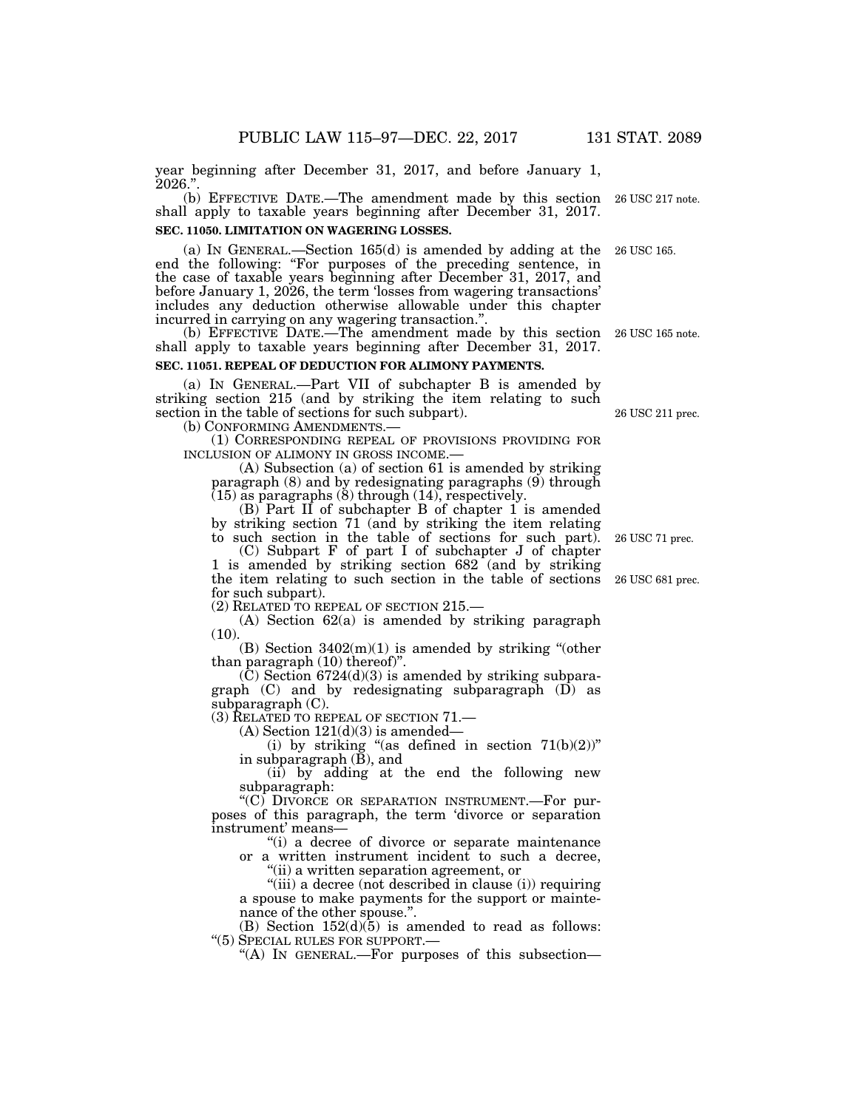year beginning after December 31, 2017, and before January 1,  $2026."$ .

(b) EFFECTIVE DATE.—The amendment made by this section 26 USC 217 note. shall apply to taxable years beginning after December 31, 2017. **SEC. 11050. LIMITATION ON WAGERING LOSSES.** 

(a) IN GENERAL.—Section 165(d) is amended by adding at the end the following: ''For purposes of the preceding sentence, in the case of taxable years beginning after December 31, 2017, and before January 1, 2026, the term 'losses from wagering transactions' includes any deduction otherwise allowable under this chapter incurred in carrying on any wagering transaction.''. 26 USC 165.

(b) EFFECTIVE DATE.—The amendment made by this section 26 USC 165 note. shall apply to taxable years beginning after December 31, 2017.

#### **SEC. 11051. REPEAL OF DEDUCTION FOR ALIMONY PAYMENTS.**

(a) IN GENERAL.—Part VII of subchapter B is amended by striking section 215 (and by striking the item relating to such section in the table of sections for such subpart).<br>(b) CONFORMING AMENDMENTS.—

(1) CORRESPONDING REPEAL OF PROVISIONS PROVIDING FOR INCLUSION OF ALIMONY IN GROSS INCOME.—

 $(A)$  Subsection  $(a)$  of section 61 is amended by striking paragraph  $(8)$  and by redesignating paragraphs  $(9)$  through  $(15)$  as paragraphs  $(8)$  through  $(14)$ , respectively.

(B) Part II of subchapter B of chapter 1 is amended by striking section 71 (and by striking the item relating to such section in the table of sections for such part).

(C) Subpart F of part I of subchapter J of chapter 1 is amended by striking section 682 (and by striking the item relating to such section in the table of sections for such subpart).

(2) RELATED TO REPEAL OF SECTION 215.—

(A) Section 62(a) is amended by striking paragraph (10).

(B) Section  $3402(m)(1)$  is amended by striking "(other than paragraph (10) thereof)''.

 $(C)$  Section 6724 $(d)(3)$  is amended by striking subparagraph (C) and by redesignating subparagraph (D) as subparagraph (C).

(3) RELATED TO REPEAL OF SECTION 71.—

 $(A)$  Section  $121(d)(3)$  is amended—

(i) by striking "(as defined in section  $71(b)(2)$ " in subparagraph (B), and

(ii) by adding at the end the following new subparagraph:

''(C) DIVORCE OR SEPARATION INSTRUMENT.—For purposes of this paragraph, the term 'divorce or separation instrument' means—

''(i) a decree of divorce or separate maintenance or a written instrument incident to such a decree,

''(ii) a written separation agreement, or

"(iii) a decree (not described in clause (i)) requiring a spouse to make payments for the support or maintenance of the other spouse.''.

(B) Section  $152(d)(5)$  is amended to read as follows: ''(5) SPECIAL RULES FOR SUPPORT.—

''(A) IN GENERAL.—For purposes of this subsection—

26 USC 681 prec.

26 USC 71 prec.

26 USC 211 prec.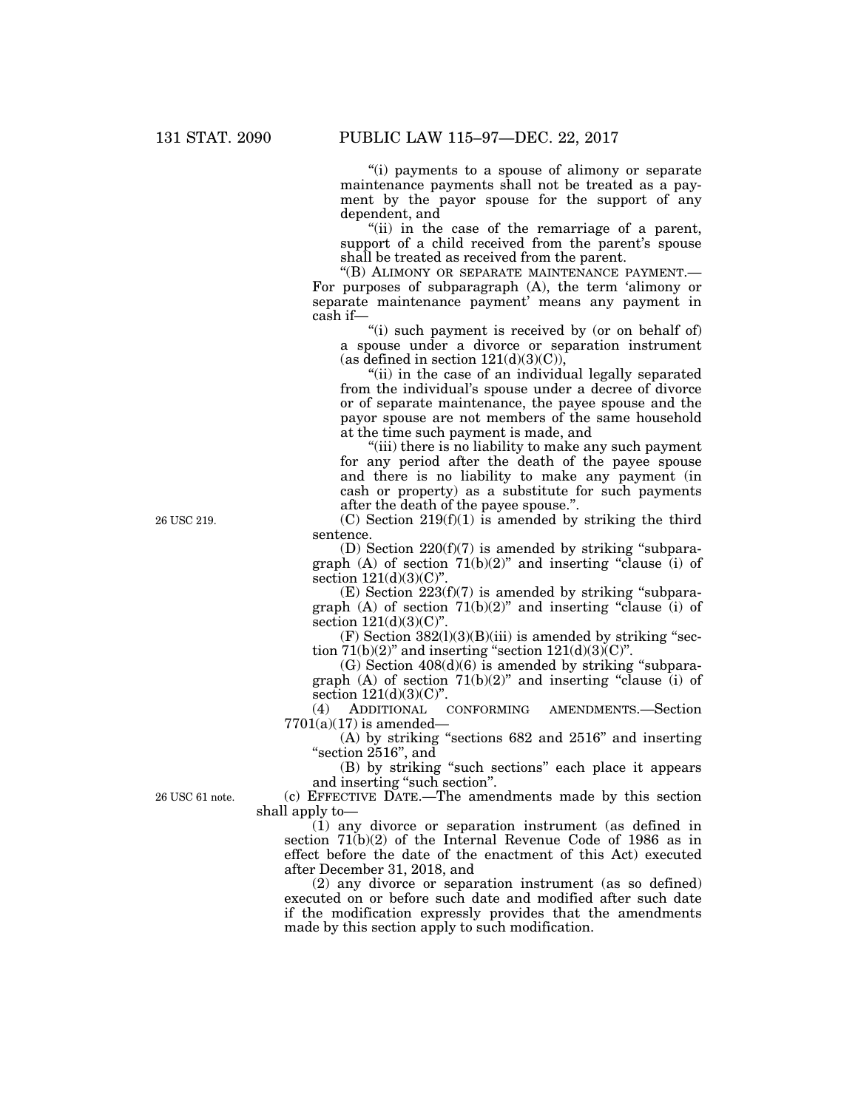''(i) payments to a spouse of alimony or separate maintenance payments shall not be treated as a payment by the payor spouse for the support of any dependent, and

"(ii) in the case of the remarriage of a parent, support of a child received from the parent's spouse shall be treated as received from the parent.

''(B) ALIMONY OR SEPARATE MAINTENANCE PAYMENT.— For purposes of subparagraph (A), the term 'alimony or separate maintenance payment' means any payment in cash if—

"(i) such payment is received by (or on behalf of) a spouse under a divorce or separation instrument (as defined in section  $121(d)(3)(C)$ ),

"(ii) in the case of an individual legally separated from the individual's spouse under a decree of divorce or of separate maintenance, the payee spouse and the payor spouse are not members of the same household at the time such payment is made, and

''(iii) there is no liability to make any such payment for any period after the death of the payee spouse and there is no liability to make any payment (in cash or property) as a substitute for such payments after the death of the payee spouse.''.

 $(C)$  Section 219 $(f)(1)$  is amended by striking the third sentence.

(D) Section  $220(f)(7)$  is amended by striking "subparagraph (A) of section  $71(b)(2)$ " and inserting "clause (i) of section  $121(d)(3)(C)$ ".

 $(E)$  Section  $223(f)(7)$  is amended by striking "subparagraph  $(A)$  of section  $71(b)(2)$ " and inserting "clause (i) of section  $121(d)(3)(C)$ ".

 $(F)$  Section  $382(1)(3)(B)(iii)$  is amended by striking "section  $71(b)(2)$ " and inserting "section  $121(d)(3)(C)$ ".

(G) Section  $408(d)(6)$  is amended by striking "subparagraph (A) of section  $71(b)(2)$ " and inserting "clause (i) of section  $121(d)(3)(C)$ ".

(4) ADDITIONAL CONFORMING AMENDMENTS.—Section  $7701(a)(17)$  is amended-

(A) by striking ''sections 682 and 2516'' and inserting "section 2516", and

(B) by striking ''such sections'' each place it appears and inserting ''such section''.

(c) EFFECTIVE DATE.—The amendments made by this section shall apply to—

(1) any divorce or separation instrument (as defined in section 71(b)(2) of the Internal Revenue Code of 1986 as in effect before the date of the enactment of this Act) executed after December 31, 2018, and

(2) any divorce or separation instrument (as so defined) executed on or before such date and modified after such date if the modification expressly provides that the amendments made by this section apply to such modification.

26 USC 219.

26 USC 61 note.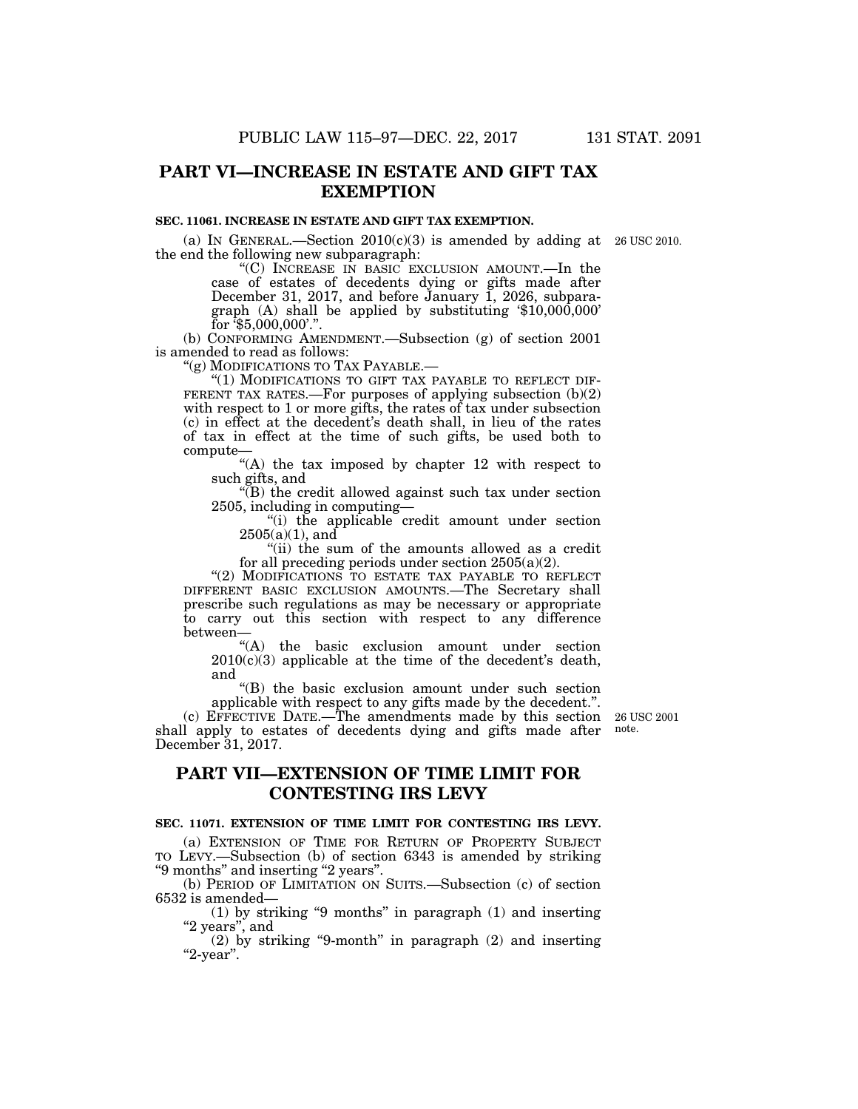# **PART VI—INCREASE IN ESTATE AND GIFT TAX EXEMPTION**

### **SEC. 11061. INCREASE IN ESTATE AND GIFT TAX EXEMPTION.**

(a) IN GENERAL.—Section  $2010(c)(3)$  is amended by adding at 26 USC 2010. the end the following new subparagraph:

''(C) INCREASE IN BASIC EXCLUSION AMOUNT.—In the case of estates of decedents dying or gifts made after December 31, 2017, and before January 1, 2026, subparagraph (A) shall be applied by substituting '\$10,000,000' for  $\sqrt[7]{35,000,000}$ .".

(b) CONFORMING AMENDMENT.—Subsection (g) of section 2001 is amended to read as follows:

''(g) MODIFICATIONS TO TAX PAYABLE.—

"(1) MODIFICATIONS TO GIFT TAX PAYABLE TO REFLECT DIF-FERENT TAX RATES.—For purposes of applying subsection  $(b)(2)$ with respect to 1 or more gifts, the rates of tax under subsection (c) in effect at the decedent's death shall, in lieu of the rates of tax in effect at the time of such gifts, be used both to compute—

"(A) the tax imposed by chapter 12 with respect to such gifts, and

 $\sqrt{\text{B}}$ ) the credit allowed against such tax under section 2505, including in computing—

''(i) the applicable credit amount under section  $2505(a)(1)$ , and

''(ii) the sum of the amounts allowed as a credit for all preceding periods under section 2505(a)(2).

"(2) MODIFICATIONS TO ESTATE TAX PAYABLE TO REFLECT DIFFERENT BASIC EXCLUSION AMOUNTS.—The Secretary shall prescribe such regulations as may be necessary or appropriate to carry out this section with respect to any difference between—

''(A) the basic exclusion amount under section  $2010(c)(3)$  applicable at the time of the decedent's death, and

(B) the basic exclusion amount under such section applicable with respect to any gifts made by the decedent.''.

(c) EFFECTIVE DATE.—The amendments made by this section shall apply to estates of decedents dying and gifts made after December 31, 2017.

26 USC 2001 note.

# **PART VII—EXTENSION OF TIME LIMIT FOR CONTESTING IRS LEVY**

### **SEC. 11071. EXTENSION OF TIME LIMIT FOR CONTESTING IRS LEVY.**

(a) EXTENSION OF TIME FOR RETURN OF PROPERTY SUBJECT TO LEVY.—Subsection (b) of section 6343 is amended by striking ''9 months'' and inserting ''2 years''.

(b) PERIOD OF LIMITATION ON SUITS.—Subsection (c) of section 6532 is amended—

(1) by striking "9 months" in paragraph  $(1)$  and inserting "2 years", and

(2) by striking ''9-month'' in paragraph (2) and inserting ''2-year''.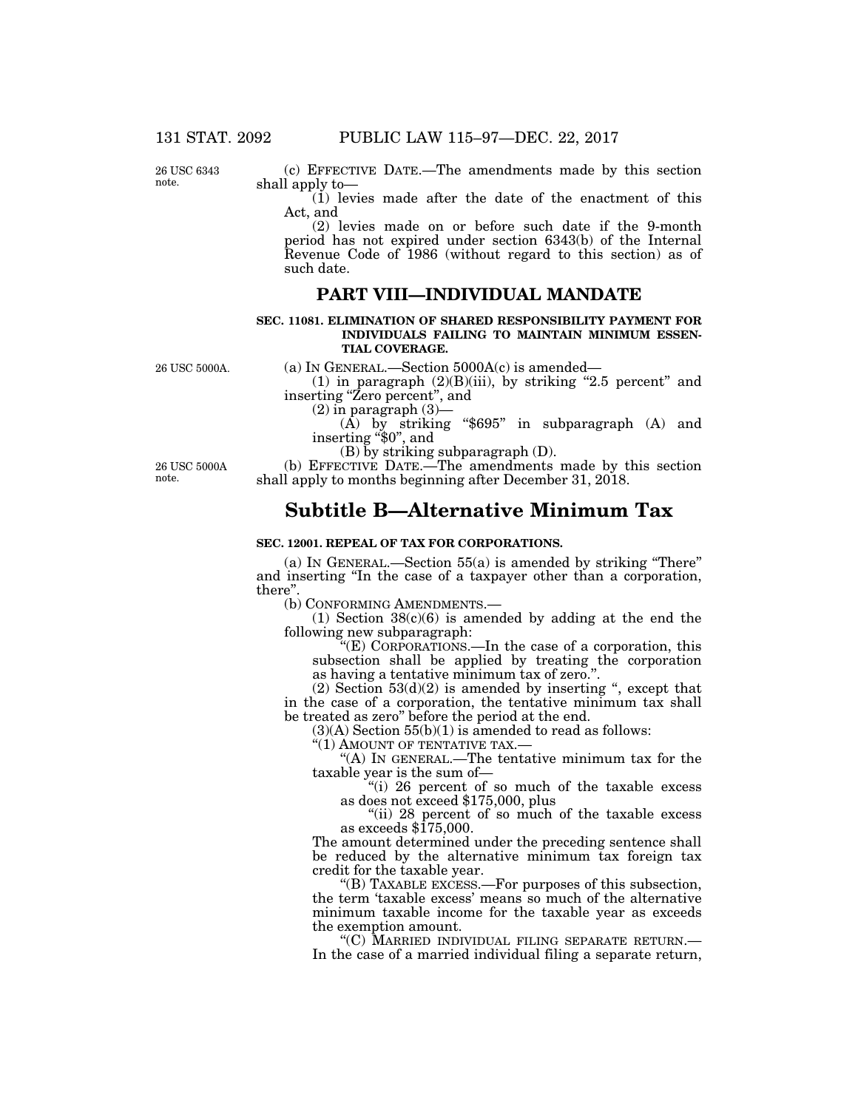26 USC 6343 note.

(c) EFFECTIVE DATE.—The amendments made by this section shall apply to—

 $(i)$  levies made after the date of the enactment of this Act, and

(2) levies made on or before such date if the 9-month period has not expired under section 6343(b) of the Internal Revenue Code of 1986 (without regard to this section) as of such date.

### **PART VIII—INDIVIDUAL MANDATE**

### **SEC. 11081. ELIMINATION OF SHARED RESPONSIBILITY PAYMENT FOR INDIVIDUALS FAILING TO MAINTAIN MINIMUM ESSEN-TIAL COVERAGE.**

(a) IN GENERAL.—Section 5000A(c) is amended—

(1) in paragraph  $(2)(B)(iii)$ , by striking "2.5 percent" and inserting "Zero percent", and<br>  $(2)$  in paragraph  $(3)$ —

(A) by striking " $$695"$  in subparagraph (A) and inserting " $$0"$ , and

(B) by striking subparagraph (D).

26 USC 5000A note.

26 USC 5000A.

(b) EFFECTIVE DATE.—The amendments made by this section shall apply to months beginning after December 31, 2018.

# **Subtitle B—Alternative Minimum Tax**

### **SEC. 12001. REPEAL OF TAX FOR CORPORATIONS.**

(a) IN GENERAL.—Section 55(a) is amended by striking ''There'' and inserting ''In the case of a taxpayer other than a corporation, there''.

(b) CONFORMING AMENDMENTS.—

(1) Section  $38(c)(6)$  is amended by adding at the end the following new subparagraph:

''(E) CORPORATIONS.—In the case of a corporation, this subsection shall be applied by treating the corporation as having a tentative minimum tax of zero.''.

(2) Section  $53(d)(2)$  is amended by inserting ", except that in the case of a corporation, the tentative minimum tax shall be treated as zero'' before the period at the end.

 $(3)(A)$  Section  $55(b)(1)$  is amended to read as follows:

"(1) AMOUNT OF TENTATIVE TAX.-

''(A) IN GENERAL.—The tentative minimum tax for the taxable year is the sum of—

''(i) 26 percent of so much of the taxable excess as does not exceed \$175,000, plus

"(ii) 28 percent of so much of the taxable excess as exceeds  $$175,000$ .

The amount determined under the preceding sentence shall be reduced by the alternative minimum tax foreign tax credit for the taxable year.

''(B) TAXABLE EXCESS.—For purposes of this subsection, the term 'taxable excess' means so much of the alternative minimum taxable income for the taxable year as exceeds the exemption amount.<br>"(C) MARRIED INDIVIDUAL FILING SEPARATE RETURN.—

In the case of a married individual filing a separate return,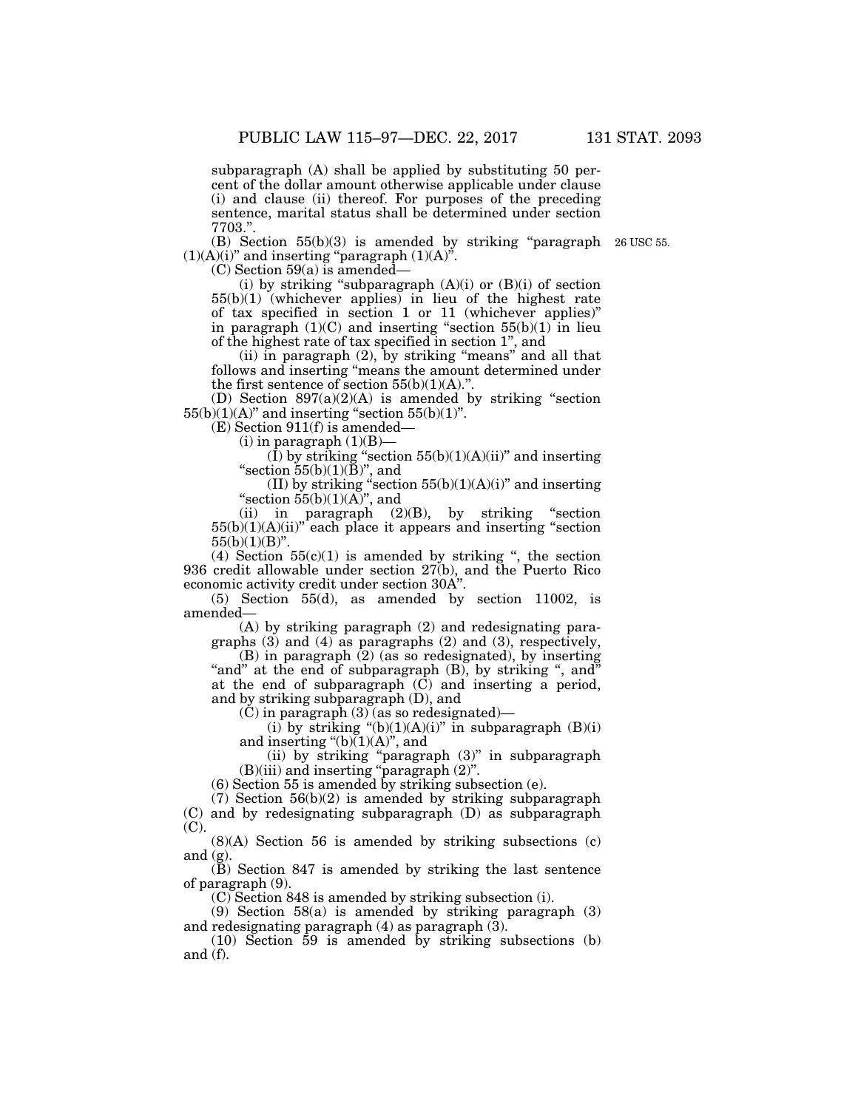subparagraph (A) shall be applied by substituting 50 percent of the dollar amount otherwise applicable under clause (i) and clause (ii) thereof. For purposes of the preceding sentence, marital status shall be determined under section 7703.''.

(B) Section  $55(b)(3)$  is amended by striking "paragraph 26 USC 55.  $(1)(A)(i)$ " and inserting "paragraph  $(1)(A)$ ".

(C) Section 59(a) is amended—

(i) by striking "subparagraph  $(A)(i)$  or  $(B)(i)$  of section 55(b)(1) (whichever applies) in lieu of the highest rate of tax specified in section 1 or 11 (whichever applies)'' in paragraph  $(1)(C)$  and inserting "section  $55(b)(1)$  in lieu of the highest rate of tax specified in section 1'', and

 $(ii)$  in paragraph  $(2)$ , by striking "means" and all that follows and inserting "means the amount determined under the first sentence of section  $55(b)(1)(A)$ .".

(D) Section  $897(a)(2)(A)$  is amended by striking "section  $55(b)(1)(A)$ " and inserting "section  $55(b)(1)$ ".

 $(E)$  Section 911(f) is amended-

 $(i)$  in paragraph  $(1)(B)$ 

(I) by striking "section  $55(b)(1)(A)(ii)$ " and inserting "section  $55(b)(1)(B)$ ", and

(II) by striking "section  $55(b)(1)(A)(i)$ " and inserting "section  $55(b)(1)(A)$ ", and

(ii) in paragraph  $(2)(B)$ , by striking "section  $55(b)(1)(A)(ii)$ <sup>r</sup>each place it appears and inserting "section"  $55(b)(1)(B)$ ".

(4) Section  $55(c)(1)$  is amended by striking ", the section 936 credit allowable under section 27(b), and the Puerto Rico economic activity credit under section 30A''.

(5) Section 55(d), as amended by section 11002, is amended—

(A) by striking paragraph (2) and redesignating paragraphs  $(3)$  and  $(4)$  as paragraphs  $(2)$  and  $(3)$ , respectively,

 $(B)$  in paragraph  $(2)$  (as so redesignated), by inserting "and" at the end of subparagraph (B), by striking ", and" at the end of subparagraph  $(\tilde{C})$  and inserting a period, and by striking subparagraph (D), and

(C) in paragraph (3) (as so redesignated)—

(i) by striking " $(b)(1)(A)(i)$ " in subparagraph  $(B)(i)$ and inserting " $(b)(1)(A)$ ", and

(ii) by striking ''paragraph (3)'' in subparagraph (B)(iii) and inserting ''paragraph (2)''.

(6) Section 55 is amended by striking subsection (e).

(7) Section 56(b)(2) is amended by striking subparagraph (C) and by redesignating subparagraph (D) as subparagraph (C).

(8)(A) Section 56 is amended by striking subsections (c) and  $(g)$ .

(B) Section 847 is amended by striking the last sentence of paragraph (9).

(C) Section 848 is amended by striking subsection (i).

(9) Section 58(a) is amended by striking paragraph (3) and redesignating paragraph  $(4)$  as paragraph  $(3)$ .

(10) Section 59 is amended by striking subsections (b) and (f).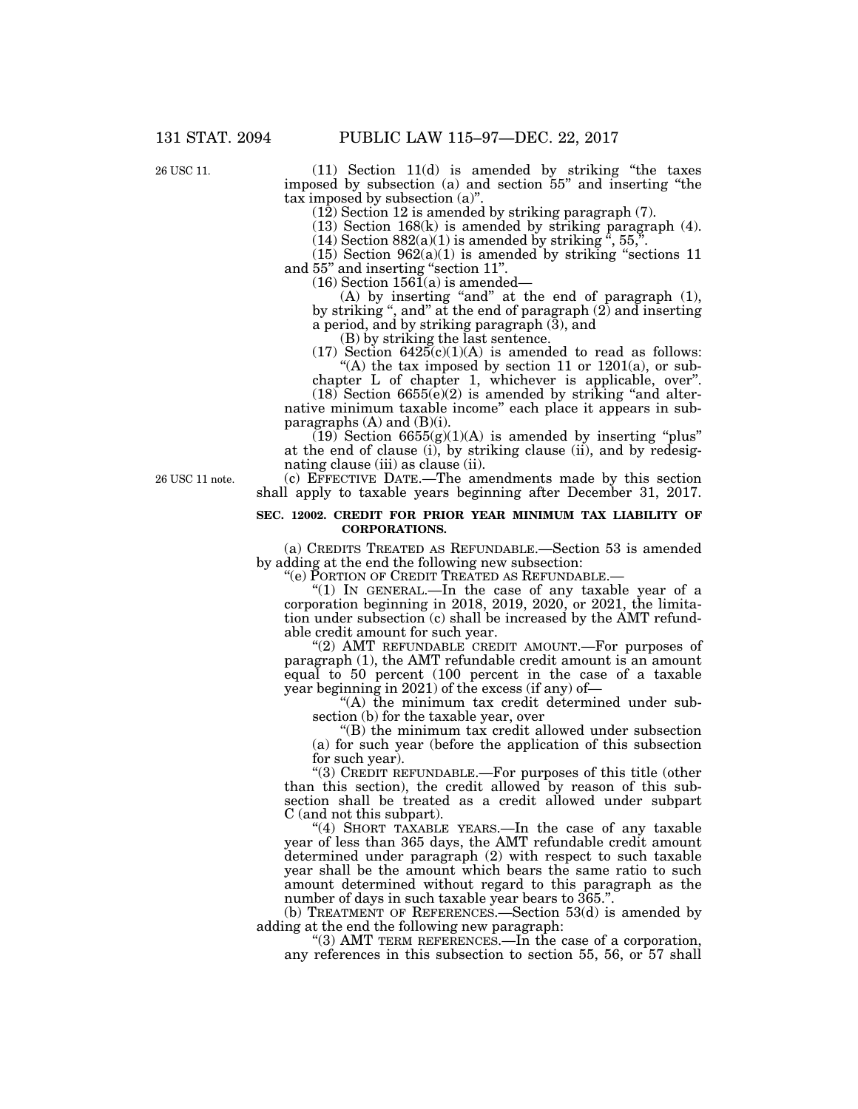26 USC 11.

(11) Section 11(d) is amended by striking ''the taxes imposed by subsection (a) and section 55'' and inserting ''the tax imposed by subsection (a)''.

(12) Section 12 is amended by striking paragraph (7).

(13) Section 168(k) is amended by striking paragraph (4).

 $(14)$  Section 882(a)(1) is amended by striking  $\ddot{ }$ , 55,".

 $(15)$  Section  $962(a)(1)$  is amended by striking "sections 11 and 55'' and inserting ''section 11''.

 $(16)$  Section  $156I(a)$  is amended—

(A) by inserting "and" at the end of paragraph (1), by striking '', and'' at the end of paragraph (2) and inserting a period, and by striking paragraph  $(\bar{3})$ , and

(B) by striking the last sentence.

 $(17)$  Section  $6425(c)(1)(A)$  is amended to read as follows: "(A) the tax imposed by section 11 or  $1201(a)$ , or sub-

chapter L of chapter 1, whichever is applicable, over''.  $(18)$  Section 6655(e)(2) is amended by striking "and alternative minimum taxable income'' each place it appears in subparagraphs (A) and (B)(i).

 $(19)$  Section  $6655(g)(1)(A)$  is amended by inserting "plus" at the end of clause (i), by striking clause (ii), and by redesignating clause (iii) as clause (ii).

(c) EFFECTIVE DATE.—The amendments made by this section shall apply to taxable years beginning after December 31, 2017.

### **SEC. 12002. CREDIT FOR PRIOR YEAR MINIMUM TAX LIABILITY OF CORPORATIONS.**

(a) CREDITS TREATED AS REFUNDABLE.—Section 53 is amended by adding at the end the following new subsection:

''(e) PORTION OF CREDIT TREATED AS REFUNDABLE.—

"(1) In GENERAL.—In the case of any taxable year of a corporation beginning in 2018, 2019, 2020, or 2021, the limitation under subsection (c) shall be increased by the AMT refundable credit amount for such year.

" $(2)$  AMT REFUNDABLE CREDIT AMOUNT.—For purposes of paragraph (1), the AMT refundable credit amount is an amount equal to 50 percent (100 percent in the case of a taxable year beginning in 2021) of the excess (if any) of—

''(A) the minimum tax credit determined under subsection (b) for the taxable year, over

''(B) the minimum tax credit allowed under subsection (a) for such year (before the application of this subsection for such year).

''(3) CREDIT REFUNDABLE.—For purposes of this title (other than this section), the credit allowed by reason of this subsection shall be treated as a credit allowed under subpart C (and not this subpart).

"(4) SHORT TAXABLE YEARS.—In the case of any taxable year of less than 365 days, the AMT refundable credit amount determined under paragraph (2) with respect to such taxable year shall be the amount which bears the same ratio to such amount determined without regard to this paragraph as the number of days in such taxable year bears to 365.''.

(b) TREATMENT OF REFERENCES.—Section 53(d) is amended by adding at the end the following new paragraph:

''(3) AMT TERM REFERENCES.—In the case of a corporation, any references in this subsection to section 55, 56, or 57 shall

26 USC 11 note.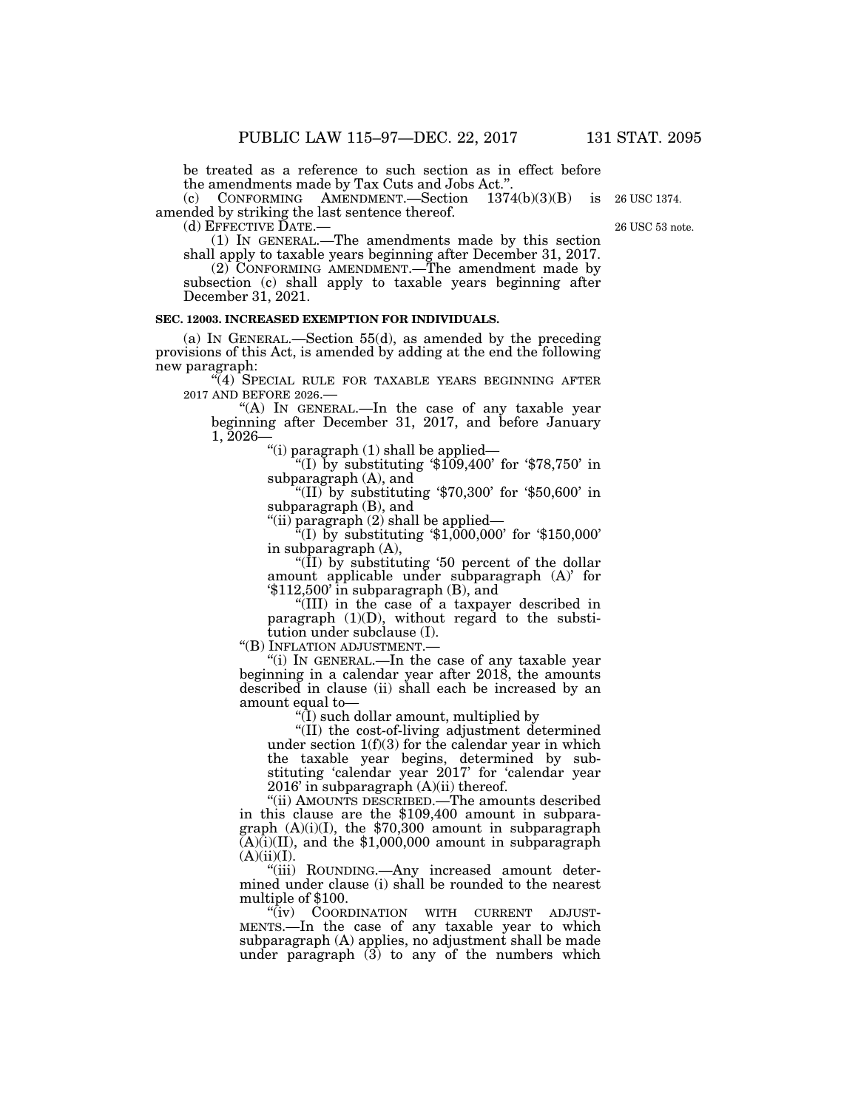26 USC 1374.

be treated as a reference to such section as in effect before the amendments made by Tax Cuts and Jobs Act.

(c) CONFORMING AMENDMENT.—Section 1374(b)(3)(B) is amended by striking the last sentence thereof.<br>(d) EFFECTIVE DATE.—

 $(1)$  IN GENERAL.—The amendments made by this section shall apply to taxable years beginning after December 31, 2017.

(2) CONFORMING AMENDMENT.—The amendment made by subsection (c) shall apply to taxable years beginning after December 31, 2021.

### **SEC. 12003. INCREASED EXEMPTION FOR INDIVIDUALS.**

(a) IN GENERAL.—Section 55(d), as amended by the preceding provisions of this Act, is amended by adding at the end the following new paragraph:

"(4) SPECIAL RULE FOR TAXABLE YEARS BEGINNING AFTER 2017 AND BEFORE 2026.—

"(A) IN GENERAL.—In the case of any taxable year beginning after December 31, 2017, and before January 1, 2026—

''(i) paragraph (1) shall be applied—

"(I) by substituting  $$109,400$  for  $$78,750$  in subparagraph (A), and

"(II) by substituting '\$70,300' for '\$50,600' in subparagraph (B), and

"(ii) paragraph (2) shall be applied—

 $^{54}$ (I) by substituting '\$1,000,000' for '\$150,000' in subparagraph (A),

"( $\overline{I}I$ ) by substituting '50 percent of the dollar amount applicable under subparagraph (A)' for '\$112,500' in subparagraph (B), and

''(III) in the case of a taxpayer described in paragraph (1)(D), without regard to the substitution under subclause (I).<br>"(B) INFLATION ADJUSTMENT.—

"(i) IN GENERAL.—In the case of any taxable year beginning in a calendar year after 2018, the amounts described in clause (ii) shall each be increased by an amount equal to—

''(I) such dollar amount, multiplied by

''(II) the cost-of-living adjustment determined under section  $1(f)(3)$  for the calendar year in which the taxable year begins, determined by substituting 'calendar year 2017' for 'calendar year 2016' in subparagraph (A)(ii) thereof.

''(ii) AMOUNTS DESCRIBED.—The amounts described in this clause are the \$109,400 amount in subparagraph  $(A)(i)(I)$ , the \$70,300 amount in subparagraph  $(A)(i)(II)$ , and the \$1,000,000 amount in subparagraph  $(A)(ii)(I).$ 

''(iii) ROUNDING.—Any increased amount determined under clause (i) shall be rounded to the nearest multiple of \$100.

''(iv) COORDINATION WITH CURRENT ADJUST-MENTS.—In the case of any taxable year to which subparagraph (A) applies, no adjustment shall be made under paragraph (3) to any of the numbers which

26 USC 53 note.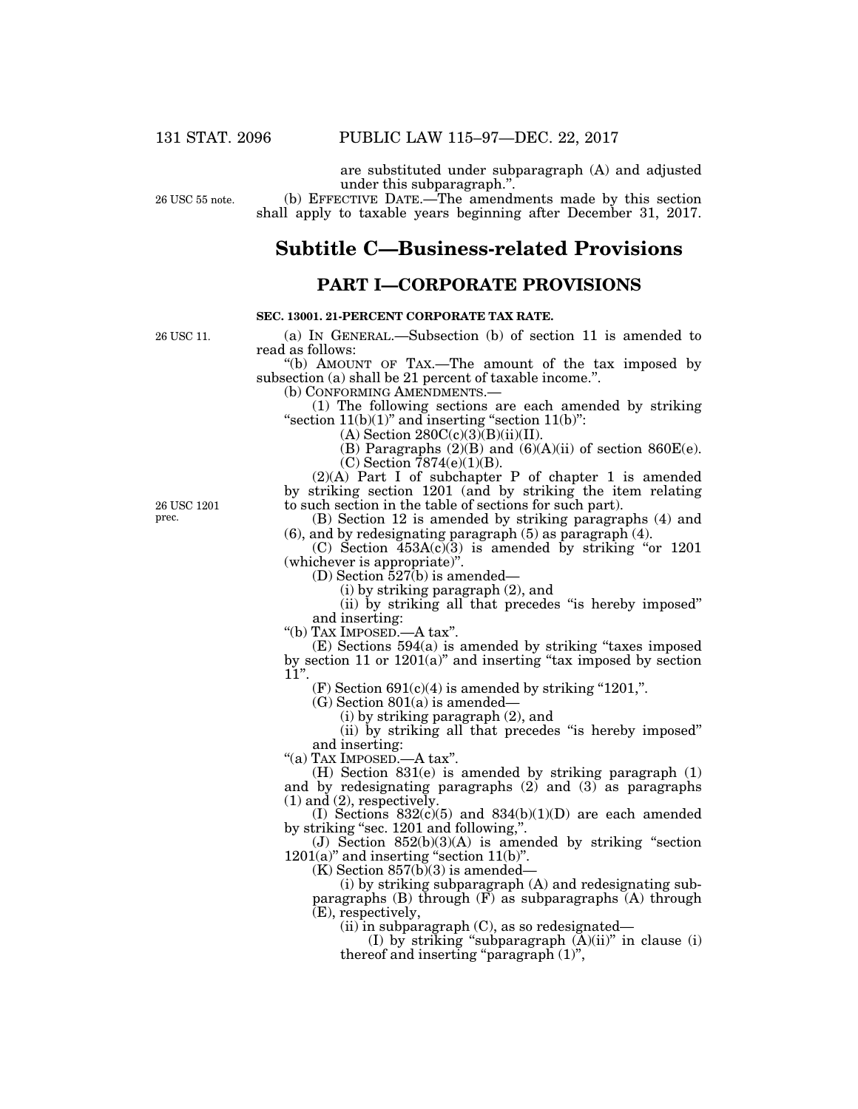are substituted under subparagraph (A) and adjusted under this subparagraph.''.

26 USC 55 note.

### (b) EFFECTIVE DATE.—The amendments made by this section shall apply to taxable years beginning after December 31, 2017.

# **Subtitle C—Business-related Provisions**

## **PART I—CORPORATE PROVISIONS**

## **SEC. 13001. 21-PERCENT CORPORATE TAX RATE.**

26 USC 11.

(a) IN GENERAL.—Subsection (b) of section 11 is amended to read as follows:

''(b) AMOUNT OF TAX.—The amount of the tax imposed by subsection (a) shall be 21 percent of taxable income.''.

(b) CONFORMING AMENDMENTS.—

(1) The following sections are each amended by striking "section  $11(b)(1)$ " and inserting "section  $11(b)$ ":

 $(A)$  Section 280C(c)(3) $(B)(ii)(II)$ .

(B) Paragraphs  $(2)(B)$  and  $(6)(A)(ii)$  of section 860E(e).  $(C)$  Section 7874 $(e)(1)(B)$ .

(2)(A) Part I of subchapter P of chapter 1 is amended by striking section 1201 (and by striking the item relating to such section in the table of sections for such part).

(B) Section 12 is amended by striking paragraphs (4) and (6), and by redesignating paragraph (5) as paragraph (4).

 $(C)$  Section  $453A(c)(3)$  is amended by striking "or 1201 (whichever is appropriate)''.

(D) Section 527(b) is amended—

(i) by striking paragraph (2), and

(ii) by striking all that precedes ''is hereby imposed'' and inserting:

''(b) TAX IMPOSED.—A tax''.

(E) Sections 594(a) is amended by striking ''taxes imposed by section 11 or  $1201(a)$ " and inserting "tax imposed by section 11''.

 $(F)$  Section 691(c)(4) is amended by striking "1201,".

 $(G)$  Section 801(a) is amended—

(i) by striking paragraph (2), and

(ii) by striking all that precedes ''is hereby imposed'' and inserting:

''(a) TAX IMPOSED.—A tax''.

(H) Section 831(e) is amended by striking paragraph (1) and by redesignating paragraphs  $(2)$  and  $(3)$  as paragraphs  $(1)$  and  $(2)$ , respectively.

(I) Sections  $832(c)(5)$  and  $834(b)(1)(D)$  are each amended by striking "sec. 1201 and following,".

(J) Section  $852(b)(3)(A)$  is amended by striking "section  $1201(a)$ " and inserting "section  $11(b)$ ".

 $(K)$  Section 857(b)(3) is amended—

(i) by striking subparagraph (A) and redesignating subparagraphs (B) through  $(F)$  as subparagraphs  $(A)$  through (E), respectively,

 $(ii)$  in subparagraph  $(C)$ , as so redesignated—

(I) by striking "subparagraph  $(A)(ii)$ " in clause (i) thereof and inserting "paragraph (1)",

26 USC 1201 prec.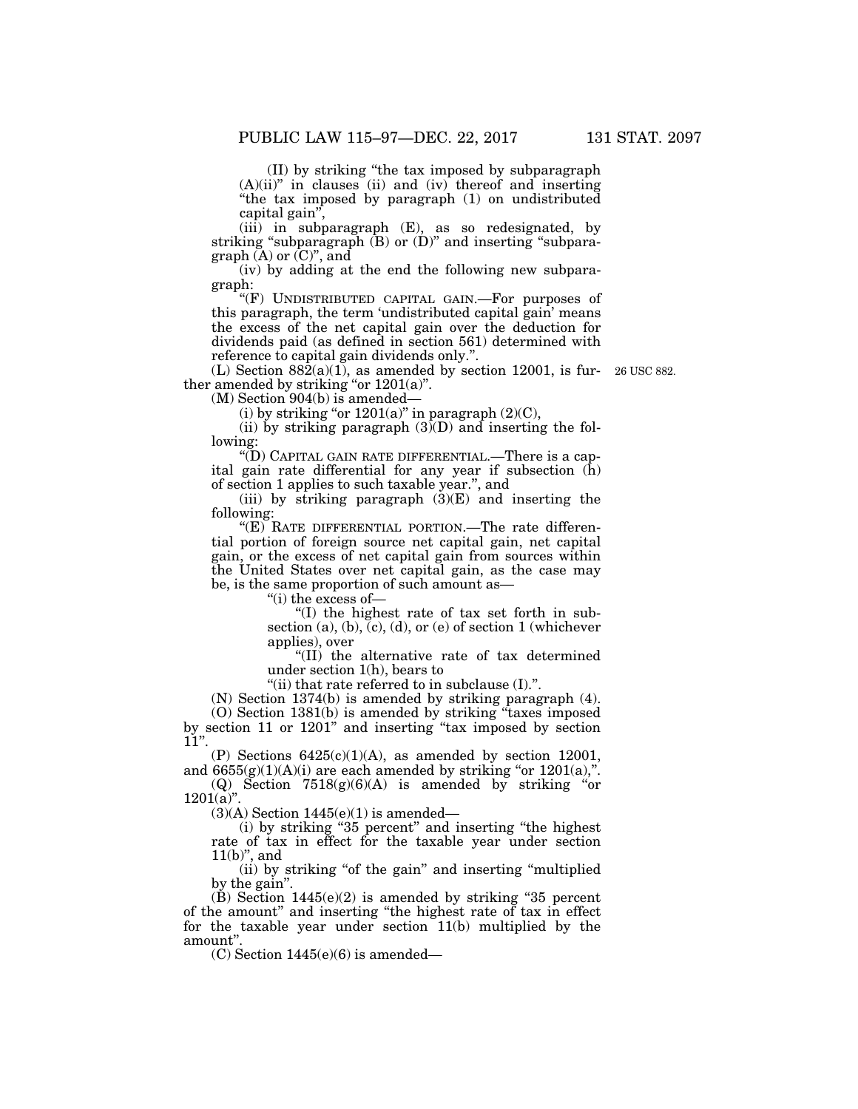(II) by striking ''the tax imposed by subparagraph  $(A)(ii)$ " in clauses (ii) and (iv) thereof and inserting ''the tax imposed by paragraph (1) on undistributed

capital gain'',

(iii) in subparagraph (E), as so redesignated, by striking "subparagraph  $(B)$  or  $(D)$ " and inserting "subparagraph  $\tilde{A}$  or  $\tilde{C}$ ", and

(iv) by adding at the end the following new subparagraph:

"(F) UNDISTRIBUTED CAPITAL GAIN.—For purposes of this paragraph, the term 'undistributed capital gain' means the excess of the net capital gain over the deduction for dividends paid (as defined in section 561) determined with reference to capital gain dividends only.''.

(L) Section  $882(a)(1)$ , as amended by section 12001, is fur- 26 USC 882. ther amended by striking "or  $1201(a)$ ".

(M) Section 904(b) is amended—

(i) by striking "or  $1201(a)$ " in paragraph  $(2)(C)$ ,

(ii) by striking paragraph  $(3)$ (D) and inserting the following:

''(D) CAPITAL GAIN RATE DIFFERENTIAL.—There is a capital gain rate differential for any year if subsection (h) of section 1 applies to such taxable year.'', and

(iii) by striking paragraph  $(3)(E)$  and inserting the following:

''(E) RATE DIFFERENTIAL PORTION.—The rate differential portion of foreign source net capital gain, net capital gain, or the excess of net capital gain from sources within the United States over net capital gain, as the case may be, is the same proportion of such amount as—

''(i) the excess of—

''(I) the highest rate of tax set forth in subsection (a), (b),  $(c)$ , (d), or (e) of section 1 (whichever applies), over

''(II) the alternative rate of tax determined under section 1(h), bears to

"(ii) that rate referred to in subclause  $(I)$ .".

(N) Section 1374(b) is amended by striking paragraph (4). (O) Section 1381(b) is amended by striking ''taxes imposed by section 11 or 1201'' and inserting ''tax imposed by section  $11$ ".

(P) Sections  $6425(c)(1)(A)$ , as amended by section 12001, and  $6655(g)(1)(A)(i)$  are each amended by striking "or  $1201(a)$ ,".

(Q) Section  $7518(g)(6)(A)$  is amended by striking "or  $1201(a)$ ".

 $(3)(A)$  Section 1445(e)(1) is amended—

(i) by striking ''35 percent'' and inserting ''the highest rate of tax in effect for the taxable year under section  $11(b)$ ", and

(ii) by striking "of the gain" and inserting "multiplied by the gain''.

(B) Section  $1445(e)(2)$  is amended by striking "35 percent of the amount'' and inserting ''the highest rate of tax in effect for the taxable year under section 11(b) multiplied by the amount''.

 $(C)$  Section 1445 $(e)(6)$  is amended—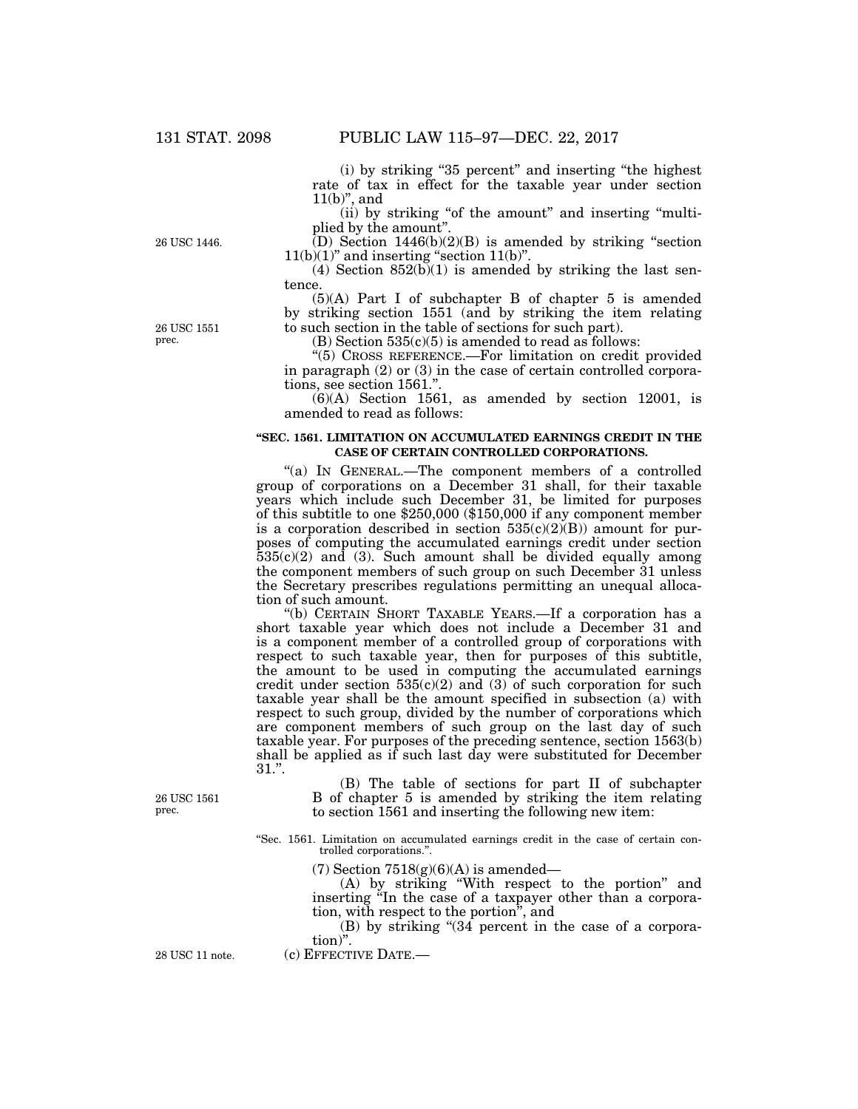(i) by striking ''35 percent'' and inserting ''the highest rate of tax in effect for the taxable year under section  $11(b)$ ", and

(ii) by striking "of the amount" and inserting "multiplied by the amount''.

 $(D)$  Section 1446(b)(2)(B) is amended by striking "section  $11(b)(1)$ " and inserting "section  $11(b)$ ".

(4) Section  $852(b)(1)$  is amended by striking the last sentence.

(5)(A) Part I of subchapter B of chapter 5 is amended by striking section 1551 (and by striking the item relating to such section in the table of sections for such part).

 $(B)$  Section 535 $(c)(5)$  is amended to read as follows:

''(5) CROSS REFERENCE.—For limitation on credit provided in paragraph (2) or (3) in the case of certain controlled corporations, see section 1561.''.

(6)(A) Section 1561, as amended by section 12001, is amended to read as follows:

### **''SEC. 1561. LIMITATION ON ACCUMULATED EARNINGS CREDIT IN THE CASE OF CERTAIN CONTROLLED CORPORATIONS.**

''(a) IN GENERAL.—The component members of a controlled group of corporations on a December 31 shall, for their taxable years which include such December 31, be limited for purposes of this subtitle to one \$250,000 (\$150,000 if any component member is a corporation described in section  $535(c)(2)(B)$  amount for purposes of computing the accumulated earnings credit under section  $535(c)(2)$  and (3). Such amount shall be divided equally among the component members of such group on such December 31 unless the Secretary prescribes regulations permitting an unequal allocation of such amount.

''(b) CERTAIN SHORT TAXABLE YEARS.—If a corporation has a short taxable year which does not include a December 31 and is a component member of a controlled group of corporations with respect to such taxable year, then for purposes of this subtitle, the amount to be used in computing the accumulated earnings credit under section  $535(c)(2)$  and  $(3)$  of such corporation for such taxable year shall be the amount specified in subsection (a) with respect to such group, divided by the number of corporations which are component members of such group on the last day of such taxable year. For purposes of the preceding sentence, section 1563(b) shall be applied as if such last day were substituted for December 31.''.

26 USC 1561 prec.

(B) The table of sections for part II of subchapter B of chapter 5 is amended by striking the item relating to section 1561 and inserting the following new item:

''Sec. 1561. Limitation on accumulated earnings credit in the case of certain controlled corporations.''.

(7) Section  $7518(g)(6)(A)$  is amended—

(A) by striking ''With respect to the portion'' and inserting ''In the case of a taxpayer other than a corporation, with respect to the portion'', and

(B) by striking " $(34)$  percent in the case of a corporation)''.

28 USC 11 note. (c) EFFECTIVE DATE.

26 USC 1446.

26 USC 1551 prec.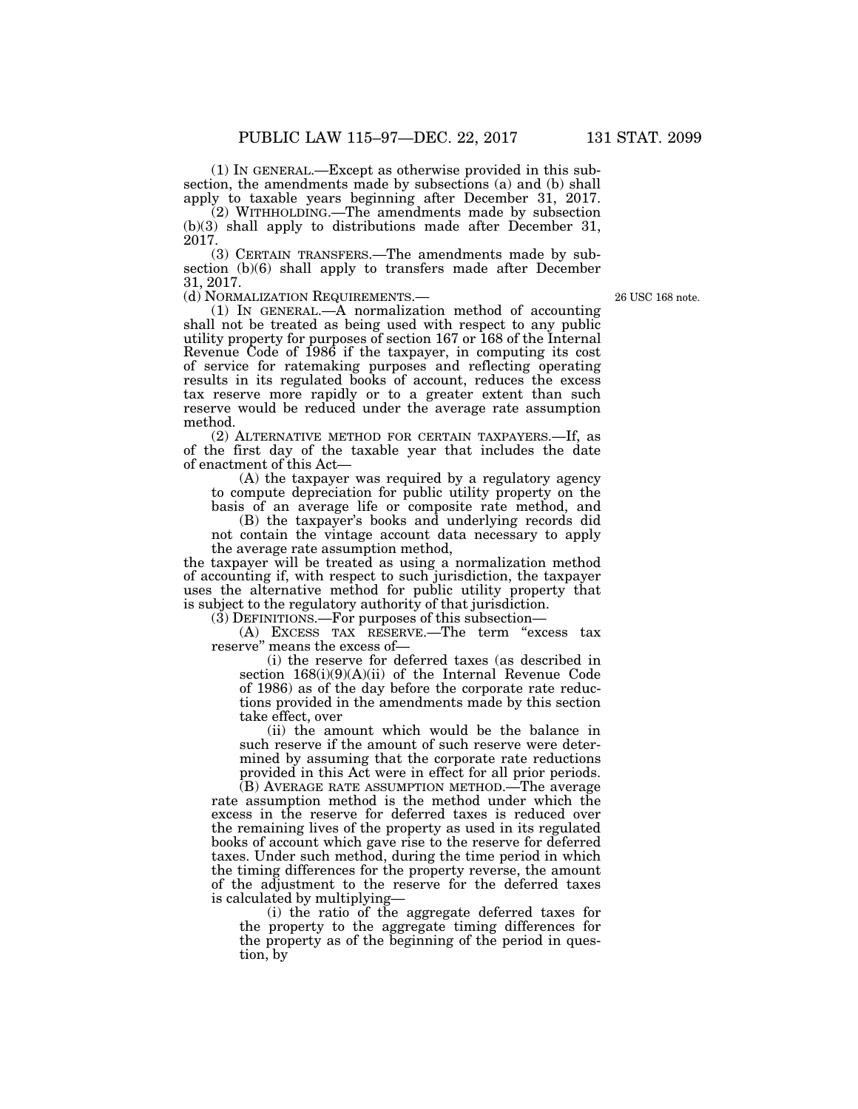(1) IN GENERAL.—Except as otherwise provided in this subsection, the amendments made by subsections (a) and (b) shall apply to taxable years beginning after December 31, 2017.

(2) WITHHOLDING.—The amendments made by subsection (b)(3) shall apply to distributions made after December 31, 2017.

(3) CERTAIN TRANSFERS.—The amendments made by subsection (b)(6) shall apply to transfers made after December 31, 2017.

26 USC 168 note.

(d) NORMALIZATION REQUIREMENTS.— (1) IN GENERAL.—A normalization method of accounting shall not be treated as being used with respect to any public utility property for purposes of section 167 or 168 of the Internal Revenue Code of 1986 if the taxpayer, in computing its cost of service for ratemaking purposes and reflecting operating results in its regulated books of account, reduces the excess tax reserve more rapidly or to a greater extent than such reserve would be reduced under the average rate assumption method.

(2) ALTERNATIVE METHOD FOR CERTAIN TAXPAYERS.—If, as of the first day of the taxable year that includes the date of enactment of this Act—

(A) the taxpayer was required by a regulatory agency to compute depreciation for public utility property on the basis of an average life or composite rate method, and

(B) the taxpayer's books and underlying records did not contain the vintage account data necessary to apply the average rate assumption method,

the taxpayer will be treated as using a normalization method of accounting if, with respect to such jurisdiction, the taxpayer uses the alternative method for public utility property that is subject to the regulatory authority of that jurisdiction.

(3) DEFINITIONS.—For purposes of this subsection—

(A) EXCESS TAX RESERVE.—The term ''excess tax reserve'' means the excess of—

(i) the reserve for deferred taxes (as described in section 168(i)(9)(A)(ii) of the Internal Revenue Code of 1986) as of the day before the corporate rate reductions provided in the amendments made by this section take effect, over

(ii) the amount which would be the balance in such reserve if the amount of such reserve were determined by assuming that the corporate rate reductions provided in this Act were in effect for all prior periods.

(B) AVERAGE RATE ASSUMPTION METHOD.—The average rate assumption method is the method under which the excess in the reserve for deferred taxes is reduced over the remaining lives of the property as used in its regulated books of account which gave rise to the reserve for deferred taxes. Under such method, during the time period in which the timing differences for the property reverse, the amount of the adjustment to the reserve for the deferred taxes is calculated by multiplying—

(i) the ratio of the aggregate deferred taxes for the property to the aggregate timing differences for the property as of the beginning of the period in question, by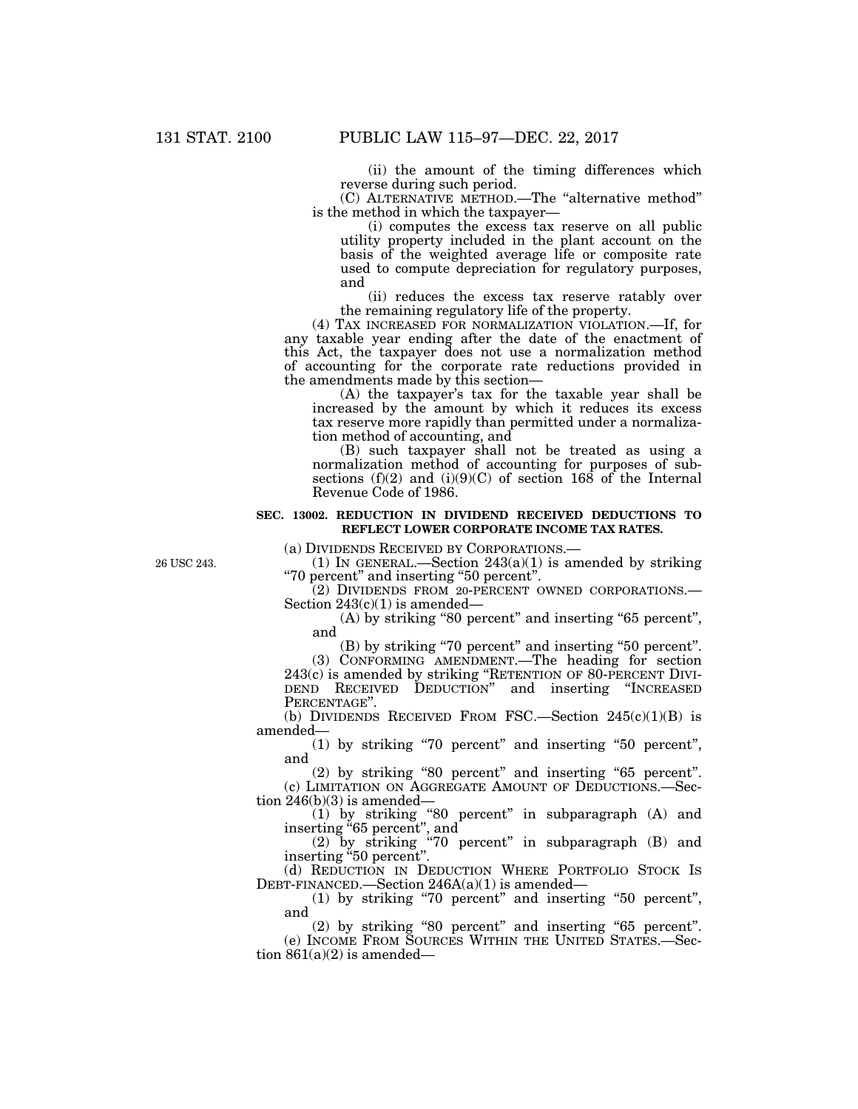(ii) the amount of the timing differences which reverse during such period.

(C) ALTERNATIVE METHOD.—The ''alternative method'' is the method in which the taxpayer—

(i) computes the excess tax reserve on all public utility property included in the plant account on the basis of the weighted average life or composite rate used to compute depreciation for regulatory purposes, and

(ii) reduces the excess tax reserve ratably over the remaining regulatory life of the property.

(4) TAX INCREASED FOR NORMALIZATION VIOLATION.—If, for any taxable year ending after the date of the enactment of this Act, the taxpayer does not use a normalization method of accounting for the corporate rate reductions provided in the amendments made by this section—

(A) the taxpayer's tax for the taxable year shall be increased by the amount by which it reduces its excess tax reserve more rapidly than permitted under a normalization method of accounting, and

(B) such taxpayer shall not be treated as using a normalization method of accounting for purposes of subsections (f)(2) and (i)(9)(C) of section 168 of the Internal Revenue Code of 1986.

### **SEC. 13002. REDUCTION IN DIVIDEND RECEIVED DEDUCTIONS TO REFLECT LOWER CORPORATE INCOME TAX RATES.**

(a) DIVIDENDS RECEIVED BY CORPORATIONS.—

26 USC 243.

(1) IN GENERAL.—Section  $243(a)(1)$  is amended by striking ''70 percent'' and inserting ''50 percent''.

(2) DIVIDENDS FROM 20-PERCENT OWNED CORPORATIONS.— Section  $243(c)(1)$  is amended—

(A) by striking "80 percent" and inserting "65 percent", and

(B) by striking ''70 percent'' and inserting ''50 percent''.

(3) CONFORMING AMENDMENT.—The heading for section 243(c) is amended by striking ''RETENTION OF 80-PERCENT DIVI-DEND RECEIVED DEDUCTION" and inserting "INCREASED PERCENTAGE".

(b) DIVIDENDS RECEIVED FROM FSC.—Section  $245(c)(1)(B)$  is amended—

(1) by striking ''70 percent'' and inserting ''50 percent'', and

(2) by striking ''80 percent'' and inserting ''65 percent''. (c) LIMITATION ON AGGREGATE AMOUNT OF DEDUCTIONS.—Sec-

tion 246(b)(3) is amended—

(1) by striking ''80 percent'' in subparagraph (A) and inserting ''65 percent'', and

(2) by striking ''70 percent'' in subparagraph (B) and inserting "50 percent".

(d) REDUCTION IN DEDUCTION WHERE PORTFOLIO STOCK IS DEBT-FINANCED.—Section 246A(a)(1) is amended—

(1) by striking ''70 percent'' and inserting ''50 percent'', and

(2) by striking ''80 percent'' and inserting ''65 percent''. (e) INCOME FROM SOURCES WITHIN THE UNITED STATES.—Section  $861(a)(2)$  is amended—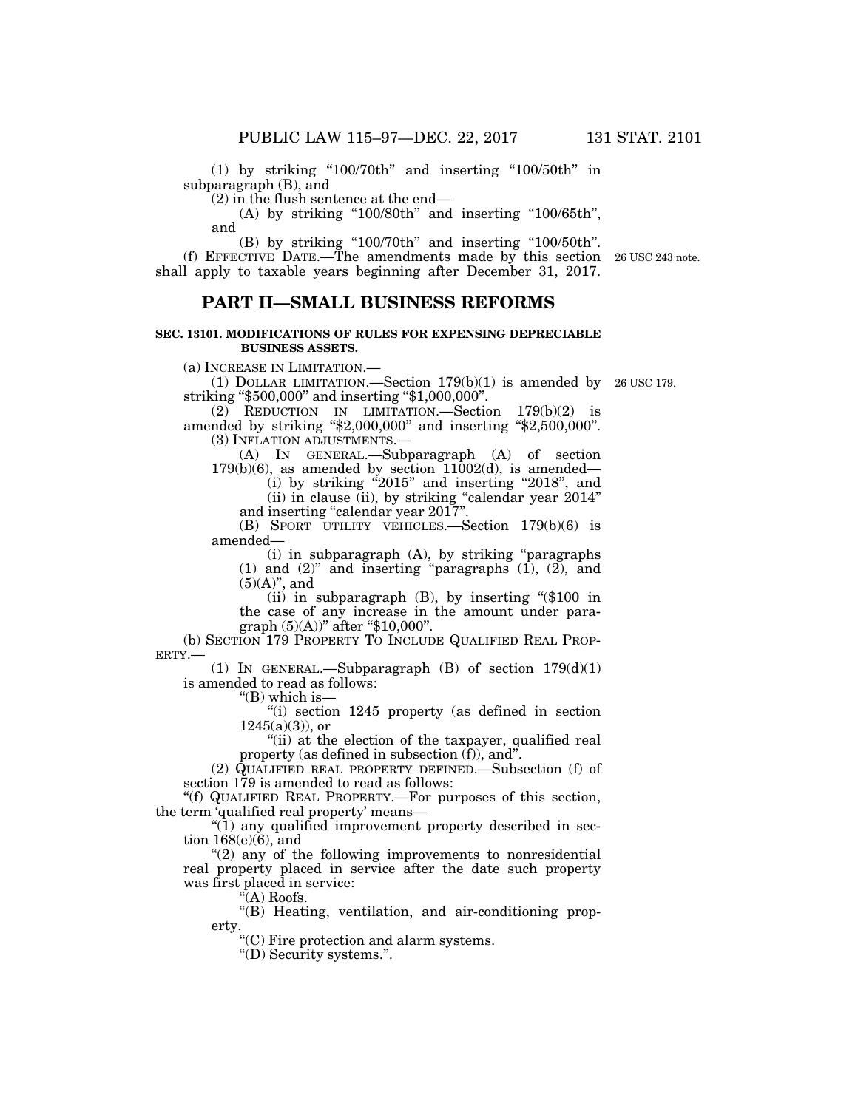$(1)$  by striking "100/70th" and inserting "100/50th" in subparagraph (B), and

(2) in the flush sentence at the end—

 $(A)$  by striking "100/80th" and inserting "100/65th", and

(B) by striking "100/70th" and inserting "100/50th".

(f) EFFECTIVE DATE.—The amendments made by this section 26 USC 243 note. shall apply to taxable years beginning after December 31, 2017.

## **PART II—SMALL BUSINESS REFORMS**

### **SEC. 13101. MODIFICATIONS OF RULES FOR EXPENSING DEPRECIABLE BUSINESS ASSETS.**

(a) INCREASE IN LIMITATION.—

(1) DOLLAR LIMITATION.—Section  $179(b)(1)$  is amended by 26 USC 179. striking "\$500,000" and inserting "\$1,000,000".

 $(2)$  REDUCTION IN LIMITATION.—Section 179 $(b)(2)$  is amended by striking "\$2,000,000" and inserting "\$2,500,000". (3) INFLATION ADJUSTMENTS.—

(A) IN GENERAL.—Subparagraph (A) of section  $179(b)(6)$ , as amended by section  $11002(d)$ , is amended—

(i) by striking "2015" and inserting "2018", and

(ii) in clause (ii), by striking ''calendar year 2014'' and inserting "calendar year 2017"

(B) SPORT UTILITY VEHICLES.—Section 179(b)(6) is amended—

(i) in subparagraph (A), by striking ''paragraphs  $(1)$  and  $(2)$ " and inserting "paragraphs  $(1)$ ,  $(2)$ , and  $(5)(A)$ ", and

(ii) in subparagraph (B), by inserting ''(\$100 in the case of any increase in the amount under paragraph (5)(A))'' after ''\$10,000''.

(b) SECTION 179 PROPERTY TO INCLUDE QUALIFIED REAL PROP-ERTY.—

(1) IN GENERAL.—Subparagraph  $(B)$  of section  $179(d)(1)$ is amended to read as follows:

" $(B)$  which is-

"(i) section 1245 property (as defined in section  $1245(a)(3)$ , or

"(ii) at the election of the taxpayer, qualified real property (as defined in subsection  $(f)$ ), and".

(2) QUALIFIED REAL PROPERTY DEFINED.—Subsection (f) of section 179 is amended to read as follows:

''(f) QUALIFIED REAL PROPERTY.—For purposes of this section, the term 'qualified real property' means—

" $(1)$  any qualified improvement property described in section  $168(e)(6)$ , and

"(2) any of the following improvements to nonresidential real property placed in service after the date such property was first placed in service:

''(A) Roofs.

"(B) Heating, ventilation, and air-conditioning property.

''(C) Fire protection and alarm systems.

''(D) Security systems.''.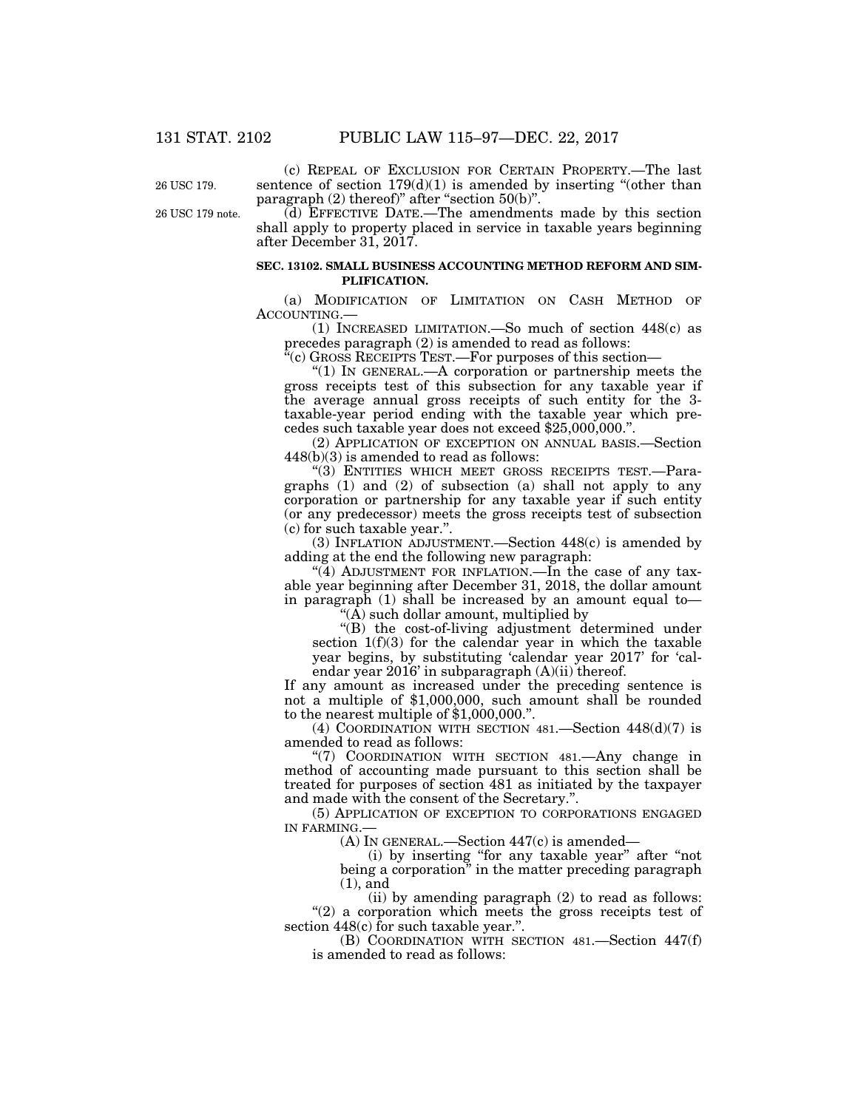26 USC 179.

26 USC 179 note.

sentence of section  $179(d)(1)$  is amended by inserting "(other than paragraph  $(2)$  thereof)" after "section  $50(b)$ ". (d) EFFECTIVE DATE.—The amendments made by this section

(c) REPEAL OF EXCLUSION FOR CERTAIN PROPERTY.—The last

shall apply to property placed in service in taxable years beginning after December 31, 2017.

### **SEC. 13102. SMALL BUSINESS ACCOUNTING METHOD REFORM AND SIM-PLIFICATION.**

(a) MODIFICATION OF LIMITATION ON CASH METHOD OF ACCOUNTING.—

(1) INCREASED LIMITATION.—So much of section 448(c) as precedes paragraph (2) is amended to read as follows:

''(c) GROSS RECEIPTS TEST.—For purposes of this section—

" $(1)$  In GENERAL.—A corporation or partnership meets the gross receipts test of this subsection for any taxable year if the average annual gross receipts of such entity for the 3 taxable-year period ending with the taxable year which precedes such taxable year does not exceed \$25,000,000.''.

(2) APPLICATION OF EXCEPTION ON ANNUAL BASIS.—Section 448(b)(3) is amended to read as follows:

''(3) ENTITIES WHICH MEET GROSS RECEIPTS TEST.—Paragraphs (1) and (2) of subsection (a) shall not apply to any corporation or partnership for any taxable year if such entity (or any predecessor) meets the gross receipts test of subsection (c) for such taxable year.''.

(3) INFLATION ADJUSTMENT.—Section 448(c) is amended by adding at the end the following new paragraph:

"(4) ADJUSTMENT FOR INFLATION.—In the case of any taxable year beginning after December 31, 2018, the dollar amount in paragraph (1) shall be increased by an amount equal to—

 $(A)$  such dollar amount, multiplied by

''(B) the cost-of-living adjustment determined under section 1(f)(3) for the calendar year in which the taxable year begins, by substituting 'calendar year 2017' for 'calendar year 2016' in subparagraph (A)(ii) thereof.

If any amount as increased under the preceding sentence is not a multiple of \$1,000,000, such amount shall be rounded to the nearest multiple of \$1,000,000.''.

(4) COORDINATION WITH SECTION 481.—Section 448(d)(7) is amended to read as follows:

''(7) COORDINATION WITH SECTION 481.—Any change in method of accounting made pursuant to this section shall be treated for purposes of section 481 as initiated by the taxpayer and made with the consent of the Secretary.''.

(5) APPLICATION OF EXCEPTION TO CORPORATIONS ENGAGED IN FARMING.—

(A) IN GENERAL.—Section 447(c) is amended—

(i) by inserting ''for any taxable year'' after ''not being a corporation'' in the matter preceding paragraph (1), and

(ii) by amending paragraph (2) to read as follows: " $(2)$  a corporation which meets the gross receipts test of section 448(c) for such taxable year.".

(B) COORDINATION WITH SECTION 481.—Section 447(f) is amended to read as follows: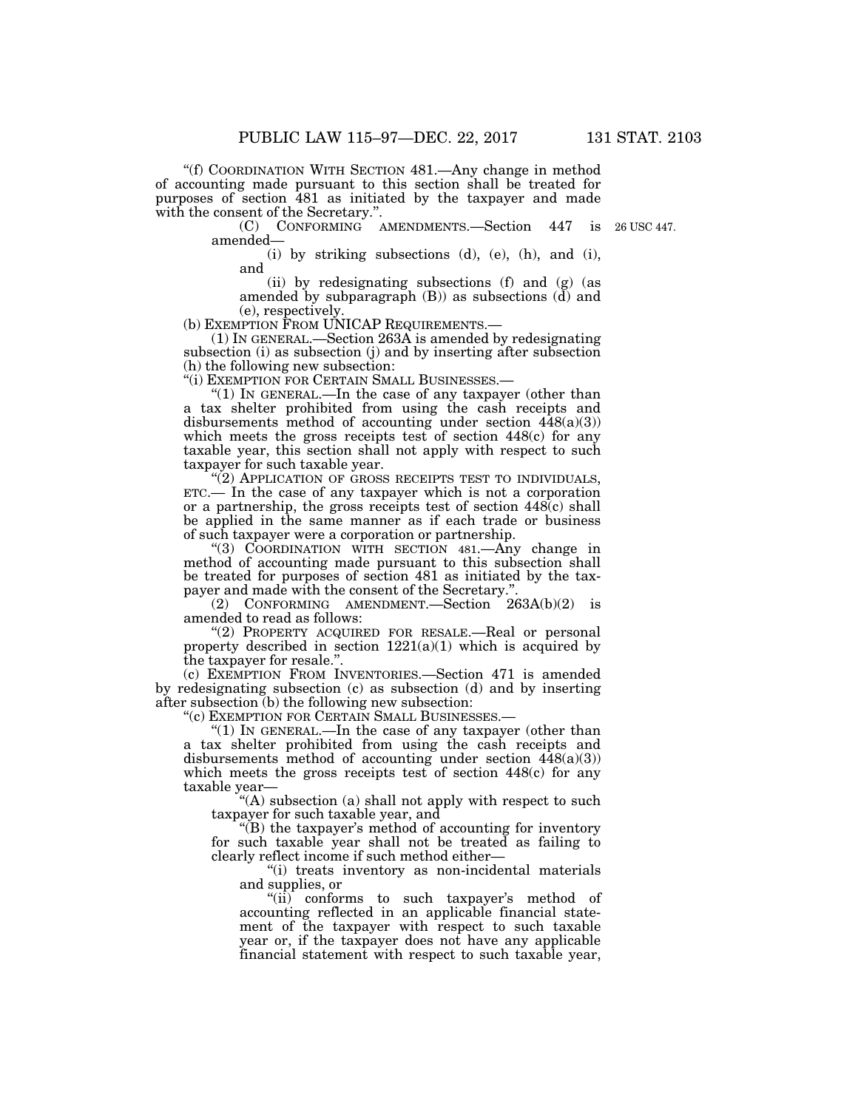''(f) COORDINATION WITH SECTION 481.—Any change in method of accounting made pursuant to this section shall be treated for purposes of section 481 as initiated by the taxpayer and made with the consent of the Secretary.''.

> (C) CONFORMING AMENDMENTS.—Section 447 is 26 USC 447. amended—

(i) by striking subsections (d), (e), (h), and (i), and

(ii) by redesignating subsections (f) and (g) (as amended by subparagraph (B)) as subsections (d) and (e), respectively.<br>(b) EXEMPTION FROM UNICAP REQUIREMENTS.

 $(1)$  In GENERAL.—Section 263A is amended by redesignating subsection (i) as subsection (j) and by inserting after subsection (h) the following new subsection:<br>"(i) EXEMPTION FOR CERTAIN SMALL BUSINESSES.—

"(1) IN GENERAL  $\text{In the case of any tary layer (other than }$ a tax shelter prohibited from using the cash receipts and disbursements method of accounting under section  $448(a)(3)$ ) which meets the gross receipts test of section 448(c) for any taxable year, this section shall not apply with respect to such taxpayer for such taxable year.

"(2) APPLICATION OF GROSS RECEIPTS TEST TO INDIVIDUALS, ETC.— In the case of any taxpayer which is not a corporation or a partnership, the gross receipts test of section  $448(c)$  shall be applied in the same manner as if each trade or business of such taxpayer were a corporation or partnership.

''(3) COORDINATION WITH SECTION 481.—Any change in method of accounting made pursuant to this subsection shall be treated for purposes of section 481 as initiated by the taxpayer and made with the consent of the Secretary.'

(2) CONFORMING AMENDMENT.—Section  $263A(b)(2)$  is amended to read as follows:

"(2) PROPERTY ACQUIRED FOR RESALE.—Real or personal property described in section  $1221(a)(1)$  which is acquired by the taxpayer for resale.''.

(c) EXEMPTION FROM INVENTORIES.—Section 471 is amended by redesignating subsection (c) as subsection (d) and by inserting after subsection (b) the following new subsection:

''(c) EXEMPTION FOR CERTAIN SMALL BUSINESSES.—

"(1) In GENERAL.—In the case of any taxpayer (other than a tax shelter prohibited from using the cash receipts and disbursements method of accounting under section  $448(a)(3)$ which meets the gross receipts test of section 448(c) for any taxable year—

"(A) subsection (a) shall not apply with respect to such taxpayer for such taxable year, and

''(B) the taxpayer's method of accounting for inventory for such taxable year shall not be treated as failing to clearly reflect income if such method either—

''(i) treats inventory as non-incidental materials and supplies, or

"(ii) conforms to such taxpayer's method of accounting reflected in an applicable financial statement of the taxpayer with respect to such taxable year or, if the taxpayer does not have any applicable financial statement with respect to such taxable year,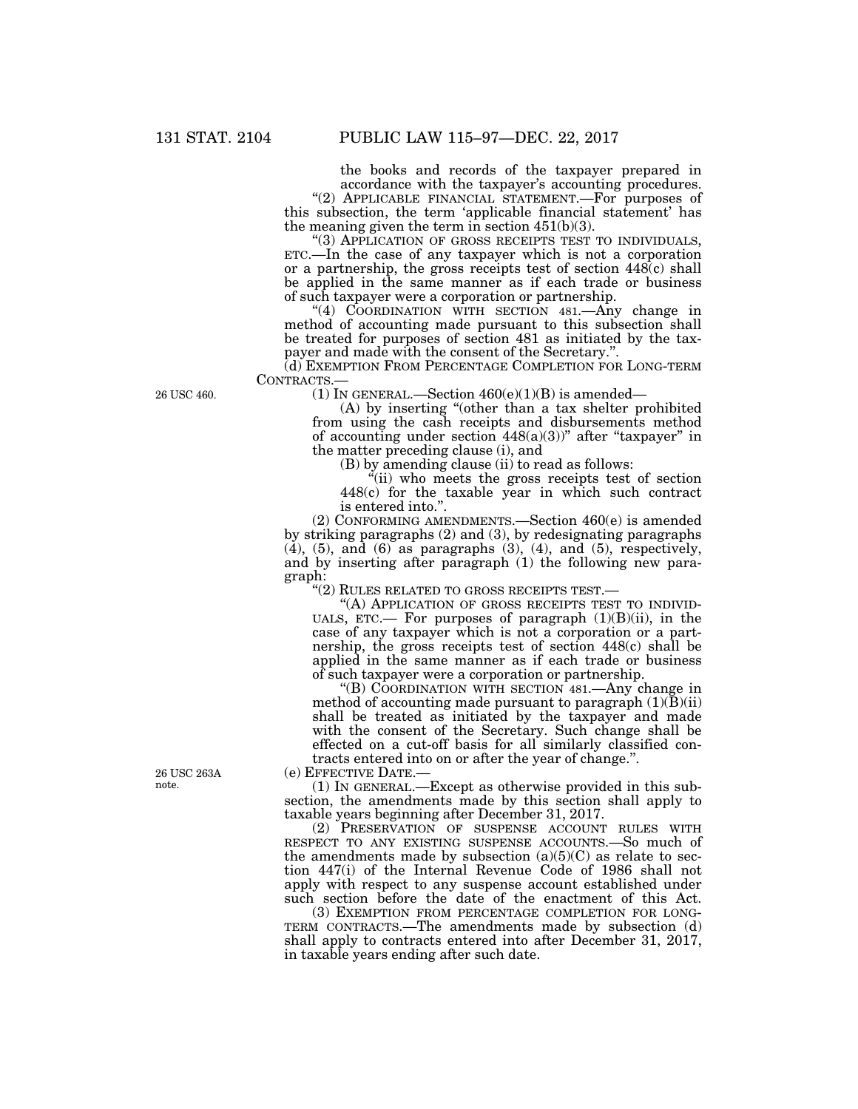the books and records of the taxpayer prepared in accordance with the taxpayer's accounting procedures.

"(2) APPLICABLE FINANCIAL STATEMENT.—For purposes of this subsection, the term 'applicable financial statement' has the meaning given the term in section  $451(b)(3)$ .<br>
"(3) APPLICATION OF GROSS RECEIPTS TEST TO INDIVIDUALS,

ETC.—In the case of any taxpayer which is not a corporation or a partnership, the gross receipts test of section  $448(c)$  shall be applied in the same manner as if each trade or business of such taxpayer were a corporation or partnership.

''(4) COORDINATION WITH SECTION 481.—Any change in method of accounting made pursuant to this subsection shall be treated for purposes of section 481 as initiated by the taxpayer and made with the consent of the Secretary."

(d) EXEMPTION FROM PERCENTAGE COMPLETION FOR LONG-TERM CONTRACTS.—<br>(1) IN GENERAL.—Section 460(e)(1)(B) is amended—

(A) by inserting ''(other than a tax shelter prohibited from using the cash receipts and disbursements method of accounting under section  $448(a)(3)$ " after "taxpayer" in the matter preceding clause (i), and

(B) by amending clause (ii) to read as follows:

 $\ddot{f}$ (ii) who meets the gross receipts test of section 448(c) for the taxable year in which such contract is entered into.''.

(2) CONFORMING AMENDMENTS.—Section 460(e) is amended by striking paragraphs (2) and (3), by redesignating paragraphs  $(4)$ ,  $(5)$ , and  $(6)$  as paragraphs  $(3)$ ,  $(4)$ , and  $(5)$ , respectively, and by inserting after paragraph (1) the following new paragraph:

''(2) RULES RELATED TO GROSS RECEIPTS TEST.—

"(A) APPLICATION OF GROSS RECEIPTS TEST TO INDIVID-UALS, ETC.— For purposes of paragraph  $(1)(B)(ii)$ , in the case of any taxpayer which is not a corporation or a partnership, the gross receipts test of section 448(c) shall be applied in the same manner as if each trade or business of such taxpayer were a corporation or partnership.

''(B) COORDINATION WITH SECTION 481.—Any change in method of accounting made pursuant to paragraph  $(1)(\bar{B})(ii)$ shall be treated as initiated by the taxpayer and made with the consent of the Secretary. Such change shall be effected on a cut-off basis for all similarly classified contracts entered into on or after the year of change.''.

(e) EFFECTIVE DATE.—

(1) IN GENERAL.—Except as otherwise provided in this subsection, the amendments made by this section shall apply to taxable years beginning after December 31, 2017.

(2) PRESERVATION OF SUSPENSE ACCOUNT RULES WITH RESPECT TO ANY EXISTING SUSPENSE ACCOUNTS.—So much of the amendments made by subsection  $(a)(5)(C)$  as relate to section 447(i) of the Internal Revenue Code of 1986 shall not apply with respect to any suspense account established under such section before the date of the enactment of this Act.

(3) EXEMPTION FROM PERCENTAGE COMPLETION FOR LONG-TERM CONTRACTS.—The amendments made by subsection (d) shall apply to contracts entered into after December 31, 2017, in taxable years ending after such date.

26 USC 460.

26 USC 263A note.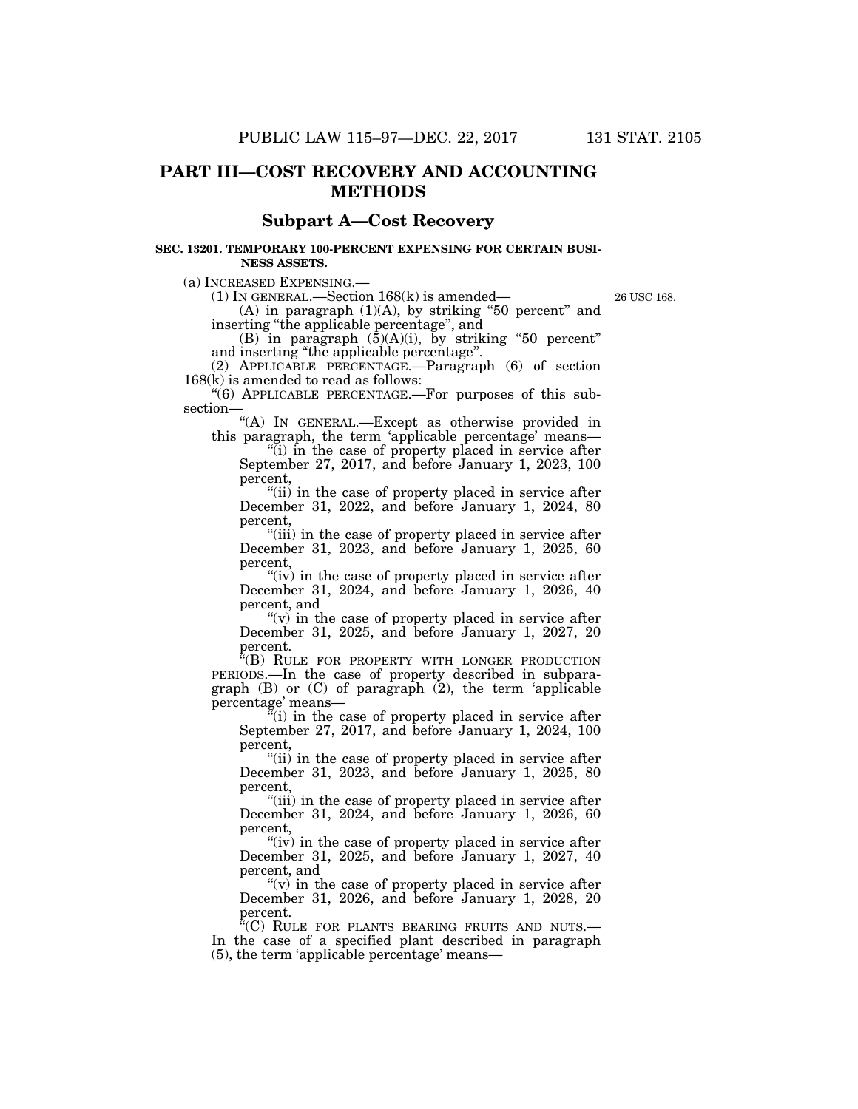# **PART III—COST RECOVERY AND ACCOUNTING METHODS**

### **Subpart A—Cost Recovery**

### **SEC. 13201. TEMPORARY 100-PERCENT EXPENSING FOR CERTAIN BUSI-NESS ASSETS.**

(a) INCREASED EXPENSING.—

(1) IN GENERAL.—Section 168(k) is amended—

 $(A)$  in paragraph  $(1)(A)$ , by striking "50 percent" and inserting ''the applicable percentage'', and

26 USC 168.

(B) in paragraph  $(\bar{5})(A)(i)$ , by striking "50 percent" and inserting ''the applicable percentage''.

(2) APPLICABLE PERCENTAGE.—Paragraph (6) of section 168(k) is amended to read as follows:

''(6) APPLICABLE PERCENTAGE.—For purposes of this subsection—

"(A) IN GENERAL.—Except as otherwise provided in this paragraph, the term 'applicable percentage' means—

''(i) in the case of property placed in service after September 27, 2017, and before January 1, 2023, 100 percent,

"(ii) in the case of property placed in service after December 31, 2022, and before January 1, 2024, 80 percent,

"(iii) in the case of property placed in service after December 31, 2023, and before January 1, 2025, 60 percent,

"(iv) in the case of property placed in service after December 31, 2024, and before January 1, 2026, 40 percent, and

" $(v)$  in the case of property placed in service after December 31, 2025, and before January 1, 2027, 20 percent.

"(B) RULE FOR PROPERTY WITH LONGER PRODUCTION PERIODS.—In the case of property described in subparagraph  $(B)$  or  $(C)$  of paragraph  $(2)$ , the term 'applicable percentage' means—

 $\tilde{f}(i)$  in the case of property placed in service after September 27, 2017, and before January 1, 2024, 100 percent,

"(ii) in the case of property placed in service after December 31, 2023, and before January 1, 2025, 80 percent,

''(iii) in the case of property placed in service after December 31, 2024, and before January 1, 2026, 60 percent,

"(iv) in the case of property placed in service after December 31, 2025, and before January 1, 2027, 40 percent, and

" $(v)$  in the case of property placed in service after December 31, 2026, and before January 1, 2028, 20 percent.

"(C) RULE FOR PLANTS BEARING FRUITS AND NUTS.— In the case of a specified plant described in paragraph (5), the term 'applicable percentage' means—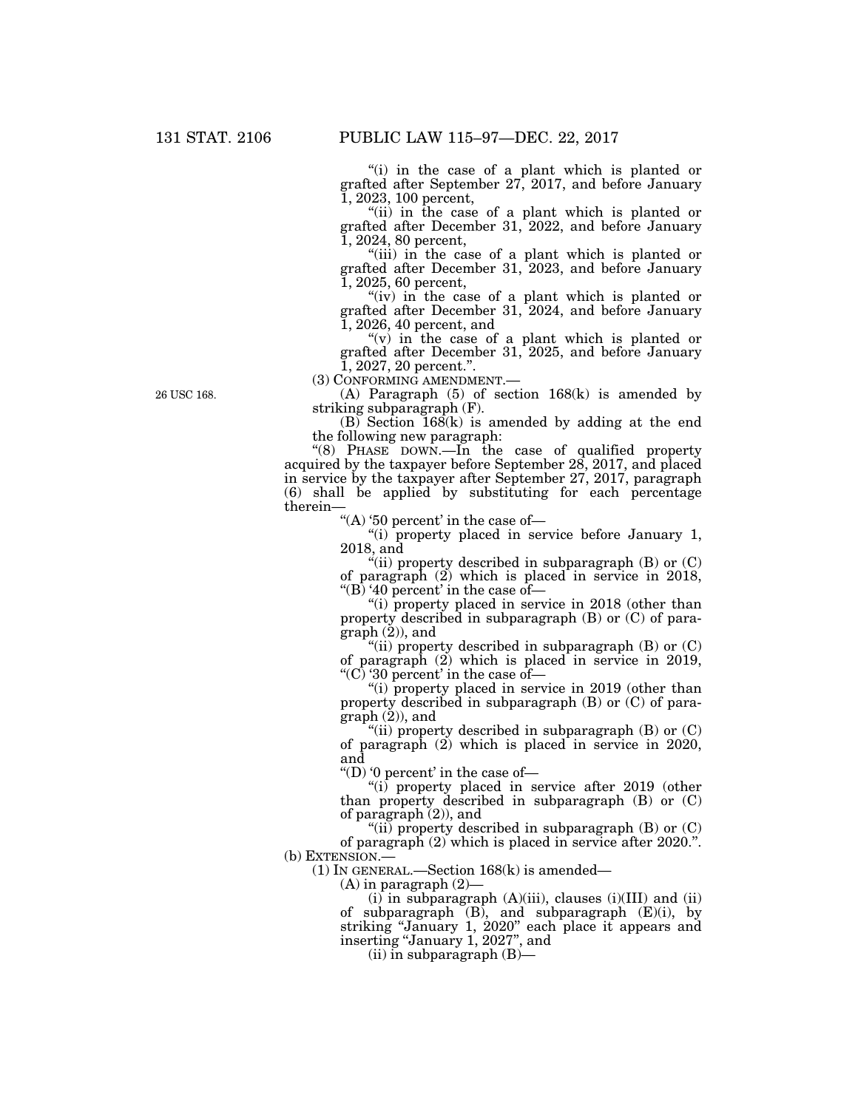"(i) in the case of a plant which is planted or grafted after September 27, 2017, and before January 1, 2023, 100 percent,

"(ii) in the case of a plant which is planted or grafted after December 31, 2022, and before January 1, 2024, 80 percent,

"(iii) in the case of a plant which is planted or grafted after December 31, 2023, and before January 1, 2025, 60 percent,

"(iv) in the case of a plant which is planted or grafted after December 31, 2024, and before January 1, 2026, 40 percent, and

" $(v)$  in the case of a plant which is planted or grafted after December 31, 2025, and before January  $\tilde{1}$ , 2027, 20 percent.".<br>(3) CONFORMING AMENDMENT.—

(A) Paragraph  $(5)$  of section 168(k) is amended by striking subparagraph (F).

 $(B)$  Section  $168(k)$  is amended by adding at the end the following new paragraph:

''(8) PHASE DOWN.—In the case of qualified property acquired by the taxpayer before September 28, 2017, and placed in service by the taxpayer after September 27, 2017, paragraph  $(6)$  shall be applied by substituting for each percentage therein—

"(A) '50 percent' in the case of-

''(i) property placed in service before January 1, 2018, and

"(ii) property described in subparagraph  $(B)$  or  $(C)$ of paragraph (2) which is placed in service in 2018, "(B) '40 percent' in the case of-

"(i) property placed in service in 2018 (other than property described in subparagraph (B) or (C) of paragraph (2)), and

"(ii) property described in subparagraph  $(B)$  or  $(C)$ of paragraph (2) which is placed in service in 2019, ''(C) '30 percent' in the case of—

"(i) property placed in service in 2019 (other than property described in subparagraph (B) or (C) of paragraph (2)), and

"(ii) property described in subparagraph  $(B)$  or  $(C)$ of paragraph (2) which is placed in service in 2020, and

"(D) '0 percent' in the case of  $-$ 

''(i) property placed in service after 2019 (other than property described in subparagraph (B) or (C) of paragraph (2)), and

"(ii) property described in subparagraph  $(B)$  or  $(C)$ of paragraph (2) which is placed in service after 2020.''. (b) EXTENSION.—

(1) IN GENERAL.—Section 168(k) is amended—

(A) in paragraph (2)—

(i) in subparagraph (A)(iii), clauses (i)(III) and (ii) of subparagraph  $(B)$ , and subparagraph  $(E)(i)$ , by striking ''January 1, 2020'' each place it appears and inserting ''January 1, 2027'', and

 $(ii)$  in subparagraph  $(B)$ —

26 USC 168.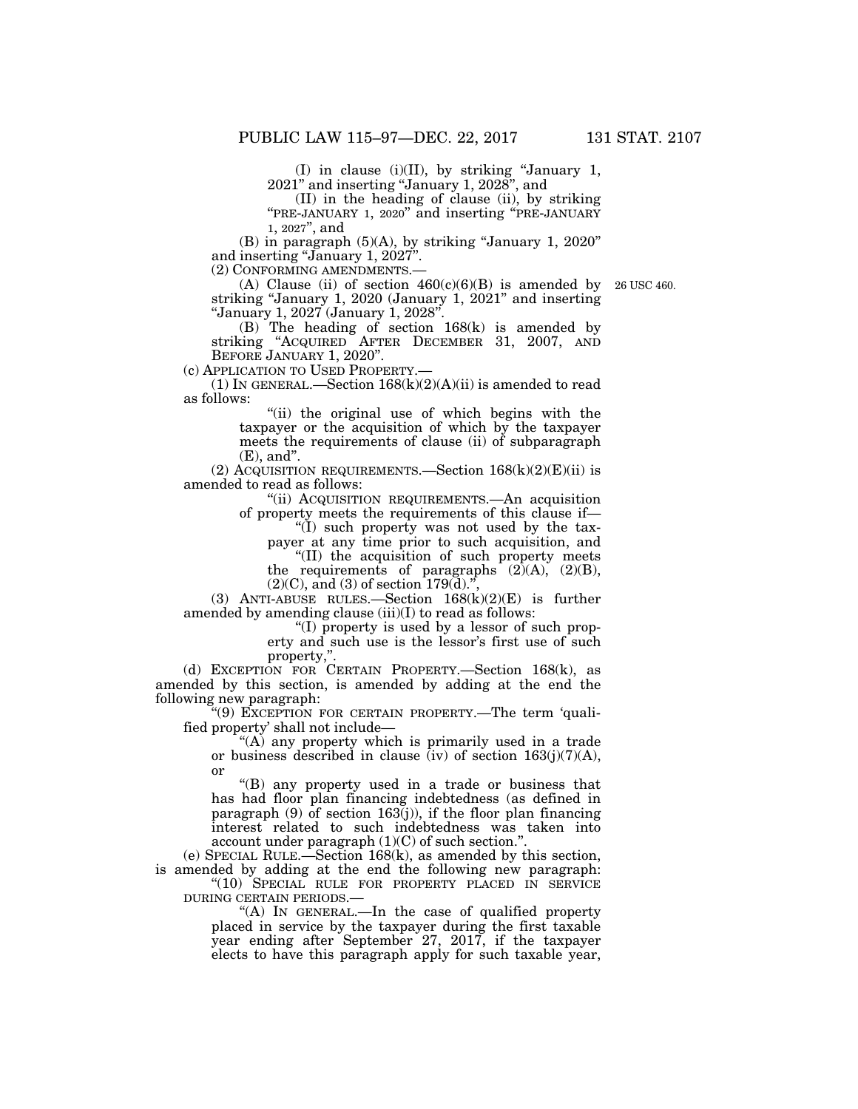(I) in clause (i)(II), by striking ''January 1, 2021'' and inserting ''January 1, 2028'', and

(II) in the heading of clause (ii), by striking ''PRE-JANUARY 1, 2020'' and inserting ''PRE-JANUARY 1, 2027'', and

 $(B)$  in paragraph  $(5)(A)$ , by striking "January 1, 2020" and inserting "January 1, 2027".

(2) CONFORMING AMENDMENTS.—

(A) Clause (ii) of section  $460(c)(6)(B)$  is amended by striking "January 1, 2020 (January 1, 2021" and inserting ''January 1, 2027 (January 1, 2028''.

26 USC 460.

(B) The heading of section 168(k) is amended by striking ''ACQUIRED AFTER DECEMBER 31, 2007, AND BEFORE JANUARY 1, 2020".

(c) APPLICATION TO USED PROPERTY.—

(1) IN GENERAL.—Section  $168(k)(2)(A)(ii)$  is amended to read as follows:

> ''(ii) the original use of which begins with the taxpayer or the acquisition of which by the taxpayer meets the requirements of clause (ii) of subparagraph (E), and''.

(2) ACQUISITION REQUIREMENTS.—Section  $168(k)(2)(E)(ii)$  is amended to read as follows:

''(ii) ACQUISITION REQUIREMENTS.—An acquisition of property meets the requirements of this clause if—

''(I) such property was not used by the tax-

payer at any time prior to such acquisition, and ''(II) the acquisition of such property meets

the requirements of paragraphs  $(2)(A)$ ,  $(2)(B)$ ,

 $(2)(C)$ , and  $(3)$  of section 179 $(d)$ .",

(3) ANTI-ABUSE RULES.—Section 168(k)(2)(E) is further amended by amending clause (iii)(I) to read as follows:

''(I) property is used by a lessor of such property and such use is the lessor's first use of such property,''.

(d) EXCEPTION FOR CERTAIN PROPERTY.—Section 168(k), as amended by this section, is amended by adding at the end the following new paragraph:

''(9) EXCEPTION FOR CERTAIN PROPERTY.—The term 'qualified property' shall not include—

''(A) any property which is primarily used in a trade or business described in clause (iv) of section  $163(j)(7)(A)$ , or

''(B) any property used in a trade or business that has had floor plan financing indebtedness (as defined in paragraph  $(9)$  of section 163 $(j)$ ), if the floor plan financing interest related to such indebtedness was taken into account under paragraph (1)(C) of such section.'

(e) SPECIAL RULE.—Section 168(k), as amended by this section, is amended by adding at the end the following new paragraph: "(10) SPECIAL RULE FOR PROPERTY PLACED IN SERVICE

DURING CERTAIN PERIODS.—

''(A) IN GENERAL.—In the case of qualified property placed in service by the taxpayer during the first taxable year ending after September 27, 2017, if the taxpayer elects to have this paragraph apply for such taxable year,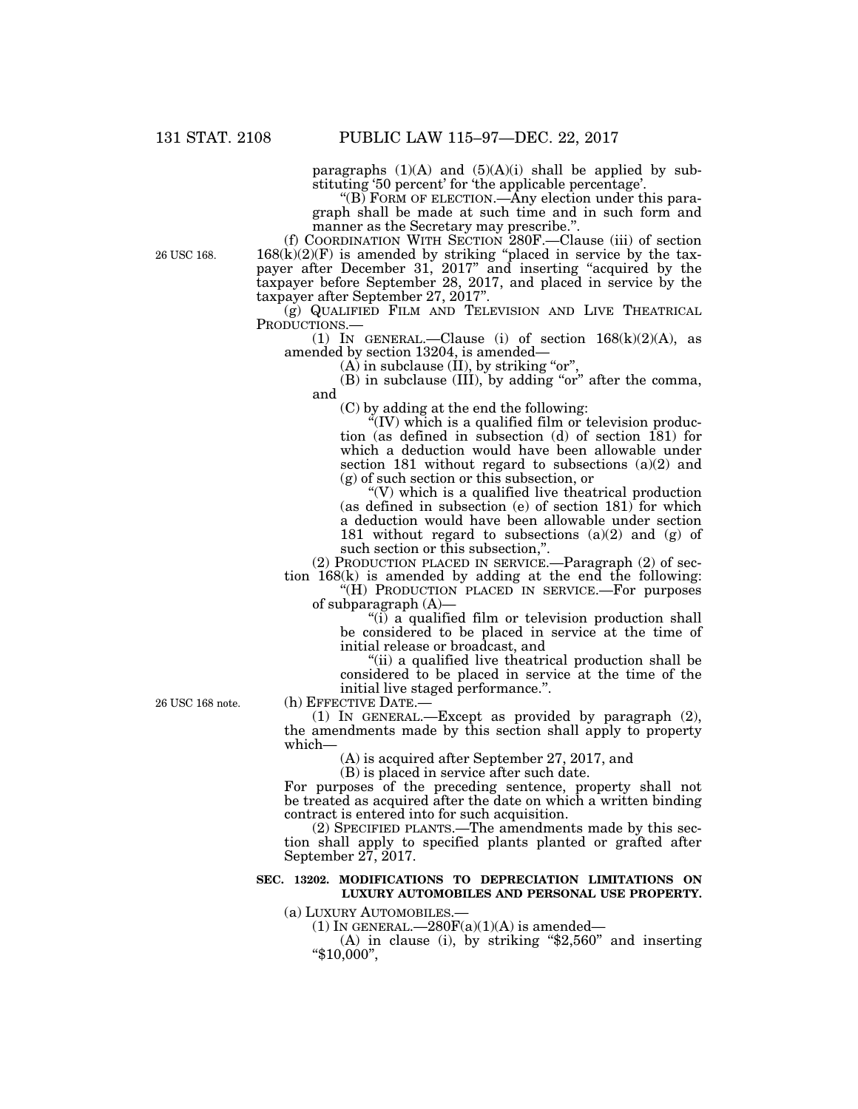paragraphs  $(1)(A)$  and  $(5)(A)(i)$  shall be applied by substituting '50 percent' for 'the applicable percentage'.

"(B) FORM OF ELECTION.—Any election under this paragraph shall be made at such time and in such form and manner as the Secretary may prescribe."

(f) COORDINATION WITH SECTION 280F.—Clause (iii) of section  $168(k)(2)(F)$  is amended by striking "placed in service by the taxpayer after December 31, 2017" and inserting "acquired by the taxpayer before September 28, 2017, and placed in service by the taxpayer after September 27, 2017''.

(g) QUALIFIED FILM AND TELEVISION AND LIVE THEATRICAL PRODUCTIONS.—<br>
(1) IN GENERAL.—Clause (i) of section 168(k)(2)(A), as

amended by section 13204, is amended—

 $(A)$  in subclause  $(II)$ , by striking "or",

 $(B)$  in subclause  $(\overline{III})$ , by adding "or" after the comma, and

(C) by adding at the end the following:

 $\rm ^{4}(IV)$  which is a qualified film or television production (as defined in subsection (d) of section 181) for which a deduction would have been allowable under section 181 without regard to subsections (a)(2) and (g) of such section or this subsection, or

 $\sqrt{\rm W}$  which is a qualified live theatrical production (as defined in subsection (e) of section 181) for which a deduction would have been allowable under section 181 without regard to subsections  $(a)(2)$  and  $(g)$  of such section or this subsection,''.

(2) PRODUCTION PLACED IN SERVICE.—Paragraph (2) of section 168(k) is amended by adding at the end the following:

"(H) PRODUCTION PLACED IN SERVICE.—For purposes of subparagraph (A)—

" $(i)$  a qualified film or television production shall be considered to be placed in service at the time of initial release or broadcast, and

''(ii) a qualified live theatrical production shall be considered to be placed in service at the time of the initial live staged performance.''.

26 USC 168 note.

(h) EFFECTIVE DATE.—

(1) IN GENERAL.—Except as provided by paragraph (2), the amendments made by this section shall apply to property which—

(A) is acquired after September 27, 2017, and

(B) is placed in service after such date.

For purposes of the preceding sentence, property shall not be treated as acquired after the date on which a written binding contract is entered into for such acquisition.

(2) SPECIFIED PLANTS.—The amendments made by this section shall apply to specified plants planted or grafted after September 27, 2017.

### **SEC. 13202. MODIFICATIONS TO DEPRECIATION LIMITATIONS ON LUXURY AUTOMOBILES AND PERSONAL USE PROPERTY.**

(a) LUXURY AUTOMOBILES.—

(1) IN GENERAL.— $280F(a)(1)(A)$  is amended—

(A) in clause (i), by striking " $$2,560"$  and inserting ''\$10,000'',

26 USC 168.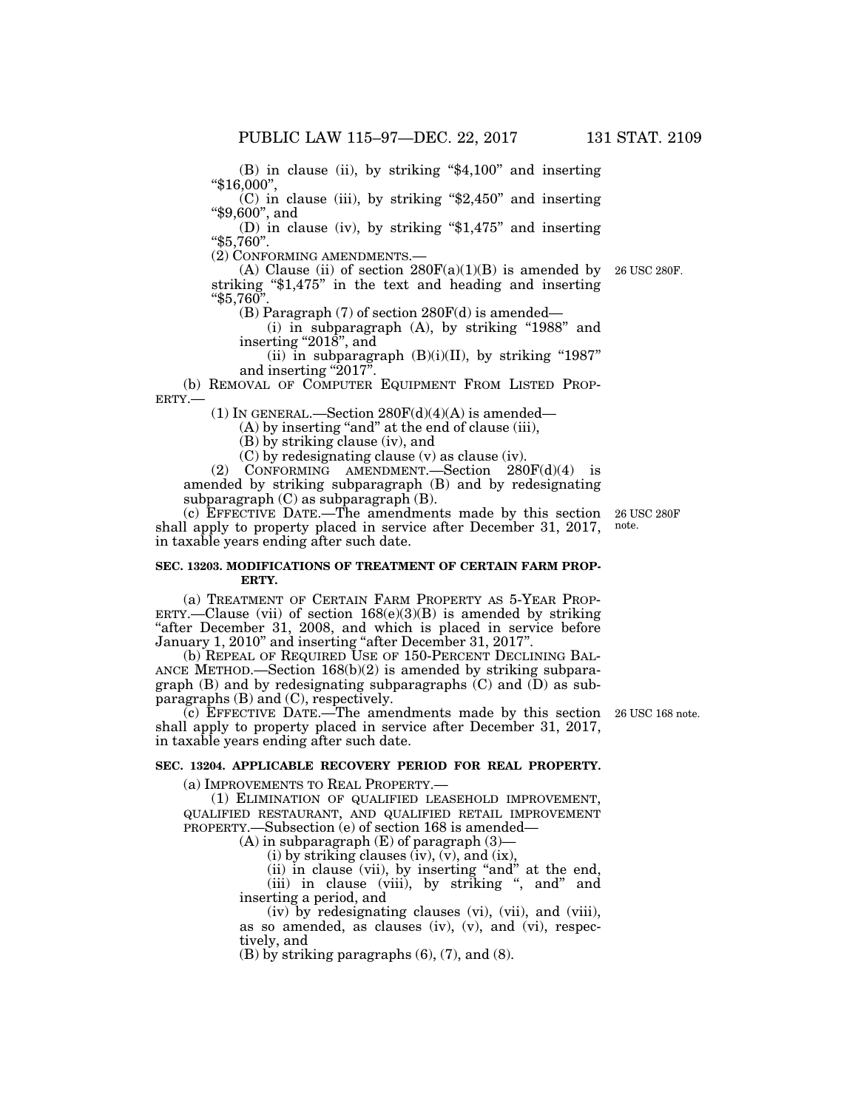(B) in clause (ii), by striking ''\$4,100'' and inserting ''\$16,000'',

 $(C)$  in clause (iii), by striking "\$2,450" and inserting ''\$9,600'', and

(D) in clause (iv), by striking ''\$1,475'' and inserting ''\$5,760''.

(2) CONFORMING AMENDMENTS.—

(A) Clause (ii) of section  $280F(a)(1)(B)$  is amended by 26 USC 280F. striking "\$1,475" in the text and heading and inserting ''\$5,760''.

(B) Paragraph  $(7)$  of section  $280F(d)$  is amended—

(i) in subparagraph (A), by striking "1988" and inserting " $2018$ ", and

(ii) in subparagraph  $(B)(i)(II)$ , by striking "1987" and inserting "2017".

(b) REMOVAL OF COMPUTER EQUIPMENT FROM LISTED PROP-ERTY.—

(1) IN GENERAL.—Section  $280F(d)(4)(A)$  is amended—

 $(A)$  by inserting "and" at the end of clause (iii),

(B) by striking clause (iv), and

 $(C)$  by redesignating clause  $(v)$  as clause  $(iv)$ .

(2) CONFORMING AMENDMENT.—Section 280F(d)(4) is amended by striking subparagraph (B) and by redesignating subparagraph  $(C)$  as subparagraph  $(B)$ .

(c) EFFECTIVE DATE.—The amendments made by this section shall apply to property placed in service after December 31, 2017, in taxable years ending after such date.

### **SEC. 13203. MODIFICATIONS OF TREATMENT OF CERTAIN FARM PROP-ERTY.**

(a) TREATMENT OF CERTAIN FARM PROPERTY AS 5-YEAR PROP-ERTY.—Clause (vii) of section  $168(e)(3)(B)$  is amended by striking "after December 31, 2008, and which is placed in service before January 1, 2010'' and inserting ''after December 31, 2017''.

(b) REPEAL OF REQUIRED USE OF 150-PERCENT DECLINING BAL-ANCE METHOD.—Section 168(b)(2) is amended by striking subparagraph (B) and by redesignating subparagraphs  $(C)$  and  $(D)$  as subparagraphs (B) and (C), respectively.

(c) EFFECTIVE DATE.—The amendments made by this section 26 USC 168 note. shall apply to property placed in service after December 31, 2017, in taxable years ending after such date.

### **SEC. 13204. APPLICABLE RECOVERY PERIOD FOR REAL PROPERTY.**

(a) IMPROVEMENTS TO REAL PROPERTY.—

(1) ELIMINATION OF QUALIFIED LEASEHOLD IMPROVEMENT, QUALIFIED RESTAURANT, AND QUALIFIED RETAIL IMPROVEMENT PROPERTY.—Subsection (e) of section 168 is amended—

 $(A)$  in subparagraph  $(E)$  of paragraph  $(3)$ —

(i) by striking clauses  $(iv)$ ,  $(v)$ , and  $(ix)$ ,

(ii) in clause (vii), by inserting "and" at the end, (iii) in clause (viii), by striking ", and" and inserting a period, and

(iv) by redesignating clauses (vi), (vii), and (viii), as so amended, as clauses (iv), (v), and (vi), respectively, and

(B) by striking paragraphs (6), (7), and (8).

26 USC 280F note.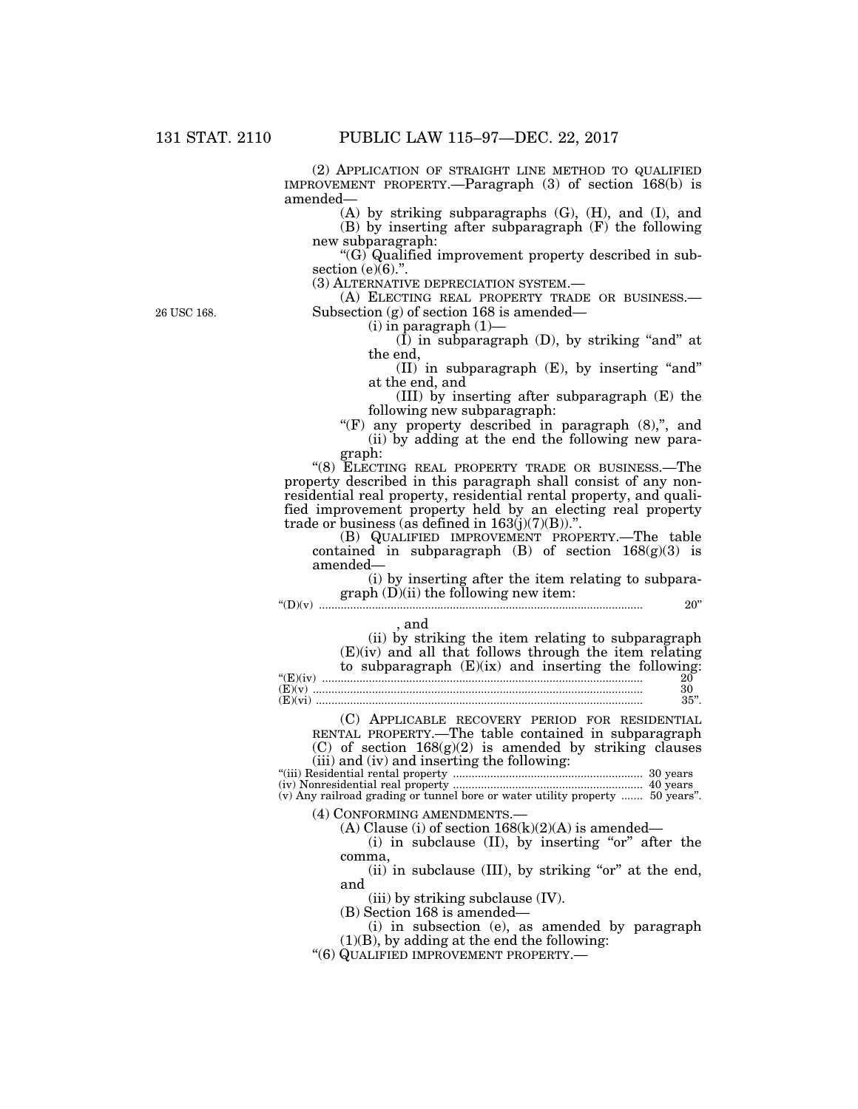(2) APPLICATION OF STRAIGHT LINE METHOD TO QUALIFIED IMPROVEMENT PROPERTY.—Paragraph (3) of section 168(b) is amended—

(A) by striking subparagraphs (G), (H), and (I), and (B) by inserting after subparagraph (F) the following new subparagraph:

''(G) Qualified improvement property described in subsection  $(e)(6)$ .".

(3) ALTERNATIVE DEPRECIATION SYSTEM.—

(A) ELECTING REAL PROPERTY TRADE OR BUSINESS.— Subsection (g) of section 168 is amended—

(i) in paragraph (1)—

 $(I)$  in subparagraph  $(D)$ , by striking "and" at the end,

 $(II)$  in subparagraph  $(E)$ , by inserting "and" at the end, and

(III) by inserting after subparagraph (E) the following new subparagraph:

" $(F)$  any property described in paragraph  $(8)$ ,", and (ii) by adding at the end the following new paragraph:

"(8) ELECTING REAL PROPERTY TRADE OR BUSINESS.—The property described in this paragraph shall consist of any nonresidential real property, residential rental property, and qualified improvement property held by an electing real property trade or business (as defined in  $163(j)(7)(B)$ )."

(B) QUALIFIED IMPROVEMENT PROPERTY.—The table contained in subparagraph (B) of section  $168(g)(3)$  is amended—

(i) by inserting after the item relating to subpara $graph (D)(ii)$  the following new item: ''(D)(v) ........................................................................................................ 20''

, and

| (ii) by striking the item relating to subparagraph       |  |
|----------------------------------------------------------|--|
| $(E)(iv)$ and all that follows through the item relating |  |
| to subparagraph $(E)(ix)$ and inserting the following:   |  |
| 20                                                       |  |
| 30                                                       |  |
| 35"                                                      |  |
|                                                          |  |

(C) APPLICABLE RECOVERY PERIOD FOR RESIDENTIAL RENTAL PROPERTY.—The table contained in subparagraph

 $(C)$  of section  $168(g)(2)$  is amended by striking clauses (iii) and (iv) and inserting the following:

''(iii) Residential rental property ............................................................. 30 years (iv) Nonresidential real property ............................................................. 40 years (v) Any railroad grading or tunnel bore or water utility property ....... 50 years''.

(4) CONFORMING AMENDMENTS.—

(A) Clause (i) of section  $168(k)(2)(A)$  is amended—

(i) in subclause  $(II)$ , by inserting "or" after the

comma,

 $(ii)$  in subclause (III), by striking "or" at the end, and

(iii) by striking subclause (IV).

(B) Section 168 is amended—

(i) in subsection (e), as amended by paragraph (1)(B), by adding at the end the following:

''(6) QUALIFIED IMPROVEMENT PROPERTY.—

26 USC 168.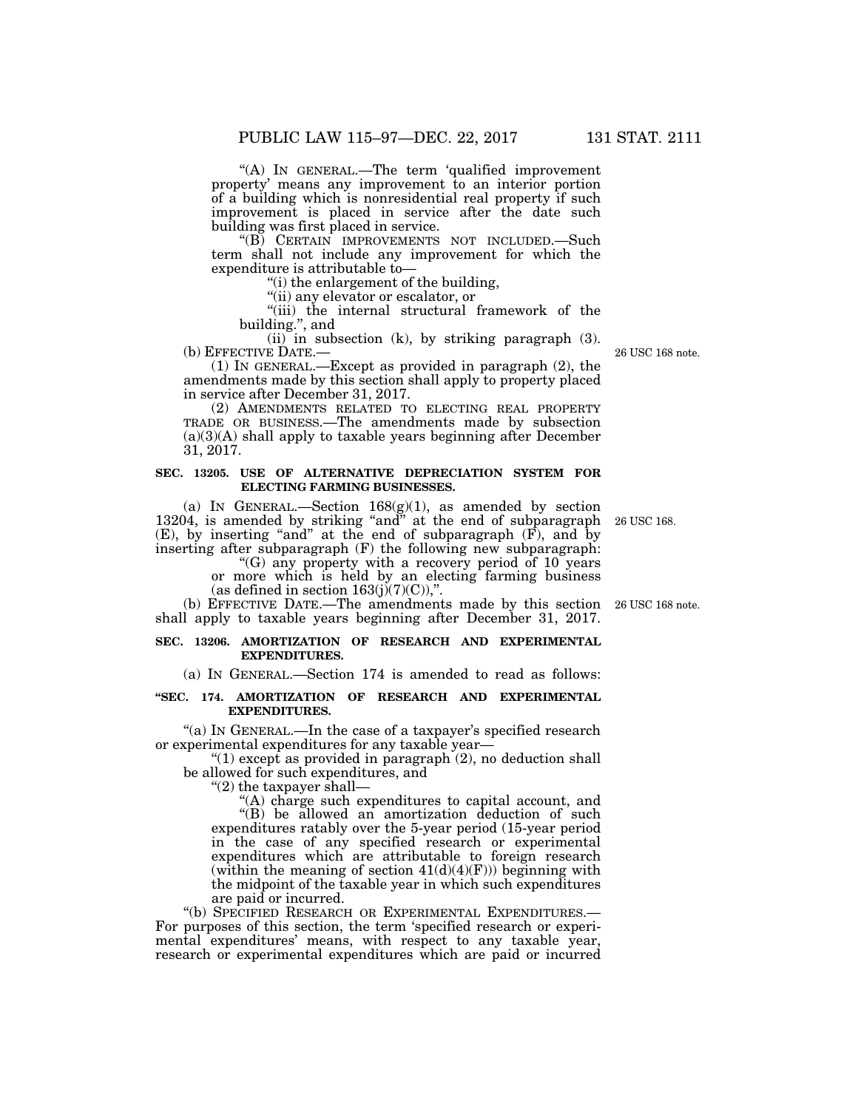''(A) IN GENERAL.—The term 'qualified improvement property' means any improvement to an interior portion of a building which is nonresidential real property if such improvement is placed in service after the date such building was first placed in service.

''(B) CERTAIN IMPROVEMENTS NOT INCLUDED.—Such term shall not include any improvement for which the expenditure is attributable to—

''(i) the enlargement of the building,

''(ii) any elevator or escalator, or

''(iii) the internal structural framework of the building.'', and

(ii) in subsection (k), by striking paragraph (3).<br>(b) EFFECTIVE DATE.—

(1) IN GENERAL.—Except as provided in paragraph  $(2)$ , the amendments made by this section shall apply to property placed in service after December 31, 2017.

(2) AMENDMENTS RELATED TO ELECTING REAL PROPERTY TRADE OR BUSINESS.—The amendments made by subsection  $(a)(3)(A)$  shall apply to taxable years beginning after December 31, 2017.

#### **SEC. 13205. USE OF ALTERNATIVE DEPRECIATION SYSTEM FOR ELECTING FARMING BUSINESSES.**

(a) IN GENERAL.—Section  $168(g)(1)$ , as amended by section 13204, is amended by striking "and" at the end of subparagraph  $(E)$ , by inserting "and" at the end of subparagraph  $(F)$ , and by inserting after subparagraph (F) the following new subparagraph:

"(G) any property with a recovery period of 10 years or more which is held by an electing farming business (as defined in section  $163(j)(7)(C)$ ),".

(b) EFFECTIVE DATE.—The amendments made by this section 26 USC 168 note. shall apply to taxable years beginning after December 31, 2017.

### **SEC. 13206. AMORTIZATION OF RESEARCH AND EXPERIMENTAL EXPENDITURES.**

(a) IN GENERAL.—Section 174 is amended to read as follows:

#### **''SEC. 174. AMORTIZATION OF RESEARCH AND EXPERIMENTAL EXPENDITURES.**

"(a) IN GENERAL.—In the case of a taxpayer's specified research or experimental expenditures for any taxable year—

" $(1)$  except as provided in paragraph  $(2)$ , no deduction shall be allowed for such expenditures, and

''(2) the taxpayer shall—

''(A) charge such expenditures to capital account, and ''(B) be allowed an amortization deduction of such expenditures ratably over the 5-year period (15-year period in the case of any specified research or experimental expenditures which are attributable to foreign research (within the meaning of section  $41(d)(4)(F))$ ) beginning with the midpoint of the taxable year in which such expenditures are paid or incurred.

''(b) SPECIFIED RESEARCH OR EXPERIMENTAL EXPENDITURES.— For purposes of this section, the term 'specified research or experimental expenditures' means, with respect to any taxable year, research or experimental expenditures which are paid or incurred

26 USC 168.

26 USC 168 note.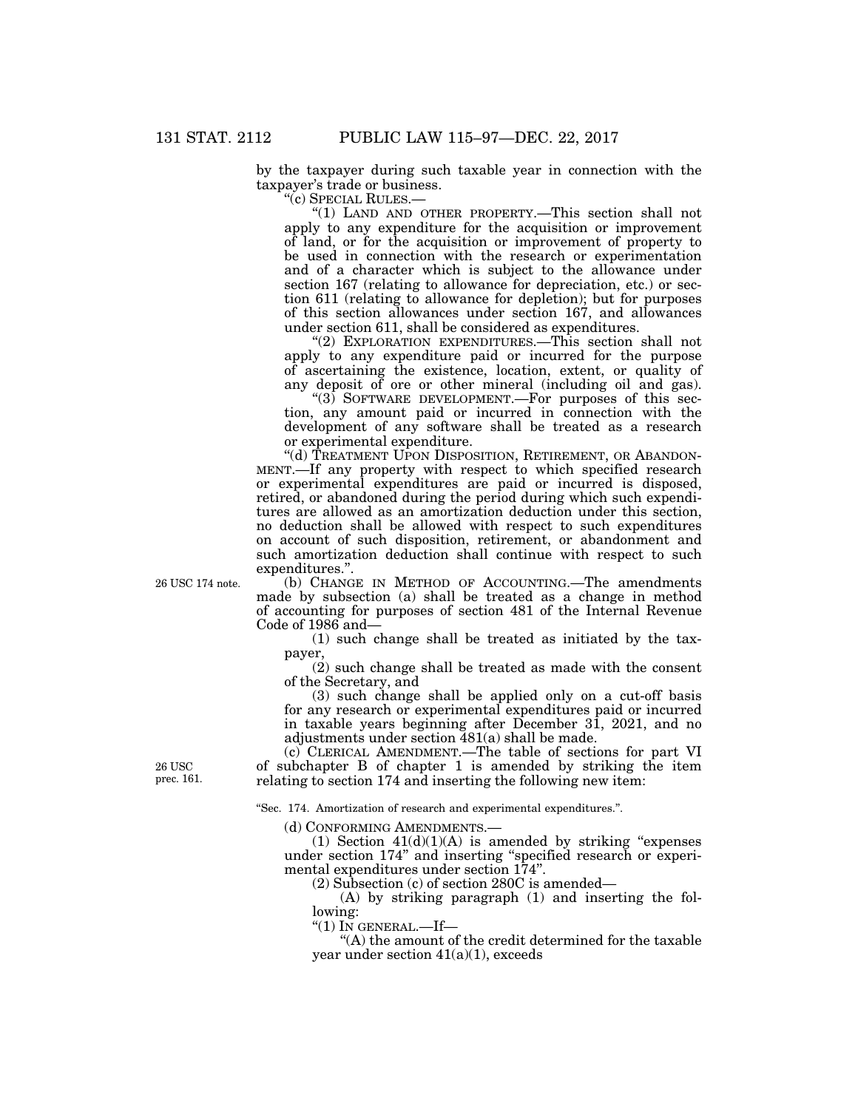by the taxpayer during such taxable year in connection with the taxpayer's trade or business.

''(c) SPECIAL RULES.—

''(1) LAND AND OTHER PROPERTY.—This section shall not apply to any expenditure for the acquisition or improvement of land, or for the acquisition or improvement of property to be used in connection with the research or experimentation and of a character which is subject to the allowance under section 167 (relating to allowance for depreciation, etc.) or section 611 (relating to allowance for depletion); but for purposes of this section allowances under section 167, and allowances under section 611, shall be considered as expenditures.

"(2) EXPLORATION EXPENDITURES.—This section shall not apply to any expenditure paid or incurred for the purpose of ascertaining the existence, location, extent, or quality of any deposit of ore or other mineral (including oil and gas).

 $(3)$  SOFTWARE DEVELOPMENT.—For purposes of this section, any amount paid or incurred in connection with the development of any software shall be treated as a research or experimental expenditure.

"(d) TREATMENT UPON DISPOSITION, RETIREMENT, OR ABANDON-MENT.—If any property with respect to which specified research or experimental expenditures are paid or incurred is disposed, retired, or abandoned during the period during which such expenditures are allowed as an amortization deduction under this section, no deduction shall be allowed with respect to such expenditures on account of such disposition, retirement, or abandonment and such amortization deduction shall continue with respect to such expenditures."

26 USC 174 note.

(b) CHANGE IN METHOD OF ACCOUNTING.—The amendments made by subsection (a) shall be treated as a change in method of accounting for purposes of section 481 of the Internal Revenue Code of 1986 and—

(1) such change shall be treated as initiated by the taxpayer,

(2) such change shall be treated as made with the consent of the Secretary, and

(3) such change shall be applied only on a cut-off basis for any research or experimental expenditures paid or incurred in taxable years beginning after December 31, 2021, and no adjustments under section 481(a) shall be made.

(c) CLERICAL AMENDMENT.—The table of sections for part VI of subchapter B of chapter 1 is amended by striking the item relating to section 174 and inserting the following new item:

''Sec. 174. Amortization of research and experimental expenditures.''.

(d) CONFORMING AMENDMENTS.—

(1) Section  $41(d)(1)(A)$  is amended by striking "expenses" under section 174'' and inserting ''specified research or experimental expenditures under section 174''.

(2) Subsection (c) of section 280C is amended—

(A) by striking paragraph (1) and inserting the following:

''(1) IN GENERAL.—If—

''(A) the amount of the credit determined for the taxable year under section 41(a)(1), exceeds

26 USC prec. 161.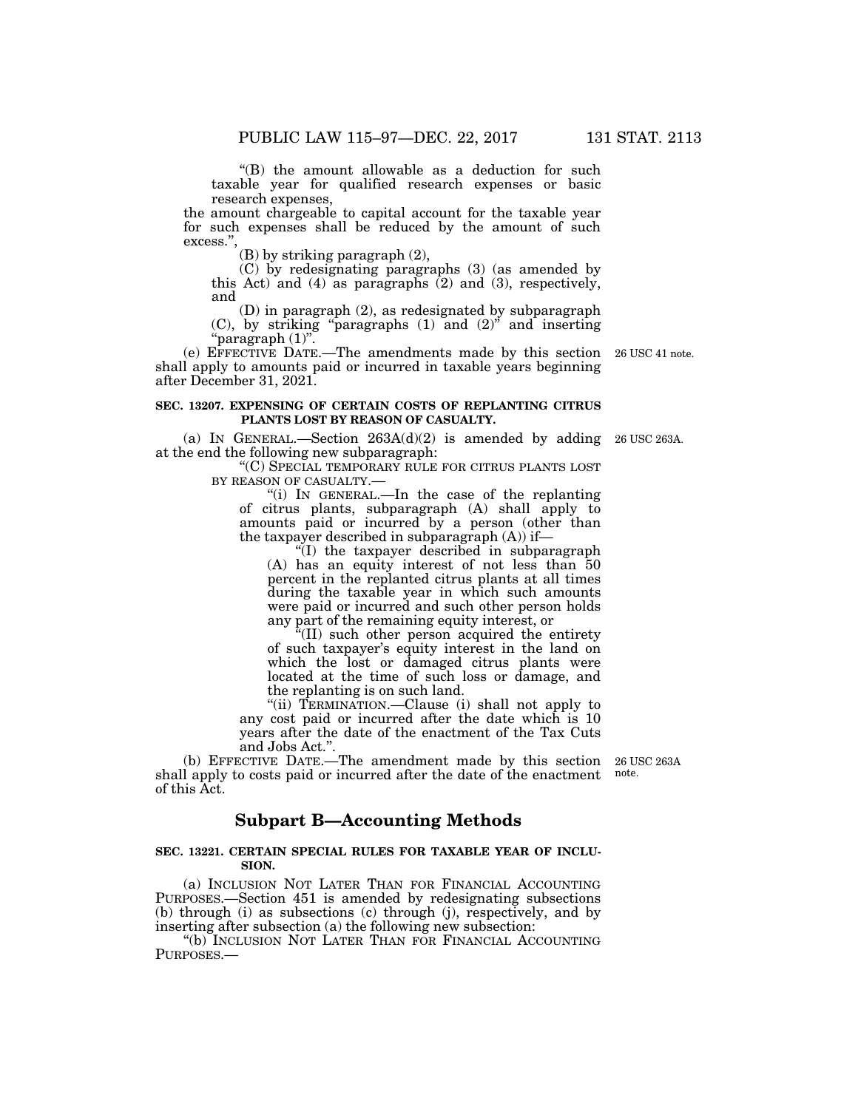''(B) the amount allowable as a deduction for such taxable year for qualified research expenses or basic research expenses,

the amount chargeable to capital account for the taxable year for such expenses shall be reduced by the amount of such excess."

(B) by striking paragraph (2),

(C) by redesignating paragraphs (3) (as amended by this Act) and  $(4)$  as paragraphs  $(2)$  and  $(3)$ , respectively, and

(D) in paragraph (2), as redesignated by subparagraph  $(C)$ , by striking "paragraphs  $(1)$  and  $(2)$ " and inserting ''paragraph (1)''.

(e) EFFECTIVE DATE.—The amendments made by this section 26 USC 41 note. shall apply to amounts paid or incurred in taxable years beginning after December 31, 2021.

#### **SEC. 13207. EXPENSING OF CERTAIN COSTS OF REPLANTING CITRUS PLANTS LOST BY REASON OF CASUALTY.**

(a) IN GENERAL.—Section  $263A(d)(2)$  is amended by adding 26 USC 263A. at the end the following new subparagraph:

''(C) SPECIAL TEMPORARY RULE FOR CITRUS PLANTS LOST BY REASON OF CASUALTY.—

''(i) IN GENERAL.—In the case of the replanting of citrus plants, subparagraph (A) shall apply to amounts paid or incurred by a person (other than the taxpayer described in subparagraph (A)) if—

''(I) the taxpayer described in subparagraph (A) has an equity interest of not less than 50 percent in the replanted citrus plants at all times during the taxable year in which such amounts were paid or incurred and such other person holds any part of the remaining equity interest, or

''(II) such other person acquired the entirety of such taxpayer's equity interest in the land on which the lost or damaged citrus plants were located at the time of such loss or damage, and the replanting is on such land.

"(ii) TERMINATION.—Clause (i) shall not apply to any cost paid or incurred after the date which is 10 years after the date of the enactment of the Tax Cuts and Jobs Act.''.

(b) EFFECTIVE DATE.—The amendment made by this section shall apply to costs paid or incurred after the date of the enactment of this Act.

### **Subpart B—Accounting Methods**

### **SEC. 13221. CERTAIN SPECIAL RULES FOR TAXABLE YEAR OF INCLU-SION.**

(a) INCLUSION NOT LATER THAN FOR FINANCIAL ACCOUNTING PURPOSES.—Section 451 is amended by redesignating subsections (b) through (i) as subsections (c) through (j), respectively, and by inserting after subsection (a) the following new subsection:

''(b) INCLUSION NOT LATER THAN FOR FINANCIAL ACCOUNTING PURPOSES.—

26 USC 263A note.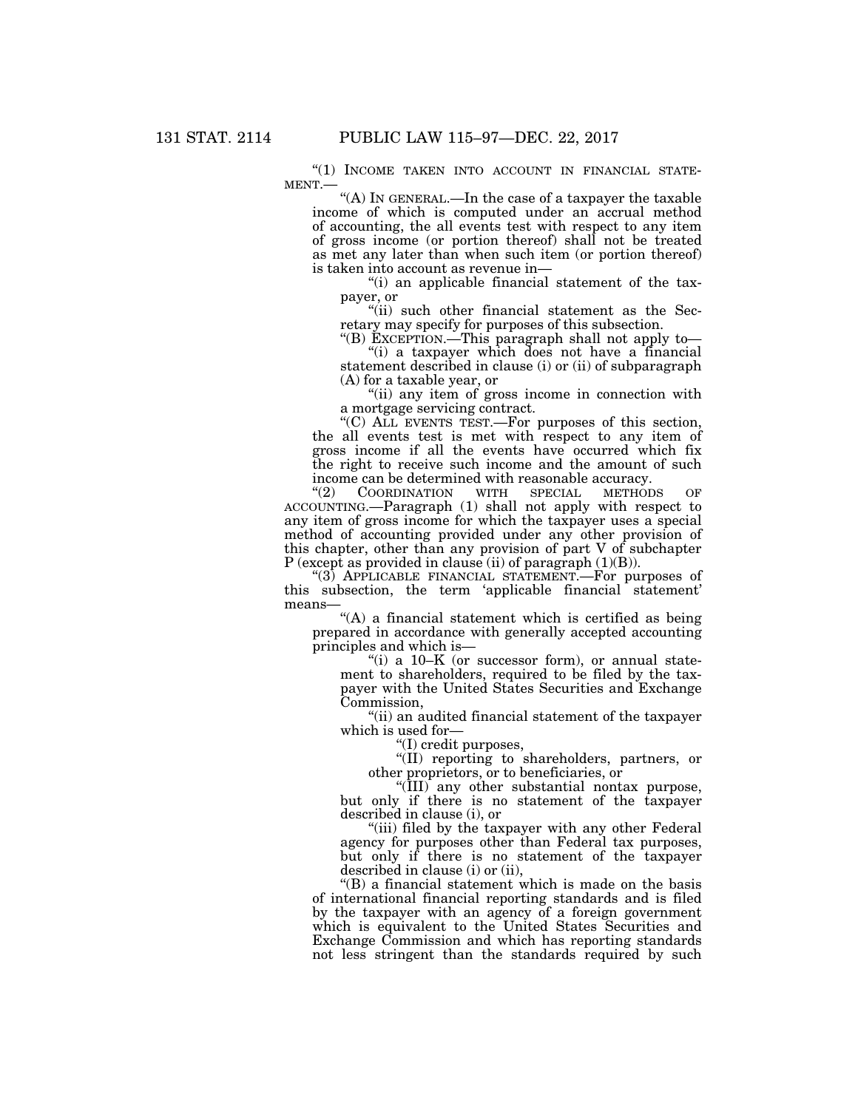"(1) INCOME TAKEN INTO ACCOUNT IN FINANCIAL STATE-MENT.— $\cdot$ "(A) In GENERAL.—In the case of a taxpayer the taxable

income of which is computed under an accrual method of accounting, the all events test with respect to any item of gross income (or portion thereof) shall not be treated as met any later than when such item (or portion thereof) is taken into account as revenue in—

''(i) an applicable financial statement of the taxpayer, or

"(ii) such other financial statement as the Secretary may specify for purposes of this subsection.

''(B) EXCEPTION.—This paragraph shall not apply to— ''(i) a taxpayer which does not have a financial statement described in clause (i) or (ii) of subparagraph (A) for a taxable year, or

''(ii) any item of gross income in connection with a mortgage servicing contract.

''(C) ALL EVENTS TEST.—For purposes of this section, the all events test is met with respect to any item of gross income if all the events have occurred which fix the right to receive such income and the amount of such income can be determined with reasonable accuracy.<br>
"(2) COORDINATION WITH SPECIAL METHODS

COORDINATION ACCOUNTING.—Paragraph (1) shall not apply with respect to any item of gross income for which the taxpayer uses a special method of accounting provided under any other provision of this chapter, other than any provision of part V of subchapter P (except as provided in clause (ii) of paragraph (1)(B)).

''(3) APPLICABLE FINANCIAL STATEMENT.—For purposes of this subsection, the term 'applicable financial statement' means—

"(A) a financial statement which is certified as being prepared in accordance with generally accepted accounting principles and which is—

"(i) a  $10-K$  (or successor form), or annual statement to shareholders, required to be filed by the taxpayer with the United States Securities and Exchange Commission,

''(ii) an audited financial statement of the taxpayer which is used for—

''(I) credit purposes,

''(II) reporting to shareholders, partners, or other proprietors, or to beneficiaries, or

''(III) any other substantial nontax purpose, but only if there is no statement of the taxpayer described in clause (i), or

"(iii) filed by the taxpayer with any other Federal agency for purposes other than Federal tax purposes, but only if there is no statement of the taxpayer described in clause (i) or (ii),

''(B) a financial statement which is made on the basis of international financial reporting standards and is filed by the taxpayer with an agency of a foreign government which is equivalent to the United States Securities and Exchange Commission and which has reporting standards not less stringent than the standards required by such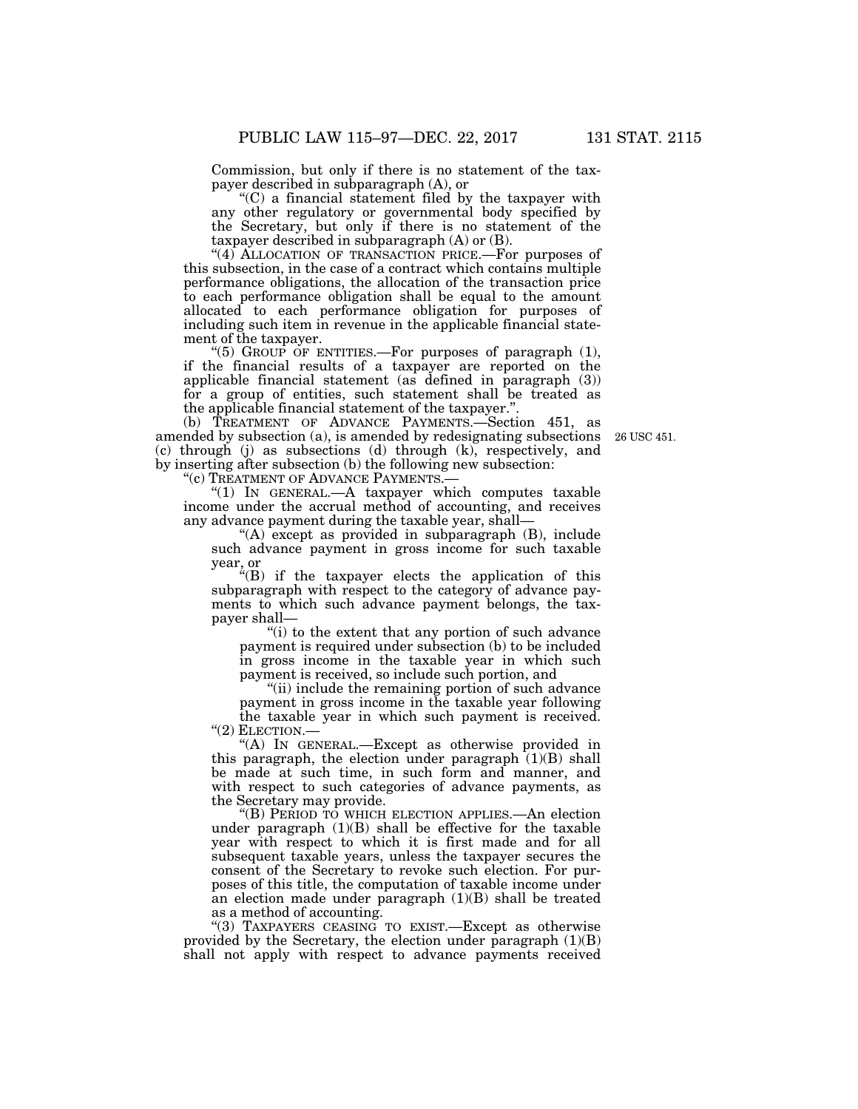Commission, but only if there is no statement of the taxpayer described in subparagraph (A), or

''(C) a financial statement filed by the taxpayer with any other regulatory or governmental body specified by the Secretary, but only if there is no statement of the taxpayer described in subparagraph (A) or (B).

"(4) ALLOCATION OF TRANSACTION PRICE.—For purposes of this subsection, in the case of a contract which contains multiple performance obligations, the allocation of the transaction price to each performance obligation shall be equal to the amount allocated to each performance obligation for purposes of including such item in revenue in the applicable financial statement of the taxpayer.

"(5) GROUP OF ENTITIES.—For purposes of paragraph  $(1)$ , if the financial results of a taxpayer are reported on the applicable financial statement (as defined in paragraph (3)) for a group of entities, such statement shall be treated as the applicable financial statement of the taxpayer.''.

(b) TREATMENT OF ADVANCE PAYMENTS. Section 451, as amended by subsection (a), is amended by redesignating subsections (c) through (j) as subsections (d) through (k), respectively, and by inserting after subsection (b) the following new subsection:

"(c) TREATMENT OF ADVANCE PAYMENTS.-

''(1) IN GENERAL.—A taxpayer which computes taxable income under the accrual method of accounting, and receives any advance payment during the taxable year, shall—

''(A) except as provided in subparagraph (B), include such advance payment in gross income for such taxable year, or

''(B) if the taxpayer elects the application of this subparagraph with respect to the category of advance payments to which such advance payment belongs, the taxpayer shall—

''(i) to the extent that any portion of such advance payment is required under subsection (b) to be included in gross income in the taxable year in which such payment is received, so include such portion, and

"(ii) include the remaining portion of such advance payment in gross income in the taxable year following the taxable year in which such payment is received. ''(2) ELECTION.—

"(A) In GENERAL.—Except as otherwise provided in this paragraph, the election under paragraph  $(1)(B)$  shall be made at such time, in such form and manner, and with respect to such categories of advance payments, as the Secretary may provide.

''(B) PERIOD TO WHICH ELECTION APPLIES.—An election under paragraph  $(1)(B)$  shall be effective for the taxable year with respect to which it is first made and for all subsequent taxable years, unless the taxpayer secures the consent of the Secretary to revoke such election. For purposes of this title, the computation of taxable income under an election made under paragraph (1)(B) shall be treated as a method of accounting.

"(3) TAXPAYERS CEASING TO EXIST.—Except as otherwise provided by the Secretary, the election under paragraph (1)(B) shall not apply with respect to advance payments received

26 USC 451.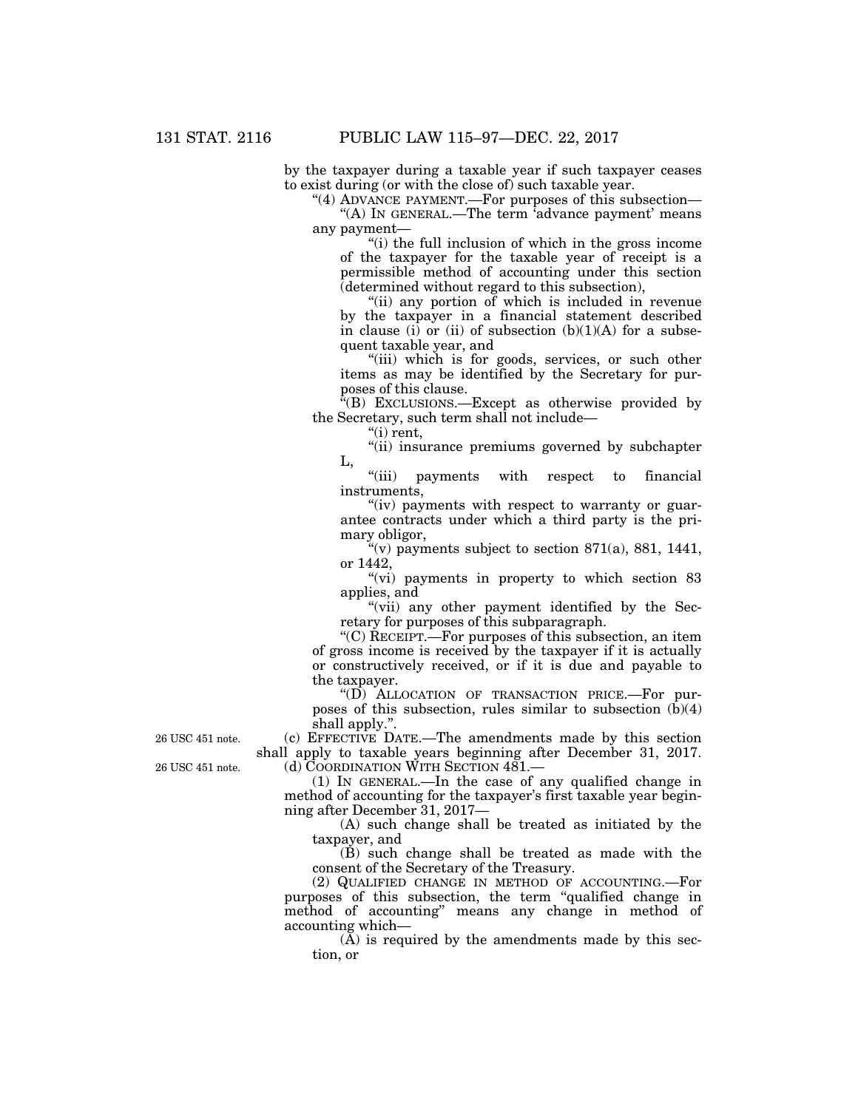by the taxpayer during a taxable year if such taxpayer ceases to exist during (or with the close of) such taxable year.

"(4) ADVANCE PAYMENT.—For purposes of this subsection—

"(A) IN GENERAL.—The term  $\partial^2$  degree payment' means any payment—

''(i) the full inclusion of which in the gross income of the taxpayer for the taxable year of receipt is a permissible method of accounting under this section (determined without regard to this subsection),

''(ii) any portion of which is included in revenue by the taxpayer in a financial statement described in clause (i) or (ii) of subsection  $(b)(1)(A)$  for a subsequent taxable year, and

"(iii) which is for goods, services, or such other items as may be identified by the Secretary for purposes of this clause.

 $E(E)$  Exclusions.—Except as otherwise provided by the Secretary, such term shall not include—

''(i) rent,

"(ii) insurance premiums governed by subchapter L,

''(iii) payments with respect to financial instruments,

"(iv) payments with respect to warranty or guarantee contracts under which a third party is the primary obligor,

 $\tilde{f}(v)$  payments subject to section 871(a), 881, 1441, or 1442,

"(vi) payments in property to which section 83 applies, and

"(vii) any other payment identified by the Secretary for purposes of this subparagraph.

''(C) RECEIPT.—For purposes of this subsection, an item of gross income is received by the taxpayer if it is actually or constructively received, or if it is due and payable to the taxpayer.

''(D) ALLOCATION OF TRANSACTION PRICE.—For purposes of this subsection, rules similar to subsection (b)(4) shall apply.''.

(c) EFFECTIVE DATE.—The amendments made by this section shall apply to taxable years beginning after December 31, 2017. (d) COORDINATION WITH SECTION 481.

(1) IN GENERAL.—In the case of any qualified change in method of accounting for the taxpayer's first taxable year beginning after December 31, 2017—

(A) such change shall be treated as initiated by the taxpayer, and

 $(\check{B})$  such change shall be treated as made with the consent of the Secretary of the Treasury.

(2) QUALIFIED CHANGE IN METHOD OF ACCOUNTING.—For purposes of this subsection, the term ''qualified change in method of accounting'' means any change in method of accounting which—

 $(\overline{A})$  is required by the amendments made by this section, or

26 USC 451 note.

26 USC 451 note.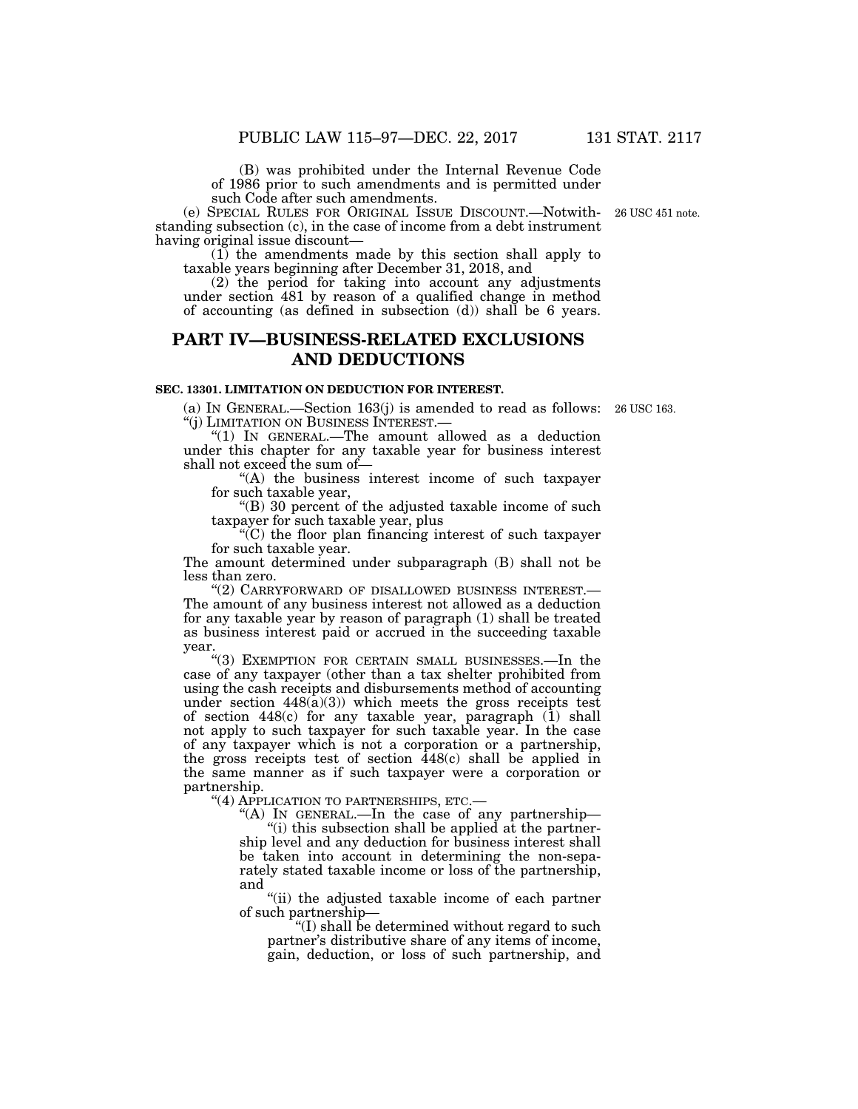(B) was prohibited under the Internal Revenue Code of 1986 prior to such amendments and is permitted under such Code after such amendments.

(e) SPECIAL RULES FOR ORIGINAL ISSUE DISCOUNT.—Notwithstanding subsection (c), in the case of income from a debt instrument having original issue discount—

(1) the amendments made by this section shall apply to taxable years beginning after December 31, 2018, and

(2) the period for taking into account any adjustments under section 481 by reason of a qualified change in method of accounting (as defined in subsection (d)) shall be 6 years.

# **PART IV—BUSINESS-RELATED EXCLUSIONS AND DEDUCTIONS**

### **SEC. 13301. LIMITATION ON DEDUCTION FOR INTEREST.**

(a) IN GENERAL.—Section 163(j) is amended to read as follows: 26 USC 163. ''(j) LIMITATION ON BUSINESS INTEREST.—

''(1) IN GENERAL.—The amount allowed as a deduction under this chapter for any taxable year for business interest shall not exceed the sum of—

"(A) the business interest income of such taxpayer for such taxable year,

''(B) 30 percent of the adjusted taxable income of such taxpayer for such taxable year, plus

''(C) the floor plan financing interest of such taxpayer for such taxable year.

The amount determined under subparagraph (B) shall not be less than zero.

''(2) CARRYFORWARD OF DISALLOWED BUSINESS INTEREST.— The amount of any business interest not allowed as a deduction for any taxable year by reason of paragraph (1) shall be treated as business interest paid or accrued in the succeeding taxable year.

''(3) EXEMPTION FOR CERTAIN SMALL BUSINESSES.—In the case of any taxpayer (other than a tax shelter prohibited from using the cash receipts and disbursements method of accounting under section  $448(a)(3)$ ) which meets the gross receipts test of section 448(c) for any taxable year, paragraph (1) shall not apply to such taxpayer for such taxable year. In the case of any taxpayer which is not a corporation or a partnership, the gross receipts test of section  $448(c)$  shall be applied in the same manner as if such taxpayer were a corporation or partnership.

''(4) APPLICATION TO PARTNERSHIPS, ETC.—

"(A) In GENERAL.—In the case of any partnership—

 $(i)$  this subsection shall be applied at the partnership level and any deduction for business interest shall be taken into account in determining the non-separately stated taxable income or loss of the partnership, and

"(ii) the adjusted taxable income of each partner of such partnership—

''(I) shall be determined without regard to such partner's distributive share of any items of income, gain, deduction, or loss of such partnership, and

26 USC 451 note.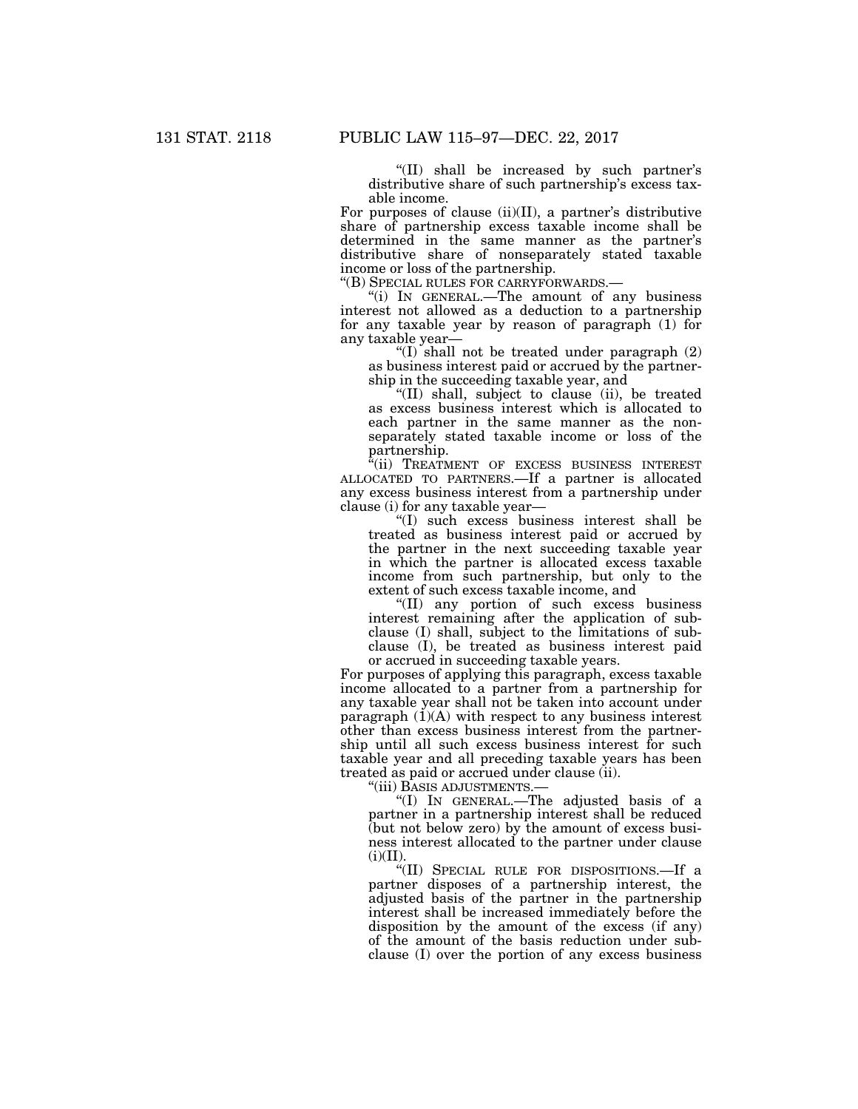''(II) shall be increased by such partner's distributive share of such partnership's excess taxable income.

For purposes of clause (ii)(II), a partner's distributive share of partnership excess taxable income shall be determined in the same manner as the partner's distributive share of nonseparately stated taxable income or loss of the partnership.<br>"(B) SPECIAL RULES FOR CARRYFORWARDS.—

"(i) IN GENERAL.—The amount of any business interest not allowed as a deduction to a partnership for any taxable year by reason of paragraph (1) for any taxable year—

"(I) shall not be treated under paragraph (2) as business interest paid or accrued by the partnership in the succeeding taxable year, and

''(II) shall, subject to clause (ii), be treated as excess business interest which is allocated to each partner in the same manner as the nonseparately stated taxable income or loss of the partnership.

"(ii) TREATMENT OF EXCESS BUSINESS INTEREST ALLOCATED TO PARTNERS.—If a partner is allocated any excess business interest from a partnership under clause (i) for any taxable year—

''(I) such excess business interest shall be treated as business interest paid or accrued by the partner in the next succeeding taxable year in which the partner is allocated excess taxable income from such partnership, but only to the extent of such excess taxable income, and

''(II) any portion of such excess business interest remaining after the application of subclause (I) shall, subject to the limitations of subclause (I), be treated as business interest paid or accrued in succeeding taxable years.

For purposes of applying this paragraph, excess taxable income allocated to a partner from a partnership for any taxable year shall not be taken into account under paragraph  $(1)(A)$  with respect to any business interest other than excess business interest from the partnership until all such excess business interest for such taxable year and all preceding taxable years has been treated as paid or accrued under clause (ii).

''(iii) BASIS ADJUSTMENTS.—

''(I) IN GENERAL.—The adjusted basis of a partner in a partnership interest shall be reduced (but not below zero) by the amount of excess business interest allocated to the partner under clause  $(i)(II).$ 

''(II) SPECIAL RULE FOR DISPOSITIONS.—If a partner disposes of a partnership interest, the adjusted basis of the partner in the partnership interest shall be increased immediately before the disposition by the amount of the excess (if any) of the amount of the basis reduction under subclause (I) over the portion of any excess business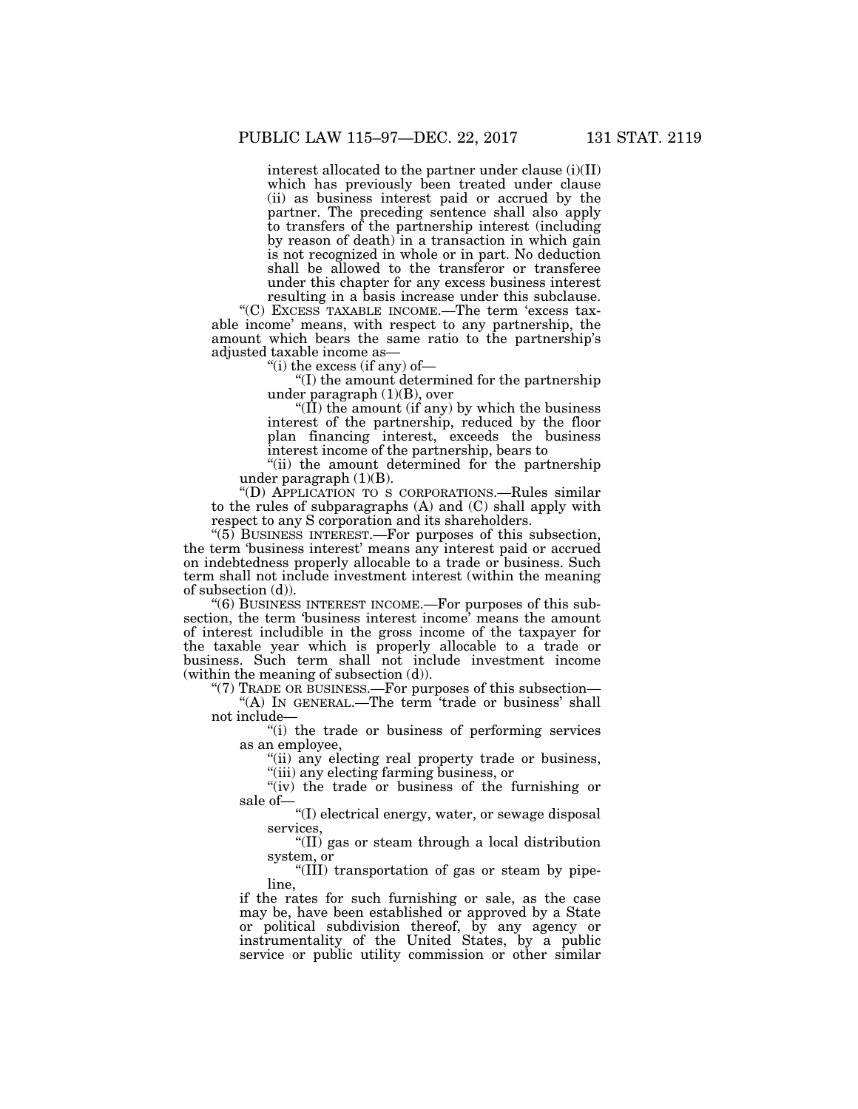interest allocated to the partner under clause (i)(II) which has previously been treated under clause (ii) as business interest paid or accrued by the partner. The preceding sentence shall also apply to transfers of the partnership interest (including by reason of death) in a transaction in which gain is not recognized in whole or in part. No deduction shall be allowed to the transferor or transferee under this chapter for any excess business interest resulting in a basis increase under this subclause.

''(C) EXCESS TAXABLE INCOME.—The term 'excess taxable income' means, with respect to any partnership, the amount which bears the same ratio to the partnership's adjusted taxable income as—

"(i) the excess (if any) of  $-$ 

''(I) the amount determined for the partnership under paragraph  $(1)(B)$ , over

" $(\hat{II})$  the amount (if any) by which the business interest of the partnership, reduced by the floor plan financing interest, exceeds the business interest income of the partnership, bears to

''(ii) the amount determined for the partnership under paragraph (1)(B).

''(D) APPLICATION TO S CORPORATIONS.—Rules similar to the rules of subparagraphs (A) and (C) shall apply with respect to any S corporation and its shareholders.

" $(5)$  BUSINESS INTEREST.—For purposes of this subsection, the term 'business interest' means any interest paid or accrued on indebtedness properly allocable to a trade or business. Such term shall not include investment interest (within the meaning of subsection (d)).

''(6) BUSINESS INTEREST INCOME.—For purposes of this subsection, the term 'business interest income' means the amount of interest includible in the gross income of the taxpayer for the taxable year which is properly allocable to a trade or business. Such term shall not include investment income (within the meaning of subsection (d)).

"(7) TRADE OR BUSINESS.—For purposes of this subsection—

"(A) In GENERAL.—The term 'trade or business' shall not include—

''(i) the trade or business of performing services as an employee,

"(ii) any electing real property trade or business, ''(iii) any electing farming business, or

"(iv) the trade or business of the furnishing or sale of—

 $\rm ^{\circ}\! (I)$  electrical energy, water, or sewage disposal services,

''(II) gas or steam through a local distribution system, or

''(III) transportation of gas or steam by pipeline,

if the rates for such furnishing or sale, as the case may be, have been established or approved by a State or political subdivision thereof, by any agency or instrumentality of the United States, by a public service or public utility commission or other similar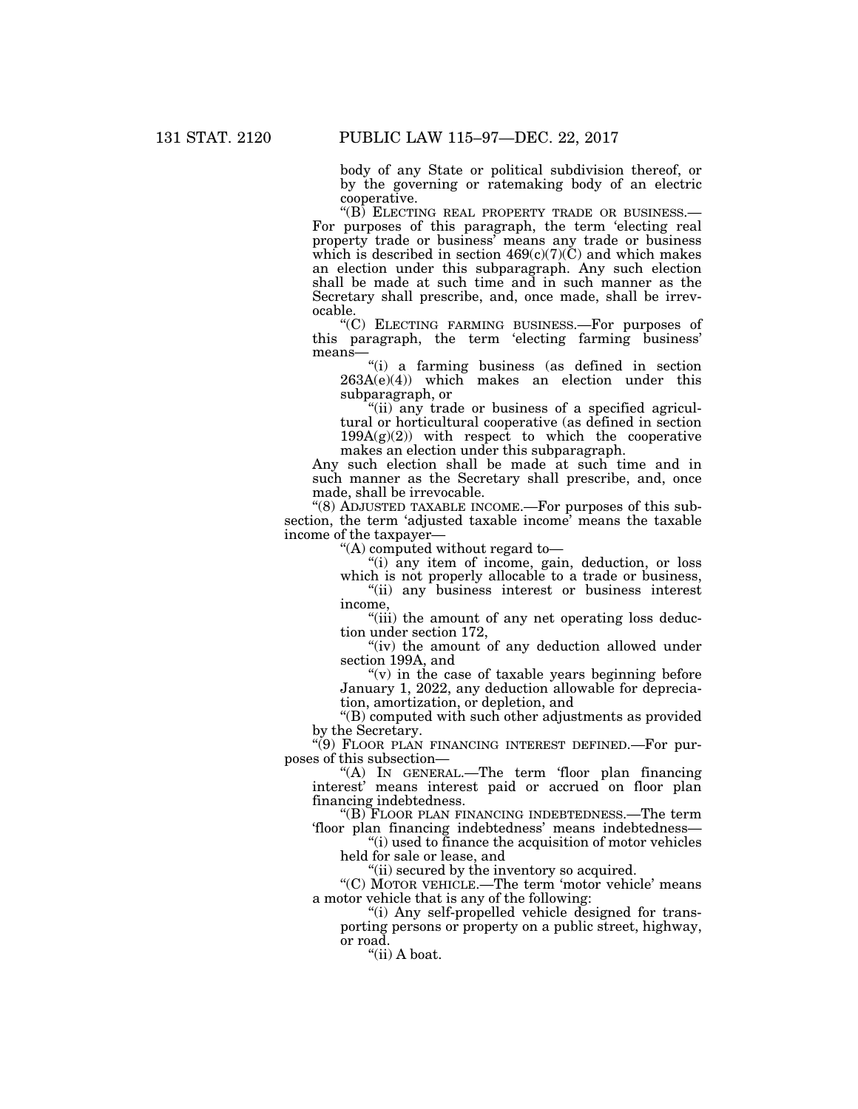body of any State or political subdivision thereof, or by the governing or ratemaking body of an electric cooperative.<br>"(B) ELECTING REAL PROPERTY TRADE OR BUSINESS.–

For purposes of this paragraph, the term 'electing real property trade or business' means any trade or business which is described in section  $469(c)(7)(C)$  and which makes an election under this subparagraph. Any such election shall be made at such time and in such manner as the Secretary shall prescribe, and, once made, shall be irrevocable.

''(C) ELECTING FARMING BUSINESS.—For purposes of this paragraph, the term 'electing farming business' means—

''(i) a farming business (as defined in section  $263A(e)(4)$  which makes an election under this subparagraph, or

"(ii) any trade or business of a specified agricultural or horticultural cooperative (as defined in section 199A(g)(2)) with respect to which the cooperative makes an election under this subparagraph.

Any such election shall be made at such time and in such manner as the Secretary shall prescribe, and, once made, shall be irrevocable.

''(8) ADJUSTED TAXABLE INCOME.—For purposes of this subsection, the term 'adjusted taxable income' means the taxable income of the taxpayer—

''(A) computed without regard to—

''(i) any item of income, gain, deduction, or loss which is not properly allocable to a trade or business,

''(ii) any business interest or business interest income,

''(iii) the amount of any net operating loss deduction under section 172,

"(iv) the amount of any deduction allowed under section 199A, and

" $(v)$  in the case of taxable years beginning before January 1, 2022, any deduction allowable for depreciation, amortization, or depletion, and

"(B) computed with such other adjustments as provided by the Secretary.

''(9) FLOOR PLAN FINANCING INTEREST DEFINED.—For purposes of this subsection—

''(A) IN GENERAL.—The term 'floor plan financing interest' means interest paid or accrued on floor plan financing indebtedness.

''(B) FLOOR PLAN FINANCING INDEBTEDNESS.—The term 'floor plan financing indebtedness' means indebtedness—

''(i) used to finance the acquisition of motor vehicles held for sale or lease, and

"(ii) secured by the inventory so acquired.

"(C) MOTOR VEHICLE.—The term 'motor vehicle' means a motor vehicle that is any of the following:

''(i) Any self-propelled vehicle designed for transporting persons or property on a public street, highway, or road.

''(ii) A boat.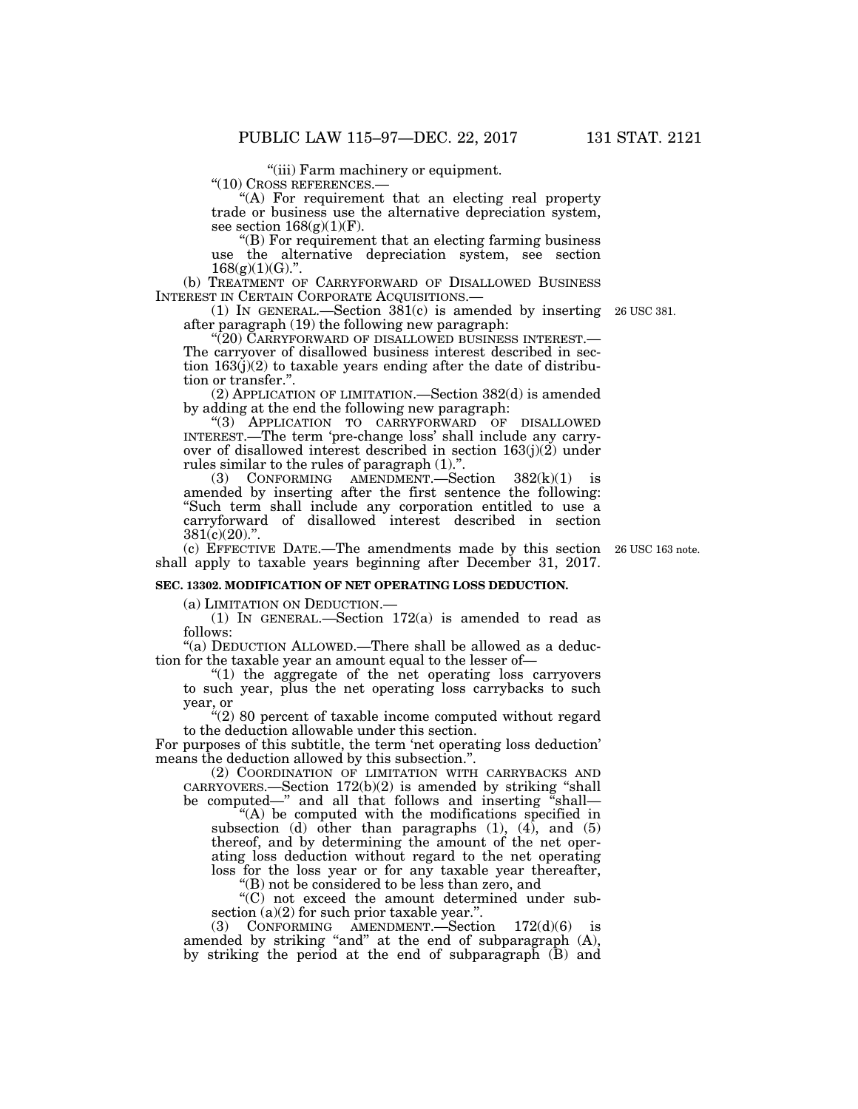"(iii) Farm machinery or equipment.<br>"(10) CROSS REFERENCES.—

"(A) For requirement that an electing real property trade or business use the alternative depreciation system, see section  $168(g)(1)(F)$ .

''(B) For requirement that an electing farming business use the alternative depreciation system, see section  $168(g)(1)(G)$ .".

(b) TREATMENT OF CARRYFORWARD OF DISALLOWED BUSINESS INTEREST IN CERTAIN CORPORATE ACQUISITIONS.— INTEREST IN CERTAIN CORPORATE ACQUISITIONS.— (1) IN GENERAL.—Section 381(c) is amended by inserting 26 USC 381.

after paragraph (19) the following new paragraph:<br>"(20) CARRYFORWARD OF DISALLOWED BUSINESS INTEREST.—

The carryover of disallowed business interest described in section  $163(j)(2)$  to taxable years ending after the date of distribution or transfer.''.

(2) APPLICATION OF LIMITATION.—Section 382(d) is amended by adding at the end the following new paragraph:

''(3) APPLICATION TO CARRYFORWARD OF DISALLOWED INTEREST.—The term 'pre-change loss' shall include any carryover of disallowed interest described in section  $163(i)(2)$  under rules similar to the rules of paragraph (1)."

(3) CONFORMING AMENDMENT.—Section 382(k)(1) is amended by inserting after the first sentence the following: "Such term shall include any corporation entitled to use a carryforward of disallowed interest described in section  $381(c)(20)$ .".

(c) EFFECTIVE DATE.—The amendments made by this section 26 USC 163 note. shall apply to taxable years beginning after December 31, 2017.

### **SEC. 13302. MODIFICATION OF NET OPERATING LOSS DEDUCTION.**

(a) LIMITATION ON DEDUCTION.—

(1) IN GENERAL.—Section 172(a) is amended to read as follows:

''(a) DEDUCTION ALLOWED.—There shall be allowed as a deduction for the taxable year an amount equal to the lesser of—

''(1) the aggregate of the net operating loss carryovers to such year, plus the net operating loss carrybacks to such year, or

 $C'(2)$  80 percent of taxable income computed without regard to the deduction allowable under this section.

For purposes of this subtitle, the term 'net operating loss deduction' means the deduction allowed by this subsection.''.

(2) COORDINATION OF LIMITATION WITH CARRYBACKS AND CARRYOVERS.—Section 172(b)(2) is amended by striking ''shall be computed—" and all that follows and inserting "shall—

"(A) be computed with the modifications specified in subsection (d) other than paragraphs  $(1)$ ,  $(4)$ , and  $(5)$ thereof, and by determining the amount of the net operating loss deduction without regard to the net operating loss for the loss year or for any taxable year thereafter,

''(B) not be considered to be less than zero, and

''(C) not exceed the amount determined under subsection  $(a)(2)$  for such prior taxable year.".

(3) CONFORMING AMENDMENT.—Section  $172(d)(6)$  is amended by striking "and" at the end of subparagraph (A), by striking the period at the end of subparagraph (B) and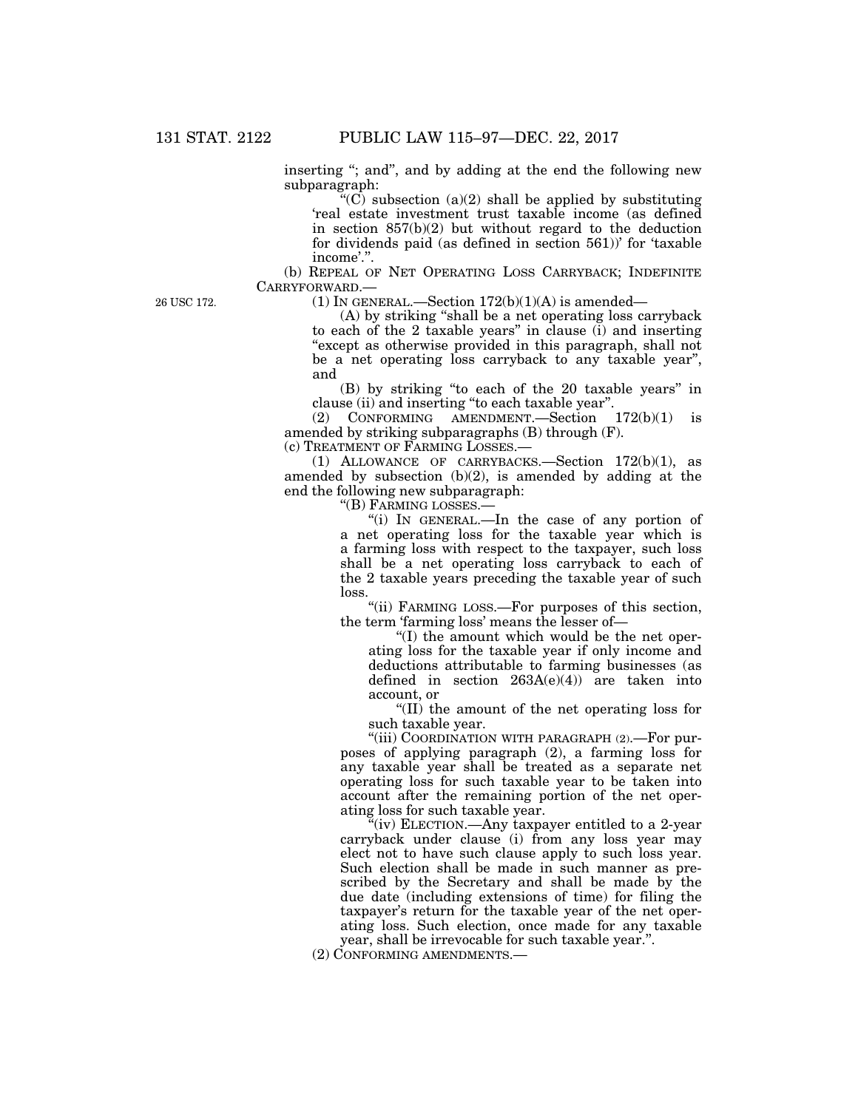inserting "; and", and by adding at the end the following new subparagraph:

"(C) subsection  $(a)(2)$  shall be applied by substituting 'real estate investment trust taxable income (as defined in section 857(b)(2) but without regard to the deduction for dividends paid (as defined in section 561))' for 'taxable income'.''.

(b) REPEAL OF NET OPERATING LOSS CARRYBACK; INDEFINITE CARRYFORWARD.—

26 USC 172.

(1) IN GENERAL.—Section  $172(b)(1)(A)$  is amended—

(A) by striking ''shall be a net operating loss carryback to each of the 2 taxable years'' in clause (i) and inserting "except as otherwise provided in this paragraph, shall not be a net operating loss carryback to any taxable year'', and

(B) by striking ''to each of the 20 taxable years'' in clause (ii) and inserting ''to each taxable year''.

(2) CONFORMING AMENDMENT.—Section 172(b)(1) is amended by striking subparagraphs (B) through (F).

(c) TREATMENT OF FARMING LOSSES.—

(1) ALLOWANCE OF CARRYBACKS.—Section 172(b)(1), as amended by subsection (b)(2), is amended by adding at the end the following new subparagraph:

''(B) FARMING LOSSES.—

''(i) IN GENERAL.—In the case of any portion of a net operating loss for the taxable year which is a farming loss with respect to the taxpayer, such loss shall be a net operating loss carryback to each of the 2 taxable years preceding the taxable year of such loss.

"(ii) FARMING LOSS.—For purposes of this section, the term 'farming loss' means the lesser of—

''(I) the amount which would be the net operating loss for the taxable year if only income and deductions attributable to farming businesses (as defined in section  $263A(e)(4)$  are taken into account, or

''(II) the amount of the net operating loss for such taxable year.

"(iii) COORDINATION WITH PARAGRAPH (2).-For purposes of applying paragraph (2), a farming loss for any taxable year shall be treated as a separate net operating loss for such taxable year to be taken into account after the remaining portion of the net operating loss for such taxable year.

"(iv) ELECTION.—Any taxpayer entitled to a 2-year carryback under clause (i) from any loss year may elect not to have such clause apply to such loss year. Such election shall be made in such manner as prescribed by the Secretary and shall be made by the due date (including extensions of time) for filing the taxpayer's return for the taxable year of the net operating loss. Such election, once made for any taxable year, shall be irrevocable for such taxable year.''.

(2) CONFORMING AMENDMENTS.—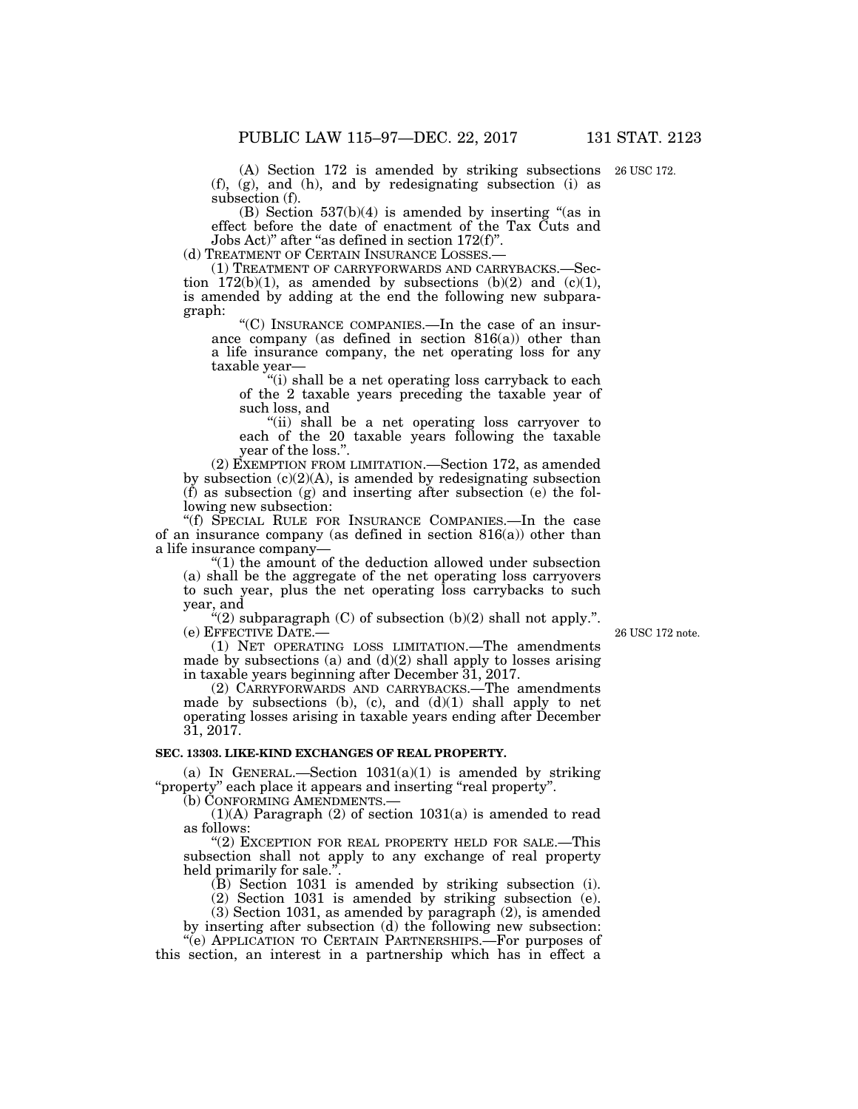(A) Section 172 is amended by striking subsections 26 USC 172. (f), (g), and (h), and by redesignating subsection (i) as subsection (f).

 $(B)$  Section 537 $(b)(4)$  is amended by inserting "(as in effect before the date of enactment of the Tax Cuts and Jobs Act)" after "as defined in section 172(f)".<br>(d) TREATMENT OF CERTAIN INSURANCE LOSSES.—

(1) TREATMENT OF CARRYFORWARDS AND CARRYBACKS.—Section  $172(b)(1)$ , as amended by subsections  $(b)(2)$  and  $(c)(1)$ , is amended by adding at the end the following new subparagraph:

''(C) INSURANCE COMPANIES.—In the case of an insurance company (as defined in section 816(a)) other than a life insurance company, the net operating loss for any taxable year—

"(i) shall be a net operating loss carryback to each of the 2 taxable years preceding the taxable year of such loss, and

"(ii) shall be a net operating loss carryover to each of the 20 taxable years following the taxable year of the loss.''.

(2) EXEMPTION FROM LIMITATION.—Section 172, as amended by subsection (c)(2)(A), is amended by redesignating subsection  $(f)$  as subsection  $(g)$  and inserting after subsection  $(e)$  the following new subsection:

''(f) SPECIAL RULE FOR INSURANCE COMPANIES.—In the case of an insurance company (as defined in section 816(a)) other than a life insurance company—

''(1) the amount of the deduction allowed under subsection (a) shall be the aggregate of the net operating loss carryovers to such year, plus the net operating loss carrybacks to such year, and

" $(2)$  subparagraph  $(C)$  of subsection  $(b)(2)$  shall not apply.". (e) EFFECTIVE DATE.—

26 USC 172 note.

(1) NET OPERATING LOSS LIMITATION.—The amendments made by subsections (a) and  $(d)(2)$  shall apply to losses arising in taxable years beginning after December 31, 2017.

(2) CARRYFORWARDS AND CARRYBACKS.—The amendments made by subsections (b), (c), and  $(d)(1)$  shall apply to net operating losses arising in taxable years ending after December 31, 2017.

### **SEC. 13303. LIKE-KIND EXCHANGES OF REAL PROPERTY.**

(a) IN GENERAL.—Section  $1031(a)(1)$  is amended by striking "property" each place it appears and inserting "real property".

(b) CONFORMING AMENDMENTS.—

(1)(A) Paragraph (2) of section 1031(a) is amended to read as follows:

"(2) EXCEPTION FOR REAL PROPERTY HELD FOR SALE.—This subsection shall not apply to any exchange of real property held primarily for sale."

(B) Section 1031 is amended by striking subsection (i).

(2) Section 1031 is amended by striking subsection (e).

(3) Section 1031, as amended by paragraph (2), is amended by inserting after subsection (d) the following new subsection:

''(e) APPLICATION TO CERTAIN PARTNERSHIPS.—For purposes of this section, an interest in a partnership which has in effect a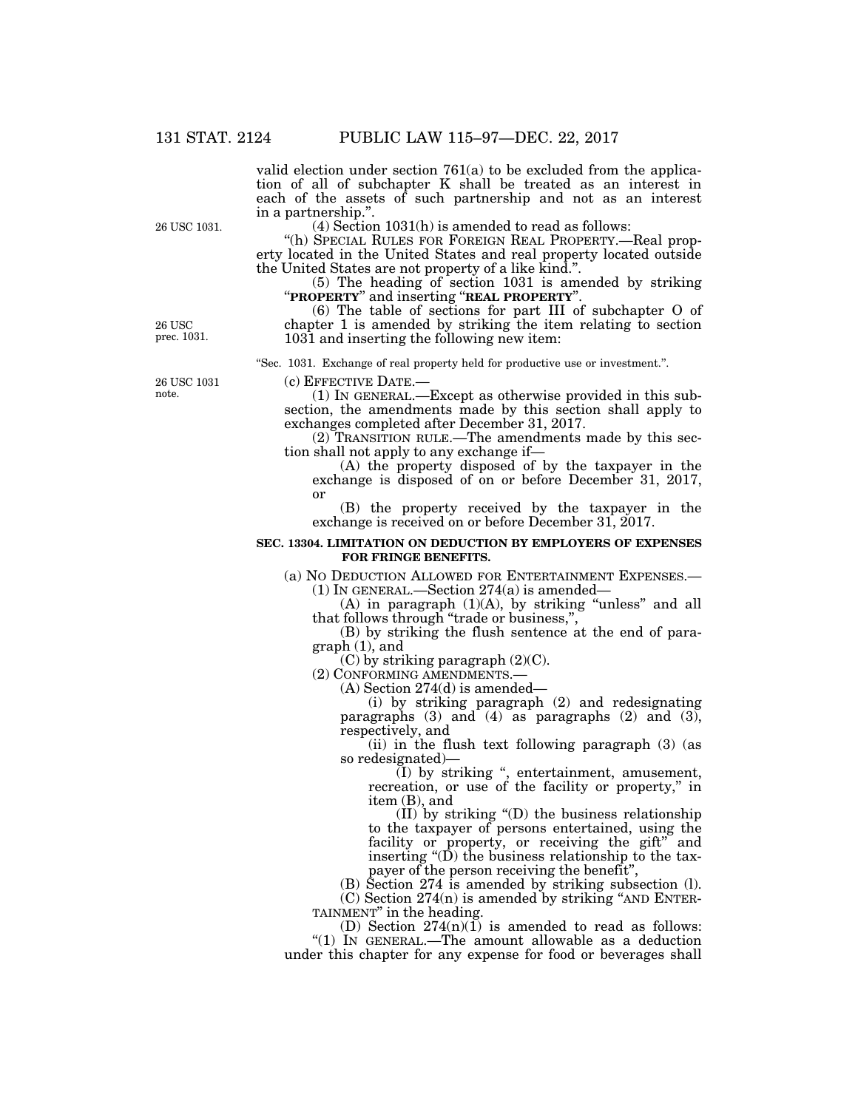valid election under section 761(a) to be excluded from the application of all of subchapter K shall be treated as an interest in each of the assets of such partnership and not as an interest in a partnership.''.

(4) Section 1031(h) is amended to read as follows:

''(h) SPECIAL RULES FOR FOREIGN REAL PROPERTY.—Real property located in the United States and real property located outside the United States are not property of a like kind.".<br>(5) The heading of section 1031 is amended by striking

(5) The heading of section 1031 is amended by striking ''**PROPERTY**'' and inserting ''**REAL PROPERTY**''.

(6) The table of sections for part III of subchapter O of chapter 1 is amended by striking the item relating to section 1031 and inserting the following new item:

''Sec. 1031. Exchange of real property held for productive use or investment.''.

26 USC 1031 note.

26 USC prec. 1031.

26 USC 1031.

(c) EFFECTIVE DATE.—<br>(1) IN GENERAL.—Except as otherwise provided in this subsection, the amendments made by this section shall apply to

exchanges completed after December 31, 2017. (2) TRANSITION RULE.—The amendments made by this section shall not apply to any exchange if—

(A) the property disposed of by the taxpayer in the exchange is disposed of on or before December 31, 2017, or

(B) the property received by the taxpayer in the exchange is received on or before December 31, 2017.

### **SEC. 13304. LIMITATION ON DEDUCTION BY EMPLOYERS OF EXPENSES FOR FRINGE BENEFITS.**

(a) NO DEDUCTION ALLOWED FOR ENTERTAINMENT EXPENSES.— (1) IN GENERAL.—Section 274(a) is amended—

(A) in paragraph  $(1)(A)$ , by striking "unless" and all that follows through "trade or business,"

(B) by striking the flush sentence at the end of paragraph (1), and

 $(C)$  by striking paragraph  $(2)(C)$ .

(2) CONFORMING AMENDMENTS.—

(A) Section 274(d) is amended—

(i) by striking paragraph (2) and redesignating paragraphs  $(3)$  and  $(4)$  as paragraphs  $(2)$  and  $(3)$ , respectively, and

(ii) in the flush text following paragraph (3) (as so redesignated)—

(I) by striking '', entertainment, amusement, recreation, or use of the facility or property," in item (B), and

(II) by striking ''(D) the business relationship to the taxpayer of persons entertained, using the facility or property, or receiving the gift" and inserting ''(D) the business relationship to the taxpayer of the person receiving the benefit'',

(B) Section 274 is amended by striking subsection (l).  $(C)$  Section 274 $(n)$  is amended by striking "AND ENTER-

TAINMENT'' in the heading. (D) Section  $274(n)(1)$  is amended to read as follows:

''(1) IN GENERAL.—The amount allowable as a deduction under this chapter for any expense for food or beverages shall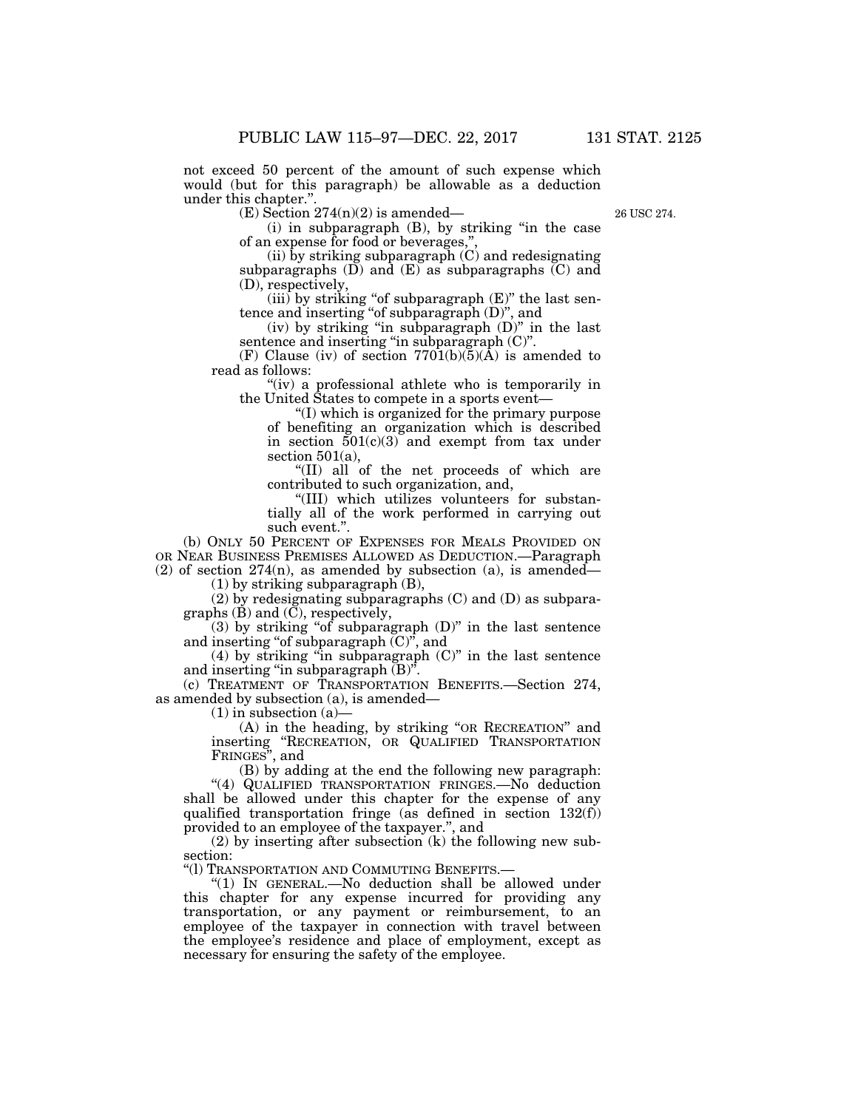not exceed 50 percent of the amount of such expense which would (but for this paragraph) be allowable as a deduction under this chapter.'

 $(E)$  Section 274(n)(2) is amended—

26 USC 274.

(i) in subparagraph (B), by striking ''in the case of an expense for food or beverages,"

(ii) by striking subparagraph  $(C)$  and redesignating subparagraphs  $(\overline{D})$  and  $(\overline{E})$  as subparagraphs  $(\overline{C})$  and (D), respectively,

(iii) by striking "of subparagraph  $(E)$ " the last sentence and inserting ''of subparagraph (D)'', and

(iv) by striking "in subparagraph  $(D)$ " in the last sentence and inserting "in subparagraph  $(C)$ ".

(F) Clause (iv) of section  $7701(b)(5)(\text{\AA})$  is amended to read as follows:

''(iv) a professional athlete who is temporarily in the United States to compete in a sports event—

''(I) which is organized for the primary purpose of benefiting an organization which is described in section  $\overline{501(c)(3)}$  and exempt from tax under section  $501(a)$ ,

''(II) all of the net proceeds of which are contributed to such organization, and,

''(III) which utilizes volunteers for substantially all of the work performed in carrying out such event.''.

(b) ONLY 50 PERCENT OF EXPENSES FOR MEALS PROVIDED ON OR NEAR BUSINESS PREMISES ALLOWED AS DEDUCTION.—Paragraph (2) of section  $274(n)$ , as amended by subsection (a), is amended—

(1) by striking subparagraph (B),

(2) by redesignating subparagraphs (C) and (D) as subparagraphs (B) and (C), respectively,

 $(3)$  by striking "of subparagraph  $(D)$ " in the last sentence and inserting ''of subparagraph (C)'', and

 $(4)$  by striking "in subparagraph  $(C)$ " in the last sentence and inserting "in subparagraph  $(B)$ ".

(c) TREATMENT OF TRANSPORTATION BENEFITS.—Section 274, as amended by subsection (a), is amended—

 $(1)$  in subsection  $(a)$ 

(A) in the heading, by striking "OR RECREATION" and inserting ''RECREATION, OR QUALIFIED TRANSPORTATION FRINGES'', and

(B) by adding at the end the following new paragraph:

''(4) QUALIFIED TRANSPORTATION FRINGES.—No deduction shall be allowed under this chapter for the expense of any qualified transportation fringe (as defined in section 132(f)) provided to an employee of the taxpayer.'', and

(2) by inserting after subsection (k) the following new subsection:

''(l) TRANSPORTATION AND COMMUTING BENEFITS.—

''(1) IN GENERAL.—No deduction shall be allowed under this chapter for any expense incurred for providing any transportation, or any payment or reimbursement, to an employee of the taxpayer in connection with travel between the employee's residence and place of employment, except as necessary for ensuring the safety of the employee.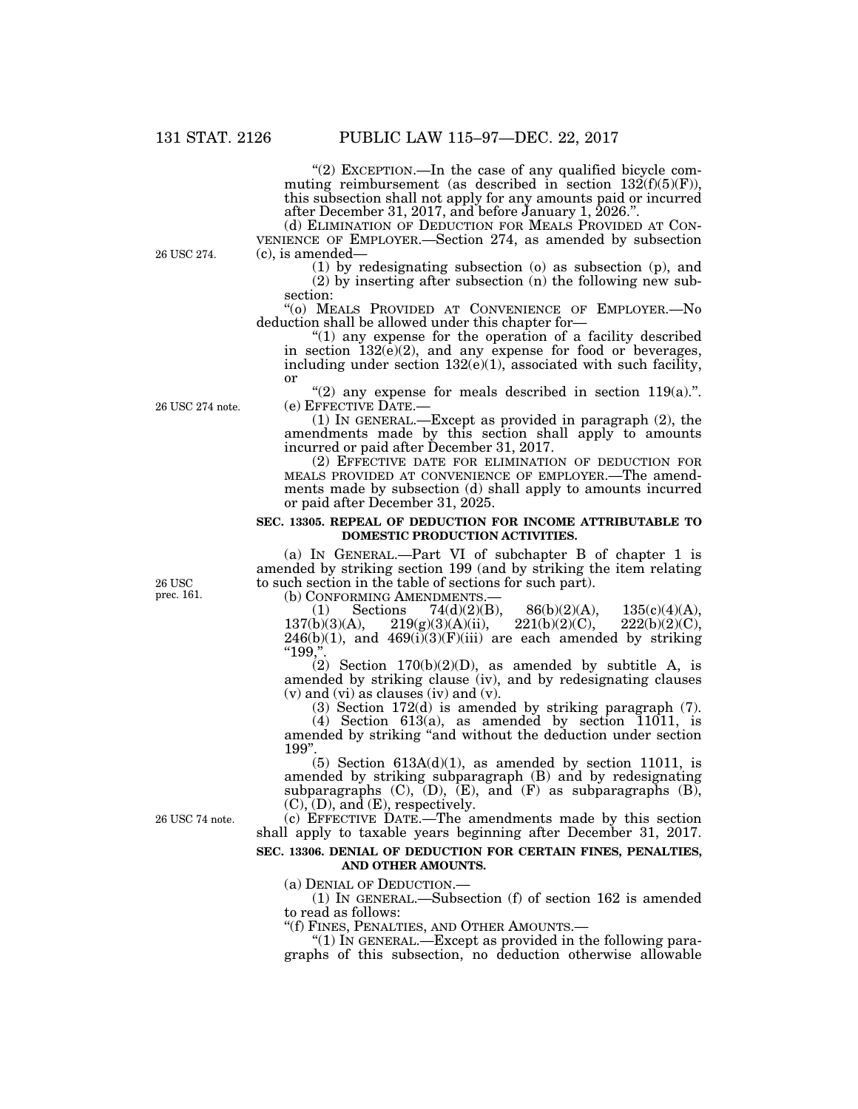" $(2)$  EXCEPTION.—In the case of any qualified bicycle commuting reimbursement (as described in section  $132(f)(5)(F)$ ), this subsection shall not apply for any amounts paid or incurred after December 31, 2017, and before January 1, 2026.''.

(d) ELIMINATION OF DEDUCTION FOR MEALS PROVIDED AT CON- VENIENCE OF EMPLOYER.—Section 274, as amended by subsection (c), is amended—

(1) by redesignating subsection (o) as subsection (p), and (2) by inserting after subsection (n) the following new subsection:

''(o) MEALS PROVIDED AT CONVENIENCE OF EMPLOYER.—No deduction shall be allowed under this chapter for—

" $(1)$  any expense for the operation of a facility described in section  $132(e)(2)$ , and any expense for food or beverages, including under section  $132(e)(1)$ , associated with such facility, or

"(2) any expense for meals described in section 119(a).".<br>
(e) EFFECTIVE DATE.—

(1) IN GENERAL.—Except as provided in paragraph  $(2)$ , the amendments made by this section shall apply to amounts incurred or paid after December 31, 2017.

(2) EFFECTIVE DATE FOR ELIMINATION OF DEDUCTION FOR MEALS PROVIDED AT CONVENIENCE OF EMPLOYER.—The amendments made by subsection (d) shall apply to amounts incurred or paid after December 31, 2025.

#### **SEC. 13305. REPEAL OF DEDUCTION FOR INCOME ATTRIBUTABLE TO DOMESTIC PRODUCTION ACTIVITIES.**

(a) IN GENERAL.—Part VI of subchapter B of chapter 1 is amended by striking section 199 (and by striking the item relating to such section in the table of sections for such part).

(b) CONFORMING AMENDMENTS.—<br>
(1) Sections 74(d)(2)(B), 86(b)(2)(A), 135(c)(4)(A), 137(b)(3)(A), 219(g)(3)(A)(ii), 221(b)(2)(C), 222(b)(2)(C),  $219(g)(3)(A)(ii)$ ,  $246(b)(1)$ , and  $469(i)(3)(F)(iii)$  are each amended by striking  $"199."$ 

(2) Section  $170(b)(2)(D)$ , as amended by subtitle A, is amended by striking clause (iv), and by redesignating clauses (v) and (vi) as clauses (iv) and (v).

(3) Section 172(d) is amended by striking paragraph (7).

(4) Section 613(a), as amended by section  $\overline{11011}$ , is amended by striking ''and without the deduction under section 199''.

(5) Section  $613A(d)(1)$ , as amended by section 11011, is amended by striking subparagraph (B) and by redesignating subparagraphs  $(C)$ ,  $(D)$ ,  $(E)$ , and  $(F)$  as subparagraphs  $(B)$ ,  $(C), (D)$ , and  $(E)$ , respectively.

26 USC 74 note.

(c) EFFECTIVE DATE.—The amendments made by this section shall apply to taxable years beginning after December 31, 2017.

#### **SEC. 13306. DENIAL OF DEDUCTION FOR CERTAIN FINES, PENALTIES, AND OTHER AMOUNTS.**

(a) DENIAL OF DEDUCTION.—

(1) IN GENERAL.—Subsection (f) of section 162 is amended to read as follows:

''(f) FINES, PENALTIES, AND OTHER AMOUNTS.—

" $(1)$  In GENERAL.—Except as provided in the following paragraphs of this subsection, no deduction otherwise allowable

26 USC prec. 161.

26 USC 274.

26 USC 274 note.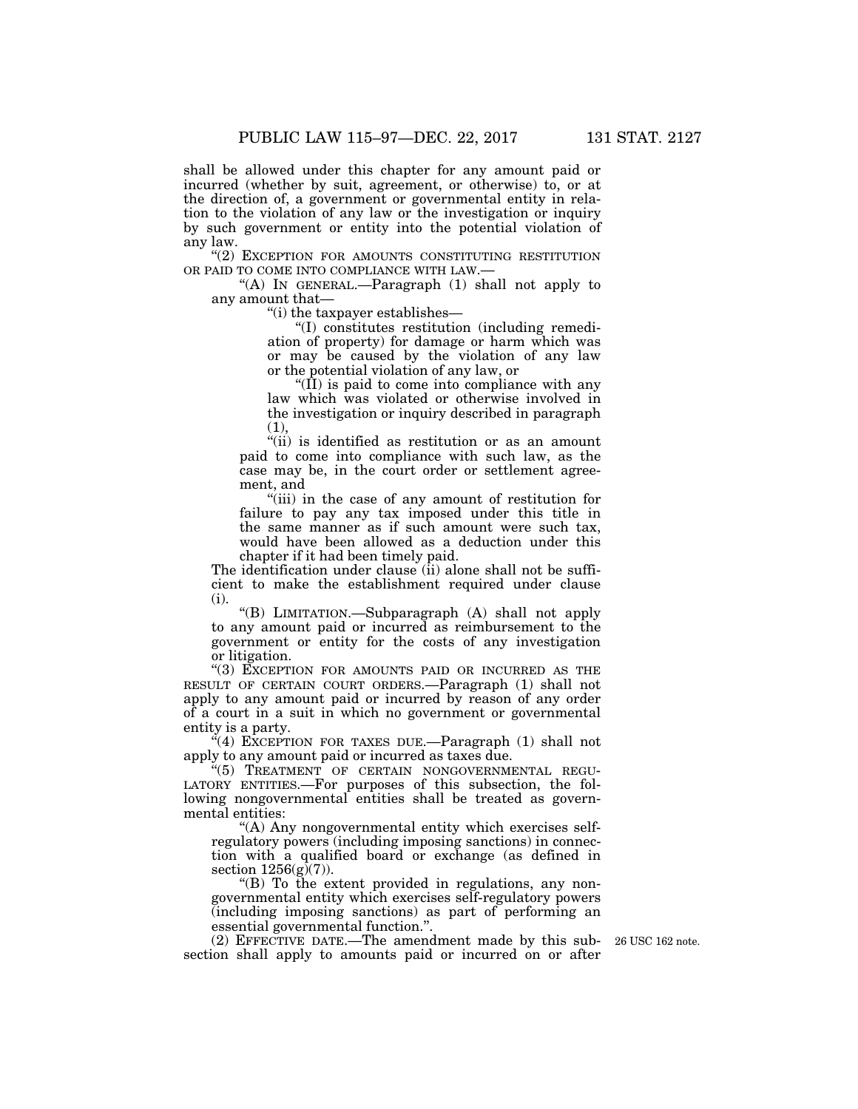shall be allowed under this chapter for any amount paid or incurred (whether by suit, agreement, or otherwise) to, or at the direction of, a government or governmental entity in relation to the violation of any law or the investigation or inquiry by such government or entity into the potential violation of any law.

"(2) EXCEPTION FOR AMOUNTS CONSTITUTING RESTITUTION OR PAID TO COME INTO COMPLIANCE WITH LAW.—

"(A) IN GENERAL.—Paragraph  $(1)$  shall not apply to any amount that—

''(i) the taxpayer establishes—

''(I) constitutes restitution (including remediation of property) for damage or harm which was or may be caused by the violation of any law or the potential violation of any law, or

''(II) is paid to come into compliance with any law which was violated or otherwise involved in the investigation or inquiry described in paragraph  $(1),$ 

"(ii) is identified as restitution or as an amount paid to come into compliance with such law, as the case may be, in the court order or settlement agreement, and

''(iii) in the case of any amount of restitution for failure to pay any tax imposed under this title in the same manner as if such amount were such tax, would have been allowed as a deduction under this chapter if it had been timely paid.

The identification under clause (ii) alone shall not be sufficient to make the establishment required under clause (i).

''(B) LIMITATION.—Subparagraph (A) shall not apply to any amount paid or incurred as reimbursement to the government or entity for the costs of any investigation or litigation.

''(3) EXCEPTION FOR AMOUNTS PAID OR INCURRED AS THE RESULT OF CERTAIN COURT ORDERS.—Paragraph (1) shall not apply to any amount paid or incurred by reason of any order of a court in a suit in which no government or governmental entity is a party.

"(4) EXCEPTION FOR TAXES DUE.—Paragraph (1) shall not apply to any amount paid or incurred as taxes due.

 $\cdot$ <sup>"(5)</sup> TREATMENT OF CERTAIN NONGOVERNMENTAL REGU-LATORY ENTITIES.—For purposes of this subsection, the following nongovernmental entities shall be treated as governmental entities:

''(A) Any nongovernmental entity which exercises selfregulatory powers (including imposing sanctions) in connection with a qualified board or exchange (as defined in section  $1256(g)(7)$ ).

''(B) To the extent provided in regulations, any nongovernmental entity which exercises self-regulatory powers (including imposing sanctions) as part of performing an essential governmental function.''.

(2) EFFECTIVE DATE.—The amendment made by this sub-26 USC 162 note. section shall apply to amounts paid or incurred on or after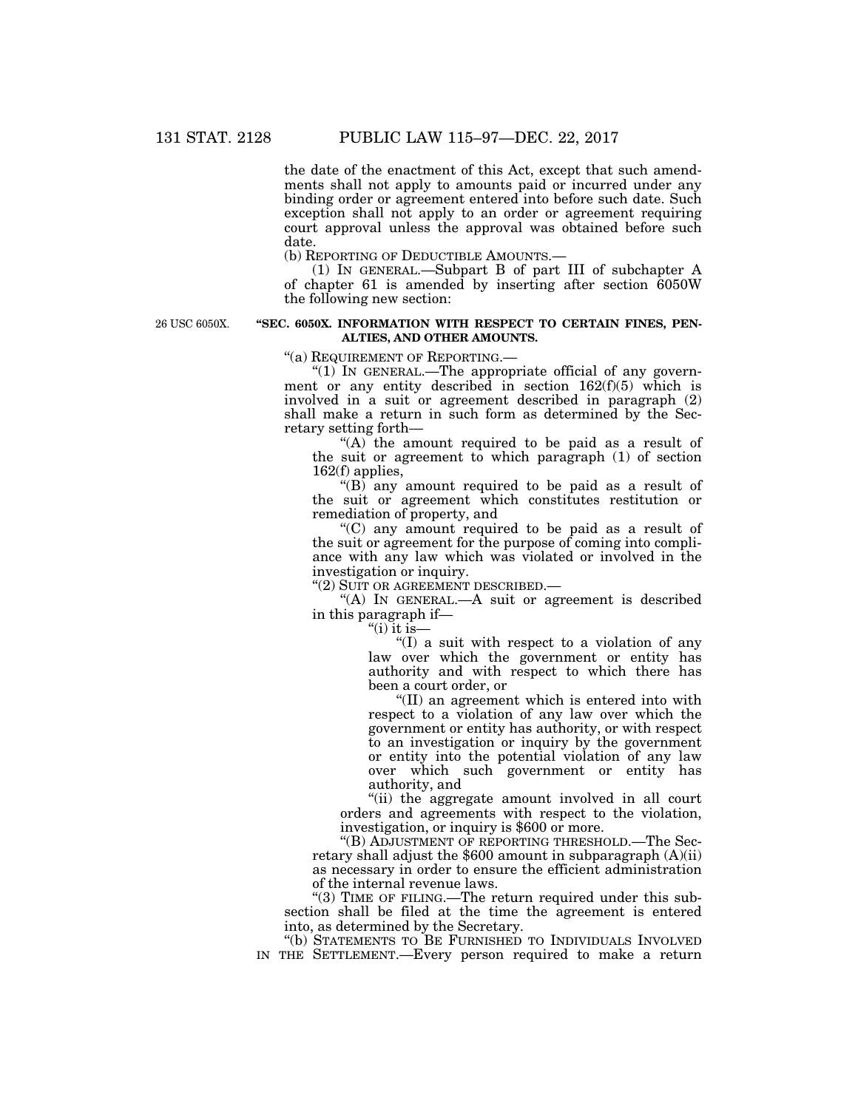the date of the enactment of this Act, except that such amendments shall not apply to amounts paid or incurred under any binding order or agreement entered into before such date. Such exception shall not apply to an order or agreement requiring court approval unless the approval was obtained before such date.

(b) REPORTING OF DEDUCTIBLE AMOUNTS.—

(1) IN GENERAL.—Subpart B of part III of subchapter A of chapter 61 is amended by inserting after section 6050W the following new section:

26 USC 6050X.

#### **''SEC. 6050X. INFORMATION WITH RESPECT TO CERTAIN FINES, PEN-ALTIES, AND OTHER AMOUNTS.**

''(a) REQUIREMENT OF REPORTING.—

"(1) IN GENERAL.—The appropriate official of any government or any entity described in section  $162(f)(5)$  which is involved in a suit or agreement described in paragraph (2) shall make a return in such form as determined by the Secretary setting forth—

"(A) the amount required to be paid as a result of the suit or agreement to which paragraph (1) of section 162(f) applies,

" $(B)$  any amount required to be paid as a result of the suit or agreement which constitutes restitution or remediation of property, and

''(C) any amount required to be paid as a result of the suit or agreement for the purpose of coming into compliance with any law which was violated or involved in the investigation or inquiry.

''(2) SUIT OR AGREEMENT DESCRIBED.—

''(A) IN GENERAL.—A suit or agreement is described in this paragraph if—

" $(i)$  it is—

 $(1)$  a suit with respect to a violation of any law over which the government or entity has authority and with respect to which there has been a court order, or

''(II) an agreement which is entered into with respect to a violation of any law over which the government or entity has authority, or with respect to an investigation or inquiry by the government or entity into the potential violation of any law over which such government or entity has authority, and

''(ii) the aggregate amount involved in all court orders and agreements with respect to the violation, investigation, or inquiry is \$600 or more.

''(B) ADJUSTMENT OF REPORTING THRESHOLD.—The Secretary shall adjust the \$600 amount in subparagraph (A)(ii) as necessary in order to ensure the efficient administration of the internal revenue laws.

"(3) TIME OF FILING.—The return required under this subsection shall be filed at the time the agreement is entered into, as determined by the Secretary.

''(b) STATEMENTS TO BE FURNISHED TO INDIVIDUALS INVOLVED IN THE SETTLEMENT.—Every person required to make a return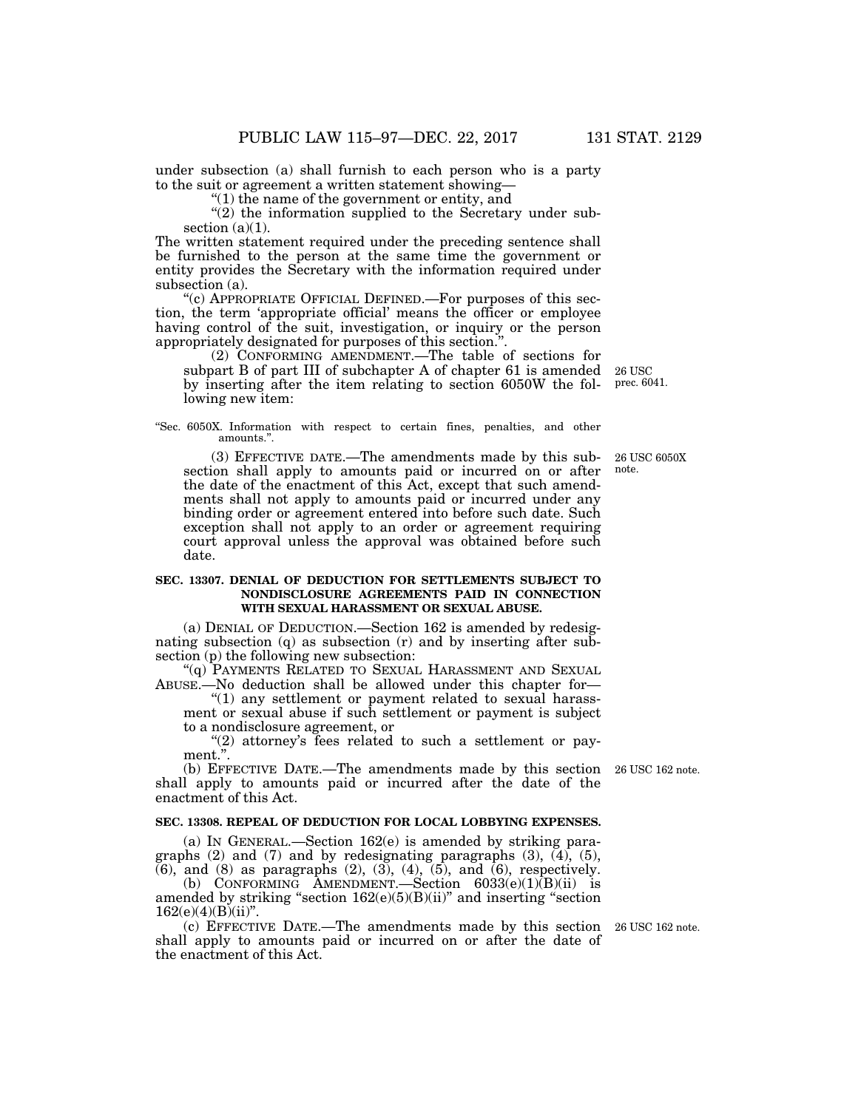under subsection (a) shall furnish to each person who is a party to the suit or agreement a written statement showing—

''(1) the name of the government or entity, and

 $''(2)$  the information supplied to the Secretary under subsection  $(a)(1)$ .

The written statement required under the preceding sentence shall be furnished to the person at the same time the government or entity provides the Secretary with the information required under subsection (a).

''(c) APPROPRIATE OFFICIAL DEFINED.—For purposes of this section, the term 'appropriate official' means the officer or employee having control of the suit, investigation, or inquiry or the person appropriately designated for purposes of this section.''.

(2) CONFORMING AMENDMENT.—The table of sections for subpart B of part III of subchapter A of chapter 61 is amended 26 USC by inserting after the item relating to section 6050W the following new item:

''Sec. 6050X. Information with respect to certain fines, penalties, and other amounts.''.

(3) EFFECTIVE DATE.—The amendments made by this subsection shall apply to amounts paid or incurred on or after the date of the enactment of this Act, except that such amendments shall not apply to amounts paid or incurred under any binding order or agreement entered into before such date. Such exception shall not apply to an order or agreement requiring court approval unless the approval was obtained before such date.

#### **SEC. 13307. DENIAL OF DEDUCTION FOR SETTLEMENTS SUBJECT TO NONDISCLOSURE AGREEMENTS PAID IN CONNECTION WITH SEXUAL HARASSMENT OR SEXUAL ABUSE.**

(a) DENIAL OF DEDUCTION.—Section 162 is amended by redesignating subsection (q) as subsection (r) and by inserting after subsection (p) the following new subsection:

''(q) PAYMENTS RELATED TO SEXUAL HARASSMENT AND SEXUAL ABUSE.—No deduction shall be allowed under this chapter for—

"(1) any settlement or payment related to sexual harassment or sexual abuse if such settlement or payment is subject to a nondisclosure agreement, or

"(2) attorney's fees related to such a settlement or payment.''.

(b) EFFECTIVE DATE.—The amendments made by this section shall apply to amounts paid or incurred after the date of the enactment of this Act.

#### **SEC. 13308. REPEAL OF DEDUCTION FOR LOCAL LOBBYING EXPENSES.**

(a) IN GENERAL.—Section 162(e) is amended by striking paragraphs  $(2)$  and  $(7)$  and by redesignating paragraphs  $(3)$ ,  $(4)$ ,  $(5)$ ,  $(6)$ , and  $(8)$  as paragraphs  $(2)$ ,  $(3)$ ,  $(4)$ ,  $(5)$ , and  $(6)$ , respectively.

(b) CONFORMING AMENDMENT.—Section  $6033(e)(1)(B)(ii)$  is amended by striking "section 162(e)(5)(B)(ii)" and inserting "section  $162(e)(4)(B)(ii)$ ".

(c) EFFECTIVE DATE.—The amendments made by this section 26 USC 162 note. shall apply to amounts paid or incurred on or after the date of the enactment of this Act.

26 USC 162 note.

26 USC 6050X note.

prec. 6041.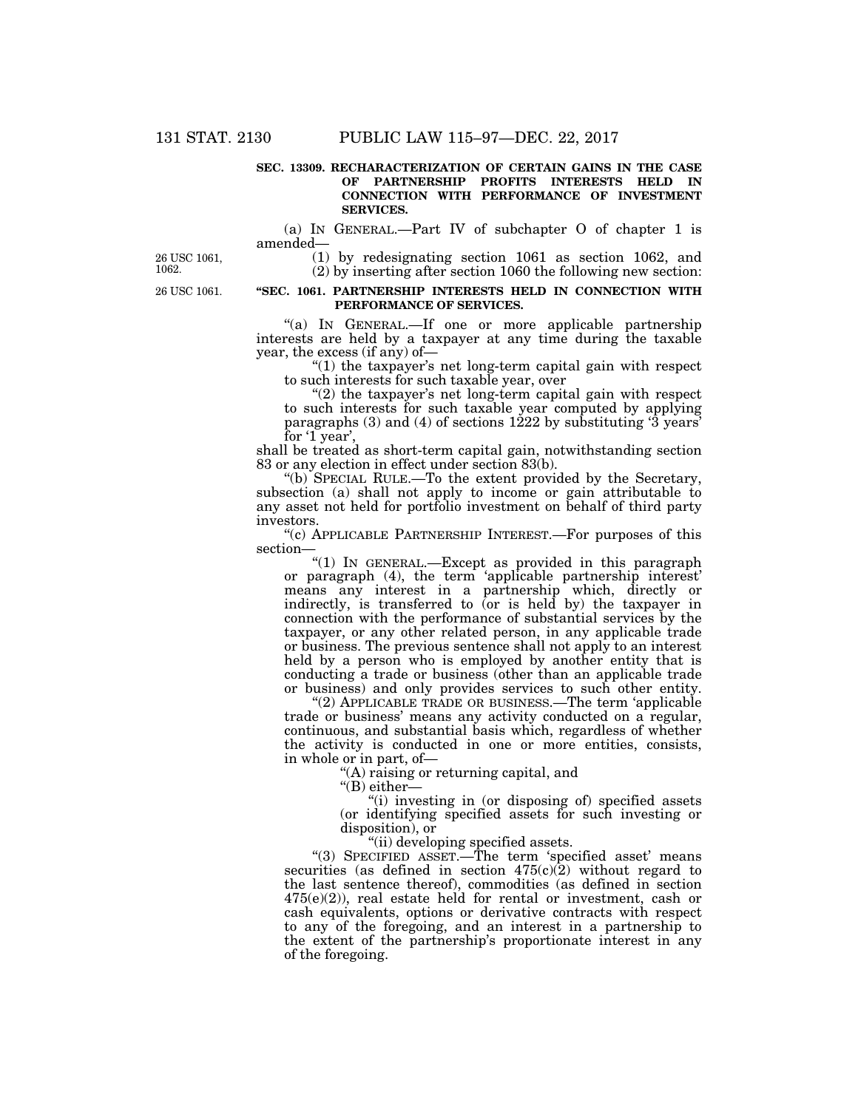#### **SEC. 13309. RECHARACTERIZATION OF CERTAIN GAINS IN THE CASE OF PARTNERSHIP PROFITS INTERESTS HELD IN CONNECTION WITH PERFORMANCE OF INVESTMENT SERVICES.**

(a) IN GENERAL.—Part IV of subchapter O of chapter 1 is amended—

26 USC 1061, 1062.

26 USC 1061.

### (1) by redesignating section 1061 as section 1062, and (2) by inserting after section 1060 the following new section:

#### **''SEC. 1061. PARTNERSHIP INTERESTS HELD IN CONNECTION WITH PERFORMANCE OF SERVICES.**

"(a) IN GENERAL.—If one or more applicable partnership interests are held by a taxpayer at any time during the taxable year, the excess (if any) of—

" $(1)$  the taxpayer's net long-term capital gain with respect to such interests for such taxable year, over

 $(2)$  the taxpayer's net long-term capital gain with respect to such interests for such taxable year computed by applying paragraphs  $(3)$  and  $(4)$  of sections  $1222$  by substituting  $3$  years' for '1 year',

shall be treated as short-term capital gain, notwithstanding section 83 or any election in effect under section 83(b).

''(b) SPECIAL RULE.—To the extent provided by the Secretary, subsection (a) shall not apply to income or gain attributable to any asset not held for portfolio investment on behalf of third party investors.

''(c) APPLICABLE PARTNERSHIP INTEREST.—For purposes of this section—

"(1) In GENERAL.—Except as provided in this paragraph or paragraph (4), the term 'applicable partnership interest' means any interest in a partnership which, directly or indirectly, is transferred to (or is held by) the taxpayer in connection with the performance of substantial services by the taxpayer, or any other related person, in any applicable trade or business. The previous sentence shall not apply to an interest held by a person who is employed by another entity that is conducting a trade or business (other than an applicable trade or business) and only provides services to such other entity.

 $(2)$  APPLICABLE TRADE OR BUSINESS.—The term 'applicable trade or business' means any activity conducted on a regular, continuous, and substantial basis which, regardless of whether the activity is conducted in one or more entities, consists, in whole or in part, of—

''(A) raising or returning capital, and

"(B) either-

''(i) investing in (or disposing of) specified assets (or identifying specified assets for such investing or disposition), or

''(ii) developing specified assets.

''(3) SPECIFIED ASSET.—The term 'specified asset' means securities (as defined in section  $475(c)(2)$  without regard to the last sentence thereof), commodities (as defined in section 475(e)(2)), real estate held for rental or investment, cash or cash equivalents, options or derivative contracts with respect to any of the foregoing, and an interest in a partnership to the extent of the partnership's proportionate interest in any of the foregoing.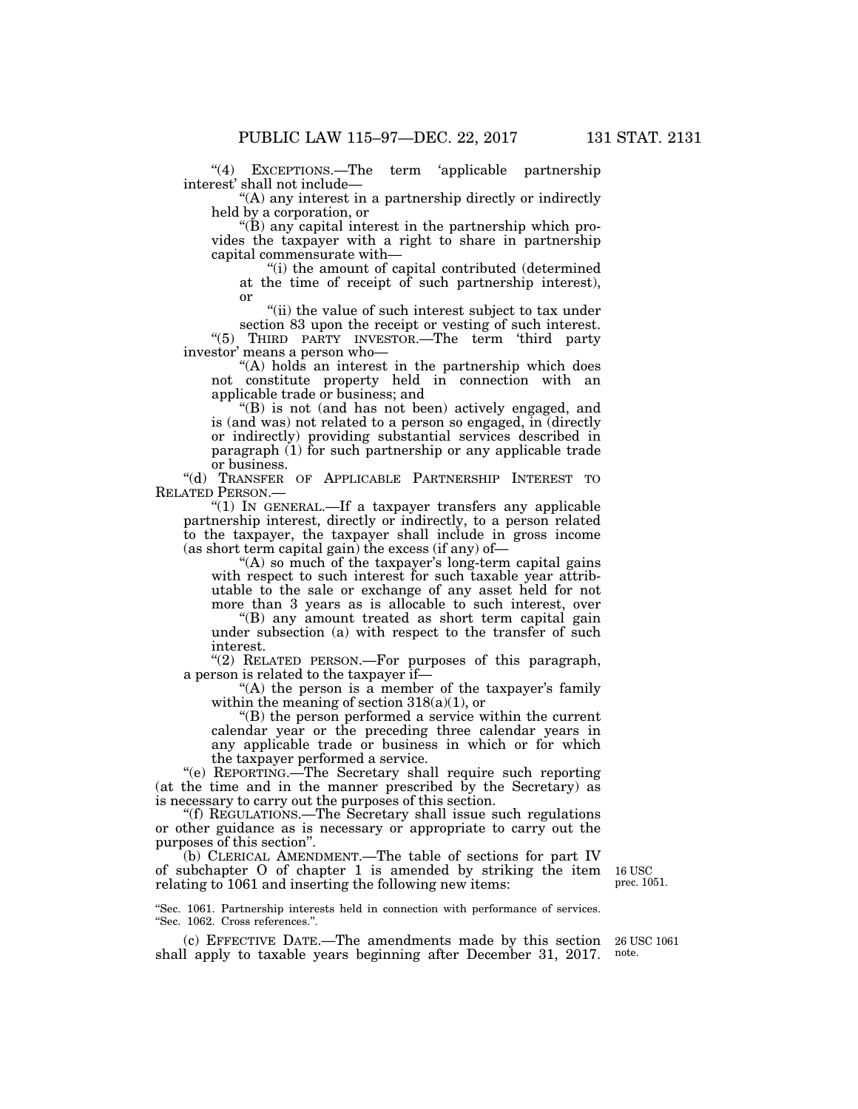"(4) EXCEPTIONS.—The term 'applicable partnership interest' shall not include—

''(A) any interest in a partnership directly or indirectly held by a corporation, or

 $\mathrm{``(B)}$  any capital interest in the partnership which provides the taxpayer with a right to share in partnership capital commensurate with—

''(i) the amount of capital contributed (determined at the time of receipt of such partnership interest), or

''(ii) the value of such interest subject to tax under

section 83 upon the receipt or vesting of such interest. ''(5) THIRD PARTY INVESTOR.—The term 'third party investor' means a person who—

"(A) holds an interest in the partnership which does not constitute property held in connection with an applicable trade or business; and

 $'(B)$  is not (and has not been) actively engaged, and is (and was) not related to a person so engaged, in (directly or indirectly) providing substantial services described in paragraph (1) for such partnership or any applicable trade or business.

''(d) TRANSFER OF APPLICABLE PARTNERSHIP INTEREST TO RELATED PERSON.—

"(1) In GENERAL.—If a taxpayer transfers any applicable partnership interest, directly or indirectly, to a person related to the taxpayer, the taxpayer shall include in gross income  $(as short term capital gain)$  the excess (if any) of—

"(A) so much of the taxpayer's long-term capital gains with respect to such interest for such taxable year attributable to the sale or exchange of any asset held for not more than 3 years as is allocable to such interest, over

''(B) any amount treated as short term capital gain under subsection (a) with respect to the transfer of such interest.

"(2) RELATED PERSON.—For purposes of this paragraph, a person is related to the taxpayer if—

"(A) the person is a member of the taxpayer's family within the meaning of section  $318(a)(1)$ , or

''(B) the person performed a service within the current calendar year or the preceding three calendar years in any applicable trade or business in which or for which the taxpayer performed a service.

''(e) REPORTING.—The Secretary shall require such reporting (at the time and in the manner prescribed by the Secretary) as is necessary to carry out the purposes of this section.

''(f) REGULATIONS.—The Secretary shall issue such regulations or other guidance as is necessary or appropriate to carry out the purposes of this section''.

(b) CLERICAL AMENDMENT.—The table of sections for part IV of subchapter O of chapter 1 is amended by striking the item relating to 1061 and inserting the following new items:

''Sec. 1061. Partnership interests held in connection with performance of services. ''Sec. 1062. Cross references.''.

(c) EFFECTIVE DATE.—The amendments made by this section shall apply to taxable years beginning after December 31, 2017.

16 USC prec. 1051.

26 USC 1061 note.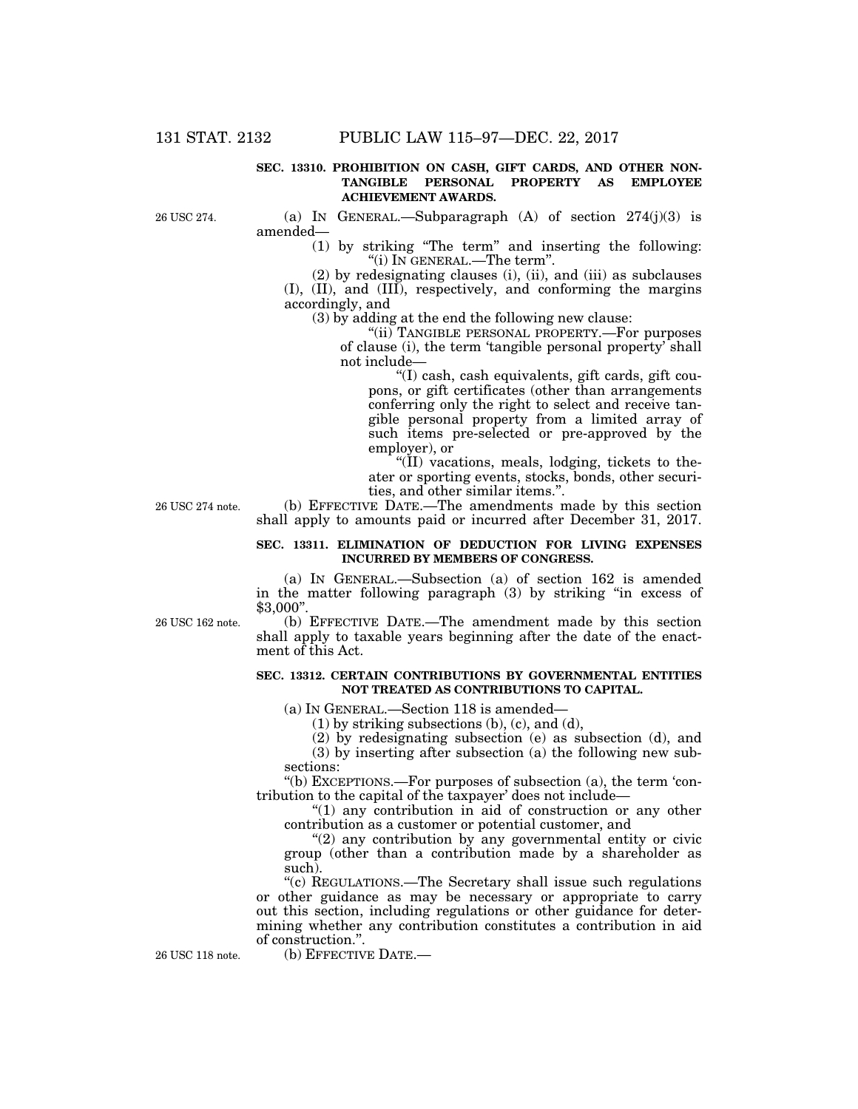#### **SEC. 13310. PROHIBITION ON CASH, GIFT CARDS, AND OTHER NON-TANGIBLE PERSONAL PROPERTY AS EMPLOYEE ACHIEVEMENT AWARDS.**

26 USC 274.

(a) IN GENERAL.—Subparagraph  $(A)$  of section  $274(j)(3)$  is amended—

> (1) by striking ''The term'' and inserting the following: "(i) IN GENERAL.—The term".

(2) by redesignating clauses (i), (ii), and (iii) as subclauses (I), (II), and (III), respectively, and conforming the margins accordingly, and

(3) by adding at the end the following new clause:

''(ii) TANGIBLE PERSONAL PROPERTY.—For purposes of clause (i), the term 'tangible personal property' shall not include—

''(I) cash, cash equivalents, gift cards, gift coupons, or gift certificates (other than arrangements conferring only the right to select and receive tangible personal property from a limited array of such items pre-selected or pre-approved by the employer), or

''(II) vacations, meals, lodging, tickets to theater or sporting events, stocks, bonds, other securities, and other similar items.''.

26 USC 274 note.

(b) EFFECTIVE DATE.—The amendments made by this section shall apply to amounts paid or incurred after December 31, 2017.

#### **SEC. 13311. ELIMINATION OF DEDUCTION FOR LIVING EXPENSES INCURRED BY MEMBERS OF CONGRESS.**

(a) IN GENERAL.—Subsection (a) of section 162 is amended in the matter following paragraph (3) by striking ''in excess of \$3,000''.

26 USC 162 note.

(b) EFFECTIVE DATE.—The amendment made by this section shall apply to taxable years beginning after the date of the enactment of this Act.

#### **SEC. 13312. CERTAIN CONTRIBUTIONS BY GOVERNMENTAL ENTITIES NOT TREATED AS CONTRIBUTIONS TO CAPITAL.**

(a) IN GENERAL.—Section 118 is amended—

(1) by striking subsections (b), (c), and (d),

(2) by redesignating subsection (e) as subsection (d), and

(3) by inserting after subsection (a) the following new subsections:

''(b) EXCEPTIONS.—For purposes of subsection (a), the term 'contribution to the capital of the taxpayer' does not include—

''(1) any contribution in aid of construction or any other contribution as a customer or potential customer, and

 $''(2)$  any contribution by any governmental entity or civic group (other than a contribution made by a shareholder as such).

''(c) REGULATIONS.—The Secretary shall issue such regulations or other guidance as may be necessary or appropriate to carry out this section, including regulations or other guidance for determining whether any contribution constitutes a contribution in aid of construction.''.

26 USC 118 note. (b) EFFECTIVE DATE.—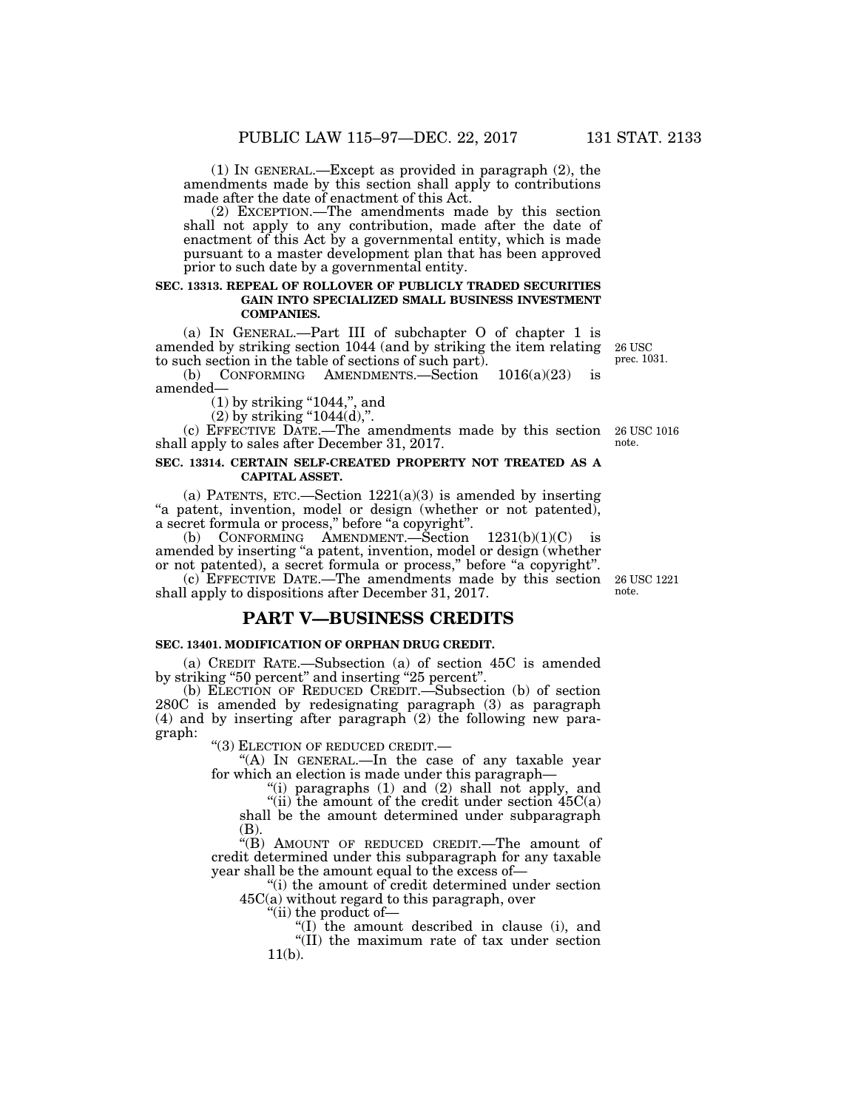(1) IN GENERAL.—Except as provided in paragraph (2), the amendments made by this section shall apply to contributions made after the date of enactment of this Act.

(2) EXCEPTION.—The amendments made by this section shall not apply to any contribution, made after the date of enactment of this Act by a governmental entity, which is made pursuant to a master development plan that has been approved prior to such date by a governmental entity.

#### **SEC. 13313. REPEAL OF ROLLOVER OF PUBLICLY TRADED SECURITIES GAIN INTO SPECIALIZED SMALL BUSINESS INVESTMENT COMPANIES.**

(a) IN GENERAL.—Part III of subchapter O of chapter 1 is amended by striking section 1044 (and by striking the item relating to such section in the table of sections of such part).

(b) CONFORMING AMENDMENTS.—Section 1016(a)(23) is amended—

 $(1)$  by striking "1044,", and

 $(2)$  by striking "1044(d),".

(c) EFFECTIVE DATE.—The amendments made by this section 26 USC 1016 shall apply to sales after December 31, 2017. note.

#### **SEC. 13314. CERTAIN SELF-CREATED PROPERTY NOT TREATED AS A CAPITAL ASSET.**

(a) PATENTS, ETC.—Section  $1221(a)(3)$  is amended by inserting "a patent, invention, model or design (whether or not patented), a secret formula or process," before "a copyright".

(b) CONFORMING AMENDMENT. Section  $1231(b)(1)(C)$  is amended by inserting ''a patent, invention, model or design (whether or not patented), a secret formula or process,'' before ''a copyright''.

(c) EFFECTIVE DATE.—The amendments made by this section shall apply to dispositions after December 31, 2017.

## **PART V—BUSINESS CREDITS**

### **SEC. 13401. MODIFICATION OF ORPHAN DRUG CREDIT.**

(a) CREDIT RATE.—Subsection (a) of section 45C is amended by striking ''50 percent'' and inserting ''25 percent''.

(b) ELECTION OF REDUCED CREDIT.—Subsection (b) of section 280C is amended by redesignating paragraph (3) as paragraph (4) and by inserting after paragraph (2) the following new paragraph:

''(3) ELECTION OF REDUCED CREDIT.— ''(A) IN GENERAL.—In the case of any taxable year for which an election is made under this paragraph—

''(i) paragraphs (1) and (2) shall not apply, and

"(ii) the amount of the credit under section  $45C(a)$ shall be the amount determined under subparagraph (B).

''(B) AMOUNT OF REDUCED CREDIT.—The amount of credit determined under this subparagraph for any taxable year shall be the amount equal to the excess of—

"(i) the amount of credit determined under section 45C(a) without regard to this paragraph, over

''(ii) the product of—

''(I) the amount described in clause (i), and

''(II) the maximum rate of tax under section  $11(b)$ .

26 USC 1221 note.

26 USC prec. 1031.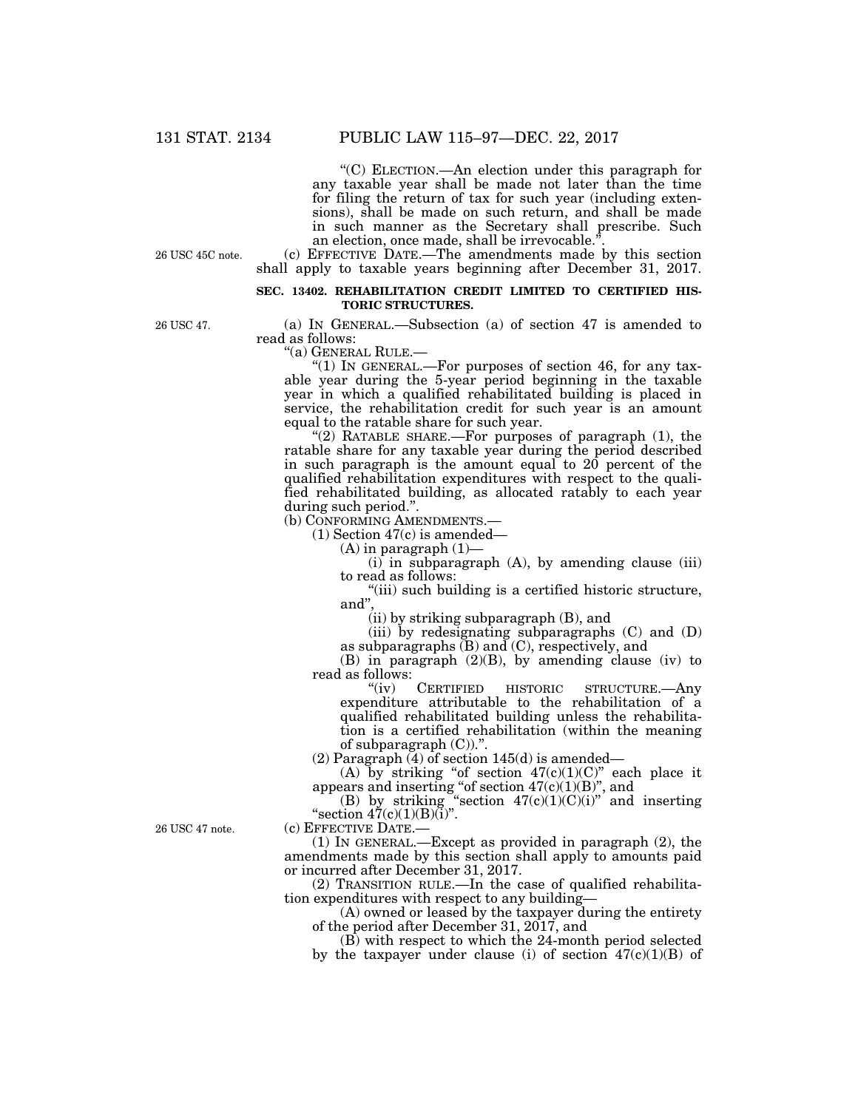''(C) ELECTION.—An election under this paragraph for any taxable year shall be made not later than the time for filing the return of tax for such year (including extensions), shall be made on such return, and shall be made in such manner as the Secretary shall prescribe. Such an election, once made, shall be irrevocable.'

26 USC 45C note.

(c) EFFECTIVE DATE.—The amendments made by this section shall apply to taxable years beginning after December 31, 2017.

#### **SEC. 13402. REHABILITATION CREDIT LIMITED TO CERTIFIED HIS-TORIC STRUCTURES.**

26 USC 47.

(a) IN GENERAL.—Subsection (a) of section 47 is amended to read as follows:<br>"(a) GENERAL RULE.—

"(1) IN GENERAL.—For purposes of section 46, for any taxable year during the 5-year period beginning in the taxable year in which a qualified rehabilitated building is placed in service, the rehabilitation credit for such year is an amount equal to the ratable share for such year.

" $(2)$  RATABLE SHARE.—For purposes of paragraph  $(1)$ , the ratable share for any taxable year during the period described in such paragraph is the amount equal to 20 percent of the qualified rehabilitation expenditures with respect to the qualified rehabilitated building, as allocated ratably to each year during such period.''.

(b) CONFORMING AMENDMENTS.—

(1) Section 47(c) is amended—

 $(A)$  in paragraph  $(1)$ —

 $(i)$  in subparagraph  $(A)$ , by amending clause  $(iii)$ to read as follows:

''(iii) such building is a certified historic structure, and" $\,$ 

(ii) by striking subparagraph (B), and

(iii) by redesignating subparagraphs (C) and (D) as subparagraphs  $(B)$  and  $(C)$ , respectively, and

(B) in paragraph (2)(B), by amending clause (iv) to read as follows:<br>"(iv) CERTIFIED

HISTORIC STRUCTURE.—Any expenditure attributable to the rehabilitation of a qualified rehabilitated building unless the rehabilitation is a certified rehabilitation (within the meaning of subparagraph  $(C)$ ).".

(2) Paragraph (4) of section 145(d) is amended—

(A) by striking "of section  $47(c)(1)(C)$ " each place it appears and inserting "of section  $47(c)(1)(B)$ ", and

(B) by striking "section  $47(c)(1)(C)(i)$ " and inserting "section  $47(c)(1)(B)(i)$ ".

(c) EFFECTIVE DATE.—

(1) IN GENERAL.—Except as provided in paragraph (2), the amendments made by this section shall apply to amounts paid or incurred after December 31, 2017.

(2) TRANSITION RULE.—In the case of qualified rehabilitation expenditures with respect to any building—

(A) owned or leased by the taxpayer during the entirety of the period after December 31, 2017, and

(B) with respect to which the 24-month period selected by the taxpayer under clause (i) of section  $47(c)(1)(B)$  of

26 USC 47 note.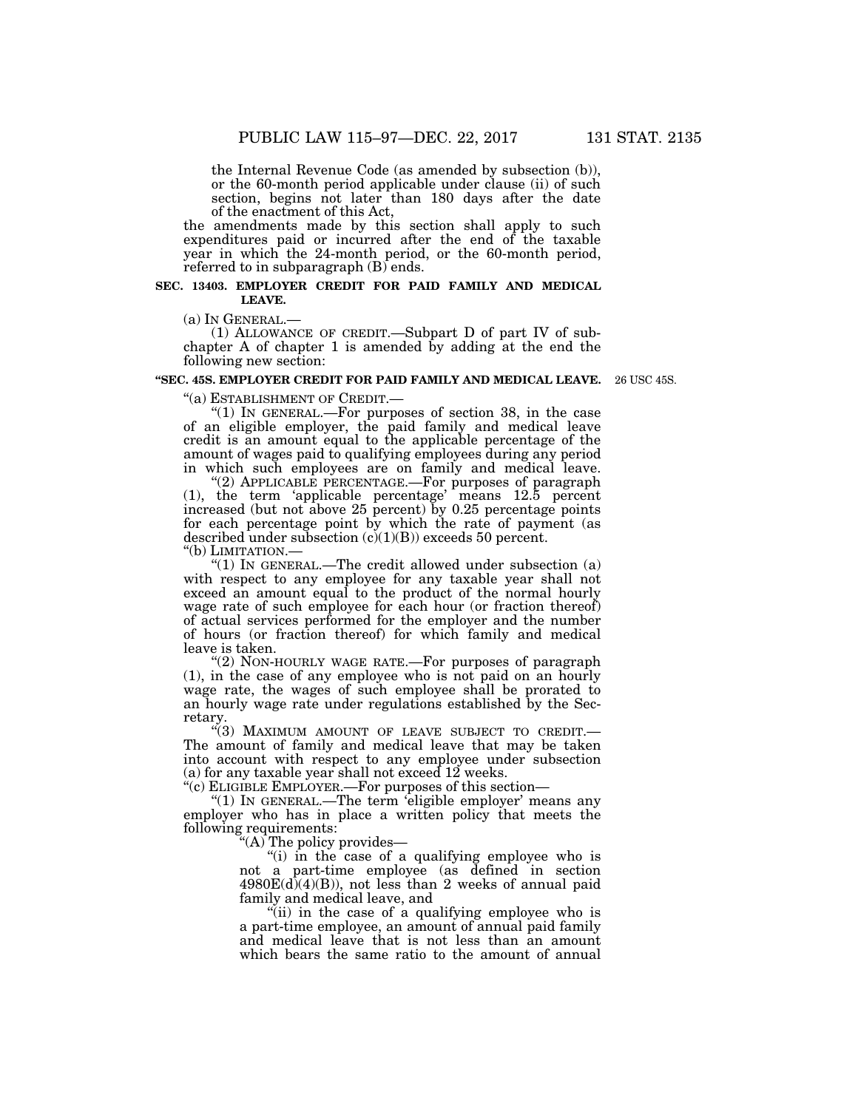the Internal Revenue Code (as amended by subsection (b)), or the 60-month period applicable under clause (ii) of such section, begins not later than 180 days after the date of the enactment of this Act,

the amendments made by this section shall apply to such expenditures paid or incurred after the end of the taxable year in which the 24-month period, or the 60-month period, referred to in subparagraph (B) ends.

#### **SEC. 13403. EMPLOYER CREDIT FOR PAID FAMILY AND MEDICAL LEAVE.**

(a) IN GENERAL.— (1) ALLOWANCE OF CREDIT.—Subpart D of part IV of subchapter A of chapter 1 is amended by adding at the end the following new section:

#### **''SEC. 45S. EMPLOYER CREDIT FOR PAID FAMILY AND MEDICAL LEAVE.**  26 USC 45S.

''(a) ESTABLISHMENT OF CREDIT.— ''(1) IN GENERAL.—For purposes of section 38, in the case of an eligible employer, the paid family and medical leave credit is an amount equal to the applicable percentage of the amount of wages paid to qualifying employees during any period in which such employees are on family and medical leave.

''(2) APPLICABLE PERCENTAGE.—For purposes of paragraph (1), the term 'applicable percentage' means 12.5 percent

increased (but not above 25 percent) by 0.25 percentage points for each percentage point by which the rate of payment (as described under subsection  $(c)(1)(B)$  exceeds 50 percent.

''(b) LIMITATION.— ''(1) IN GENERAL.—The credit allowed under subsection (a) with respect to any employee for any taxable year shall not exceed an amount equal to the product of the normal hourly wage rate of such employee for each hour (or fraction thereof) of actual services performed for the employer and the number of hours (or fraction thereof) for which family and medical leave is taken.

"(2) NON-HOURLY WAGE RATE.—For purposes of paragraph (1), in the case of any employee who is not paid on an hourly wage rate, the wages of such employee shall be prorated to an hourly wage rate under regulations established by the Secretary.

''(3) MAXIMUM AMOUNT OF LEAVE SUBJECT TO CREDIT.— The amount of family and medical leave that may be taken into account with respect to any employee under subsection (a) for any taxable year shall not exceed 12 weeks.

''(c) ELIGIBLE EMPLOYER.—For purposes of this section—

"(1) IN GENERAL.—The term 'eligible employer' means any employer who has in place a written policy that meets the following requirements:

''(A) The policy provides—

''(i) in the case of a qualifying employee who is not a part-time employee (as defined in section  $4980E(d)(4)(B)$ , not less than 2 weeks of annual paid family and medical leave, and

 $\dddot{\mathbf{u}}$  ii) in the case of a qualifying employee who is a part-time employee, an amount of annual paid family and medical leave that is not less than an amount which bears the same ratio to the amount of annual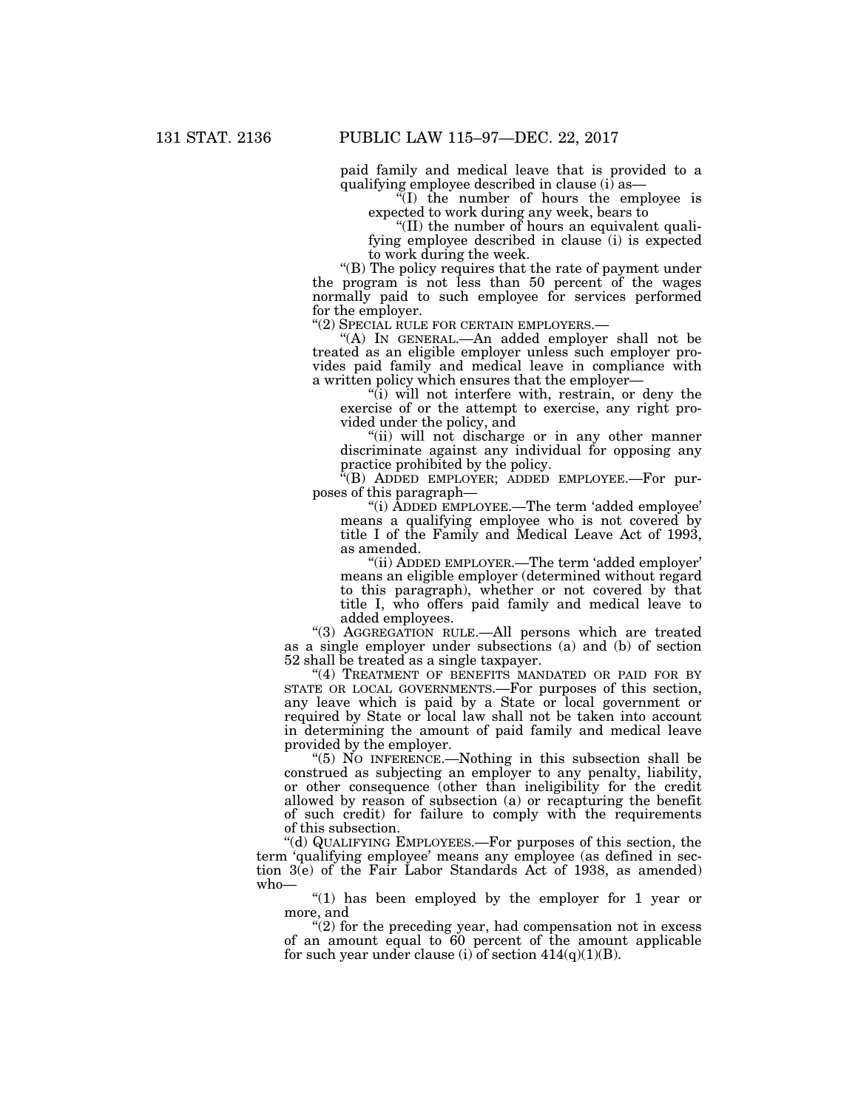paid family and medical leave that is provided to a qualifying employee described in clause (i) as—

''(I) the number of hours the employee is expected to work during any week, bears to

''(II) the number of hours an equivalent qualifying employee described in clause (i) is expected to work during the week.

''(B) The policy requires that the rate of payment under the program is not less than 50 percent of the wages normally paid to such employee for services performed for the employer.<br>"(2) SPECIAL RULE FOR CERTAIN EMPLOYERS.—

"(A) IN GENERAL.—An added employer shall not be treated as an eligible employer unless such employer provides paid family and medical leave in compliance with a written policy which ensures that the employer—

''(i) will not interfere with, restrain, or deny the exercise of or the attempt to exercise, any right provided under the policy, and

"(ii) will not discharge or in any other manner discriminate against any individual for opposing any practice prohibited by the policy.

''(B) ADDED EMPLOYER; ADDED EMPLOYEE.—For purposes of this paragraph—

"(i) ADDED EMPLOYEE.—The term 'added employee' means a qualifying employee who is not covered by title I of the Family and Medical Leave Act of 1993, as amended.

''(ii) ADDED EMPLOYER.—The term 'added employer' means an eligible employer (determined without regard to this paragraph), whether or not covered by that title I, who offers paid family and medical leave to added employees.

"(3) AGGREGATION RULE.—All persons which are treated as a single employer under subsections (a) and (b) of section 52 shall be treated as a single taxpayer.

"(4) TREATMENT OF BENEFITS MANDATED OR PAID FOR BY STATE OR LOCAL GOVERNMENTS.—For purposes of this section, any leave which is paid by a State or local government or required by State or local law shall not be taken into account in determining the amount of paid family and medical leave provided by the employer.

''(5) NO INFERENCE.—Nothing in this subsection shall be construed as subjecting an employer to any penalty, liability, or other consequence (other than ineligibility for the credit allowed by reason of subsection (a) or recapturing the benefit of such credit) for failure to comply with the requirements of this subsection.

''(d) QUALIFYING EMPLOYEES.—For purposes of this section, the term 'qualifying employee' means any employee (as defined in section 3(e) of the Fair Labor Standards Act of 1938, as amended) who—

" $(1)$  has been employed by the employer for 1 year or more, and

"(2) for the preceding year, had compensation not in excess of an amount equal to 60 percent of the amount applicable for such year under clause (i) of section  $414(q)(1)(B)$ .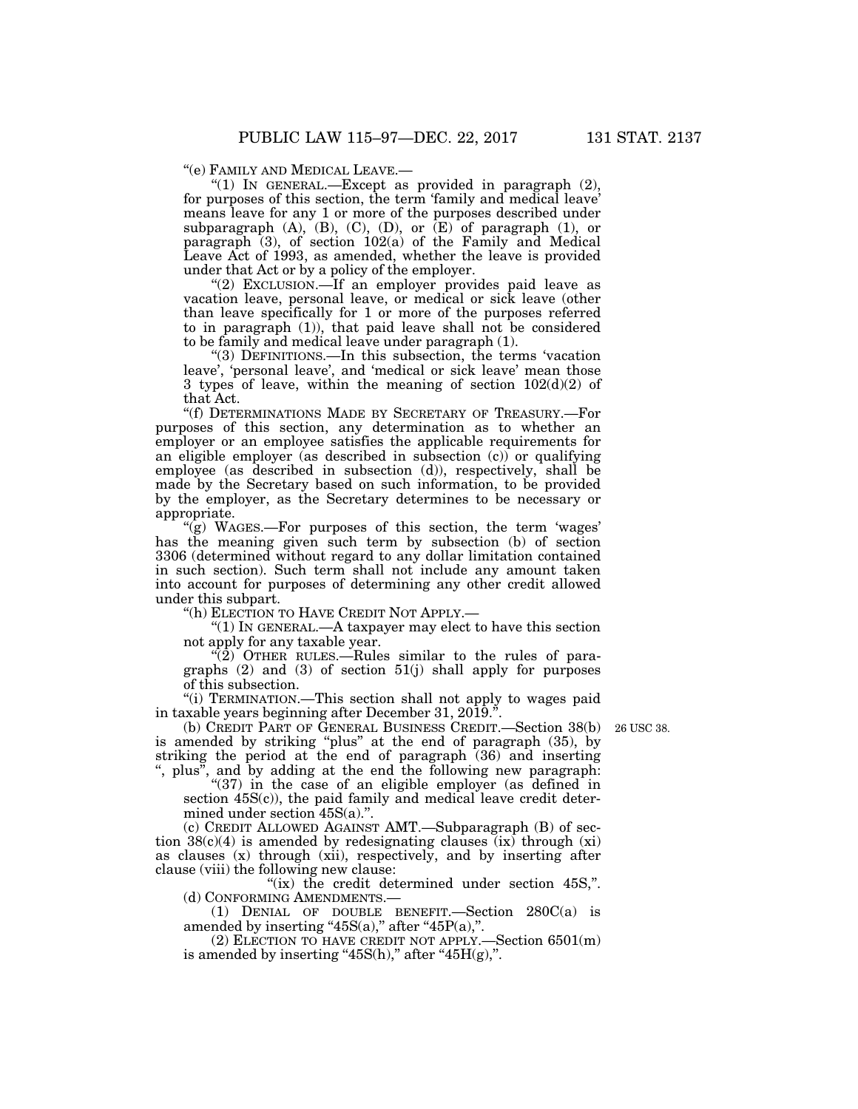''(e) FAMILY AND MEDICAL LEAVE.—

"(1) IN GENERAL.—Except as provided in paragraph  $(2)$ , for purposes of this section, the term 'family and medical leave' means leave for any 1 or more of the purposes described under subparagraph  $(A)$ ,  $(B)$ ,  $(C)$ ,  $(D)$ , or  $(E)$  of paragraph  $(1)$ , or paragraph (3), of section 102(a) of the Family and Medical Leave Act of 1993, as amended, whether the leave is provided under that Act or by a policy of the employer.

"(2) EXCLUSION.—If an employer provides paid leave as vacation leave, personal leave, or medical or sick leave (other than leave specifically for 1 or more of the purposes referred to in paragraph (1)), that paid leave shall not be considered to be family and medical leave under paragraph (1).

''(3) DEFINITIONS.—In this subsection, the terms 'vacation leave', 'personal leave', and 'medical or sick leave' mean those 3 types of leave, within the meaning of section  $102(d)(2)$  of that Act.

''(f) DETERMINATIONS MADE BY SECRETARY OF TREASURY.—For purposes of this section, any determination as to whether an employer or an employee satisfies the applicable requirements for an eligible employer (as described in subsection (c)) or qualifying employee (as described in subsection (d)), respectively, shall be made by the Secretary based on such information, to be provided by the employer, as the Secretary determines to be necessary or appropriate.

 $\mathcal{L}(g)$  WAGES.—For purposes of this section, the term 'wages' has the meaning given such term by subsection (b) of section 3306 (determined without regard to any dollar limitation contained in such section). Such term shall not include any amount taken into account for purposes of determining any other credit allowed under this subpart.

''(h) ELECTION TO HAVE CREDIT NOT APPLY.—

''(1) IN GENERAL.—A taxpayer may elect to have this section not apply for any taxable year.

 $\sqrt{\hat{2}}$  OTHER RULES.—Rules similar to the rules of paragraphs (2) and (3) of section 51(j) shall apply for purposes of this subsection.

''(i) TERMINATION.—This section shall not apply to wages paid in taxable years beginning after December 31, 2019.''.

26 USC 38.

(b) CREDIT PART OF GENERAL BUSINESS CREDIT.—Section 38(b) is amended by striking "plus" at the end of paragraph (35), by striking the period at the end of paragraph (36) and inserting '', plus'', and by adding at the end the following new paragraph:

"(37) in the case of an eligible employer (as defined in section 45S(c)), the paid family and medical leave credit determined under section 45S(a).''.

(c) CREDIT ALLOWED AGAINST AMT.—Subparagraph (B) of section  $38(c)(4)$  is amended by redesignating clauses (ix) through (xi) as clauses (x) through (xii), respectively, and by inserting after clause (viii) the following new clause:

" $(ix)$  the credit determined under section 45S,". (d) CONFORMING AMENDMENTS.—

(1) DENIAL OF DOUBLE BENEFIT.—Section 280C(a) is amended by inserting " $45S(a)$ ," after " $45P(a)$ ,".

(2) ELECTION TO HAVE CREDIT NOT APPLY.—Section 6501(m) is amended by inserting " $45S(h)$ ," after " $45H(g)$ ,".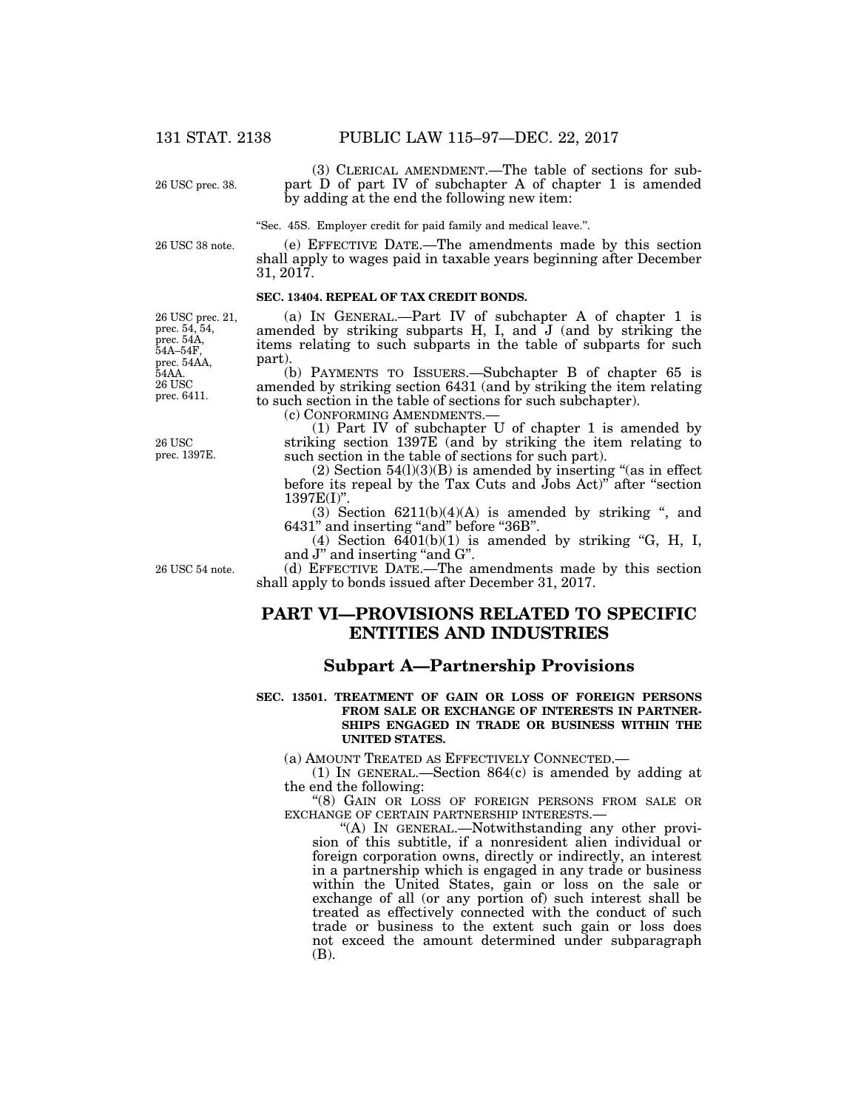26 USC prec. 38.

(3) CLERICAL AMENDMENT.—The table of sections for subpart D of part IV of subchapter A of chapter 1 is amended by adding at the end the following new item:

''Sec. 45S. Employer credit for paid family and medical leave.''.

26 USC 38 note.

(e) EFFECTIVE DATE.—The amendments made by this section shall apply to wages paid in taxable years beginning after December 31, 2017.

### **SEC. 13404. REPEAL OF TAX CREDIT BONDS.**

26 USC prec. 6411. 26 USC prec. 21, prec. 54, 54, prec. 54A, 54A–54F, prec. 54AA, 54AA.

26 USC prec. 1397E.

(a) IN GENERAL.—Part IV of subchapter A of chapter 1 is amended by striking subparts H, I, and J (and by striking the items relating to such subparts in the table of subparts for such part).

(b) PAYMENTS TO ISSUERS.—Subchapter B of chapter 65 is amended by striking section 6431 (and by striking the item relating to such section in the table of sections for such subchapter).

(c) CONFORMING AMENDMENTS.— (1) Part IV of subchapter U of chapter 1 is amended by striking section 1397E (and by striking the item relating to such section in the table of sections for such part).

 $(2)$  Section  $54(1)(3)(B)$  is amended by inserting "(as in effect before its repeal by the Tax Cuts and Jobs Act)'' after ''section 1397E(I)''.

(3) Section  $6211(b)(4)(A)$  is amended by striking ", and 6431" and inserting "and" before "36B".

(4) Section  $6401(b)(1)$  is amended by striking "G, H, I, and J" and inserting "and G". (d) EFFECTIVE DATE.—The amendments made by this section

26 USC 54 note.

# **PART VI—PROVISIONS RELATED TO SPECIFIC ENTITIES AND INDUSTRIES**

shall apply to bonds issued after December 31, 2017.

## **Subpart A—Partnership Provisions**

#### **SEC. 13501. TREATMENT OF GAIN OR LOSS OF FOREIGN PERSONS FROM SALE OR EXCHANGE OF INTERESTS IN PARTNER-SHIPS ENGAGED IN TRADE OR BUSINESS WITHIN THE UNITED STATES.**

(a) AMOUNT TREATED AS EFFECTIVELY CONNECTED.—

(1) IN GENERAL.—Section 864(c) is amended by adding at the end the following:

''(8) GAIN OR LOSS OF FOREIGN PERSONS FROM SALE OR EXCHANGE OF CERTAIN PARTNERSHIP INTERESTS.—

''(A) IN GENERAL.—Notwithstanding any other provision of this subtitle, if a nonresident alien individual or foreign corporation owns, directly or indirectly, an interest in a partnership which is engaged in any trade or business within the United States, gain or loss on the sale or exchange of all (or any portion of) such interest shall be treated as effectively connected with the conduct of such trade or business to the extent such gain or loss does not exceed the amount determined under subparagraph (B).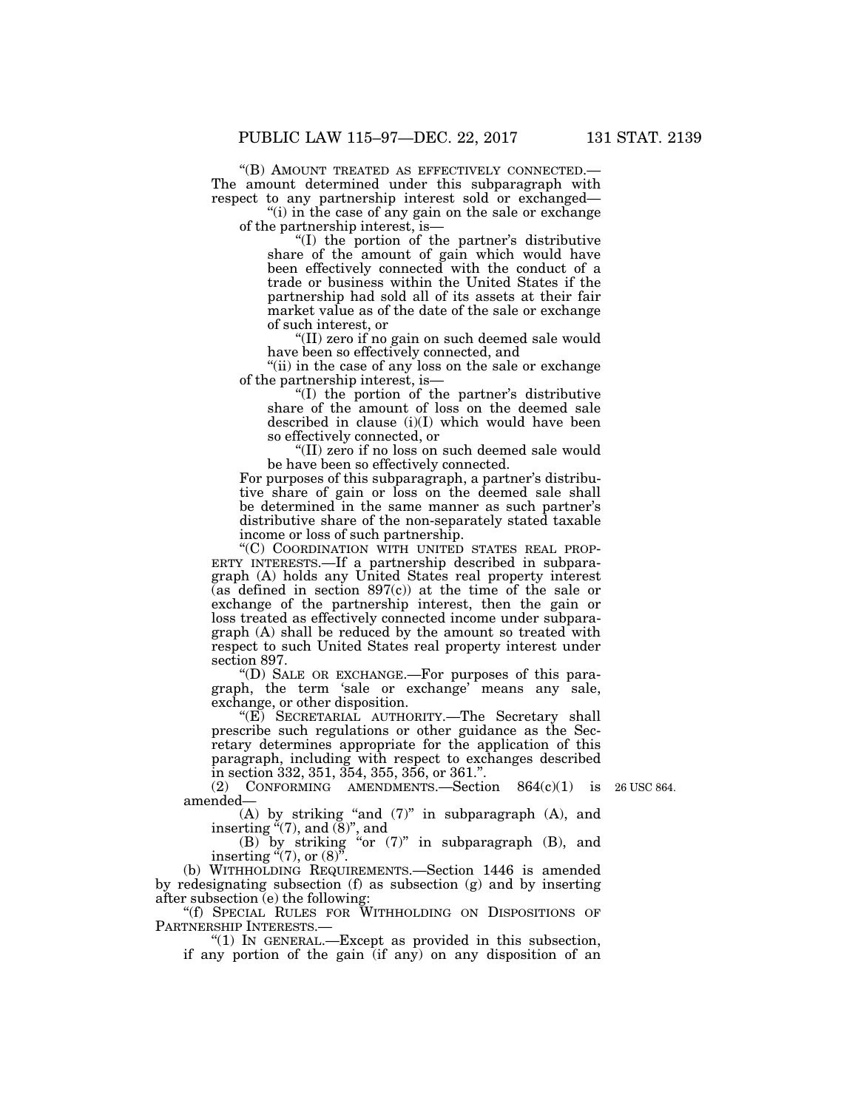''(B) AMOUNT TREATED AS EFFECTIVELY CONNECTED.— The amount determined under this subparagraph with respect to any partnership interest sold or exchanged—

"(i) in the case of any gain on the sale or exchange of the partnership interest, is—

''(I) the portion of the partner's distributive share of the amount of gain which would have been effectively connected with the conduct of a trade or business within the United States if the partnership had sold all of its assets at their fair market value as of the date of the sale or exchange of such interest, or

''(II) zero if no gain on such deemed sale would have been so effectively connected, and

''(ii) in the case of any loss on the sale or exchange of the partnership interest, is—

''(I) the portion of the partner's distributive share of the amount of loss on the deemed sale described in clause (i)(I) which would have been so effectively connected, or

''(II) zero if no loss on such deemed sale would be have been so effectively connected.

For purposes of this subparagraph, a partner's distributive share of gain or loss on the deemed sale shall be determined in the same manner as such partner's distributive share of the non-separately stated taxable income or loss of such partnership.

''(C) COORDINATION WITH UNITED STATES REAL PROP-ERTY INTERESTS.—If a partnership described in subparagraph (A) holds any United States real property interest (as defined in section 897(c)) at the time of the sale or exchange of the partnership interest, then the gain or loss treated as effectively connected income under subparagraph (A) shall be reduced by the amount so treated with respect to such United States real property interest under section 897.

''(D) SALE OR EXCHANGE.—For purposes of this paragraph, the term 'sale or exchange' means any sale, exchange, or other disposition.

''(E) SECRETARIAL AUTHORITY.—The Secretary shall prescribe such regulations or other guidance as the Secretary determines appropriate for the application of this paragraph, including with respect to exchanges described in section 332, 351, 354, 355, 356, or 361.''.

(2) CONFORMING AMENDMENTS. Section  $864(c)(1)$  is  $26$  USC 864. amended—

(A) by striking ''and (7)'' in subparagraph (A), and inserting  $\mathbf{H}(7)$ , and  $(8)$ ", and

(B) by striking ''or (7)'' in subparagraph (B), and inserting  $(7)$ , or  $(8)$ ".

(b) WITHHOLDING REQUIREMENTS.—Section 1446 is amended by redesignating subsection (f) as subsection (g) and by inserting after subsection (e) the following:

''(f) SPECIAL RULES FOR WITHHOLDING ON DISPOSITIONS OF PARTNERSHIP INTERESTS.—<br>"(1) IN GENERAL.—Except as provided in this subsection,

if any portion of the gain (if any) on any disposition of an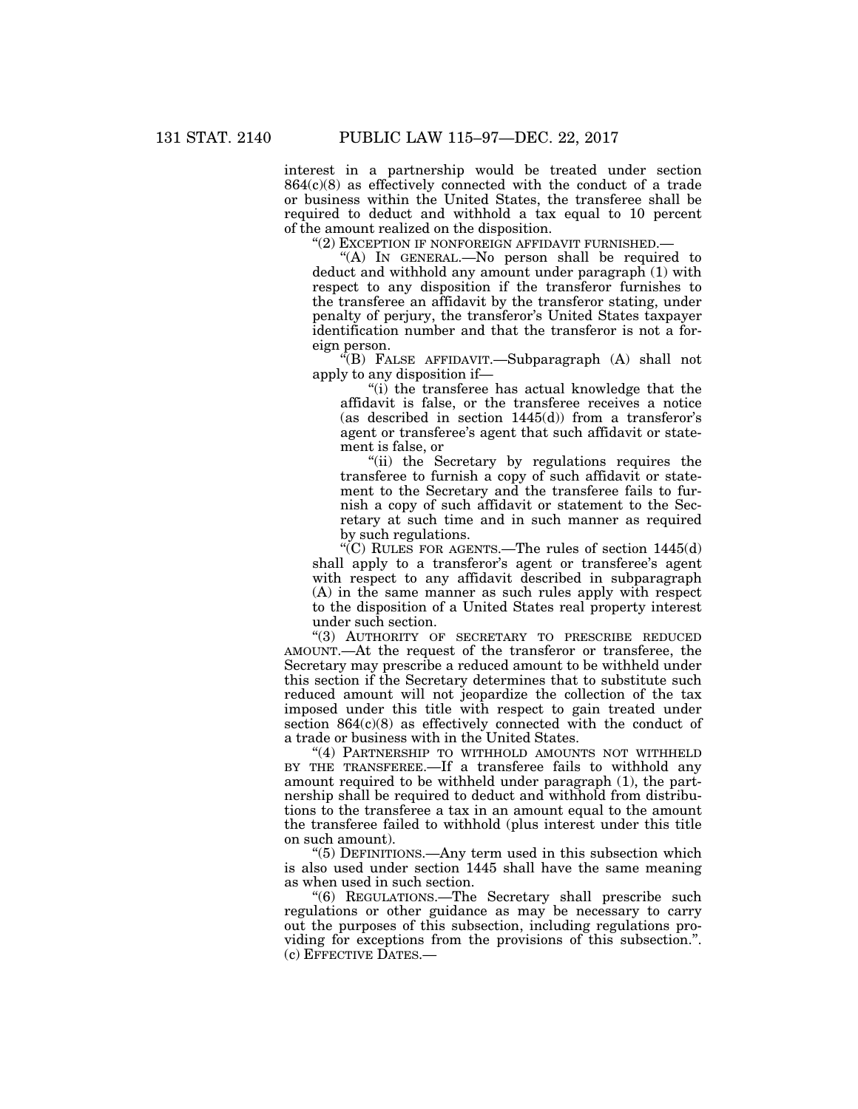interest in a partnership would be treated under section 864(c)(8) as effectively connected with the conduct of a trade or business within the United States, the transferee shall be required to deduct and withhold a tax equal to 10 percent of the amount realized on the disposition.

"(2) EXCEPTION IF NONFOREIGN AFFIDAVIT FURNISHED.—

"(A) In GENERAL.—No person shall be required to deduct and withhold any amount under paragraph (1) with respect to any disposition if the transferor furnishes to the transferee an affidavit by the transferor stating, under penalty of perjury, the transferor's United States taxpayer identification number and that the transferor is not a foreign person.

''(B) FALSE AFFIDAVIT.—Subparagraph (A) shall not apply to any disposition if—

''(i) the transferee has actual knowledge that the affidavit is false, or the transferee receives a notice (as described in section  $1445(d)$ ) from a transferor's agent or transferee's agent that such affidavit or statement is false, or

"(ii) the Secretary by regulations requires the transferee to furnish a copy of such affidavit or statement to the Secretary and the transferee fails to furnish a copy of such affidavit or statement to the Secretary at such time and in such manner as required by such regulations.

"(C) RULES FOR AGENTS.—The rules of section  $1445(d)$ shall apply to a transferor's agent or transferee's agent with respect to any affidavit described in subparagraph (A) in the same manner as such rules apply with respect to the disposition of a United States real property interest under such section.

"(3) AUTHORITY OF SECRETARY TO PRESCRIBE REDUCED AMOUNT.—At the request of the transferor or transferee, the Secretary may prescribe a reduced amount to be withheld under this section if the Secretary determines that to substitute such reduced amount will not jeopardize the collection of the tax imposed under this title with respect to gain treated under section  $864(c)(8)$  as effectively connected with the conduct of a trade or business with in the United States.

"(4) PARTNERSHIP TO WITHHOLD AMOUNTS NOT WITHHELD BY THE TRANSFEREE.—If a transferee fails to withhold any amount required to be withheld under paragraph (1), the partnership shall be required to deduct and withhold from distributions to the transferee a tax in an amount equal to the amount the transferee failed to withhold (plus interest under this title on such amount).

''(5) DEFINITIONS.—Any term used in this subsection which is also used under section 1445 shall have the same meaning as when used in such section.

''(6) REGULATIONS.—The Secretary shall prescribe such regulations or other guidance as may be necessary to carry out the purposes of this subsection, including regulations providing for exceptions from the provisions of this subsection.''. (c) EFFECTIVE DATES.—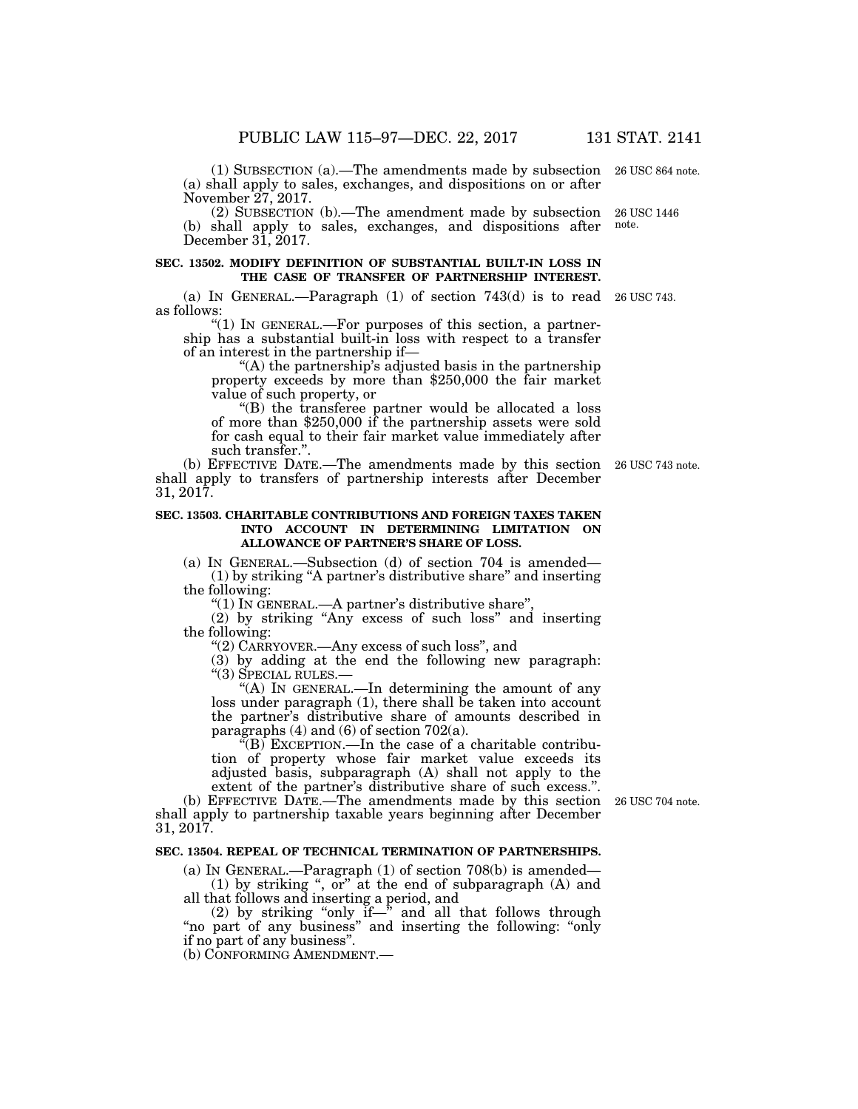(1) SUBSECTION (a).—The amendments made by subsection 26 USC 864 note. (a) shall apply to sales, exchanges, and dispositions on or after November 27, 2017.

(2) SUBSECTION (b).—The amendment made by subsection (b) shall apply to sales, exchanges, and dispositions after December 31, 2017. 26 USC 1446 note.

#### **SEC. 13502. MODIFY DEFINITION OF SUBSTANTIAL BUILT-IN LOSS IN THE CASE OF TRANSFER OF PARTNERSHIP INTEREST.**

(a) IN GENERAL.—Paragraph (1) of section 743(d) is to read 26 USC 743. as follows:

''(1) IN GENERAL.—For purposes of this section, a partnership has a substantial built-in loss with respect to a transfer of an interest in the partnership if—<br>"(A) the partnership's adjusted basis in the partnership

property exceeds by more than \$250,000 the fair market value of such property, or<br>"(B) the transferee partner would be allocated a loss

of more than \$250,000 if the partnership assets were sold for cash equal to their fair market value immediately after such transfer.''.

(b) EFFECTIVE DATE.—The amendments made by this section 26 USC 743 note. shall apply to transfers of partnership interests after December 31, 2017.

#### **SEC. 13503. CHARITABLE CONTRIBUTIONS AND FOREIGN TAXES TAKEN INTO ACCOUNT IN DETERMINING LIMITATION ON ALLOWANCE OF PARTNER'S SHARE OF LOSS.**

(a) IN GENERAL.—Subsection (d) of section 704 is amended— (1) by striking ''A partner's distributive share'' and inserting the following:

"(1) In GENERAL.—A partner's distributive share"

(2) by striking ''Any excess of such loss'' and inserting the following:

''(2) CARRYOVER.—Any excess of such loss'', and

(3) by adding at the end the following new paragraph: ''(3) SPECIAL RULES.—

''(A) IN GENERAL.—In determining the amount of any loss under paragraph (1), there shall be taken into account the partner's distributive share of amounts described in paragraphs (4) and (6) of section 702(a).

 $\sqrt{\text{B}}$  EXCEPTION.—In the case of a charitable contribution of property whose fair market value exceeds its adjusted basis, subparagraph (A) shall not apply to the extent of the partner's distributive share of such excess.''.

(b) EFFECTIVE DATE.—The amendments made by this section 26 USC 704 note. shall apply to partnership taxable years beginning after December 31, 2017.

### **SEC. 13504. REPEAL OF TECHNICAL TERMINATION OF PARTNERSHIPS.**

(a) IN GENERAL.—Paragraph (1) of section 708(b) is amended— (1) by striking '', or'' at the end of subparagraph (A) and all that follows and inserting a period, and

(2) by striking "only if—" and all that follows through ''no part of any business'' and inserting the following: ''only if no part of any business''.

(b) CONFORMING AMENDMENT.—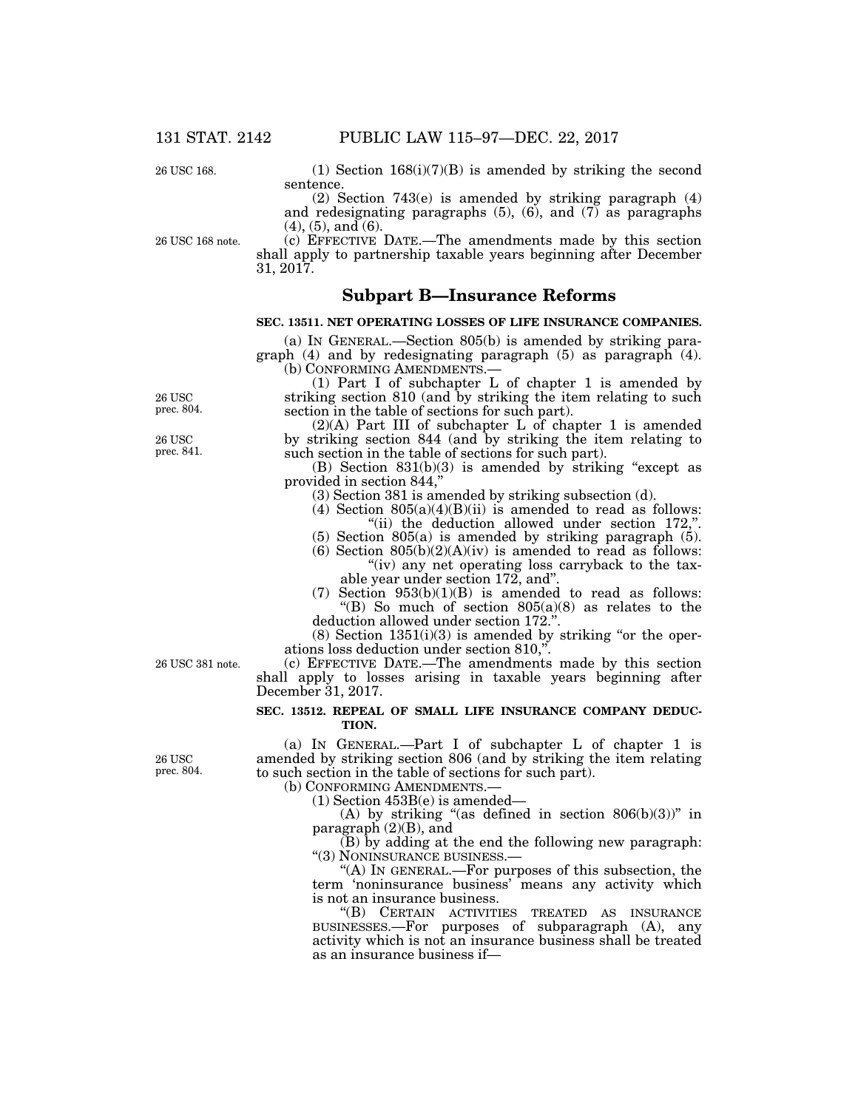26 USC 168.

(1) Section  $168(i)(7)(B)$  is amended by striking the second sentence.

(2) Section 743(e) is amended by striking paragraph (4) and redesignating paragraphs  $(5)$ ,  $(6)$ , and  $(7)$  as paragraphs  $(4)$ ,  $(5)$ , and  $(6)$ .

26 USC 168 note.

(c) EFFECTIVE DATE.—The amendments made by this section shall apply to partnership taxable years beginning after December 31, 2017.

### **Subpart B—Insurance Reforms**

## **SEC. 13511. NET OPERATING LOSSES OF LIFE INSURANCE COMPANIES.**

(a) IN GENERAL.—Section 805(b) is amended by striking paragraph (4) and by redesignating paragraph (5) as paragraph (4). (b) CONFORMING AMENDMENTS.—

(1) Part I of subchapter L of chapter 1 is amended by striking section 810 (and by striking the item relating to such section in the table of sections for such part).

 $(2)(A)$  Part III of subchapter L of chapter 1 is amended by striking section 844 (and by striking the item relating to such section in the table of sections for such part).

(B) Section  $831(b)(3)$  is amended by striking "except as provided in section 844,''

(3) Section 381 is amended by striking subsection (d).

(4) Section  $805(a)(4)(B)(ii)$  is amended to read as follows: "(ii) the deduction allowed under section 172,".

(5) Section 805(a) is amended by striking paragraph (5).

(6) Section  $805(b)(2)(A)(iv)$  is amended to read as follows: "(iv) any net operating loss carryback to the taxable year under section 172, and''.

(7) Section  $953(b)(1)(B)$  is amended to read as follows: ''(B) So much of section 805(a)(8) as relates to the deduction allowed under section 172.''.

 $(8)$  Section  $1351(i)(3)$  is amended by striking "or the operations loss deduction under section 810,''.

(c) EFFECTIVE DATE.—The amendments made by this section shall apply to losses arising in taxable years beginning after December 31, 2017.

#### **SEC. 13512. REPEAL OF SMALL LIFE INSURANCE COMPANY DEDUC-TION.**

(a) IN GENERAL.—Part I of subchapter L of chapter 1 is amended by striking section 806 (and by striking the item relating to such section in the table of sections for such part).

(b) CONFORMING AMENDMENTS.—

(1) Section 453B(e) is amended—

(A) by striking "(as defined in section  $806(b)(3)$ " in paragraph (2)(B), and

(B) by adding at the end the following new paragraph: ''(3) NONINSURANCE BUSINESS.—

''(A) IN GENERAL.—For purposes of this subsection, the term 'noninsurance business' means any activity which is not an insurance business.

''(B) CERTAIN ACTIVITIES TREATED AS INSURANCE BUSINESSES.—For purposes of subparagraph (A), any activity which is not an insurance business shall be treated as an insurance business if—

26 USC 381 note.

26 USC prec. 804.

26 USC prec. 804.

26 USC prec. 841.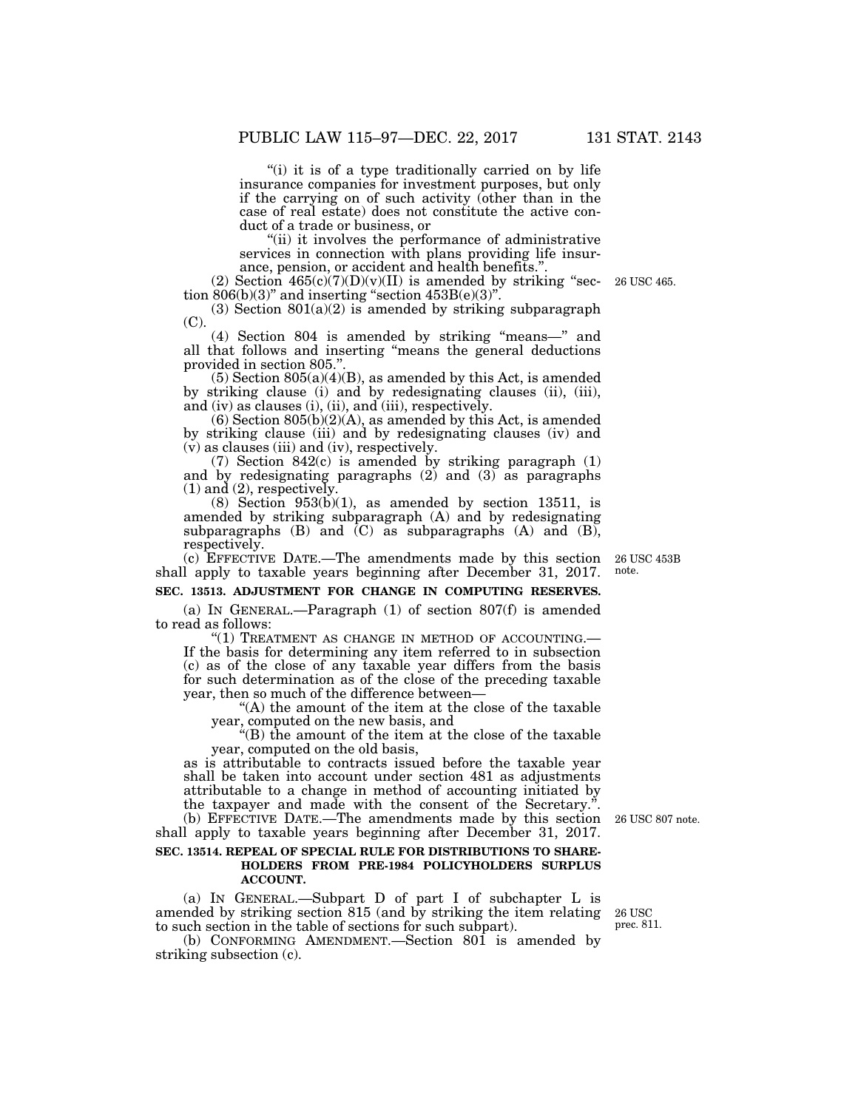"(i) it is of a type traditionally carried on by life" insurance companies for investment purposes, but only if the carrying on of such activity (other than in the case of real estate) does not constitute the active conduct of a trade or business, or

''(ii) it involves the performance of administrative services in connection with plans providing life insurance, pension, or accident and health benefits."

(2) Section  $465(c)(7)(D)(v)(II)$  is amended by striking "section  $806(b)(3)$ " and inserting "section  $453B(e)(3)$ ".

 $(3)$  Section  $801(a)(2)$  is amended by striking subparagraph (C).

(4) Section 804 is amended by striking ''means—'' and all that follows and inserting ''means the general deductions provided in section 805.''.

 $(5)$  Section 805 $(a)(4)(B)$ , as amended by this Act, is amended by striking clause (i) and by redesignating clauses (ii), (iii), and (iv) as clauses (i), (ii), and (iii), respectively.

 $(6)$  Section  $805(b)(2)(A)$ , as amended by this Act, is amended by striking clause (iii) and by redesignating clauses (iv) and (v) as clauses (iii) and (iv), respectively.

(7) Section 842(c) is amended by striking paragraph (1) and by redesignating paragraphs  $(2)$  and  $(3)$  as paragraphs (1) and (2), respectively.

 $(8)$  Section 953 $(b)(1)$ , as amended by section 13511, is amended by striking subparagraph (A) and by redesignating subparagraphs  $(B)$  and  $(C)$  as subparagraphs  $(A)$  and  $(B)$ , respectively.

(c) EFFECTIVE DATE.—The amendments made by this section shall apply to taxable years beginning after December 31, 2017.

#### **SEC. 13513. ADJUSTMENT FOR CHANGE IN COMPUTING RESERVES.**

(a) IN GENERAL.—Paragraph (1) of section 807(f) is amended to read as follows:<br>"(1) TREATMENT AS CHANGE IN METHOD OF ACCOUNTING.—

If the basis for determining any item referred to in subsection (c) as of the close of any taxable year differs from the basis for such determination as of the close of the preceding taxable year, then so much of the difference between—

''(A) the amount of the item at the close of the taxable year, computed on the new basis, and

''(B) the amount of the item at the close of the taxable year, computed on the old basis,

as is attributable to contracts issued before the taxable year shall be taken into account under section 481 as adjustments attributable to a change in method of accounting initiated by the taxpayer and made with the consent of the Secretary.''.

(b) EFFECTIVE DATE.—The amendments made by this section 26 USC 807 note. shall apply to taxable years beginning after December 31, 2017.

#### **SEC. 13514. REPEAL OF SPECIAL RULE FOR DISTRIBUTIONS TO SHARE-HOLDERS FROM PRE-1984 POLICYHOLDERS SURPLUS ACCOUNT.**

(a) IN GENERAL.—Subpart D of part I of subchapter L is amended by striking section 815 (and by striking the item relating to such section in the table of sections for such subpart). 26 USC

(b) CONFORMING AMENDMENT.—Section 801 is amended by striking subsection (c).

prec. 811.

26 USC 453B note.

26 USC 465.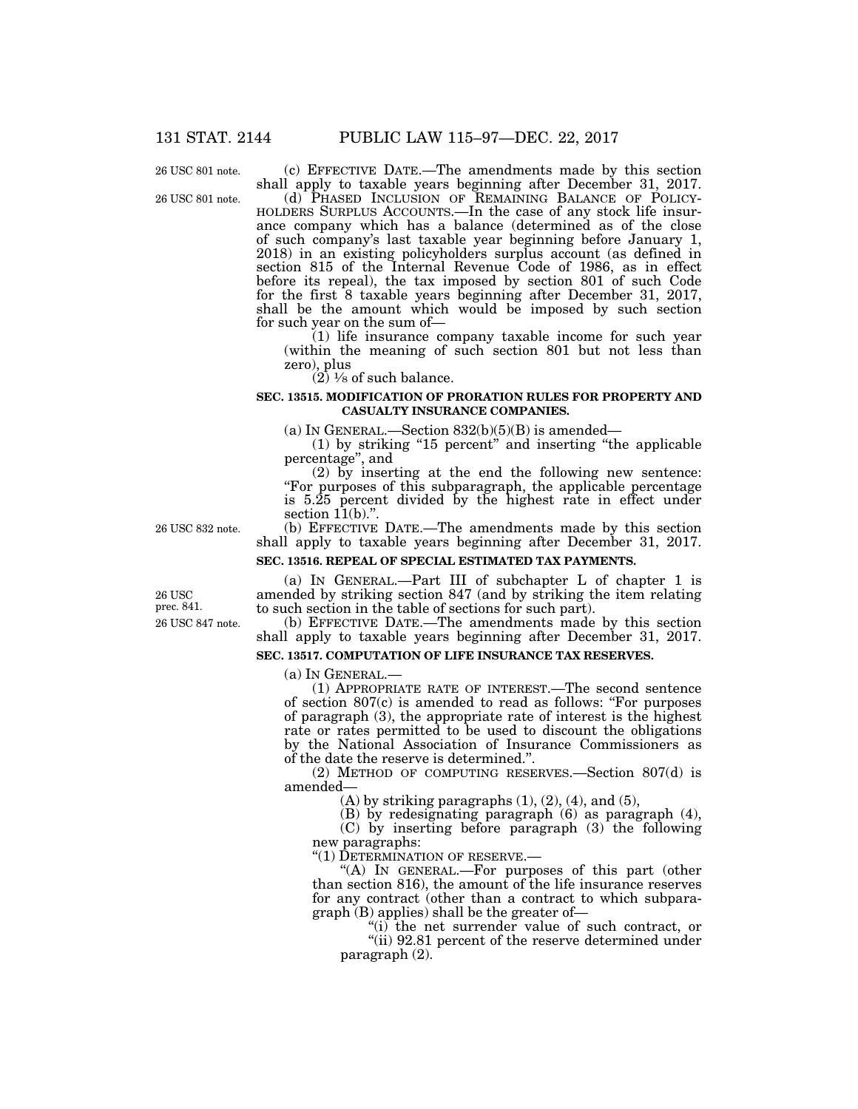26 USC 801 note.

26 USC 801 note.

(c) EFFECTIVE DATE.—The amendments made by this section shall apply to taxable years beginning after December 31, 2017.

(d) PHASED INCLUSION OF REMAINING BALANCE OF POLICY- HOLDERS SURPLUS ACCOUNTS.—In the case of any stock life insurance company which has a balance (determined as of the close of such company's last taxable year beginning before January 1, 2018) in an existing policyholders surplus account (as defined in section 815 of the Internal Revenue Code of 1986, as in effect before its repeal), the tax imposed by section 801 of such Code for the first 8 taxable years beginning after December 31, 2017, shall be the amount which would be imposed by such section for such year on the sum of—

(1) life insurance company taxable income for such year (within the meaning of such section 801 but not less than zero), plus

 $(2)$   $\frac{1}{8}$  of such balance.

#### **SEC. 13515. MODIFICATION OF PRORATION RULES FOR PROPERTY AND CASUALTY INSURANCE COMPANIES.**

(a) IN GENERAL.—Section  $832(b)(5)(B)$  is amended—

(1) by striking ''15 percent'' and inserting ''the applicable percentage'', and

(2) by inserting at the end the following new sentence: "For purposes of this subparagraph, the applicable percentage is 5.25 percent divided by the highest rate in effect under section  $11(b)$ .".

26 USC 832 note.

(b) EFFECTIVE DATE.—The amendments made by this section shall apply to taxable years beginning after December 31, 2017.

### **SEC. 13516. REPEAL OF SPECIAL ESTIMATED TAX PAYMENTS.**

26 USC 847 note. 26 USC prec. 841.

(a) IN GENERAL.—Part III of subchapter L of chapter 1 is amended by striking section 847 (and by striking the item relating to such section in the table of sections for such part).

(b) EFFECTIVE DATE.—The amendments made by this section shall apply to taxable years beginning after December 31, 2017.

### **SEC. 13517. COMPUTATION OF LIFE INSURANCE TAX RESERVES.**

(a) IN GENERAL.—

(1) APPROPRIATE RATE OF INTEREST.—The second sentence of section 807(c) is amended to read as follows: ''For purposes of paragraph (3), the appropriate rate of interest is the highest rate or rates permitted to be used to discount the obligations by the National Association of Insurance Commissioners as of the date the reserve is determined.''.

(2) METHOD OF COMPUTING RESERVES.—Section 807(d) is amended—

 $(A)$  by striking paragraphs  $(1)$ ,  $(2)$ ,  $(4)$ , and  $(5)$ ,

(B) by redesignating paragraph (6) as paragraph (4),

(C) by inserting before paragraph (3) the following new paragraphs:

''(1) DETERMINATION OF RESERVE.—

"(A) IN GENERAL.—For purposes of this part (other than section 816), the amount of the life insurance reserves for any contract (other than a contract to which subparagraph (B) applies) shall be the greater of—

''(i) the net surrender value of such contract, or

"(ii) 92.81 percent of the reserve determined under paragraph (2).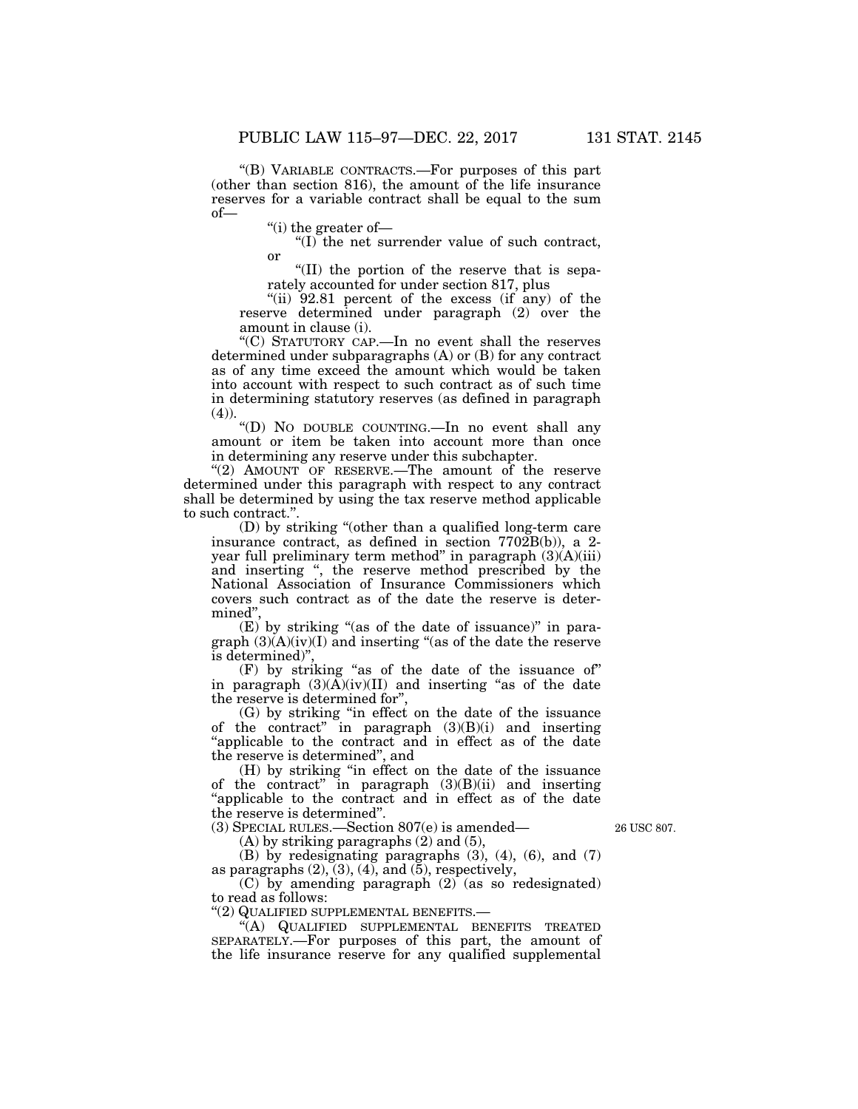''(B) VARIABLE CONTRACTS.—For purposes of this part (other than section 816), the amount of the life insurance reserves for a variable contract shall be equal to the sum of—

''(i) the greater of—

''(I) the net surrender value of such contract, or

''(II) the portion of the reserve that is separately accounted for under section 817, plus

"(ii)  $92.81$  percent of the excess (if any) of the reserve determined under paragraph (2) over the amount in clause (i).

''(C) STATUTORY CAP.—In no event shall the reserves determined under subparagraphs (A) or (B) for any contract as of any time exceed the amount which would be taken into account with respect to such contract as of such time in determining statutory reserves (as defined in paragraph  $(4)$ ).

''(D) NO DOUBLE COUNTING.—In no event shall any amount or item be taken into account more than once in determining any reserve under this subchapter.

"(2) AMOUNT OF RESERVE.—The amount of the reserve determined under this paragraph with respect to any contract shall be determined by using the tax reserve method applicable to such contract.''.

(D) by striking ''(other than a qualified long-term care insurance contract, as defined in section 7702B(b)), a 2 year full preliminary term method" in paragraph  $(3)(A)(iii)$ and inserting '', the reserve method prescribed by the National Association of Insurance Commissioners which covers such contract as of the date the reserve is determined'

 $(E)$  by striking "(as of the date of issuance)" in paragraph  $(3)(A)(iv)(I)$  and inserting "(as of the date the reserve is determined)'',

(F) by striking ''as of the date of the issuance of'' in paragraph  $(3)(\tilde{A})(iv)(II)$  and inserting "as of the date the reserve is determined for'',

(G) by striking ''in effect on the date of the issuance of the contract" in paragraph  $(3)(B)(i)$  and inserting ''applicable to the contract and in effect as of the date the reserve is determined'', and

(H) by striking ''in effect on the date of the issuance of the contract'' in paragraph (3)(B)(ii) and inserting ''applicable to the contract and in effect as of the date the reserve is determined''.

(3) SPECIAL RULES.—Section 807(e) is amended—

 $(A)$  by striking paragraphs  $(2)$  and  $(5)$ ,

26 USC 807.

(B) by redesignating paragraphs (3), (4), (6), and (7) as paragraphs  $(2)$ ,  $(3)$ ,  $(4)$ , and  $(5)$ , respectively,

(C) by amending paragraph (2) (as so redesignated) to read as follows:

''(2) QUALIFIED SUPPLEMENTAL BENEFITS.—

"(A) QUALIFIED SUPPLEMENTAL BENEFITS TREATED SEPARATELY.—For purposes of this part, the amount of the life insurance reserve for any qualified supplemental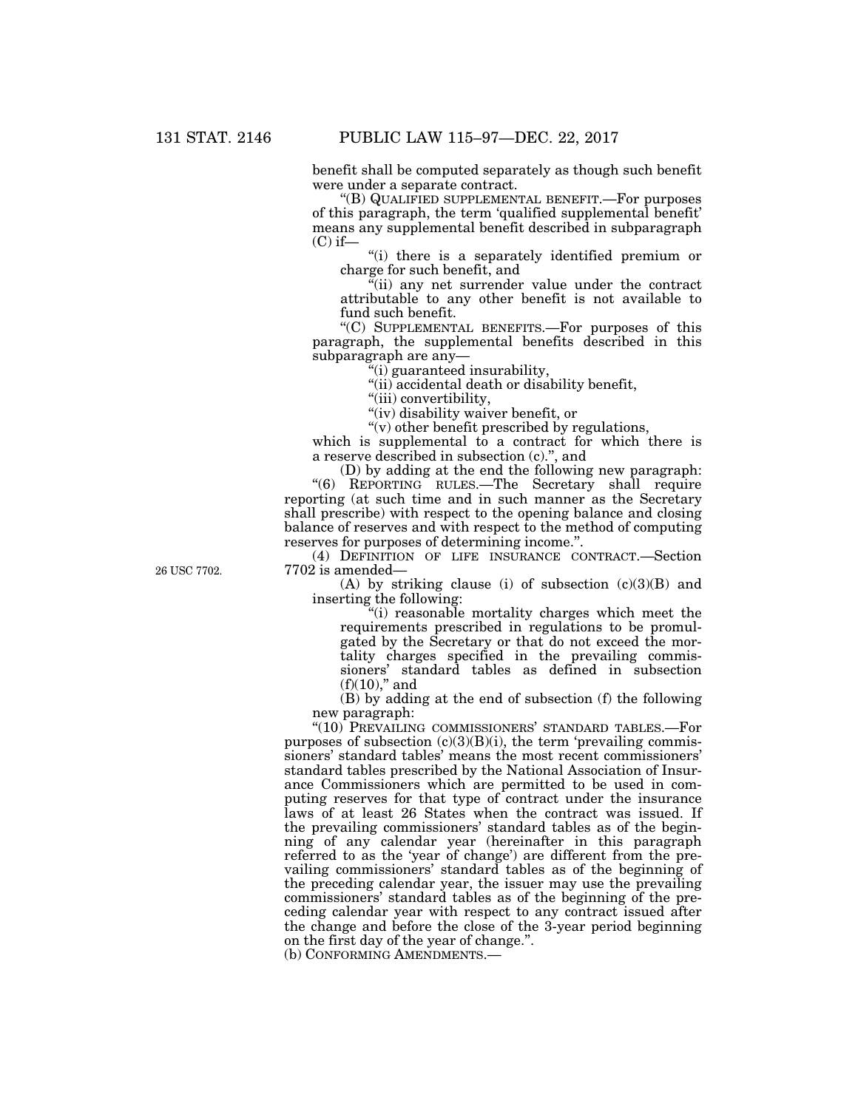benefit shall be computed separately as though such benefit were under a separate contract.

''(B) QUALIFIED SUPPLEMENTAL BENEFIT.—For purposes of this paragraph, the term 'qualified supplemental benefit' means any supplemental benefit described in subparagraph  $(C)$  if—

''(i) there is a separately identified premium or charge for such benefit, and

 $\sqrt[\alpha]{i}$  any net surrender value under the contract attributable to any other benefit is not available to fund such benefit.

''(C) SUPPLEMENTAL BENEFITS.—For purposes of this paragraph, the supplemental benefits described in this subparagraph are any—

''(i) guaranteed insurability,

"(ii) accidental death or disability benefit,

"(iii) convertibility,

''(iv) disability waiver benefit, or

''(v) other benefit prescribed by regulations,

which is supplemental to a contract for which there is a reserve described in subsection (c).'', and

(D) by adding at the end the following new paragraph: ''(6) REPORTING RULES.—The Secretary shall require reporting (at such time and in such manner as the Secretary shall prescribe) with respect to the opening balance and closing

balance of reserves and with respect to the method of computing reserves for purposes of determining income.''.

(4) DEFINITION OF LIFE INSURANCE CONTRACT.—Section 7702 is amended—

(A) by striking clause (i) of subsection (c)(3)(B) and inserting the following:

''(i) reasonable mortality charges which meet the requirements prescribed in regulations to be promulgated by the Secretary or that do not exceed the mortality charges specified in the prevailing commissioners' standard tables as defined in subsection  $(f)(10)$ ," and

(B) by adding at the end of subsection (f) the following new paragraph:

''(10) PREVAILING COMMISSIONERS' STANDARD TABLES.—For purposes of subsection  $(c)(3)(B)(i)$ , the term 'prevailing commissioners' standard tables' means the most recent commissioners' standard tables prescribed by the National Association of Insurance Commissioners which are permitted to be used in computing reserves for that type of contract under the insurance laws of at least 26 States when the contract was issued. If the prevailing commissioners' standard tables as of the beginning of any calendar year (hereinafter in this paragraph referred to as the 'year of change') are different from the prevailing commissioners' standard tables as of the beginning of the preceding calendar year, the issuer may use the prevailing commissioners' standard tables as of the beginning of the preceding calendar year with respect to any contract issued after the change and before the close of the 3-year period beginning on the first day of the year of change.''.

(b) CONFORMING AMENDMENTS.—

26 USC 7702.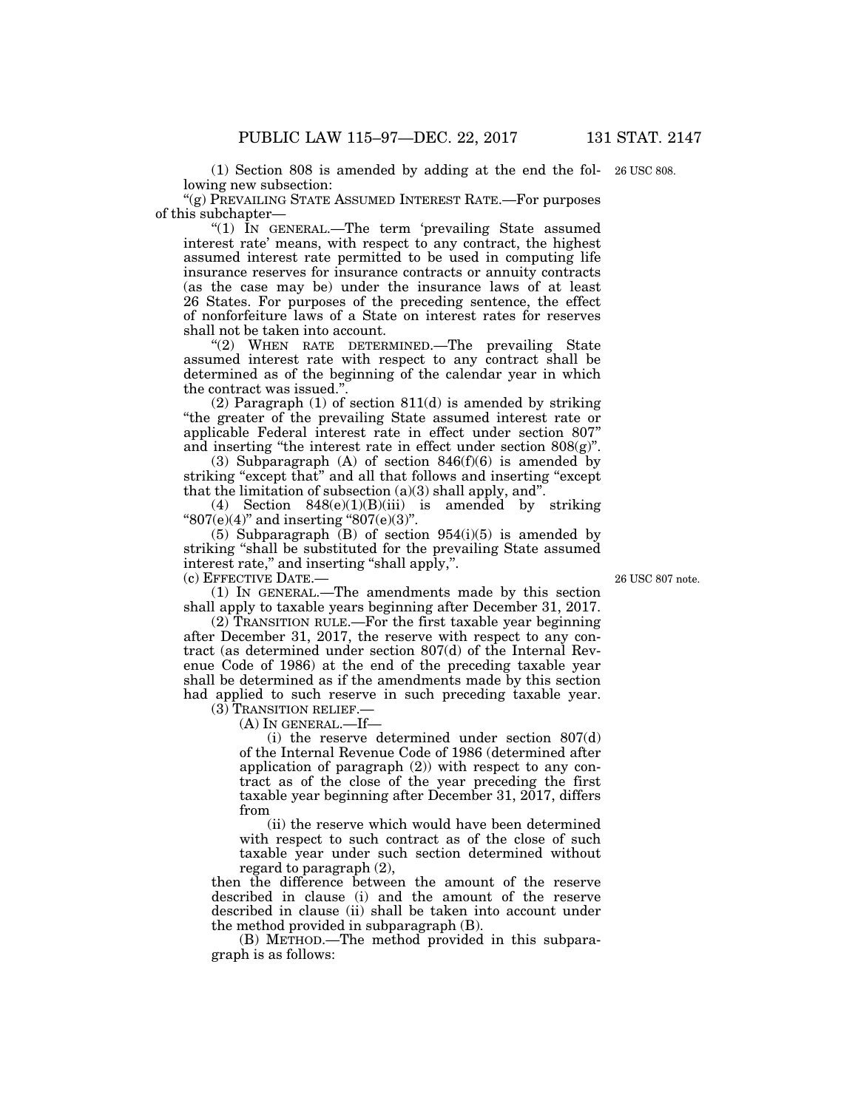(1) Section 808 is amended by adding at the end the fol-26 USC 808. lowing new subsection:

''(g) PREVAILING STATE ASSUMED INTEREST RATE.—For purposes of this subchapter—

"(1) In GENERAL.—The term 'prevailing State assumed interest rate' means, with respect to any contract, the highest assumed interest rate permitted to be used in computing life insurance reserves for insurance contracts or annuity contracts (as the case may be) under the insurance laws of at least 26 States. For purposes of the preceding sentence, the effect of nonforfeiture laws of a State on interest rates for reserves shall not be taken into account.

''(2) WHEN RATE DETERMINED.—The prevailing State assumed interest rate with respect to any contract shall be determined as of the beginning of the calendar year in which the contract was issued.''.

(2) Paragraph (1) of section 811(d) is amended by striking ''the greater of the prevailing State assumed interest rate or applicable Federal interest rate in effect under section 807'' and inserting "the interest rate in effect under section  $808(g)$ ".

(3) Subparagraph (A) of section  $846(f)(6)$  is amended by striking "except that" and all that follows and inserting "except" that the limitation of subsection  $(a)(3)$  shall apply, and".

(4) Section  $848(e)(1)(B)(iii)$  is amended by striking " $807(e)(4)$ " and inserting " $807(e)(3)$ ".

(5) Subparagraph  $(B)$  of section 954(i)(5) is amended by striking "shall be substituted for the prevailing State assumed interest rate," and inserting "shall apply,".

(c) EFFECTIVE DATE.—

(1) IN GENERAL.—The amendments made by this section shall apply to taxable years beginning after December 31, 2017.

(2) TRANSITION RULE.—For the first taxable year beginning after December 31, 2017, the reserve with respect to any contract (as determined under section 807(d) of the Internal Revenue Code of 1986) at the end of the preceding taxable year shall be determined as if the amendments made by this section had applied to such reserve in such preceding taxable year. (3) TRANSITION RELIEF.—

(A) IN GENERAL.—If—

(i) the reserve determined under section 807(d) of the Internal Revenue Code of 1986 (determined after application of paragraph (2)) with respect to any contract as of the close of the year preceding the first taxable year beginning after December 31, 2017, differs from

(ii) the reserve which would have been determined with respect to such contract as of the close of such taxable year under such section determined without regard to paragraph (2),

then the difference between the amount of the reserve described in clause (i) and the amount of the reserve described in clause (ii) shall be taken into account under the method provided in subparagraph (B).

(B) METHOD.—The method provided in this subparagraph is as follows:

26 USC 807 note.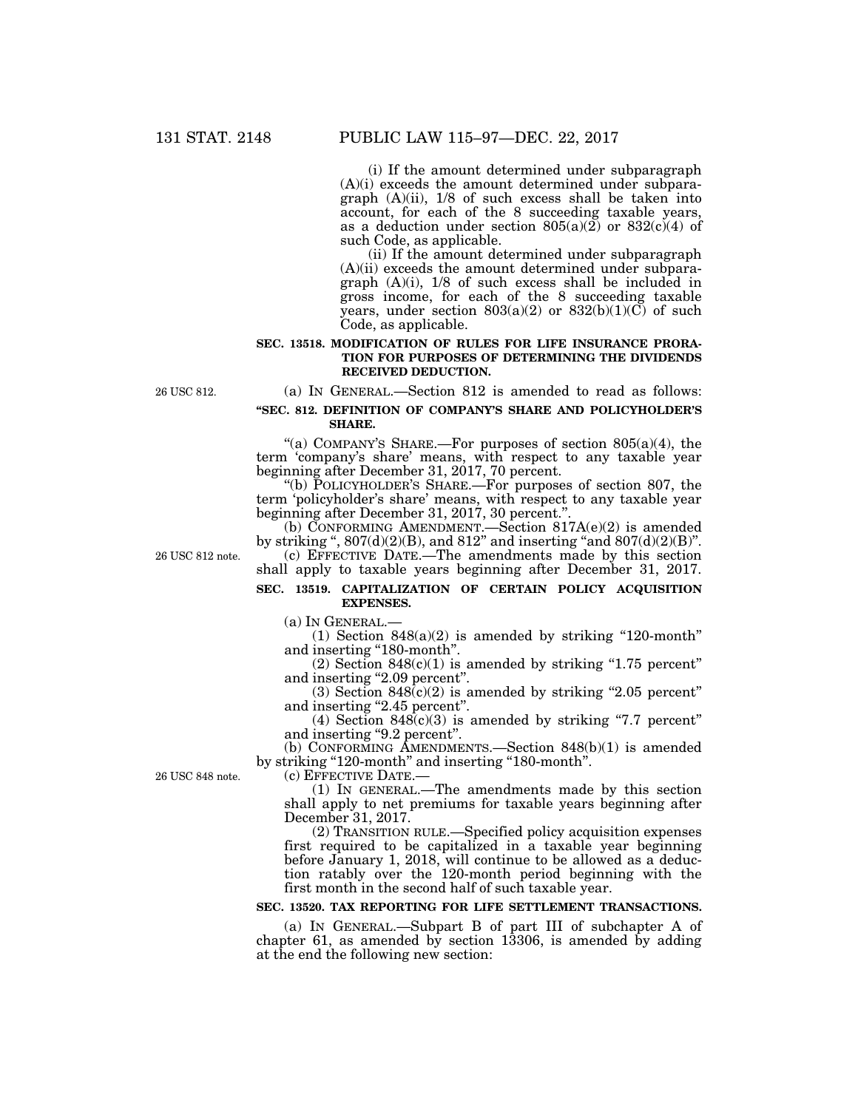(i) If the amount determined under subparagraph (A)(i) exceeds the amount determined under subparagraph  $(A)(ii)$ ,  $1/8$  of such excess shall be taken into account, for each of the 8 succeeding taxable years, as a deduction under section  $805(a)(2)$  or  $832(c)(4)$  of such Code, as applicable.

(ii) If the amount determined under subparagraph (A)(ii) exceeds the amount determined under subparagraph (A)(i), 1/8 of such excess shall be included in gross income, for each of the 8 succeeding taxable years, under section  $803(a)(2)$  or  $832(b)(1)(C)$  of such Code, as applicable.

#### **SEC. 13518. MODIFICATION OF RULES FOR LIFE INSURANCE PRORA-TION FOR PURPOSES OF DETERMINING THE DIVIDENDS RECEIVED DEDUCTION.**

(a) IN GENERAL.—Section 812 is amended to read as follows:

#### **''SEC. 812. DEFINITION OF COMPANY'S SHARE AND POLICYHOLDER'S SHARE.**

"(a) COMPANY'S SHARE.—For purposes of section  $805(a)(4)$ , the term 'company's share' means, with respect to any taxable year beginning after December 31, 2017, 70 percent.

''(b) POLICYHOLDER'S SHARE.—For purposes of section 807, the term 'policyholder's share' means, with respect to any taxable year beginning after December 31, 2017, 30 percent."

(b) CONFORMING AMENDMENT.—Section  $817A(e)(2)$  is amended by striking ",  $807(d)(2)(B)$ , and  $812$ " and inserting "and  $807(d)(2)(B)$ ". (c) EFFECTIVE DATE.—The amendments made by this section shall apply to taxable years beginning after December 31, 2017.

26 USC 812 note.

26 USC 812.

#### **SEC. 13519. CAPITALIZATION OF CERTAIN POLICY ACQUISITION EXPENSES.**

(a) IN GENERAL.—

 $(1)$  Section 848 $(a)(2)$  is amended by striking "120-month" and inserting ''180-month''.

 $(2)$  Section 848 $(c)(1)$  is amended by striking "1.75 percent" and inserting "2.09 percent".

(3) Section  $848(c)(2)$  is amended by striking "2.05 percent" and inserting "2.45 percent".

(4) Section  $848(c)(3)$  is amended by striking "7.7 percent" and inserting "9.2 percent".

(b) CONFORMING AMENDMENTS.—Section 848(b)(1) is amended by striking "120-month" and inserting "180-month".

(c) EFFECTIVE DATE.—

(1) IN GENERAL.—The amendments made by this section shall apply to net premiums for taxable years beginning after December 31, 2017.

(2) TRANSITION RULE.—Specified policy acquisition expenses first required to be capitalized in a taxable year beginning before January 1, 2018, will continue to be allowed as a deduction ratably over the 120-month period beginning with the first month in the second half of such taxable year.

### **SEC. 13520. TAX REPORTING FOR LIFE SETTLEMENT TRANSACTIONS.**

(a) IN GENERAL.—Subpart B of part III of subchapter A of chapter 61, as amended by section 13306, is amended by adding at the end the following new section:

26 USC 848 note.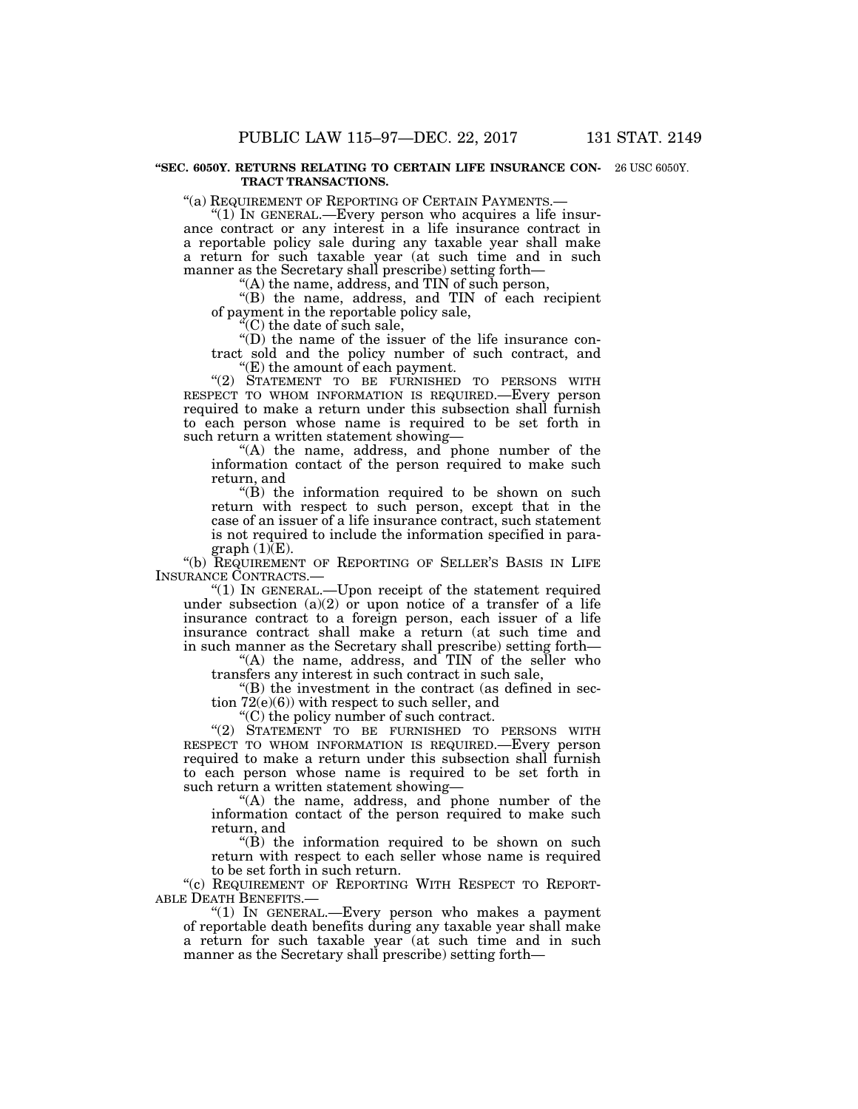#### **''SEC. 6050Y. RETURNS RELATING TO CERTAIN LIFE INSURANCE CON-**26 USC 6050Y. **TRACT TRANSACTIONS.**

''(a) REQUIREMENT OF REPORTING OF CERTAIN PAYMENTS.— ''(1) IN GENERAL.—Every person who acquires a life insurance contract or any interest in a life insurance contract in a reportable policy sale during any taxable year shall make a return for such taxable year (at such time and in such manner as the Secretary shall prescribe) setting forth—

''(A) the name, address, and TIN of such person,

''(B) the name, address, and TIN of each recipient of payment in the reportable policy sale,

''(C) the date of such sale,

''(D) the name of the issuer of the life insurance contract sold and the policy number of such contract, and ''(E) the amount of each payment.

''(2) STATEMENT TO BE FURNISHED TO PERSONS WITH RESPECT TO WHOM INFORMATION IS REQUIRED.—Every person required to make a return under this subsection shall furnish to each person whose name is required to be set forth in

such return a written statement showing— "(A) the name, address, and phone number of the information contact of the person required to make such return, and

 $'(B)$  the information required to be shown on such return with respect to such person, except that in the case of an issuer of a life insurance contract, such statement is not required to include the information specified in para $graph(1)(E)$ .

''(b) REQUIREMENT OF REPORTING OF SELLER'S BASIS IN LIFE INSURANCE CONTRACTS.—

"(1) IN GENERAL.—Upon receipt of the statement required under subsection  $(a)(2)$  or upon notice of a transfer of a life insurance contract to a foreign person, each issuer of a life insurance contract shall make a return (at such time and in such manner as the Secretary shall prescribe) setting forth—

"(A) the name, address, and TIN of the seller who transfers any interest in such contract in such sale,

''(B) the investment in the contract (as defined in section 72(e)(6)) with respect to such seller, and

''(C) the policy number of such contract.

"(2) STATEMENT TO BE FURNISHED TO PERSONS WITH RESPECT TO WHOM INFORMATION IS REQUIRED.—Every person required to make a return under this subsection shall furnish to each person whose name is required to be set forth in such return a written statement showing—

''(A) the name, address, and phone number of the information contact of the person required to make such return, and

"(B) the information required to be shown on such return with respect to each seller whose name is required to be set forth in such return.

"(c) REQUIREMENT OF REPORTING WITH RESPECT TO REPORT-ABLE DEATH BENEFITS.—

" $(1)$  In GENERAL.—Every person who makes a payment of reportable death benefits during any taxable year shall make a return for such taxable year (at such time and in such manner as the Secretary shall prescribe) setting forth—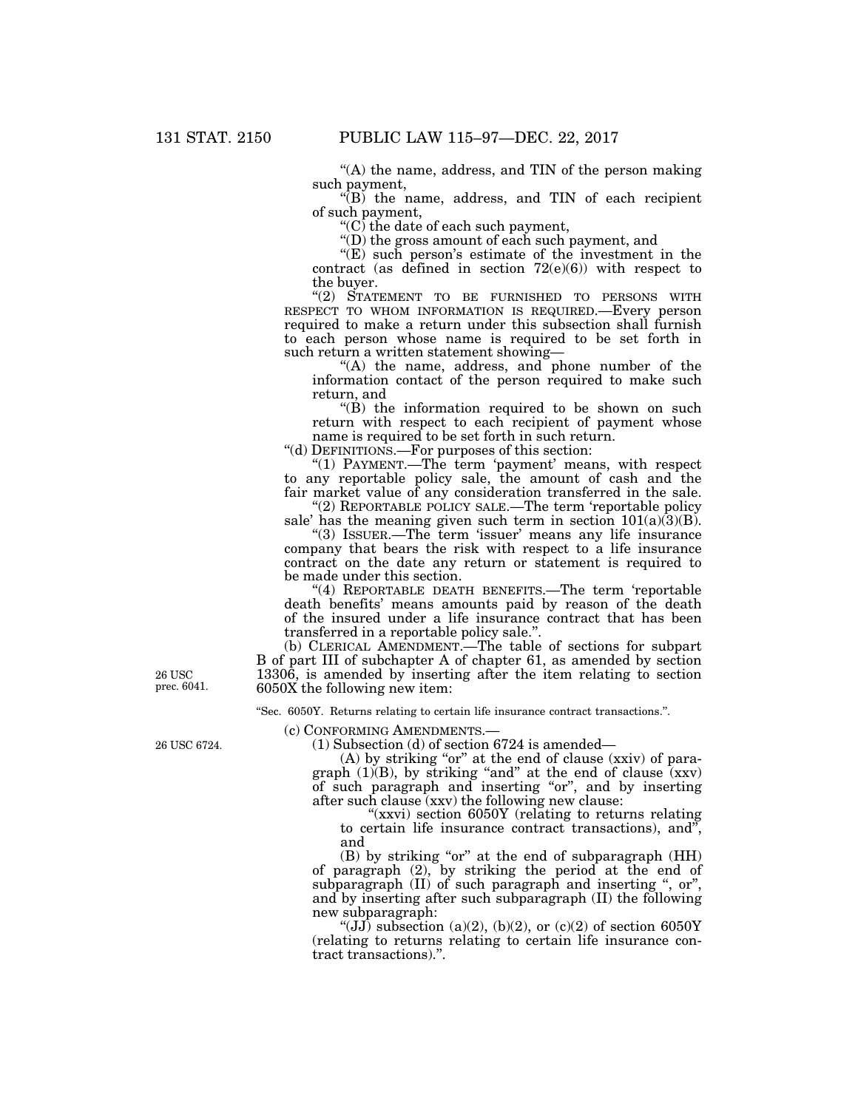$(A)$  the name, address, and TIN of the person making such payment,

 $E(B)$  the name, address, and TIN of each recipient of such payment,

''(C) the date of each such payment,

''(D) the gross amount of each such payment, and

" $(E)$  such person's estimate of the investment in the contract (as defined in section  $72(e)(6)$ ) with respect to the buyer.

''(2) STATEMENT TO BE FURNISHED TO PERSONS WITH RESPECT TO WHOM INFORMATION IS REQUIRED.—Every person required to make a return under this subsection shall furnish to each person whose name is required to be set forth in such return a written statement showing—

"(A) the name, address, and phone number of the information contact of the person required to make such return, and

 $'(B)$  the information required to be shown on such return with respect to each recipient of payment whose name is required to be set forth in such return.

''(d) DEFINITIONS.—For purposes of this section:

"(1) PAYMENT.—The term 'payment' means, with respect to any reportable policy sale, the amount of cash and the fair market value of any consideration transferred in the sale.

"(2) REPORTABLE POLICY SALE.—The term 'reportable policy sale' has the meaning given such term in section  $101(a)(3)(B)$ .

"(3) ISSUER.—The term 'issuer' means any life insurance company that bears the risk with respect to a life insurance contract on the date any return or statement is required to be made under this section.

"(4) REPORTABLE DEATH BENEFITS.—The term 'reportable death benefits' means amounts paid by reason of the death of the insured under a life insurance contract that has been transferred in a reportable policy sale.''.

(b) CLERICAL AMENDMENT.—The table of sections for subpart B of part III of subchapter A of chapter 61, as amended by section 13306, is amended by inserting after the item relating to section 6050X the following new item:

''Sec. 6050Y. Returns relating to certain life insurance contract transactions.''.

(c) CONFORMING AMENDMENTS.—

(1) Subsection (d) of section 6724 is amended—

 $(A)$  by striking "or" at the end of clause (xxiv) of paragraph  $(1)(B)$ , by striking "and" at the end of clause  $(xxy)$ of such paragraph and inserting ''or'', and by inserting after such clause (xxv) the following new clause:

"(xxvi) section 6050Y (relating to returns relating to certain life insurance contract transactions), and'', and

(B) by striking "or" at the end of subparagraph (HH) of paragraph (2), by striking the period at the end of subparagraph  $(II)$  of such paragraph and inserting ", or", and by inserting after such subparagraph (II) the following new subparagraph:

"(JJ) subsection (a)(2), (b)(2), or (c)(2) of section 6050Y (relating to returns relating to certain life insurance contract transactions).''.

26 USC prec. 6041.

26 USC 6724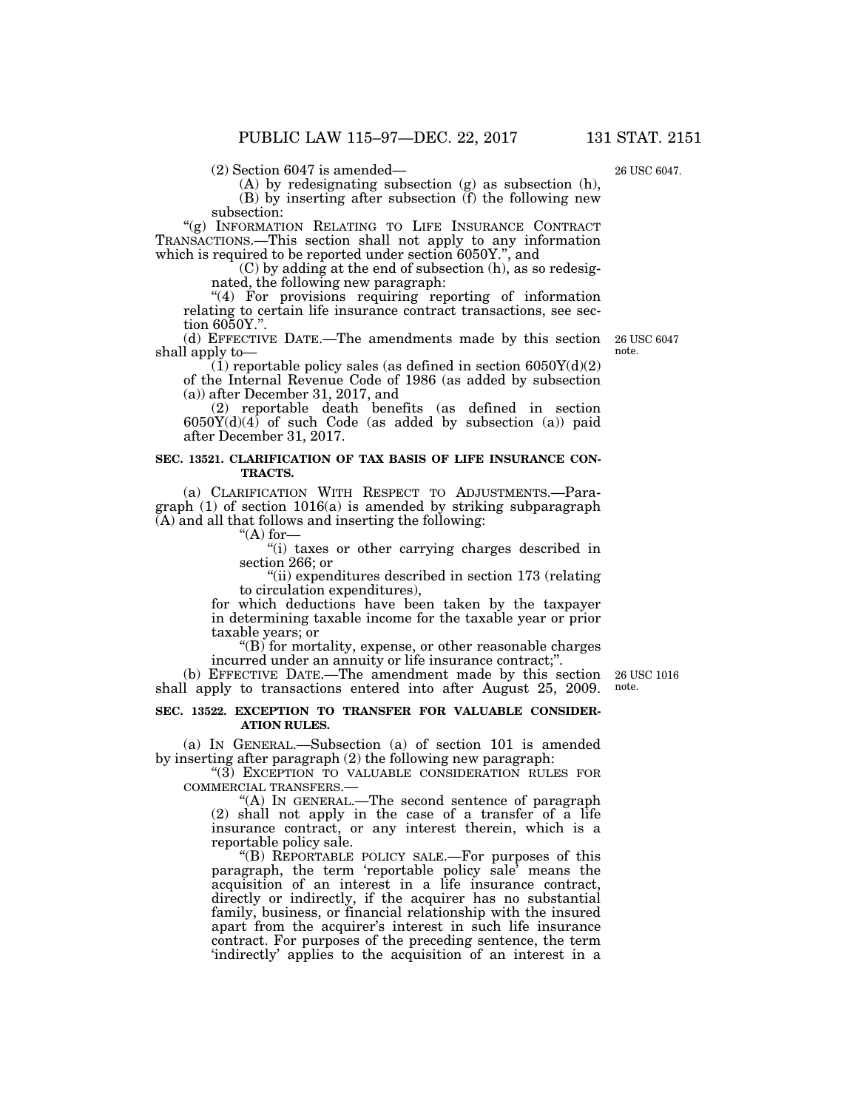(2) Section 6047 is amended—

(A) by redesignating subsection (g) as subsection (h),

(B) by inserting after subsection (f) the following new

subsection:

"(g) INFORMATION RELATING TO LIFE INSURANCE CONTRACT TRANSACTIONS.—This section shall not apply to any information which is required to be reported under section 6050Y.'', and

(C) by adding at the end of subsection (h), as so redesignated, the following new paragraph:

"(4) For provisions requiring reporting of information relating to certain life insurance contract transactions, see section 6050Y.''.

(d) EFFECTIVE DATE.—The amendments made by this section shall apply to—

 $(1)$  reportable policy sales (as defined in section 6050Y(d)(2) of the Internal Revenue Code of 1986 (as added by subsection (a)) after December 31, 2017, and

(2) reportable death benefits (as defined in section  $6050Y(d)(4)$  of such Code (as added by subsection (a)) paid after December 31, 2017.

#### **SEC. 13521. CLARIFICATION OF TAX BASIS OF LIFE INSURANCE CON-TRACTS.**

(a) CLARIFICATION WITH RESPECT TO ADJUSTMENTS.—Paragraph (1) of section 1016(a) is amended by striking subparagraph (A) and all that follows and inserting the following:

" $(A)$  for-

''(i) taxes or other carrying charges described in section 266; or

''(ii) expenditures described in section 173 (relating to circulation expenditures),

for which deductions have been taken by the taxpayer in determining taxable income for the taxable year or prior taxable years; or

''(B) for mortality, expense, or other reasonable charges incurred under an annuity or life insurance contract;".

(b) EFFECTIVE DATE.—The amendment made by this section shall apply to transactions entered into after August 25, 2009.

#### **SEC. 13522. EXCEPTION TO TRANSFER FOR VALUABLE CONSIDER-ATION RULES.**

(a) IN GENERAL.—Subsection (a) of section 101 is amended by inserting after paragraph (2) the following new paragraph:

''(3) EXCEPTION TO VALUABLE CONSIDERATION RULES FOR COMMERCIAL TRANSFERS.—

''(A) IN GENERAL.—The second sentence of paragraph (2) shall not apply in the case of a transfer of a life insurance contract, or any interest therein, which is a reportable policy sale.

''(B) REPORTABLE POLICY SALE.—For purposes of this paragraph, the term 'reportable policy sale' means the acquisition of an interest in a life insurance contract, directly or indirectly, if the acquirer has no substantial family, business, or financial relationship with the insured apart from the acquirer's interest in such life insurance contract. For purposes of the preceding sentence, the term 'indirectly' applies to the acquisition of an interest in a

26 USC 1016 note.

26 USC 6047 note.

26 USC 6047.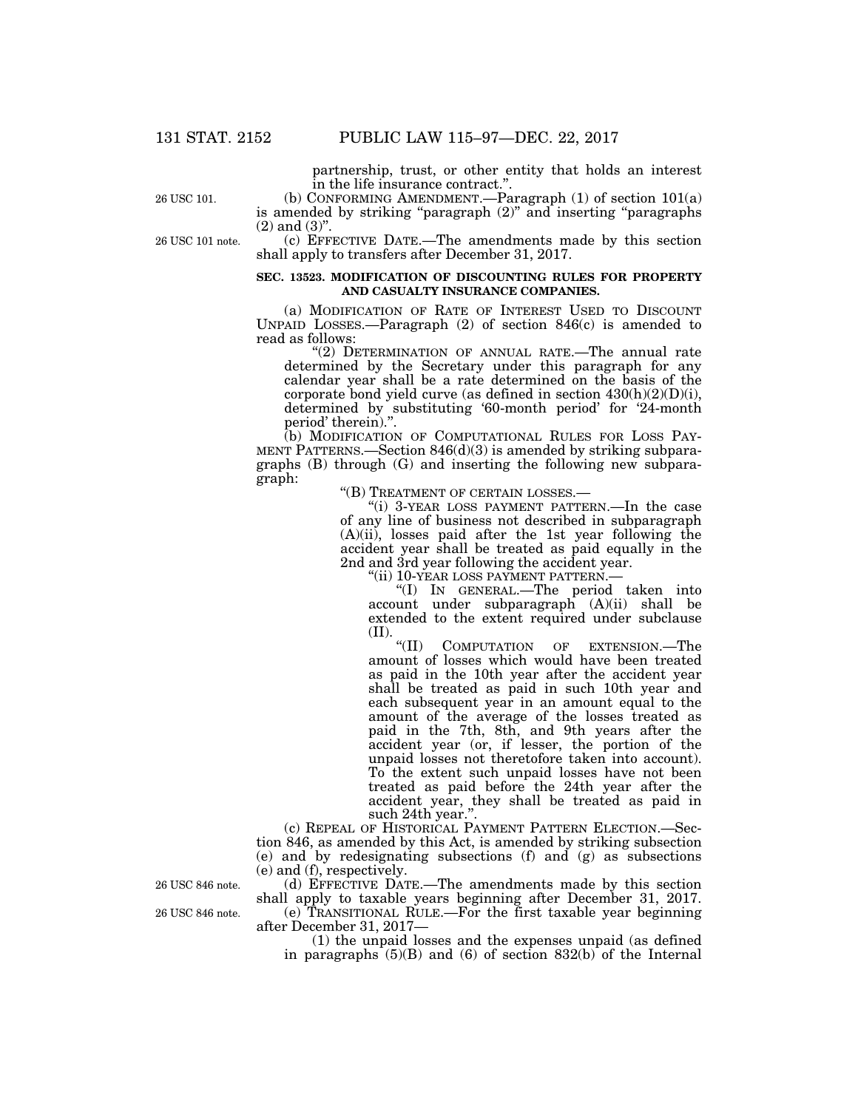partnership, trust, or other entity that holds an interest in the life insurance contract.''.

26 USC 101.

(b) CONFORMING AMENDMENT.—Paragraph (1) of section 101(a) is amended by striking "paragraph  $(2)$ " and inserting "paragraphs"  $(2)$  and  $(3)$ ".

(c) EFFECTIVE DATE.—The amendments made by this section shall apply to transfers after December 31, 2017.

#### **SEC. 13523. MODIFICATION OF DISCOUNTING RULES FOR PROPERTY AND CASUALTY INSURANCE COMPANIES.**

(a) MODIFICATION OF RATE OF INTEREST USED TO DISCOUNT UNPAID LOSSES.—Paragraph (2) of section 846(c) is amended to read as follows:

"(2) DETERMINATION OF ANNUAL RATE.—The annual rate determined by the Secretary under this paragraph for any calendar year shall be a rate determined on the basis of the corporate bond yield curve (as defined in section  $430(h)(2)(D)(i)$ , determined by substituting '60-month period' for '24-month period' therein).''.

(b) MODIFICATION OF COMPUTATIONAL RULES FOR LOSS PAY-MENT PATTERNS.—Section 846(d)(3) is amended by striking subparagraphs (B) through (G) and inserting the following new subparagraph:

''(B) TREATMENT OF CERTAIN LOSSES.—

''(i) 3-YEAR LOSS PAYMENT PATTERN.—In the case of any line of business not described in subparagraph  $(A)(ii)$ , losses paid after the 1st year following the accident year shall be treated as paid equally in the 2nd and 3rd year following the accident year.

''(ii) 10-YEAR LOSS PAYMENT PATTERN.—

''(I) IN GENERAL.—The period taken into account under subparagraph (A)(ii) shall be extended to the extent required under subclause (II).  $\frac{u}{\cdot}$ 

COMPUTATION OF EXTENSION.—The amount of losses which would have been treated as paid in the 10th year after the accident year shall be treated as paid in such 10th year and each subsequent year in an amount equal to the amount of the average of the losses treated as paid in the 7th, 8th, and 9th years after the accident year (or, if lesser, the portion of the unpaid losses not theretofore taken into account). To the extent such unpaid losses have not been treated as paid before the 24th year after the accident year, they shall be treated as paid in such 24th year.''.

(c) REPEAL OF HISTORICAL PAYMENT PATTERN ELECTION.—Section 846, as amended by this Act, is amended by striking subsection (e) and by redesignating subsections (f) and (g) as subsections (e) and (f), respectively.

(d) EFFECTIVE DATE.—The amendments made by this section shall apply to taxable years beginning after December 31, 2017.

(e) TRANSITIONAL RULE.—For the first taxable year beginning after December 31, 2017—

(1) the unpaid losses and the expenses unpaid (as defined in paragraphs  $(5)(B)$  and  $(6)$  of section  $832(b)$  of the Internal

26 USC 846 note.

26 USC 846 note.

26 USC 101 note.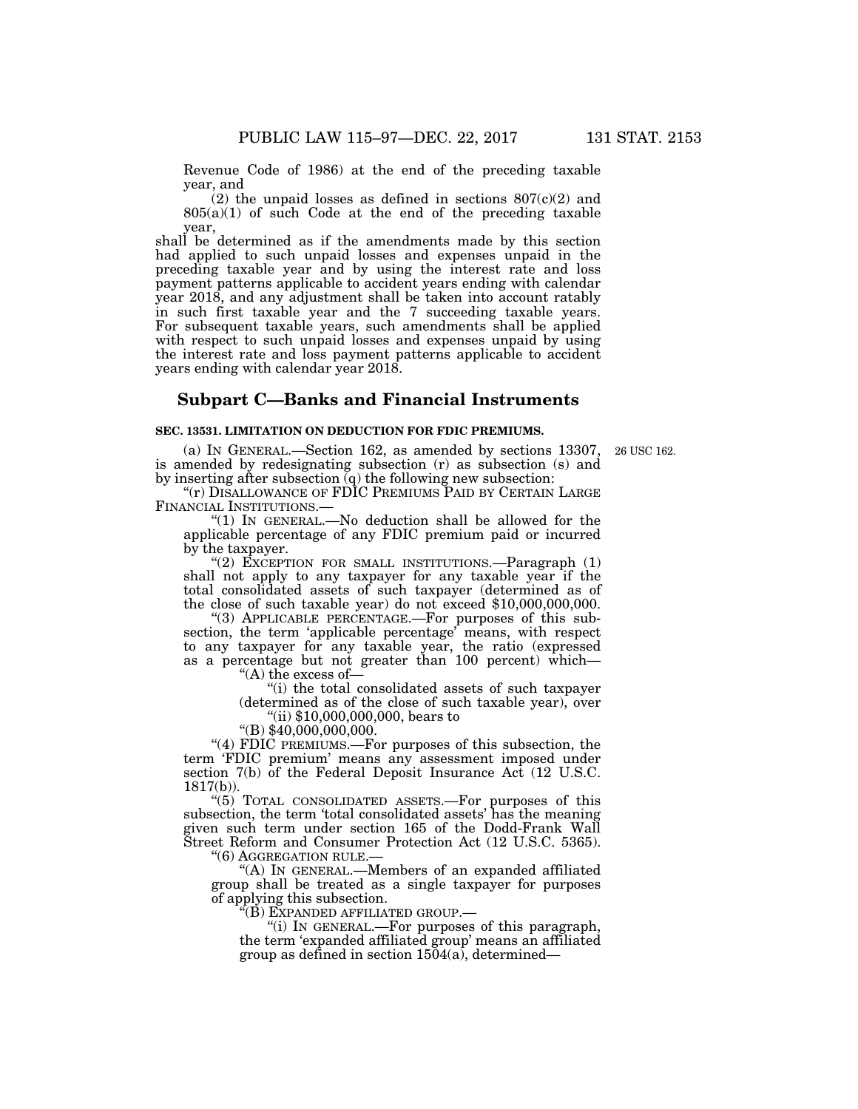Revenue Code of 1986) at the end of the preceding taxable year, and

(2) the unpaid losses as defined in sections  $807(c)(2)$  and 805(a)(1) of such Code at the end of the preceding taxable year,

shall be determined as if the amendments made by this section had applied to such unpaid losses and expenses unpaid in the preceding taxable year and by using the interest rate and loss payment patterns applicable to accident years ending with calendar year 2018, and any adjustment shall be taken into account ratably in such first taxable year and the 7 succeeding taxable years. For subsequent taxable years, such amendments shall be applied with respect to such unpaid losses and expenses unpaid by using the interest rate and loss payment patterns applicable to accident years ending with calendar year 2018.

## **Subpart C—Banks and Financial Instruments**

### **SEC. 13531. LIMITATION ON DEDUCTION FOR FDIC PREMIUMS.**

26 USC 162.

(a) IN GENERAL.—Section 162, as amended by sections 13307, is amended by redesignating subsection (r) as subsection (s) and by inserting after subsection  $(q)$  the following new subsection:

 $"$ (r) DISALLOWANCE OF FDIC PREMIUMS PAID BY CERTAIN LARGE FINANCIAL INSTITUTIONS.—

" $(1)$  In GENERAL.—No deduction shall be allowed for the applicable percentage of any FDIC premium paid or incurred by the taxpayer.

"(2) EXCEPTION FOR SMALL INSTITUTIONS.—Paragraph (1) shall not apply to any taxpayer for any taxable year if the total consolidated assets of such taxpayer (determined as of the close of such taxable year) do not exceed \$10,000,000,000.

"(3) APPLICABLE PERCENTAGE.—For purposes of this subsection, the term 'applicable percentage' means, with respect to any taxpayer for any taxable year, the ratio (expressed as a percentage but not greater than 100 percent) which— ''(A) the excess of—

''(i) the total consolidated assets of such taxpayer (determined as of the close of such taxable year), over ''(ii) \$10,000,000,000, bears to

''(B) \$40,000,000,000.

''(4) FDIC PREMIUMS.—For purposes of this subsection, the term 'FDIC premium' means any assessment imposed under section 7(b) of the Federal Deposit Insurance Act (12 U.S.C. 1817(b)).

''(5) TOTAL CONSOLIDATED ASSETS.—For purposes of this subsection, the term 'total consolidated assets' has the meaning given such term under section 165 of the Dodd-Frank Wall Street Reform and Consumer Protection Act (12 U.S.C. 5365). ''(6) AGGREGATION RULE.—

''(A) IN GENERAL.—Members of an expanded affiliated group shall be treated as a single taxpayer for purposes of applying this subsection.

 $\tilde{f}(\vec{B})$  Expanded affiliated group.—

''(i) IN GENERAL.—For purposes of this paragraph, the term 'expanded affiliated group' means an affiliated group as defined in section  $1504(a)$ , determined—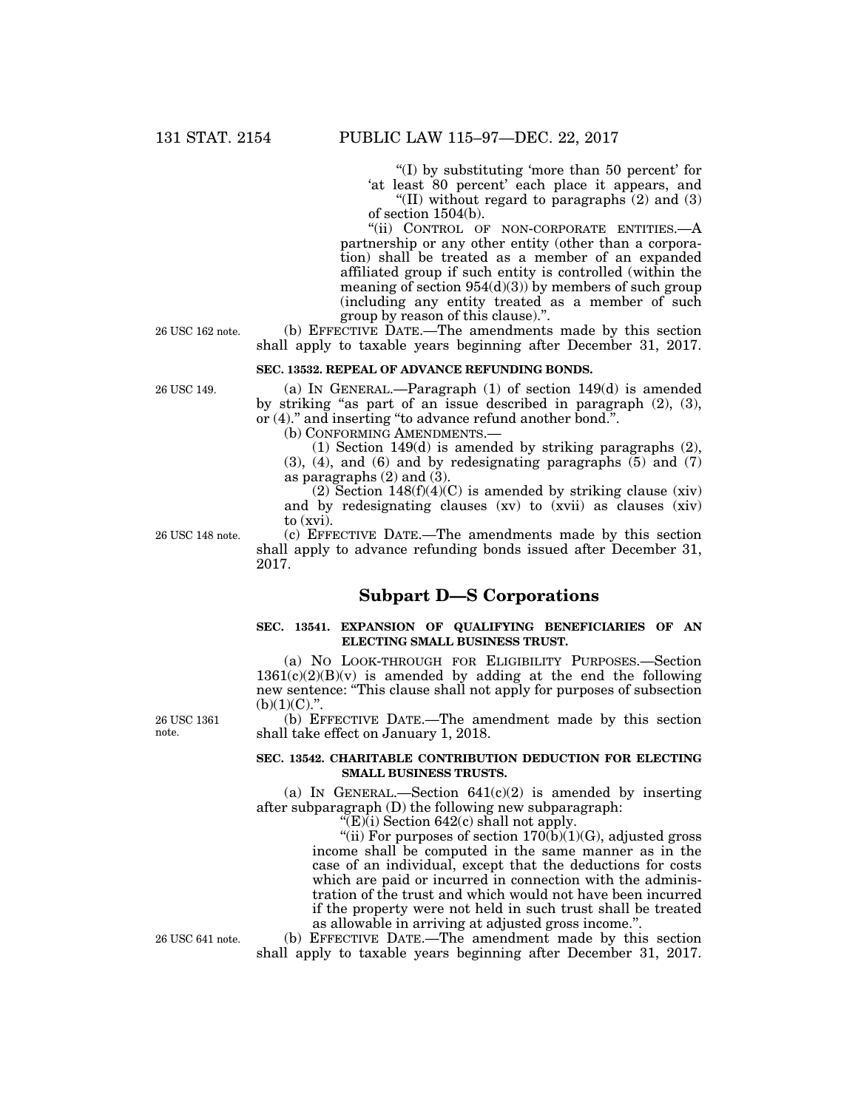''(I) by substituting 'more than 50 percent' for 'at least 80 percent' each place it appears, and "(II) without regard to paragraphs  $(2)$  and  $(3)$ 

of section 1504(b).

"(ii) CONTROL OF NON-CORPORATE ENTITIES.-- A partnership or any other entity (other than a corporation) shall be treated as a member of an expanded affiliated group if such entity is controlled (within the meaning of section  $954(d)(3)$  by members of such group (including any entity treated as a member of such group by reason of this clause).''.

(b) EFFECTIVE DATE.—The amendments made by this section shall apply to taxable years beginning after December 31, 2017.

### **SEC. 13532. REPEAL OF ADVANCE REFUNDING BONDS.**

(a) IN GENERAL.—Paragraph (1) of section 149(d) is amended by striking ''as part of an issue described in paragraph (2), (3), or (4).'' and inserting ''to advance refund another bond.''.

(b) CONFORMING AMENDMENTS.—

(1) Section 149(d) is amended by striking paragraphs (2), (3), (4), and (6) and by redesignating paragraphs (5) and (7) as paragraphs  $(2)$  and  $(3)$ .

(2) Section  $148(f)(4)(C)$  is amended by striking clause (xiv) and by redesignating clauses (xv) to (xvii) as clauses (xiv) to (xvi).

26 USC 148 note.

(c) EFFECTIVE DATE.—The amendments made by this section shall apply to advance refunding bonds issued after December 31, 2017.

# **Subpart D—S Corporations**

### **SEC. 13541. EXPANSION OF QUALIFYING BENEFICIARIES OF AN ELECTING SMALL BUSINESS TRUST.**

(a) NO LOOK-THROUGH FOR ELIGIBILITY PURPOSES.—Section  $1361(c)(2)(B)(v)$  is amended by adding at the end the following new sentence: ''This clause shall not apply for purposes of subsection  $(b)(1)(C)$ .".

(b) EFFECTIVE DATE.—The amendment made by this section shall take effect on January 1, 2018.

#### **SEC. 13542. CHARITABLE CONTRIBUTION DEDUCTION FOR ELECTING SMALL BUSINESS TRUSTS.**

(a) IN GENERAL.—Section  $641(c)(2)$  is amended by inserting after subparagraph (D) the following new subparagraph:

" $(E)(i)$  Section 642 $(c)$  shall not apply.

"(ii) For purposes of section  $170(b)(1)(G)$ , adjusted gross income shall be computed in the same manner as in the case of an individual, except that the deductions for costs which are paid or incurred in connection with the administration of the trust and which would not have been incurred if the property were not held in such trust shall be treated as allowable in arriving at adjusted gross income.''.

(b) EFFECTIVE DATE.—The amendment made by this section shall apply to taxable years beginning after December 31, 2017.

26 USC 1361 note.

26 USC 641 note.

26 USC 162 note.

26 USC 149.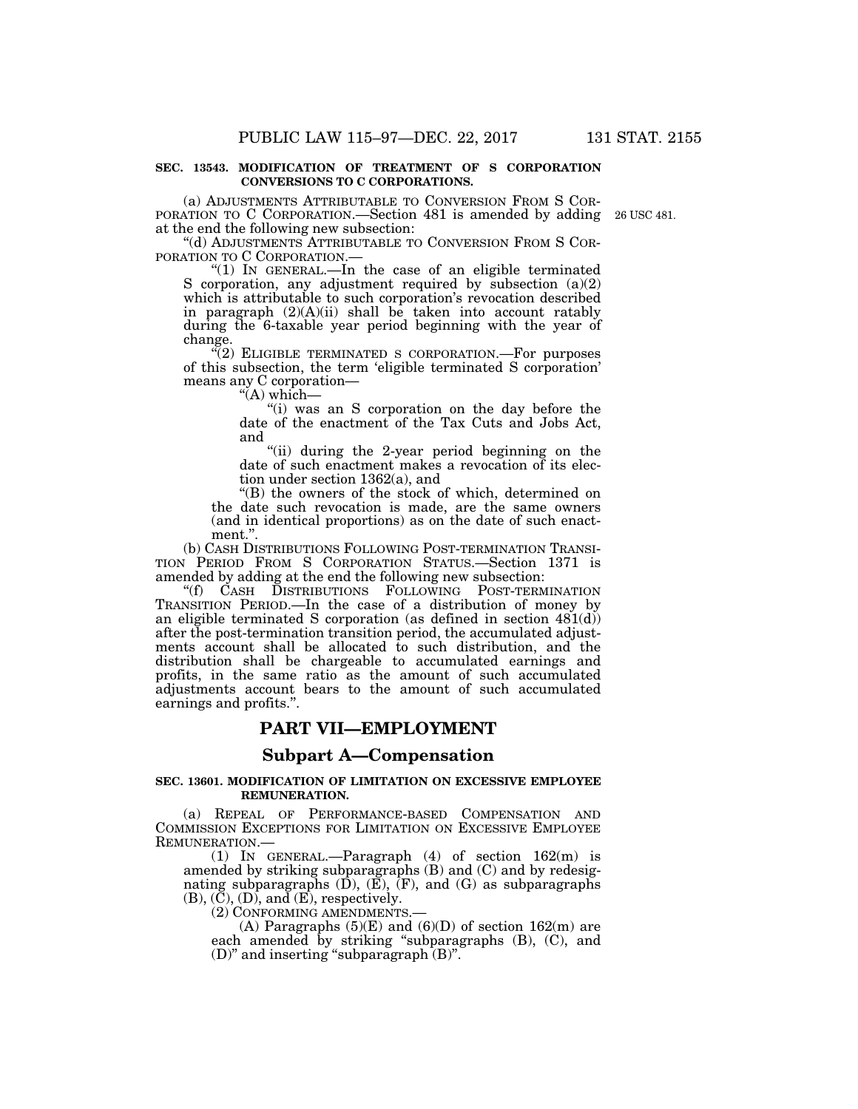#### **SEC. 13543. MODIFICATION OF TREATMENT OF S CORPORATION CONVERSIONS TO C CORPORATIONS.**

(a) ADJUSTMENTS ATTRIBUTABLE TO CONVERSION FROM S COR- PORATION TO C CORPORATION.—Section 481 is amended by adding 26 USC 481. at the end the following new subsection:

''(d) ADJUSTMENTS ATTRIBUTABLE TO CONVERSION FROM S COR-

"(1) IN GENERAL.—In the case of an eligible terminated S corporation, any adjustment required by subsection  $(a)(2)$ which is attributable to such corporation's revocation described in paragraph (2)(A)(ii) shall be taken into account ratably during the 6-taxable year period beginning with the year of change.

"(2) ELIGIBLE TERMINATED S CORPORATION.—For purposes of this subsection, the term 'eligible terminated S corporation' means any C corporation—

 $H(A)$  which—

''(i) was an S corporation on the day before the date of the enactment of the Tax Cuts and Jobs Act, and

"(ii) during the 2-year period beginning on the date of such enactment makes a revocation of its election under section 1362(a), and

''(B) the owners of the stock of which, determined on the date such revocation is made, are the same owners (and in identical proportions) as on the date of such enactment."

(b) CASH DISTRIBUTIONS FOLLOWING POST-TERMINATION TRANSI-TION PERIOD FROM S CORPORATION STATUS.—Section 1371 is amended by adding at the end the following new subsection:

''(f) CASH DISTRIBUTIONS FOLLOWING POST-TERMINATION TRANSITION PERIOD.—In the case of a distribution of money by an eligible terminated S corporation (as defined in section  $481(d)$ ) after the post-termination transition period, the accumulated adjustments account shall be allocated to such distribution, and the distribution shall be chargeable to accumulated earnings and profits, in the same ratio as the amount of such accumulated adjustments account bears to the amount of such accumulated earnings and profits.''.

### **PART VII—EMPLOYMENT**

### **Subpart A—Compensation**

#### **SEC. 13601. MODIFICATION OF LIMITATION ON EXCESSIVE EMPLOYEE REMUNERATION.**

(a) REPEAL OF PERFORMANCE-BASED COMPENSATION AND COMMISSION EXCEPTIONS FOR LIMITATION ON EXCESSIVE EMPLOYEE REMUNERATION.—

(1) IN GENERAL.—Paragraph (4) of section  $162(m)$  is amended by striking subparagraphs (B) and (C) and by redesignating subparagraphs  $(D)$ ,  $(\overline{E})$ ,  $(\overline{F})$ , and  $(G)$  as subparagraphs  $(B)$ ,  $(\overline{C})$ ,  $(D)$ , and  $(\overline{E})$ , respectively.

(2) CONFORMING AMENDMENTS.—

(A) Paragraphs  $(5)(E)$  and  $(6)(D)$  of section 162(m) are each amended by striking "subparagraphs (B), (C), and (D)'' and inserting ''subparagraph (B)''.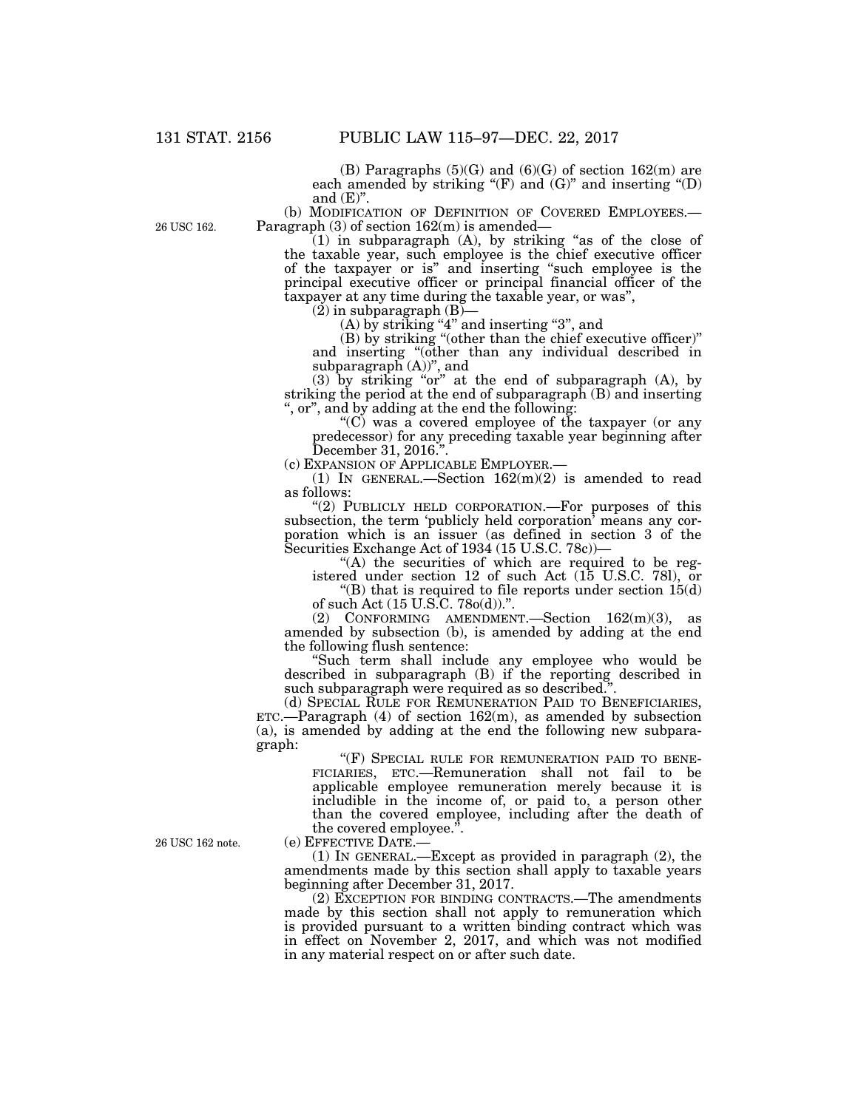26 USC 162.

(B) Paragraphs  $(5)(G)$  and  $(6)(G)$  of section  $162(m)$  are each amended by striking " $(F)$  and  $(G)$ " and inserting " $(D)$ and  $(E)$ ".

(b) MODIFICATION OF DEFINITION OF COVERED EMPLOYEES.— Paragraph (3) of section  $162(m)$  is amended—

 $(1)$  in subparagraph  $(A)$ , by striking "as of the close of the taxable year, such employee is the chief executive officer of the taxpayer or is'' and inserting ''such employee is the principal executive officer or principal financial officer of the taxpayer at any time during the taxable year, or was'',

 $(2)$  in subparagraph  $(B)$ –

 $(A)$  by striking "4" and inserting "3", and

(B) by striking ''(other than the chief executive officer)'' and inserting ''(other than any individual described in subparagraph  $(A)$ ", and

 $(3)$  by striking "or" at the end of subparagraph  $(A)$ , by striking the period at the end of subparagraph (B) and inserting , or", and by adding at the end the following:

" $(C)$  was a covered employee of the taxpayer (or any predecessor) for any preceding taxable year beginning after December 31, 2016.''.

(c) EXPANSION OF APPLICABLE EMPLOYER.—

(1) IN GENERAL.—Section  $162(m)(2)$  is amended to read as follows:

"(2) PUBLICLY HELD CORPORATION.—For purposes of this subsection, the term 'publicly held corporation' means any corporation which is an issuer (as defined in section 3 of the Securities Exchange Act of 1934 (15 U.S.C. 78c))—

"(A) the securities of which are required to be registered under section 12 of such Act (15 U.S.C. 78l), or

"(B) that is required to file reports under section  $15(d)$ of such Act (15 U.S.C. 78o(d)).''.

(2) CONFORMING AMENDMENT.—Section 162(m)(3), as amended by subsection (b), is amended by adding at the end the following flush sentence:

''Such term shall include any employee who would be described in subparagraph (B) if the reporting described in such subparagraph were required as so described."

(d) SPECIAL RULE FOR REMUNERATION PAID TO BENEFICIARIES,  $ETC.$ —Paragraph (4) of section  $162(m)$ , as amended by subsection (a), is amended by adding at the end the following new subparagraph:

"(F) SPECIAL RULE FOR REMUNERATION PAID TO BENE-FICIARIES, ETC.—Remuneration shall not fail to be applicable employee remuneration merely because it is includible in the income of, or paid to, a person other than the covered employee, including after the death of the covered employee.''.

(e) EFFECTIVE DATE.—

(1) IN GENERAL.—Except as provided in paragraph (2), the amendments made by this section shall apply to taxable years beginning after December 31, 2017.

(2) EXCEPTION FOR BINDING CONTRACTS.—The amendments made by this section shall not apply to remuneration which is provided pursuant to a written binding contract which was in effect on November 2, 2017, and which was not modified in any material respect on or after such date.

26 USC 162 note.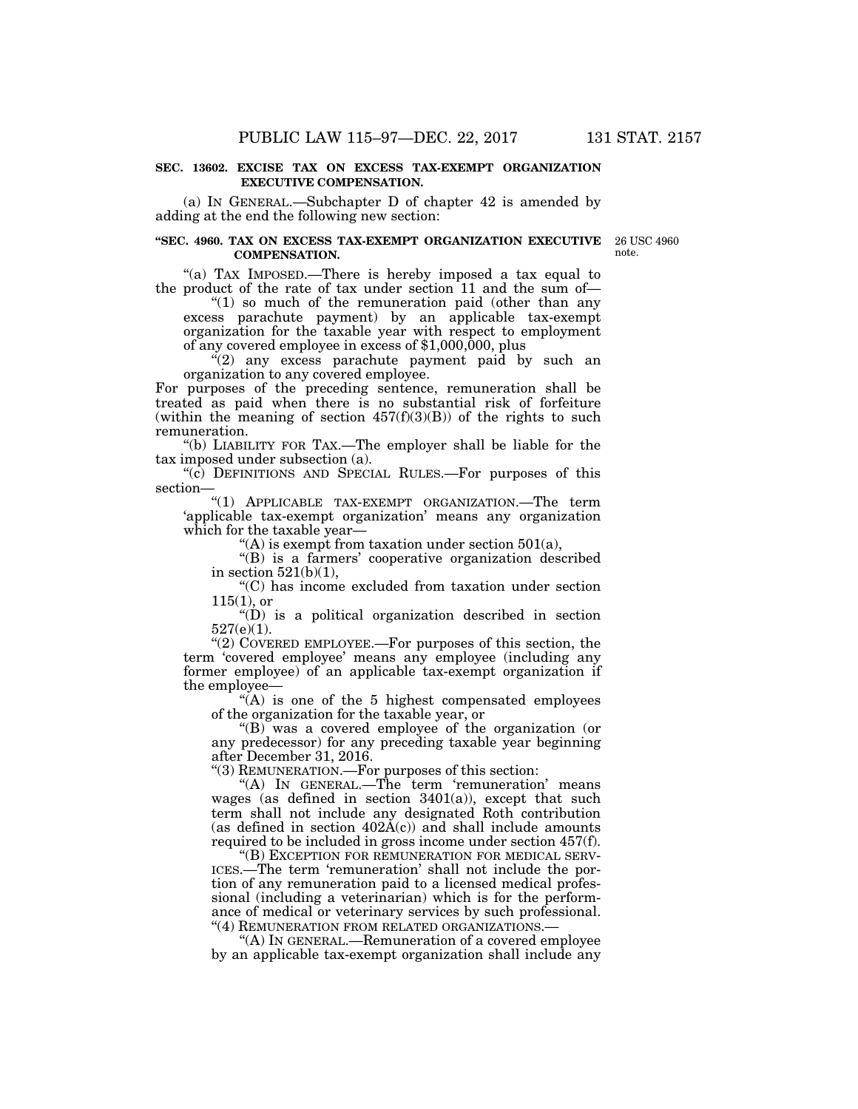#### **SEC. 13602. EXCISE TAX ON EXCESS TAX-EXEMPT ORGANIZATION EXECUTIVE COMPENSATION.**

(a) IN GENERAL.—Subchapter D of chapter 42 is amended by adding at the end the following new section:

#### **''SEC. 4960. TAX ON EXCESS TAX-EXEMPT ORGANIZATION EXECUTIVE**  26 USC 4960 **COMPENSATION.**

note.

"(a) TAX IMPOSED.—There is hereby imposed a tax equal to the product of the rate of tax under section 11 and the sum of—

"(1) so much of the remuneration paid (other than any excess parachute payment) by an applicable tax-exempt organization for the taxable year with respect to employment of any covered employee in excess of \$1,000,000, plus

 $(2)$  any excess parachute payment paid by such an organization to any covered employee.

For purposes of the preceding sentence, remuneration shall be treated as paid when there is no substantial risk of forfeiture (within the meaning of section  $457(f)(3)(B)$ ) of the rights to such remuneration.

''(b) LIABILITY FOR TAX.—The employer shall be liable for the tax imposed under subsection (a).

''(c) DEFINITIONS AND SPECIAL RULES.—For purposes of this section—

''(1) APPLICABLE TAX-EXEMPT ORGANIZATION.—The term 'applicable tax-exempt organization' means any organization which for the taxable year-

 $\mathcal{L}(A)$  is exempt from taxation under section 501(a),

''(B) is a farmers' cooperative organization described in section  $521(b)(1)$ ,

''(C) has income excluded from taxation under section  $115(1)$ , or

 $''(D)$  is a political organization described in section 527(e)(1).

''(2) COVERED EMPLOYEE.—For purposes of this section, the term 'covered employee' means any employee (including any former employee) of an applicable tax-exempt organization if the employee—

 $(A)$  is one of the 5 highest compensated employees of the organization for the taxable year, or

''(B) was a covered employee of the organization (or any predecessor) for any preceding taxable year beginning after December 31, 2016.

''(3) REMUNERATION.—For purposes of this section:

"(A) IN GENERAL.—The term 'remuneration' means wages (as defined in section 3401(a)), except that such term shall not include any designated Roth contribution (as defined in section  $402\text{\AA}(c)$ ) and shall include amounts required to be included in gross income under section 457(f).

''(B) EXCEPTION FOR REMUNERATION FOR MEDICAL SERV-ICES.—The term 'remuneration' shall not include the portion of any remuneration paid to a licensed medical professional (including a veterinarian) which is for the performance of medical or veterinary services by such professional. ''(4) REMUNERATION FROM RELATED ORGANIZATIONS.—

''(A) IN GENERAL.—Remuneration of a covered employee by an applicable tax-exempt organization shall include any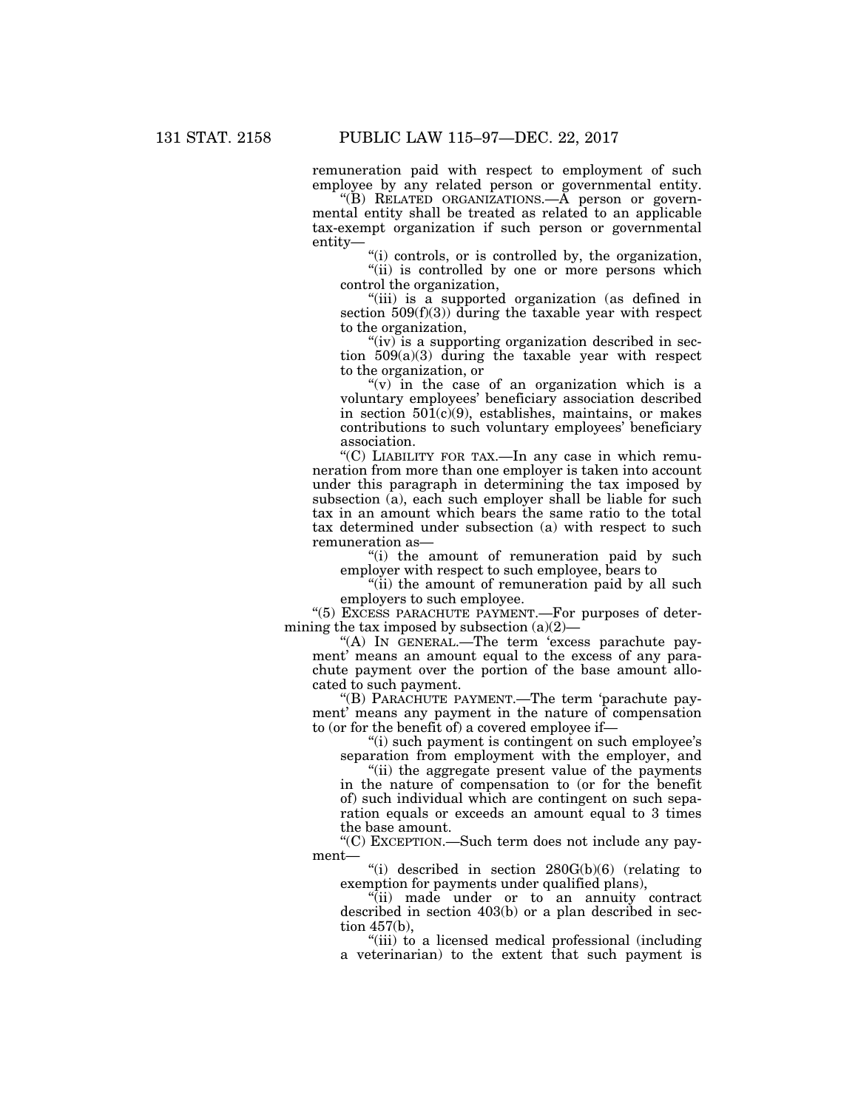remuneration paid with respect to employment of such employee by any related person or governmental entity.

"(B) RELATED ORGANIZATIONS.—A person or governmental entity shall be treated as related to an applicable tax-exempt organization if such person or governmental entity—

''(i) controls, or is controlled by, the organization,

"(ii) is controlled by one or more persons which control the organization,

''(iii) is a supported organization (as defined in section  $509(f)(3)$  during the taxable year with respect to the organization,

"(iv) is a supporting organization described in section  $509(a)(3)$  during the taxable year with respect to the organization, or

" $(v)$  in the case of an organization which is a voluntary employees' beneficiary association described in section  $50\overline{1}(c)(9)$ , establishes, maintains, or makes contributions to such voluntary employees' beneficiary association.

''(C) LIABILITY FOR TAX.—In any case in which remuneration from more than one employer is taken into account under this paragraph in determining the tax imposed by subsection (a), each such employer shall be liable for such tax in an amount which bears the same ratio to the total tax determined under subsection (a) with respect to such remuneration as—

"(i) the amount of remuneration paid by such employer with respect to such employee, bears to

"(ii) the amount of remuneration paid by all such employers to such employee.

''(5) EXCESS PARACHUTE PAYMENT.—For purposes of determining the tax imposed by subsection  $(a)(2)$ –

''(A) IN GENERAL.—The term 'excess parachute payment' means an amount equal to the excess of any parachute payment over the portion of the base amount allocated to such payment.

''(B) PARACHUTE PAYMENT.—The term 'parachute payment' means any payment in the nature of compensation to (or for the benefit of) a covered employee if—

''(i) such payment is contingent on such employee's separation from employment with the employer, and

''(ii) the aggregate present value of the payments in the nature of compensation to (or for the benefit of) such individual which are contingent on such separation equals or exceeds an amount equal to 3 times the base amount.

''(C) EXCEPTION.—Such term does not include any payment—

''(i) described in section 280G(b)(6) (relating to exemption for payments under qualified plans),

''(ii) made under or to an annuity contract described in section 403(b) or a plan described in section 457(b),

''(iii) to a licensed medical professional (including a veterinarian) to the extent that such payment is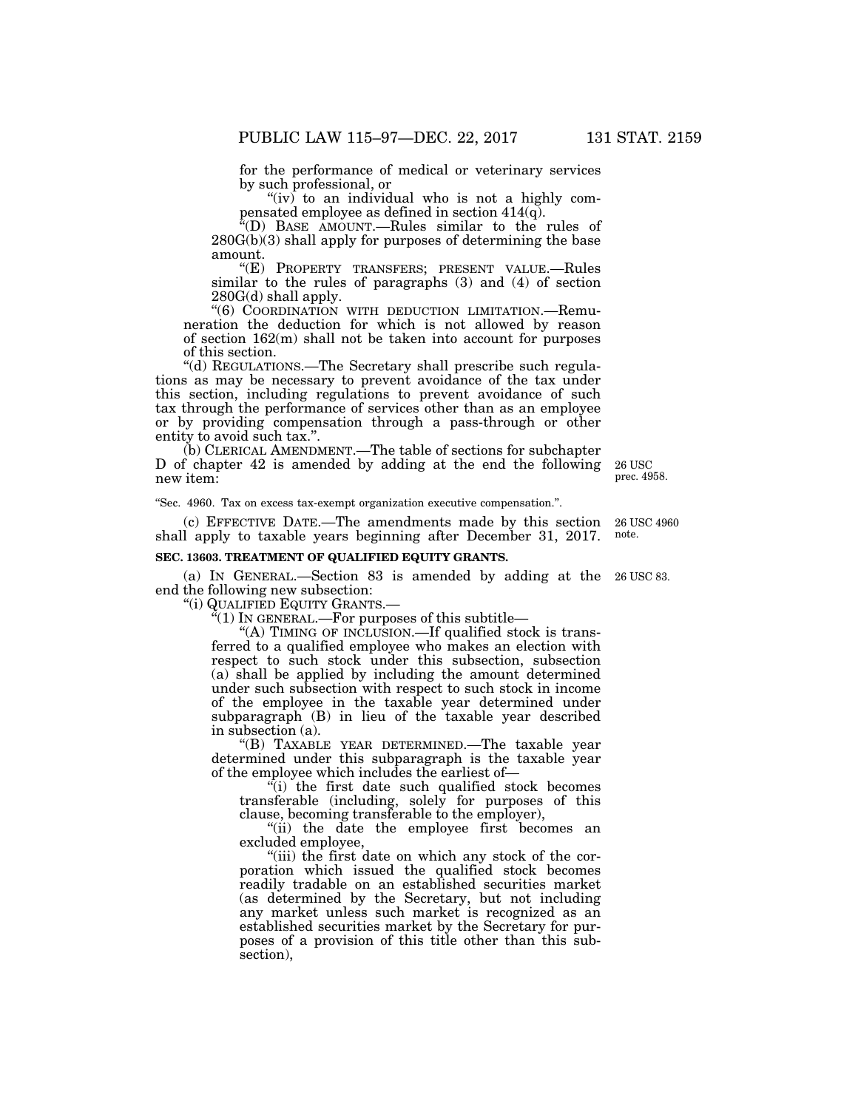for the performance of medical or veterinary services by such professional, or

" $(iv)$  to an individual who is not a highly compensated employee as defined in section 414(q).

''(D) BASE AMOUNT.—Rules similar to the rules of 280G(b)(3) shall apply for purposes of determining the base amount.

''(E) PROPERTY TRANSFERS; PRESENT VALUE.—Rules similar to the rules of paragraphs (3) and (4) of section 280G(d) shall apply.

''(6) COORDINATION WITH DEDUCTION LIMITATION.—Remuneration the deduction for which is not allowed by reason of section 162(m) shall not be taken into account for purposes of this section.

''(d) REGULATIONS.—The Secretary shall prescribe such regulations as may be necessary to prevent avoidance of the tax under this section, including regulations to prevent avoidance of such tax through the performance of services other than as an employee or by providing compensation through a pass-through or other entity to avoid such tax.".

(b) CLERICAL AMENDMENT.—The table of sections for subchapter D of chapter 42 is amended by adding at the end the following new item:

''Sec. 4960. Tax on excess tax-exempt organization executive compensation.''.

(c) EFFECTIVE DATE.—The amendments made by this section shall apply to taxable years beginning after December 31, 2017. 26 USC 4960 note.

#### **SEC. 13603. TREATMENT OF QUALIFIED EQUITY GRANTS.**

(a) IN GENERAL.—Section 83 is amended by adding at the 26 USC 83. end the following new subsection:

''(i) QUALIFIED EQUITY GRANTS.—

''(1) IN GENERAL.—For purposes of this subtitle—

"(A) TIMING OF INCLUSION.—If qualified stock is transferred to a qualified employee who makes an election with respect to such stock under this subsection, subsection (a) shall be applied by including the amount determined under such subsection with respect to such stock in income of the employee in the taxable year determined under subparagraph (B) in lieu of the taxable year described in subsection (a).

''(B) TAXABLE YEAR DETERMINED.—The taxable year determined under this subparagraph is the taxable year of the employee which includes the earliest of—

''(i) the first date such qualified stock becomes transferable (including, solely for purposes of this clause, becoming transferable to the employer),

''(ii) the date the employee first becomes an excluded employee,

''(iii) the first date on which any stock of the corporation which issued the qualified stock becomes readily tradable on an established securities market (as determined by the Secretary, but not including any market unless such market is recognized as an established securities market by the Secretary for purposes of a provision of this title other than this subsection),

26 USC prec. 4958.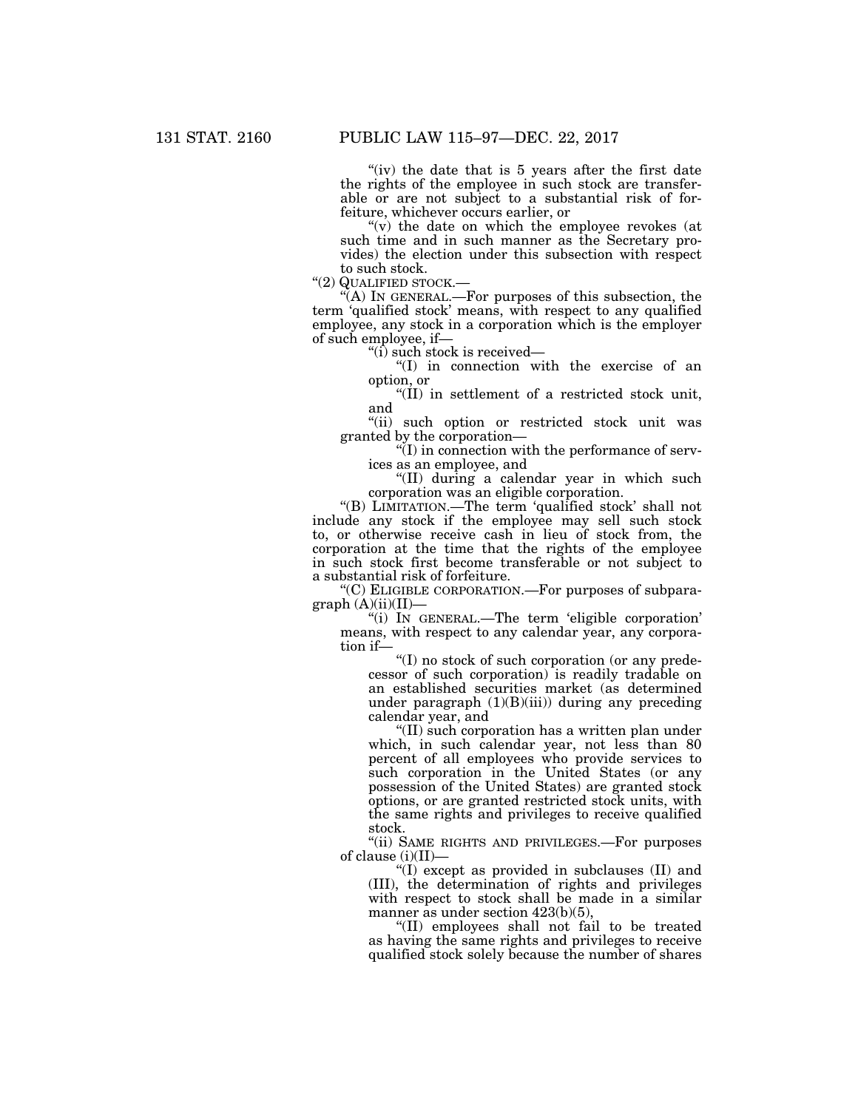"(iv) the date that is 5 years after the first date the rights of the employee in such stock are transferable or are not subject to a substantial risk of forfeiture, whichever occurs earlier, or

" $(v)$  the date on which the employee revokes (at such time and in such manner as the Secretary provides) the election under this subsection with respect

to such stock.<br>"(2) QUALIFIED STOCK.—

''(2) QUALIFIED STOCK.— ''(A) IN GENERAL.—For purposes of this subsection, the term 'qualified stock' means, with respect to any qualified employee, any stock in a corporation which is the employer of such employee, if—

 $\degree$ (i) such stock is received—

''(I) in connection with the exercise of an option, or

''(II) in settlement of a restricted stock unit, and

''(ii) such option or restricted stock unit was granted by the corporation—

 $\sqrt{\text{I}}$ ) in connection with the performance of services as an employee, and

''(II) during a calendar year in which such corporation was an eligible corporation.

''(B) LIMITATION.—The term 'qualified stock' shall not include any stock if the employee may sell such stock to, or otherwise receive cash in lieu of stock from, the corporation at the time that the rights of the employee in such stock first become transferable or not subject to a substantial risk of forfeiture.

''(C) ELIGIBLE CORPORATION.—For purposes of subpara $graph (A)(ii)(II)$ 

''(i) IN GENERAL.—The term 'eligible corporation' means, with respect to any calendar year, any corporation if—

''(I) no stock of such corporation (or any predecessor of such corporation) is readily tradable on an established securities market (as determined under paragraph  $(1)(B)(iii)$  during any preceding calendar year, and

''(II) such corporation has a written plan under which, in such calendar year, not less than 80 percent of all employees who provide services to such corporation in the United States (or any possession of the United States) are granted stock options, or are granted restricted stock units, with the same rights and privileges to receive qualified stock.

''(ii) SAME RIGHTS AND PRIVILEGES.—For purposes of clause (i)(II)—

''(I) except as provided in subclauses (II) and (III), the determination of rights and privileges with respect to stock shall be made in a similar manner as under section  $423(b)(5)$ ,

''(II) employees shall not fail to be treated as having the same rights and privileges to receive qualified stock solely because the number of shares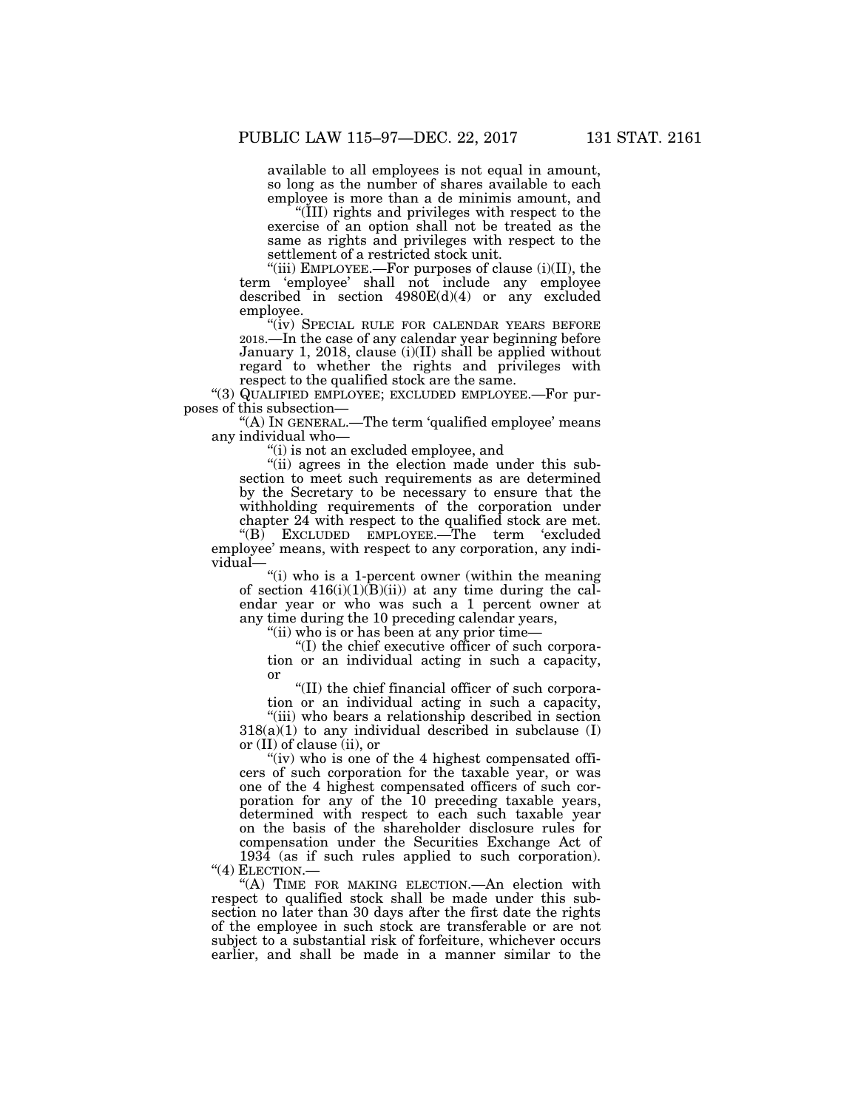available to all employees is not equal in amount, so long as the number of shares available to each employee is more than a de minimis amount, and

''(III) rights and privileges with respect to the exercise of an option shall not be treated as the same as rights and privileges with respect to the settlement of a restricted stock unit.

"(iii) EMPLOYEE.—For purposes of clause (i)(II), the term 'employee' shall not include any employee described in section 4980E(d)(4) or any excluded employee.

"(iv) SPECIAL RULE FOR CALENDAR YEARS BEFORE 2018.—In the case of any calendar year beginning before January 1, 2018, clause (i)(II) shall be applied without regard to whether the rights and privileges with respect to the qualified stock are the same.

''(3) QUALIFIED EMPLOYEE; EXCLUDED EMPLOYEE.—For purposes of this subsection—

''(A) IN GENERAL.—The term 'qualified employee' means any individual who—

''(i) is not an excluded employee, and

''(ii) agrees in the election made under this subsection to meet such requirements as are determined by the Secretary to be necessary to ensure that the withholding requirements of the corporation under chapter 24 with respect to the qualified stock are met.

''(B) EXCLUDED EMPLOYEE.—The term 'excluded employee' means, with respect to any corporation, any individual—

"(i) who is a 1-percent owner (within the meaning of section  $416(i)(1)(B(ii))$  at any time during the calendar year or who was such a 1 percent owner at any time during the 10 preceding calendar years,

''(ii) who is or has been at any prior time—

''(I) the chief executive officer of such corporation or an individual acting in such a capacity, or

''(II) the chief financial officer of such corporation or an individual acting in such a capacity,

"(iii) who bears a relationship described in section  $318(a)(1)$  to any individual described in subclause (I) or (II) of clause (ii), or

"(iv) who is one of the 4 highest compensated officers of such corporation for the taxable year, or was one of the 4 highest compensated officers of such corporation for any of the 10 preceding taxable years, determined with respect to each such taxable year on the basis of the shareholder disclosure rules for compensation under the Securities Exchange Act of 1934 (as if such rules applied to such corporation). "(4) ELECTION.—

"(A) TIME FOR MAKING ELECTION.—An election with respect to qualified stock shall be made under this subsection no later than 30 days after the first date the rights of the employee in such stock are transferable or are not subject to a substantial risk of forfeiture, whichever occurs earlier, and shall be made in a manner similar to the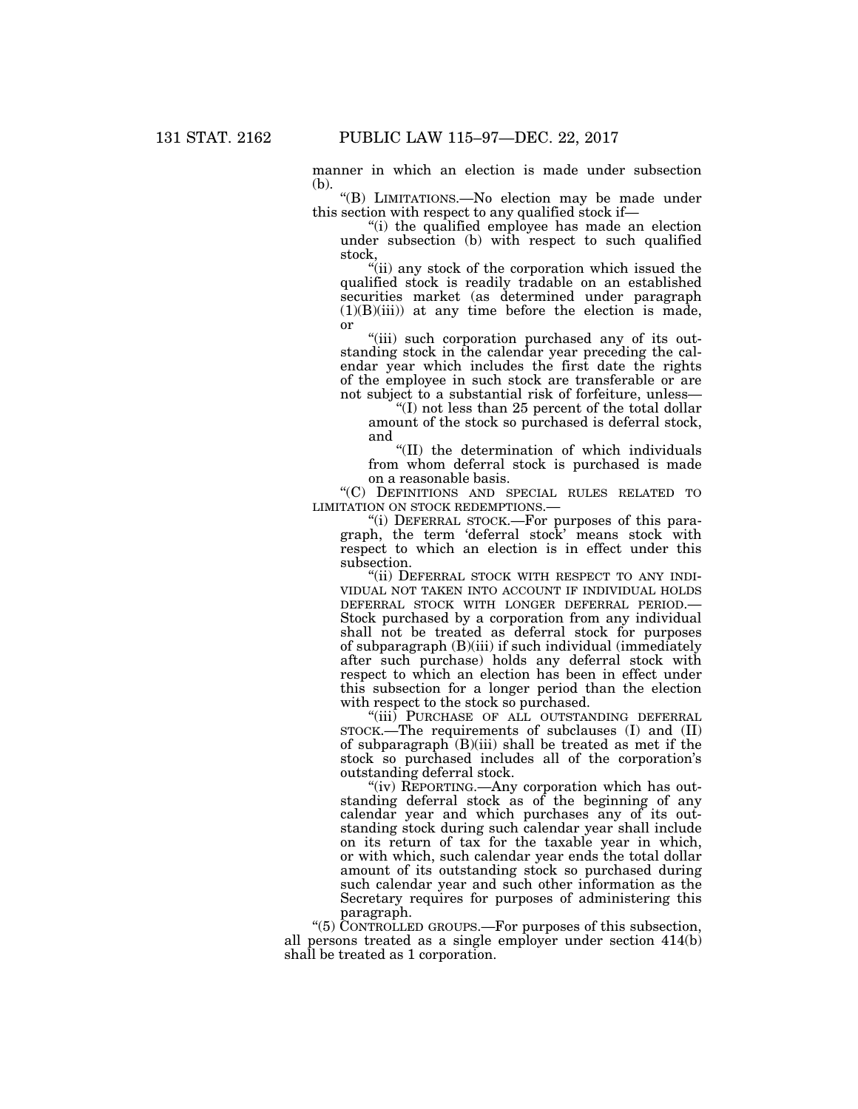manner in which an election is made under subsection (b).

''(B) LIMITATIONS.—No election may be made under this section with respect to any qualified stock if—

''(i) the qualified employee has made an election under subsection (b) with respect to such qualified stock,

"(ii) any stock of the corporation which issued the qualified stock is readily tradable on an established securities market (as determined under paragraph  $(1)(B)(iii)$  at any time before the election is made, or

"(iii) such corporation purchased any of its outstanding stock in the calendar year preceding the calendar year which includes the first date the rights of the employee in such stock are transferable or are not subject to a substantial risk of forfeiture, unless—

''(I) not less than 25 percent of the total dollar amount of the stock so purchased is deferral stock, and

''(II) the determination of which individuals from whom deferral stock is purchased is made on a reasonable basis.

''(C) DEFINITIONS AND SPECIAL RULES RELATED TO LIMITATION ON STOCK REDEMPTIONS.—

''(i) DEFERRAL STOCK.—For purposes of this paragraph, the term 'deferral stock' means stock with respect to which an election is in effect under this subsection.

"(ii) DEFERRAL STOCK WITH RESPECT TO ANY INDI-VIDUAL NOT TAKEN INTO ACCOUNT IF INDIVIDUAL HOLDS DEFERRAL STOCK WITH LONGER DEFERRAL PERIOD.— Stock purchased by a corporation from any individual shall not be treated as deferral stock for purposes of subparagraph (B)(iii) if such individual (immediately after such purchase) holds any deferral stock with respect to which an election has been in effect under this subsection for a longer period than the election with respect to the stock so purchased.

''(iii) PURCHASE OF ALL OUTSTANDING DEFERRAL STOCK.—The requirements of subclauses (I) and (II) of subparagraph  $(B)(iii)$  shall be treated as met if the stock so purchased includes all of the corporation's outstanding deferral stock.

"(iv) REPORTING.—Any corporation which has outstanding deferral stock as of the beginning of any calendar year and which purchases any of its outstanding stock during such calendar year shall include on its return of tax for the taxable year in which, or with which, such calendar year ends the total dollar amount of its outstanding stock so purchased during such calendar year and such other information as the Secretary requires for purposes of administering this paragraph.

''(5) CONTROLLED GROUPS.—For purposes of this subsection, all persons treated as a single employer under section 414(b) shall be treated as 1 corporation.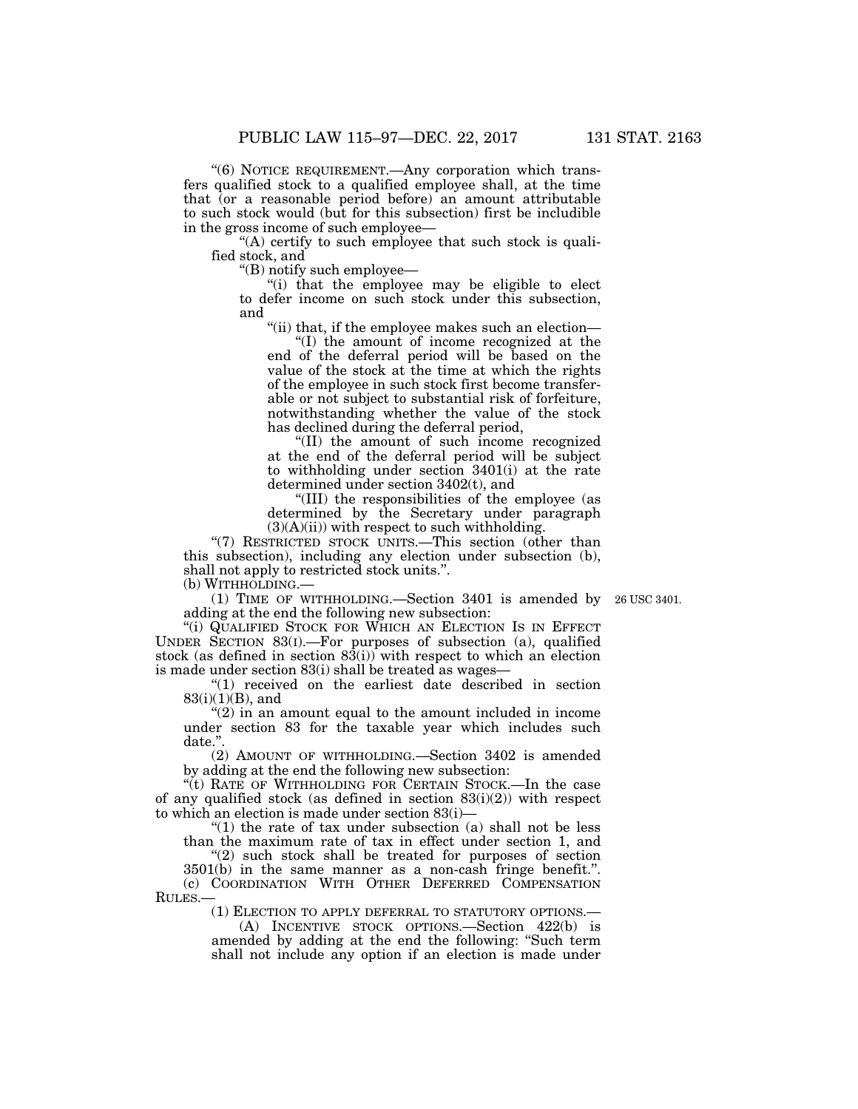''(6) NOTICE REQUIREMENT.—Any corporation which transfers qualified stock to a qualified employee shall, at the time that (or a reasonable period before) an amount attributable to such stock would (but for this subsection) first be includible in the gross income of such employee—

 $(A)$  certify to such employee that such stock is qualified stock, and

''(B) notify such employee—

''(i) that the employee may be eligible to elect to defer income on such stock under this subsection, and

''(ii) that, if the employee makes such an election—

''(I) the amount of income recognized at the end of the deferral period will be based on the value of the stock at the time at which the rights of the employee in such stock first become transferable or not subject to substantial risk of forfeiture, notwithstanding whether the value of the stock has declined during the deferral period,

''(II) the amount of such income recognized at the end of the deferral period will be subject to withholding under section 3401(i) at the rate determined under section 3402(t), and

''(III) the responsibilities of the employee (as determined by the Secretary under paragraph  $(3)(A)(ii)$  with respect to such withholding.

"(7) RESTRICTED STOCK UNITS.—This section (other than this subsection), including any election under subsection (b), shall not apply to restricted stock units.''. (b) WITHHOLDING.—

(1) TIME OF WITHHOLDING.—Section 3401 is amended by 26 USC 3401.

adding at the end the following new subsection: "(i) QUALIFIED STOCK FOR WHICH AN ELECTION IS IN EFFECT UNDER SECTION 83(I).—For purposes of subsection (a), qualified stock (as defined in section  $83(i)$ ) with respect to which an election is made under section 83(i) shall be treated as wages—

''(1) received on the earliest date described in section 83(i)(1)(B), and

''(2) in an amount equal to the amount included in income under section 83 for the taxable year which includes such date.''.

(2) AMOUNT OF WITHHOLDING.—Section 3402 is amended by adding at the end the following new subsection:

''(t) RATE OF WITHHOLDING FOR CERTAIN STOCK.—In the case of any qualified stock (as defined in section  $83(i)(2)$ ) with respect to which an election is made under section 83(i)—

" $(1)$  the rate of tax under subsection  $(a)$  shall not be less than the maximum rate of tax in effect under section 1, and

"(2) such stock shall be treated for purposes of section 3501(b) in the same manner as a non-cash fringe benefit.''.

(c) COORDINATION WITH OTHER DEFERRED COMPENSATION RULES.—

(1) ELECTION TO APPLY DEFERRAL TO STATUTORY OPTIONS.—

(A) INCENTIVE STOCK OPTIONS.—Section 422(b) is amended by adding at the end the following: ''Such term shall not include any option if an election is made under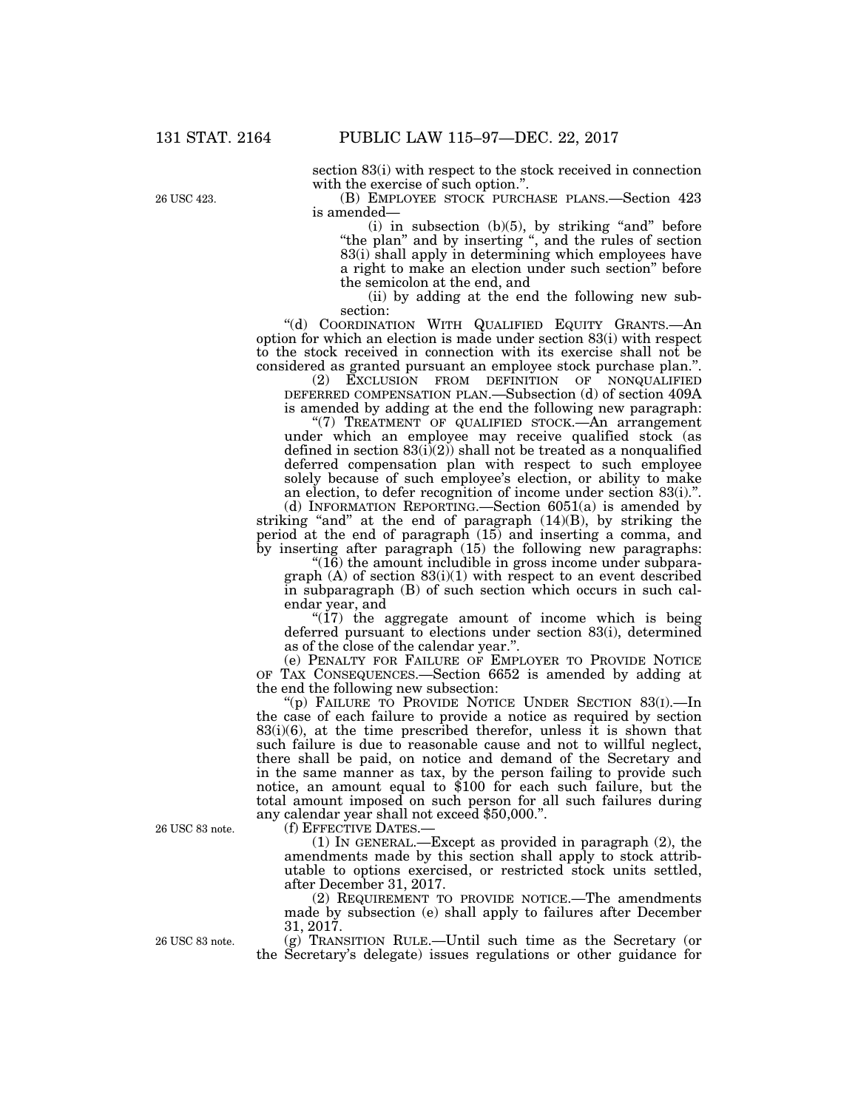section 83(i) with respect to the stock received in connection with the exercise of such option.''.

(B) EMPLOYEE STOCK PURCHASE PLANS.—Section 423 is amended—

 $(i)$  in subsection  $(b)(5)$ , by striking "and" before "the plan" and by inserting ", and the rules of section 83(i) shall apply in determining which employees have a right to make an election under such section'' before the semicolon at the end, and

(ii) by adding at the end the following new subsection:

"(d) COORDINATION WITH QUALIFIED EQUITY GRANTS.—An option for which an election is made under section 83(i) with respect to the stock received in connection with its exercise shall not be considered as granted pursuant an employee stock purchase plan.''.

(2) EXCLUSION FROM DEFINITION OF NONQUALIFIED DEFERRED COMPENSATION PLAN.—Subsection (d) of section 409A is amended by adding at the end the following new paragraph:

"(7) TREATMENT OF QUALIFIED STOCK.—An arrangement under which an employee may receive qualified stock (as defined in section  $83(i)(2)$  shall not be treated as a nonqualified deferred compensation plan with respect to such employee solely because of such employee's election, or ability to make an election, to defer recognition of income under section 83(i).''.

(d) INFORMATION REPORTING.—Section 6051(a) is amended by striking "and" at the end of paragraph (14)(B), by striking the period at the end of paragraph (15) and inserting a comma, and by inserting after paragraph (15) the following new paragraphs:

" $(16)$  the amount includible in gross income under subparagraph  $(A)$  of section  $83(i)(1)$  with respect to an event described in subparagraph (B) of such section which occurs in such calendar year, and

" $(17)$  the aggregate amount of income which is being deferred pursuant to elections under section 83(i), determined as of the close of the calendar year.''.

(e) PENALTY FOR FAILURE OF EMPLOYER TO PROVIDE NOTICE OF TAX CONSEQUENCES.—Section 6652 is amended by adding at the end the following new subsection:

''(p) FAILURE TO PROVIDE NOTICE UNDER SECTION 83(I).—In the case of each failure to provide a notice as required by section  $83(i)(6)$ , at the time prescribed therefor, unless it is shown that such failure is due to reasonable cause and not to willful neglect, there shall be paid, on notice and demand of the Secretary and in the same manner as tax, by the person failing to provide such notice, an amount equal to \$100 for each such failure, but the total amount imposed on such person for all such failures during any calendar year shall not exceed \$50,000.''.

(f) EFFECTIVE DATES.—

(1) IN GENERAL.—Except as provided in paragraph (2), the amendments made by this section shall apply to stock attributable to options exercised, or restricted stock units settled, after December 31, 2017.

(2) REQUIREMENT TO PROVIDE NOTICE.—The amendments made by subsection (e) shall apply to failures after December 31, 2017.

(g) TRANSITION RULE.—Until such time as the Secretary (or the Secretary's delegate) issues regulations or other guidance for

26 USC 83 note.

26 USC 83 note.

26 USC 423.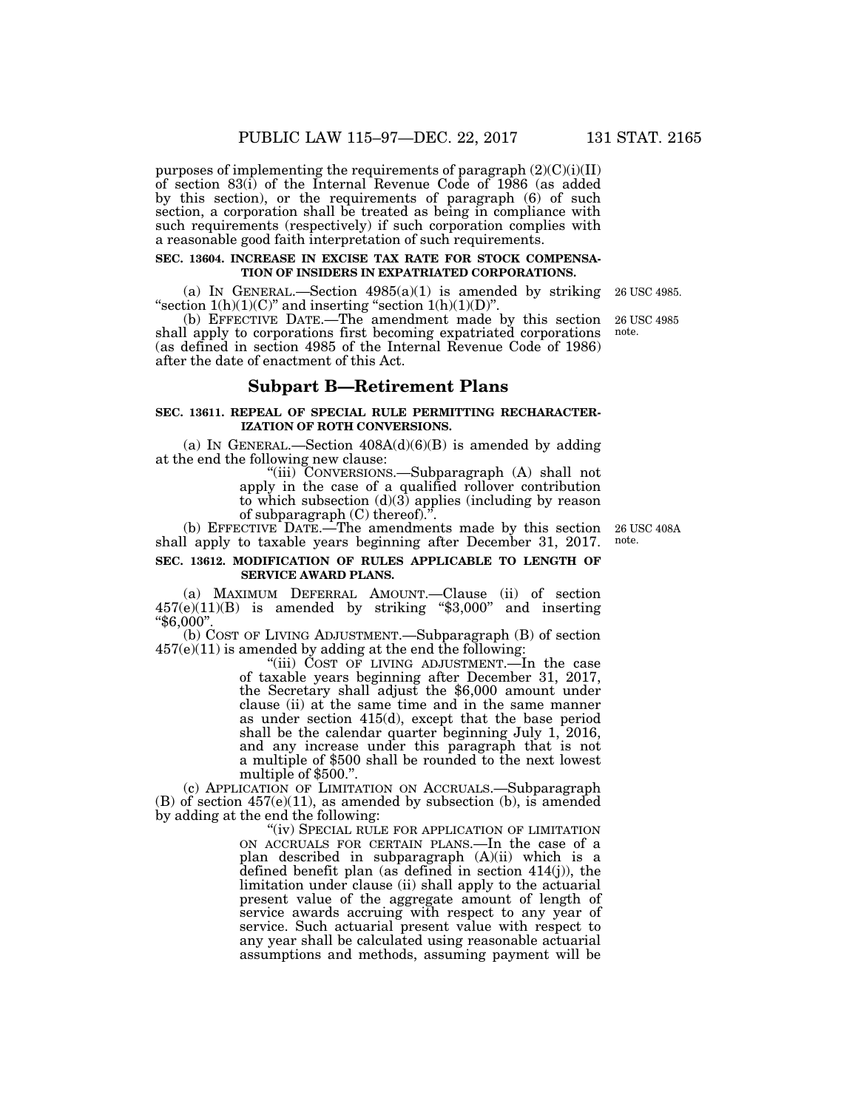purposes of implementing the requirements of paragraph  $(2)(C)(i)(II)$ of section 83(i) of the Internal Revenue Code of 1986 (as added by this section), or the requirements of paragraph (6) of such section, a corporation shall be treated as being in compliance with such requirements (respectively) if such corporation complies with a reasonable good faith interpretation of such requirements.

## **SEC. 13604. INCREASE IN EXCISE TAX RATE FOR STOCK COMPENSA-TION OF INSIDERS IN EXPATRIATED CORPORATIONS.**

(a) IN GENERAL.—Section  $4985(a)(1)$  is amended by striking "section  $1(h)(1)(C)$ " and inserting "section  $1(h)(1)(D)$ ".

(b) EFFECTIVE DATE.—The amendment made by this section shall apply to corporations first becoming expatriated corporations (as defined in section 4985 of the Internal Revenue Code of 1986) after the date of enactment of this Act. note.

# **Subpart B—Retirement Plans**

# **SEC. 13611. REPEAL OF SPECIAL RULE PERMITTING RECHARACTER-IZATION OF ROTH CONVERSIONS.**

(a) IN GENERAL.—Section  $408A(d)(6)(B)$  is amended by adding at the end the following new clause:

''(iii) CONVERSIONS.—Subparagraph (A) shall not apply in the case of a qualified rollover contribution to which subsection (d)(3) applies (including by reason of subparagraph  $(C)$  thereof).<sup>"</sup>.

(b) EFFECTIVE DATE.—The amendments made by this section shall apply to taxable years beginning after December 31, 2017.

# **SEC. 13612. MODIFICATION OF RULES APPLICABLE TO LENGTH OF SERVICE AWARD PLANS.**

(a) MAXIMUM DEFERRAL AMOUNT.—Clause (ii) of section 457(e)(11)(B) is amended by striking ''\$3,000'' and inserting ''\$6,000''.

(b) COST OF LIVING ADJUSTMENT.—Subparagraph (B) of section 457(e)(11) is amended by adding at the end the following:

"(iii) COST OF LIVING ADJUSTMENT.—In the case of taxable years beginning after December 31, 2017, the Secretary shall adjust the \$6,000 amount under clause (ii) at the same time and in the same manner as under section 415(d), except that the base period shall be the calendar quarter beginning July 1, 2016, and any increase under this paragraph that is not a multiple of \$500 shall be rounded to the next lowest multiple of \$500.''.

(c) APPLICATION OF LIMITATION ON ACCRUALS.—Subparagraph (B) of section 457(e)(11), as amended by subsection (b), is amended by adding at the end the following:

"(iv) SPECIAL RULE FOR APPLICATION OF LIMITATION ON ACCRUALS FOR CERTAIN PLANS.—In the case of a plan described in subparagraph (A)(ii) which is a defined benefit plan (as defined in section 414(j)), the limitation under clause (ii) shall apply to the actuarial present value of the aggregate amount of length of service awards accruing with respect to any year of service. Such actuarial present value with respect to any year shall be calculated using reasonable actuarial assumptions and methods, assuming payment will be

26 USC 408A note.

26 USC 4985.

26 USC 4985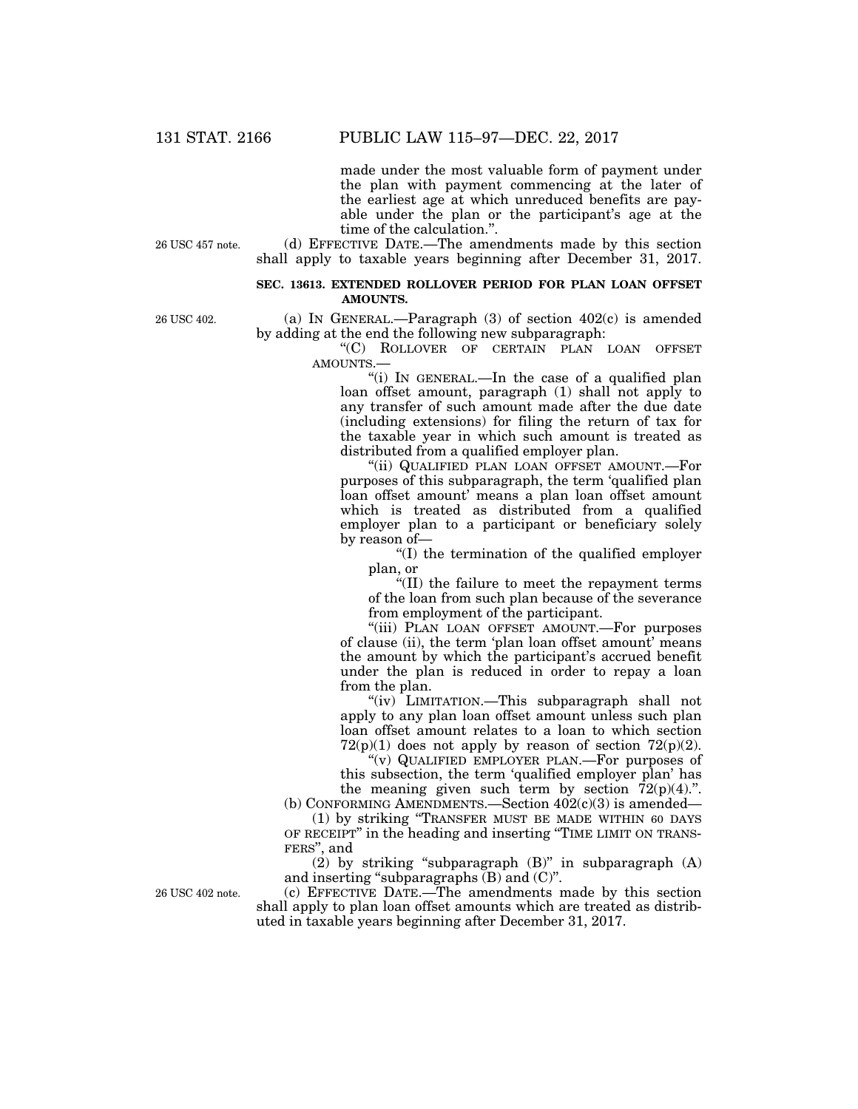made under the most valuable form of payment under the plan with payment commencing at the later of the earliest age at which unreduced benefits are payable under the plan or the participant's age at the time of the calculation.''.

26 USC 457 note.

(d) EFFECTIVE DATE.—The amendments made by this section shall apply to taxable years beginning after December 31, 2017.

# **SEC. 13613. EXTENDED ROLLOVER PERIOD FOR PLAN LOAN OFFSET AMOUNTS.**

26 USC 402.

(a) IN GENERAL.—Paragraph  $(3)$  of section  $402(c)$  is amended by adding at the end the following new subparagraph:

> ''(C) ROLLOVER OF CERTAIN PLAN LOAN OFFSET AMOUNTS.—

"(i) In GENERAL.—In the case of a qualified plan loan offset amount, paragraph (1) shall not apply to any transfer of such amount made after the due date (including extensions) for filing the return of tax for the taxable year in which such amount is treated as distributed from a qualified employer plan.

''(ii) QUALIFIED PLAN LOAN OFFSET AMOUNT.—For purposes of this subparagraph, the term 'qualified plan loan offset amount' means a plan loan offset amount which is treated as distributed from a qualified employer plan to a participant or beneficiary solely by reason of—

''(I) the termination of the qualified employer plan, or

''(II) the failure to meet the repayment terms of the loan from such plan because of the severance from employment of the participant.

"(iii) PLAN LOAN OFFSET AMOUNT.—For purposes of clause (ii), the term 'plan loan offset amount' means the amount by which the participant's accrued benefit under the plan is reduced in order to repay a loan from the plan.

''(iv) LIMITATION.—This subparagraph shall not apply to any plan loan offset amount unless such plan loan offset amount relates to a loan to which section  $72(p)(1)$  does not apply by reason of section  $72(p)(2)$ .

''(v) QUALIFIED EMPLOYER PLAN.—For purposes of this subsection, the term 'qualified employer plan' has the meaning given such term by section  $72(p)(4)$ .".

(b) CONFORMING AMENDMENTS.—Section  $402(c)(3)$  is amended— (1) by striking ''TRANSFER MUST BE MADE WITHIN 60 DAYS

OF RECEIPT'' in the heading and inserting ''TIME LIMIT ON TRANS-FERS'', and

 $(2)$  by striking "subparagraph  $(B)$ " in subparagraph  $(A)$ and inserting "subparagraphs  $(B)$  and  $(C)$ ".

26 USC 402 note.

(c) EFFECTIVE DATE.—The amendments made by this section shall apply to plan loan offset amounts which are treated as distributed in taxable years beginning after December 31, 2017.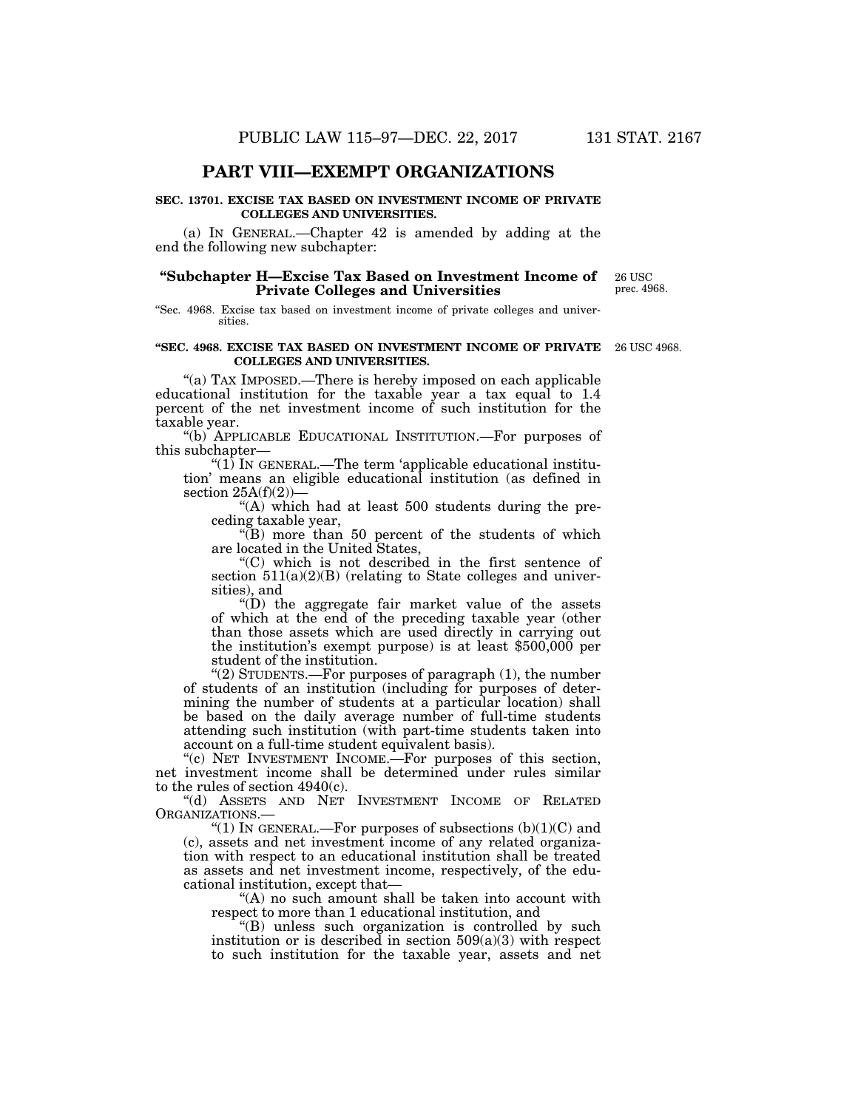# **PART VIII—EXEMPT ORGANIZATIONS**

## **SEC. 13701. EXCISE TAX BASED ON INVESTMENT INCOME OF PRIVATE COLLEGES AND UNIVERSITIES.**

(a) IN GENERAL.—Chapter 42 is amended by adding at the end the following new subchapter:

# **''Subchapter H—Excise Tax Based on Investment Income of Private Colleges and Universities**

26 USC prec. 4968.

''Sec. 4968. Excise tax based on investment income of private colleges and universities.

#### **''SEC. 4968. EXCISE TAX BASED ON INVESTMENT INCOME OF PRIVATE**  26 USC 4968. **COLLEGES AND UNIVERSITIES.**

"(a) TAX IMPOSED.—There is hereby imposed on each applicable educational institution for the taxable year a tax equal to 1.4 percent of the net investment income of such institution for the taxable year.

''(b) APPLICABLE EDUCATIONAL INSTITUTION.—For purposes of this subchapter—

"(1) In GENERAL.—The term 'applicable educational institution' means an eligible educational institution (as defined in section  $25A(f)(2)$ )–

"(A) which had at least  $500$  students during the preceding taxable year,

 $\sqrt{\text{B}}$ ) more than 50 percent of the students of which are located in the United States,

''(C) which is not described in the first sentence of section  $511(a)(2)(B)$  (relating to State colleges and universities), and

''(D) the aggregate fair market value of the assets of which at the end of the preceding taxable year (other than those assets which are used directly in carrying out the institution's exempt purpose) is at least \$500,000 per student of the institution.

''(2) STUDENTS.—For purposes of paragraph (1), the number of students of an institution (including for purposes of determining the number of students at a particular location) shall be based on the daily average number of full-time students attending such institution (with part-time students taken into account on a full-time student equivalent basis).

''(c) NET INVESTMENT INCOME.—For purposes of this section, net investment income shall be determined under rules similar to the rules of section 4940(c).

''(d) ASSETS AND NET INVESTMENT INCOME OF RELATED ORGANIZATIONS.—

"(1) In GENERAL.—For purposes of subsections  $(b)(1)(C)$  and (c), assets and net investment income of any related organization with respect to an educational institution shall be treated as assets and net investment income, respectively, of the educational institution, except that—

"(A) no such amount shall be taken into account with respect to more than 1 educational institution, and

''(B) unless such organization is controlled by such institution or is described in section  $509(a)(3)$  with respect to such institution for the taxable year, assets and net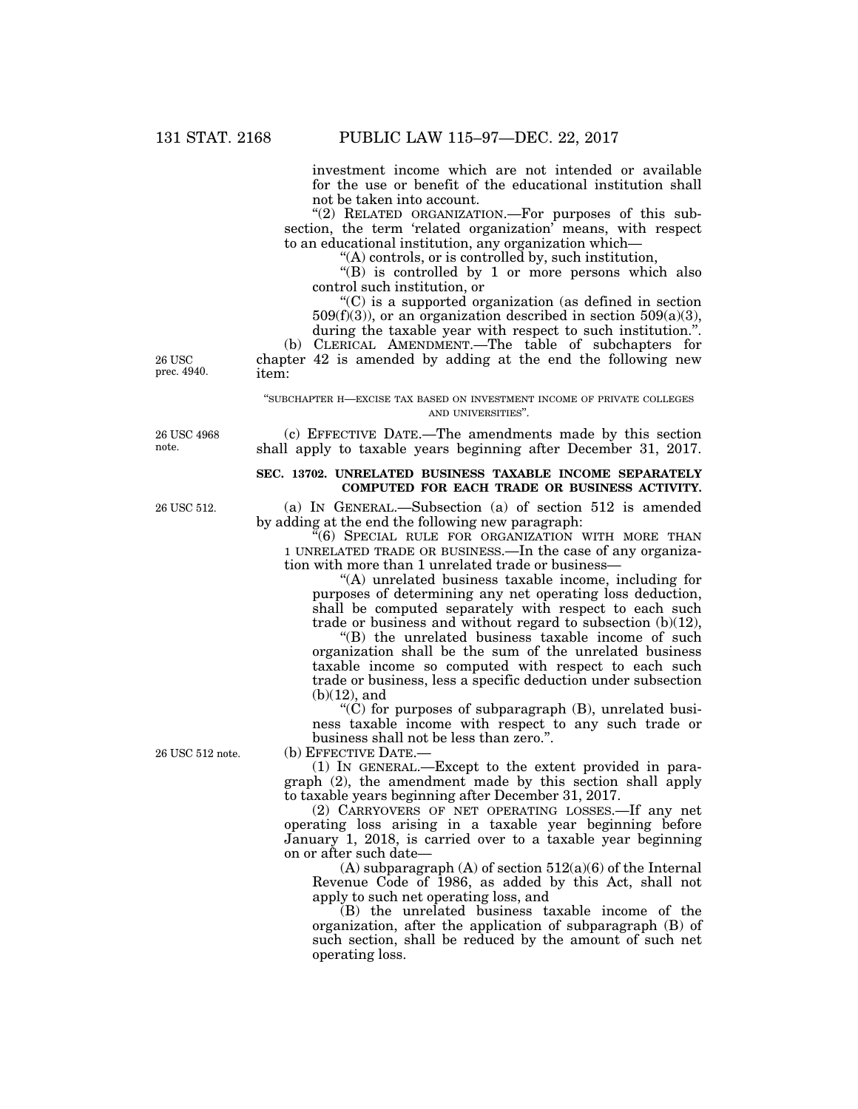investment income which are not intended or available for the use or benefit of the educational institution shall not be taken into account.

"(2) RELATED ORGANIZATION.-For purposes of this subsection, the term 'related organization' means, with respect to an educational institution, any organization which—

''(A) controls, or is controlled by, such institution,

''(B) is controlled by 1 or more persons which also control such institution, or

''(C) is a supported organization (as defined in section  $509(f)(3)$ , or an organization described in section  $509(a)(3)$ , during the taxable year with respect to such institution.''.

(b) CLERICAL AMENDMENT.—The table of subchapters for chapter 42 is amended by adding at the end the following new item:

#### ''SUBCHAPTER H—EXCISE TAX BASED ON INVESTMENT INCOME OF PRIVATE COLLEGES AND UNIVERSITIES''.

(c) EFFECTIVE DATE.—The amendments made by this section shall apply to taxable years beginning after December 31, 2017.

# **SEC. 13702. UNRELATED BUSINESS TAXABLE INCOME SEPARATELY COMPUTED FOR EACH TRADE OR BUSINESS ACTIVITY.**

(a) IN GENERAL.—Subsection (a) of section 512 is amended by adding at the end the following new paragraph:

"(6) SPECIAL RULE FOR ORGANIZATION WITH MORE THAN 1 UNRELATED TRADE OR BUSINESS.—In the case of any organization with more than 1 unrelated trade or business—

''(A) unrelated business taxable income, including for purposes of determining any net operating loss deduction, shall be computed separately with respect to each such trade or business and without regard to subsection (b)(12),

''(B) the unrelated business taxable income of such organization shall be the sum of the unrelated business taxable income so computed with respect to each such trade or business, less a specific deduction under subsection  $(b)(12)$ , and

 $(C)$  for purposes of subparagraph  $(B)$ , unrelated business taxable income with respect to any such trade or business shall not be less than zero.''.

(b) EFFECTIVE DATE.—

(1) IN GENERAL.—Except to the extent provided in paragraph (2), the amendment made by this section shall apply to taxable years beginning after December 31, 2017.

(2) CARRYOVERS OF NET OPERATING LOSSES.—If any net operating loss arising in a taxable year beginning before January 1, 2018, is carried over to a taxable year beginning on or after such date—

(A) subparagraph (A) of section  $512(a)(6)$  of the Internal Revenue Code of 1986, as added by this Act, shall not apply to such net operating loss, and

(B) the unrelated business taxable income of the organization, after the application of subparagraph (B) of such section, shall be reduced by the amount of such net operating loss.

26 USC prec. 4940.

26 USC 4968 note.

26 USC 512.

26 USC 512 note.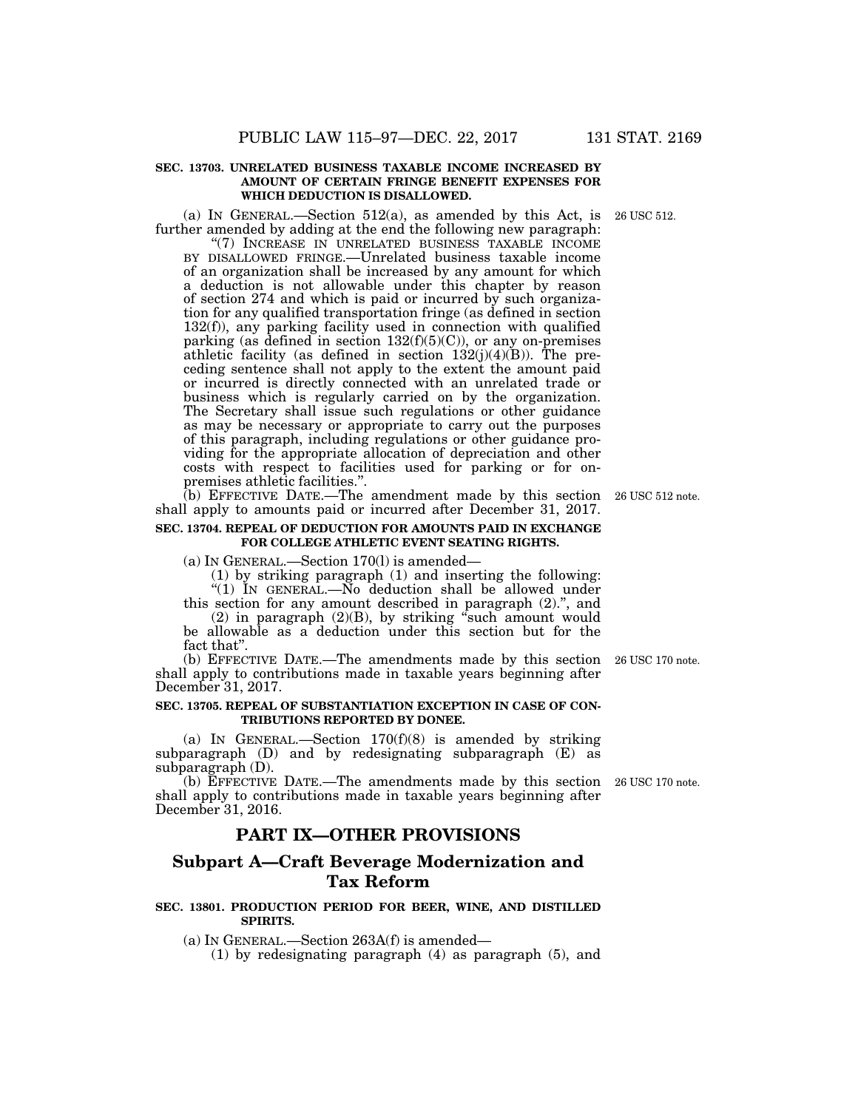# **SEC. 13703. UNRELATED BUSINESS TAXABLE INCOME INCREASED BY AMOUNT OF CERTAIN FRINGE BENEFIT EXPENSES FOR WHICH DEDUCTION IS DISALLOWED.**

(a) IN GENERAL.—Section 512(a), as amended by this Act, is 26 USC 512. further amended by adding at the end the following new paragraph:

''(7) INCREASE IN UNRELATED BUSINESS TAXABLE INCOME BY DISALLOWED FRINGE.—Unrelated business taxable income of an organization shall be increased by any amount for which a deduction is not allowable under this chapter by reason of section 274 and which is paid or incurred by such organization for any qualified transportation fringe (as defined in section  $132(f)$ , any parking facility used in connection with qualified parking (as defined in section  $132(f)(5)(C)$ ), or any on-premises athletic facility (as defined in section  $132(j)(4)(B)$ ). The preceding sentence shall not apply to the extent the amount paid or incurred is directly connected with an unrelated trade or business which is regularly carried on by the organization. The Secretary shall issue such regulations or other guidance as may be necessary or appropriate to carry out the purposes of this paragraph, including regulations or other guidance providing for the appropriate allocation of depreciation and other costs with respect to facilities used for parking or for onpremises athletic facilities.''.

(b) EFFECTIVE DATE.—The amendment made by this section 26 USC 512 note. shall apply to amounts paid or incurred after December 31, 2017.

# **SEC. 13704. REPEAL OF DEDUCTION FOR AMOUNTS PAID IN EXCHANGE FOR COLLEGE ATHLETIC EVENT SEATING RIGHTS.**

(a) IN GENERAL.—Section 170(l) is amended—

(1) by striking paragraph (1) and inserting the following: "(1) IN GENERAL.—No deduction shall be allowed under

this section for any amount described in paragraph (2).'', and  $(2)$  in paragraph  $(2)(B)$ , by striking "such amount would

be allowable as a deduction under this section but for the fact that''.

(b) EFFECTIVE DATE.—The amendments made by this section 26 USC 170 note. shall apply to contributions made in taxable years beginning after December 31, 2017.

# **SEC. 13705. REPEAL OF SUBSTANTIATION EXCEPTION IN CASE OF CON-TRIBUTIONS REPORTED BY DONEE.**

(a) IN GENERAL.—Section  $170(f)(8)$  is amended by striking subparagraph (D) and by redesignating subparagraph (E) as subparagraph (D).

(b) EFFECTIVE DATE.—The amendments made by this section 26 USC 170 note. shall apply to contributions made in taxable years beginning after December 31, 2016.

# **PART IX—OTHER PROVISIONS**

# **Subpart A—Craft Beverage Modernization and Tax Reform**

# **SEC. 13801. PRODUCTION PERIOD FOR BEER, WINE, AND DISTILLED SPIRITS.**

(a) IN GENERAL.—Section 263A(f) is amended—

(1) by redesignating paragraph (4) as paragraph (5), and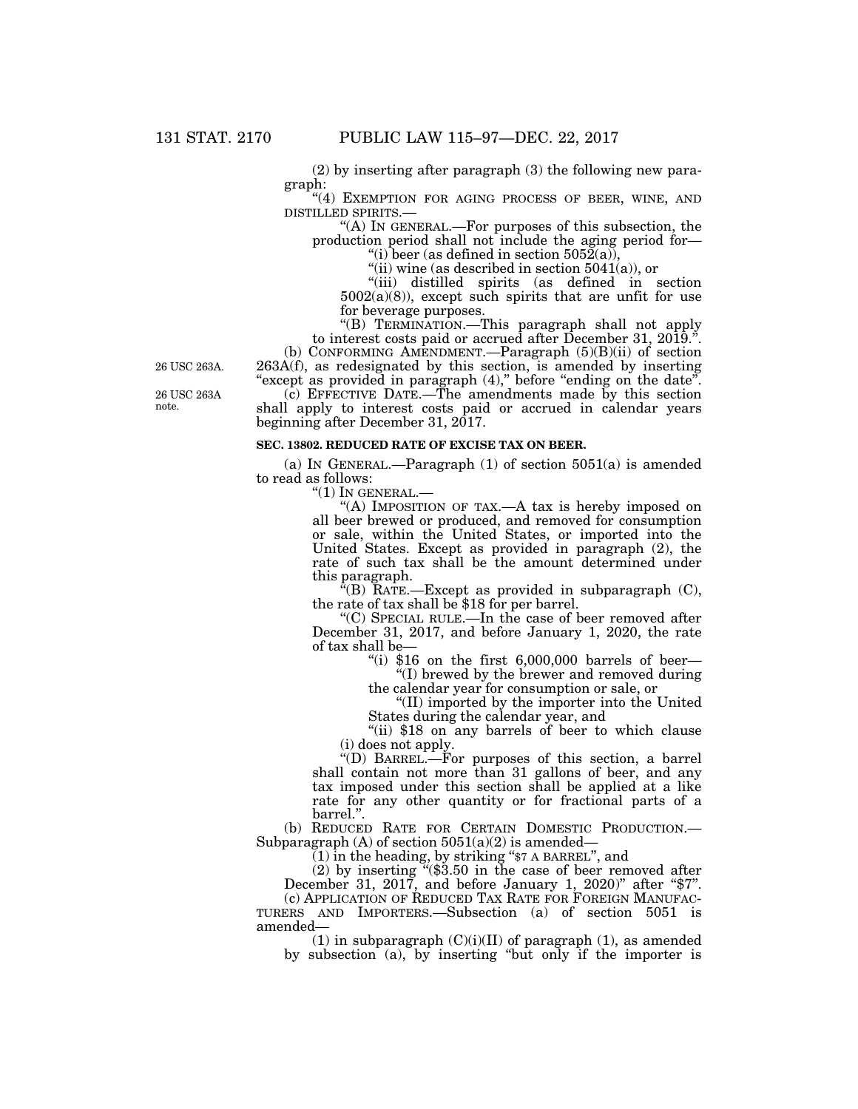(2) by inserting after paragraph (3) the following new paragraph:

"(4) EXEMPTION FOR AGING PROCESS OF BEER, WINE, AND

DISTILLED SPIRITS.—<br>"(A) IN GENERAL.—For purposes of this subsection, the production period shall not include the aging period for— "(i) beer (as defined in section  $5052(a)$ ),

"(ii) wine (as described in section 5041(a)), or

''(iii) distilled spirits (as defined in section  $5002(a)(8)$ , except such spirits that are unfit for use for beverage purposes.

''(B) TERMINATION.—This paragraph shall not apply to interest costs paid or accrued after December 31, 2019.''.

(b) CONFORMING AMENDMENT.—Paragraph (5)(B)(ii) of section 263A(f), as redesignated by this section, is amended by inserting "except as provided in paragraph (4)," before "ending on the date".

(c) EFFECTIVE DATE.—The amendments made by this section shall apply to interest costs paid or accrued in calendar years beginning after December 31, 2017.

#### **SEC. 13802. REDUCED RATE OF EXCISE TAX ON BEER.**

(a) IN GENERAL.—Paragraph  $(1)$  of section 5051(a) is amended to read as follows:

 $"(1)$  In GENERAL. $-$ 

"(A) IMPOSITION OF TAX.—A tax is hereby imposed on all beer brewed or produced, and removed for consumption or sale, within the United States, or imported into the United States. Except as provided in paragraph (2), the rate of such tax shall be the amount determined under this paragraph.

 $E(E)$  RATE.—Except as provided in subparagraph (C), the rate of tax shall be \$18 for per barrel.

''(C) SPECIAL RULE.—In the case of beer removed after December 31, 2017, and before January 1, 2020, the rate of tax shall be—

"(i)  $$16$  on the first  $6,000,000$  barrels of beer-''(I) brewed by the brewer and removed during

the calendar year for consumption or sale, or ''(II) imported by the importer into the United

States during the calendar year, and

"(ii) \$18 on any barrels of beer to which clause (i) does not apply.

''(D) BARREL.—For purposes of this section, a barrel shall contain not more than 31 gallons of beer, and any tax imposed under this section shall be applied at a like rate for any other quantity or for fractional parts of a barrel.''.

(b) REDUCED RATE FOR CERTAIN DOMESTIC PRODUCTION.— Subparagraph  $(A)$  of section  $5051(a)(2)$  is amended–

(1) in the heading, by striking ''\$7 A BARREL'', and

(2) by inserting ''(\$3.50 in the case of beer removed after December 31, 2017, and before January 1, 2020)'' after ''\$7''.

(c) APPLICATION OF REDUCED TAX RATE FOR FOREIGN MANUFAC-TURERS AND IMPORTERS.—Subsection (a) of section 5051 is amended—

(1) in subparagraph  $(C)(i)(II)$  of paragraph (1), as amended by subsection (a), by inserting ''but only if the importer is

26 USC 263A.

26 USC 263A note.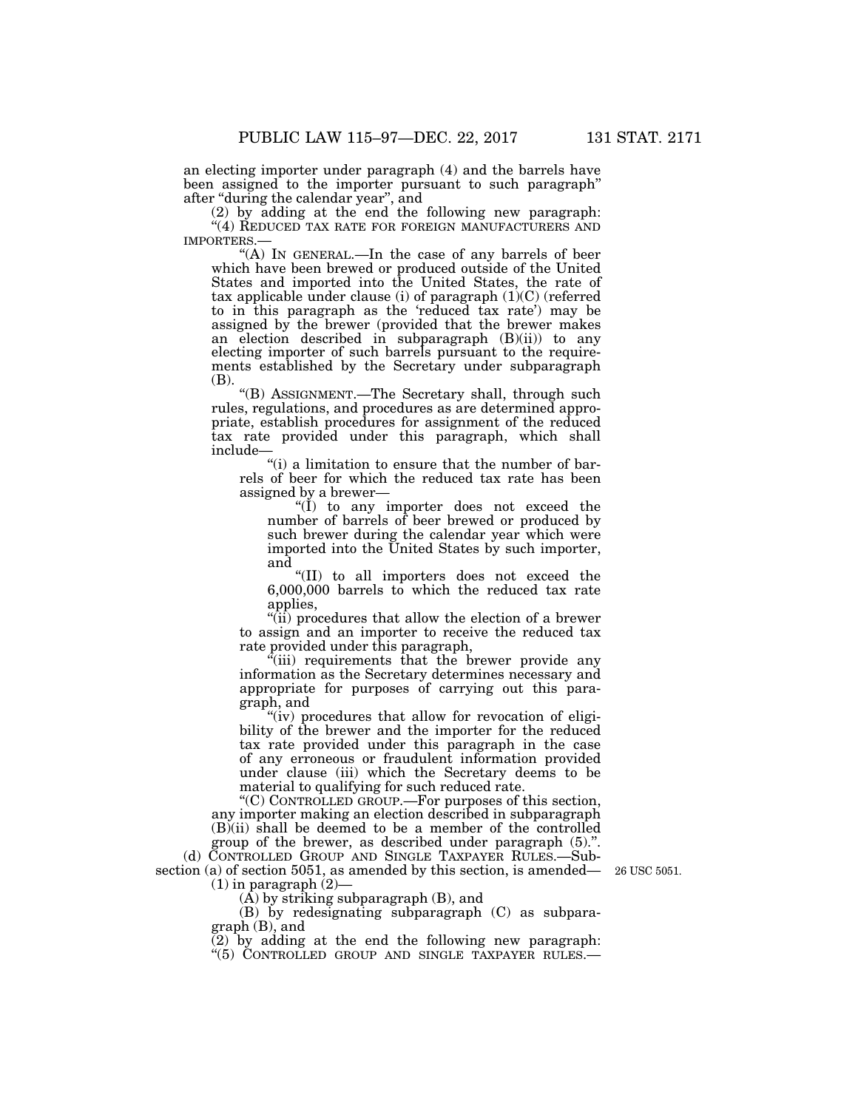an electing importer under paragraph (4) and the barrels have been assigned to the importer pursuant to such paragraph'' after ''during the calendar year'', and

(2) by adding at the end the following new paragraph:  $\lq(4)$  REDUCED TAX RATE FOR FOREIGN MANUFACTURERS AND IMPORTERS.—

"(A) IN GENERAL.—In the case of any barrels of beer which have been brewed or produced outside of the United States and imported into the United States, the rate of tax applicable under clause (i) of paragraph (1)(C) (referred to in this paragraph as the 'reduced tax rate') may be assigned by the brewer (provided that the brewer makes an election described in subparagraph (B)(ii)) to any electing importer of such barrels pursuant to the requirements established by the Secretary under subparagraph (B).

''(B) ASSIGNMENT.—The Secretary shall, through such rules, regulations, and procedures as are determined appropriate, establish procedures for assignment of the reduced tax rate provided under this paragraph, which shall include—

"(i) a limitation to ensure that the number of barrels of beer for which the reduced tax rate has been assigned by a brewer—

''(I) to any importer does not exceed the number of barrels of beer brewed or produced by such brewer during the calendar year which were imported into the United States by such importer, and

''(II) to all importers does not exceed the 6,000,000 barrels to which the reduced tax rate applies,

''(ii) procedures that allow the election of a brewer to assign and an importer to receive the reduced tax rate provided under this paragraph,

''(iii) requirements that the brewer provide any information as the Secretary determines necessary and appropriate for purposes of carrying out this paragraph, and

"(iv) procedures that allow for revocation of eligibility of the brewer and the importer for the reduced tax rate provided under this paragraph in the case of any erroneous or fraudulent information provided under clause (iii) which the Secretary deems to be material to qualifying for such reduced rate.

''(C) CONTROLLED GROUP.—For purposes of this section, any importer making an election described in subparagraph  $(B)$ (ii) shall be deemed to be a member of the controlled

group of the brewer, as described under paragraph (5).''. (d) CONTROLLED GROUP AND SINGLE TAXPAYER RULES.—Sub-

section (a) of section 5051, as amended by this section, is amended—  $(1)$  in paragraph  $(2)$ -

 $(\overline{A})$  by striking subparagraph  $(B)$ , and

(B) by redesignating subparagraph (C) as subparagraph (B), and

(2) by adding at the end the following new paragraph: ''(5) CONTROLLED GROUP AND SINGLE TAXPAYER RULES.—

26 USC 5051.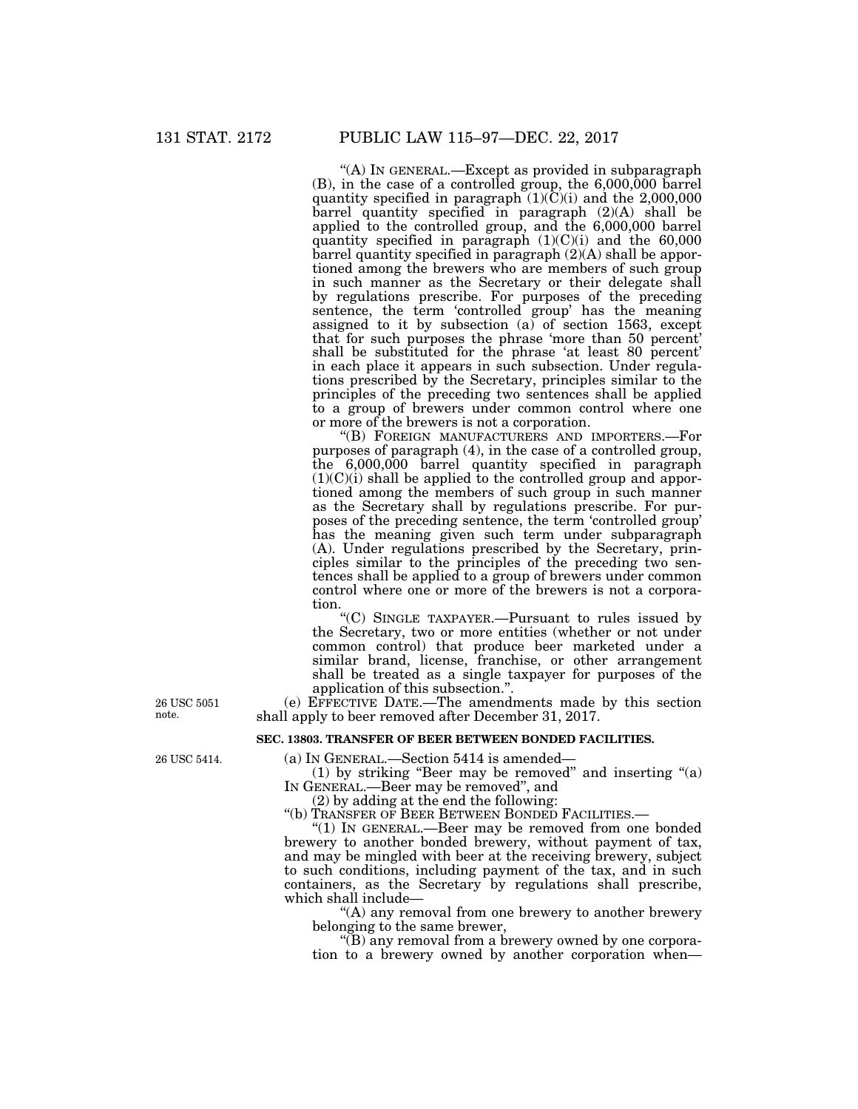''(A) IN GENERAL.—Except as provided in subparagraph (B), in the case of a controlled group, the 6,000,000 barrel quantity specified in paragraph  $(1)(\overline{C})(i)$  and the 2,000,000 barrel quantity specified in paragraph (2)(A) shall be applied to the controlled group, and the 6,000,000 barrel quantity specified in paragraph  $(1)(C)(i)$  and the 60,000 barrel quantity specified in paragraph (2)(A) shall be apportioned among the brewers who are members of such group in such manner as the Secretary or their delegate shall by regulations prescribe. For purposes of the preceding sentence, the term 'controlled group' has the meaning assigned to it by subsection (a) of section 1563, except that for such purposes the phrase 'more than 50 percent' shall be substituted for the phrase 'at least 80 percent' in each place it appears in such subsection. Under regulations prescribed by the Secretary, principles similar to the principles of the preceding two sentences shall be applied to a group of brewers under common control where one or more of the brewers is not a corporation.

''(B) FOREIGN MANUFACTURERS AND IMPORTERS.—For purposes of paragraph (4), in the case of a controlled group, the 6,000,000 barrel quantity specified in paragraph  $(1)(C)(i)$  shall be applied to the controlled group and apportioned among the members of such group in such manner as the Secretary shall by regulations prescribe. For purposes of the preceding sentence, the term 'controlled group' has the meaning given such term under subparagraph (A). Under regulations prescribed by the Secretary, principles similar to the principles of the preceding two sentences shall be applied to a group of brewers under common control where one or more of the brewers is not a corporation.

''(C) SINGLE TAXPAYER.—Pursuant to rules issued by the Secretary, two or more entities (whether or not under common control) that produce beer marketed under a similar brand, license, franchise, or other arrangement shall be treated as a single taxpayer for purposes of the application of this subsection.''.

(e) EFFECTIVE DATE.—The amendments made by this section shall apply to beer removed after December 31, 2017.

# **SEC. 13803. TRANSFER OF BEER BETWEEN BONDED FACILITIES.**

(a) IN GENERAL.—Section 5414 is amended—

(1) by striking "Beer may be removed" and inserting  $(2)$ IN GENERAL.—Beer may be removed'', and

(2) by adding at the end the following:

''(b) TRANSFER OF BEER BETWEEN BONDED FACILITIES.—

''(1) IN GENERAL.—Beer may be removed from one bonded brewery to another bonded brewery, without payment of tax, and may be mingled with beer at the receiving brewery, subject to such conditions, including payment of the tax, and in such containers, as the Secretary by regulations shall prescribe, which shall include—

''(A) any removal from one brewery to another brewery belonging to the same brewer,

''(B) any removal from a brewery owned by one corporation to a brewery owned by another corporation when—

26 USC 5051 note.

26 USC 5414.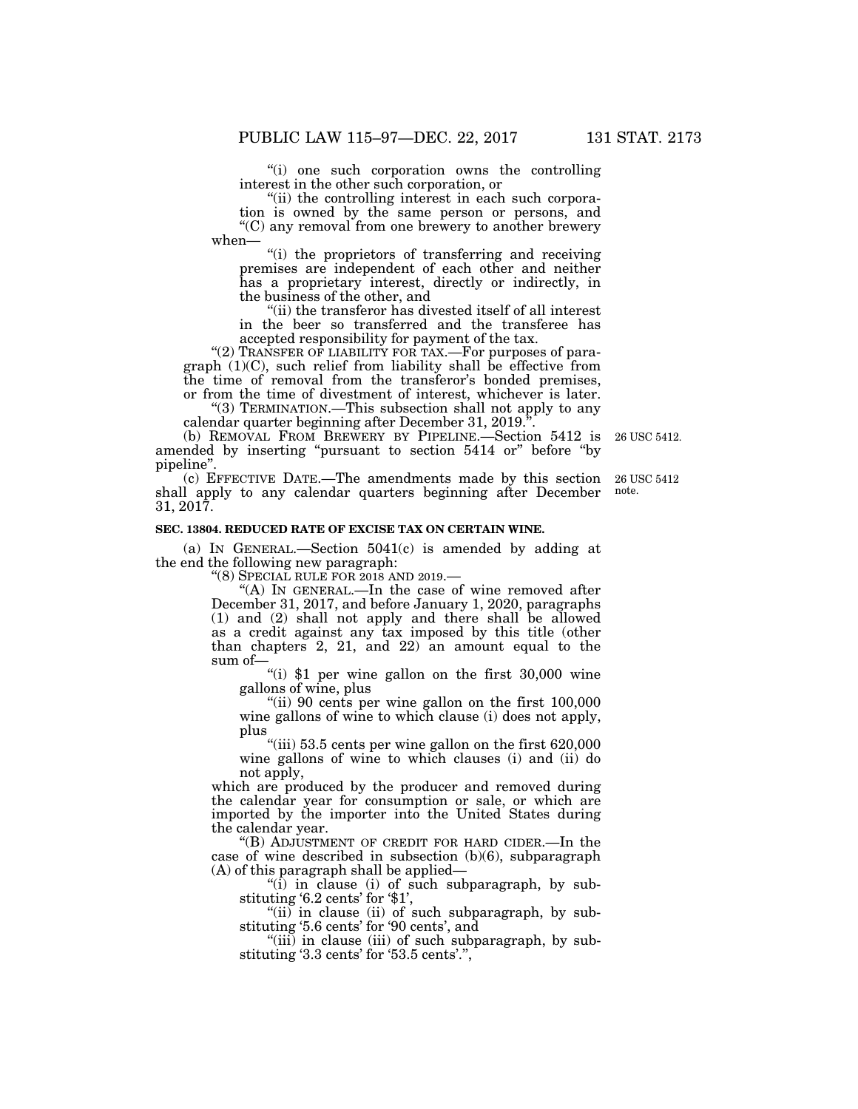''(i) one such corporation owns the controlling interest in the other such corporation, or

"(ii) the controlling interest in each such corporation is owned by the same person or persons, and ''(C) any removal from one brewery to another brewery when—

''(i) the proprietors of transferring and receiving premises are independent of each other and neither has a proprietary interest, directly or indirectly, in the business of the other, and

''(ii) the transferor has divested itself of all interest in the beer so transferred and the transferee has accepted responsibility for payment of the tax.

"(2) TRANSFER OF LIABILITY FOR TAX. - For purposes of paragraph  $(1)(C)$ , such relief from liability shall be effective from the time of removal from the transferor's bonded premises, or from the time of divestment of interest, whichever is later.

''(3) TERMINATION.—This subsection shall not apply to any calendar quarter beginning after December 31, 2019.''.

(b) REMOVAL FROM BREWERY BY PIPELINE.—Section 5412 is amended by inserting ''pursuant to section 5414 or'' before ''by pipeline"

(c) EFFECTIVE DATE.—The amendments made by this section shall apply to any calendar quarters beginning after December 31, 2017.

# **SEC. 13804. REDUCED RATE OF EXCISE TAX ON CERTAIN WINE.**

(a) IN GENERAL.—Section 5041(c) is amended by adding at the end the following new paragraph:

''(8) SPECIAL RULE FOR 2018 AND 2019.—

"(A) IN GENERAL.—In the case of wine removed after December 31, 2017, and before January 1, 2020, paragraphs (1) and (2) shall not apply and there shall be allowed as a credit against any tax imposed by this title (other than chapters 2, 21, and 22) an amount equal to the sum of—

"(i)  $$1$  per wine gallon on the first 30,000 wine gallons of wine, plus

"(ii) 90 cents per wine gallon on the first 100,000 wine gallons of wine to which clause (i) does not apply, plus

"(iii) 53.5 cents per wine gallon on the first 620,000 wine gallons of wine to which clauses (i) and (ii) do not apply,

which are produced by the producer and removed during the calendar year for consumption or sale, or which are imported by the importer into the United States during the calendar year.

''(B) ADJUSTMENT OF CREDIT FOR HARD CIDER.—In the case of wine described in subsection (b)(6), subparagraph (A) of this paragraph shall be applied—

"(i) in clause (i) of such subparagraph, by substituting '6.2 cents' for '\$1',

''(ii) in clause (ii) of such subparagraph, by substituting '5.6 cents' for '90 cents', and

 $^{\prime}$ (iii) in clause (iii) of such subparagraph, by substituting '3.3 cents' for '53.5 cents'.'',

26 USC 5412.

26 USC 5412 note.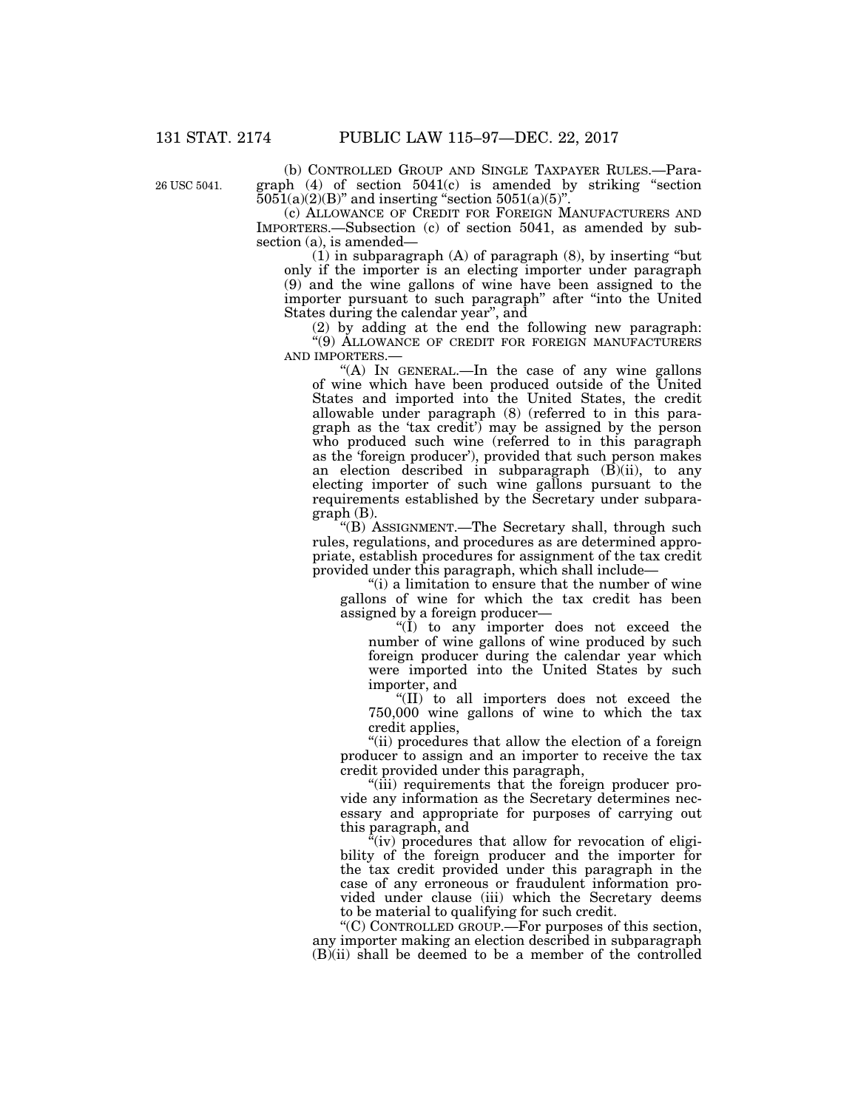26 USC 5041.

(b) CONTROLLED GROUP AND SINGLE TAXPAYER RULES.—Paragraph (4) of section 5041(c) is amended by striking ''section  $5051(a)(2)(B)$ " and inserting "section  $5051(a)(5)$ ".

(c) ALLOWANCE OF CREDIT FOR FOREIGN MANUFACTURERS AND IMPORTERS.—Subsection (c) of section 5041, as amended by subsection (a), is amended—

(1) in subparagraph (A) of paragraph (8), by inserting ''but only if the importer is an electing importer under paragraph (9) and the wine gallons of wine have been assigned to the importer pursuant to such paragraph'' after ''into the United States during the calendar year'', and

(2) by adding at the end the following new paragraph: "(9) ALLOWANCE OF CREDIT FOR FOREIGN MANUFACTURERS AND IMPORTERS.—

"(A) In GENERAL.—In the case of any wine gallons of wine which have been produced outside of the United States and imported into the United States, the credit allowable under paragraph (8) (referred to in this paragraph as the 'tax credit') may be assigned by the person who produced such wine (referred to in this paragraph as the 'foreign producer'), provided that such person makes an election described in subparagraph  $(\vec{B})$ (ii), to any electing importer of such wine gallons pursuant to the requirements established by the Secretary under subparagraph (B).

''(B) ASSIGNMENT.—The Secretary shall, through such rules, regulations, and procedures as are determined appropriate, establish procedures for assignment of the tax credit provided under this paragraph, which shall include—

"(i) a limitation to ensure that the number of wine gallons of wine for which the tax credit has been assigned by a foreign producer—

"(I) to any importer does not exceed the number of wine gallons of wine produced by such foreign producer during the calendar year which were imported into the United States by such importer, and

''(II) to all importers does not exceed the 750,000 wine gallons of wine to which the tax credit applies,

''(ii) procedures that allow the election of a foreign producer to assign and an importer to receive the tax credit provided under this paragraph,

''(iii) requirements that the foreign producer provide any information as the Secretary determines necessary and appropriate for purposes of carrying out this paragraph, and

"(iv) procedures that allow for revocation of eligibility of the foreign producer and the importer for the tax credit provided under this paragraph in the case of any erroneous or fraudulent information provided under clause (iii) which the Secretary deems to be material to qualifying for such credit.

''(C) CONTROLLED GROUP.—For purposes of this section, any importer making an election described in subparagraph (B)(ii) shall be deemed to be a member of the controlled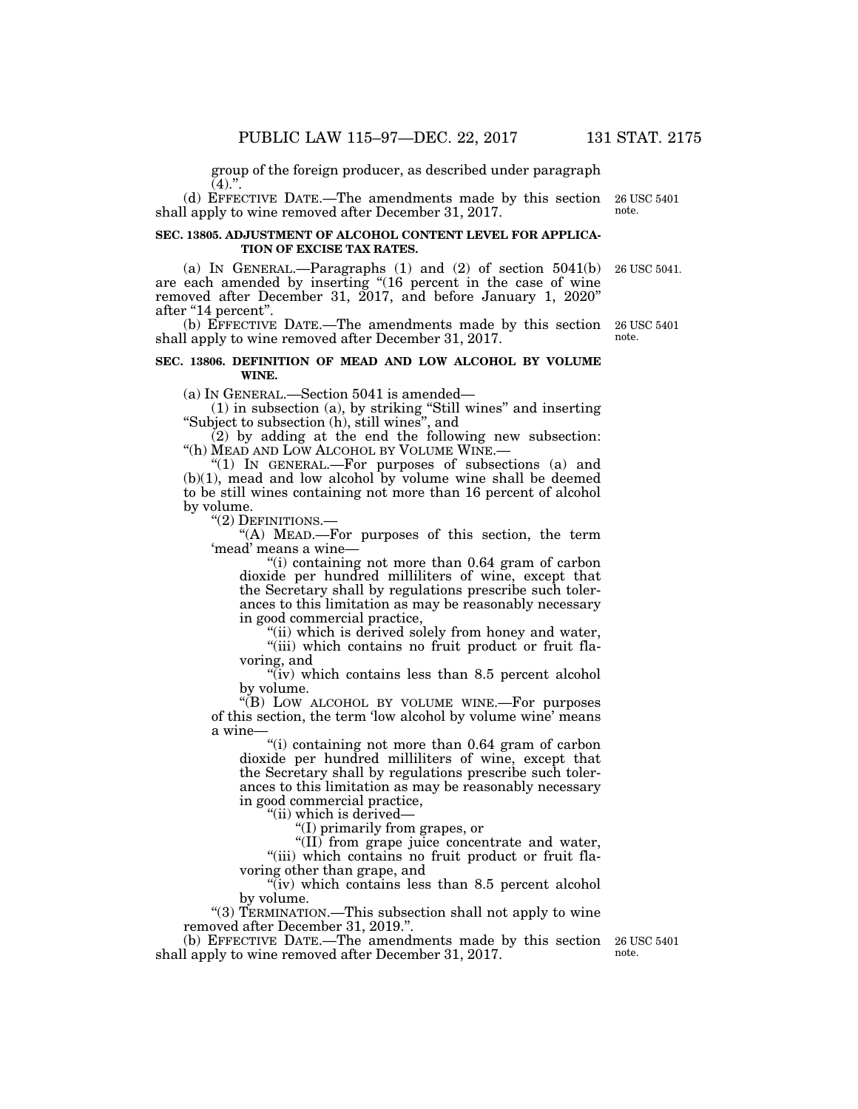group of the foreign producer, as described under paragraph  $(4).".$ 

(d) EFFECTIVE DATE.—The amendments made by this section shall apply to wine removed after December 31, 2017. 26 USC 5401 note.

#### **SEC. 13805. ADJUSTMENT OF ALCOHOL CONTENT LEVEL FOR APPLICA-TION OF EXCISE TAX RATES.**

(a) IN GENERAL.—Paragraphs (1) and (2) of section 5041(b) are each amended by inserting ''(16 percent in the case of wine removed after December 31, 2017, and before January 1, 2020'' after "14 percent".

(b) EFFECTIVE DATE.—The amendments made by this section shall apply to wine removed after December 31, 2017.

#### **SEC. 13806. DEFINITION OF MEAD AND LOW ALCOHOL BY VOLUME WINE.**

(a) IN GENERAL.—Section 5041 is amended—

(1) in subsection (a), by striking ''Still wines'' and inserting ''Subject to subsection (h), still wines'', and

(2) by adding at the end the following new subsection: ''(h) MEAD AND LOW ALCOHOL BY VOLUME WINE.—

"(1) In GENERAL.—For purposes of subsections (a) and (b)(1), mead and low alcohol by volume wine shall be deemed to be still wines containing not more than 16 percent of alcohol by volume.

''(2) DEFINITIONS.—

''(A) MEAD.—For purposes of this section, the term 'mead' means a wine—

''(i) containing not more than 0.64 gram of carbon dioxide per hundred milliliters of wine, except that the Secretary shall by regulations prescribe such tolerances to this limitation as may be reasonably necessary in good commercial practice,

"(ii) which is derived solely from honey and water, "(iii) which contains no fruit product or fruit flavoring, and

" $(iv)$  which contains less than 8.5 percent alcohol by volume.

''(B) LOW ALCOHOL BY VOLUME WINE.—For purposes of this section, the term 'low alcohol by volume wine' means a wine-

''(i) containing not more than 0.64 gram of carbon dioxide per hundred milliliters of wine, except that the Secretary shall by regulations prescribe such tolerances to this limitation as may be reasonably necessary in good commercial practice,

''(ii) which is derived—

''(I) primarily from grapes, or

''(II) from grape juice concentrate and water, "(iii) which contains no fruit product or fruit flavoring other than grape, and

"(iv) which contains less than 8.5 percent alcohol by volume.

"(3) TERMINATION.—This subsection shall not apply to wine removed after December 31, 2019.''.

(b) EFFECTIVE DATE.—The amendments made by this section shall apply to wine removed after December 31, 2017.

26 USC 5401 note.

26 USC 5041.

26 USC 5401 note.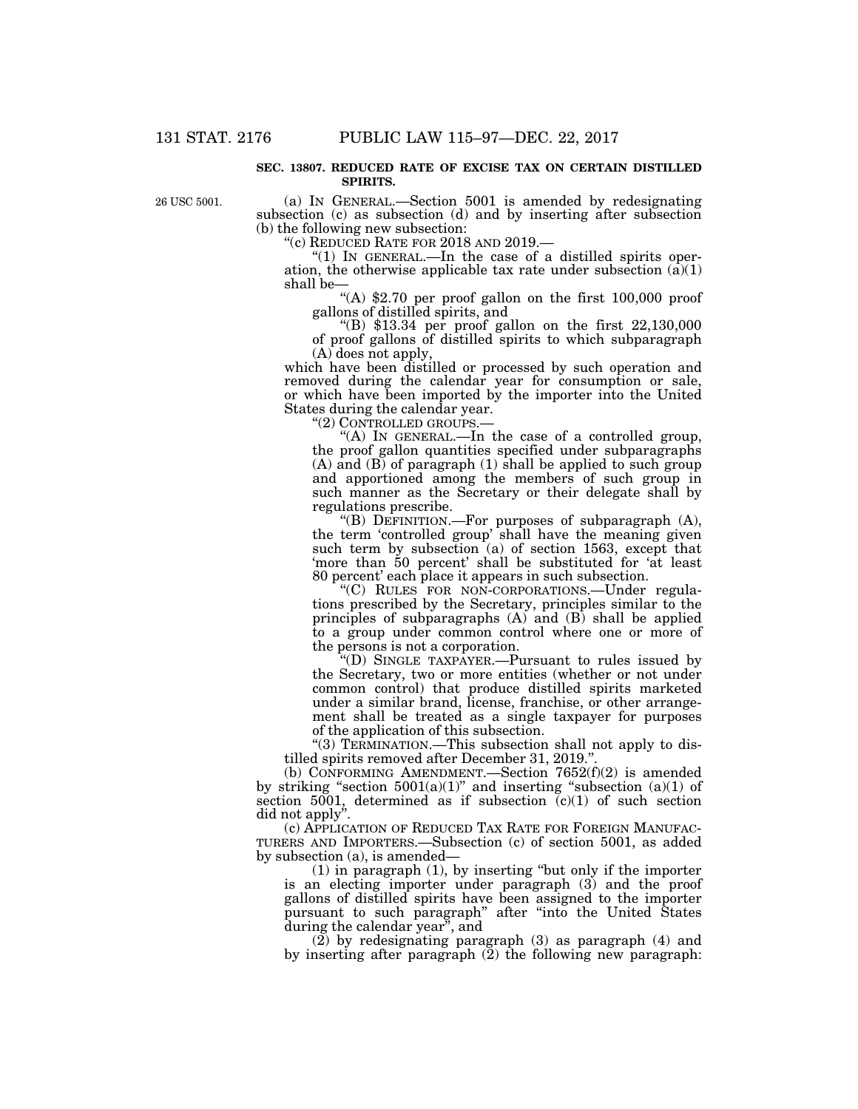#### **SEC. 13807. REDUCED RATE OF EXCISE TAX ON CERTAIN DISTILLED SPIRITS.**

26 USC 5001.

(a) IN GENERAL.—Section 5001 is amended by redesignating subsection (c) as subsection (d) and by inserting after subsection (b) the following new subsection:

''(c) REDUCED RATE FOR 2018 AND 2019.—

"(1) IN GENERAL.—In the case of a distilled spirits operation, the otherwise applicable tax rate under subsection  $(\vec{a})(1)$ shall be—

''(A) \$2.70 per proof gallon on the first 100,000 proof

"(B)  $$13.34$  per proof gallon on the first  $22,130,000$ of proof gallons of distilled spirits to which subparagraph (A) does not apply,

which have been distilled or processed by such operation and removed during the calendar year for consumption or sale, or which have been imported by the importer into the United States during the calendar year.<br>"(2) CONTROLLED GROUPS.—

"(A) IN GENERAL.—In the case of a controlled group, the proof gallon quantities specified under subparagraphs (A) and (B) of paragraph (1) shall be applied to such group and apportioned among the members of such group in such manner as the Secretary or their delegate shall by regulations prescribe.

''(B) DEFINITION.—For purposes of subparagraph (A), the term 'controlled group' shall have the meaning given such term by subsection (a) of section 1563, except that 'more than 50 percent' shall be substituted for 'at least 80 percent' each place it appears in such subsection.

''(C) RULES FOR NON-CORPORATIONS.—Under regulations prescribed by the Secretary, principles similar to the principles of subparagraphs  $(A)$  and  $(B)$  shall be applied to a group under common control where one or more of the persons is not a corporation.

''(D) SINGLE TAXPAYER.—Pursuant to rules issued by the Secretary, two or more entities (whether or not under common control) that produce distilled spirits marketed under a similar brand, license, franchise, or other arrangement shall be treated as a single taxpayer for purposes of the application of this subsection.

''(3) TERMINATION.—This subsection shall not apply to distilled spirits removed after December 31, 2019."

(b) CONFORMING AMENDMENT.—Section 7652(f)(2) is amended by striking "section  $5001(a)(1)$ " and inserting "subsection  $(a)(1)$  of section 5001, determined as if subsection  $(c)(1)$  of such section did not apply''.

(c) APPLICATION OF REDUCED TAX RATE FOR FOREIGN MANUFAC-TURERS AND IMPORTERS.—Subsection (c) of section 5001, as added by subsection (a), is amended—

(1) in paragraph (1), by inserting ''but only if the importer is an electing importer under paragraph (3) and the proof gallons of distilled spirits have been assigned to the importer pursuant to such paragraph'' after ''into the United States during the calendar year'', and

(2) by redesignating paragraph (3) as paragraph (4) and by inserting after paragraph  $(2)$  the following new paragraph: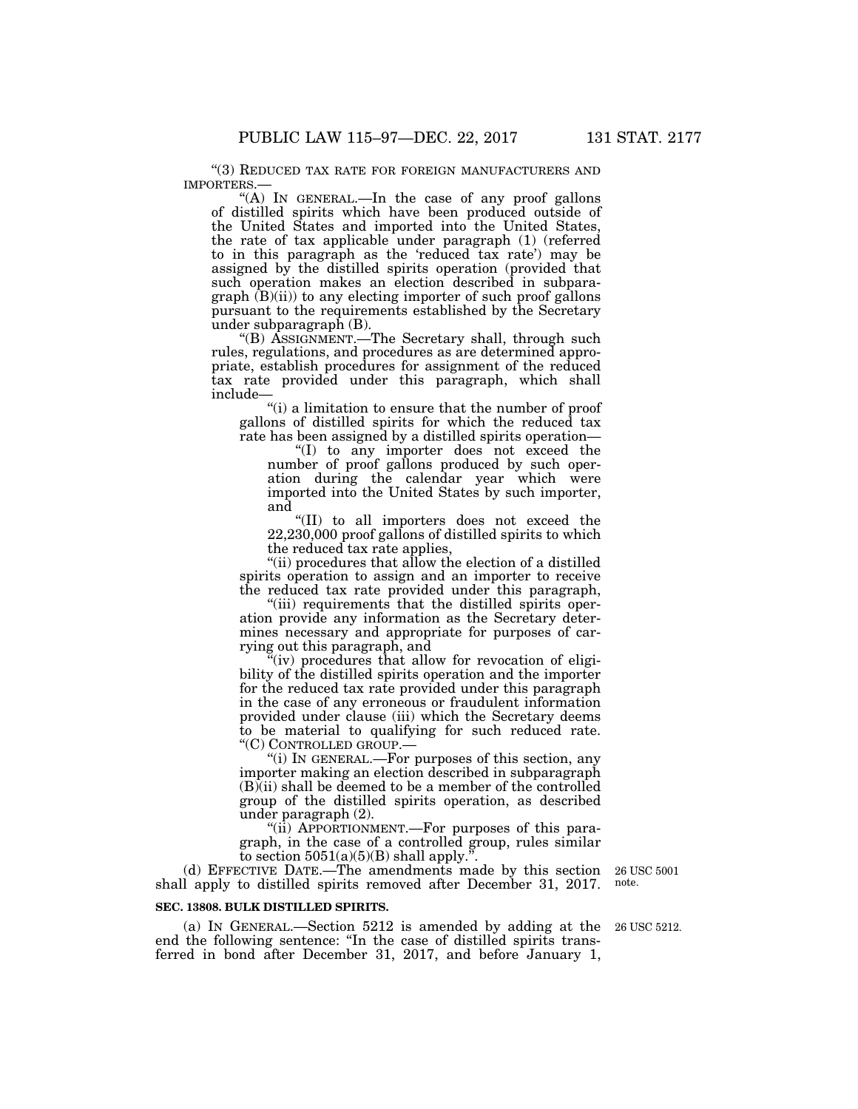"(3) REDUCED TAX RATE FOR FOREIGN MANUFACTURERS AND IMPORTERS.—

"(A) IN GENERAL.—In the case of any proof gallons of distilled spirits which have been produced outside of the United States and imported into the United States, the rate of tax applicable under paragraph (1) (referred to in this paragraph as the 'reduced tax rate') may be assigned by the distilled spirits operation (provided that such operation makes an election described in subpara $graph$   $(B)(ii)$  to any electing importer of such proof gallons pursuant to the requirements established by the Secretary under subparagraph (B).

''(B) ASSIGNMENT.—The Secretary shall, through such rules, regulations, and procedures as are determined appropriate, establish procedures for assignment of the reduced tax rate provided under this paragraph, which shall include—

''(i) a limitation to ensure that the number of proof gallons of distilled spirits for which the reduced tax rate has been assigned by a distilled spirits operation—

''(I) to any importer does not exceed the number of proof gallons produced by such operation during the calendar year which were imported into the United States by such importer, and

''(II) to all importers does not exceed the 22,230,000 proof gallons of distilled spirits to which the reduced tax rate applies,

''(ii) procedures that allow the election of a distilled spirits operation to assign and an importer to receive the reduced tax rate provided under this paragraph,

"(iii) requirements that the distilled spirits operation provide any information as the Secretary determines necessary and appropriate for purposes of carrying out this paragraph, and

"(iv) procedures that allow for revocation of eligibility of the distilled spirits operation and the importer for the reduced tax rate provided under this paragraph in the case of any erroneous or fraudulent information provided under clause (iii) which the Secretary deems to be material to qualifying for such reduced rate. ''(C) CONTROLLED GROUP.—

''(i) IN GENERAL.—For purposes of this section, any importer making an election described in subparagraph  $(B)(ii)$  shall be deemed to be a member of the controlled group of the distilled spirits operation, as described under paragraph (2).

"(ii) APPORTIONMENT.—For purposes of this paragraph, in the case of a controlled group, rules similar to section  $5051(a)(5)(B)$  shall apply.<sup>"</sup>.

(d) EFFECTIVE DATE.—The amendments made by this section shall apply to distilled spirits removed after December 31, 2017.

#### **SEC. 13808. BULK DISTILLED SPIRITS.**

(a) IN GENERAL.—Section 5212 is amended by adding at the 26 USC 5212. end the following sentence: ''In the case of distilled spirits transferred in bond after December 31, 2017, and before January 1,

26 USC 5001 note.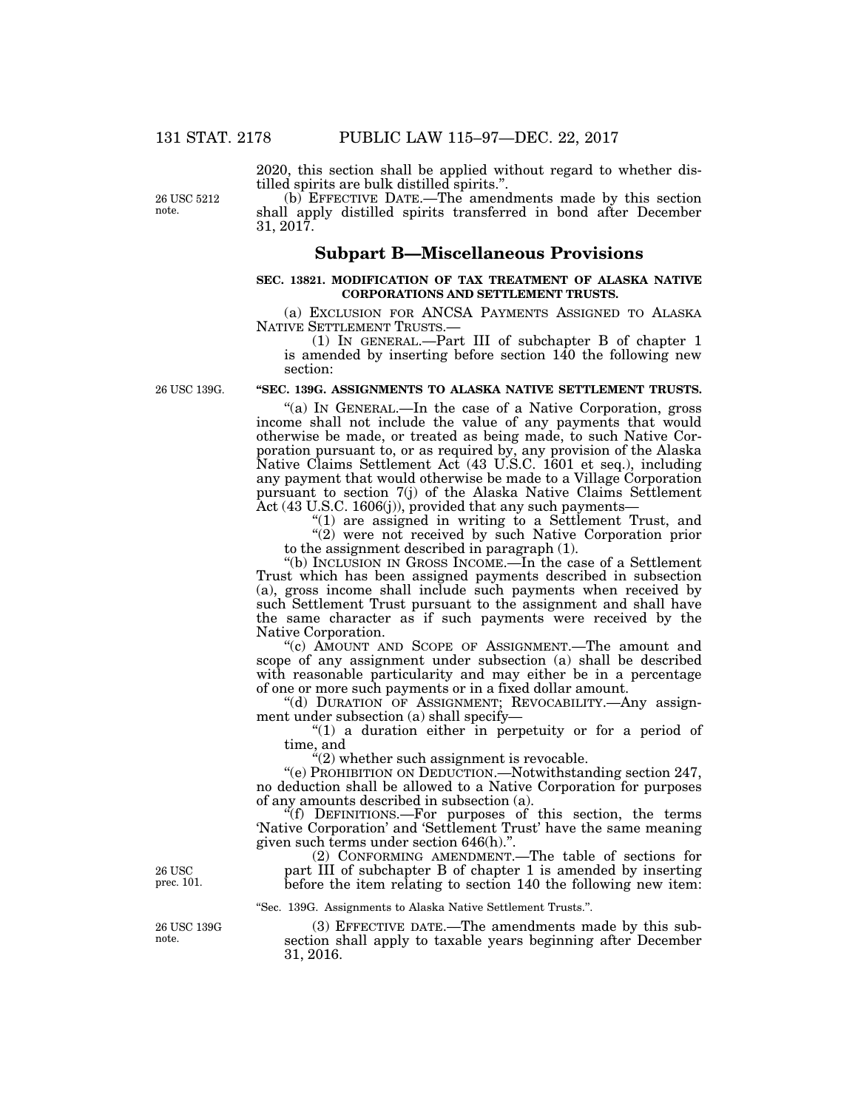2020, this section shall be applied without regard to whether distilled spirits are bulk distilled spirits.''.

26 USC 5212 note.

(b) EFFECTIVE DATE.—The amendments made by this section shall apply distilled spirits transferred in bond after December 31, 2017.

# **Subpart B—Miscellaneous Provisions**

#### **SEC. 13821. MODIFICATION OF TAX TREATMENT OF ALASKA NATIVE CORPORATIONS AND SETTLEMENT TRUSTS.**

(a) EXCLUSION FOR ANCSA PAYMENTS ASSIGNED TO ALASKA NATIVE SETTLEMENT TRUSTS.—

(1) IN GENERAL.—Part III of subchapter B of chapter 1 is amended by inserting before section  $140$  the following new section:

26 USC 139G.

# **''SEC. 139G. ASSIGNMENTS TO ALASKA NATIVE SETTLEMENT TRUSTS.**

''(a) IN GENERAL.—In the case of a Native Corporation, gross income shall not include the value of any payments that would otherwise be made, or treated as being made, to such Native Corporation pursuant to, or as required by, any provision of the Alaska Native Claims Settlement Act (43 U.S.C. 1601 et seq.), including any payment that would otherwise be made to a Village Corporation pursuant to section 7(j) of the Alaska Native Claims Settlement Act (43 U.S.C. 1606(j)), provided that any such payments—

"(1) are assigned in writing to a Settlement Trust, and "(2) were not received by such Native Corporation prior to the assignment described in paragraph (1).

''(b) INCLUSION IN GROSS INCOME.—In the case of a Settlement Trust which has been assigned payments described in subsection (a), gross income shall include such payments when received by such Settlement Trust pursuant to the assignment and shall have the same character as if such payments were received by the Native Corporation.

''(c) AMOUNT AND SCOPE OF ASSIGNMENT.—The amount and scope of any assignment under subsection (a) shall be described with reasonable particularity and may either be in a percentage of one or more such payments or in a fixed dollar amount.

"(d) DURATION OF ASSIGNMENT; REVOCABILITY.—Any assignment under subsection (a) shall specify—

"(1) a duration either in perpetuity or for a period of time, and

 $"(2)$  whether such assignment is revocable.

''(e) PROHIBITION ON DEDUCTION.—Notwithstanding section 247, no deduction shall be allowed to a Native Corporation for purposes of any amounts described in subsection (a).

''(f) DEFINITIONS.—For purposes of this section, the terms 'Native Corporation' and 'Settlement Trust' have the same meaning given such terms under section 646(h).''.

(2) CONFORMING AMENDMENT.—The table of sections for part III of subchapter B of chapter 1 is amended by inserting before the item relating to section 140 the following new item:

''Sec. 139G. Assignments to Alaska Native Settlement Trusts.''.

(3) EFFECTIVE DATE.—The amendments made by this subsection shall apply to taxable years beginning after December 31, 2016.

26 USC prec. 101.

26 USC 139G note.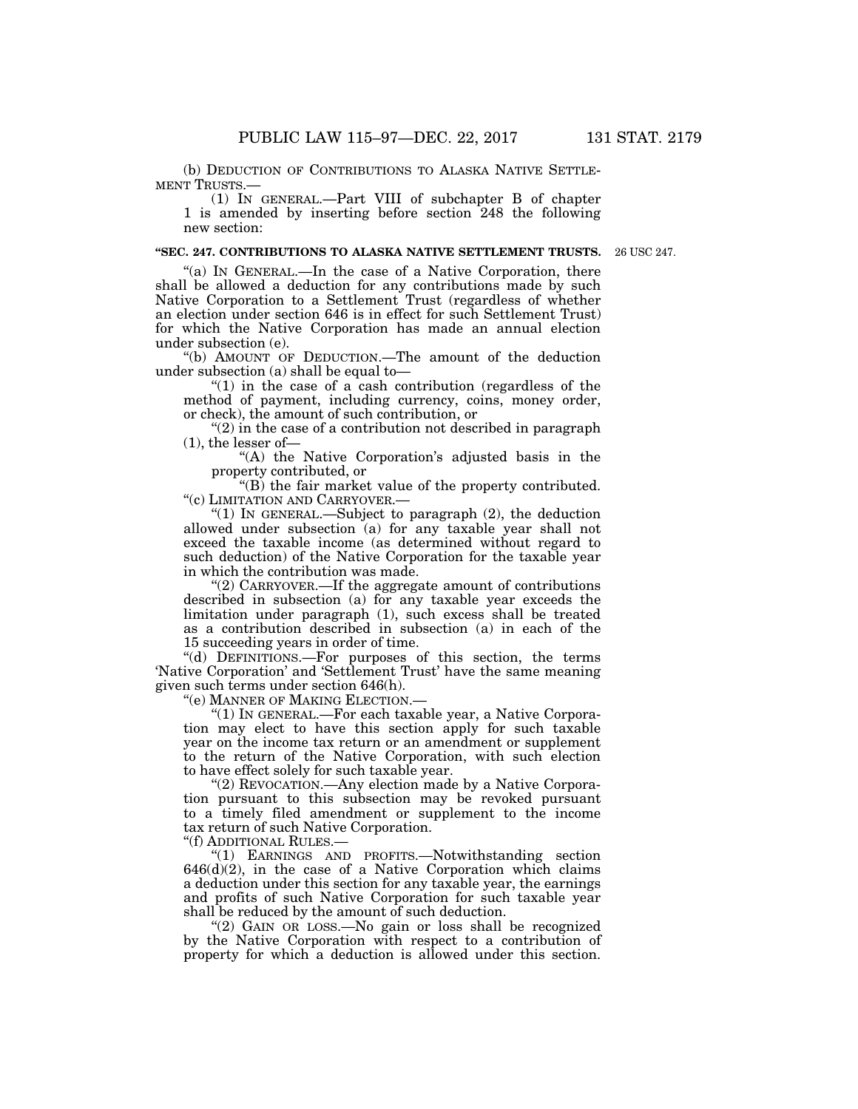(b) DEDUCTION OF CONTRIBUTIONS TO ALASKA NATIVE SETTLE-MENT TRUSTS.—

(1) IN GENERAL.—Part VIII of subchapter B of chapter 1 is amended by inserting before section 248 the following new section:

## **''SEC. 247. CONTRIBUTIONS TO ALASKA NATIVE SETTLEMENT TRUSTS.**

26 USC 247.

"(a) IN GENERAL.—In the case of a Native Corporation, there shall be allowed a deduction for any contributions made by such Native Corporation to a Settlement Trust (regardless of whether an election under section 646 is in effect for such Settlement Trust) for which the Native Corporation has made an annual election under subsection (e).

''(b) AMOUNT OF DEDUCTION.—The amount of the deduction under subsection (a) shall be equal to—

" $(1)$  in the case of a cash contribution (regardless of the method of payment, including currency, coins, money order, or check), the amount of such contribution, or

" $(2)$  in the case of a contribution not described in paragraph (1), the lesser of—

"(A) the Native Corporation's adjusted basis in the property contributed, or

''(B) the fair market value of the property contributed. ''(c) LIMITATION AND CARRYOVER.—

''(1) IN GENERAL.—Subject to paragraph (2), the deduction allowed under subsection (a) for any taxable year shall not exceed the taxable income (as determined without regard to such deduction) of the Native Corporation for the taxable year in which the contribution was made.

''(2) CARRYOVER.—If the aggregate amount of contributions described in subsection (a) for any taxable year exceeds the limitation under paragraph (1), such excess shall be treated as a contribution described in subsection (a) in each of the 15 succeeding years in order of time.

''(d) DEFINITIONS.—For purposes of this section, the terms 'Native Corporation' and 'Settlement Trust' have the same meaning given such terms under section 646(h).

''(e) MANNER OF MAKING ELECTION.—

''(1) IN GENERAL.—For each taxable year, a Native Corporation may elect to have this section apply for such taxable year on the income tax return or an amendment or supplement to the return of the Native Corporation, with such election to have effect solely for such taxable year.

"(2) REVOCATION.—Any election made by a Native Corporation pursuant to this subsection may be revoked pursuant to a timely filed amendment or supplement to the income tax return of such Native Corporation.

''(f) ADDITIONAL RULES.—

''(1) EARNINGS AND PROFITS.—Notwithstanding section  $646(d)(2)$ , in the case of a Native Corporation which claims a deduction under this section for any taxable year, the earnings and profits of such Native Corporation for such taxable year shall be reduced by the amount of such deduction.

"(2) GAIN OR LOSS.—No gain or loss shall be recognized by the Native Corporation with respect to a contribution of property for which a deduction is allowed under this section.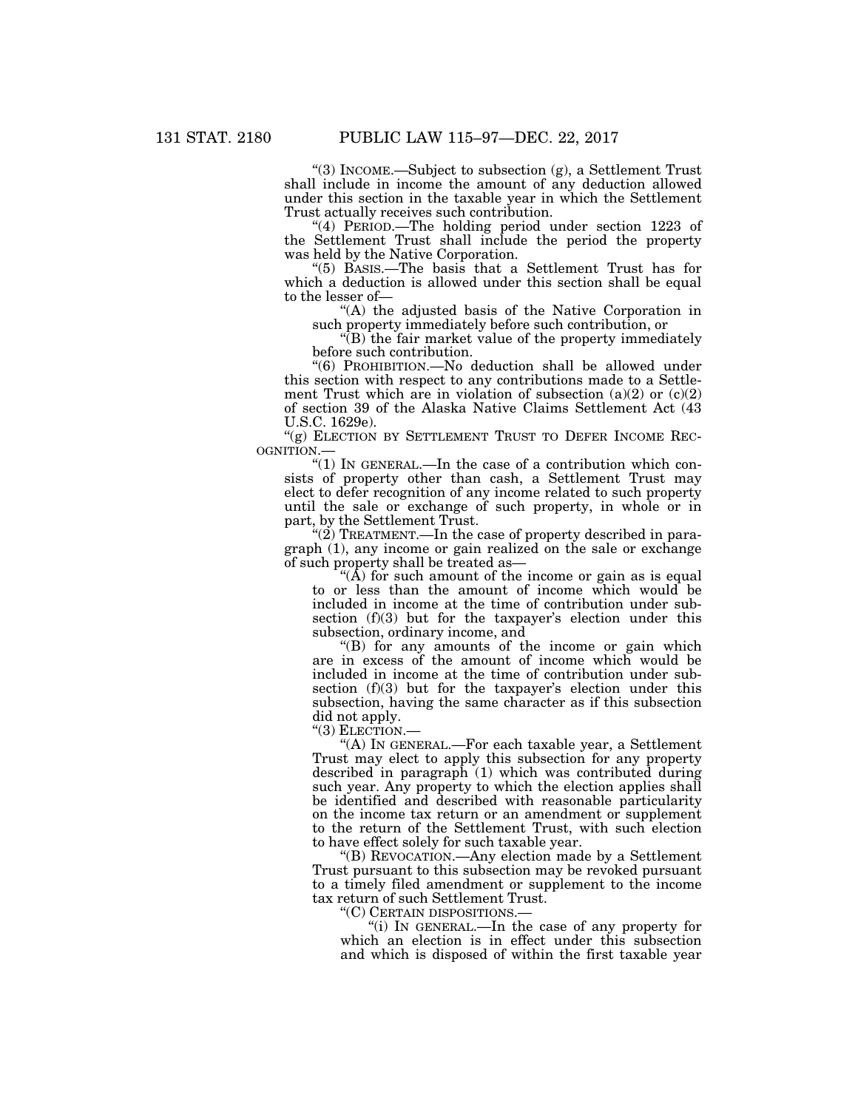''(3) INCOME.—Subject to subsection (g), a Settlement Trust shall include in income the amount of any deduction allowed under this section in the taxable year in which the Settlement Trust actually receives such contribution.

"(4) PERIOD.—The holding period under section 1223 of the Settlement Trust shall include the period the property was held by the Native Corporation.

''(5) BASIS.—The basis that a Settlement Trust has for which a deduction is allowed under this section shall be equal to the lesser of—

''(A) the adjusted basis of the Native Corporation in such property immediately before such contribution, or

''(B) the fair market value of the property immediately before such contribution.

''(6) PROHIBITION.—No deduction shall be allowed under this section with respect to any contributions made to a Settlement Trust which are in violation of subsection  $(a)(2)$  or  $(c)(2)$ of section 39 of the Alaska Native Claims Settlement Act (43 U.S.C. 1629e).

" $(g)$  ELECTION BY SETTLEMENT TRUST TO DEFER INCOME REC-OGNITION.—

" $(1)$  In GENERAL.—In the case of a contribution which consists of property other than cash, a Settlement Trust may elect to defer recognition of any income related to such property until the sale or exchange of such property, in whole or in part, by the Settlement Trust.

 $\mathcal{L}(2)$  TREATMENT.—In the case of property described in paragraph (1), any income or gain realized on the sale or exchange of such property shall be treated as—

" $(\hat{A})$  for such amount of the income or gain as is equal to or less than the amount of income which would be included in income at the time of contribution under subsection (f)(3) but for the taxpayer's election under this subsection, ordinary income, and

''(B) for any amounts of the income or gain which are in excess of the amount of income which would be included in income at the time of contribution under subsection (f)(3) but for the taxpayer's election under this subsection, having the same character as if this subsection did not apply.

"(3) ELECTION.

''(A) IN GENERAL.—For each taxable year, a Settlement Trust may elect to apply this subsection for any property described in paragraph (1) which was contributed during such year. Any property to which the election applies shall be identified and described with reasonable particularity on the income tax return or an amendment or supplement to the return of the Settlement Trust, with such election to have effect solely for such taxable year.

''(B) REVOCATION.—Any election made by a Settlement Trust pursuant to this subsection may be revoked pursuant to a timely filed amendment or supplement to the income tax return of such Settlement Trust.

''(C) CERTAIN DISPOSITIONS.—

''(i) IN GENERAL.—In the case of any property for which an election is in effect under this subsection and which is disposed of within the first taxable year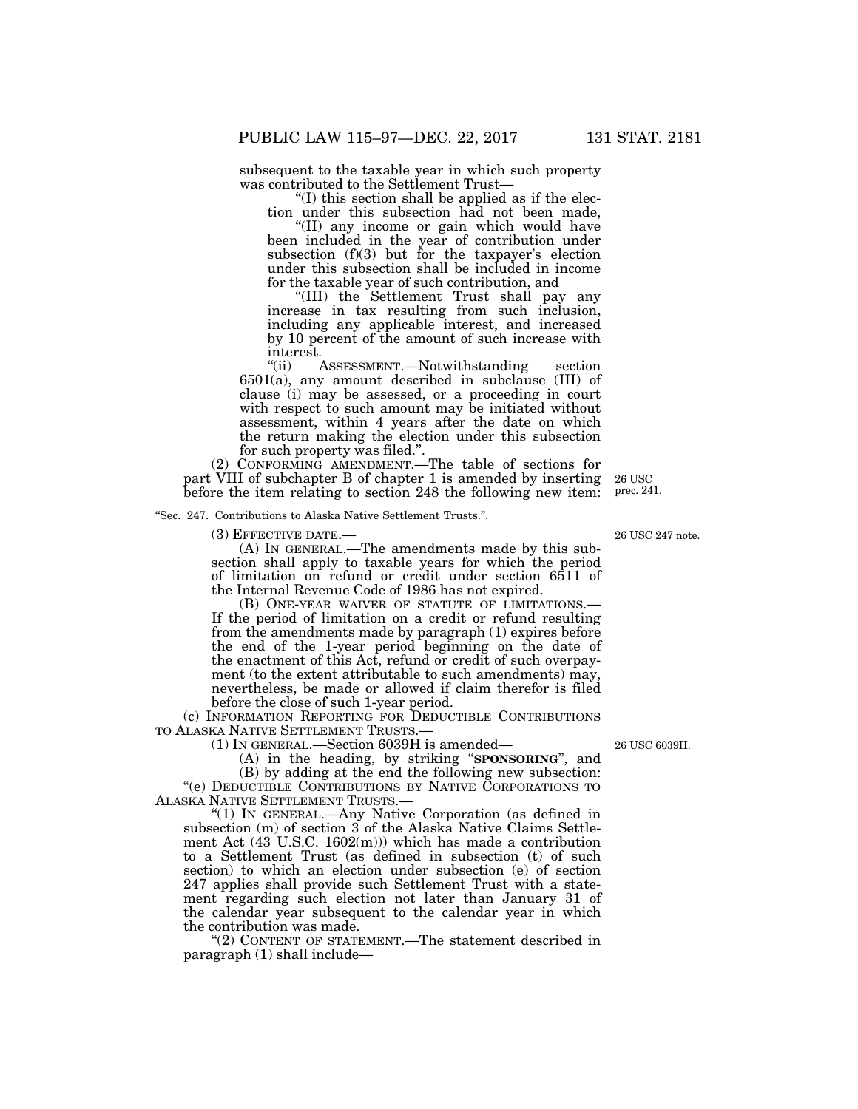subsequent to the taxable year in which such property was contributed to the Settlement Trust—

''(I) this section shall be applied as if the election under this subsection had not been made,

''(II) any income or gain which would have been included in the year of contribution under subsection  $(f)(3)$  but for the taxpayer's election under this subsection shall be included in income for the taxable year of such contribution, and

''(III) the Settlement Trust shall pay any increase in tax resulting from such inclusion, including any applicable interest, and increased by 10 percent of the amount of such increase with interest.<br>"(ii)  $\frac{1}{2}$ 

ASSESSMENT.—Notwithstanding section 6501(a), any amount described in subclause (III) of clause (i) may be assessed, or a proceeding in court with respect to such amount may be initiated without assessment, within 4 years after the date on which the return making the election under this subsection for such property was filed.''.

(2) CONFORMING AMENDMENT.—The table of sections for part VIII of subchapter B of chapter 1 is amended by inserting before the item relating to section 248 the following new item:

''Sec. 247. Contributions to Alaska Native Settlement Trusts.''.

(3) EFFECTIVE DATE.—

(A) IN GENERAL.—The amendments made by this subsection shall apply to taxable years for which the period of limitation on refund or credit under section 6511 of the Internal Revenue Code of 1986 has not expired.

(B) ONE-YEAR WAIVER OF STATUTE OF LIMITATIONS.— If the period of limitation on a credit or refund resulting from the amendments made by paragraph (1) expires before the end of the 1-year period beginning on the date of the enactment of this Act, refund or credit of such overpayment (to the extent attributable to such amendments) may, nevertheless, be made or allowed if claim therefor is filed before the close of such 1-year period.

(c) INFORMATION REPORTING FOR DEDUCTIBLE CONTRIBUTIONS TO ALASKA NATIVE SETTLEMENT TRUSTS.—

(1) IN GENERAL.—Section 6039H is amended—

(A) in the heading, by striking ''**SPONSORING**'', and

(B) by adding at the end the following new subsection: ''(e) DEDUCTIBLE CONTRIBUTIONS BY NATIVE CORPORATIONS TO ALASKA NATIVE SETTLEMENT TRUSTS.—

''(1) IN GENERAL.—Any Native Corporation (as defined in subsection (m) of section 3 of the Alaska Native Claims Settlement Act (43 U.S.C. 1602(m))) which has made a contribution to a Settlement Trust (as defined in subsection (t) of such section) to which an election under subsection (e) of section 247 applies shall provide such Settlement Trust with a statement regarding such election not later than January 31 of the calendar year subsequent to the calendar year in which the contribution was made.

''(2) CONTENT OF STATEMENT.—The statement described in paragraph (1) shall include—

26 USC 247 note.

26 USC 6039H.

26 USC prec. 241.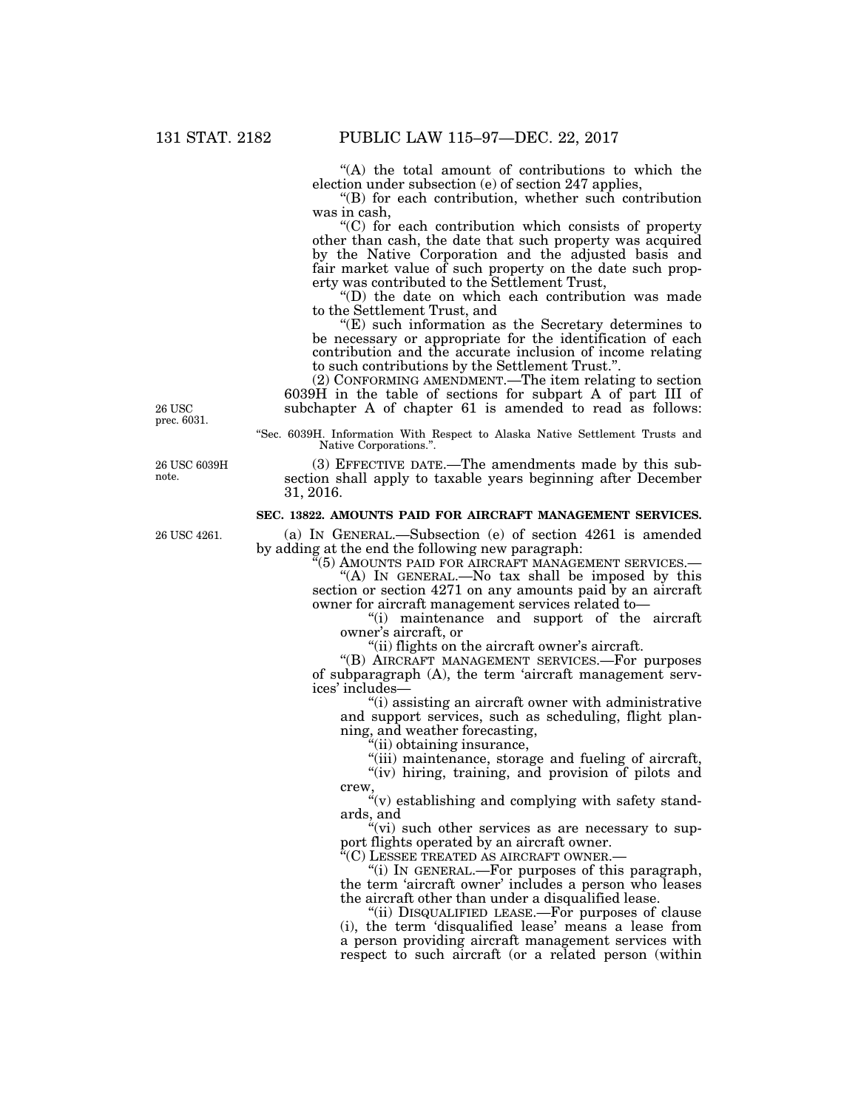''(A) the total amount of contributions to which the election under subsection (e) of section 247 applies,

''(B) for each contribution, whether such contribution was in cash,

''(C) for each contribution which consists of property other than cash, the date that such property was acquired by the Native Corporation and the adjusted basis and fair market value of such property on the date such property was contributed to the Settlement Trust,

''(D) the date on which each contribution was made to the Settlement Trust, and

 $E(E)$  such information as the Secretary determines to be necessary or appropriate for the identification of each contribution and the accurate inclusion of income relating to such contributions by the Settlement Trust.''.

(2) CONFORMING AMENDMENT.—The item relating to section 6039H in the table of sections for subpart A of part III of subchapter A of chapter 61 is amended to read as follows:

26 USC prec. 6031.

26 USC 6039H note.

26 USC 4261.

''Sec. 6039H. Information With Respect to Alaska Native Settlement Trusts and Native Corporations.''.

(3) EFFECTIVE DATE.—The amendments made by this subsection shall apply to taxable years beginning after December 31, 2016.

# **SEC. 13822. AMOUNTS PAID FOR AIRCRAFT MANAGEMENT SERVICES.**

(a) IN GENERAL.—Subsection (e) of section 4261 is amended by adding at the end the following new paragraph:

 $\widetilde{H}(5)$  AMOUNTS PAID FOR AIRCRAFT MANAGEMENT SERVICES.—

"(A) In GENERAL.—No tax shall be imposed by this section or section 4271 on any amounts paid by an aircraft owner for aircraft management services related to—

''(i) maintenance and support of the aircraft owner's aircraft, or

''(ii) flights on the aircraft owner's aircraft.

''(B) AIRCRAFT MANAGEMENT SERVICES.—For purposes of subparagraph (A), the term 'aircraft management services' includes—

 $\hat{f}(i)$  assisting an aircraft owner with administrative and support services, such as scheduling, flight planning, and weather forecasting,

"(ii) obtaining insurance,

"(iii) maintenance, storage and fueling of aircraft, "(iv) hiring, training, and provision of pilots and crew

 $\sqrt[a]{v}$  establishing and complying with safety standards, and

"(vi) such other services as are necessary to support flights operated by an aircraft owner.

''(C) LESSEE TREATED AS AIRCRAFT OWNER.—

''(i) IN GENERAL.—For purposes of this paragraph, the term 'aircraft owner' includes a person who leases the aircraft other than under a disqualified lease.

''(ii) DISQUALIFIED LEASE.—For purposes of clause (i), the term 'disqualified lease' means a lease from a person providing aircraft management services with respect to such aircraft (or a related person (within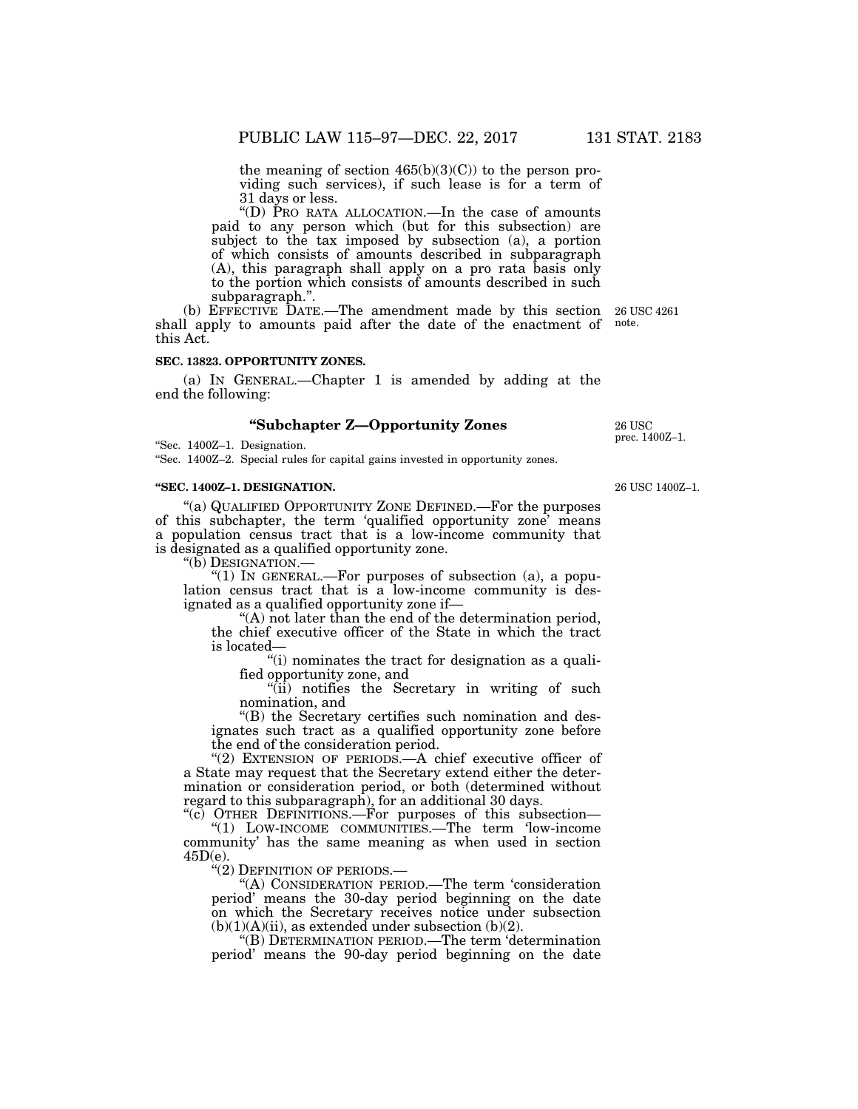the meaning of section 465(b)(3)(C)) to the person providing such services), if such lease is for a term of 31 days or less.

''(D) PRO RATA ALLOCATION.—In the case of amounts paid to any person which (but for this subsection) are subject to the tax imposed by subsection (a), a portion of which consists of amounts described in subparagraph (A), this paragraph shall apply on a pro rata basis only to the portion which consists of amounts described in such subparagraph.''.

(b) EFFECTIVE DATE.—The amendment made by this section 26 USC 4261 shall apply to amounts paid after the date of the enactment of this Act.

# **SEC. 13823. OPPORTUNITY ZONES.**

(a) IN GENERAL.—Chapter 1 is amended by adding at the end the following:

# **''Subchapter Z—Opportunity Zones**

''Sec. 1400Z–1. Designation.

''Sec. 1400Z–2. Special rules for capital gains invested in opportunity zones.

#### **''SEC. 1400Z–1. DESIGNATION.**

''(a) QUALIFIED OPPORTUNITY ZONE DEFINED.—For the purposes of this subchapter, the term 'qualified opportunity zone' means a population census tract that is a low-income community that is designated as a qualified opportunity zone.

''(b) DESIGNATION.—

" $(1)$  In GENERAL.—For purposes of subsection  $(a)$ , a population census tract that is a low-income community is designated as a qualified opportunity zone if—

''(A) not later than the end of the determination period, the chief executive officer of the State in which the tract is located—

''(i) nominates the tract for designation as a qualified opportunity zone, and

"(ii) notifies the Secretary in writing of such nomination, and

''(B) the Secretary certifies such nomination and designates such tract as a qualified opportunity zone before the end of the consideration period.

"(2) EXTENSION OF PERIODS.—A chief executive officer of a State may request that the Secretary extend either the determination or consideration period, or both (determined without regard to this subparagraph), for an additional 30 days.

''(c) OTHER DEFINITIONS.—For purposes of this subsection— ''(1) LOW-INCOME COMMUNITIES.—The term 'low-income community' has the same meaning as when used in section  $45D(e)$ .<br>"(2) DEFINITION OF PERIODS.—

"(A) CONSIDERATION PERIOD.—The term 'consideration period' means the 30-day period beginning on the date on which the Secretary receives notice under subsection  $(b)(1)(A)(ii)$ , as extended under subsection  $(b)(2)$ .

''(B) DETERMINATION PERIOD.—The term 'determination period' means the 90-day period beginning on the date

26 USC 1400Z–1.

26 USC prec. 1400Z–1.

note.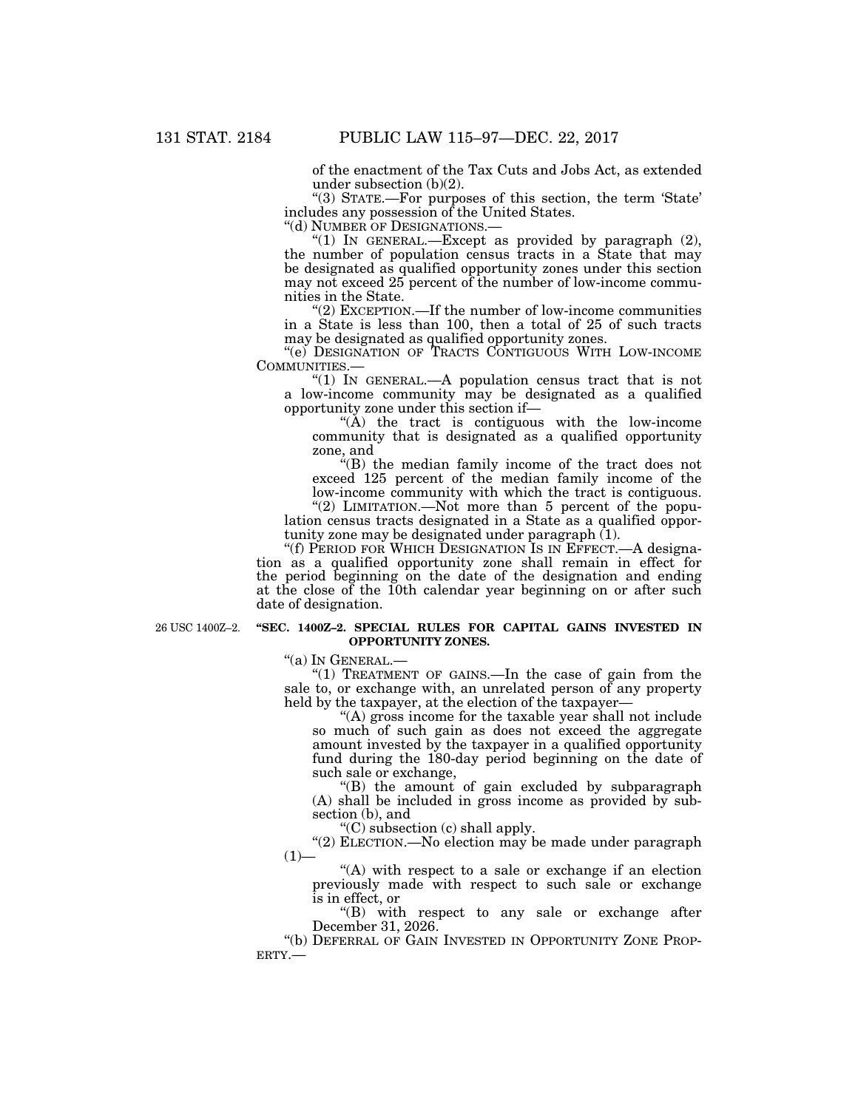of the enactment of the Tax Cuts and Jobs Act, as extended under subsection (b)(2).

''(3) STATE.—For purposes of this section, the term 'State' includes any possession of the United States.

"(1) IN GENERAL.—Except as provided by paragraph  $(2)$ , the number of population census tracts in a State that may be designated as qualified opportunity zones under this section may not exceed 25 percent of the number of low-income communities in the State.

''(2) EXCEPTION.—If the number of low-income communities in a State is less than 100, then a total of 25 of such tracts may be designated as qualified opportunity zones.

''(e) DESIGNATION OF TRACTS CONTIGUOUS WITH LOW-INCOME COMMUNITIES.— ''(1) IN GENERAL.—A population census tract that is not

a low-income community may be designated as a qualified opportunity zone under this section if—

" $(A)$  the tract is contiguous with the low-income community that is designated as a qualified opportunity zone, and

''(B) the median family income of the tract does not exceed 125 percent of the median family income of the low-income community with which the tract is contiguous. "(2) LIMITATION.—Not more than 5 percent of the popu-

lation census tracts designated in a State as a qualified opportunity zone may be designated under paragraph (1).

''(f) PERIOD FOR WHICH DESIGNATION IS IN EFFECT.—A designation as a qualified opportunity zone shall remain in effect for the period beginning on the date of the designation and ending at the close of the 10th calendar year beginning on or after such date of designation.

#### 26 USC 1400Z–2. **"SEC. 1400Z–2. SPECIAL RULES FOR CAPITAL GAINS INVESTED IN OPPORTUNITY ZONES.**

''(a) IN GENERAL.—

"(1) TREATMENT OF GAINS.—In the case of gain from the sale to, or exchange with, an unrelated person of any property held by the taxpayer, at the election of the taxpayer-

''(A) gross income for the taxable year shall not include so much of such gain as does not exceed the aggregate amount invested by the taxpayer in a qualified opportunity fund during the 180-day period beginning on the date of such sale or exchange,

''(B) the amount of gain excluded by subparagraph (A) shall be included in gross income as provided by subsection (b), and

''(C) subsection (c) shall apply.

"(2) ELECTION.—No election may be made under paragraph  $(1)$ —

 $(A)$  with respect to a sale or exchange if an election previously made with respect to such sale or exchange is in effect, or

''(B) with respect to any sale or exchange after December 31, 2026.

"(b) DEFERRAL OF GAIN INVESTED IN OPPORTUNITY ZONE PROPERTY.—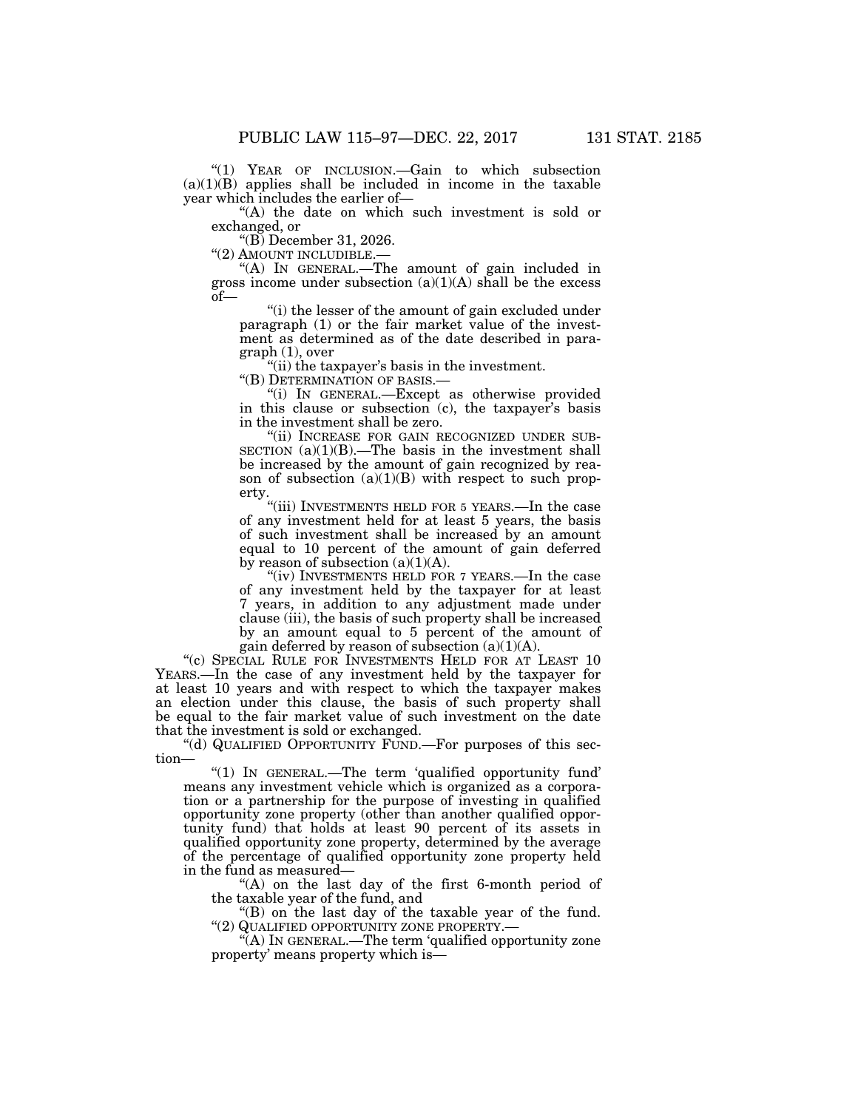''(1) YEAR OF INCLUSION.—Gain to which subsection  $(a)(1)(B)$  applies shall be included in income in the taxable year which includes the earlier of—

"(A) the date on which such investment is sold or exchanged, or

"(B) December 31, 2026.<br>"(2) AMOUNT INCLUDIBLE.—

"(A) IN GENERAL.—The amount of gain included in gross income under subsection  $(a)(1)(A)$  shall be the excess of—

''(i) the lesser of the amount of gain excluded under paragraph (1) or the fair market value of the investment as determined as of the date described in paragraph (1), over

 $\tilde{f}$ "(ii) the taxpayer's basis in the investment.<br>"(B) DETERMINATION OF BASIS.—

"(i) IN GENERAL.—Except as otherwise provided in this clause or subsection (c), the taxpayer's basis in the investment shall be zero.

''(ii) INCREASE FOR GAIN RECOGNIZED UNDER SUB-SECTION  $(a)(1)(B)$ .—The basis in the investment shall be increased by the amount of gain recognized by reason of subsection  $(a)(1)(B)$  with respect to such property.

"(iii) INVESTMENTS HELD FOR 5 YEARS.—In the case of any investment held for at least 5 years, the basis of such investment shall be increased by an amount equal to 10 percent of the amount of gain deferred by reason of subsection  $(a)(1)(A)$ .

"(iv) INVESTMENTS HELD FOR 7 YEARS.—In the case of any investment held by the taxpayer for at least 7 years, in addition to any adjustment made under clause (iii), the basis of such property shall be increased by an amount equal to 5 percent of the amount of gain deferred by reason of subsection  $(a)(1)(A)$ .

"(c) SPECIAL RULE FOR INVESTMENTS HELD FOR AT LEAST 10 YEARS.—In the case of any investment held by the taxpayer for at least 10 years and with respect to which the taxpayer makes an election under this clause, the basis of such property shall be equal to the fair market value of such investment on the date that the investment is sold or exchanged.

''(d) QUALIFIED OPPORTUNITY FUND.—For purposes of this section—

''(1) IN GENERAL.—The term 'qualified opportunity fund' means any investment vehicle which is organized as a corporation or a partnership for the purpose of investing in qualified opportunity zone property (other than another qualified opportunity fund) that holds at least 90 percent of its assets in qualified opportunity zone property, determined by the average of the percentage of qualified opportunity zone property held in the fund as measured—

''(A) on the last day of the first 6-month period of the taxable year of the fund, and

"(B) on the last day of the taxable year of the fund.<br>"(2) QUALIFIED OPPORTUNITY ZONE PROPERTY.—

 $\mathcal{H}(A)$  In GENERAL.—The term 'qualified opportunity zone property' means property which is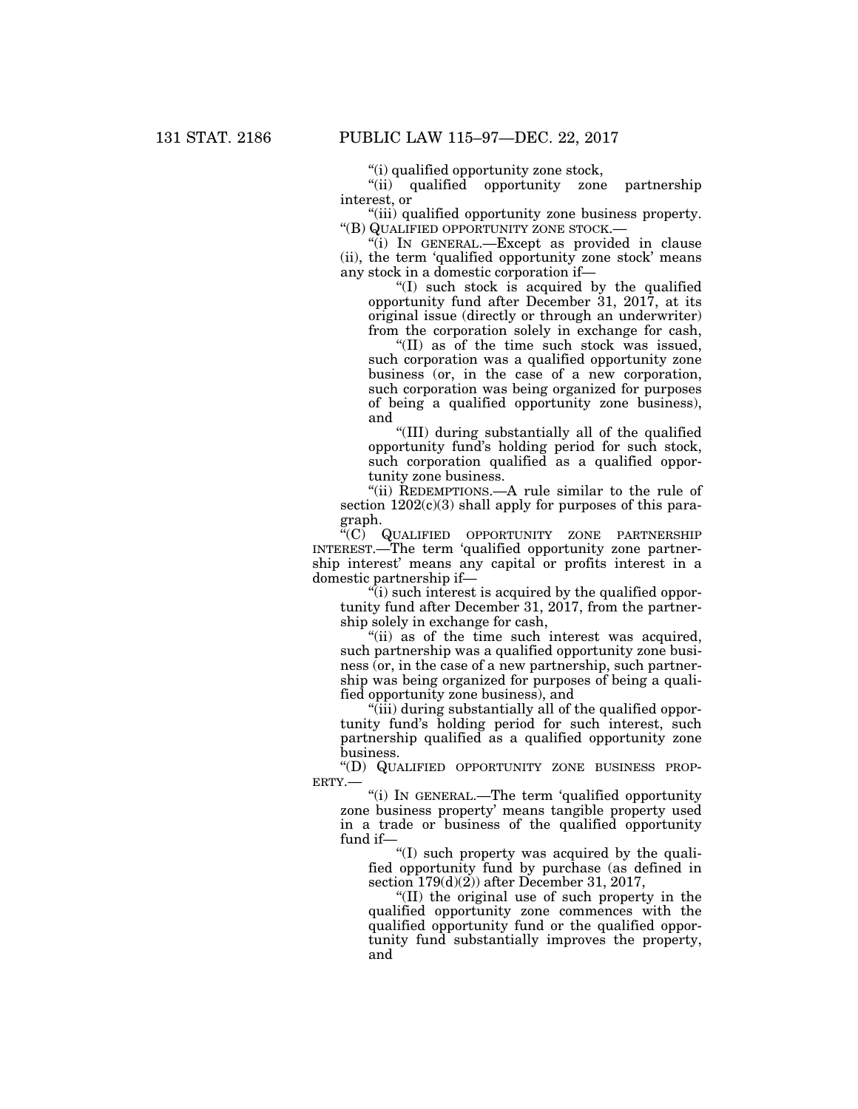''(i) qualified opportunity zone stock,

''(ii) qualified opportunity zone partnership interest, or

''(iii) qualified opportunity zone business property. ''(B) QUALIFIED OPPORTUNITY ZONE STOCK.—

''(i) IN GENERAL.—Except as provided in clause (ii), the term 'qualified opportunity zone stock' means any stock in a domestic corporation if—

''(I) such stock is acquired by the qualified opportunity fund after December 31, 2017, at its original issue (directly or through an underwriter) from the corporation solely in exchange for cash,

''(II) as of the time such stock was issued, such corporation was a qualified opportunity zone business (or, in the case of a new corporation, such corporation was being organized for purposes of being a qualified opportunity zone business), and

''(III) during substantially all of the qualified opportunity fund's holding period for such stock, such corporation qualified as a qualified opportunity zone business.

"(ii) REDEMPTIONS.—A rule similar to the rule of section  $1202(c)(3)$  shall apply for purposes of this paragraph.

''(C) QUALIFIED OPPORTUNITY ZONE PARTNERSHIP INTEREST.—The term 'qualified opportunity zone partnership interest' means any capital or profits interest in a domestic partnership if—

 $\ddot{r}(i)$  such interest is acquired by the qualified opportunity fund after December 31, 2017, from the partnership solely in exchange for cash,

'(ii) as of the time such interest was acquired, such partnership was a qualified opportunity zone business (or, in the case of a new partnership, such partnership was being organized for purposes of being a qualified opportunity zone business), and

''(iii) during substantially all of the qualified opportunity fund's holding period for such interest, such partnership qualified as a qualified opportunity zone business.

''(D) QUALIFIED OPPORTUNITY ZONE BUSINESS PROP-ERTY.—

''(i) IN GENERAL.—The term 'qualified opportunity zone business property' means tangible property used in a trade or business of the qualified opportunity fund if—

''(I) such property was acquired by the qualified opportunity fund by purchase (as defined in section  $179(d)(2)$  after December 31, 2017,

''(II) the original use of such property in the qualified opportunity zone commences with the qualified opportunity fund or the qualified opportunity fund substantially improves the property, and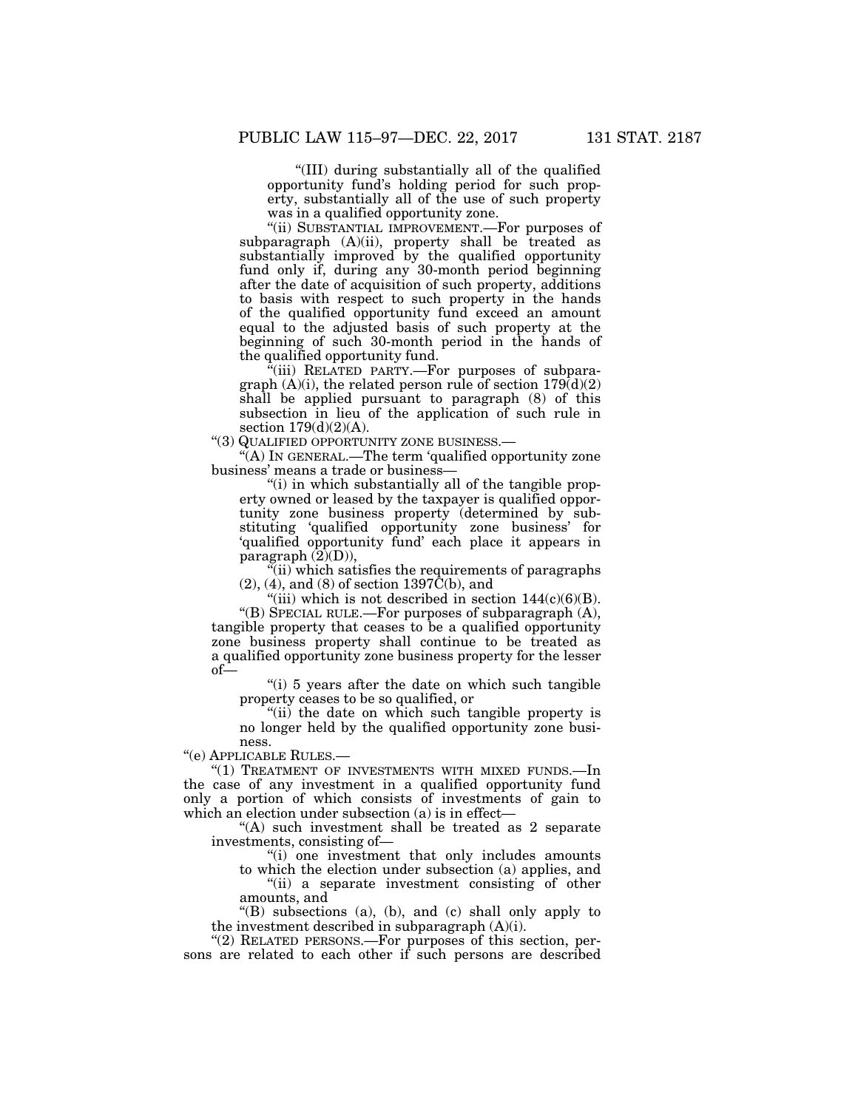''(III) during substantially all of the qualified opportunity fund's holding period for such property, substantially all of the use of such property was in a qualified opportunity zone.

''(ii) SUBSTANTIAL IMPROVEMENT.—For purposes of subparagraph (A)(ii), property shall be treated as substantially improved by the qualified opportunity fund only if, during any 30-month period beginning after the date of acquisition of such property, additions to basis with respect to such property in the hands of the qualified opportunity fund exceed an amount equal to the adjusted basis of such property at the beginning of such 30-month period in the hands of the qualified opportunity fund.

 $\mathcal{F}$ (iii) RELATED PARTY.—For purposes of subparagraph  $(A)(i)$ , the related person rule of section  $179\text{d}(2)$ shall be applied pursuant to paragraph (8) of this subsection in lieu of the application of such rule in section  $179(d)(2)(A)$ .

''(3) QUALIFIED OPPORTUNITY ZONE BUSINESS.—

''(A) IN GENERAL.—The term 'qualified opportunity zone business' means a trade or business—

''(i) in which substantially all of the tangible property owned or leased by the taxpayer is qualified opportunity zone business property (determined by substituting 'qualified opportunity zone business' for 'qualified opportunity fund' each place it appears in paragraph  $(2)(D)$ ),

 $\tilde{f}$ (ii) which satisfies the requirements of paragraphs  $(2)$ ,  $(4)$ , and  $(8)$  of section 1397 $\tilde{C}(b)$ , and

"(iii) which is not described in section  $144(c)(6)(B)$ . ''(B) SPECIAL RULE.—For purposes of subparagraph (A), tangible property that ceases to be a qualified opportunity zone business property shall continue to be treated as a qualified opportunity zone business property for the lesser of—

''(i) 5 years after the date on which such tangible property ceases to be so qualified, or

''(ii) the date on which such tangible property is no longer held by the qualified opportunity zone business.

''(e) APPLICABLE RULES.—

"(1) TREATMENT OF INVESTMENTS WITH MIXED FUNDS.-In the case of any investment in a qualified opportunity fund only a portion of which consists of investments of gain to which an election under subsection (a) is in effect—

''(A) such investment shall be treated as 2 separate investments, consisting of—

''(i) one investment that only includes amounts

to which the election under subsection (a) applies, and "(ii) a separate investment consisting of other amounts, and

''(B) subsections (a), (b), and (c) shall only apply to the investment described in subparagraph (A)(i).

" $(2)$  RELATED PERSONS.—For purposes of this section, persons are related to each other if such persons are described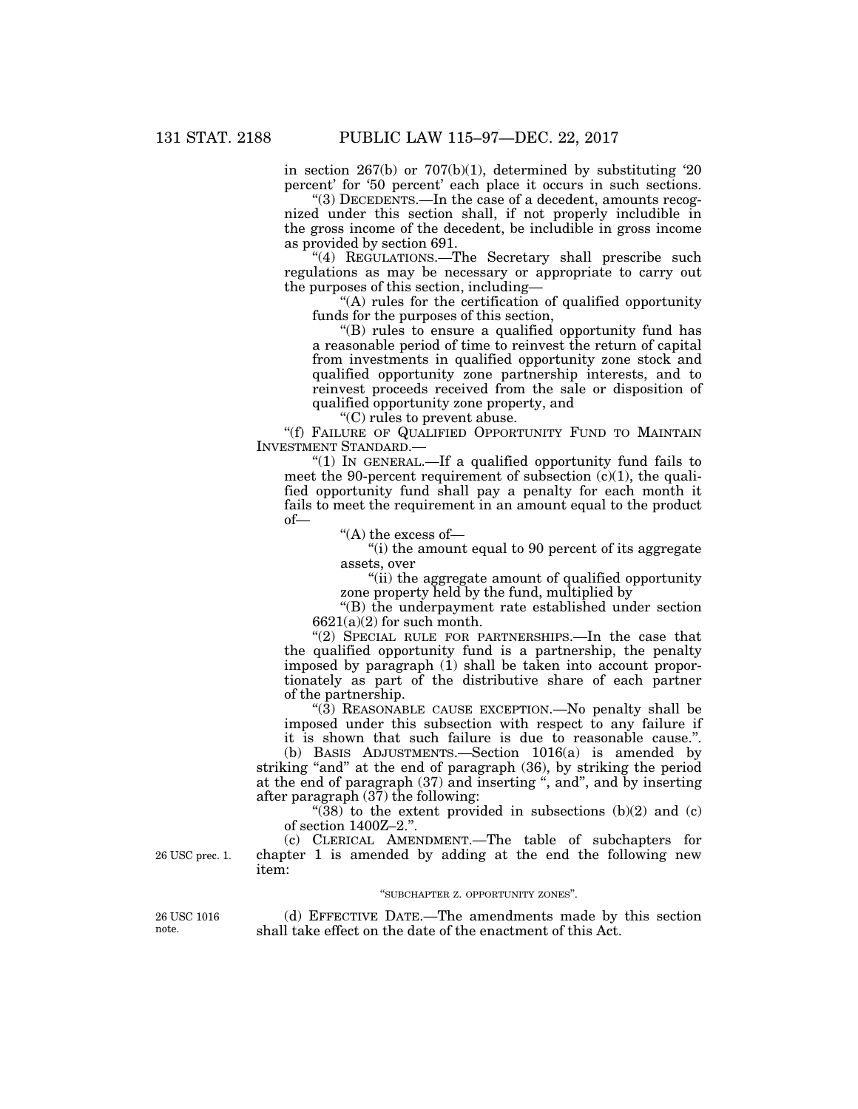in section 267(b) or 707(b)(1), determined by substituting '20 percent' for '50 percent' each place it occurs in such sections.

''(3) DECEDENTS.—In the case of a decedent, amounts recognized under this section shall, if not properly includible in the gross income of the decedent, be includible in gross income as provided by section 691.

"(4) REGULATIONS.—The Secretary shall prescribe such regulations as may be necessary or appropriate to carry out the purposes of this section, including—

''(A) rules for the certification of qualified opportunity funds for the purposes of this section,

''(B) rules to ensure a qualified opportunity fund has a reasonable period of time to reinvest the return of capital from investments in qualified opportunity zone stock and qualified opportunity zone partnership interests, and to reinvest proceeds received from the sale or disposition of qualified opportunity zone property, and

''(C) rules to prevent abuse.

"(f) FAILURE OF QUALIFIED OPPORTUNITY FUND TO MAINTAIN INVESTMENT STANDARD.—

"(1) IN GENERAL.—If a qualified opportunity fund fails to meet the 90-percent requirement of subsection  $(c)(1)$ , the qualified opportunity fund shall pay a penalty for each month it fails to meet the requirement in an amount equal to the product of—

''(A) the excess of—

''(i) the amount equal to 90 percent of its aggregate assets, over

''(ii) the aggregate amount of qualified opportunity zone property held by the fund, multiplied by

''(B) the underpayment rate established under section 6621(a)(2) for such month.

"(2) SPECIAL RULE FOR PARTNERSHIPS.—In the case that the qualified opportunity fund is a partnership, the penalty imposed by paragraph (1) shall be taken into account proportionately as part of the distributive share of each partner of the partnership.

''(3) REASONABLE CAUSE EXCEPTION.—No penalty shall be imposed under this subsection with respect to any failure if it is shown that such failure is due to reasonable cause.''.

(b) BASIS ADJUSTMENTS.—Section 1016(a) is amended by striking "and" at the end of paragraph (36), by striking the period at the end of paragraph (37) and inserting '', and'', and by inserting after paragraph (37) the following:

"(38) to the extent provided in subsections  $(b)(2)$  and  $(c)$ of section 1400Z–2.''.

(c) CLERICAL AMENDMENT.—The table of subchapters for chapter 1 is amended by adding at the end the following new item:

#### ''SUBCHAPTER Z. OPPORTUNITY ZONES''.

26 USC 1016 note.

26 USC prec. 1.

(d) EFFECTIVE DATE.—The amendments made by this section shall take effect on the date of the enactment of this Act.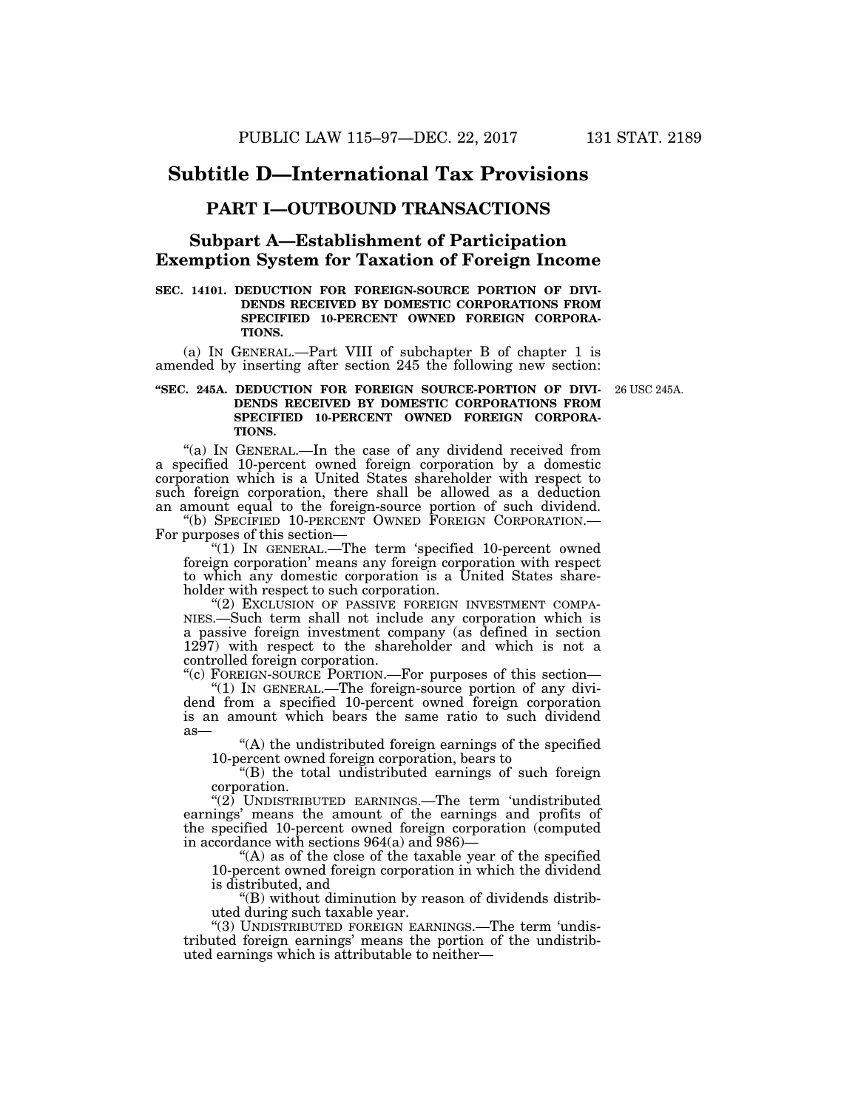# **Subtitle D—International Tax Provisions**

# **PART I—OUTBOUND TRANSACTIONS**

# **Subpart A—Establishment of Participation Exemption System for Taxation of Foreign Income**

# **SEC. 14101. DEDUCTION FOR FOREIGN-SOURCE PORTION OF DIVI-DENDS RECEIVED BY DOMESTIC CORPORATIONS FROM SPECIFIED 10-PERCENT OWNED FOREIGN CORPORA-TIONS.**

(a) IN GENERAL.—Part VIII of subchapter B of chapter 1 is amended by inserting after section 245 the following new section:

## **''SEC. 245A. DEDUCTION FOR FOREIGN SOURCE-PORTION OF DIVI-**26 USC 245A. **DENDS RECEIVED BY DOMESTIC CORPORATIONS FROM SPECIFIED 10-PERCENT OWNED FOREIGN CORPORA-TIONS.**

''(a) IN GENERAL.—In the case of any dividend received from a specified 10-percent owned foreign corporation by a domestic corporation which is a United States shareholder with respect to such foreign corporation, there shall be allowed as a deduction an amount equal to the foreign-source portion of such dividend.

''(b) SPECIFIED 10-PERCENT OWNED FOREIGN CORPORATION.— For purposes of this section—

"(1) IN GENERAL.—The term 'specified 10-percent owned foreign corporation' means any foreign corporation with respect to which any domestic corporation is a United States shareholder with respect to such corporation.

"(2) EXCLUSION OF PASSIVE FOREIGN INVESTMENT COMPA-NIES.—Such term shall not include any corporation which is a passive foreign investment company (as defined in section 1297) with respect to the shareholder and which is not a controlled foreign corporation.

''(c) FOREIGN-SOURCE PORTION.—For purposes of this section— ''(1) IN GENERAL.—The foreign-source portion of any dividend from a specified 10-percent owned foreign corporation is an amount which bears the same ratio to such dividend as—

''(A) the undistributed foreign earnings of the specified 10-percent owned foreign corporation, bears to

''(B) the total undistributed earnings of such foreign corporation.

" $(2)$  UNDISTRIBUTED EARNINGS.—The term 'undistributed earnings' means the amount of the earnings and profits of the specified 10-percent owned foreign corporation (computed in accordance with sections 964(a) and 986)—

''(A) as of the close of the taxable year of the specified 10-percent owned foreign corporation in which the dividend is distributed, and

''(B) without diminution by reason of dividends distributed during such taxable year.

''(3) UNDISTRIBUTED FOREIGN EARNINGS.—The term 'undistributed foreign earnings' means the portion of the undistributed earnings which is attributable to neither—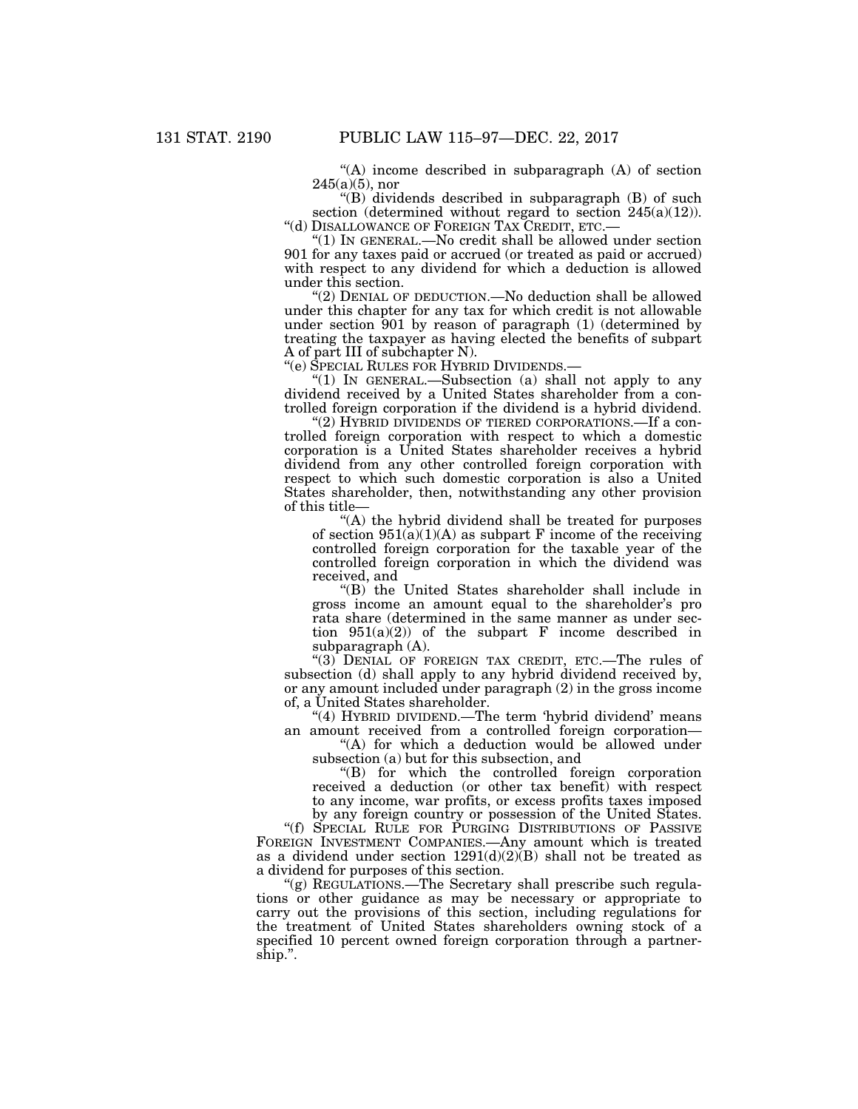''(A) income described in subparagraph (A) of section  $245(a)(5)$ , nor

''(B) dividends described in subparagraph (B) of such section (determined without regard to section 245(a)(12)).<br>
"(d) DISALLOWANCE OF FOREIGN TAX CREDIT, ETC.—

" $(1)$  IN GENERAL.—No credit shall be allowed under section 901 for any taxes paid or accrued (or treated as paid or accrued) with respect to any dividend for which a deduction is allowed under this section.

"(2) DENIAL OF DEDUCTION.—No deduction shall be allowed under this chapter for any tax for which credit is not allowable under section 901 by reason of paragraph (1) (determined by treating the taxpayer as having elected the benefits of subpart A of part III of subchapter N).<br>"(e) SPECIAL RULES FOR HYBRID DIVIDENDS.—

"(1) IN GENERAL.—Subsection (a) shall not apply to any dividend received by a United States shareholder from a controlled foreign corporation if the dividend is a hybrid dividend.

''(2) HYBRID DIVIDENDS OF TIERED CORPORATIONS.—If a controlled foreign corporation with respect to which a domestic corporation is a United States shareholder receives a hybrid dividend from any other controlled foreign corporation with respect to which such domestic corporation is also a United States shareholder, then, notwithstanding any other provision of this title—

''(A) the hybrid dividend shall be treated for purposes of section  $951(a)(1)(A)$  as subpart F income of the receiving controlled foreign corporation for the taxable year of the controlled foreign corporation in which the dividend was received, and

''(B) the United States shareholder shall include in gross income an amount equal to the shareholder's pro rata share (determined in the same manner as under section  $951(a)(2)$  of the subpart F income described in subparagraph (A).

"(3) DENIAL OF FOREIGN TAX CREDIT, ETC.—The rules of subsection (d) shall apply to any hybrid dividend received by, or any amount included under paragraph (2) in the gross income of, a United States shareholder.

"(4) HYBRID DIVIDEND.—The term 'hybrid dividend' means an amount received from a controlled foreign corporation—

"(A) for which a deduction would be allowed under subsection (a) but for this subsection, and

''(B) for which the controlled foreign corporation received a deduction (or other tax benefit) with respect to any income, war profits, or excess profits taxes imposed by any foreign country or possession of the United States.

''(f) SPECIAL RULE FOR PURGING DISTRIBUTIONS OF PASSIVE FOREIGN INVESTMENT COMPANIES.—Any amount which is treated as a dividend under section 1291(d)(2)(B) shall not be treated as a dividend for purposes of this section.

"(g) REGULATIONS.—The Secretary shall prescribe such regulations or other guidance as may be necessary or appropriate to carry out the provisions of this section, including regulations for the treatment of United States shareholders owning stock of a specified 10 percent owned foreign corporation through a partnership.''.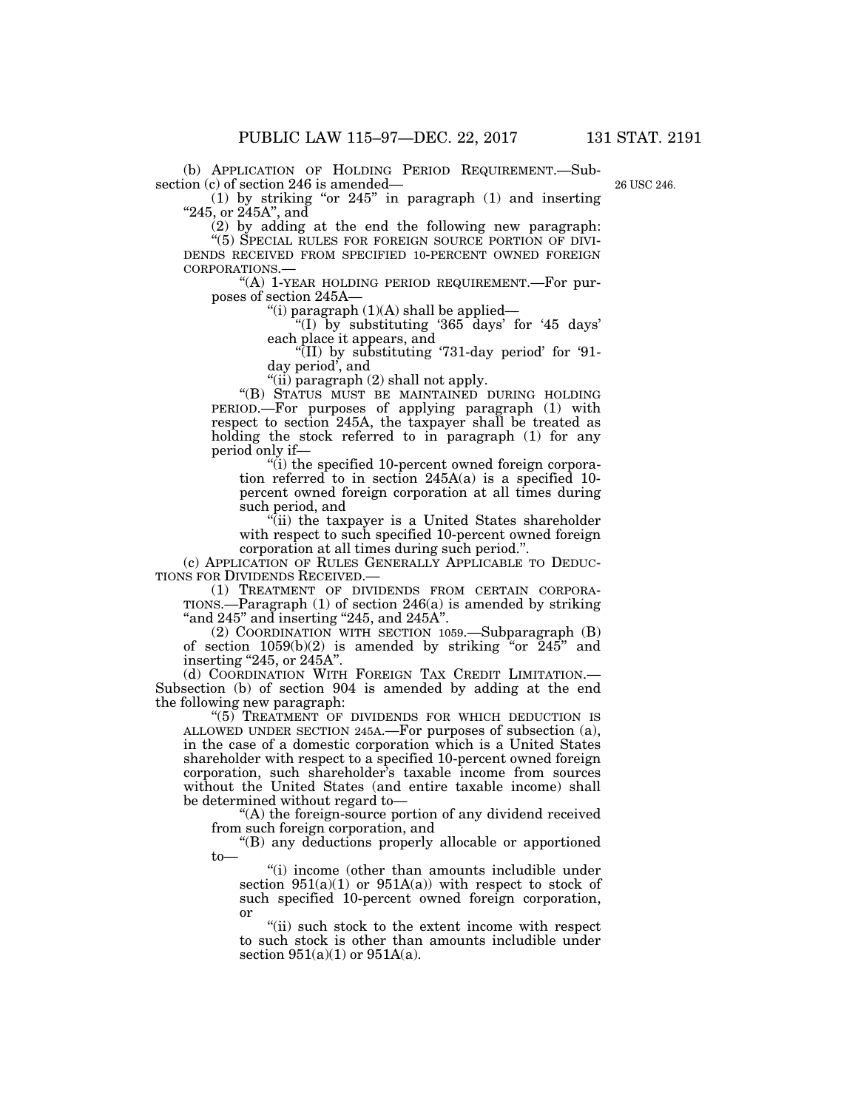(b) APPLICATION OF HOLDING PERIOD REQUIREMENT.—Subsection (c) of section 246 is amended—

26 USC 246.

 $(1)$  by striking "or 245" in paragraph  $(1)$  and inserting " $245$ , or  $245A$ ", and

(2) by adding at the end the following new paragraph: ''(5) SPECIAL RULES FOR FOREIGN SOURCE PORTION OF DIVI- DENDS RECEIVED FROM SPECIFIED 10-PERCENT OWNED FOREIGN CORPORATIONS.— ''(A) 1-YEAR HOLDING PERIOD REQUIREMENT.—For pur-

poses of section 245A—

"(i) paragraph  $(1)(A)$  shall be applied—

 $^{12}$ (I) by substituting '365 days' for '45 days' each place it appears, and

 $\sqrt[4]{(II)}$  by substituting '731-day period' for '91day period', and

"(ii) paragraph  $(2)$  shall not apply.

''(B) STATUS MUST BE MAINTAINED DURING HOLDING PERIOD.—For purposes of applying paragraph (1) with respect to section 245A, the taxpayer shall be treated as holding the stock referred to in paragraph (1) for any period only if—

''(i) the specified 10-percent owned foreign corporation referred to in section 245A(a) is a specified 10 percent owned foreign corporation at all times during such period, and

''(ii) the taxpayer is a United States shareholder with respect to such specified 10-percent owned foreign corporation at all times during such period.''.

(c) APPLICATION OF RULES GENERALLY APPLICABLE TO DEDUC-TIONS FOR DIVIDENDS RECEIVED.—

(1) TREATMENT OF DIVIDENDS FROM CERTAIN CORPORA-TIONS.—Paragraph (1) of section 246(a) is amended by striking "and  $245$ " and inserting "245, and  $245A$ ".

(2) COORDINATION WITH SECTION 1059.—Subparagraph (B) of section  $1059(b)(2)$  is amended by striking "or  $245$ " and inserting "245, or 245A".

(d) COORDINATION WITH FOREIGN TAX CREDIT LIMITATION.— Subsection (b) of section 904 is amended by adding at the end the following new paragraph:

"(5) TREATMENT OF DIVIDENDS FOR WHICH DEDUCTION IS ALLOWED UNDER SECTION 245A.—For purposes of subsection (a), in the case of a domestic corporation which is a United States shareholder with respect to a specified 10-percent owned foreign corporation, such shareholder's taxable income from sources without the United States (and entire taxable income) shall be determined without regard to—

''(A) the foreign-source portion of any dividend received from such foreign corporation, and

''(B) any deductions properly allocable or apportioned to—

''(i) income (other than amounts includible under section  $951(a)(1)$  or  $951A(a)$ ) with respect to stock of such specified 10-percent owned foreign corporation, or

''(ii) such stock to the extent income with respect to such stock is other than amounts includible under section  $951(a)(1)$  or  $951A(a)$ .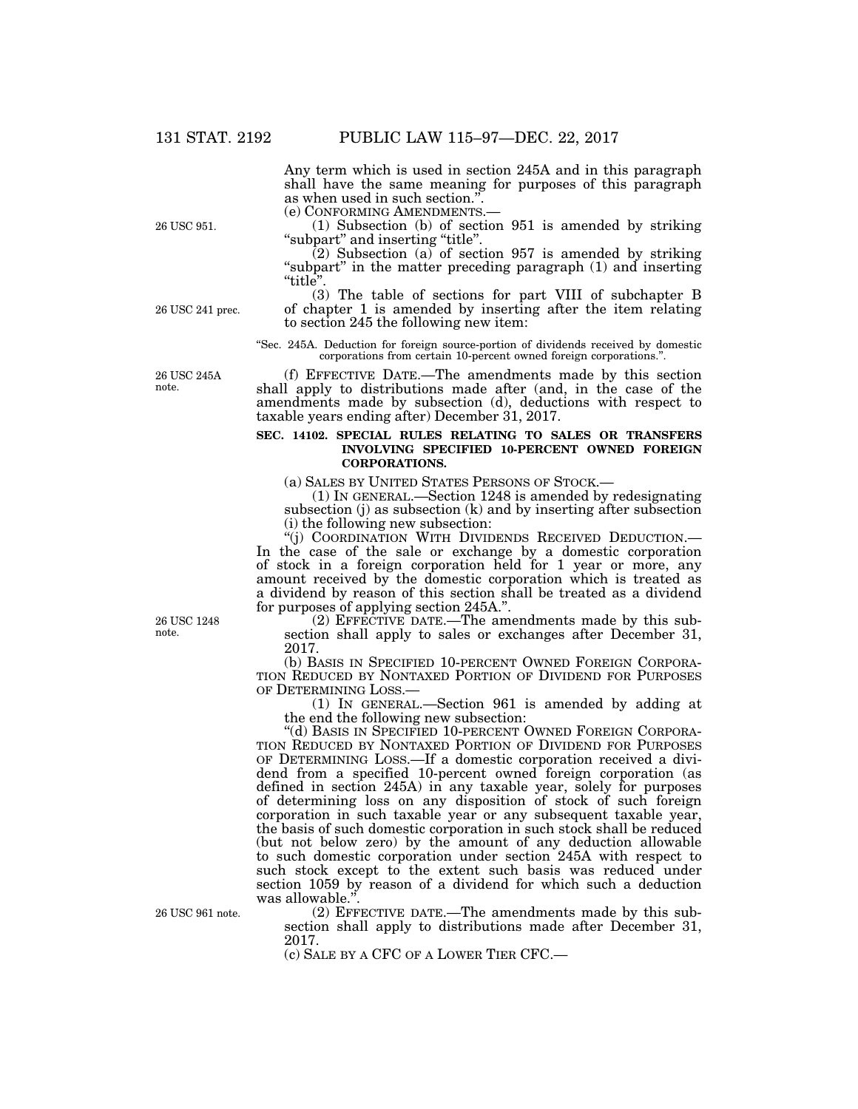Any term which is used in section 245A and in this paragraph shall have the same meaning for purposes of this paragraph as when used in such section.".<br>(e) CONFORMING AMENDMENTS.-

 $(1)$  Subsection (b) of section 951 is amended by striking ''subpart'' and inserting ''title''.

 $(2)$  Subsection (a) of section 957 is amended by striking "subpart" in the matter preceding paragraph (1) and inserting "title".

26 USC 241 prec.

26 USC 951.

(3) The table of sections for part VIII of subchapter B of chapter 1 is amended by inserting after the item relating to section 245 the following new item:

''Sec. 245A. Deduction for foreign source-portion of dividends received by domestic corporations from certain 10-percent owned foreign corporations.''.

(f) EFFECTIVE DATE.—The amendments made by this section shall apply to distributions made after (and, in the case of the amendments made by subsection (d), deductions with respect to taxable years ending after) December 31, 2017.

## **SEC. 14102. SPECIAL RULES RELATING TO SALES OR TRANSFERS INVOLVING SPECIFIED 10-PERCENT OWNED FOREIGN CORPORATIONS.**

(a) SALES BY UNITED STATES PERSONS OF STOCK.— (1) IN GENERAL.—Section 1248 is amended by redesignating subsection (j) as subsection  $(k)$  and by inserting after subsection (i) the following new subsection:<br>"(j) COORDINATION WITH DIVIDENDS RECEIVED DEDUCTION.—

In the case of the sale or exchange by a domestic corporation. of stock in a foreign corporation held for 1 year or more, any amount received by the domestic corporation which is treated as a dividend by reason of this section shall be treated as a dividend for purposes of applying section 245A.''.

(2) EFFECTIVE DATE.—The amendments made by this subsection shall apply to sales or exchanges after December 31, 2017.

(b) BASIS IN SPECIFIED 10-PERCENT OWNED FOREIGN CORPORA- TION REDUCED BY NONTAXED PORTION OF DIVIDEND FOR PURPOSES OF DETERMINING LOSS.—

 $(1)$  In GENERAL.—Section 961 is amended by adding at the end the following new subsection:

''(d) BASIS IN SPECIFIED 10-PERCENT OWNED FOREIGN CORPORA- TION REDUCED BY NONTAXED PORTION OF DIVIDEND FOR PURPOSES OF DETERMINING LOSS.—If a domestic corporation received a dividend from a specified 10-percent owned foreign corporation (as defined in section 245A) in any taxable year, solely for purposes of determining loss on any disposition of stock of such foreign corporation in such taxable year or any subsequent taxable year, the basis of such domestic corporation in such stock shall be reduced (but not below zero) by the amount of any deduction allowable to such domestic corporation under section 245A with respect to such stock except to the extent such basis was reduced under section 1059 by reason of a dividend for which such a deduction was allowable."

(2) EFFECTIVE DATE.—The amendments made by this subsection shall apply to distributions made after December 31, 2017.

(c) SALE BY A CFC OF A LOWER TIER CFC.—

**26 USC 2454** note.

26 USC 1248 note.

26 USC 961 note.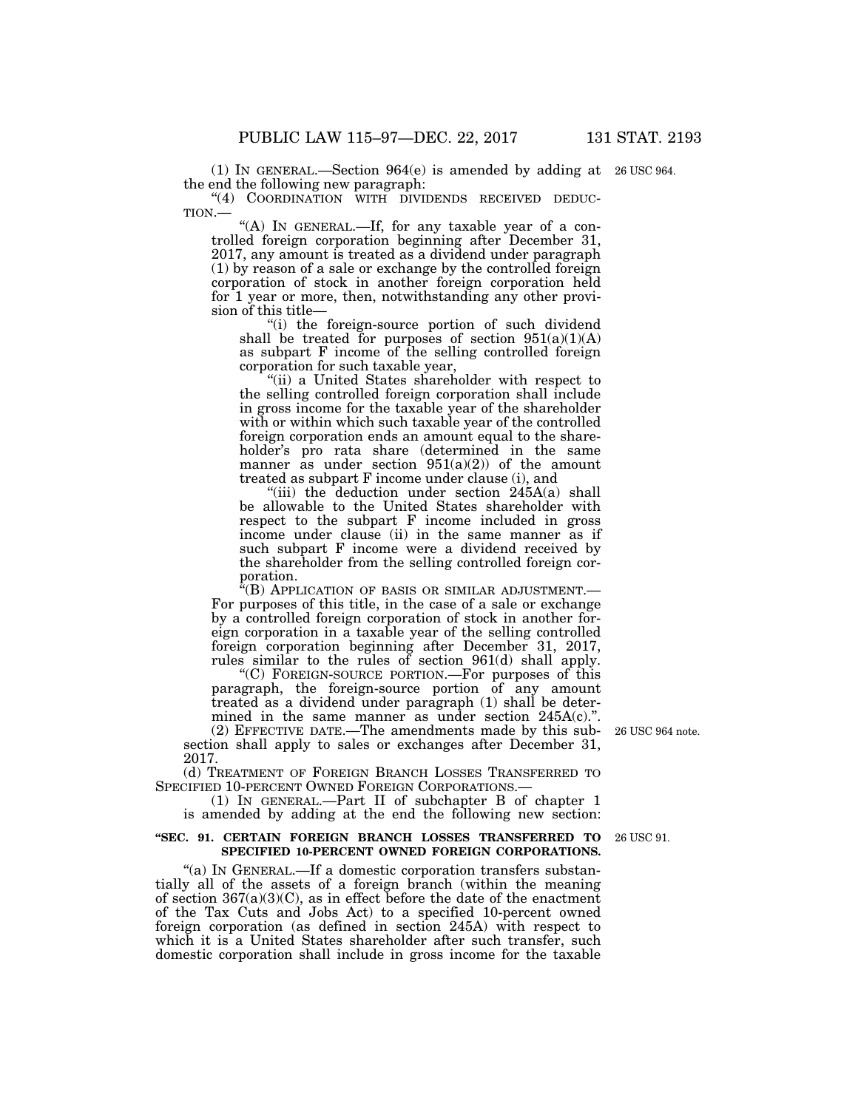(1) IN GENERAL.—Section 964(e) is amended by adding at 26 USC 964. the end the following new paragraph:

"(4) COORDINATION WITH DIVIDENDS RECEIVED DEDUC-TION.—  $\cdot$  "(A) In GENERAL.—If, for any taxable year of a con-

trolled foreign corporation beginning after December 31, 2017, any amount is treated as a dividend under paragraph (1) by reason of a sale or exchange by the controlled foreign corporation of stock in another foreign corporation held for 1 year or more, then, notwithstanding any other provision of this title—

"(i) the foreign-source portion of such dividend shall be treated for purposes of section  $951(a)(1)(A)$ as subpart F income of the selling controlled foreign corporation for such taxable year,

''(ii) a United States shareholder with respect to the selling controlled foreign corporation shall include in gross income for the taxable year of the shareholder with or within which such taxable year of the controlled foreign corporation ends an amount equal to the shareholder's pro rata share (determined in the same manner as under section  $951(a)(2)$  of the amount treated as subpart F income under clause (i), and

"(iii) the deduction under section  $245A(a)$  shall be allowable to the United States shareholder with respect to the subpart F income included in gross income under clause (ii) in the same manner as if such subpart F income were a dividend received by the shareholder from the selling controlled foreign corporation.

''(B) APPLICATION OF BASIS OR SIMILAR ADJUSTMENT.— For purposes of this title, in the case of a sale or exchange by a controlled foreign corporation of stock in another foreign corporation in a taxable year of the selling controlled foreign corporation beginning after December 31, 2017, rules similar to the rules of section 961(d) shall apply.

''(C) FOREIGN-SOURCE PORTION.—For purposes of this paragraph, the foreign-source portion of any amount treated as a dividend under paragraph (1) shall be determined in the same manner as under section 245A(c).".

(2) EFFECTIVE DATE.—The amendments made by this subsection shall apply to sales or exchanges after December 31, 2017.

(d) TREATMENT OF FOREIGN BRANCH LOSSES TRANSFERRED TO SPECIFIED 10-PERCENT OWNED FOREIGN CORPORATIONS.—

(1) IN GENERAL.—Part II of subchapter B of chapter 1 is amended by adding at the end the following new section:

#### **''SEC. 91. CERTAIN FOREIGN BRANCH LOSSES TRANSFERRED TO**  26 USC 91. **SPECIFIED 10-PERCENT OWNED FOREIGN CORPORATIONS.**

"(a) IN GENERAL.—If a domestic corporation transfers substantially all of the assets of a foreign branch (within the meaning of section  $367(a)(3)(C)$ , as in effect before the date of the enactment of the Tax Cuts and Jobs Act) to a specified 10-percent owned foreign corporation (as defined in section 245A) with respect to which it is a United States shareholder after such transfer, such domestic corporation shall include in gross income for the taxable

26 USC 964 note.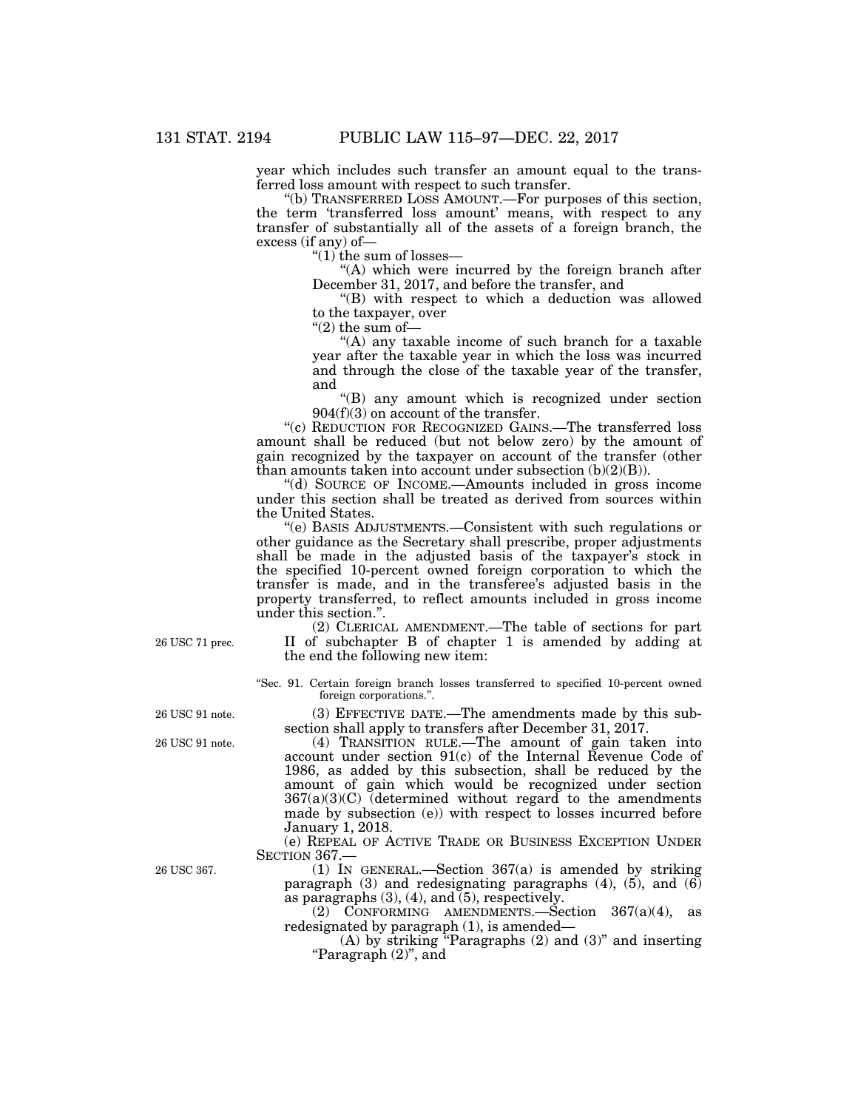year which includes such transfer an amount equal to the transferred loss amount with respect to such transfer.

''(b) TRANSFERRED LOSS AMOUNT.—For purposes of this section, the term 'transferred loss amount' means, with respect to any transfer of substantially all of the assets of a foreign branch, the excess (if any) of—

''(1) the sum of losses—

''(A) which were incurred by the foreign branch after December 31, 2017, and before the transfer, and

''(B) with respect to which a deduction was allowed to the taxpayer, over

 $''(2)$  the sum of-

''(A) any taxable income of such branch for a taxable year after the taxable year in which the loss was incurred and through the close of the taxable year of the transfer, and

''(B) any amount which is recognized under section 904(f)(3) on account of the transfer.

''(c) REDUCTION FOR RECOGNIZED GAINS.—The transferred loss amount shall be reduced (but not below zero) by the amount of gain recognized by the taxpayer on account of the transfer (other than amounts taken into account under subsection  $(b)(2)(B)$ ).

''(d) SOURCE OF INCOME.—Amounts included in gross income under this section shall be treated as derived from sources within the United States.

''(e) BASIS ADJUSTMENTS.—Consistent with such regulations or other guidance as the Secretary shall prescribe, proper adjustments shall be made in the adjusted basis of the taxpayer's stock in the specified 10-percent owned foreign corporation to which the transfer is made, and in the transferee's adjusted basis in the property transferred, to reflect amounts included in gross income under this section.''.

(2) CLERICAL AMENDMENT.—The table of sections for part II of subchapter B of chapter 1 is amended by adding at the end the following new item:

''Sec. 91. Certain foreign branch losses transferred to specified 10-percent owned foreign corporations.''.

(3) EFFECTIVE DATE.—The amendments made by this subsection shall apply to transfers after December 31, 2017.

(4) TRANSITION RULE.—The amount of gain taken into account under section 91(c) of the Internal Revenue Code of 1986, as added by this subsection, shall be reduced by the amount of gain which would be recognized under section  $367(a)(3)(C)$  (determined without regard to the amendments made by subsection (e)) with respect to losses incurred before January 1, 2018.

(e) REPEAL OF ACTIVE TRADE OR BUSINESS EXCEPTION UNDER SECTION 367.—

(1) IN GENERAL.—Section 367(a) is amended by striking paragraph  $(3)$  and redesignating paragraphs  $(4)$ ,  $(5)$ , and  $(6)$ as paragraphs  $(3)$ ,  $(4)$ , and  $(5)$ , respectively.

 $(2)$  CONFORMING AMENDMENTS.—Section 367(a)(4), as redesignated by paragraph (1), is amended—

(A) by striking ''Paragraphs (2) and (3)'' and inserting ''Paragraph (2)'', and

26 USC 71 prec.

26 USC 91 note.

26 USC 91 note.

26 USC 367.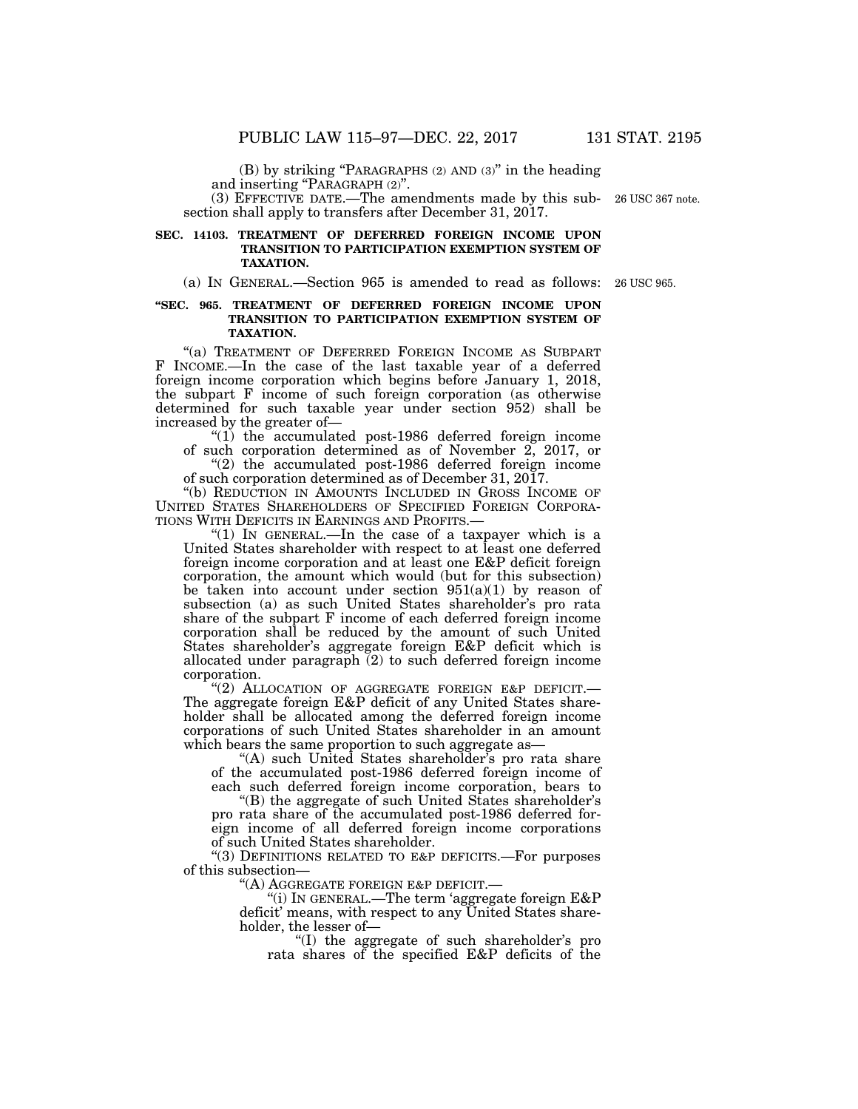(B) by striking ''PARAGRAPHS (2) AND (3)'' in the heading and inserting "PARAGRAPH  $(2)$ ".

(3) EFFECTIVE DATE.—The amendments made by this sub-26 USC 367 note. section shall apply to transfers after December 31, 2017.

# **SEC. 14103. TREATMENT OF DEFERRED FOREIGN INCOME UPON TRANSITION TO PARTICIPATION EXEMPTION SYSTEM OF TAXATION.**

(a) IN GENERAL.—Section 965 is amended to read as follows: 26 USC 965.

# **''SEC. 965. TREATMENT OF DEFERRED FOREIGN INCOME UPON TRANSITION TO PARTICIPATION EXEMPTION SYSTEM OF TAXATION.**

"(a) TREATMENT OF DEFERRED FOREIGN INCOME AS SUBPART F INCOME.—In the case of the last taxable year of a deferred foreign income corporation which begins before January 1, 2018, the subpart F income of such foreign corporation (as otherwise determined for such taxable year under section 952) shall be increased by the greater of—

" $(1)$  the accumulated post-1986 deferred foreign income of such corporation determined as of November 2, 2017, or

"(2) the accumulated post-1986 deferred foreign income of such corporation determined as of December 31, 2017.

''(b) REDUCTION IN AMOUNTS INCLUDED IN GROSS INCOME OF UNITED STATES SHAREHOLDERS OF SPECIFIED FOREIGN CORPORA-TIONS WITH DEFICITS IN EARNINGS AND PROFITS.—

"(1) IN GENERAL.—In the case of a taxpayer which is a United States shareholder with respect to at least one deferred foreign income corporation and at least one E&P deficit foreign corporation, the amount which would (but for this subsection) be taken into account under section  $951(a)(1)$  by reason of subsection (a) as such United States shareholder's pro rata share of the subpart F income of each deferred foreign income corporation shall be reduced by the amount of such United States shareholder's aggregate foreign E&P deficit which is allocated under paragraph  $(2)$  to such deferred foreign income corporation.

"(2) ALLOCATION OF AGGREGATE FOREIGN E&P DEFICIT.-The aggregate foreign E&P deficit of any United States shareholder shall be allocated among the deferred foreign income corporations of such United States shareholder in an amount which bears the same proportion to such aggregate as-

"(A) such United States shareholder's pro rata share of the accumulated post-1986 deferred foreign income of each such deferred foreign income corporation, bears to

''(B) the aggregate of such United States shareholder's pro rata share of the accumulated post-1986 deferred foreign income of all deferred foreign income corporations of such United States shareholder.

"(3) DEFINITIONS RELATED TO E&P DEFICITS.-For purposes of this subsection—

''(A) AGGREGATE FOREIGN E&P DEFICIT.—

''(i) IN GENERAL.—The term 'aggregate foreign E&P deficit' means, with respect to any United States shareholder, the lesser of—

''(I) the aggregate of such shareholder's pro rata shares of the specified E&P deficits of the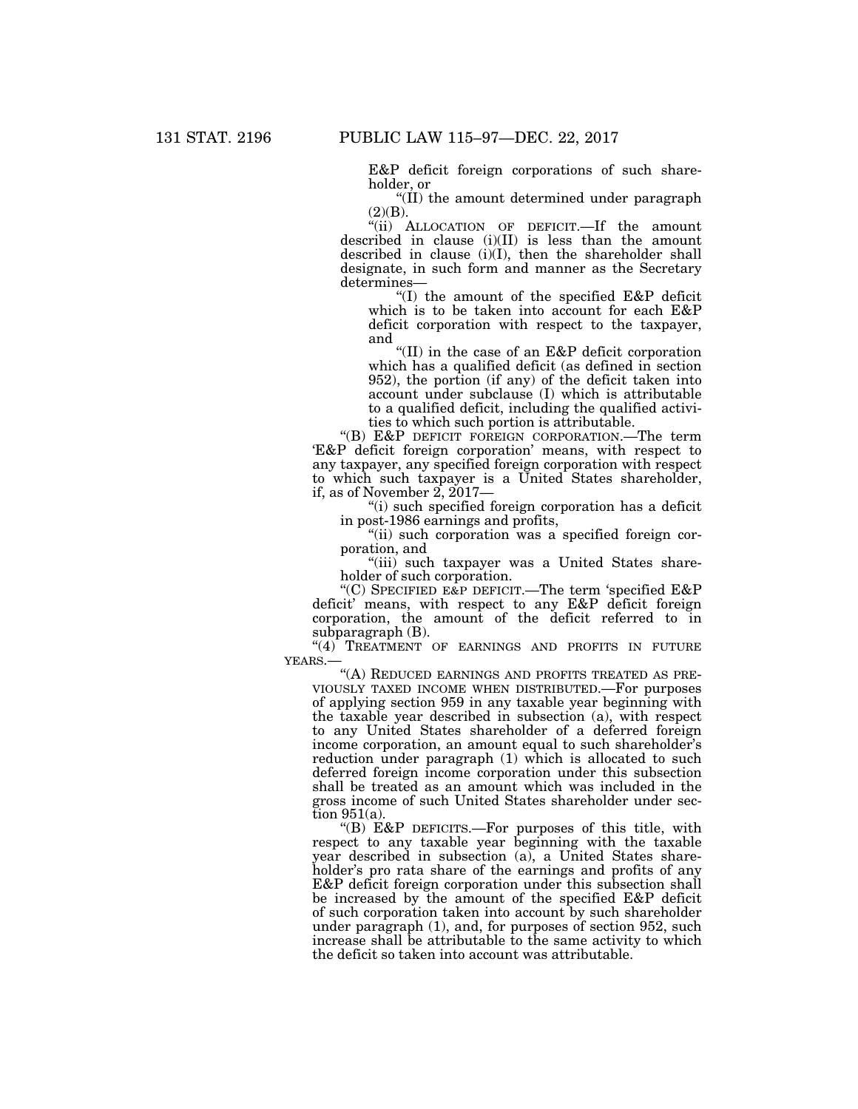E&P deficit foreign corporations of such shareholder, or

''(II) the amount determined under paragraph (2)(B).

''(ii) ALLOCATION OF DEFICIT.—If the amount described in clause  $(i)(II)$  is less than the amount described in clause (i)(I), then the shareholder shall designate, in such form and manner as the Secretary determines—

''(I) the amount of the specified E&P deficit which is to be taken into account for each E&P deficit corporation with respect to the taxpayer, and

''(II) in the case of an E&P deficit corporation which has a qualified deficit (as defined in section 952), the portion (if any) of the deficit taken into account under subclause (I) which is attributable to a qualified deficit, including the qualified activities to which such portion is attributable.

''(B) E&P DEFICIT FOREIGN CORPORATION.—The term 'E&P deficit foreign corporation' means, with respect to any taxpayer, any specified foreign corporation with respect to which such taxpayer is a United States shareholder, if, as of November  $2, 2017$ —

''(i) such specified foreign corporation has a deficit in post-1986 earnings and profits,

"(ii) such corporation was a specified foreign corporation, and

"(iii) such taxpayer was a United States shareholder of such corporation.

''(C) SPECIFIED E&P DEFICIT.—The term 'specified E&P deficit' means, with respect to any E&P deficit foreign corporation, the amount of the deficit referred to in subparagraph (B).

"(4) TREATMENT OF EARNINGS AND PROFITS IN FUTURE YEARS.—

"(A) REDUCED EARNINGS AND PROFITS TREATED AS PRE-VIOUSLY TAXED INCOME WHEN DISTRIBUTED.—For purposes of applying section 959 in any taxable year beginning with the taxable year described in subsection (a), with respect to any United States shareholder of a deferred foreign income corporation, an amount equal to such shareholder's reduction under paragraph (1) which is allocated to such deferred foreign income corporation under this subsection shall be treated as an amount which was included in the gross income of such United States shareholder under section 951(a).

''(B) E&P DEFICITS.—For purposes of this title, with respect to any taxable year beginning with the taxable year described in subsection (a), a United States shareholder's pro rata share of the earnings and profits of any E&P deficit foreign corporation under this subsection shall be increased by the amount of the specified E&P deficit of such corporation taken into account by such shareholder under paragraph (1), and, for purposes of section 952, such increase shall be attributable to the same activity to which the deficit so taken into account was attributable.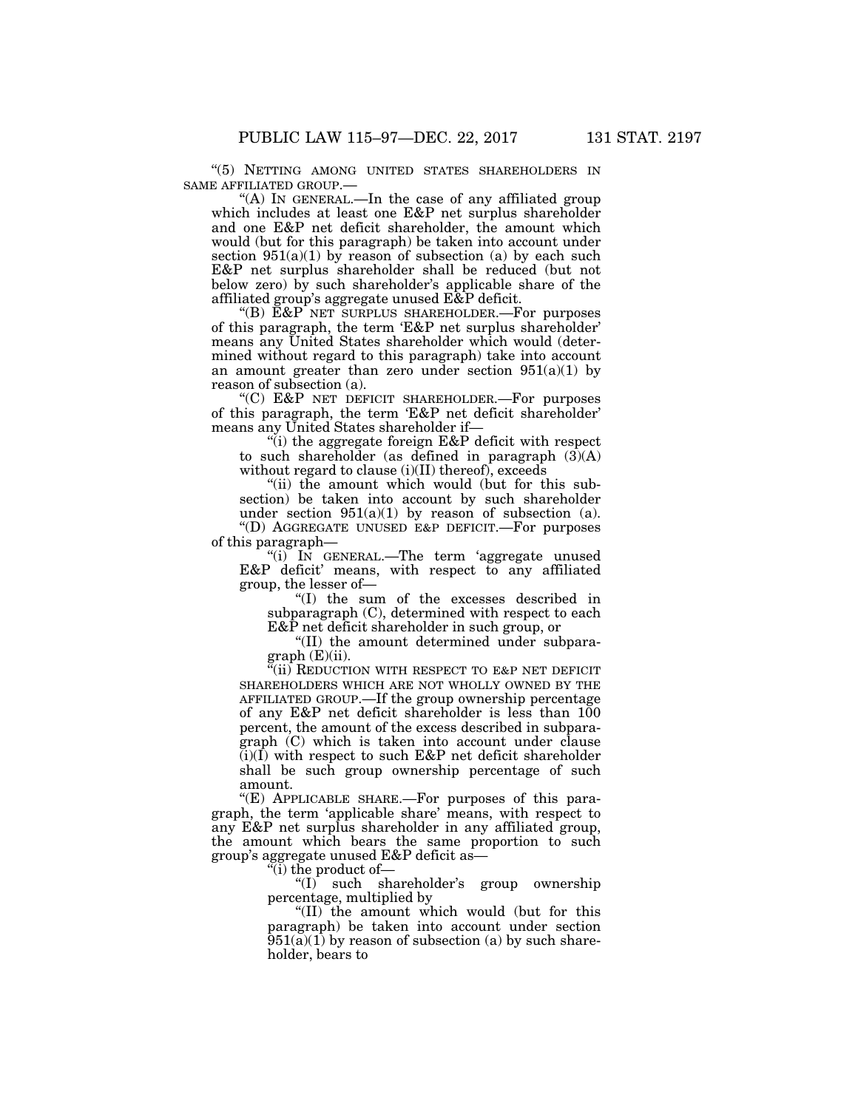''(5) NETTING AMONG UNITED STATES SHAREHOLDERS IN SAME AFFILIATED GROUP.—

"(A) IN GENERAL.—In the case of any affiliated group which includes at least one E&P net surplus shareholder and one E&P net deficit shareholder, the amount which would (but for this paragraph) be taken into account under section  $951(a)(1)$  by reason of subsection (a) by each such E&P net surplus shareholder shall be reduced (but not below zero) by such shareholder's applicable share of the affiliated group's aggregate unused E&P deficit.

''(B) E&P NET SURPLUS SHAREHOLDER.—For purposes of this paragraph, the term 'E&P net surplus shareholder' means any United States shareholder which would (determined without regard to this paragraph) take into account an amount greater than zero under section  $951(a)(1)$  by reason of subsection (a).

"(C)  $E&P$  NET DEFICIT SHAREHOLDER.—For purposes of this paragraph, the term 'E&P net deficit shareholder' means any United States shareholder if—

"(i) the aggregate foreign  $E&P$  deficit with respect to such shareholder (as defined in paragraph  $(3)(A)$ without regard to clause  $(i)(II)$  thereof), exceeds

''(ii) the amount which would (but for this subsection) be taken into account by such shareholder under section  $951(a)(1)$  by reason of subsection (a). ''(D) AGGREGATE UNUSED E&P DEFICIT.—For purposes of this paragraph—

''(i) IN GENERAL.—The term 'aggregate unused E&P deficit' means, with respect to any affiliated group, the lesser of—

''(I) the sum of the excesses described in subparagraph (C), determined with respect to each E&P net deficit shareholder in such group, or

''(II) the amount determined under subpara $graph(E)(ii)$ .

 $\mathbb{E}$ (ii) REDUCTION WITH RESPECT TO E&P NET DEFICIT SHAREHOLDERS WHICH ARE NOT WHOLLY OWNED BY THE AFFILIATED GROUP.—If the group ownership percentage of any E&P net deficit shareholder is less than 100 percent, the amount of the excess described in subparagraph (C) which is taken into account under clause  $(i)(\overline{I})$  with respect to such E&P net deficit shareholder shall be such group ownership percentage of such amount.

''(E) APPLICABLE SHARE.—For purposes of this paragraph, the term 'applicable share' means, with respect to any E&P net surplus shareholder in any affiliated group, the amount which bears the same proportion to such group's aggregate unused E&P deficit as—

''(i) the product of—

 $f(I)$  such shareholder's group ownership percentage, multiplied by

''(II) the amount which would (but for this paragraph) be taken into account under section  $\overline{951(a)(1)}$  by reason of subsection (a) by such shareholder, bears to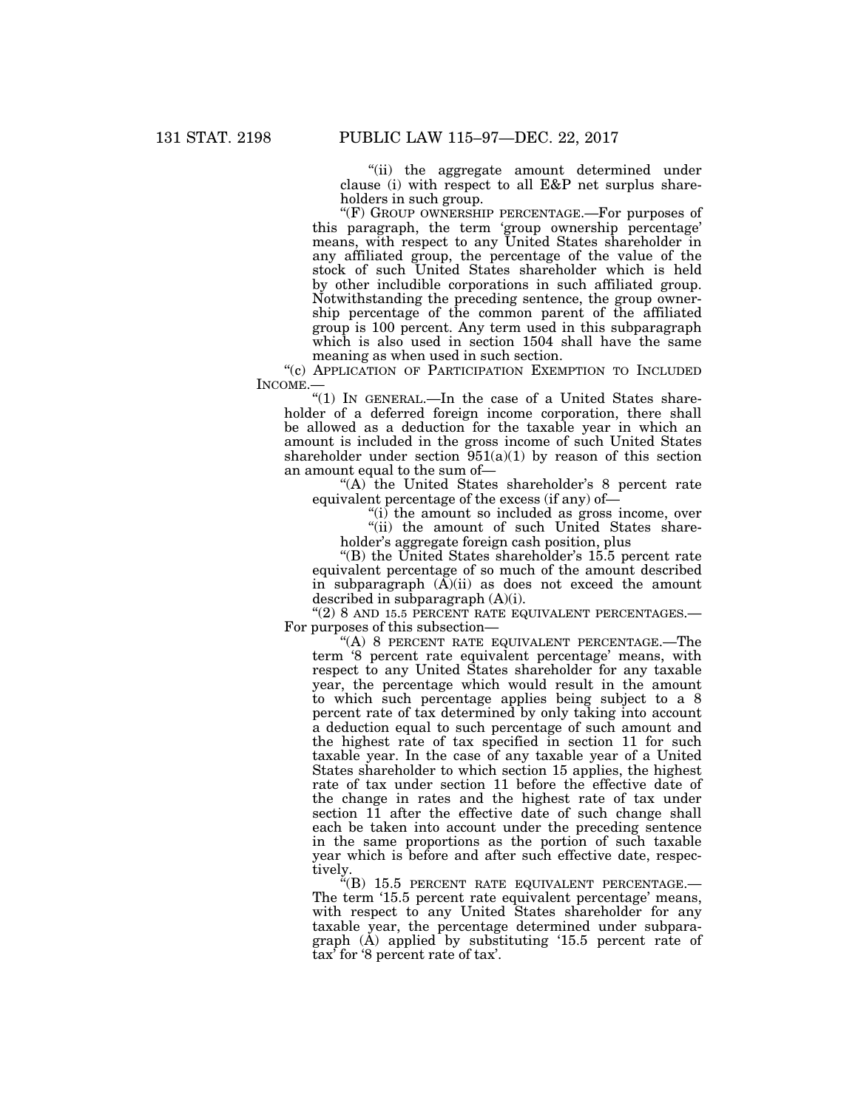''(ii) the aggregate amount determined under clause (i) with respect to all E&P net surplus shareholders in such group.

"(F) GROUP OWNERSHIP PERCENTAGE.—For purposes of this paragraph, the term 'group ownership percentage' means, with respect to any United States shareholder in any affiliated group, the percentage of the value of the stock of such United States shareholder which is held by other includible corporations in such affiliated group. Notwithstanding the preceding sentence, the group ownership percentage of the common parent of the affiliated group is 100 percent. Any term used in this subparagraph which is also used in section 1504 shall have the same meaning as when used in such section.

"(c) APPLICATION OF PARTICIPATION EXEMPTION TO INCLUDED INCOME.—

''(1) IN GENERAL.—In the case of a United States shareholder of a deferred foreign income corporation, there shall be allowed as a deduction for the taxable year in which an amount is included in the gross income of such United States shareholder under section  $951(a)(1)$  by reason of this section an amount equal to the sum of—

"(A) the United States shareholder's 8 percent rate equivalent percentage of the excess (if any) of—

''(i) the amount so included as gross income, over

"(ii) the amount of such United States shareholder's aggregate foreign cash position, plus

''(B) the United States shareholder's 15.5 percent rate equivalent percentage of so much of the amount described in subparagraph  $(A)(ii)$  as does not exceed the amount described in subparagraph (A)(i).

"(2) 8 AND 15.5 PERCENT RATE EQUIVALENT PERCENTAGES.— For purposes of this subsection—

''(A) 8 PERCENT RATE EQUIVALENT PERCENTAGE.—The term '8 percent rate equivalent percentage' means, with respect to any United States shareholder for any taxable year, the percentage which would result in the amount to which such percentage applies being subject to a 8 percent rate of tax determined by only taking into account a deduction equal to such percentage of such amount and the highest rate of tax specified in section 11 for such taxable year. In the case of any taxable year of a United States shareholder to which section 15 applies, the highest rate of tax under section 11 before the effective date of the change in rates and the highest rate of tax under section 11 after the effective date of such change shall each be taken into account under the preceding sentence in the same proportions as the portion of such taxable year which is before and after such effective date, respectively.

" $(B)$  15.5 PERCENT RATE EQUIVALENT PERCENTAGE. $-$ The term '15.5 percent rate equivalent percentage' means, with respect to any United States shareholder for any taxable year, the percentage determined under subparagraph (A) applied by substituting '15.5 percent rate of tax' for '8 percent rate of tax'.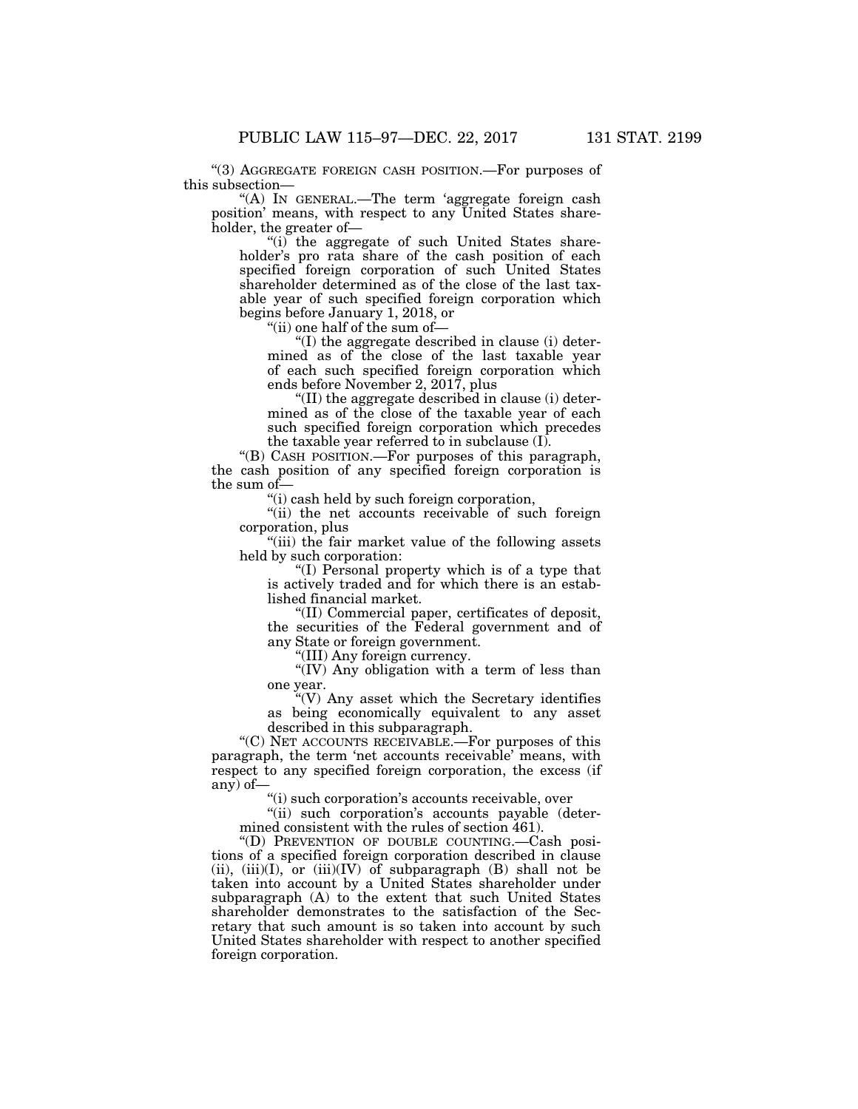''(3) AGGREGATE FOREIGN CASH POSITION.—For purposes of this subsection—

''(A) IN GENERAL.—The term 'aggregate foreign cash position' means, with respect to any United States shareholder, the greater of—

''(i) the aggregate of such United States shareholder's pro rata share of the cash position of each specified foreign corporation of such United States shareholder determined as of the close of the last taxable year of such specified foreign corporation which begins before January 1, 2018, or

''(ii) one half of the sum of—

''(I) the aggregate described in clause (i) determined as of the close of the last taxable year of each such specified foreign corporation which ends before November 2, 2017, plus

''(II) the aggregate described in clause (i) determined as of the close of the taxable year of each such specified foreign corporation which precedes the taxable year referred to in subclause (I).

''(B) CASH POSITION.—For purposes of this paragraph, the cash position of any specified foreign corporation is the sum of—

''(i) cash held by such foreign corporation,

''(ii) the net accounts receivable of such foreign corporation, plus

"(iii) the fair market value of the following assets held by such corporation:

''(I) Personal property which is of a type that is actively traded and for which there is an established financial market.

''(II) Commercial paper, certificates of deposit, the securities of the Federal government and of any State or foreign government.

''(III) Any foreign currency.

''(IV) Any obligation with a term of less than one year.

''(V) Any asset which the Secretary identifies as being economically equivalent to any asset described in this subparagraph.

''(C) NET ACCOUNTS RECEIVABLE.—For purposes of this paragraph, the term 'net accounts receivable' means, with respect to any specified foreign corporation, the excess (if any) of—

''(i) such corporation's accounts receivable, over

"(ii) such corporation's accounts payable (determined consistent with the rules of section 461).

''(D) PREVENTION OF DOUBLE COUNTING.—Cash positions of a specified foreign corporation described in clause (ii),  $(iii)(I)$ , or  $(iii)(IV)$  of subparagraph  $(B)$  shall not be taken into account by a United States shareholder under subparagraph (A) to the extent that such United States shareholder demonstrates to the satisfaction of the Secretary that such amount is so taken into account by such United States shareholder with respect to another specified foreign corporation.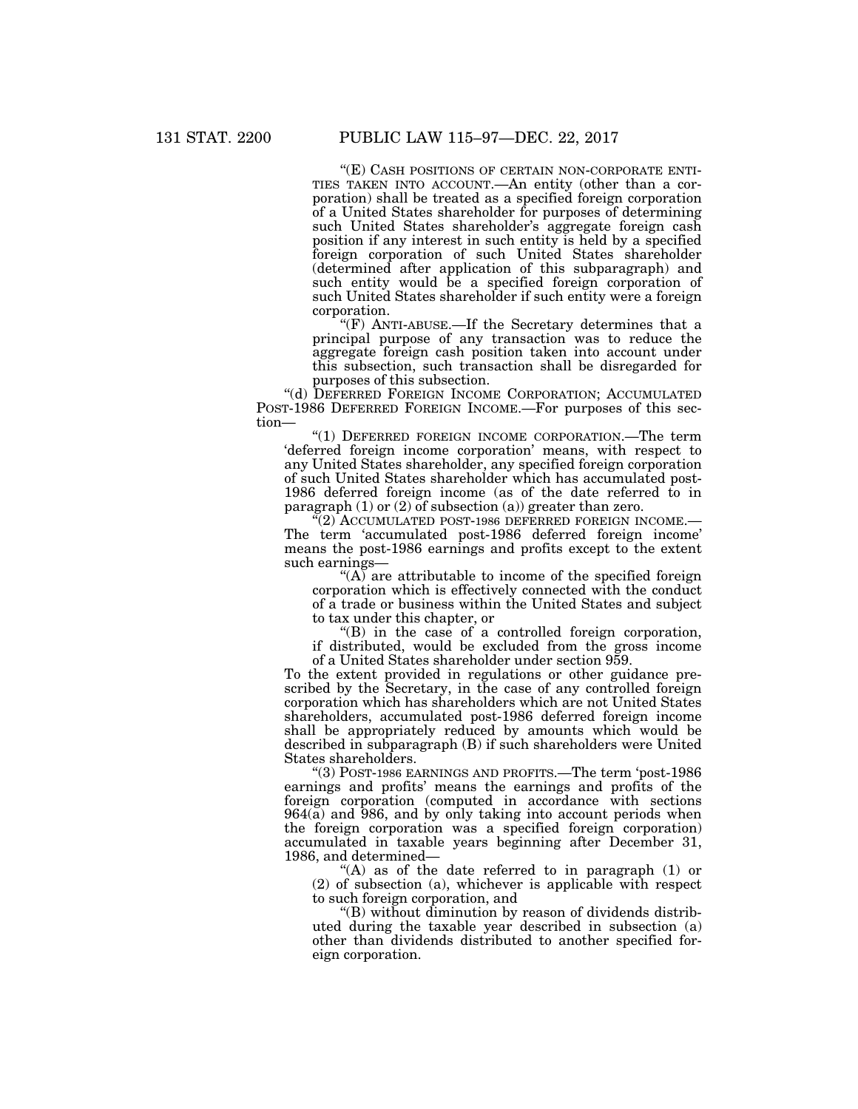''(E) CASH POSITIONS OF CERTAIN NON-CORPORATE ENTI- TIES TAKEN INTO ACCOUNT.—An entity (other than a corporation) shall be treated as a specified foreign corporation of a United States shareholder for purposes of determining such United States shareholder's aggregate foreign cash position if any interest in such entity is held by a specified foreign corporation of such United States shareholder (determined after application of this subparagraph) and such entity would be a specified foreign corporation of such United States shareholder if such entity were a foreign corporation.

"(F) ANTI-ABUSE.—If the Secretary determines that a principal purpose of any transaction was to reduce the aggregate foreign cash position taken into account under this subsection, such transaction shall be disregarded for purposes of this subsection.

''(d) DEFERRED FOREIGN INCOME CORPORATION; ACCUMULATED POST-1986 DEFERRED FOREIGN INCOME.—For purposes of this section—

"(1) DEFERRED FOREIGN INCOME CORPORATION.—The term 'deferred foreign income corporation' means, with respect to any United States shareholder, any specified foreign corporation of such United States shareholder which has accumulated post-1986 deferred foreign income (as of the date referred to in paragraph  $(1)$  or  $(2)$  of subsection  $(a)$ ) greater than zero.

''(2) ACCUMULATED POST-1986 DEFERRED FOREIGN INCOME.— The term 'accumulated post-1986 deferred foreign income' means the post-1986 earnings and profits except to the extent such earnings—

" $(A)$  are attributable to income of the specified foreign corporation which is effectively connected with the conduct of a trade or business within the United States and subject to tax under this chapter, or

''(B) in the case of a controlled foreign corporation, if distributed, would be excluded from the gross income of a United States shareholder under section 959.

To the extent provided in regulations or other guidance prescribed by the Secretary, in the case of any controlled foreign corporation which has shareholders which are not United States shareholders, accumulated post-1986 deferred foreign income shall be appropriately reduced by amounts which would be described in subparagraph (B) if such shareholders were United States shareholders.

''(3) POST-1986 EARNINGS AND PROFITS.—The term 'post-1986 earnings and profits' means the earnings and profits of the foreign corporation (computed in accordance with sections  $964(a)$  and  $986$ , and by only taking into account periods when the foreign corporation was a specified foreign corporation) accumulated in taxable years beginning after December 31, 1986, and determined—

"(A) as of the date referred to in paragraph  $(1)$  or (2) of subsection (a), whichever is applicable with respect to such foreign corporation, and

''(B) without diminution by reason of dividends distributed during the taxable year described in subsection (a) other than dividends distributed to another specified foreign corporation.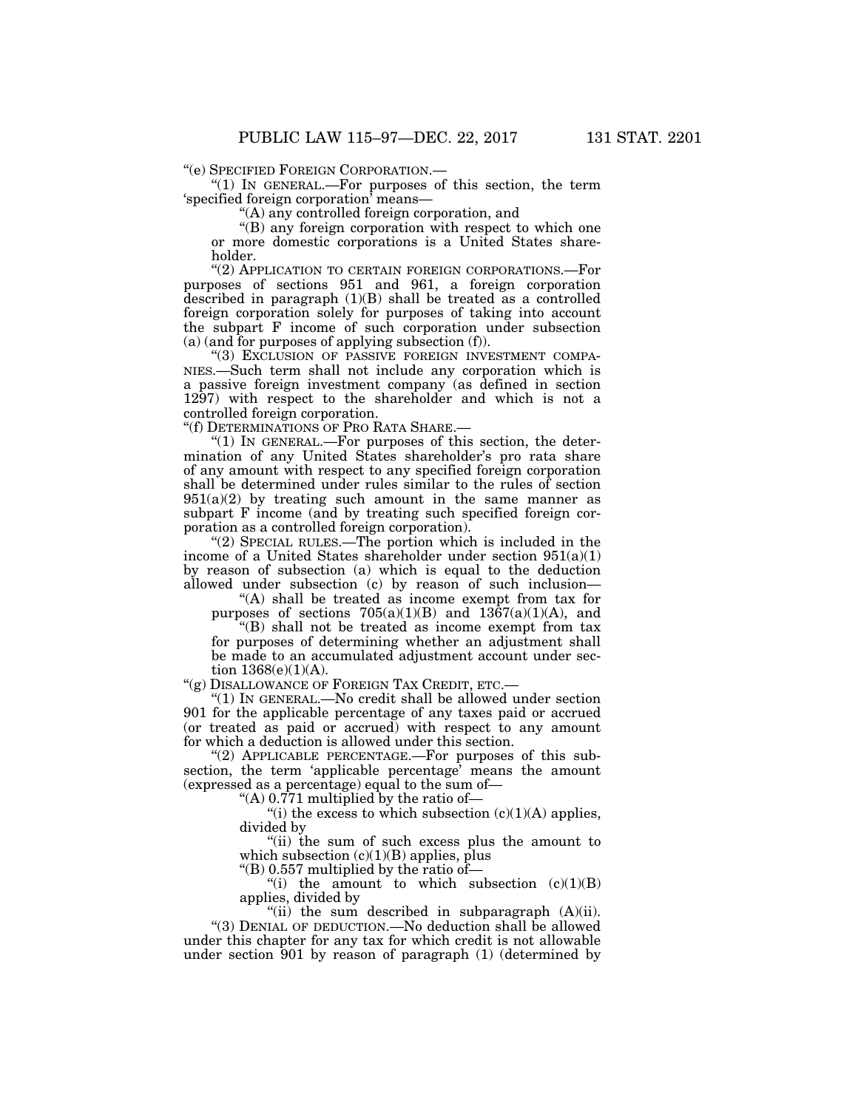" $(1)$  In GENERAL.—For purposes of this section, the term 'specified foreign corporation' means—

''(A) any controlled foreign corporation, and

''(B) any foreign corporation with respect to which one or more domestic corporations is a United States shareholder.

''(2) APPLICATION TO CERTAIN FOREIGN CORPORATIONS.—For purposes of sections 951 and 961, a foreign corporation described in paragraph (1)(B) shall be treated as a controlled foreign corporation solely for purposes of taking into account the subpart F income of such corporation under subsection (a) (and for purposes of applying subsection (f)).

"(3) EXCLUSION OF PASSIVE FOREIGN INVESTMENT COMPA-NIES.—Such term shall not include any corporation which is a passive foreign investment company (as defined in section 1297) with respect to the shareholder and which is not a controlled foreign corporation.

''(f) DETERMINATIONS OF PRO RATA SHARE.—

" $(1)$  In GENERAL.—For purposes of this section, the determination of any United States shareholder's pro rata share of any amount with respect to any specified foreign corporation shall be determined under rules similar to the rules of section  $951(a)(2)$  by treating such amount in the same manner as subpart F income (and by treating such specified foreign corporation as a controlled foreign corporation).

"(2) SPECIAL RULES.—The portion which is included in the income of a United States shareholder under section 951(a)(1) by reason of subsection (a) which is equal to the deduction allowed under subsection (c) by reason of such inclusion—

''(A) shall be treated as income exempt from tax for purposes of sections  $705(a)(1)(B)$  and  $1367(a)(1)(A)$ , and

''(B) shall not be treated as income exempt from tax for purposes of determining whether an adjustment shall be made to an accumulated adjustment account under section  $1368(e)(1)(A)$ .

''(g) DISALLOWANCE OF FOREIGN TAX CREDIT, ETC.—

''(1) IN GENERAL.—No credit shall be allowed under section 901 for the applicable percentage of any taxes paid or accrued (or treated as paid or accrued) with respect to any amount for which a deduction is allowed under this section.

"(2) APPLICABLE PERCENTAGE.—For purposes of this subsection, the term 'applicable percentage' means the amount (expressed as a percentage) equal to the sum of—

"(A)  $0.771$  multiplied by the ratio of-

"(i) the excess to which subsection  $(c)(1)(A)$  applies, divided by

''(ii) the sum of such excess plus the amount to which subsection  $(c)(1)(B)$  applies, plus

 $\mathrm{``(B)}$  0.557 multiplied by the ratio of—

"(i) the amount to which subsection  $(c)(1)(B)$ applies, divided by

"(ii) the sum described in subparagraph  $(A)(ii)$ . ''(3) DENIAL OF DEDUCTION.—No deduction shall be allowed under this chapter for any tax for which credit is not allowable under section 901 by reason of paragraph (1) (determined by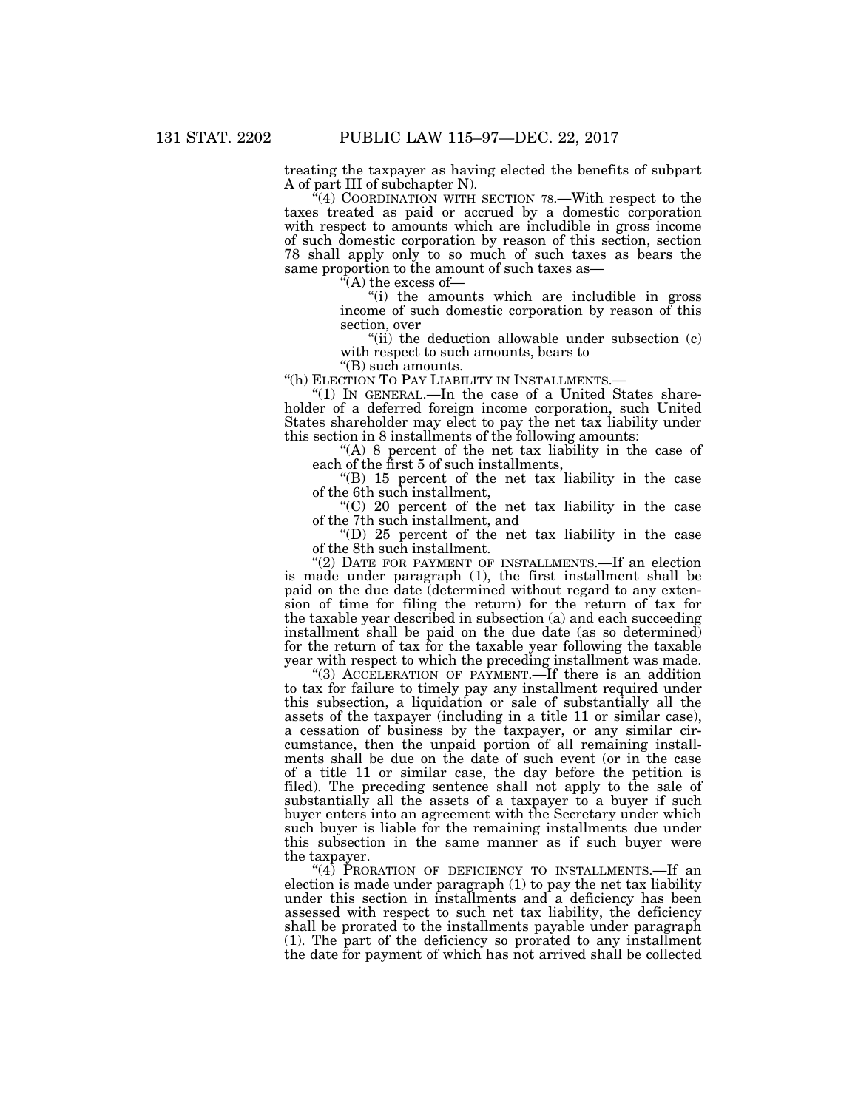treating the taxpayer as having elected the benefits of subpart A of part III of subchapter N).

 $\mathcal{F}(4)$  COORDINATION WITH SECTION 78.—With respect to the taxes treated as paid or accrued by a domestic corporation with respect to amounts which are includible in gross income of such domestic corporation by reason of this section, section 78 shall apply only to so much of such taxes as bears the same proportion to the amount of such taxes as—

''(A) the excess of—

''(i) the amounts which are includible in gross income of such domestic corporation by reason of this section, over

"(ii) the deduction allowable under subsection (c) with respect to such amounts, bears to

"(B) such amounts.<br>"(h) ELECTION TO PAY LIABILITY IN INSTALLMENTS.—

"(1) IN GENERAL.—In the case of a United States shareholder of a deferred foreign income corporation, such United States shareholder may elect to pay the net tax liability under this section in 8 installments of the following amounts:

"(A) 8 percent of the net tax liability in the case of each of the first 5 of such installments,

''(B) 15 percent of the net tax liability in the case of the 6th such installment,

''(C) 20 percent of the net tax liability in the case of the 7th such installment, and

"(D) 25 percent of the net tax liability in the case" of the 8th such installment.

"(2) DATE FOR PAYMENT OF INSTALLMENTS.-If an election is made under paragraph (1), the first installment shall be paid on the due date (determined without regard to any extension of time for filing the return) for the return of tax for the taxable year described in subsection (a) and each succeeding installment shall be paid on the due date (as so determined) for the return of tax for the taxable year following the taxable year with respect to which the preceding installment was made.

''(3) ACCELERATION OF PAYMENT.—If there is an addition to tax for failure to timely pay any installment required under this subsection, a liquidation or sale of substantially all the assets of the taxpayer (including in a title 11 or similar case), a cessation of business by the taxpayer, or any similar circumstance, then the unpaid portion of all remaining installments shall be due on the date of such event (or in the case of a title 11 or similar case, the day before the petition is filed). The preceding sentence shall not apply to the sale of substantially all the assets of a taxpayer to a buyer if such buyer enters into an agreement with the Secretary under which such buyer is liable for the remaining installments due under this subsection in the same manner as if such buyer were the taxpayer.

"(4) PRORATION OF DEFICIENCY TO INSTALLMENTS.—If an election is made under paragraph (1) to pay the net tax liability under this section in installments and a deficiency has been assessed with respect to such net tax liability, the deficiency shall be prorated to the installments payable under paragraph (1). The part of the deficiency so prorated to any installment the date for payment of which has not arrived shall be collected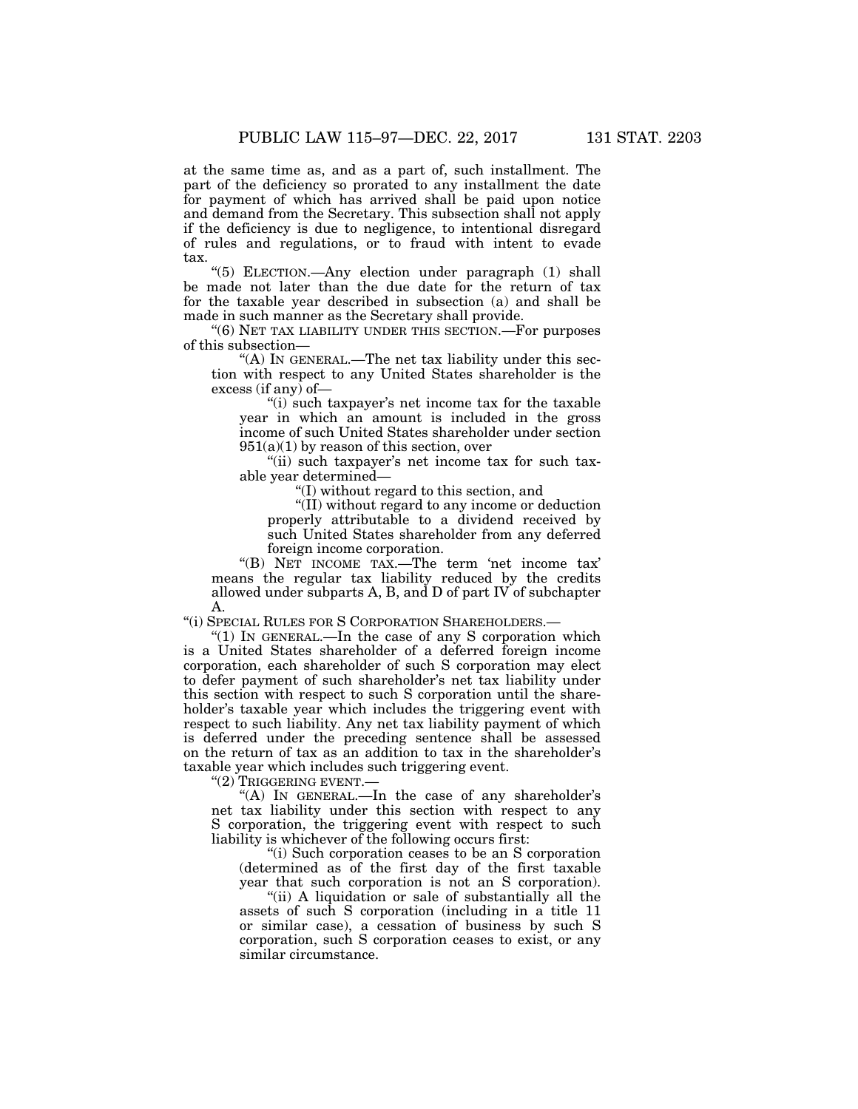at the same time as, and as a part of, such installment. The part of the deficiency so prorated to any installment the date for payment of which has arrived shall be paid upon notice and demand from the Secretary. This subsection shall not apply if the deficiency is due to negligence, to intentional disregard of rules and regulations, or to fraud with intent to evade tax.

''(5) ELECTION.—Any election under paragraph (1) shall be made not later than the due date for the return of tax for the taxable year described in subsection (a) and shall be made in such manner as the Secretary shall provide.

"(6) NET TAX LIABILITY UNDER THIS SECTION.—For purposes of this subsection—

"(A) In GENERAL.—The net tax liability under this section with respect to any United States shareholder is the excess (if any) of—

"(i) such taxpayer's net income tax for the taxable year in which an amount is included in the gross income of such United States shareholder under section  $951(a)(1)$  by reason of this section, over

"(ii) such taxpayer's net income tax for such taxable year determined—

''(I) without regard to this section, and

''(II) without regard to any income or deduction properly attributable to a dividend received by such United States shareholder from any deferred foreign income corporation.

''(B) NET INCOME TAX.—The term 'net income tax' means the regular tax liability reduced by the credits allowed under subparts A, B, and D of part IV of subchapter A.

''(i) SPECIAL RULES FOR S CORPORATION SHAREHOLDERS.—

''(1) IN GENERAL.—In the case of any S corporation which is a United States shareholder of a deferred foreign income corporation, each shareholder of such S corporation may elect to defer payment of such shareholder's net tax liability under this section with respect to such S corporation until the shareholder's taxable year which includes the triggering event with respect to such liability. Any net tax liability payment of which is deferred under the preceding sentence shall be assessed on the return of tax as an addition to tax in the shareholder's taxable year which includes such triggering event.

''(2) TRIGGERING EVENT.—

" $(A)$  In GENERAL.—In the case of any shareholder's net tax liability under this section with respect to any S corporation, the triggering event with respect to such liability is whichever of the following occurs first:

''(i) Such corporation ceases to be an S corporation (determined as of the first day of the first taxable year that such corporation is not an S corporation).

"(ii) A liquidation or sale of substantially all the assets of such S corporation (including in a title 11 or similar case), a cessation of business by such S corporation, such S corporation ceases to exist, or any similar circumstance.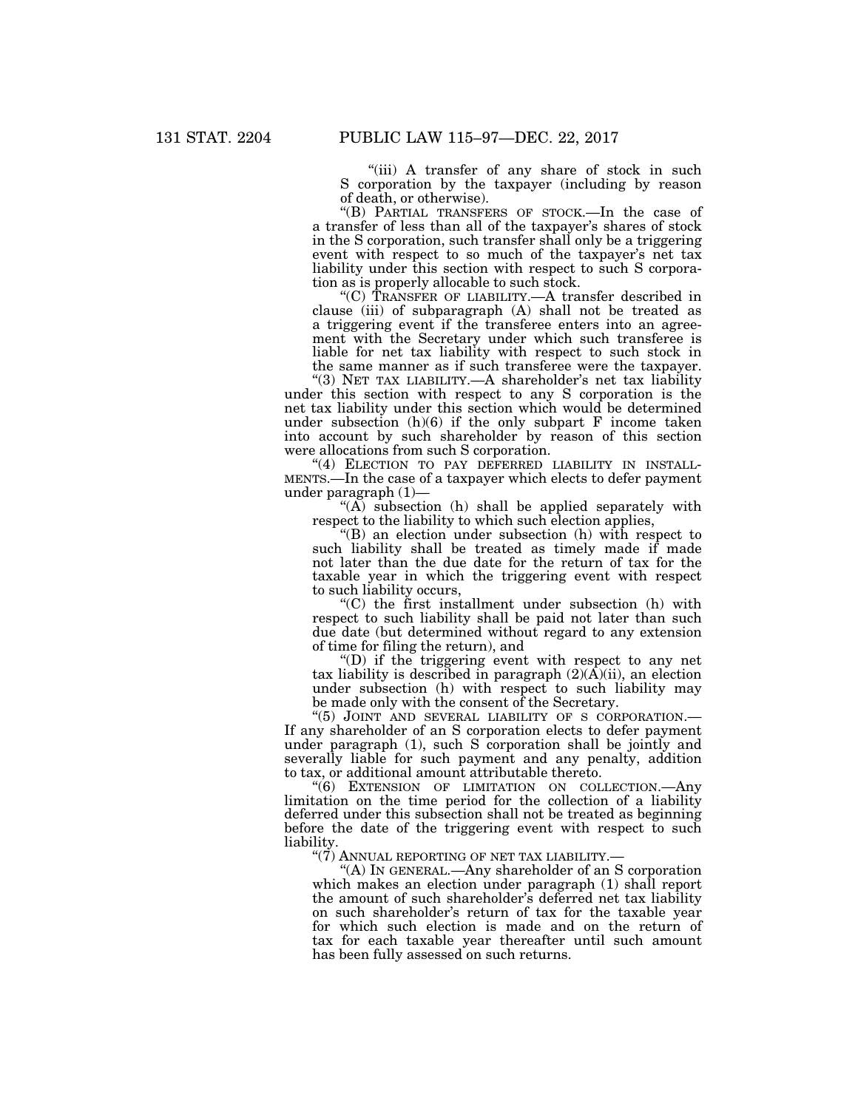"(iii) A transfer of any share of stock in such S corporation by the taxpayer (including by reason of death, or otherwise).

''(B) PARTIAL TRANSFERS OF STOCK.—In the case of a transfer of less than all of the taxpayer's shares of stock in the S corporation, such transfer shall only be a triggering event with respect to so much of the taxpayer's net tax liability under this section with respect to such S corporation as is properly allocable to such stock.

''(C) TRANSFER OF LIABILITY.—A transfer described in clause (iii) of subparagraph (A) shall not be treated as a triggering event if the transferee enters into an agreement with the Secretary under which such transferee is liable for net tax liability with respect to such stock in the same manner as if such transferee were the taxpayer.

''(3) NET TAX LIABILITY.—A shareholder's net tax liability under this section with respect to any S corporation is the net tax liability under this section which would be determined under subsection  $(h)(6)$  if the only subpart F income taken into account by such shareholder by reason of this section were allocations from such S corporation.

"(4) ELECTION TO PAY DEFERRED LIABILITY IN INSTALL-MENTS.—In the case of a taxpayer which elects to defer payment under paragraph (1)—

" $(A)$  subsection  $(h)$  shall be applied separately with respect to the liability to which such election applies,

 $f(B)$  an election under subsection (h) with respect to such liability shall be treated as timely made if made not later than the due date for the return of tax for the taxable year in which the triggering event with respect to such liability occurs,

''(C) the first installment under subsection (h) with respect to such liability shall be paid not later than such due date (but determined without regard to any extension of time for filing the return), and

''(D) if the triggering event with respect to any net tax liability is described in paragraph  $(2)(A)(ii)$ , an election under subsection (h) with respect to such liability may be made only with the consent of the Secretary.

"(5) JOINT AND SEVERAL LIABILITY OF S CORPORATION.-If any shareholder of an S corporation elects to defer payment under paragraph (1), such S corporation shall be jointly and severally liable for such payment and any penalty, addition to tax, or additional amount attributable thereto.

''(6) EXTENSION OF LIMITATION ON COLLECTION.—Any limitation on the time period for the collection of a liability deferred under this subsection shall not be treated as beginning before the date of the triggering event with respect to such liability.

" $(7)$  Annual reporting of net tax liability.–

''(A) IN GENERAL.—Any shareholder of an S corporation which makes an election under paragraph (1) shall report the amount of such shareholder's deferred net tax liability on such shareholder's return of tax for the taxable year for which such election is made and on the return of tax for each taxable year thereafter until such amount has been fully assessed on such returns.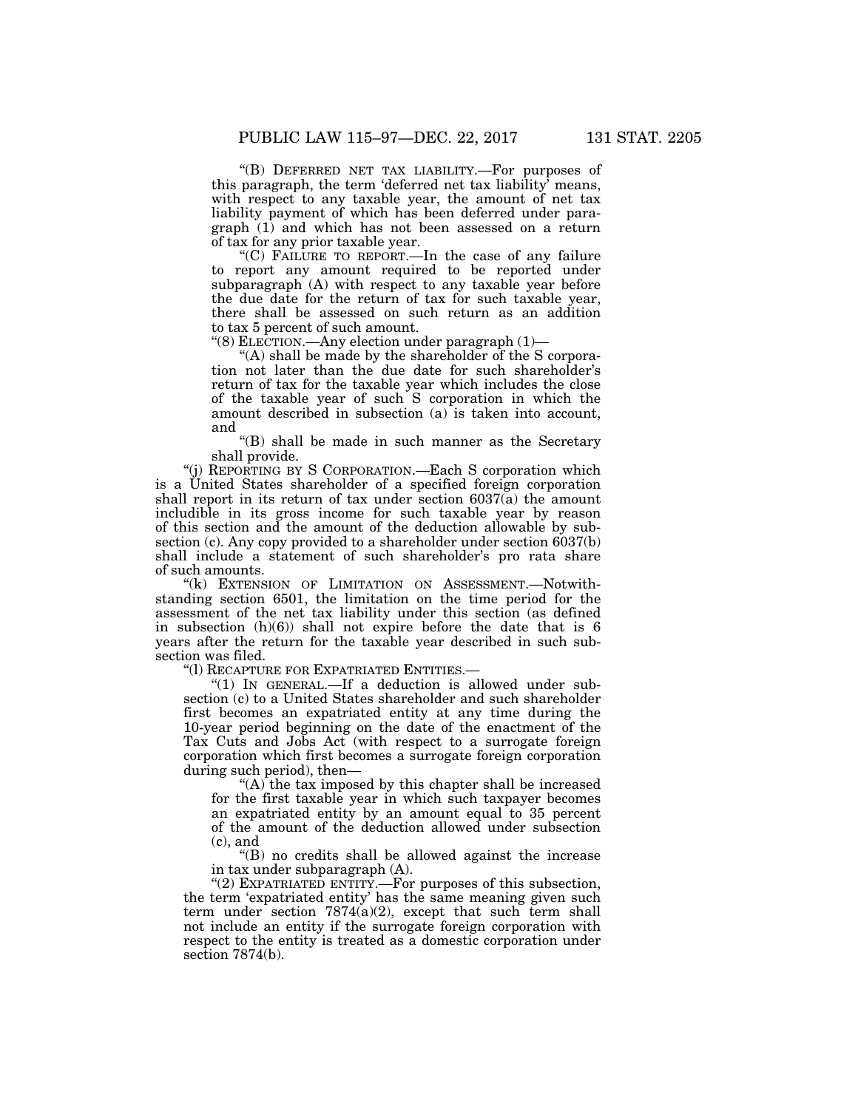"(B) DEFERRED NET TAX LIABILITY.-For purposes of this paragraph, the term 'deferred net tax liability' means, with respect to any taxable year, the amount of net tax liability payment of which has been deferred under paragraph (1) and which has not been assessed on a return of tax for any prior taxable year.

''(C) FAILURE TO REPORT.—In the case of any failure to report any amount required to be reported under subparagraph  $(A)$  with respect to any taxable year before the due date for the return of tax for such taxable year, there shall be assessed on such return as an addition to tax 5 percent of such amount.

''(8) ELECTION.—Any election under paragraph (1)—

"(A) shall be made by the shareholder of the S corporation not later than the due date for such shareholder's return of tax for the taxable year which includes the close of the taxable year of such S corporation in which the amount described in subsection (a) is taken into account, and

''(B) shall be made in such manner as the Secretary shall provide.

''(j) REPORTING BY S CORPORATION.—Each S corporation which is a United States shareholder of a specified foreign corporation shall report in its return of tax under section 6037(a) the amount includible in its gross income for such taxable year by reason of this section and the amount of the deduction allowable by subsection (c). Any copy provided to a shareholder under section 6037(b) shall include a statement of such shareholder's pro rata share of such amounts.

"(k) EXTENSION OF LIMITATION ON ASSESSMENT.—Notwithstanding section 6501, the limitation on the time period for the assessment of the net tax liability under this section (as defined in subsection  $(h)(6)$  shall not expire before the date that is 6 years after the return for the taxable year described in such subsection was filed.

''(l) RECAPTURE FOR EXPATRIATED ENTITIES.—

" $(1)$  IN GENERAL.—If a deduction is allowed under subsection (c) to a United States shareholder and such shareholder first becomes an expatriated entity at any time during the 10-year period beginning on the date of the enactment of the Tax Cuts and Jobs Act (with respect to a surrogate foreign corporation which first becomes a surrogate foreign corporation during such period), then—

 $(A)$  the tax imposed by this chapter shall be increased for the first taxable year in which such taxpayer becomes an expatriated entity by an amount equal to 35 percent of the amount of the deduction allowed under subsection (c), and

''(B) no credits shall be allowed against the increase in tax under subparagraph (A).

"(2) EXPATRIATED ENTITY.—For purposes of this subsection, the term 'expatriated entity' has the same meaning given such term under section  $7874(a)(2)$ , except that such term shall not include an entity if the surrogate foreign corporation with respect to the entity is treated as a domestic corporation under section 7874(b).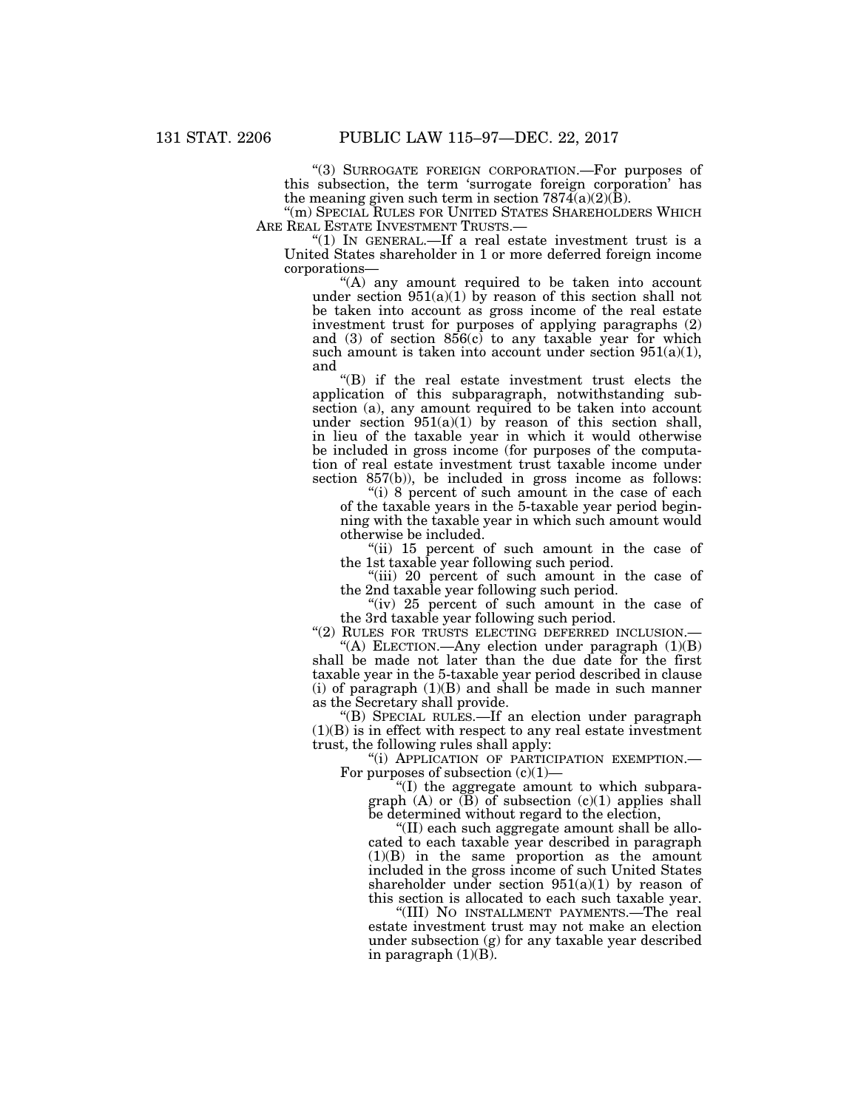"(3) SURROGATE FOREIGN CORPORATION.—For purposes of this subsection, the term 'surrogate foreign corporation' has the meaning given such term in section  $787\overline{4}(a)(2)(\overline{B})$ .

''(m) SPECIAL RULES FOR UNITED STATES SHAREHOLDERS WHICH

"(1) IN GENERAL.—If a real estate investment trust is a United States shareholder in 1 or more deferred foreign income corporations—

 $(A)$  any amount required to be taken into account under section  $951(a)(1)$  by reason of this section shall not be taken into account as gross income of the real estate investment trust for purposes of applying paragraphs (2) and  $(3)$  of section  $856(c)$  to any taxable year for which such amount is taken into account under section  $951(a)(1)$ , and

''(B) if the real estate investment trust elects the application of this subparagraph, notwithstanding subsection (a), any amount required to be taken into account under section  $951(a)(1)$  by reason of this section shall, in lieu of the taxable year in which it would otherwise be included in gross income (for purposes of the computation of real estate investment trust taxable income under section 857(b)), be included in gross income as follows:

"(i) 8 percent of such amount in the case of each of the taxable years in the 5-taxable year period beginning with the taxable year in which such amount would otherwise be included.

"(ii) 15 percent of such amount in the case of the 1st taxable year following such period.

"(iii) 20 percent of such amount in the case of the 2nd taxable year following such period.

"(iv) 25 percent of such amount in the case of the 3rd taxable year following such period.

"(2) RULES FOR TRUSTS ELECTING DEFERRED INCLUSION.-"(A) ELECTION.—Any election under paragraph  $(1)(B)$ shall be made not later than the due date for the first taxable year in the 5-taxable year period described in clause (i) of paragraph  $(1)(B)$  and shall be made in such manner as the Secretary shall provide.

''(B) SPECIAL RULES.—If an election under paragraph  $(1)(B)$  is in effect with respect to any real estate investment trust, the following rules shall apply:

''(i) APPLICATION OF PARTICIPATION EXEMPTION.— For purposes of subsection  $(c)(1)$ —

''(I) the aggregate amount to which subparagraph  $(A)$  or  $(B)$  of subsection  $(c)(1)$  applies shall be determined without regard to the election,

''(II) each such aggregate amount shall be allocated to each taxable year described in paragraph (1)(B) in the same proportion as the amount included in the gross income of such United States shareholder under section  $951(a)(1)$  by reason of this section is allocated to each such taxable year.

''(III) NO INSTALLMENT PAYMENTS.—The real estate investment trust may not make an election under subsection (g) for any taxable year described in paragraph  $(1)(B)$ .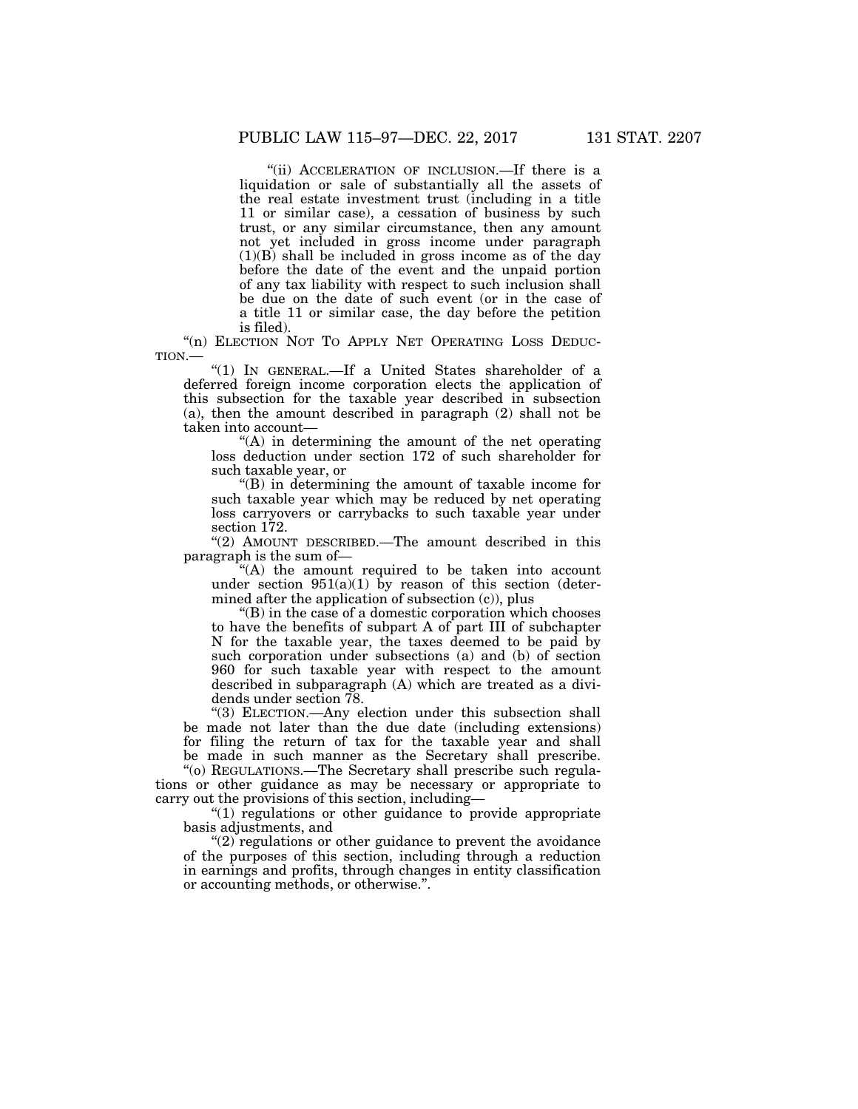''(ii) ACCELERATION OF INCLUSION.—If there is a liquidation or sale of substantially all the assets of the real estate investment trust (including in a title 11 or similar case), a cessation of business by such trust, or any similar circumstance, then any amount not yet included in gross income under paragraph  $(1)(B)$  shall be included in gross income as of the day before the date of the event and the unpaid portion of any tax liability with respect to such inclusion shall be due on the date of such event (or in the case of a title 11 or similar case, the day before the petition is filed).

"(n) ELECTION NOT TO APPLY NET OPERATING LOSS DEDUC-TION.—

''(1) IN GENERAL.—If a United States shareholder of a deferred foreign income corporation elects the application of this subsection for the taxable year described in subsection (a), then the amount described in paragraph (2) shall not be taken into account—

''(A) in determining the amount of the net operating loss deduction under section 172 of such shareholder for such taxable year, or

''(B) in determining the amount of taxable income for such taxable year which may be reduced by net operating loss carryovers or carrybacks to such taxable year under section 172.

''(2) AMOUNT DESCRIBED.—The amount described in this paragraph is the sum of—

''(A) the amount required to be taken into account under section  $951(a)(1)$  by reason of this section (determined after the application of subsection (c)), plus

''(B) in the case of a domestic corporation which chooses to have the benefits of subpart A of part III of subchapter N for the taxable year, the taxes deemed to be paid by such corporation under subsections (a) and (b) of section 960 for such taxable year with respect to the amount described in subparagraph (A) which are treated as a dividends under section 78.

''(3) ELECTION.—Any election under this subsection shall be made not later than the due date (including extensions) for filing the return of tax for the taxable year and shall be made in such manner as the Secretary shall prescribe.

''(o) REGULATIONS.—The Secretary shall prescribe such regulations or other guidance as may be necessary or appropriate to carry out the provisions of this section, including—

''(1) regulations or other guidance to provide appropriate basis adjustments, and

 $''(2)$  regulations or other guidance to prevent the avoidance of the purposes of this section, including through a reduction in earnings and profits, through changes in entity classification or accounting methods, or otherwise.''.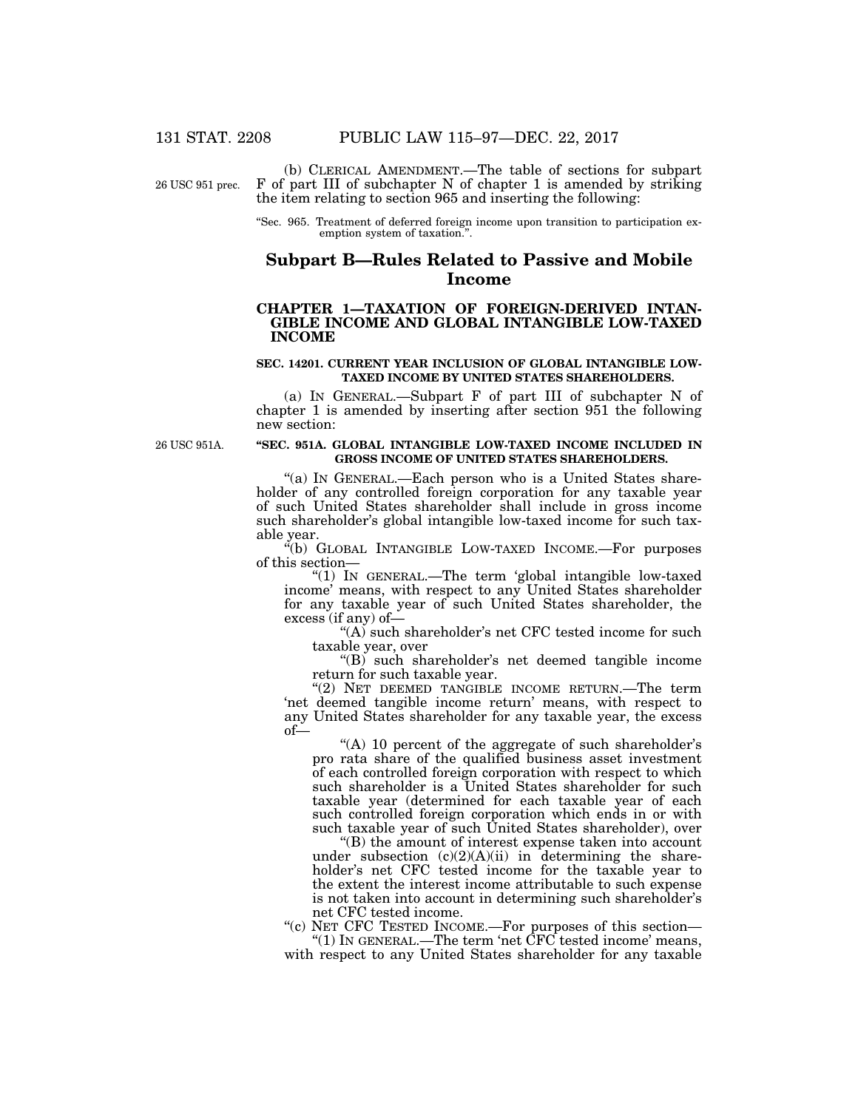26 USC 951 prec.

(b) CLERICAL AMENDMENT.—The table of sections for subpart F of part III of subchapter N of chapter 1 is amended by striking the item relating to section 965 and inserting the following:

''Sec. 965. Treatment of deferred foreign income upon transition to participation exemption system of taxation.''.

### **Subpart B—Rules Related to Passive and Mobile Income**

### **CHAPTER 1—TAXATION OF FOREIGN-DERIVED INTAN-GIBLE INCOME AND GLOBAL INTANGIBLE LOW-TAXED INCOME**

#### **SEC. 14201. CURRENT YEAR INCLUSION OF GLOBAL INTANGIBLE LOW-TAXED INCOME BY UNITED STATES SHAREHOLDERS.**

(a) IN GENERAL.—Subpart F of part III of subchapter N of chapter 1 is amended by inserting after section 951 the following new section:

26 USC 951A.

#### **''SEC. 951A. GLOBAL INTANGIBLE LOW-TAXED INCOME INCLUDED IN GROSS INCOME OF UNITED STATES SHAREHOLDERS.**

"(a) IN GENERAL.—Each person who is a United States shareholder of any controlled foreign corporation for any taxable year of such United States shareholder shall include in gross income such shareholder's global intangible low-taxed income for such taxable year.

''(b) GLOBAL INTANGIBLE LOW-TAXED INCOME.—For purposes of this section—

''(1) IN GENERAL.—The term 'global intangible low-taxed income' means, with respect to any United States shareholder for any taxable year of such United States shareholder, the excess (if any) of—

"(A) such shareholder's net CFC tested income for such taxable year, over

"(B) such shareholder's net deemed tangible income return for such taxable year.

"(2) NET DEEMED TANGIBLE INCOME RETURN.—The term 'net deemed tangible income return' means, with respect to any United States shareholder for any taxable year, the excess of—

"(A) 10 percent of the aggregate of such shareholder's pro rata share of the qualified business asset investment of each controlled foreign corporation with respect to which such shareholder is a United States shareholder for such taxable year (determined for each taxable year of each such controlled foreign corporation which ends in or with such taxable year of such United States shareholder), over

''(B) the amount of interest expense taken into account under subsection  $(c)(2)(A)(ii)$  in determining the shareholder's net CFC tested income for the taxable year to the extent the interest income attributable to such expense is not taken into account in determining such shareholder's net CFC tested income.

"(c) NET CFC TESTED INCOME.—For purposes of this section—

''(1) IN GENERAL.—The term 'net CFC tested income' means, with respect to any United States shareholder for any taxable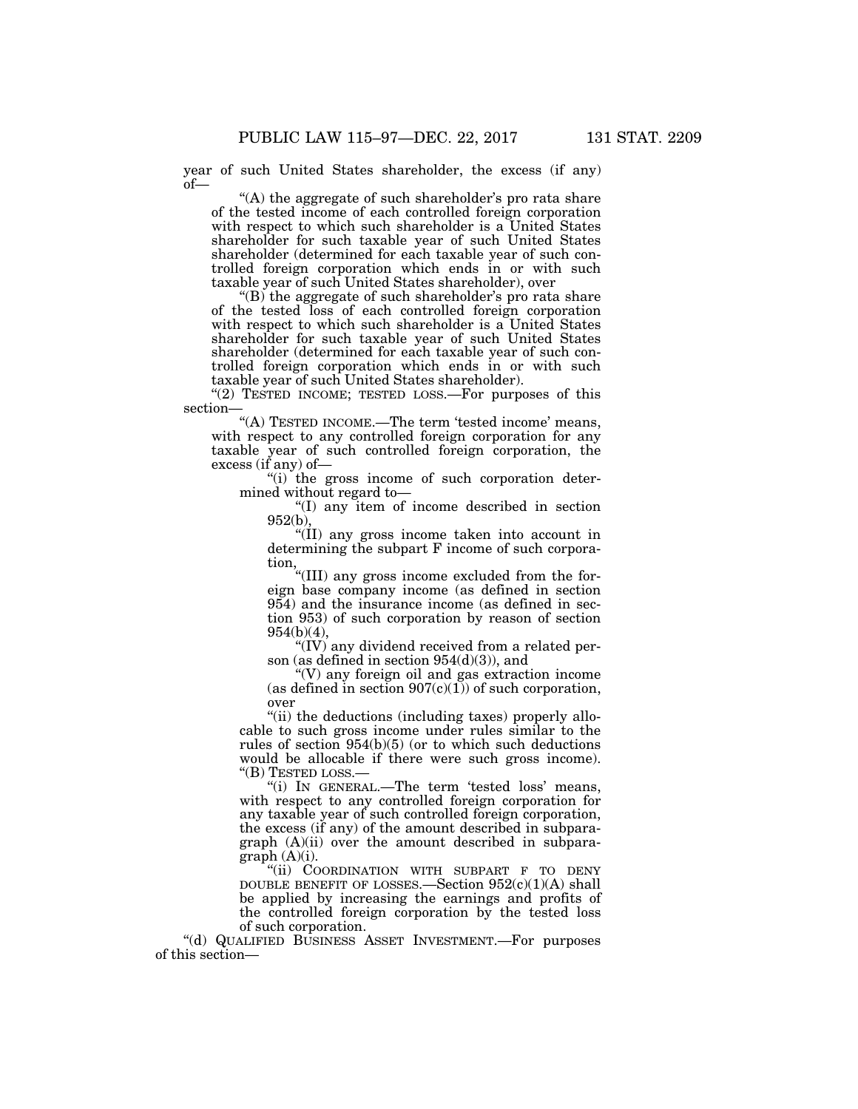year of such United States shareholder, the excess (if any) of—

"(A) the aggregate of such shareholder's pro rata share of the tested income of each controlled foreign corporation with respect to which such shareholder is a United States shareholder for such taxable year of such United States shareholder (determined for each taxable year of such controlled foreign corporation which ends in or with such taxable year of such United States shareholder), over

"(B) the aggregate of such shareholder's pro rata share of the tested loss of each controlled foreign corporation with respect to which such shareholder is a United States shareholder for such taxable year of such United States shareholder (determined for each taxable year of such controlled foreign corporation which ends in or with such taxable year of such United States shareholder).

"(2) TESTED INCOME; TESTED LOSS.—For purposes of this section—

"(A) TESTED INCOME.—The term 'tested income' means, with respect to any controlled foreign corporation for any taxable year of such controlled foreign corporation, the excess (if any) of—

"(i) the gross income of such corporation determined without regard to—

''(I) any item of income described in section 952(b),

''(II) any gross income taken into account in determining the subpart F income of such corporation,

''(III) any gross income excluded from the foreign base company income (as defined in section 954) and the insurance income (as defined in section 953) of such corporation by reason of section 954(b)(4),

''(IV) any dividend received from a related person (as defined in section 954(d)(3)), and

''(V) any foreign oil and gas extraction income (as defined in section  $907(c)(1)$ ) of such corporation, over

"(ii) the deductions (including taxes) properly allocable to such gross income under rules similar to the rules of section 954(b)(5) (or to which such deductions would be allocable if there were such gross income). ''(B) TESTED LOSS.—

''(i) IN GENERAL.—The term 'tested loss' means, with respect to any controlled foreign corporation for any taxable year of such controlled foreign corporation, the excess (if any) of the amount described in subparagraph (A)(ii) over the amount described in subparagraph (A)(i).

''(ii) COORDINATION WITH SUBPART F TO DENY DOUBLE BENEFIT OF LOSSES.—Section 952(c)(1)(A) shall be applied by increasing the earnings and profits of the controlled foreign corporation by the tested loss of such corporation.

''(d) QUALIFIED BUSINESS ASSET INVESTMENT.—For purposes of this section—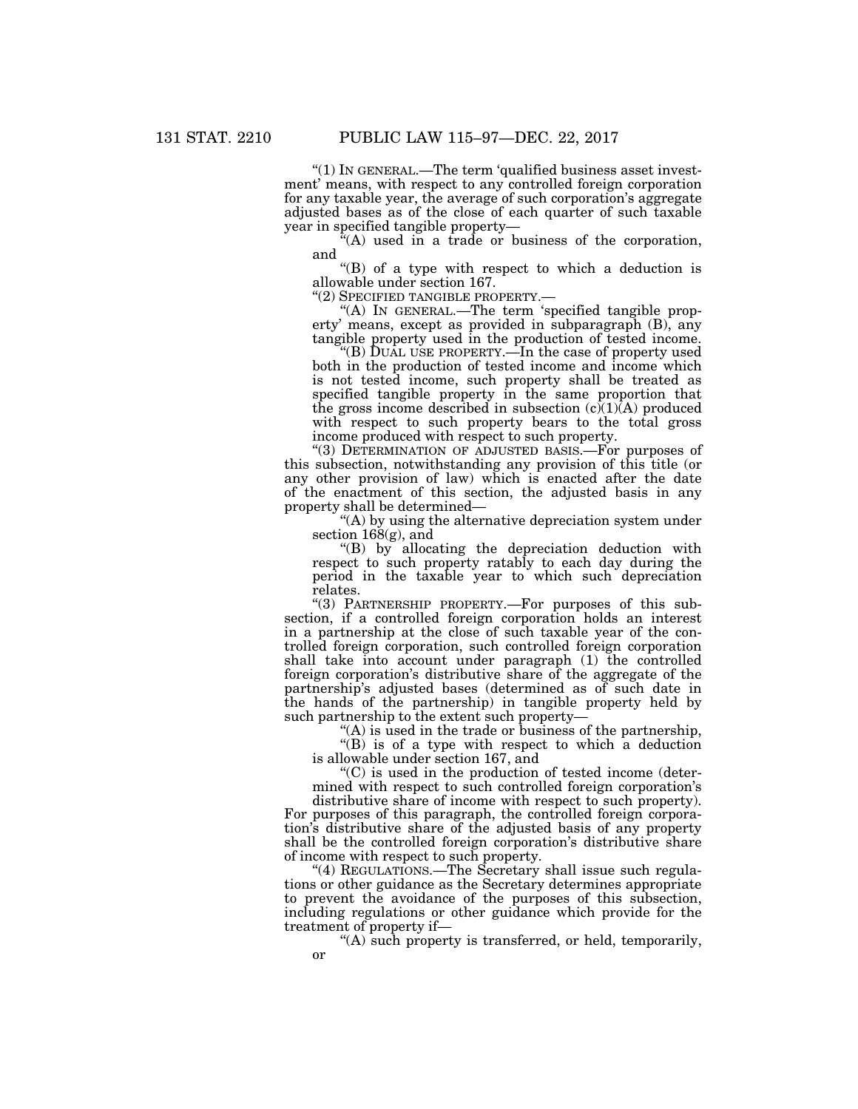''(1) IN GENERAL.—The term 'qualified business asset investment' means, with respect to any controlled foreign corporation for any taxable year, the average of such corporation's aggregate adjusted bases as of the close of each quarter of such taxable year in specified tangible property—

 $\ddot{f}(A)$  used in a trade or business of the corporation, and

''(B) of a type with respect to which a deduction is allowable under section 167.<br>"(2) SPECIFIED TANGIBLE PROPERTY.—

"(A) IN GENERAL.—The term 'specified tangible property' means, except as provided in subparagraph (B), any tangible property used in the production of tested income.

''(B) DUAL USE PROPERTY.—In the case of property used both in the production of tested income and income which is not tested income, such property shall be treated as specified tangible property in the same proportion that the gross income described in subsection  $(c)(1)(A)$  produced with respect to such property bears to the total gross income produced with respect to such property.

''(3) DETERMINATION OF ADJUSTED BASIS.—For purposes of this subsection, notwithstanding any provision of this title (or any other provision of law) which is enacted after the date of the enactment of this section, the adjusted basis in any property shall be determined—

''(A) by using the alternative depreciation system under section 168(g), and

''(B) by allocating the depreciation deduction with respect to such property ratably to each day during the period in the taxable year to which such depreciation relates.

''(3) PARTNERSHIP PROPERTY.—For purposes of this subsection, if a controlled foreign corporation holds an interest in a partnership at the close of such taxable year of the controlled foreign corporation, such controlled foreign corporation shall take into account under paragraph (1) the controlled foreign corporation's distributive share of the aggregate of the partnership's adjusted bases (determined as of such date in the hands of the partnership) in tangible property held by such partnership to the extent such property—

''(A) is used in the trade or business of the partnership,

''(B) is of a type with respect to which a deduction is allowable under section 167, and

 $C$ ) is used in the production of tested income (determined with respect to such controlled foreign corporation's

distributive share of income with respect to such property). For purposes of this paragraph, the controlled foreign corporation's distributive share of the adjusted basis of any property shall be the controlled foreign corporation's distributive share of income with respect to such property.

"(4) REGULATIONS.—The Secretary shall issue such regulations or other guidance as the Secretary determines appropriate to prevent the avoidance of the purposes of this subsection, including regulations or other guidance which provide for the treatment of property if—

''(A) such property is transferred, or held, temporarily, or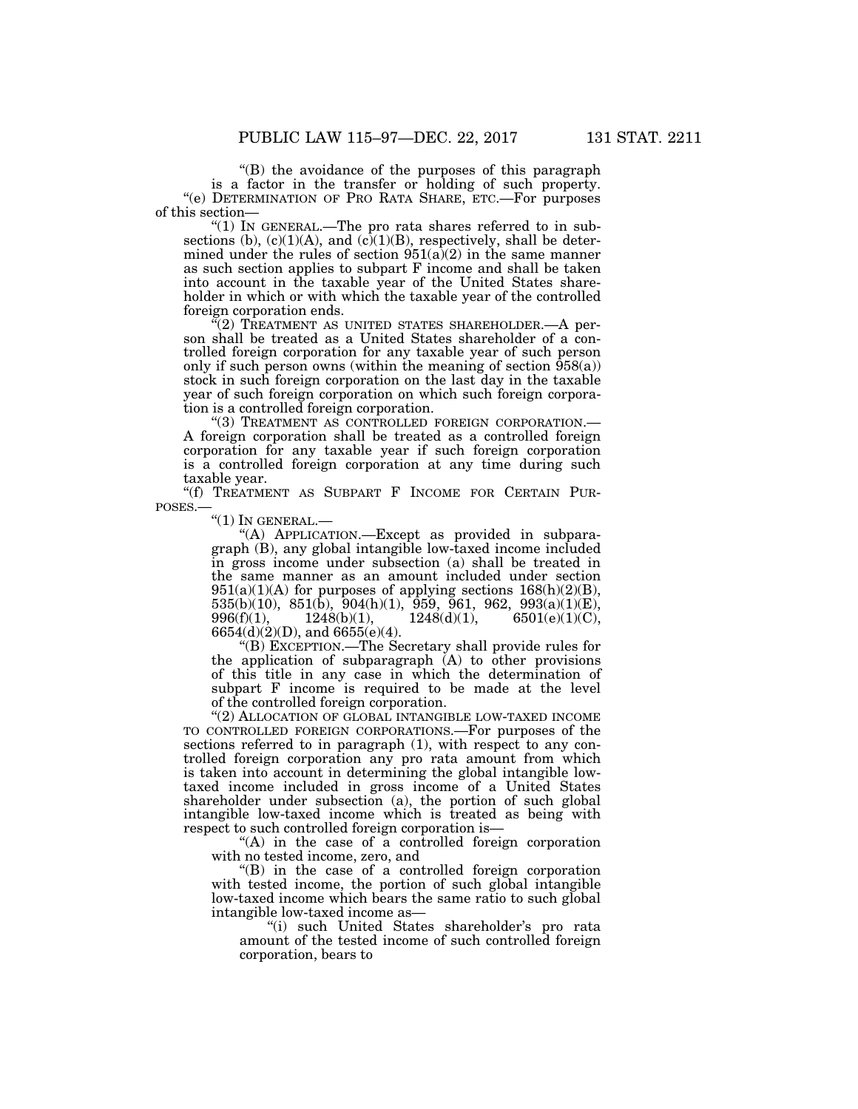''(B) the avoidance of the purposes of this paragraph is a factor in the transfer or holding of such property. ''(e) DETERMINATION OF PRO RATA SHARE, ETC.—For purposes of this section—

" $(1)$  In GENERAL.—The pro rata shares referred to in subsections (b),  $(c)(1)(A)$ , and  $(c)(1)(B)$ , respectively, shall be determined under the rules of section  $951(a)(2)$  in the same manner as such section applies to subpart F income and shall be taken into account in the taxable year of the United States shareholder in which or with which the taxable year of the controlled foreign corporation ends.

 $(2)$  TREATMENT AS UNITED STATES SHAREHOLDER.—A person shall be treated as a United States shareholder of a controlled foreign corporation for any taxable year of such person only if such person owns (within the meaning of section  $\overline{958(a)}$ ) stock in such foreign corporation on the last day in the taxable year of such foreign corporation on which such foreign corporation is a controlled foreign corporation.

''(3) TREATMENT AS CONTROLLED FOREIGN CORPORATION.— A foreign corporation shall be treated as a controlled foreign corporation for any taxable year if such foreign corporation is a controlled foreign corporation at any time during such taxable year.

"(f) TREATMENT AS SUBPART F INCOME FOR CERTAIN PUR-POSES.—

 $\mathrm{``(1)}$  In GENERAL.—

''(A) APPLICATION.—Except as provided in subparagraph (B), any global intangible low-taxed income included in gross income under subsection (a) shall be treated in the same manner as an amount included under section  $951(a)(1)(A)$  for purposes of applying sections  $168(h)(2)(B)$ , 535(b)(10), 851(b), 904(h)(1), 959, 961, 962, 993(a)(1)(E),  $996(f)(1),$   $1248(b)(1),$   $1248(d)(1),$   $6501(e)(1)(C),$ 6654(d)(2)(D), and 6655(e)(4).

''(B) EXCEPTION.—The Secretary shall provide rules for the application of subparagraph  $(A)$  to other provisions of this title in any case in which the determination of subpart F income is required to be made at the level of the controlled foreign corporation.

"(2) ALLOCATION OF GLOBAL INTANGIBLE LOW-TAXED INCOME TO CONTROLLED FOREIGN CORPORATIONS.—For purposes of the sections referred to in paragraph  $(1)$ , with respect to any controlled foreign corporation any pro rata amount from which is taken into account in determining the global intangible lowtaxed income included in gross income of a United States shareholder under subsection (a), the portion of such global intangible low-taxed income which is treated as being with respect to such controlled foreign corporation is—

''(A) in the case of a controlled foreign corporation with no tested income, zero, and

''(B) in the case of a controlled foreign corporation with tested income, the portion of such global intangible low-taxed income which bears the same ratio to such global intangible low-taxed income as—

''(i) such United States shareholder's pro rata amount of the tested income of such controlled foreign corporation, bears to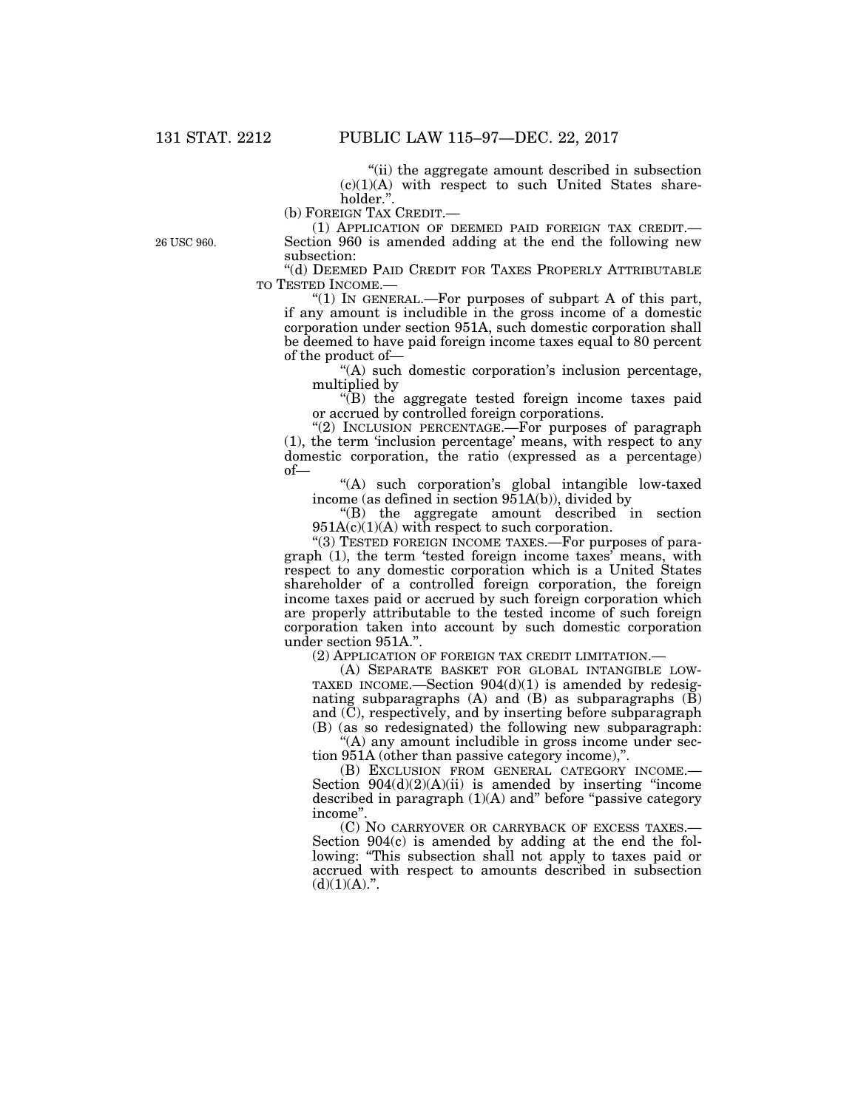''(ii) the aggregate amount described in subsection  $(c)(1)(A)$  with respect to such United States shareholder.

(b) FOREIGN TAX CREDIT.—

(1) APPLICATION OF DEEMED PAID FOREIGN TAX CREDIT.— Section 960 is amended adding at the end the following new subsection:

''(d) DEEMED PAID CREDIT FOR TAXES PROPERLY ATTRIBUTABLE TO TESTED INCOME.—

''(1) IN GENERAL.—For purposes of subpart A of this part, if any amount is includible in the gross income of a domestic corporation under section 951A, such domestic corporation shall be deemed to have paid foreign income taxes equal to 80 percent of the product of—

''(A) such domestic corporation's inclusion percentage, multiplied by

 $\sqrt{\text{B}}$  the aggregate tested foreign income taxes paid or accrued by controlled foreign corporations.

"(2) INCLUSION PERCENTAGE.—For purposes of paragraph (1), the term 'inclusion percentage' means, with respect to any domestic corporation, the ratio (expressed as a percentage) of—

"(A) such corporation's global intangible low-taxed income (as defined in section 951A(b)), divided by

''(B) the aggregate amount described in section  $951A(c)(1)(A)$  with respect to such corporation.

"(3) TESTED FOREIGN INCOME TAXES.—For purposes of paragraph (1), the term 'tested foreign income taxes' means, with respect to any domestic corporation which is a United States shareholder of a controlled foreign corporation, the foreign income taxes paid or accrued by such foreign corporation which are properly attributable to the tested income of such foreign corporation taken into account by such domestic corporation under section 951A.''.

(2) APPLICATION OF FOREIGN TAX CREDIT LIMITATION.—

(A) SEPARATE BASKET FOR GLOBAL INTANGIBLE LOW-TAXED INCOME.—Section 904(d)(1) is amended by redesignating subparagraphs  $(A)$  and  $(B)$  as subparagraphs  $(\overline{B})$ and (C), respectively, and by inserting before subparagraph (B) (as so redesignated) the following new subparagraph:

"(A) any amount includible in gross income under section 951A (other than passive category income),''.

(B) EXCLUSION FROM GENERAL CATEGORY INCOME.— Section  $904(d)(2)(A)(ii)$  is amended by inserting "income" described in paragraph  $(1)(A)$  and" before "passive category income''.

(C) NO CARRYOVER OR CARRYBACK OF EXCESS TAXES.— Section 904(c) is amended by adding at the end the following: "This subsection shall not apply to taxes paid or accrued with respect to amounts described in subsection  $(d)(1)(A).$ ".

26 USC 960.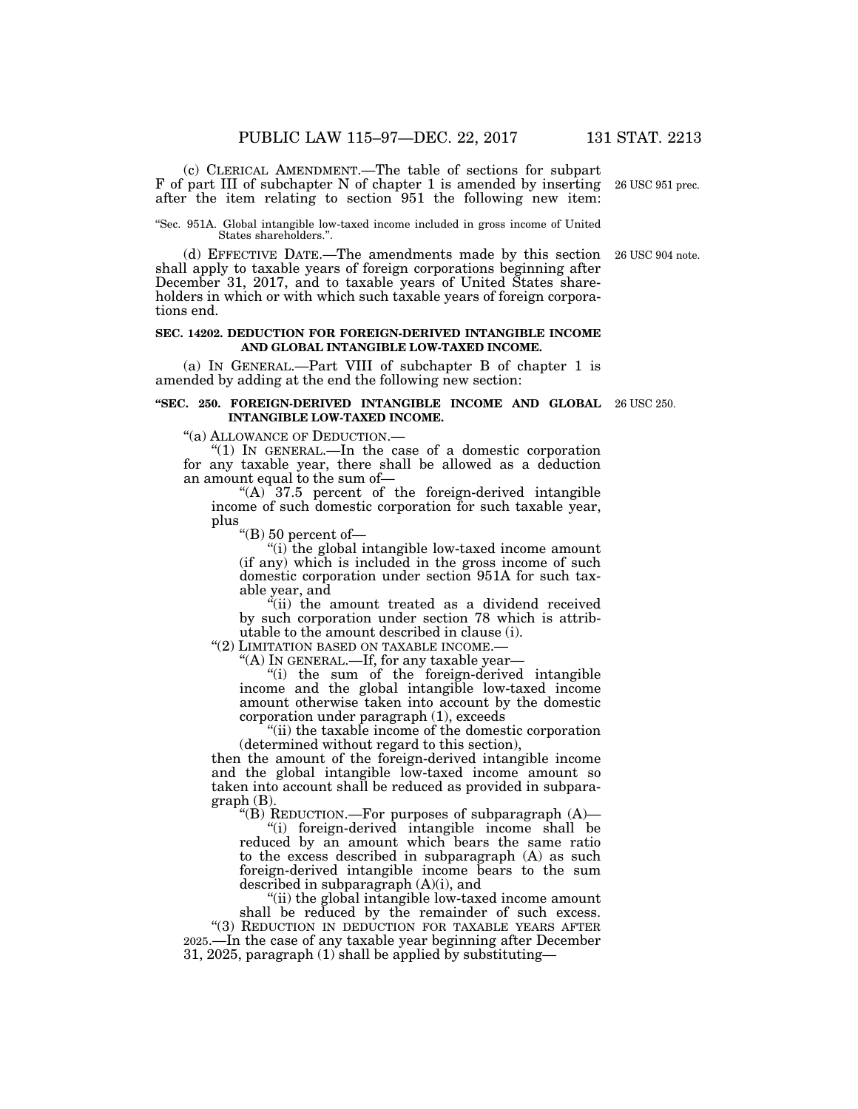(c) CLERICAL AMENDMENT.—The table of sections for subpart F of part III of subchapter N of chapter 1 is amended by inserting after the item relating to section 951 the following new item:

''Sec. 951A. Global intangible low-taxed income included in gross income of United States shareholders."

(d) EFFECTIVE DATE.—The amendments made by this section shall apply to taxable years of foreign corporations beginning after December 31, 2017, and to taxable years of United States shareholders in which or with which such taxable years of foreign corporations end.

#### **SEC. 14202. DEDUCTION FOR FOREIGN-DERIVED INTANGIBLE INCOME AND GLOBAL INTANGIBLE LOW-TAXED INCOME.**

(a) IN GENERAL.—Part VIII of subchapter B of chapter 1 is amended by adding at the end the following new section:

#### **''SEC. 250. FOREIGN-DERIVED INTANGIBLE INCOME AND GLOBAL**  26 USC 250. **INTANGIBLE LOW-TAXED INCOME.**

''(a) ALLOWANCE OF DEDUCTION.—

''(1) IN GENERAL.—In the case of a domestic corporation for any taxable year, there shall be allowed as a deduction an amount equal to the sum of—

" $(A)$  37.5 percent of the foreign-derived intangible income of such domestic corporation for such taxable year, plus

''(B) 50 percent of—

''(i) the global intangible low-taxed income amount (if any) which is included in the gross income of such domestic corporation under section 951A for such taxable year, and

"(ii) the amount treated as a dividend received by such corporation under section 78 which is attributable to the amount described in clause (i).

''(2) LIMITATION BASED ON TAXABLE INCOME.— ''(A) IN GENERAL.—If, for any taxable year—

''(i) the sum of the foreign-derived intangible income and the global intangible low-taxed income amount otherwise taken into account by the domestic corporation under paragraph (1), exceeds

''(ii) the taxable income of the domestic corporation (determined without regard to this section),

then the amount of the foreign-derived intangible income and the global intangible low-taxed income amount so taken into account shall be reduced as provided in subparagraph (B).

''(B) REDUCTION.—For purposes of subparagraph (A)—

''(i) foreign-derived intangible income shall be reduced by an amount which bears the same ratio to the excess described in subparagraph (A) as such foreign-derived intangible income bears to the sum described in subparagraph (A)(i), and

''(ii) the global intangible low-taxed income amount shall be reduced by the remainder of such excess. "(3) REDUCTION IN DEDUCTION FOR TAXABLE YEARS AFTER 2025.—In the case of any taxable year beginning after December 31, 2025, paragraph (1) shall be applied by substituting—

26 USC 904 note.

26 USC 951 prec.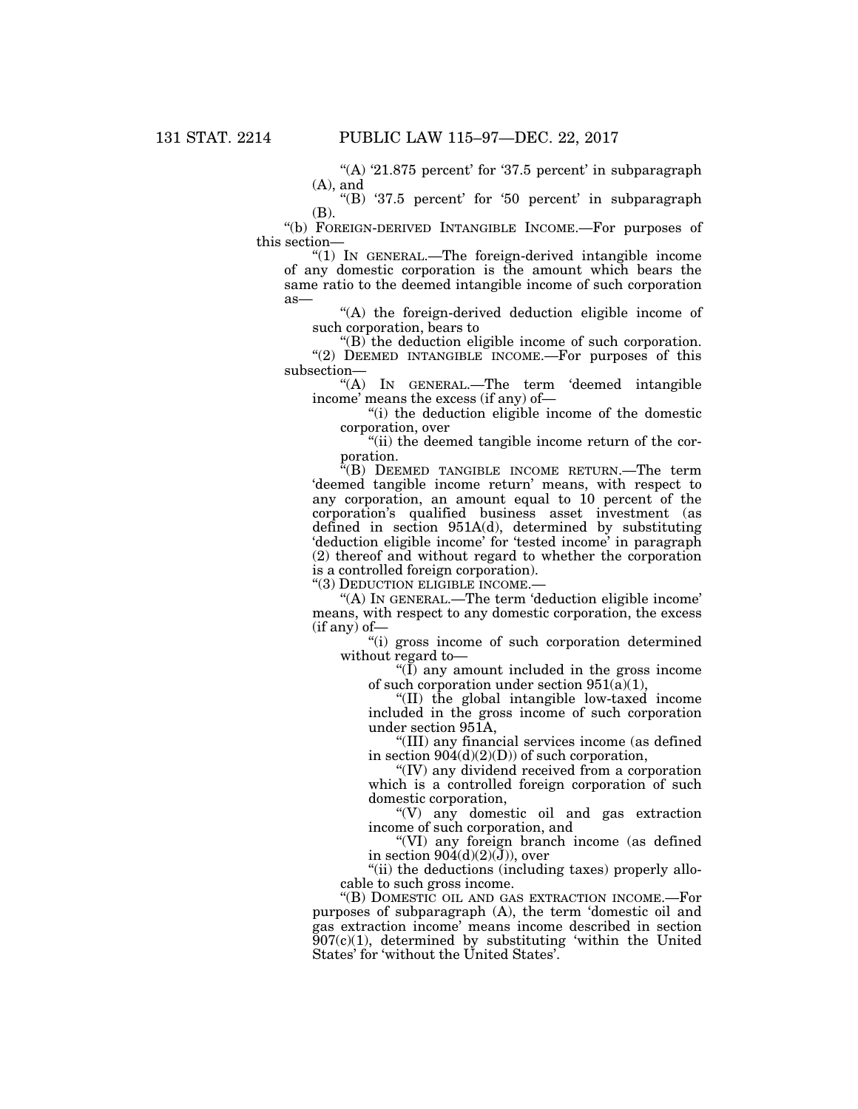"(A)  $21.875$  percent' for  $37.5$  percent' in subparagraph (A), and

''(B) '37.5 percent' for '50 percent' in subparagraph  $(R)$ .

''(b) FOREIGN-DERIVED INTANGIBLE INCOME.—For purposes of this section—

''(1) IN GENERAL.—The foreign-derived intangible income of any domestic corporation is the amount which bears the same ratio to the deemed intangible income of such corporation as—

''(A) the foreign-derived deduction eligible income of such corporation, bears to

 $\mathrm{``(B)}$  the deduction eligible income of such corporation. "(2) DEEMED INTANGIBLE INCOME.—For purposes of this subsection—

''(A) IN GENERAL.—The term 'deemed intangible income' means the excess (if any) of—

''(i) the deduction eligible income of the domestic corporation, over

"(ii) the deemed tangible income return of the corporation.

''(B) DEEMED TANGIBLE INCOME RETURN.—The term 'deemed tangible income return' means, with respect to any corporation, an amount equal to 10 percent of the corporation's qualified business asset investment (as defined in section 951A(d), determined by substituting 'deduction eligible income' for 'tested income' in paragraph (2) thereof and without regard to whether the corporation is a controlled foreign corporation).

''(3) DEDUCTION ELIGIBLE INCOME.—

''(A) IN GENERAL.—The term 'deduction eligible income' means, with respect to any domestic corporation, the excess  $(i$ f any) of-

''(i) gross income of such corporation determined without regard to—

" $(\overline{I})$  any amount included in the gross income of such corporation under section  $951(a)(1)$ ,

''(II) the global intangible low-taxed income included in the gross income of such corporation under section 951A,

''(III) any financial services income (as defined in section  $904(d)(2)(D)$  of such corporation,

''(IV) any dividend received from a corporation which is a controlled foreign corporation of such domestic corporation,

''(V) any domestic oil and gas extraction income of such corporation, and

''(VI) any foreign branch income (as defined in section  $904(d)(2)(J)$ ), over

"(ii) the deductions (including taxes) properly allocable to such gross income.

''(B) DOMESTIC OIL AND GAS EXTRACTION INCOME.—For purposes of subparagraph (A), the term 'domestic oil and gas extraction income' means income described in section  $907(c)(1)$ , determined by substituting 'within the United States' for 'without the United States'.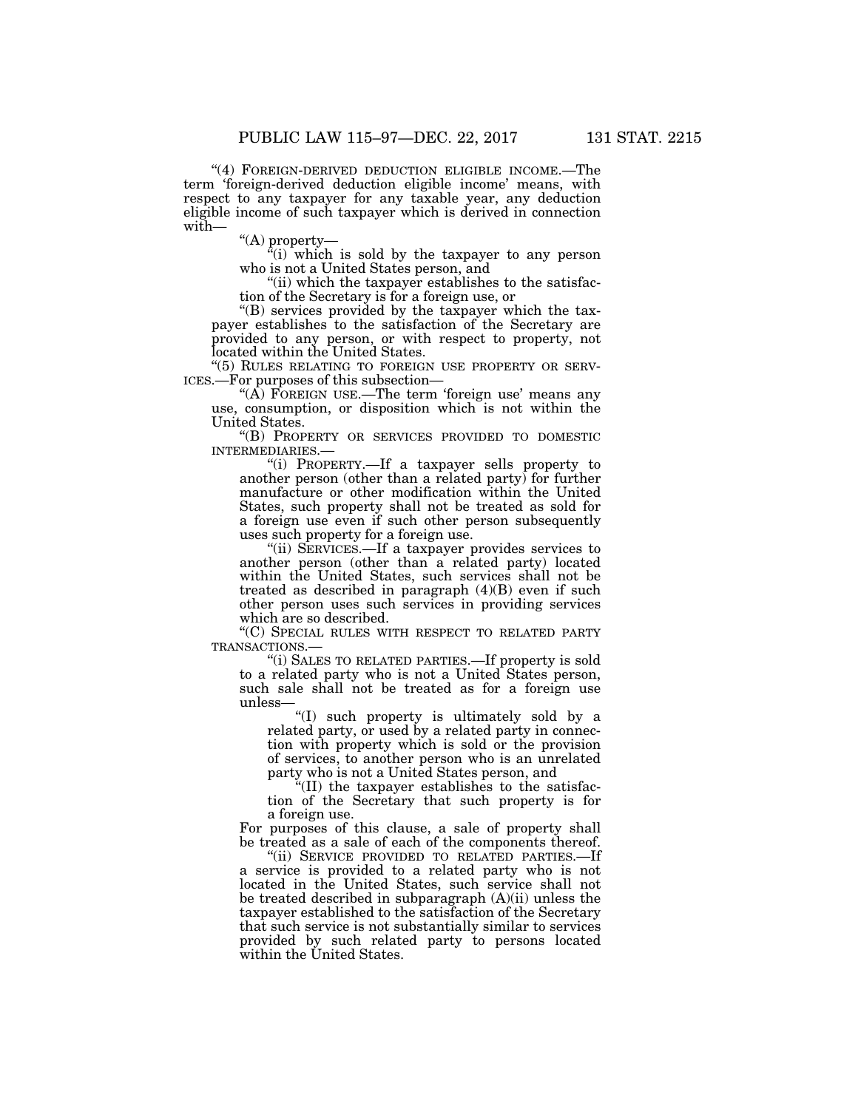"(4) FOREIGN-DERIVED DEDUCTION ELIGIBLE INCOME.—The term 'foreign-derived deduction eligible income' means, with respect to any taxpayer for any taxable year, any deduction eligible income of such taxpayer which is derived in connection with—

''(A) property—

 $\tilde{f}(i)$  which is sold by the taxpayer to any person who is not a United States person, and

"(ii) which the taxpayer establishes to the satisfaction of the Secretary is for a foreign use, or

''(B) services provided by the taxpayer which the taxpayer establishes to the satisfaction of the Secretary are provided to any person, or with respect to property, not located within the United States.

''(5) RULES RELATING TO FOREIGN USE PROPERTY OR SERV- ICES.—For purposes of this subsection—

" $(\hat{A})$  FOREIGN USE.—The term 'foreign use' means any use, consumption, or disposition which is not within the United States.

''(B) PROPERTY OR SERVICES PROVIDED TO DOMESTIC INTERMEDIARIES.—

''(i) PROPERTY.—If a taxpayer sells property to another person (other than a related party) for further manufacture or other modification within the United States, such property shall not be treated as sold for a foreign use even if such other person subsequently uses such property for a foreign use.

"(ii) SERVICES.—If a taxpayer provides services to another person (other than a related party) located within the United States, such services shall not be treated as described in paragraph (4)(B) even if such other person uses such services in providing services which are so described.

 $\rm ^{4}$  (C) SPECIAL RULES WITH RESPECT TO RELATED PARTY TRANSACTIONS.—

"(i) SALES TO RELATED PARTIES.—If property is sold to a related party who is not a United States person, such sale shall not be treated as for a foreign use unless—

''(I) such property is ultimately sold by a related party, or used by a related party in connection with property which is sold or the provision of services, to another person who is an unrelated party who is not a United States person, and

 $\sqrt[4]{(II)}$  the taxpayer establishes to the satisfaction of the Secretary that such property is for a foreign use.

For purposes of this clause, a sale of property shall be treated as a sale of each of the components thereof.

''(ii) SERVICE PROVIDED TO RELATED PARTIES.—If a service is provided to a related party who is not located in the United States, such service shall not be treated described in subparagraph (A)(ii) unless the taxpayer established to the satisfaction of the Secretary that such service is not substantially similar to services provided by such related party to persons located within the United States.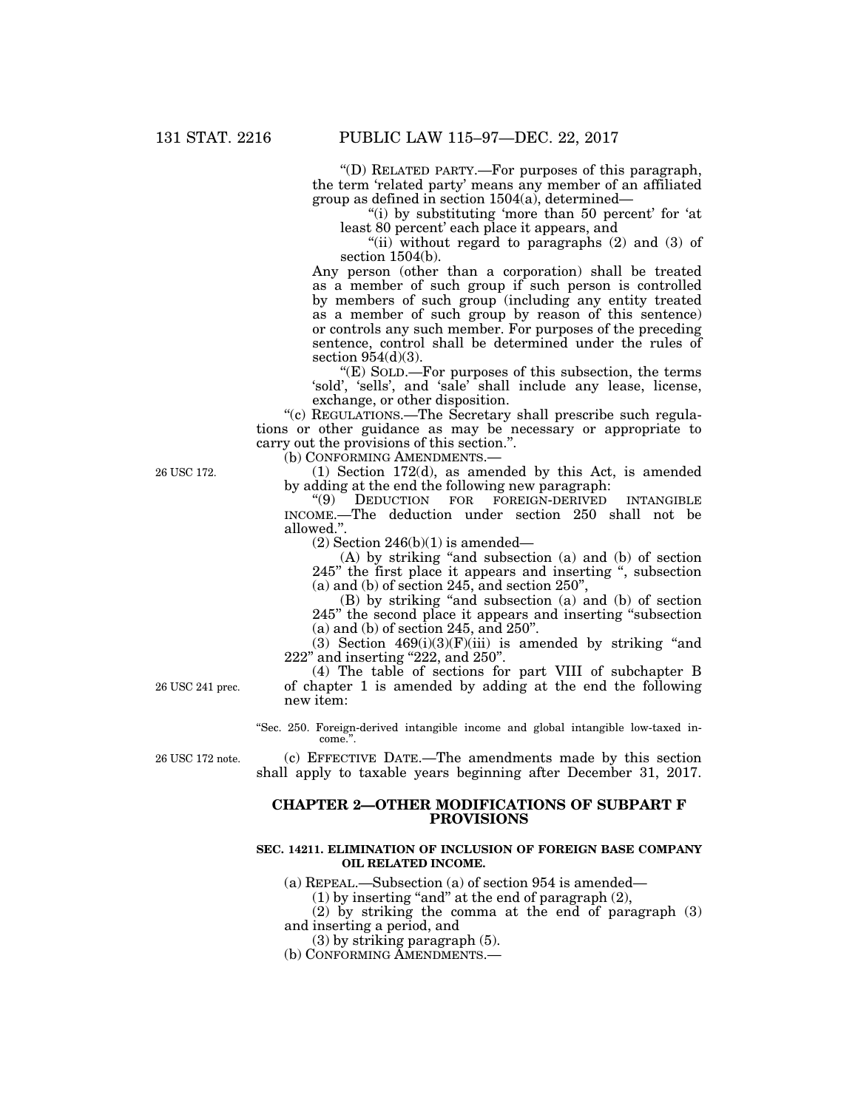''(D) RELATED PARTY.—For purposes of this paragraph, the term 'related party' means any member of an affiliated group as defined in section 1504(a), determined—

"(i) by substituting 'more than 50 percent' for 'at least 80 percent' each place it appears, and

"(ii) without regard to paragraphs  $(2)$  and  $(3)$  of section 1504(b).

Any person (other than a corporation) shall be treated as a member of such group if such person is controlled by members of such group (including any entity treated as a member of such group by reason of this sentence) or controls any such member. For purposes of the preceding sentence, control shall be determined under the rules of section 954(d)(3).

''(E) SOLD.—For purposes of this subsection, the terms 'sold', 'sells', and 'sale' shall include any lease, license, exchange, or other disposition.

''(c) REGULATIONS.—The Secretary shall prescribe such regulations or other guidance as may be necessary or appropriate to carry out the provisions of this section.''.

(b) CONFORMING AMENDMENTS.—

(1) Section 172(d), as amended by this Act, is amended by adding at the end the following new paragraph:<br>"(9) DEDUCTION FOR FOREIGN-DERIVED

DEDUCTION FOR FOREIGN-DERIVED INTANGIBLE INCOME.—The deduction under section 250 shall not be allowed.''.

 $(2)$  Section 246(b)(1) is amended—

(A) by striking ''and subsection (a) and (b) of section 245" the first place it appears and inserting ", subsection  $(a)$  and  $(b)$  of section 245, and section 250",

(B) by striking ''and subsection (a) and (b) of section 245'' the second place it appears and inserting ''subsection (a) and (b) of section 245, and 250''.

(3) Section  $469(i)(3)(F)(iii)$  is amended by striking "and 222'' and inserting ''222, and 250''.

(4) The table of sections for part VIII of subchapter B of chapter 1 is amended by adding at the end the following new item:

''Sec. 250. Foreign-derived intangible income and global intangible low-taxed income.''.

26 USC 172 note.

26 USC 241 prec.

(c) EFFECTIVE DATE.—The amendments made by this section shall apply to taxable years beginning after December 31, 2017.

#### **CHAPTER 2—OTHER MODIFICATIONS OF SUBPART F PROVISIONS**

#### **SEC. 14211. ELIMINATION OF INCLUSION OF FOREIGN BASE COMPANY OIL RELATED INCOME.**

(a) REPEAL.—Subsection (a) of section 954 is amended—

 $(1)$  by inserting "and" at the end of paragraph  $(2)$ ,

(2) by striking the comma at the end of paragraph (3) and inserting a period, and

(3) by striking paragraph (5).

(b) CONFORMING AMENDMENTS.—

26 USC 172.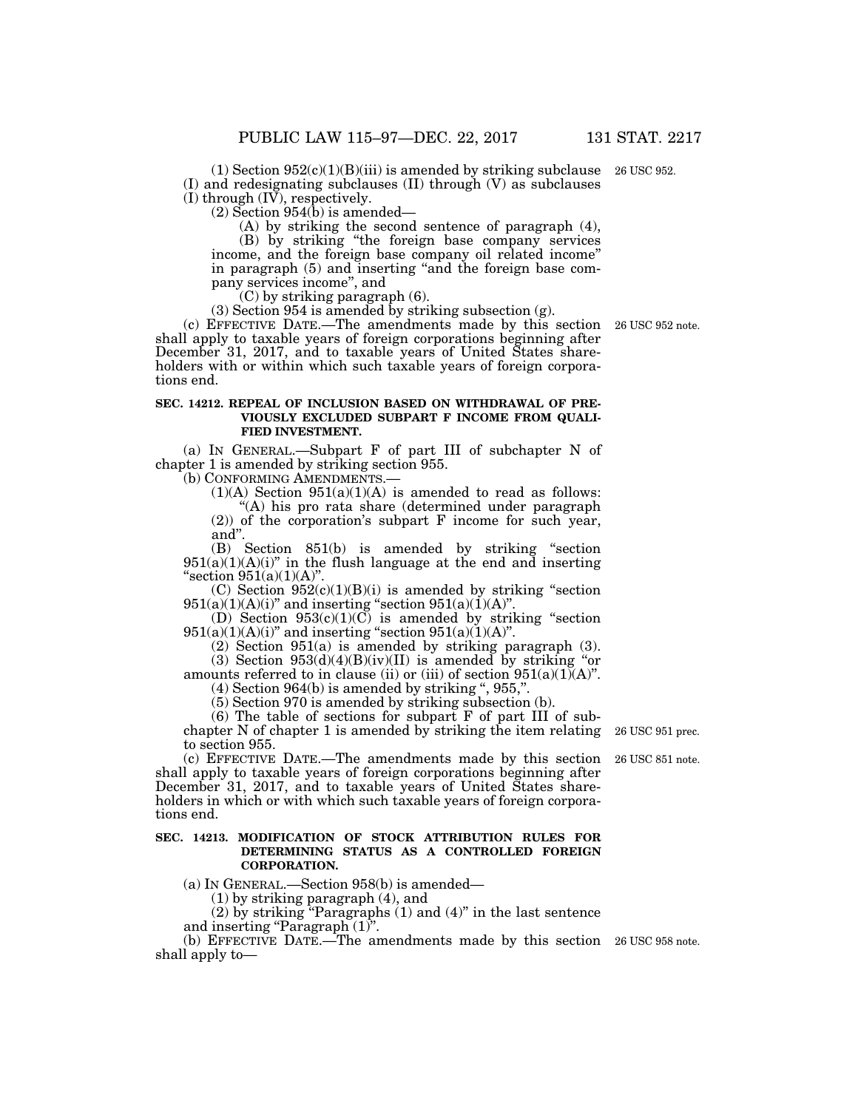$(1)$  Section  $952(c)(1)(B)(iii)$  is amended by striking subclause 26 USC 952. (I) and redesignating subclauses (II) through (V) as subclauses  $(I)$  through  $(I\bar{V})$ , respectively.

(2) Section 954(b) is amended—

(A) by striking the second sentence of paragraph (4),

(B) by striking ''the foreign base company services income, and the foreign base company oil related income'' in paragraph (5) and inserting "and the foreign base company services income'', and

(C) by striking paragraph (6).

(3) Section 954 is amended by striking subsection (g).

(c) EFFECTIVE DATE.—The amendments made by this section 26 USC 952 note. shall apply to taxable years of foreign corporations beginning after December 31, 2017, and to taxable years of United States shareholders with or within which such taxable years of foreign corporations end.

#### **SEC. 14212. REPEAL OF INCLUSION BASED ON WITHDRAWAL OF PRE-VIOUSLY EXCLUDED SUBPART F INCOME FROM QUALI-FIED INVESTMENT.**

(a) IN GENERAL.—Subpart F of part III of subchapter N of chapter 1 is amended by striking section 955.

(b) CONFORMING AMENDMENTS.—

 $(1)(A)$  Section  $951(a)(1)(A)$  is amended to read as follows:

''(A) his pro rata share (determined under paragraph (2)) of the corporation's subpart F income for such year, and''.

(B) Section 851(b) is amended by striking ''section  $951(a)(1)(A)(i)$ " in the flush language at the end and inserting "section  $951(a)(1)(A)$ ".

(C) Section  $952(c)(1)(B)(i)$  is amended by striking "section  $951(a)(1)(A)(i)$ " and inserting "section  $951(a)(1)(A)$ ".

(D) Section  $953(c)(1)(C)$  is amended by striking "section  $951(a)(1)(A)(i)$ " and inserting "section  $951(a)(1)(A)$ ".

(2) Section 951(a) is amended by striking paragraph (3).

(3) Section  $953(d)(4)(B)(iv)(II)$  is amended by striking "or amounts referred to in clause (ii) or (iii) of section  $951(a)(1)(A)$ ".

 $(4)$  Section 964 $(b)$  is amended by striking ", 955,".

(5) Section 970 is amended by striking subsection (b).

(6) The table of sections for subpart F of part III of subchapter N of chapter 1 is amended by striking the item relating to section 955.

(c) EFFECTIVE DATE.—The amendments made by this section 26 USC 851 note. shall apply to taxable years of foreign corporations beginning after December 31, 2017, and to taxable years of United States shareholders in which or with which such taxable years of foreign corporations end.

#### **SEC. 14213. MODIFICATION OF STOCK ATTRIBUTION RULES FOR DETERMINING STATUS AS A CONTROLLED FOREIGN CORPORATION.**

(a) IN GENERAL.—Section 958(b) is amended—

(1) by striking paragraph (4), and

 $(2)$  by striking "Paragraphs  $(1)$  and  $(4)$ " in the last sentence and inserting "Paragraph (1)".

(b) EFFECTIVE DATE.—The amendments made by this section 26 USC 958 note. shall apply to—

26 USC 951 prec.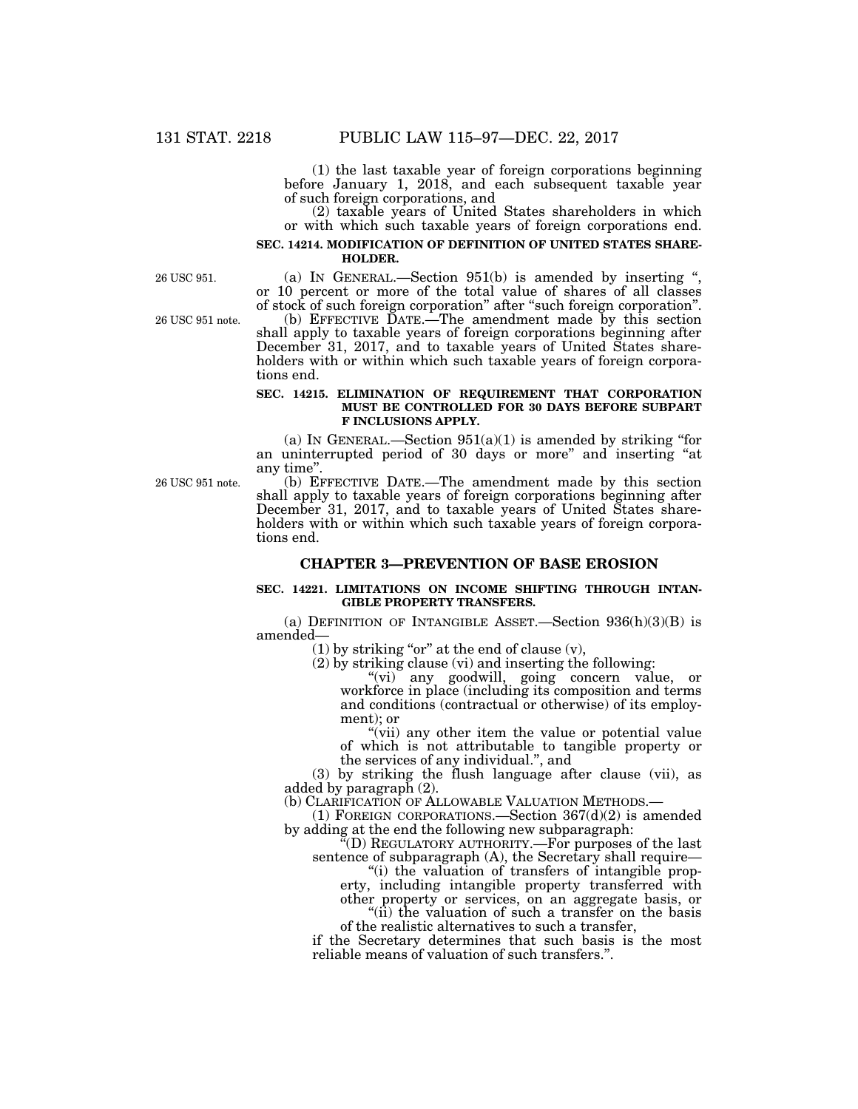(1) the last taxable year of foreign corporations beginning before January 1, 2018, and each subsequent taxable year of such foreign corporations, and

(2) taxable years of United States shareholders in which or with which such taxable years of foreign corporations end.

#### **SEC. 14214. MODIFICATION OF DEFINITION OF UNITED STATES SHARE-HOLDER.**

26 USC 951.

26 USC 951 note.

(a) IN GENERAL.—Section 951(b) is amended by inserting '', or 10 percent or more of the total value of shares of all classes of stock of such foreign corporation'' after ''such foreign corporation''.

(b) EFFECTIVE DATE.—The amendment made by this section shall apply to taxable years of foreign corporations beginning after December 31, 2017, and to taxable years of United States shareholders with or within which such taxable years of foreign corporations end.

#### **SEC. 14215. ELIMINATION OF REQUIREMENT THAT CORPORATION MUST BE CONTROLLED FOR 30 DAYS BEFORE SUBPART F INCLUSIONS APPLY.**

(a) IN GENERAL.—Section  $951(a)(1)$  is amended by striking "for an uninterrupted period of 30 days or more'' and inserting ''at any time''.

26 USC 951 note.

(b) EFFECTIVE DATE.—The amendment made by this section shall apply to taxable years of foreign corporations beginning after December 31, 2017, and to taxable years of United States shareholders with or within which such taxable years of foreign corporations end.

#### **CHAPTER 3—PREVENTION OF BASE EROSION**

#### **SEC. 14221. LIMITATIONS ON INCOME SHIFTING THROUGH INTAN-GIBLE PROPERTY TRANSFERS.**

(a) DEFINITION OF INTANGIBLE ASSET.—Section  $936(h)(3)(B)$  is amended—

 $(1)$  by striking "or" at the end of clause  $(v)$ ,

(2) by striking clause (vi) and inserting the following:

"(vi) any goodwill, going concern value, or workforce in place (including its composition and terms and conditions (contractual or otherwise) of its employment); or

''(vii) any other item the value or potential value of which is not attributable to tangible property or the services of any individual.'', and

(3) by striking the flush language after clause (vii), as added by paragraph (2).

(b) CLARIFICATION OF ALLOWABLE VALUATION METHODS.—  $(1)$  FOREIGN CORPORATIONS.—Section 367(d)(2) is amended by adding at the end the following new subparagraph:

''(D) REGULATORY AUTHORITY.—For purposes of the last sentence of subparagraph (A), the Secretary shall require—

''(i) the valuation of transfers of intangible property, including intangible property transferred with

other property or services, on an aggregate basis, or ''(ii) the valuation of such a transfer on the basis

of the realistic alternatives to such a transfer,

if the Secretary determines that such basis is the most reliable means of valuation of such transfers.''.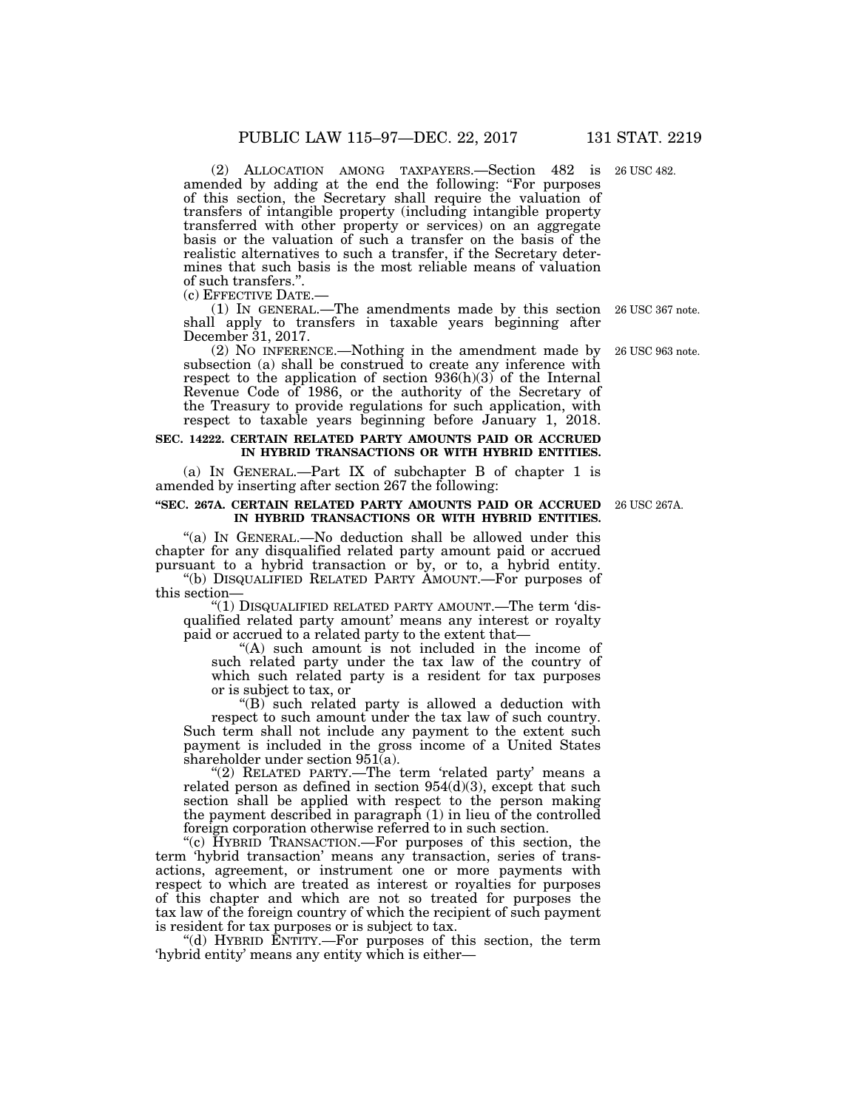(2) ALLOCATION AMONG TAXPAYERS.—Section 482 is 26 USC 482. amended by adding at the end the following: ''For purposes of this section, the Secretary shall require the valuation of transfers of intangible property (including intangible property transferred with other property or services) on an aggregate basis or the valuation of such a transfer on the basis of the realistic alternatives to such a transfer, if the Secretary determines that such basis is the most reliable means of valuation of such transfers.".<br>(c) EFFECTIVE DATE.-

(c) EFFECTIVE DATE.— (1) IN GENERAL.—The amendments made by this section 26 USC 367 note. shall apply to transfers in taxable years beginning after December 31, 2017.

(2) NO INFERENCE.—Nothing in the amendment made by subsection (a) shall be construed to create any inference with respect to the application of section  $936(h)(3)$  of the Internal Revenue Code of 1986, or the authority of the Secretary of the Treasury to provide regulations for such application, with respect to taxable years beginning before January 1, 2018.

#### **SEC. 14222. CERTAIN RELATED PARTY AMOUNTS PAID OR ACCRUED IN HYBRID TRANSACTIONS OR WITH HYBRID ENTITIES.**

(a) IN GENERAL.—Part IX of subchapter B of chapter 1 is amended by inserting after section 267 the following:

#### **''SEC. 267A. CERTAIN RELATED PARTY AMOUNTS PAID OR ACCRUED**  26 USC 267A. **IN HYBRID TRANSACTIONS OR WITH HYBRID ENTITIES.**

"(a) IN GENERAL.—No deduction shall be allowed under this chapter for any disqualified related party amount paid or accrued pursuant to a hybrid transaction or by, or to, a hybrid entity. ''(b) DISQUALIFIED RELATED PARTY AMOUNT.—For purposes of

this section— "(1) DISQUALIFIED RELATED PARTY AMOUNT.—The term 'dis-

qualified related party amount' means any interest or royalty paid or accrued to a related party to the extent that—

"(A) such amount is not included in the income of such related party under the tax law of the country of which such related party is a resident for tax purposes or is subject to tax, or

''(B) such related party is allowed a deduction with respect to such amount under the tax law of such country. Such term shall not include any payment to the extent such payment is included in the gross income of a United States shareholder under section 951(a).

"(2) RELATED PARTY.—The term 'related party' means a related person as defined in section  $954(d)(3)$ , except that such section shall be applied with respect to the person making the payment described in paragraph (1) in lieu of the controlled foreign corporation otherwise referred to in such section.

''(c) HYBRID TRANSACTION.—For purposes of this section, the term 'hybrid transaction' means any transaction, series of transactions, agreement, or instrument one or more payments with respect to which are treated as interest or royalties for purposes of this chapter and which are not so treated for purposes the tax law of the foreign country of which the recipient of such payment is resident for tax purposes or is subject to tax.

''(d) HYBRID ENTITY.—For purposes of this section, the term 'hybrid entity' means any entity which is either—

26 USC 963 note.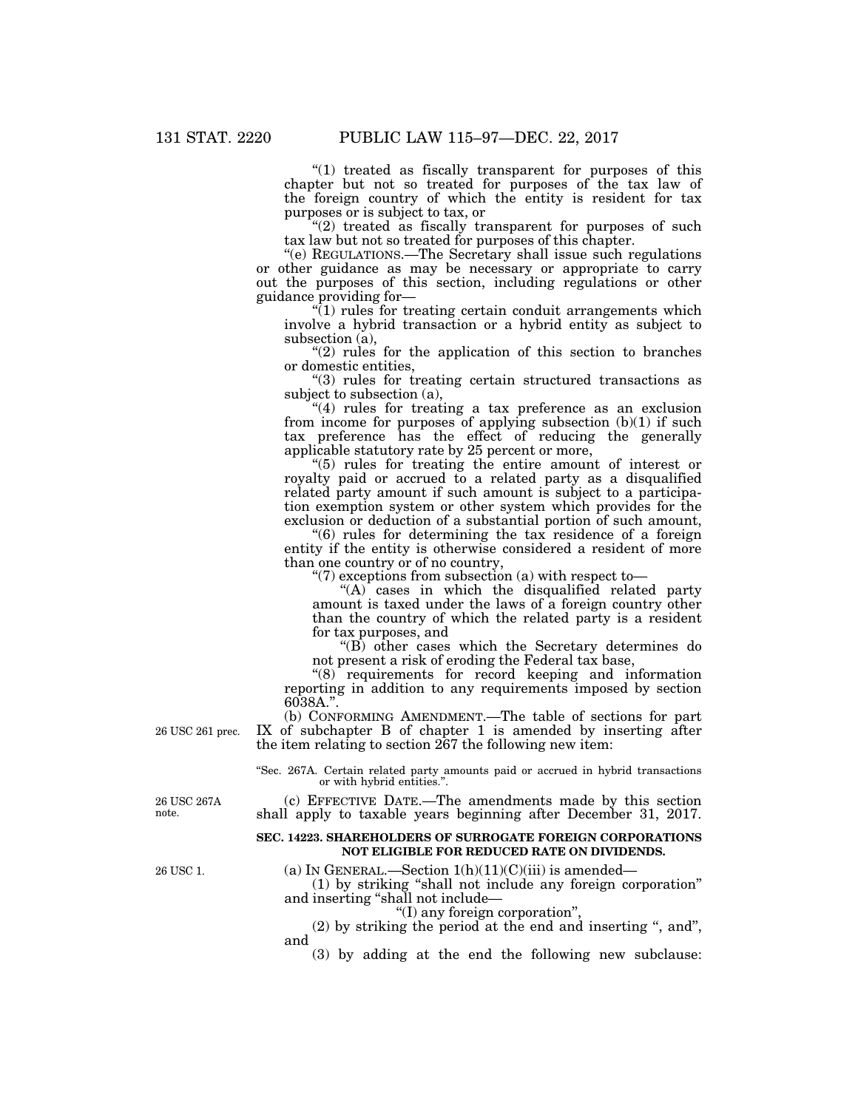"(1) treated as fiscally transparent for purposes of this chapter but not so treated for purposes of the tax law of the foreign country of which the entity is resident for tax purposes or is subject to tax, or

 $''(2)$  treated as fiscally transparent for purposes of such tax law but not so treated for purposes of this chapter.

''(e) REGULATIONS.—The Secretary shall issue such regulations or other guidance as may be necessary or appropriate to carry out the purposes of this section, including regulations or other guidance providing for—

 $(1)$  rules for treating certain conduit arrangements which involve a hybrid transaction or a hybrid entity as subject to subsection (a),

 $''(2)$  rules for the application of this section to branches or domestic entities,

''(3) rules for treating certain structured transactions as subject to subsection (a),

"(4) rules for treating a tax preference as an exclusion from income for purposes of applying subsection (b)(1) if such tax preference has the effect of reducing the generally applicable statutory rate by 25 percent or more,

''(5) rules for treating the entire amount of interest or royalty paid or accrued to a related party as a disqualified related party amount if such amount is subject to a participation exemption system or other system which provides for the exclusion or deduction of a substantial portion of such amount,

''(6) rules for determining the tax residence of a foreign entity if the entity is otherwise considered a resident of more than one country or of no country,

" $(7)$  exceptions from subsection (a) with respect to-

" $(A)$  cases in which the disqualified related party amount is taxed under the laws of a foreign country other than the country of which the related party is a resident for tax purposes, and

''(B) other cases which the Secretary determines do not present a risk of eroding the Federal tax base,

"(8) requirements for record keeping and information reporting in addition to any requirements imposed by section 6038A.''.

(b) CONFORMING AMENDMENT.—The table of sections for part IX of subchapter B of chapter 1 is amended by inserting after the item relating to section 267 the following new item:

''Sec. 267A. Certain related party amounts paid or accrued in hybrid transactions or with hybrid entities."

(c) EFFECTIVE DATE.—The amendments made by this section shall apply to taxable years beginning after December 31, 2017.

#### **SEC. 14223. SHAREHOLDERS OF SURROGATE FOREIGN CORPORATIONS NOT ELIGIBLE FOR REDUCED RATE ON DIVIDENDS.**

(a) IN GENERAL.—Section  $1(h)(11)(C)(iii)$  is amended-

(1) by striking ''shall not include any foreign corporation'' and inserting ''shall not include—

''(I) any foreign corporation'',

(2) by striking the period at the end and inserting '', and'', and

(3) by adding at the end the following new subclause:

26 USC 267A note.

26 USC 1.

26 USC 261 prec.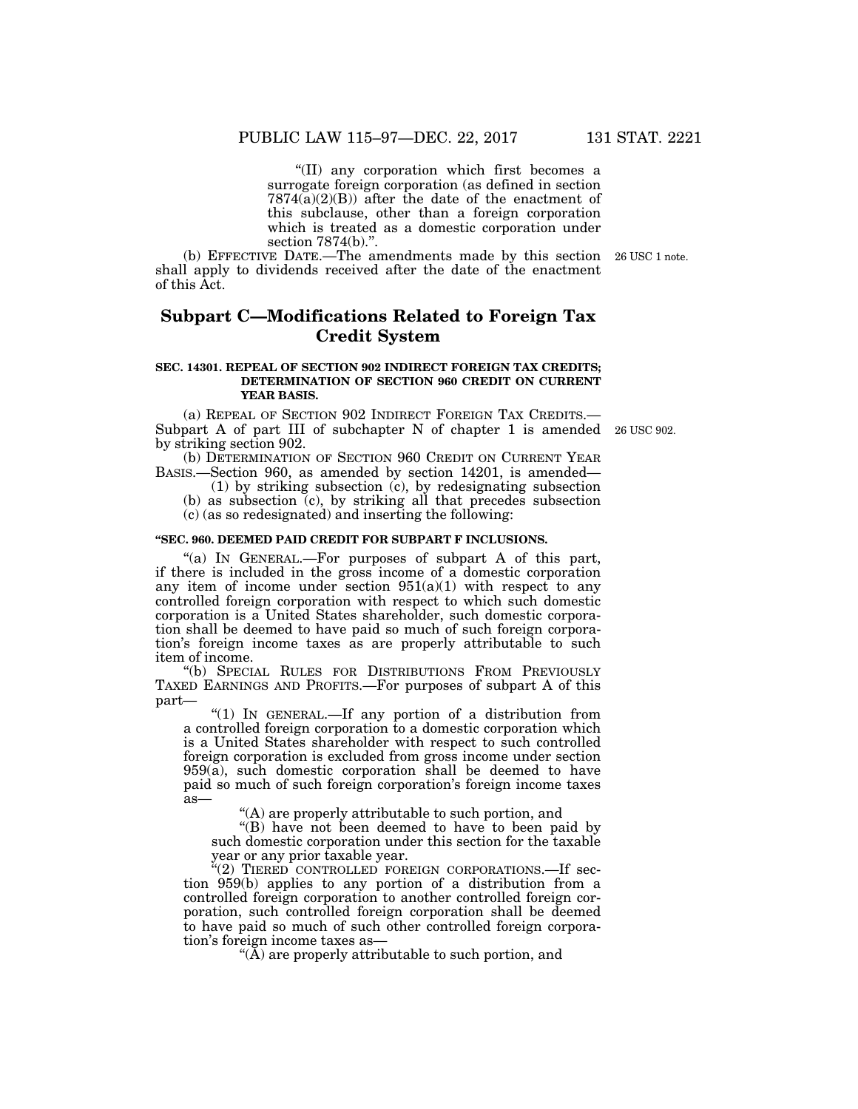''(II) any corporation which first becomes a surrogate foreign corporation (as defined in section  $7874(a)(2)(B)$  after the date of the enactment of this subclause, other than a foreign corporation which is treated as a domestic corporation under section 7874(b).".

(b) EFFECTIVE DATE.—The amendments made by this section 26 USC 1 note. shall apply to dividends received after the date of the enactment of this Act.

## **Subpart C—Modifications Related to Foreign Tax Credit System**

#### **SEC. 14301. REPEAL OF SECTION 902 INDIRECT FOREIGN TAX CREDITS; DETERMINATION OF SECTION 960 CREDIT ON CURRENT YEAR BASIS.**

(a) REPEAL OF SECTION 902 INDIRECT FOREIGN TAX CREDITS.— Subpart A of part III of subchapter N of chapter 1 is amended 26 USC 902. by striking section 902.

(b) DETERMINATION OF SECTION 960 CREDIT ON CURRENT YEAR BASIS.—Section 960, as amended by section 14201, is amended—

(1) by striking subsection (c), by redesignating subsection (b) as subsection (c), by striking all that precedes subsection (c) (as so redesignated) and inserting the following:

#### **''SEC. 960. DEEMED PAID CREDIT FOR SUBPART F INCLUSIONS.**

"(a) IN GENERAL.—For purposes of subpart A of this part, if there is included in the gross income of a domestic corporation any item of income under section  $951(a)(1)$  with respect to any controlled foreign corporation with respect to which such domestic corporation is a United States shareholder, such domestic corporation shall be deemed to have paid so much of such foreign corporation's foreign income taxes as are properly attributable to such item of income.

''(b) SPECIAL RULES FOR DISTRIBUTIONS FROM PREVIOUSLY TAXED EARNINGS AND PROFITS.—For purposes of subpart A of this part—

''(1) IN GENERAL.—If any portion of a distribution from a controlled foreign corporation to a domestic corporation which is a United States shareholder with respect to such controlled foreign corporation is excluded from gross income under section 959(a), such domestic corporation shall be deemed to have paid so much of such foreign corporation's foreign income taxes as—

''(A) are properly attributable to such portion, and

''(B) have not been deemed to have to been paid by such domestic corporation under this section for the taxable year or any prior taxable year.

 $E(2)$  TIERED CONTROLLED FOREIGN CORPORATIONS. If section 959(b) applies to any portion of a distribution from a controlled foreign corporation to another controlled foreign corporation, such controlled foreign corporation shall be deemed to have paid so much of such other controlled foreign corporation's foreign income taxes as—

" $(\tilde{A})$  are properly attributable to such portion, and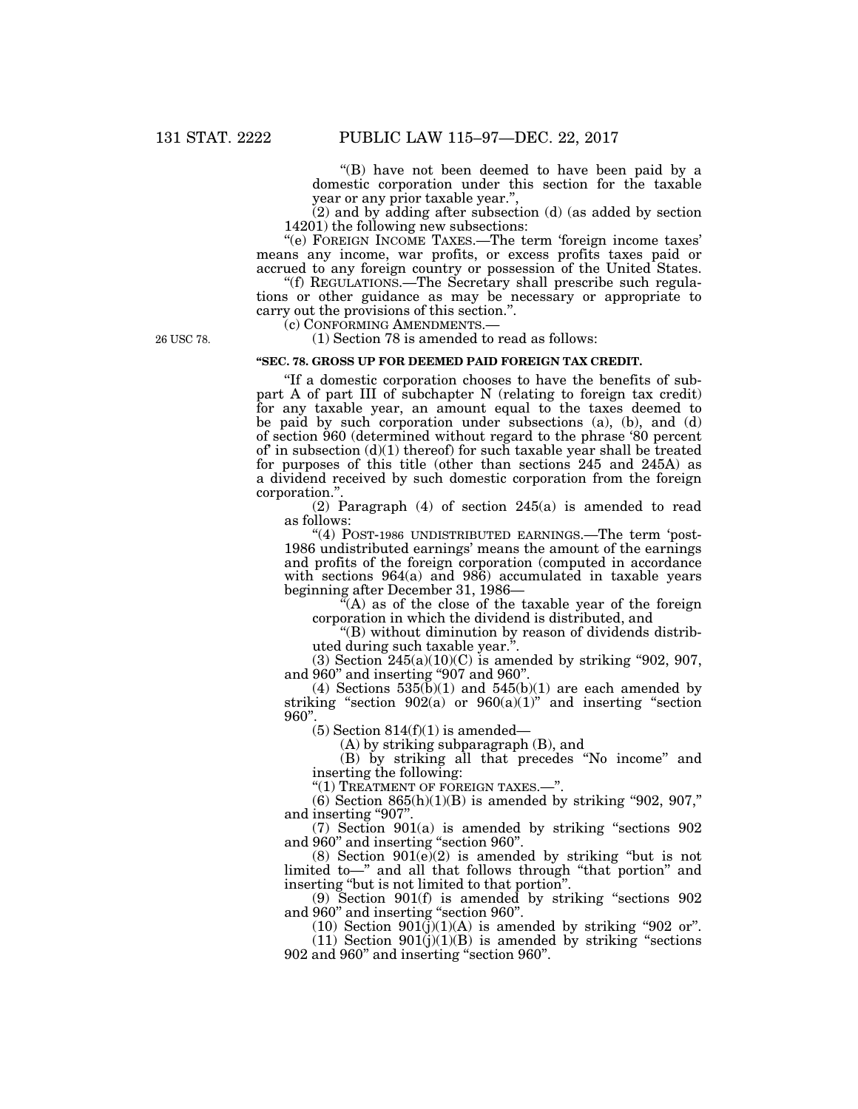''(B) have not been deemed to have been paid by a domestic corporation under this section for the taxable year or any prior taxable year."

(2) and by adding after subsection (d) (as added by section 14201) the following new subsections:

''(e) FOREIGN INCOME TAXES.—The term 'foreign income taxes' means any income, war profits, or excess profits taxes paid or accrued to any foreign country or possession of the United States.

''(f) REGULATIONS.—The Secretary shall prescribe such regulations or other guidance as may be necessary or appropriate to carry out the provisions of this section.".<br>
(c) CONFORMING AMENDMENTS.—

 $(1)$  Section 78 is amended to read as follows:

#### **''SEC. 78. GROSS UP FOR DEEMED PAID FOREIGN TAX CREDIT.**

''If a domestic corporation chooses to have the benefits of subpart A of part III of subchapter N (relating to foreign tax credit) for any taxable year, an amount equal to the taxes deemed to be paid by such corporation under subsections (a), (b), and (d) of section 960 (determined without regard to the phrase '80 percent of in subsection  $(d)(1)$  thereof) for such taxable year shall be treated for purposes of this title (other than sections 245 and 245A) as a dividend received by such domestic corporation from the foreign corporation.''.

(2) Paragraph (4) of section 245(a) is amended to read as follows:

"(4) POST-1986 UNDISTRIBUTED EARNINGS.—The term 'post-1986 undistributed earnings' means the amount of the earnings and profits of the foreign corporation (computed in accordance with sections 964(a) and 986) accumulated in taxable years beginning after December 31, 1986—

"(A) as of the close of the taxable year of the foreign corporation in which the dividend is distributed, and

''(B) without diminution by reason of dividends distributed during such taxable year.''.

 $(3)$  Section  $245(a)(10)(C)$  is amended by striking "902, 907, and 960'' and inserting ''907 and 960''.

(4) Sections  $535(b)(1)$  and  $545(b)(1)$  are each amended by striking "section  $902(a)$  or  $960(a)(1)$ " and inserting "section 960''.

 $(5)$  Section 814 $(f)(1)$  is amended—

(A) by striking subparagraph (B), and

(B) by striking all that precedes ''No income'' and inserting the following:

''(1) TREATMENT OF FOREIGN TAXES.—''.

 $(6)$  Section 865 $(h)(1)(B)$  is amended by striking "902, 907," and inserting "907".

 $(7)$  Section  $901(a)$  is amended by striking "sections  $902$ and 960'' and inserting ''section 960''.

(8) Section 901(e)(2) is amended by striking ''but is not limited to—'' and all that follows through ''that portion'' and inserting ''but is not limited to that portion''.

(9) Section 901(f) is amended by striking ''sections 902 and 960'' and inserting ''section 960''.

(10) Section  $901(\overline{j})(1)(A)$  is amended by striking "902 or".

(11) Section  $901(j)(1)(B)$  is amended by striking "sections" 902 and 960'' and inserting ''section 960''.

26 USC 78.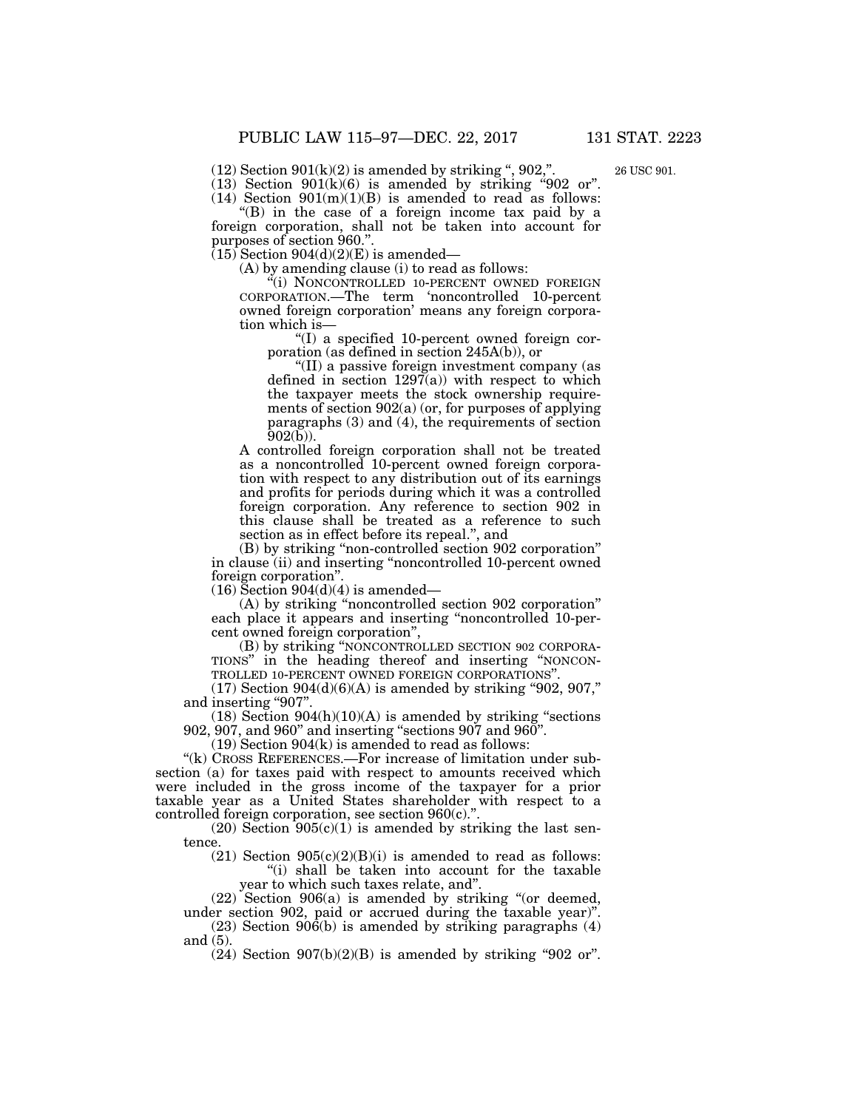$(12)$  Section  $901(k)(2)$  is amended by striking ",  $902$ ,".

26 USC 901.

 $(13)$  Section  $901(k)(6)$  is amended by striking "902 or". (14) Section  $901(m)(1)(B)$  is amended to read as follows:

 $E(B)$  in the case of a foreign income tax paid by a foreign corporation, shall not be taken into account for purposes of section 960.''.

 $(15)$  Section 904 $(d)(2)(E)$  is amended—

(A) by amending clause (i) to read as follows:

"(i) NONCONTROLLED 10-PERCENT OWNED FOREIGN CORPORATION.—The term 'noncontrolled 10-percent owned foreign corporation' means any foreign corporation which is—

''(I) a specified 10-percent owned foreign corporation (as defined in section 245A(b)), or

''(II) a passive foreign investment company (as defined in section  $1297(a)$  with respect to which the taxpayer meets the stock ownership requirements of section 902(a) (or, for purposes of applying paragraphs (3) and (4), the requirements of section 902(b)).

A controlled foreign corporation shall not be treated as a noncontrolled 10-percent owned foreign corporation with respect to any distribution out of its earnings and profits for periods during which it was a controlled foreign corporation. Any reference to section 902 in this clause shall be treated as a reference to such section as in effect before its repeal.'', and

(B) by striking ''non-controlled section 902 corporation'' in clause (ii) and inserting ''noncontrolled 10-percent owned foreign corporation''.

 $(16)$  Section 904 $(d)(4)$  is amended–

(A) by striking ''noncontrolled section 902 corporation'' each place it appears and inserting ''noncontrolled 10-percent owned foreign corporation",<br>
(B) by striking "NONCONTROLLED SECTION 902 CORPORA-

TIONS" in the heading thereof and inserting "NONCON-TROLLED 10-PERCENT OWNED FOREIGN CORPORATIONS''.

 $(17)$  Section 904 $(d)(6)(A)$  is amended by striking "902, 907," and inserting "907".

 $(18)$  Section  $904(h)(10)(A)$  is amended by striking "sections" 902, 907, and 960'' and inserting ''sections 907 and 960''.

(19) Section 904(k) is amended to read as follows:

"(k) CROSS REFERENCES.—For increase of limitation under subsection (a) for taxes paid with respect to amounts received which were included in the gross income of the taxpayer for a prior taxable year as a United States shareholder with respect to a controlled foreign corporation, see section 960(c).'

 $(20)$  Section  $905(c)(1)$  is amended by striking the last sentence.

(21) Section  $905(c)(2)(B)(i)$  is amended to read as follows: ''(i) shall be taken into account for the taxable year to which such taxes relate, and''.

(22) Section 906(a) is amended by striking ''(or deemed, under section 902, paid or accrued during the taxable year)''.

(23) Section 906(b) is amended by striking paragraphs (4) and (5).

 $(24)$  Section  $907(b)(2)(B)$  is amended by striking "902 or".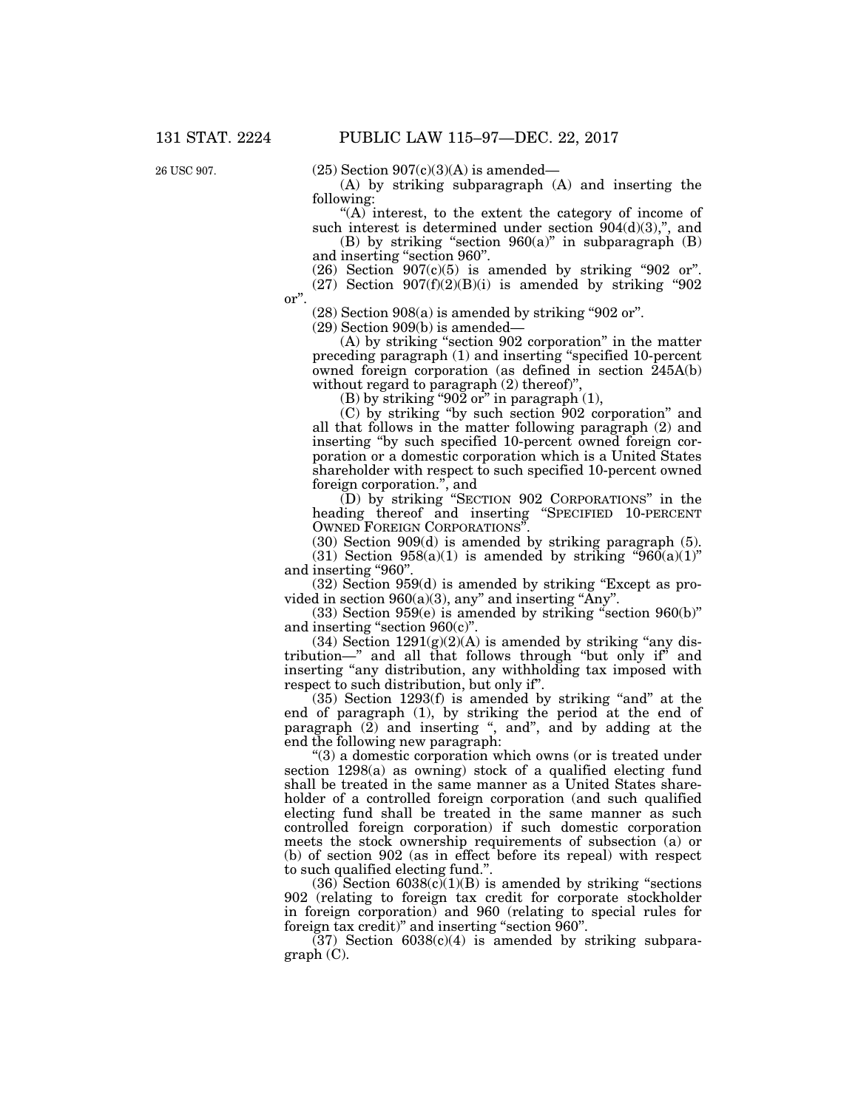26 USC 907.

 $(25)$  Section  $907(c)(3)(A)$  is amended—

(A) by striking subparagraph (A) and inserting the following:

''(A) interest, to the extent the category of income of such interest is determined under section  $904(d)(3)$ ,", and

(B) by striking "section  $960(a)$ " in subparagraph (B) and inserting ''section 960''.

 $(26)$  Section  $907(c)(5)$  is amended by striking "902 or".  $(27)$  Section  $907(f)(2)(B)(i)$  is amended by striking "902

or''.

 $(28)$  Section 908 $(a)$  is amended by striking "902 or".

(29) Section 909(b) is amended—

(A) by striking ''section 902 corporation'' in the matter preceding paragraph (1) and inserting ''specified 10-percent owned foreign corporation (as defined in section 245A(b) without regard to paragraph  $(2)$  thereof)",

(B) by striking "902 or" in paragraph  $(1)$ ,

(C) by striking ''by such section 902 corporation'' and all that follows in the matter following paragraph (2) and inserting ''by such specified 10-percent owned foreign corporation or a domestic corporation which is a United States shareholder with respect to such specified 10-percent owned foreign corporation.'', and

(D) by striking ''SECTION 902 CORPORATIONS'' in the heading thereof and inserting ''SPECIFIED 10-PERCENT OWNED FOREIGN CORPORATIONS''.

(30) Section 909(d) is amended by striking paragraph (5).

(31) Section  $958(a)(1)$  is amended by striking " $960(a)(1)$ " and inserting "960".

(32) Section 959(d) is amended by striking ''Except as provided in section  $960(a)(3)$ , any" and inserting "Any".

 $(33)$  Section 959 $(e)$  is amended by striking "section 960 $(b)$ " and inserting ''section 960(c)''.

(34) Section  $1291(g)(2)(A)$  is amended by striking "any distribution—" and all that follows through "but only if" and inserting "any distribution, any withholding tax imposed with respect to such distribution, but only if''.

 $(35)$  Section 1293 $(f)$  is amended by striking "and" at the end of paragraph (1), by striking the period at the end of paragraph  $(\tilde{2})$  and inserting ", and", and by adding at the end the following new paragraph:

''(3) a domestic corporation which owns (or is treated under section 1298(a) as owning) stock of a qualified electing fund shall be treated in the same manner as a United States shareholder of a controlled foreign corporation (and such qualified electing fund shall be treated in the same manner as such controlled foreign corporation) if such domestic corporation meets the stock ownership requirements of subsection (a) or (b) of section 902 (as in effect before its repeal) with respect to such qualified electing fund.''.

 $(36)$  Section  $6038(c)(1)(B)$  is amended by striking "sections" 902 (relating to foreign tax credit for corporate stockholder in foreign corporation) and 960 (relating to special rules for foreign tax credit)" and inserting "section 960".

 $(37)$  Section  $6038(c)(4)$  is amended by striking subparagraph (C).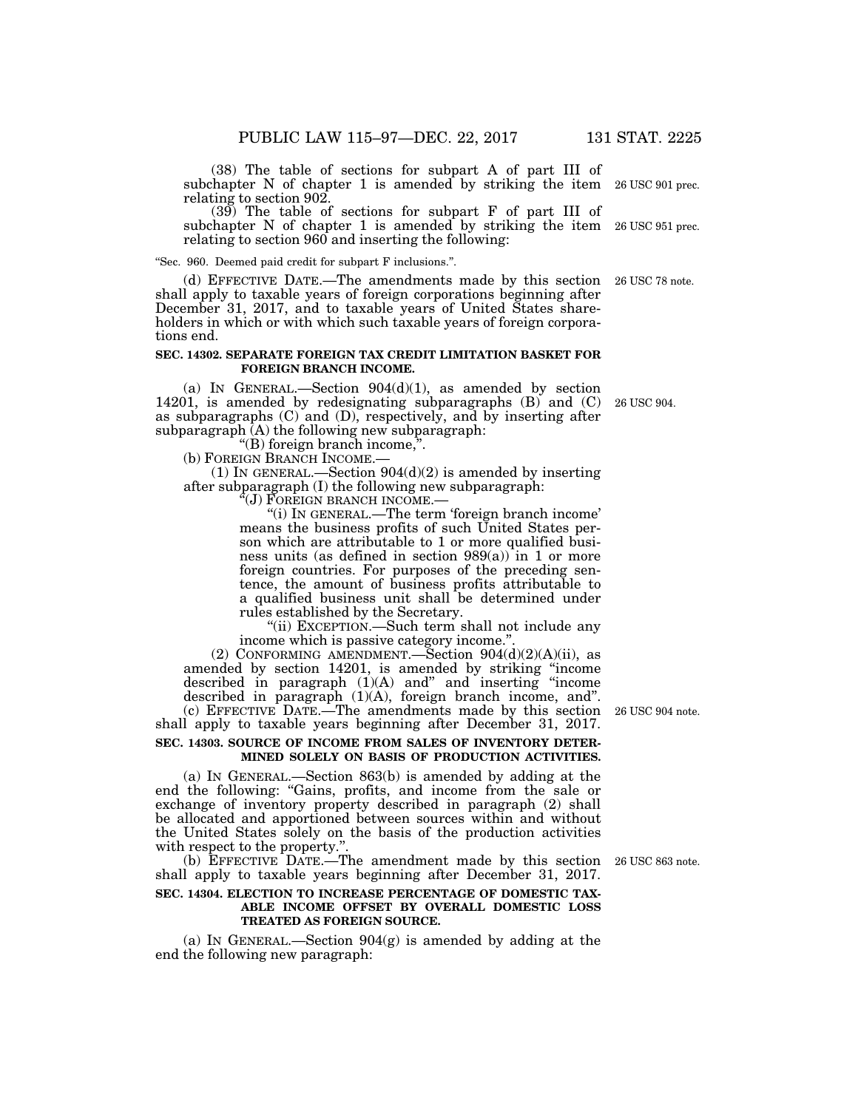(38) The table of sections for subpart A of part III of subchapter N of chapter 1 is amended by striking the item relating to section 902. 26 USC 901 prec.

(39) The table of sections for subpart F of part III of subchapter N of chapter 1 is amended by striking the item 26 USC 951 prec. relating to section 960 and inserting the following:

''Sec. 960. Deemed paid credit for subpart F inclusions.''.

(d) EFFECTIVE DATE.—The amendments made by this section 26 USC 78 note. shall apply to taxable years of foreign corporations beginning after December 31, 2017, and to taxable years of United States shareholders in which or with which such taxable years of foreign corporations end.

#### **SEC. 14302. SEPARATE FOREIGN TAX CREDIT LIMITATION BASKET FOR FOREIGN BRANCH INCOME.**

(a) IN GENERAL.—Section  $904(d)(1)$ , as amended by section 14201, is amended by redesignating subparagraphs (B) and (C) as subparagraphs (C) and (D), respectively, and by inserting after subparagraph (A) the following new subparagraph:

''(B) foreign branch income,''.

(b) FOREIGN BRANCH INCOME.—

(1) IN GENERAL.—Section  $904(d)(2)$  is amended by inserting after subparagraph (I) the following new subparagraph:

''(J) FOREIGN BRANCH INCOME.—

''(i) IN GENERAL.—The term 'foreign branch income' means the business profits of such United States person which are attributable to 1 or more qualified business units (as defined in section 989(a)) in 1 or more foreign countries. For purposes of the preceding sentence, the amount of business profits attributable to a qualified business unit shall be determined under rules established by the Secretary.

"(ii) EXCEPTION.—Such term shall not include any income which is passive category income."

(2) CONFORMING AMENDMENT.—Section  $904(d)(2)(A)(ii)$ , as amended by section 14201, is amended by striking ''income described in paragraph (1)(A) and'' and inserting ''income described in paragraph (1)(A), foreign branch income, and''. (c) EFFECTIVE DATE.—The amendments made by this section 26 USC 904 note.

shall apply to taxable years beginning after December 31, 2017. **SEC. 14303. SOURCE OF INCOME FROM SALES OF INVENTORY DETER-**

# **MINED SOLELY ON BASIS OF PRODUCTION ACTIVITIES.**

(a) IN GENERAL.—Section 863(b) is amended by adding at the end the following: ''Gains, profits, and income from the sale or exchange of inventory property described in paragraph (2) shall be allocated and apportioned between sources within and without the United States solely on the basis of the production activities with respect to the property."

(b) EFFECTIVE DATE.—The amendment made by this section 26 USC 863 note. shall apply to taxable years beginning after December 31, 2017.

#### **SEC. 14304. ELECTION TO INCREASE PERCENTAGE OF DOMESTIC TAX-ABLE INCOME OFFSET BY OVERALL DOMESTIC LOSS TREATED AS FOREIGN SOURCE.**

(a) IN GENERAL.—Section 904(g) is amended by adding at the end the following new paragraph:

26 USC 904.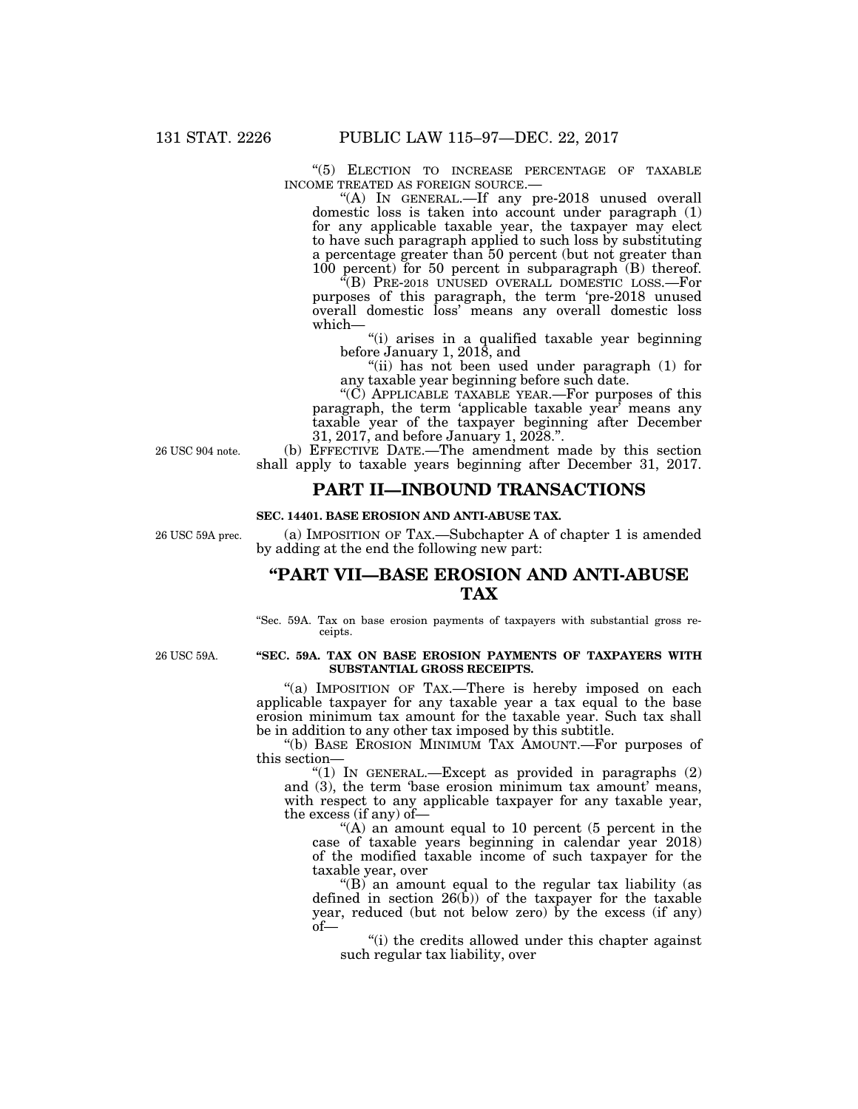$\hspace{0.1cm}$   $\hspace{0.1cm}$   $\hspace{0.1cm}$   $\hspace{0.1cm}$  ELECTION  $\hspace{0.1cm}$  TO INCREASE PERCENTAGE OF TAXABLE INCOME TREATED AS FOREIGN SOURCE.—

"(A) IN GENERAL.—If any pre-2018 unused overall domestic loss is taken into account under paragraph (1) for any applicable taxable year, the taxpayer may elect to have such paragraph applied to such loss by substituting a percentage greater than 50 percent (but not greater than 100 percent) for 50 percent in subparagraph (B) thereof.

''(B) PRE-2018 UNUSED OVERALL DOMESTIC LOSS.—For purposes of this paragraph, the term 'pre-2018 unused overall domestic loss' means any overall domestic loss which—

''(i) arises in a qualified taxable year beginning before January 1, 2018, and

''(ii) has not been used under paragraph (1) for any taxable year beginning before such date.

"(C) APPLICABLE TAXABLE YEAR.—For purposes of this paragraph, the term 'applicable taxable year' means any taxable year of the taxpayer beginning after December 31, 2017, and before January 1, 2028.''.

26 USC 904 note.

(b) EFFECTIVE DATE.—The amendment made by this section shall apply to taxable years beginning after December 31, 2017.

### **PART II—INBOUND TRANSACTIONS**

#### **SEC. 14401. BASE EROSION AND ANTI-ABUSE TAX.**

26 USC 59A prec.

(a) IMPOSITION OF TAX.—Subchapter A of chapter 1 is amended by adding at the end the following new part:

## **''PART VII—BASE EROSION AND ANTI-ABUSE TAX**

''Sec. 59A. Tax on base erosion payments of taxpayers with substantial gross receipts.

26 USC 59A.

#### **''SEC. 59A. TAX ON BASE EROSION PAYMENTS OF TAXPAYERS WITH SUBSTANTIAL GROSS RECEIPTS.**

"(a) IMPOSITION OF TAX.—There is hereby imposed on each applicable taxpayer for any taxable year a tax equal to the base erosion minimum tax amount for the taxable year. Such tax shall be in addition to any other tax imposed by this subtitle.

''(b) BASE EROSION MINIMUM TAX AMOUNT.—For purposes of this section—

"(1) IN GENERAL.—Except as provided in paragraphs  $(2)$ and (3), the term 'base erosion minimum tax amount' means, with respect to any applicable taxpayer for any taxable year, the excess (if any) of—

" $(A)$  an amount equal to 10 percent (5 percent in the case of taxable years beginning in calendar year 2018) of the modified taxable income of such taxpayer for the taxable year, over

"(B) an amount equal to the regular tax liability (as defined in section  $26(b)$  of the taxpayer for the taxable year, reduced (but not below zero) by the excess (if any) of—

''(i) the credits allowed under this chapter against such regular tax liability, over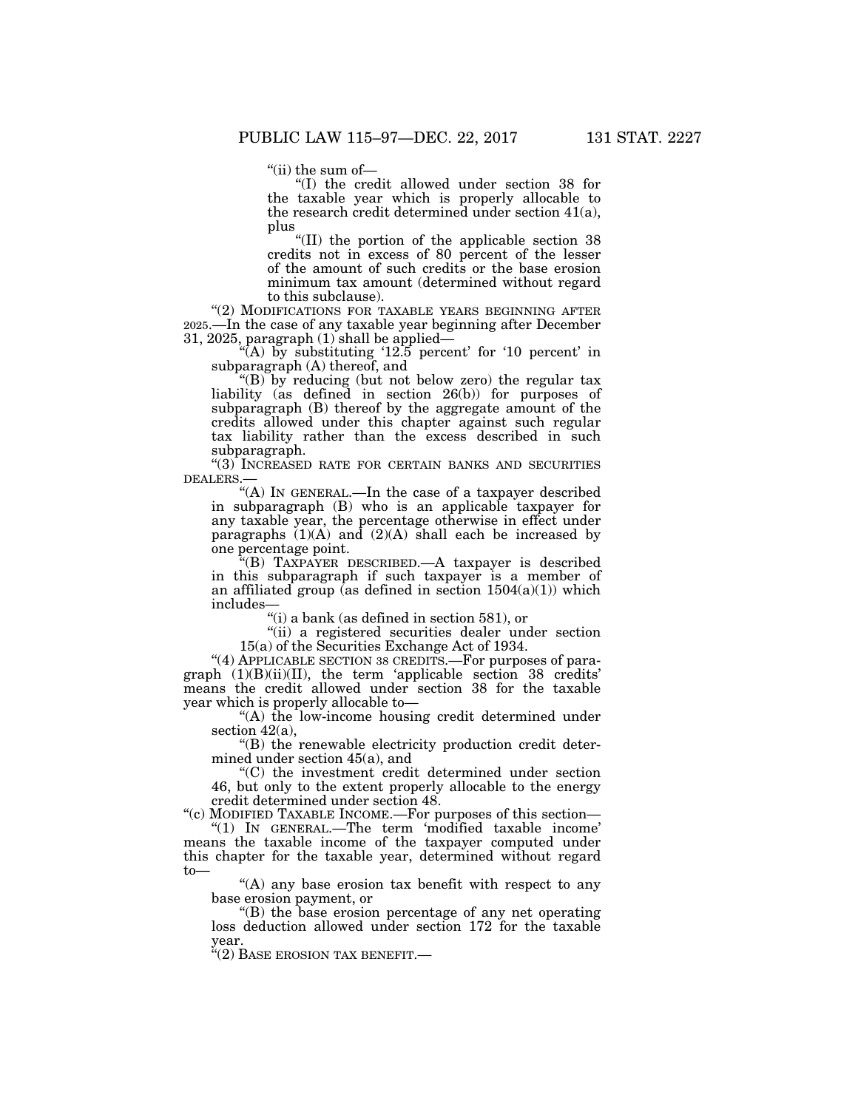''(ii) the sum of—

''(I) the credit allowed under section 38 for the taxable year which is properly allocable to the research credit determined under section 41(a), plus

''(II) the portion of the applicable section 38 credits not in excess of 80 percent of the lesser of the amount of such credits or the base erosion minimum tax amount (determined without regard to this subclause).

"(2) MODIFICATIONS FOR TAXABLE YEARS BEGINNING AFTER 2025.—In the case of any taxable year beginning after December 31, 2025, paragraph (1) shall be applied—

"(A) by substituting  $12.5$  percent' for  $10$  percent' in subparagraph (A) thereof, and

''(B) by reducing (but not below zero) the regular tax liability (as defined in section 26(b)) for purposes of subparagraph (B) thereof by the aggregate amount of the credits allowed under this chapter against such regular tax liability rather than the excess described in such subparagraph.

''(3) INCREASED RATE FOR CERTAIN BANKS AND SECURITIES DEALERS.—

''(A) IN GENERAL.—In the case of a taxpayer described in subparagraph (B) who is an applicable taxpayer for any taxable year, the percentage otherwise in effect under paragraphs  $(1)(A)$  and  $(2)(A)$  shall each be increased by one percentage point.

''(B) TAXPAYER DESCRIBED.—A taxpayer is described in this subparagraph if such taxpayer is a member of an affiliated group (as defined in section  $1504(a)(1)$ ) which includes—

''(i) a bank (as defined in section 581), or

"(ii) a registered securities dealer under section 15(a) of the Securities Exchange Act of 1934.

"(4) APPLICABLE SECTION 38 CREDITS. - For purposes of paragraph (1)(B)(ii)(II), the term 'applicable section 38 credits' means the credit allowed under section 38 for the taxable year which is properly allocable to—

''(A) the low-income housing credit determined under section 42(a),

''(B) the renewable electricity production credit determined under section 45(a), and

''(C) the investment credit determined under section 46, but only to the extent properly allocable to the energy credit determined under section 48.

''(c) MODIFIED TAXABLE INCOME.—For purposes of this section— ''(1) IN GENERAL.—The term 'modified taxable income'

means the taxable income of the taxpayer computed under this chapter for the taxable year, determined without regard to—

''(A) any base erosion tax benefit with respect to any base erosion payment, or

''(B) the base erosion percentage of any net operating loss deduction allowed under section 172 for the taxable year.

''(2) BASE EROSION TAX BENEFIT.—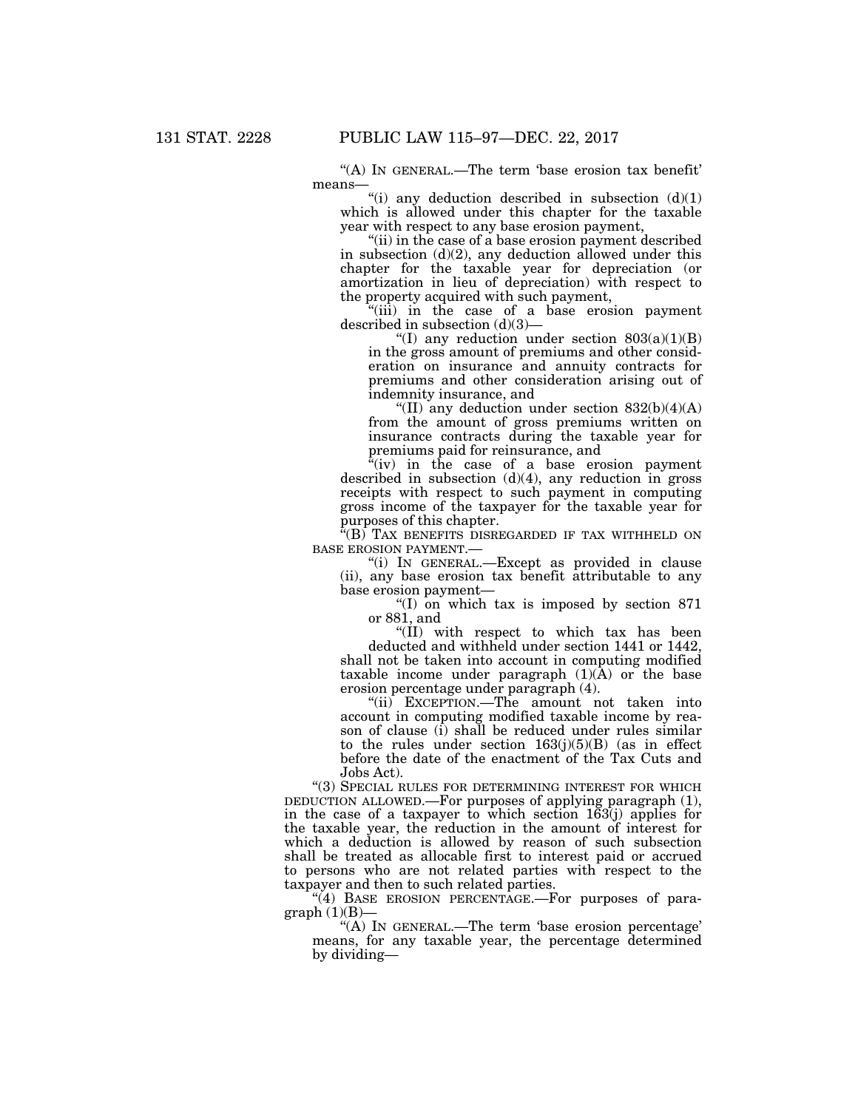''(A) IN GENERAL.—The term 'base erosion tax benefit' means—

"(i) any deduction described in subsection  $(d)(1)$ which is allowed under this chapter for the taxable year with respect to any base erosion payment,

''(ii) in the case of a base erosion payment described in subsection  $(d)(2)$ , any deduction allowed under this chapter for the taxable year for depreciation (or amortization in lieu of depreciation) with respect to the property acquired with such payment,

''(iii) in the case of a base erosion payment described in subsection (d)(3)—

"(I) any reduction under section  $803(a)(1)(B)$ in the gross amount of premiums and other consideration on insurance and annuity contracts for premiums and other consideration arising out of indemnity insurance, and

"(II) any deduction under section  $832(b)(4)(A)$ from the amount of gross premiums written on insurance contracts during the taxable year for premiums paid for reinsurance, and

 $f'(iv)$  in the case of a base erosion payment described in subsection  $(d)(4)$ , any reduction in gross receipts with respect to such payment in computing gross income of the taxpayer for the taxable year for purposes of this chapter.

 $\sqrt[\text{F}]{(B)}$  Tax benefits disregarded if tax withheld on BASE EROSION PAYMENT.—

''(i) IN GENERAL.—Except as provided in clause (ii), any base erosion tax benefit attributable to any base erosion payment—

''(I) on which tax is imposed by section 871 or 881, and

''(II) with respect to which tax has been deducted and withheld under section 1441 or 1442, shall not be taken into account in computing modified taxable income under paragraph  $(1)(A)$  or the base erosion percentage under paragraph (4).

''(ii) EXCEPTION.—The amount not taken into account in computing modified taxable income by reason of clause (i) shall be reduced under rules similar to the rules under section  $163(j)(5)(B)$  (as in effect before the date of the enactment of the Tax Cuts and Jobs Act).

"(3) SPECIAL RULES FOR DETERMINING INTEREST FOR WHICH DEDUCTION ALLOWED.—For purposes of applying paragraph (1), in the case of a taxpayer to which section 163(j) applies for the taxable year, the reduction in the amount of interest for which a deduction is allowed by reason of such subsection shall be treated as allocable first to interest paid or accrued to persons who are not related parties with respect to the taxpayer and then to such related parties.

 $\frac{1}{4}$ ) BASE EROSION PERCENTAGE.—For purposes of paragraph  $(1)(B)$ —

''(A) IN GENERAL.—The term 'base erosion percentage' means, for any taxable year, the percentage determined by dividing—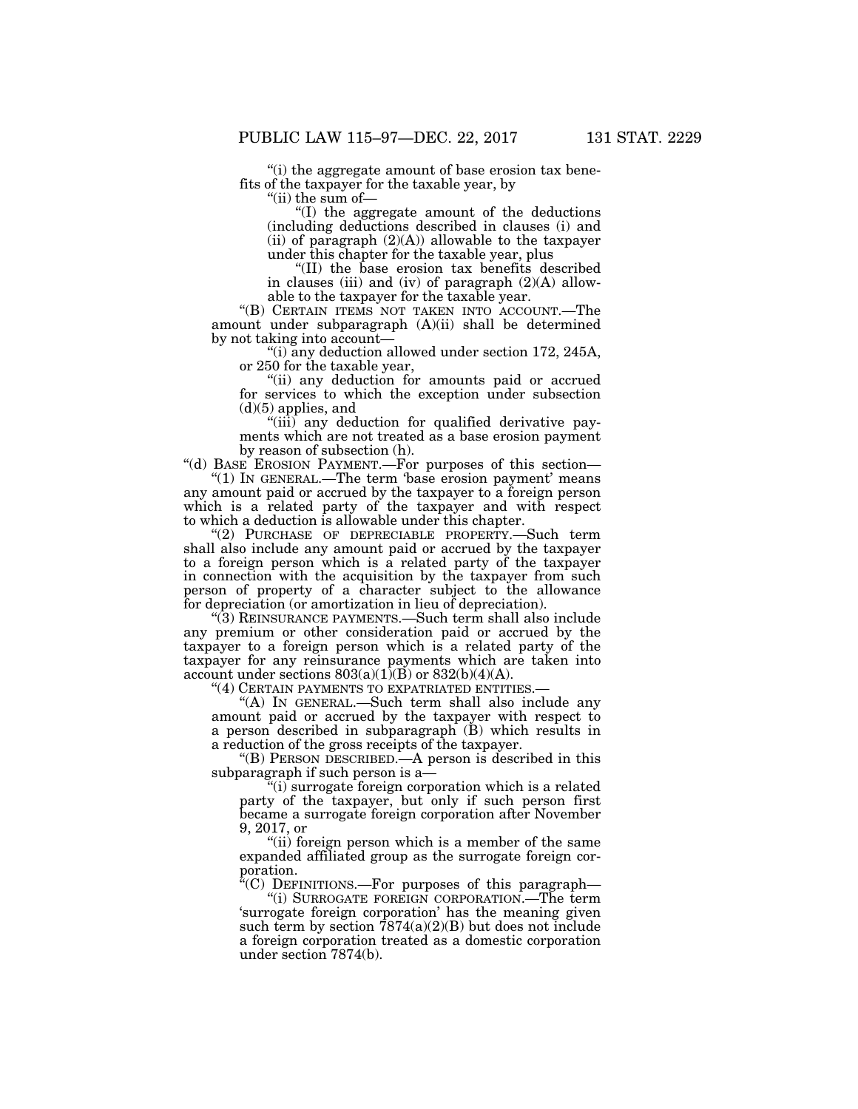''(i) the aggregate amount of base erosion tax benefits of the taxpayer for the taxable year, by

''(ii) the sum of—

''(I) the aggregate amount of the deductions (including deductions described in clauses (i) and (ii) of paragraph  $(2)(A)$  allowable to the taxpayer under this chapter for the taxable year, plus

''(II) the base erosion tax benefits described in clauses (iii) and (iv) of paragraph (2)(A) allowable to the taxpayer for the taxable year.

''(B) CERTAIN ITEMS NOT TAKEN INTO ACCOUNT.—The amount under subparagraph (A)(ii) shall be determined by not taking into account—

''(i) any deduction allowed under section 172, 245A, or 250 for the taxable year,

''(ii) any deduction for amounts paid or accrued for services to which the exception under subsection  $(d)(5)$  applies, and

"(iii) any deduction for qualified derivative payments which are not treated as a base erosion payment by reason of subsection (h).

"(d) BASE EROSION PAYMENT.—For purposes of this section— "(1) IN GENERAL.—The term 'base erosion payment' means any amount paid or accrued by the taxpayer to a foreign person which is a related party of the taxpayer and with respect to which a deduction is allowable under this chapter.

''(2) PURCHASE OF DEPRECIABLE PROPERTY.—Such term shall also include any amount paid or accrued by the taxpayer to a foreign person which is a related party of the taxpayer in connection with the acquisition by the taxpayer from such person of property of a character subject to the allowance for depreciation (or amortization in lieu of depreciation).

''(3) REINSURANCE PAYMENTS.—Such term shall also include any premium or other consideration paid or accrued by the taxpayer to a foreign person which is a related party of the taxpayer for any reinsurance payments which are taken into account under sections  $803(a)(1)(B)$  or  $832(b)(4)(A)$ .

''(4) CERTAIN PAYMENTS TO EXPATRIATED ENTITIES.—

''(A) IN GENERAL.—Such term shall also include any amount paid or accrued by the taxpayer with respect to a person described in subparagraph (B) which results in a reduction of the gross receipts of the taxpayer.

''(B) PERSON DESCRIBED.—A person is described in this subparagraph if such person is a—

 $(i)$  surrogate foreign corporation which is a related party of the taxpayer, but only if such person first became a surrogate foreign corporation after November 9, 2017, or

"(ii) foreign person which is a member of the same" expanded affiliated group as the surrogate foreign corporation.

 $C^*(C)$  DEFINITIONS.—For purposes of this paragraph—

''(i) SURROGATE FOREIGN CORPORATION.—The term 'surrogate foreign corporation' has the meaning given such term by section  $7874(a)(2)(B)$  but does not include a foreign corporation treated as a domestic corporation under section 7874(b).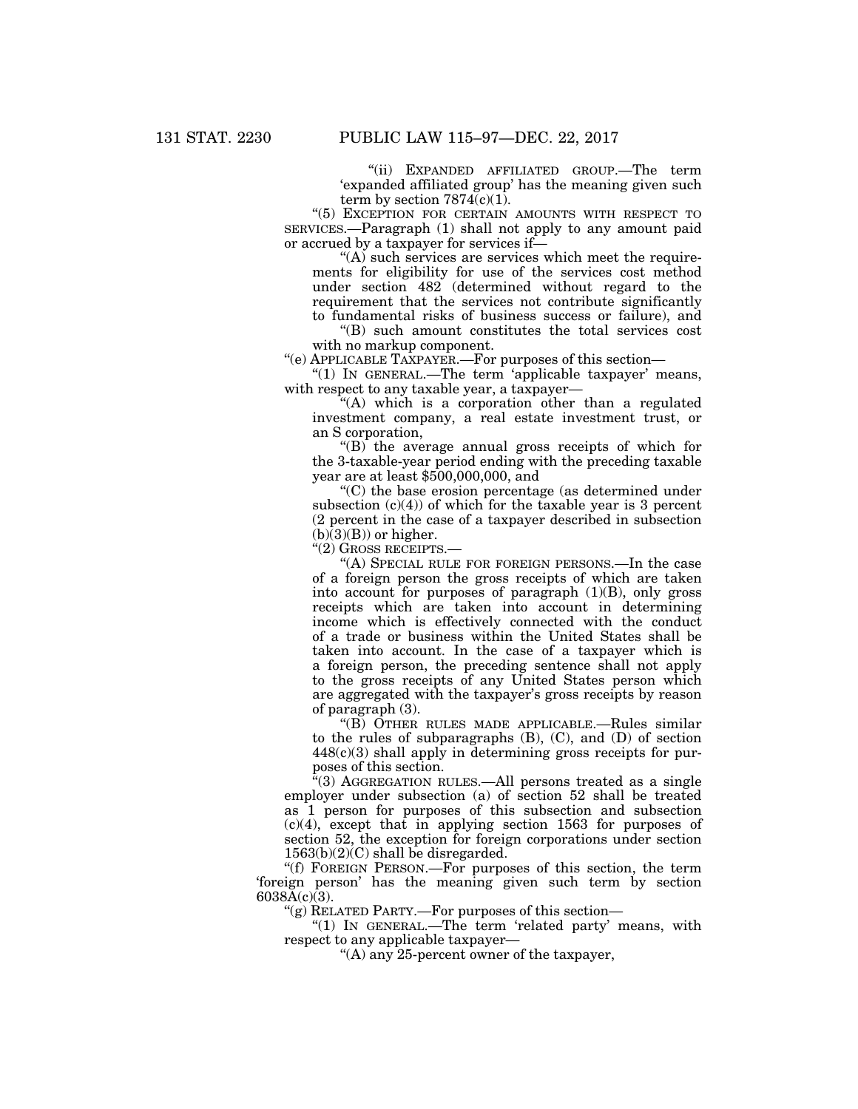''(ii) EXPANDED AFFILIATED GROUP.—The term 'expanded affiliated group' has the meaning given such term by section  $7874(c)(1)$ .

''(5) EXCEPTION FOR CERTAIN AMOUNTS WITH RESPECT TO SERVICES.—Paragraph (1) shall not apply to any amount paid or accrued by a taxpayer for services if—

 $(A)$  such services are services which meet the requirements for eligibility for use of the services cost method under section 482 (determined without regard to the requirement that the services not contribute significantly to fundamental risks of business success or failure), and

''(B) such amount constitutes the total services cost with no markup component.

''(e) APPLICABLE TAXPAYER.—For purposes of this section—

"(1) IN GENERAL.—The term 'applicable taxpayer' means, with respect to any taxable year, a taxpayer—

''(A) which is a corporation other than a regulated investment company, a real estate investment trust, or an S corporation,

 $\mathrm{``(B)}$  the average annual gross receipts of which for the 3-taxable-year period ending with the preceding taxable year are at least \$500,000,000, and

''(C) the base erosion percentage (as determined under subsection  $(c)(4)$  of which for the taxable year is 3 percent (2 percent in the case of a taxpayer described in subsection  $(b)(3)(B)$  or higher.

''(2) GROSS RECEIPTS.—

''(A) SPECIAL RULE FOR FOREIGN PERSONS.—In the case of a foreign person the gross receipts of which are taken into account for purposes of paragraph (1)(B), only gross receipts which are taken into account in determining income which is effectively connected with the conduct of a trade or business within the United States shall be taken into account. In the case of a taxpayer which is a foreign person, the preceding sentence shall not apply to the gross receipts of any United States person which are aggregated with the taxpayer's gross receipts by reason of paragraph (3).

''(B) OTHER RULES MADE APPLICABLE.—Rules similar to the rules of subparagraphs (B), (C), and (D) of section 448(c)(3) shall apply in determining gross receipts for purposes of this section.

''(3) AGGREGATION RULES.—All persons treated as a single employer under subsection (a) of section 52 shall be treated as 1 person for purposes of this subsection and subsection (c)(4), except that in applying section 1563 for purposes of section 52, the exception for foreign corporations under section  $1563(b)(2)(C)$  shall be disregarded.

''(f) FOREIGN PERSON.—For purposes of this section, the term 'foreign person' has the meaning given such term by section  $6038A(c)(3)$ .

" $(g)$  RELATED PARTY.—For purposes of this section—

" $(1)$  IN GENERAL.—The term 'related party' means, with respect to any applicable taxpayer—

''(A) any 25-percent owner of the taxpayer,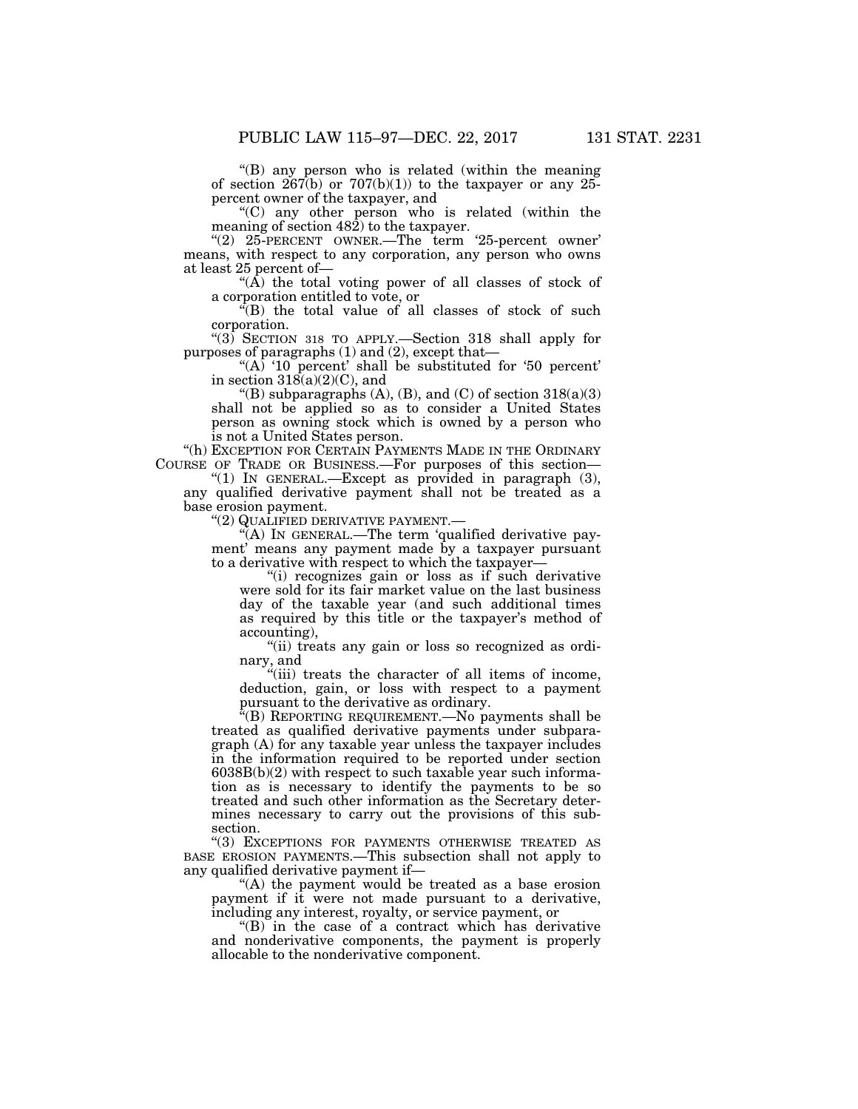''(B) any person who is related (within the meaning of section  $267(b)$  or  $707(b)(1)$  to the taxpayer or any 25percent owner of the taxpayer, and

''(C) any other person who is related (within the meaning of section 482) to the taxpayer.

''(2) 25-PERCENT OWNER.—The term '25-percent owner' means, with respect to any corporation, any person who owns at least 25 percent of—

"( $\overline{A}$ ) the total voting power of all classes of stock of a corporation entitled to vote, or

''(B) the total value of all classes of stock of such corporation.

''(3) SECTION 318 TO APPLY.—Section 318 shall apply for purposes of paragraphs (1) and (2), except that—

"(A) ' $10$  percent' shall be substituted for '50 percent' in section  $318(a)(2)(C)$ , and

"(B) subparagraphs  $(A)$ ,  $(B)$ , and  $(C)$  of section  $318(a)(3)$ shall not be applied so as to consider a United States person as owning stock which is owned by a person who is not a United States person.

"(h) EXCEPTION FOR CERTAIN PAYMENTS MADE IN THE ORDINARY COURSE OF TRADE OR BUSINESS.—For purposes of this section—

"(1) In GENERAL.—Except as provided in paragraph (3), any qualified derivative payment shall not be treated as a base erosion payment.

''(2) QUALIFIED DERIVATIVE PAYMENT.—

''(A) IN GENERAL.—The term 'qualified derivative payment' means any payment made by a taxpayer pursuant to a derivative with respect to which the taxpayer—

"(i) recognizes gain or loss as if such derivative were sold for its fair market value on the last business day of the taxable year (and such additional times as required by this title or the taxpayer's method of accounting),

"(ii) treats any gain or loss so recognized as ordinary, and

 $\sqrt{\frac{1}{1}}$  treats the character of all items of income, deduction, gain, or loss with respect to a payment pursuant to the derivative as ordinary.

''(B) REPORTING REQUIREMENT.—No payments shall be treated as qualified derivative payments under subparagraph (A) for any taxable year unless the taxpayer includes in the information required to be reported under section  $6038B(b)(2)$  with respect to such taxable year such information as is necessary to identify the payments to be so treated and such other information as the Secretary determines necessary to carry out the provisions of this subsection.

''(3) EXCEPTIONS FOR PAYMENTS OTHERWISE TREATED AS BASE EROSION PAYMENTS.—This subsection shall not apply to any qualified derivative payment if—

"(A) the payment would be treated as a base erosion payment if it were not made pursuant to a derivative, including any interest, royalty, or service payment, or

''(B) in the case of a contract which has derivative and nonderivative components, the payment is properly allocable to the nonderivative component.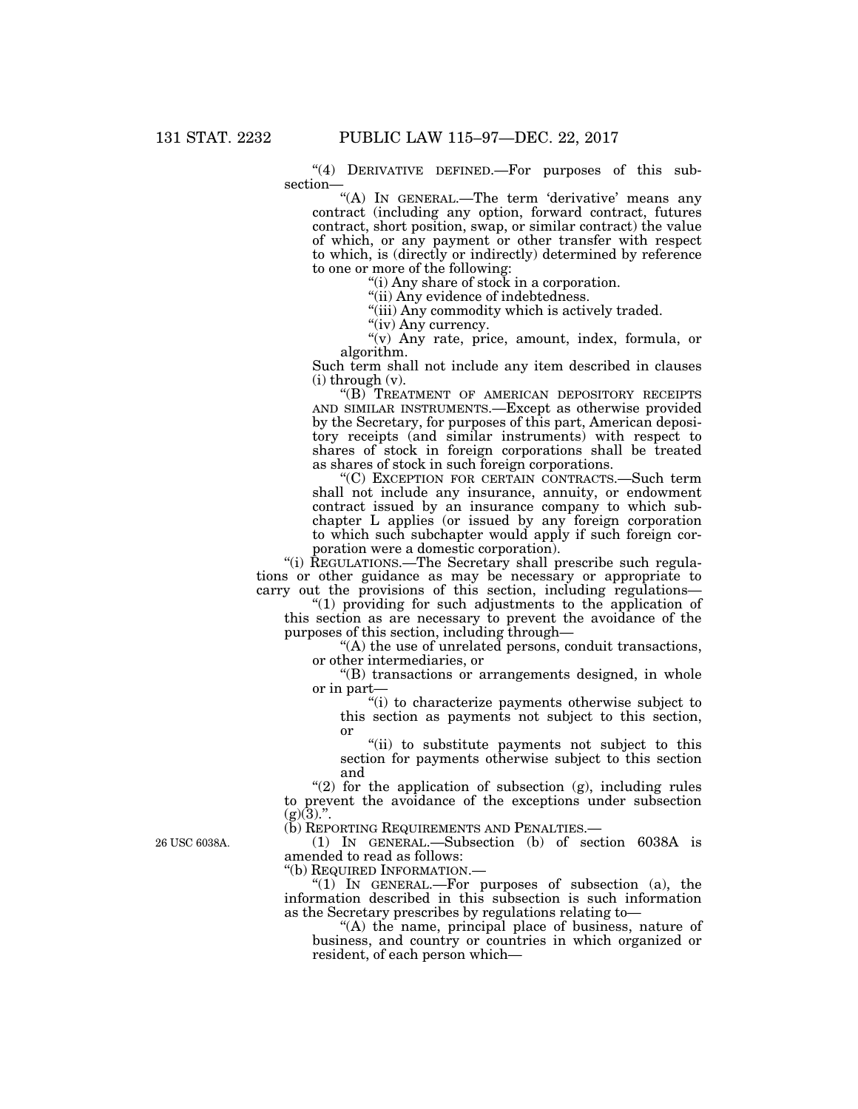" $(4)$  DERIVATIVE DEFINED. For purposes of this subsection—

"(A) IN GENERAL.-The term 'derivative' means any contract (including any option, forward contract, futures contract, short position, swap, or similar contract) the value of which, or any payment or other transfer with respect to which, is (directly or indirectly) determined by reference to one or more of the following:

''(i) Any share of stock in a corporation.

''(ii) Any evidence of indebtedness.

"(iii) Any commodity which is actively traded.

"(iv) Any currency.

''(v) Any rate, price, amount, index, formula, or algorithm.

Such term shall not include any item described in clauses  $(i)$  through  $(v)$ .

''(B) TREATMENT OF AMERICAN DEPOSITORY RECEIPTS AND SIMILAR INSTRUMENTS.—Except as otherwise provided by the Secretary, for purposes of this part, American depository receipts (and similar instruments) with respect to shares of stock in foreign corporations shall be treated as shares of stock in such foreign corporations.

''(C) EXCEPTION FOR CERTAIN CONTRACTS.—Such term shall not include any insurance, annuity, or endowment contract issued by an insurance company to which subchapter L applies (or issued by any foreign corporation to which such subchapter would apply if such foreign corporation were a domestic corporation).

"(i) REGULATIONS.—The Secretary shall prescribe such regulations or other guidance as may be necessary or appropriate to carry out the provisions of this section, including regulations—

''(1) providing for such adjustments to the application of this section as are necessary to prevent the avoidance of the purposes of this section, including through—

''(A) the use of unrelated persons, conduit transactions, or other intermediaries, or

''(B) transactions or arrangements designed, in whole or in part—

''(i) to characterize payments otherwise subject to this section as payments not subject to this section, or

''(ii) to substitute payments not subject to this section for payments otherwise subject to this section and

" $(2)$  for the application of subsection  $(g)$ , including rules to prevent the avoidance of the exceptions under subsection  $(g)(3)$ .".

(b) REPORTING REQUIREMENTS AND PENALTIES.—

(1) IN GENERAL.—Subsection (b) of section 6038A is amended to read as follows:<br>"(b) REQUIRED INFORMATION.—

"(1) IN GENERAL.—For purposes of subsection (a), the information described in this subsection is such information as the Secretary prescribes by regulations relating to—

''(A) the name, principal place of business, nature of business, and country or countries in which organized or resident, of each person which—

26 USC 6038A.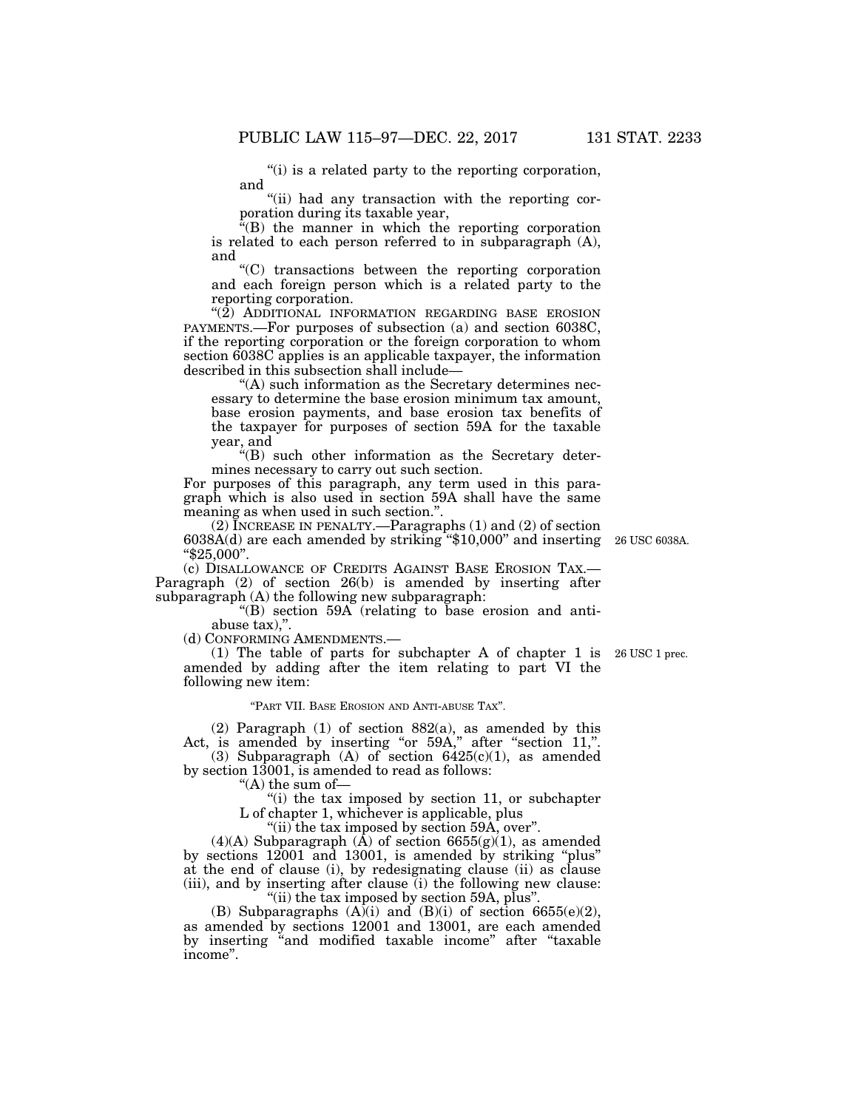''(i) is a related party to the reporting corporation, and

"(ii) had any transaction with the reporting corporation during its taxable year,

''(B) the manner in which the reporting corporation is related to each person referred to in subparagraph (A), and

''(C) transactions between the reporting corporation and each foreign person which is a related party to the reporting corporation.

 $\cdot$ (2) ADDITIONAL INFORMATION REGARDING BASE EROSION PAYMENTS.—For purposes of subsection (a) and section 6038C, if the reporting corporation or the foreign corporation to whom section 6038C applies is an applicable taxpayer, the information described in this subsection shall include—

''(A) such information as the Secretary determines necessary to determine the base erosion minimum tax amount, base erosion payments, and base erosion tax benefits of the taxpayer for purposes of section 59A for the taxable year, and

''(B) such other information as the Secretary determines necessary to carry out such section.

For purposes of this paragraph, any term used in this paragraph which is also used in section 59A shall have the same meaning as when used in such section.''.

(2) INCREASE IN PENALTY.—Paragraphs (1) and (2) of section 6038A(d) are each amended by striking ''\$10,000'' and inserting 26 USC 6038A. ''\$25,000''.

(c) DISALLOWANCE OF CREDITS AGAINST BASE EROSION TAX.— Paragraph (2) of section 26(b) is amended by inserting after subparagraph (A) the following new subparagraph:

''(B) section 59A (relating to base erosion and antiabuse tax),''.

(d) CONFORMING AMENDMENTS.—

(1) The table of parts for subchapter A of chapter 1 is 26 USC 1 prec. amended by adding after the item relating to part VI the following new item:

''PART VII. BASE EROSION AND ANTI-ABUSE TAX''.

(2) Paragraph (1) of section 882(a), as amended by this Act, is amended by inserting "or 59A," after "section 11,".

(3) Subparagraph (A) of section  $6425(c)(1)$ , as amended by section 13001, is amended to read as follows:

''(A) the sum of—

 $f(i)$  the tax imposed by section 11, or subchapter

L of chapter 1, whichever is applicable, plus  $'$ (ii) the tax imposed by section 59A, over".

 $(4)(A)$  Subparagraph  $(A)$  of section 6655 $(g)(1)$ , as amended by sections 12001 and 13001, is amended by striking ''plus'' at the end of clause (i), by redesignating clause (ii) as clause (iii), and by inserting after clause (i) the following new clause: ''(ii) the tax imposed by section 59A, plus''.

(B) Subparagraphs  $(A)(i)$  and  $(B)(i)$  of section 6655(e)(2), as amended by sections 12001 and 13001, are each amended by inserting ''and modified taxable income'' after ''taxable income''.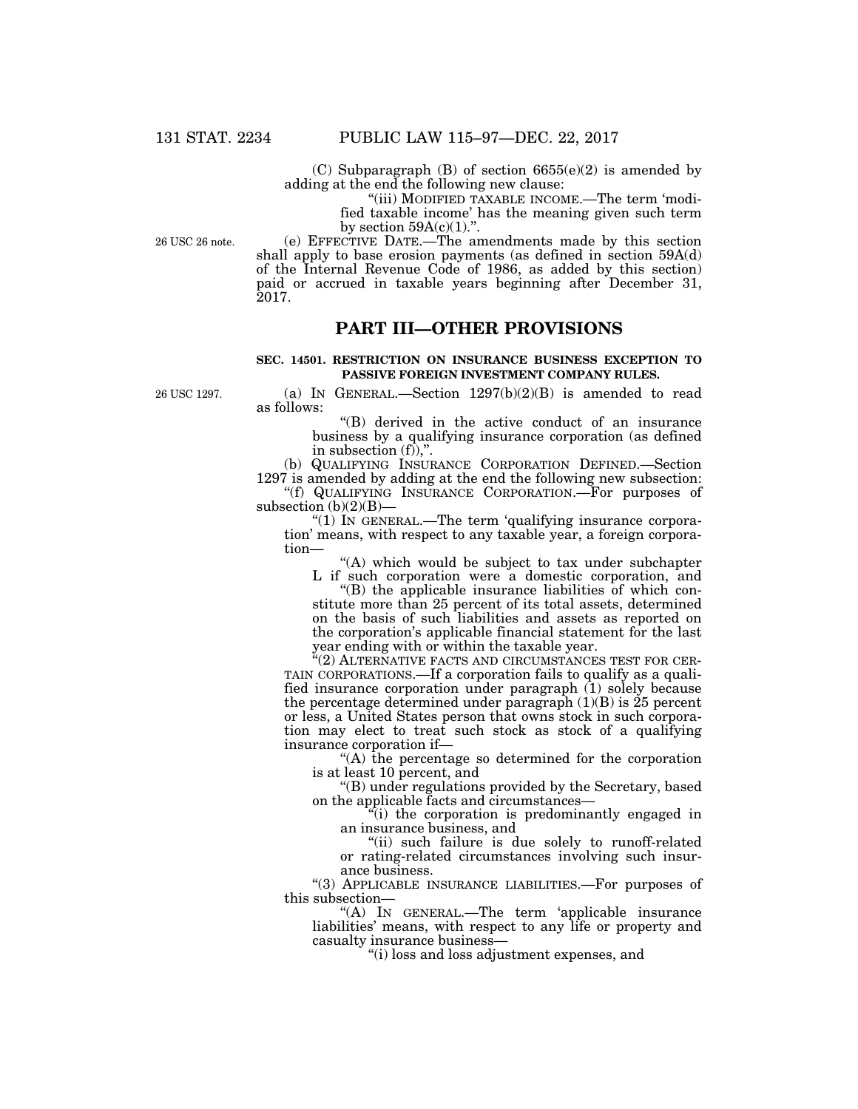(C) Subparagraph  $(B)$  of section  $6655(e)(2)$  is amended by adding at the end the following new clause:

"(iii) MODIFIED TAXABLE INCOME.—The term 'modified taxable income' has the meaning given such term by section  $59A(c)(1)$ .".

26 USC 26 note.

(e) EFFECTIVE DATE.—The amendments made by this section shall apply to base erosion payments (as defined in section 59A(d) of the Internal Revenue Code of 1986, as added by this section) paid or accrued in taxable years beginning after December 31, 2017.

## **PART III—OTHER PROVISIONS**

## **SEC. 14501. RESTRICTION ON INSURANCE BUSINESS EXCEPTION TO PASSIVE FOREIGN INVESTMENT COMPANY RULES.**

26 USC 1297.

(a) IN GENERAL.—Section  $1297(b)(2)(B)$  is amended to read as follows:

> ''(B) derived in the active conduct of an insurance business by a qualifying insurance corporation (as defined in subsection  $(f)$ ,".

(b) QUALIFYING INSURANCE CORPORATION DEFINED.—Section 1297 is amended by adding at the end the following new subsection: ''(f) QUALIFYING INSURANCE CORPORATION.—For purposes of

subsection  $(b)(2)(B)$ — " $(1)$  In GENERAL.—The term 'qualifying insurance corpora-

tion' means, with respect to any taxable year, a foreign corporation—

''(A) which would be subject to tax under subchapter L if such corporation were a domestic corporation, and

''(B) the applicable insurance liabilities of which constitute more than 25 percent of its total assets, determined on the basis of such liabilities and assets as reported on the corporation's applicable financial statement for the last year ending with or within the taxable year.

''(2) ALTERNATIVE FACTS AND CIRCUMSTANCES TEST FOR CER-TAIN CORPORATIONS.—If a corporation fails to qualify as a qualified insurance corporation under paragraph (1) solely because the percentage determined under paragraph  $(1)(B)$  is 25 percent or less, a United States person that owns stock in such corporation may elect to treat such stock as stock of a qualifying insurance corporation if—

''(A) the percentage so determined for the corporation is at least 10 percent, and

''(B) under regulations provided by the Secretary, based on the applicable facts and circumstances—

''(i) the corporation is predominantly engaged in an insurance business, and

"(ii) such failure is due solely to runoff-related or rating-related circumstances involving such insurance business.

''(3) APPLICABLE INSURANCE LIABILITIES.—For purposes of this subsection—

''(A) IN GENERAL.—The term 'applicable insurance liabilities' means, with respect to any life or property and casualty insurance business—

''(i) loss and loss adjustment expenses, and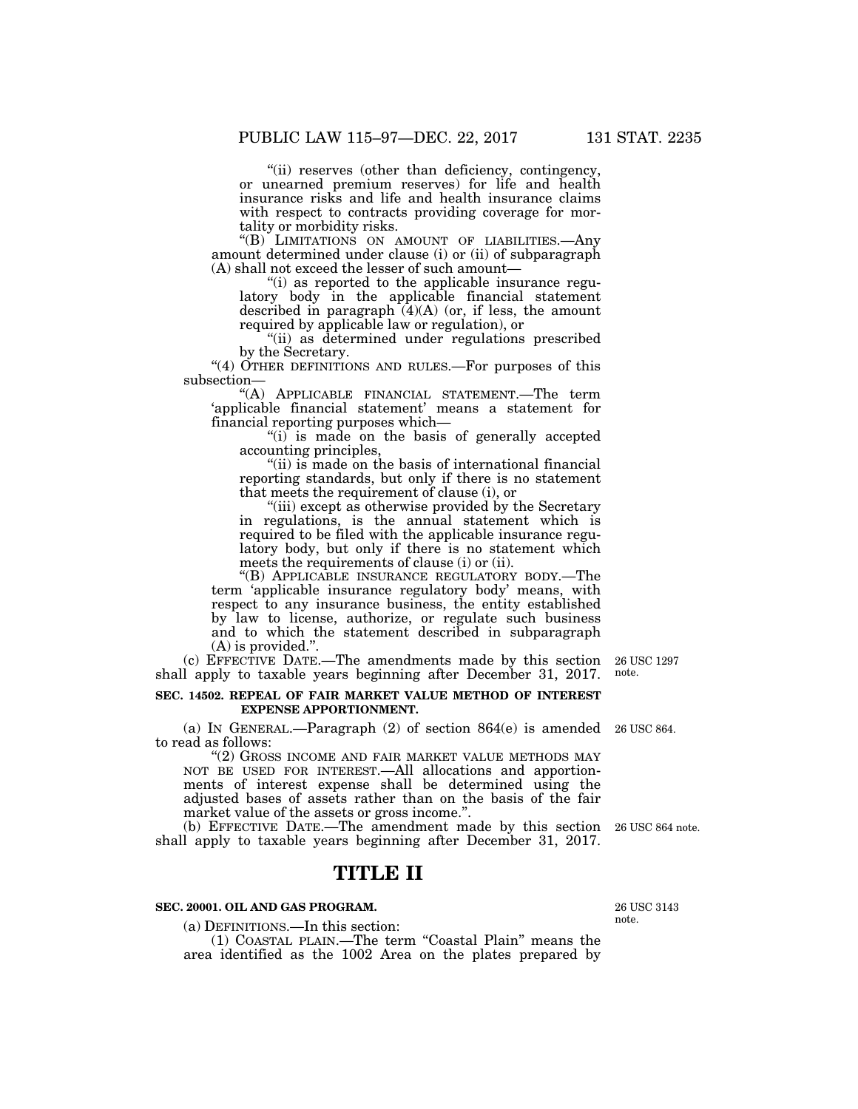"(ii) reserves (other than deficiency, contingency, or unearned premium reserves) for life and health insurance risks and life and health insurance claims with respect to contracts providing coverage for mortality or morbidity risks.

''(B) LIMITATIONS ON AMOUNT OF LIABILITIES.—Any amount determined under clause (i) or (ii) of subparagraph (A) shall not exceed the lesser of such amount—

''(i) as reported to the applicable insurance regulatory body in the applicable financial statement described in paragraph  $(4)(A)$  (or, if less, the amount required by applicable law or regulation), or

"(ii) as determined under regulations prescribed by the Secretary.

" $(4)$  OTHER DEFINITIONS AND RULES.—For purposes of this subsection—

''(A) APPLICABLE FINANCIAL STATEMENT.—The term 'applicable financial statement' means a statement for financial reporting purposes which—

"(i) is made on the basis of generally accepted accounting principles,

"(ii) is made on the basis of international financial reporting standards, but only if there is no statement that meets the requirement of clause (i), or

"(iii) except as otherwise provided by the Secretary in regulations, is the annual statement which is required to be filed with the applicable insurance regulatory body, but only if there is no statement which meets the requirements of clause (i) or (ii).

''(B) APPLICABLE INSURANCE REGULATORY BODY.—The term 'applicable insurance regulatory body' means, with respect to any insurance business, the entity established by law to license, authorize, or regulate such business and to which the statement described in subparagraph (A) is provided.''.

(c) EFFECTIVE DATE.—The amendments made by this section shall apply to taxable years beginning after December 31, 2017.

### **SEC. 14502. REPEAL OF FAIR MARKET VALUE METHOD OF INTEREST EXPENSE APPORTIONMENT.**

(a) IN GENERAL.—Paragraph (2) of section 864(e) is amended 26 USC 864. to read as follows:

''(2) GROSS INCOME AND FAIR MARKET VALUE METHODS MAY NOT BE USED FOR INTEREST.—All allocations and apportionments of interest expense shall be determined using the adjusted bases of assets rather than on the basis of the fair market value of the assets or gross income.''.

(b) EFFECTIVE DATE.—The amendment made by this section 26 USC 864 note. shall apply to taxable years beginning after December 31, 2017.

# **TITLE II**

### **SEC. 20001. OIL AND GAS PROGRAM.**

(a) DEFINITIONS.—In this section:

(1) COASTAL PLAIN.—The term ''Coastal Plain'' means the area identified as the 1002 Area on the plates prepared by

26 USC 3143

note.

note.

26 USC 1297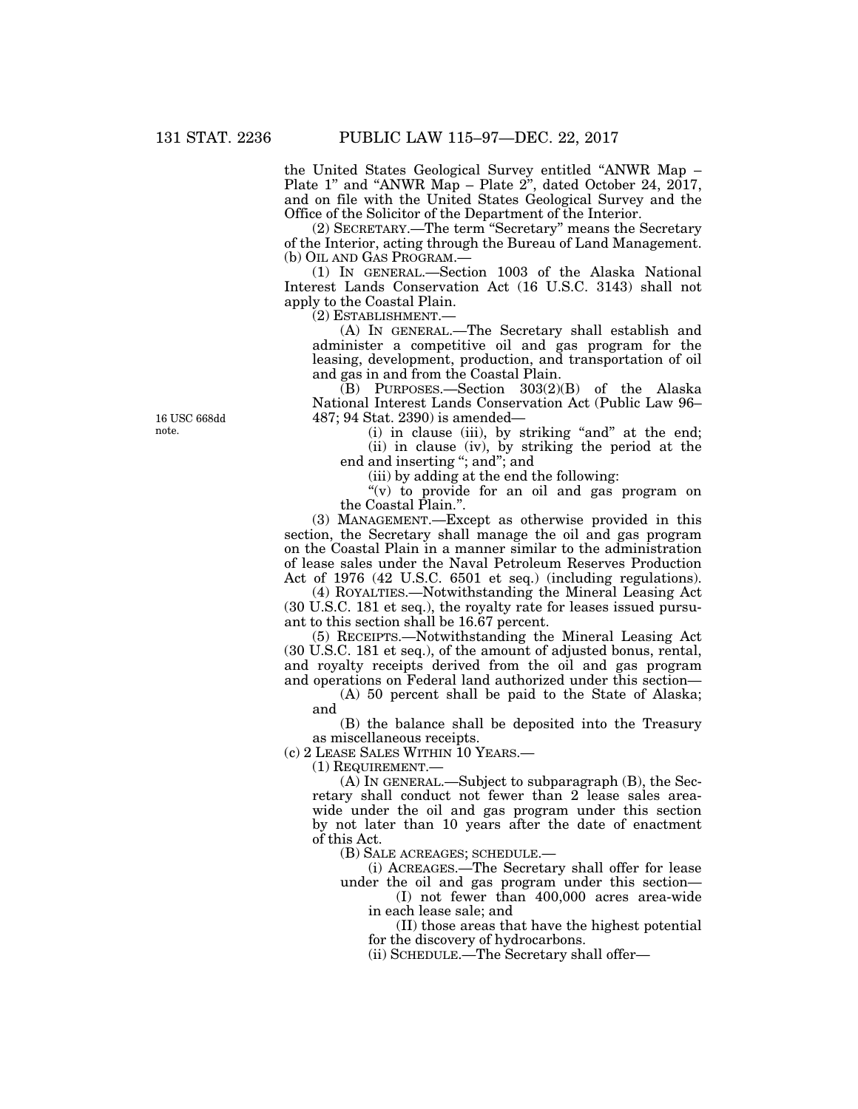the United States Geological Survey entitled ''ANWR Map – Plate 1'' and ''ANWR Map – Plate 2'', dated October 24, 2017, and on file with the United States Geological Survey and the Office of the Solicitor of the Department of the Interior.

(2) SECRETARY.—The term ''Secretary'' means the Secretary of the Interior, acting through the Bureau of Land Management. (b) OIL AND GAS PROGRAM.—

(1) IN GENERAL.—Section 1003 of the Alaska National Interest Lands Conservation Act (16 U.S.C. 3143) shall not apply to the Coastal Plain.

(2) ESTABLISHMENT.—

(A) IN GENERAL.—The Secretary shall establish and administer a competitive oil and gas program for the leasing, development, production, and transportation of oil and gas in and from the Coastal Plain.

(B) PURPOSES.—Section 303(2)(B) of the Alaska National Interest Lands Conservation Act (Public Law 96– 487; 94 Stat. 2390) is amended—

(i) in clause (iii), by striking "and" at the end; (ii) in clause (iv), by striking the period at the end and inserting "; and"; and

(iii) by adding at the end the following:

''(v) to provide for an oil and gas program on the Coastal Plain.''.

(3) MANAGEMENT.—Except as otherwise provided in this section, the Secretary shall manage the oil and gas program on the Coastal Plain in a manner similar to the administration of lease sales under the Naval Petroleum Reserves Production Act of 1976 (42 U.S.C. 6501 et seq.) (including regulations).

(4) ROYALTIES.—Notwithstanding the Mineral Leasing Act (30 U.S.C. 181 et seq.), the royalty rate for leases issued pursuant to this section shall be 16.67 percent.

(5) RECEIPTS.—Notwithstanding the Mineral Leasing Act (30 U.S.C. 181 et seq.), of the amount of adjusted bonus, rental, and royalty receipts derived from the oil and gas program and operations on Federal land authorized under this section—

(A) 50 percent shall be paid to the State of Alaska; and

(B) the balance shall be deposited into the Treasury as miscellaneous receipts.

(c) 2 LEASE SALES WITHIN 10 YEARS.—

(1) REQUIREMENT.—

(A) IN GENERAL.—Subject to subparagraph (B), the Secretary shall conduct not fewer than 2 lease sales areawide under the oil and gas program under this section by not later than 10 years after the date of enactment of this Act.

(B) SALE ACREAGES; SCHEDULE.—

(i) ACREAGES.—The Secretary shall offer for lease under the oil and gas program under this section—

(I) not fewer than 400,000 acres area-wide in each lease sale; and

(II) those areas that have the highest potential for the discovery of hydrocarbons.

(ii) SCHEDULE.—The Secretary shall offer—

16 USC 668dd note.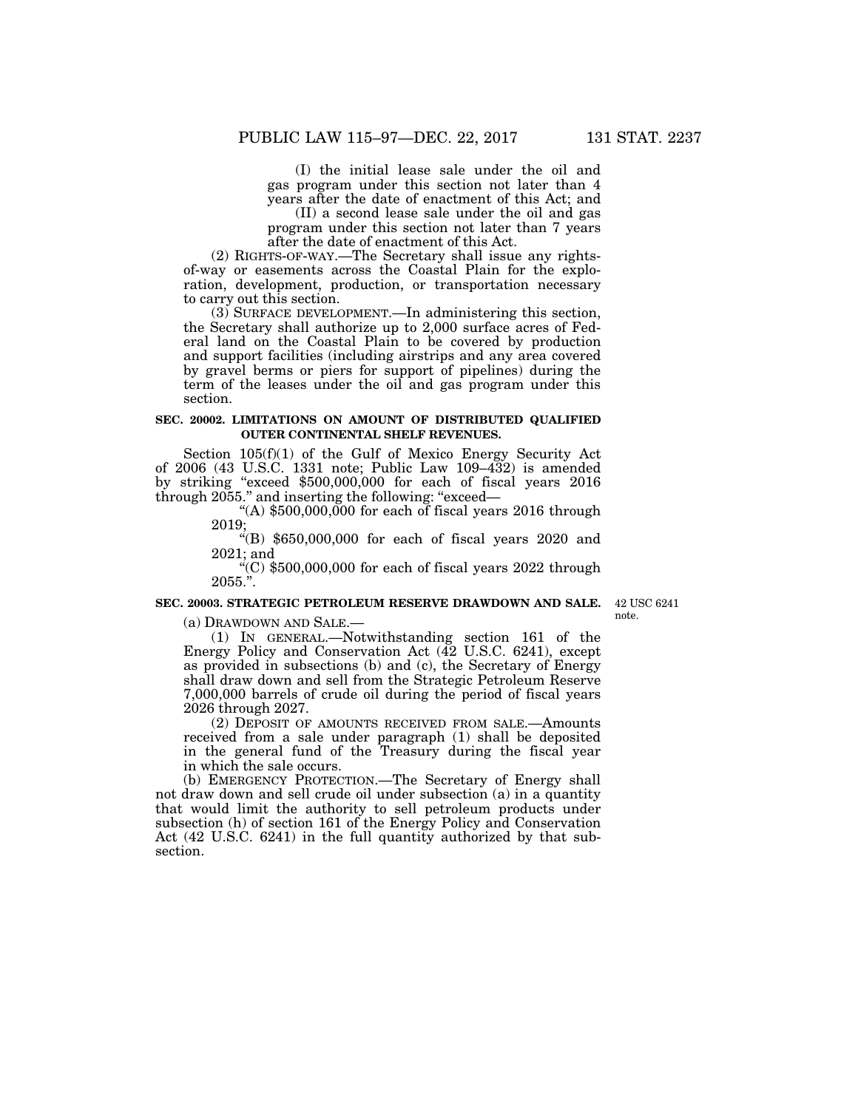(I) the initial lease sale under the oil and gas program under this section not later than 4 years after the date of enactment of this Act; and

(II) a second lease sale under the oil and gas program under this section not later than 7 years after the date of enactment of this Act.

(2) RIGHTS-OF-WAY.—The Secretary shall issue any rightsof-way or easements across the Coastal Plain for the exploration, development, production, or transportation necessary to carry out this section.

(3) SURFACE DEVELOPMENT.—In administering this section, the Secretary shall authorize up to 2,000 surface acres of Federal land on the Coastal Plain to be covered by production and support facilities (including airstrips and any area covered by gravel berms or piers for support of pipelines) during the term of the leases under the oil and gas program under this section.

#### **SEC. 20002. LIMITATIONS ON AMOUNT OF DISTRIBUTED QUALIFIED OUTER CONTINENTAL SHELF REVENUES.**

Section 105(f)(1) of the Gulf of Mexico Energy Security Act of 2006 (43 U.S.C. 1331 note; Public Law 109–432) is amended by striking ''exceed \$500,000,000 for each of fiscal years 2016 through 2055." and inserting the following: "exceed—

"(A)  $$500,000,000$  for each of fiscal years 2016 through 2019;

''(B) \$650,000,000 for each of fiscal years 2020 and 2021; and

"(C)  $$500,000,000$  for each of fiscal years  $2022$  through 2055.''.

## **SEC. 20003. STRATEGIC PETROLEUM RESERVE DRAWDOWN AND SALE.**

42 USC 6241 note.

(a) DRAWDOWN AND SALE.—

(1) IN GENERAL.—Notwithstanding section 161 of the Energy Policy and Conservation Act (42 U.S.C. 6241), except as provided in subsections (b) and (c), the Secretary of Energy shall draw down and sell from the Strategic Petroleum Reserve 7,000,000 barrels of crude oil during the period of fiscal years 2026 through 2027.

(2) DEPOSIT OF AMOUNTS RECEIVED FROM SALE.—Amounts received from a sale under paragraph (1) shall be deposited in the general fund of the Treasury during the fiscal year in which the sale occurs.

(b) EMERGENCY PROTECTION.—The Secretary of Energy shall not draw down and sell crude oil under subsection (a) in a quantity that would limit the authority to sell petroleum products under subsection (h) of section 161 of the Energy Policy and Conservation Act (42 U.S.C. 6241) in the full quantity authorized by that subsection.